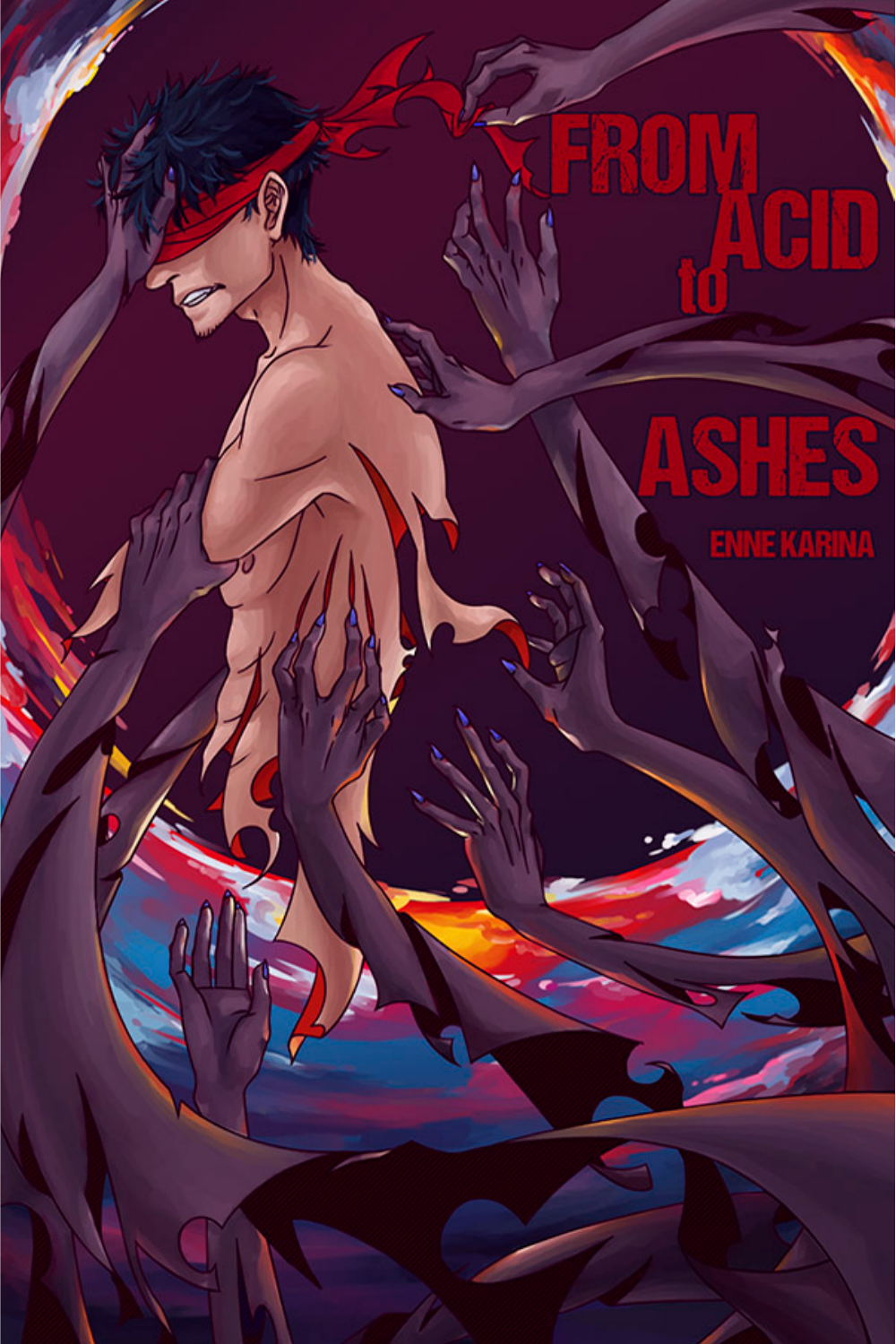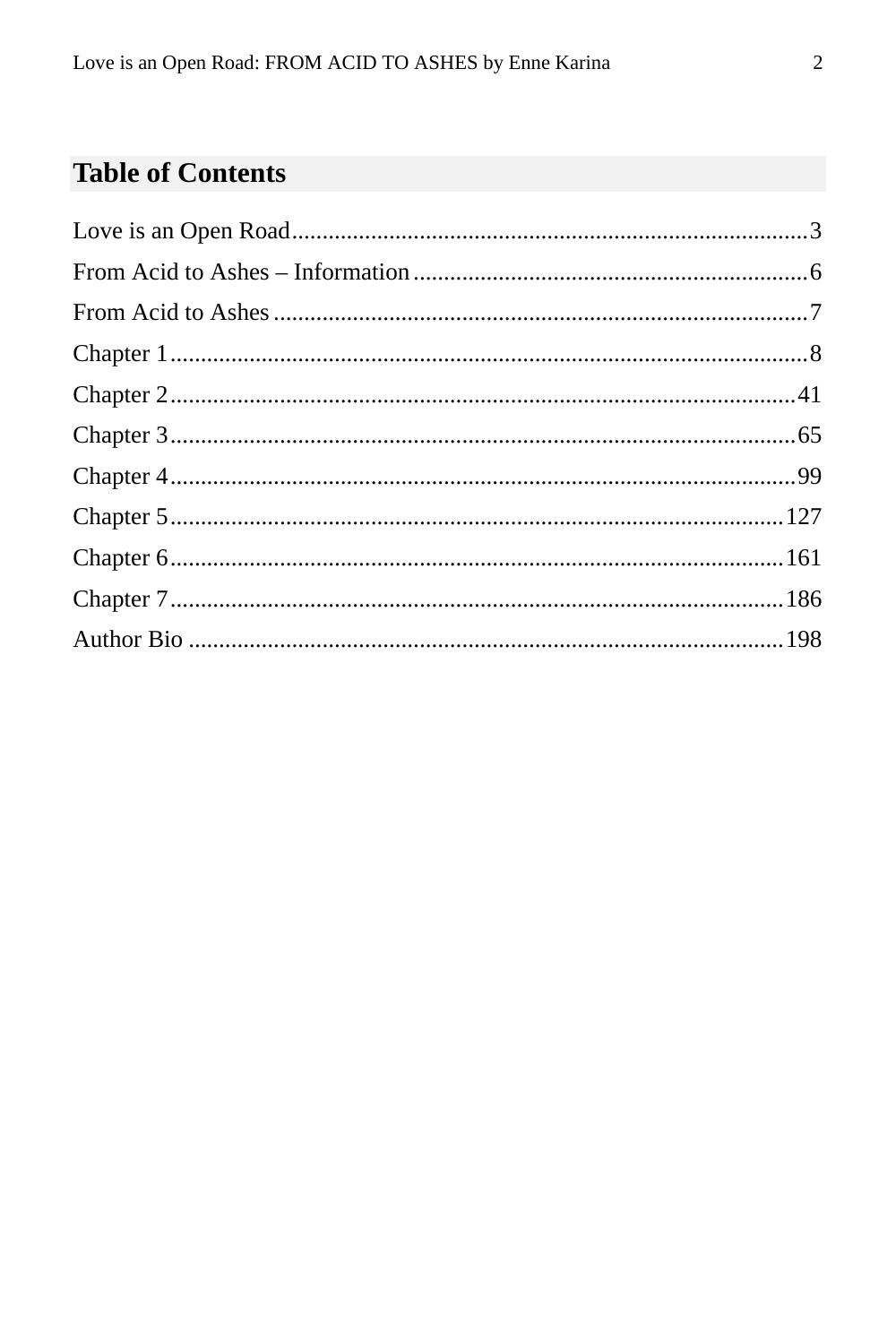#### **Table of Contents**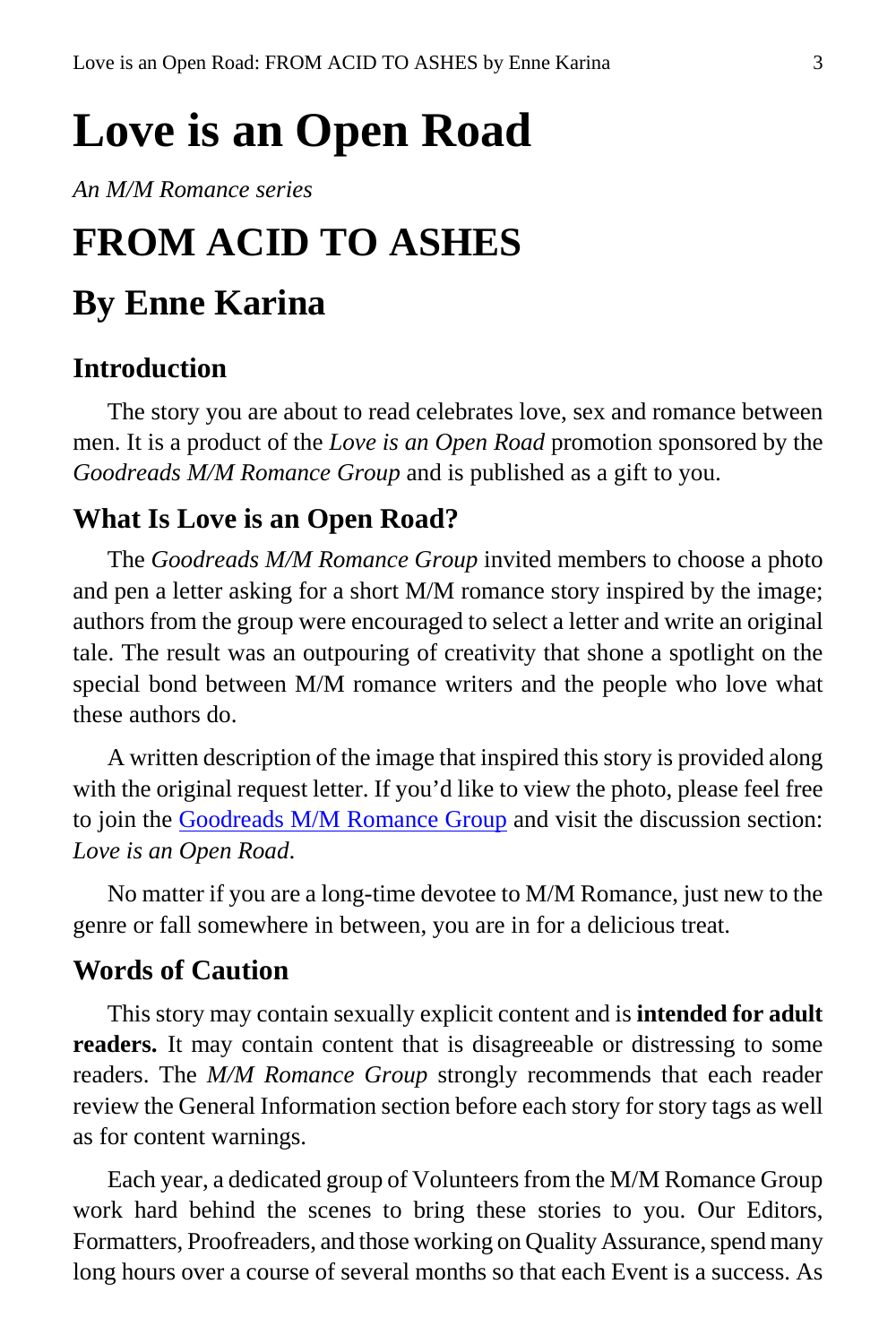## <span id="page-2-0"></span>**Love is an Open Road**

*An M/M Romance series*

## **FROM ACID TO ASHES**

#### **By Enne Karina**

#### **Introduction**

The story you are about to read celebrates love, sex and romance between men. It is a product of the *Love is an Open Road* promotion sponsored by the *Goodreads M/M Romance Group* and is published as a gift to you.

#### **What Is Love is an Open Road?**

The *Goodreads M/M Romance Group* invited members to choose a photo and pen a letter asking for a short M/M romance story inspired by the image; authors from the group were encouraged to select a letter and write an original tale. The result was an outpouring of creativity that shone a spotlight on the special bond between M/M romance writers and the people who love what these authors do.

A written description of the image that inspired this story is provided along with the original request letter. If you'd like to view the photo, please feel free to join the [Goodreads M/M Romance Group](http://www.goodreads.com/group/show/20149-m-m-romance) and visit the discussion section: *Love is an Open Road*.

No matter if you are a long-time devotee to M/M Romance, just new to the genre or fall somewhere in between, you are in for a delicious treat.

#### **Words of Caution**

This story may contain sexually explicit content and is **intended for adult readers.** It may contain content that is disagreeable or distressing to some readers. The *M/M Romance Group* strongly recommends that each reader review the General Information section before each story for story tags as well as for content warnings.

Each year, a dedicated group of Volunteers from the M/M Romance Group work hard behind the scenes to bring these stories to you. Our Editors, Formatters, Proofreaders, and those working on Quality Assurance, spend many long hours over a course of several months so that each Event is a success. As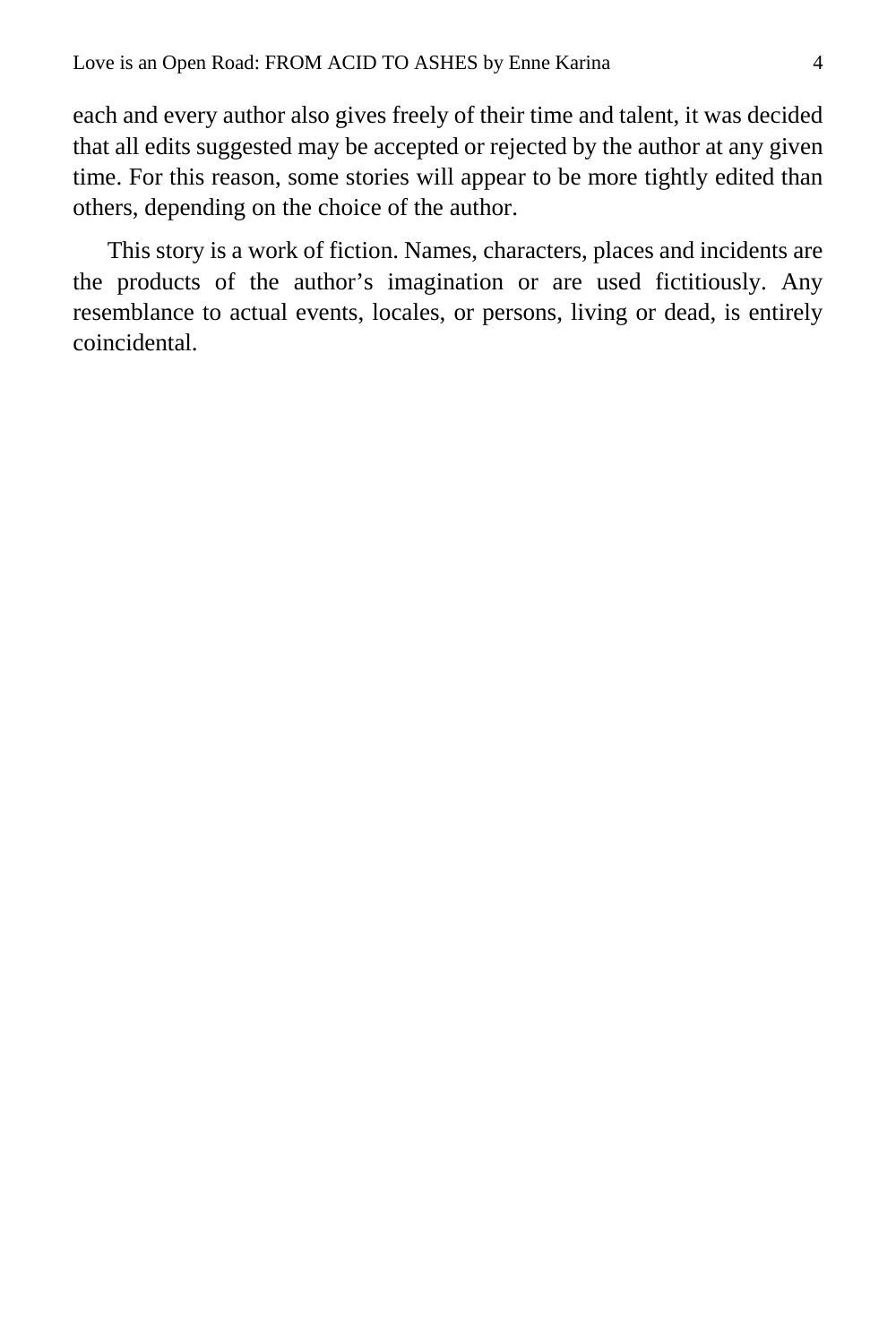each and every author also gives freely of their time and talent, it was decided that all edits suggested may be accepted or rejected by the author at any given time. For this reason, some stories will appear to be more tightly edited than others, depending on the choice of the author.

This story is a work of fiction. Names, characters, places and incidents are the products of the author's imagination or are used fictitiously. Any resemblance to actual events, locales, or persons, living or dead, is entirely coincidental.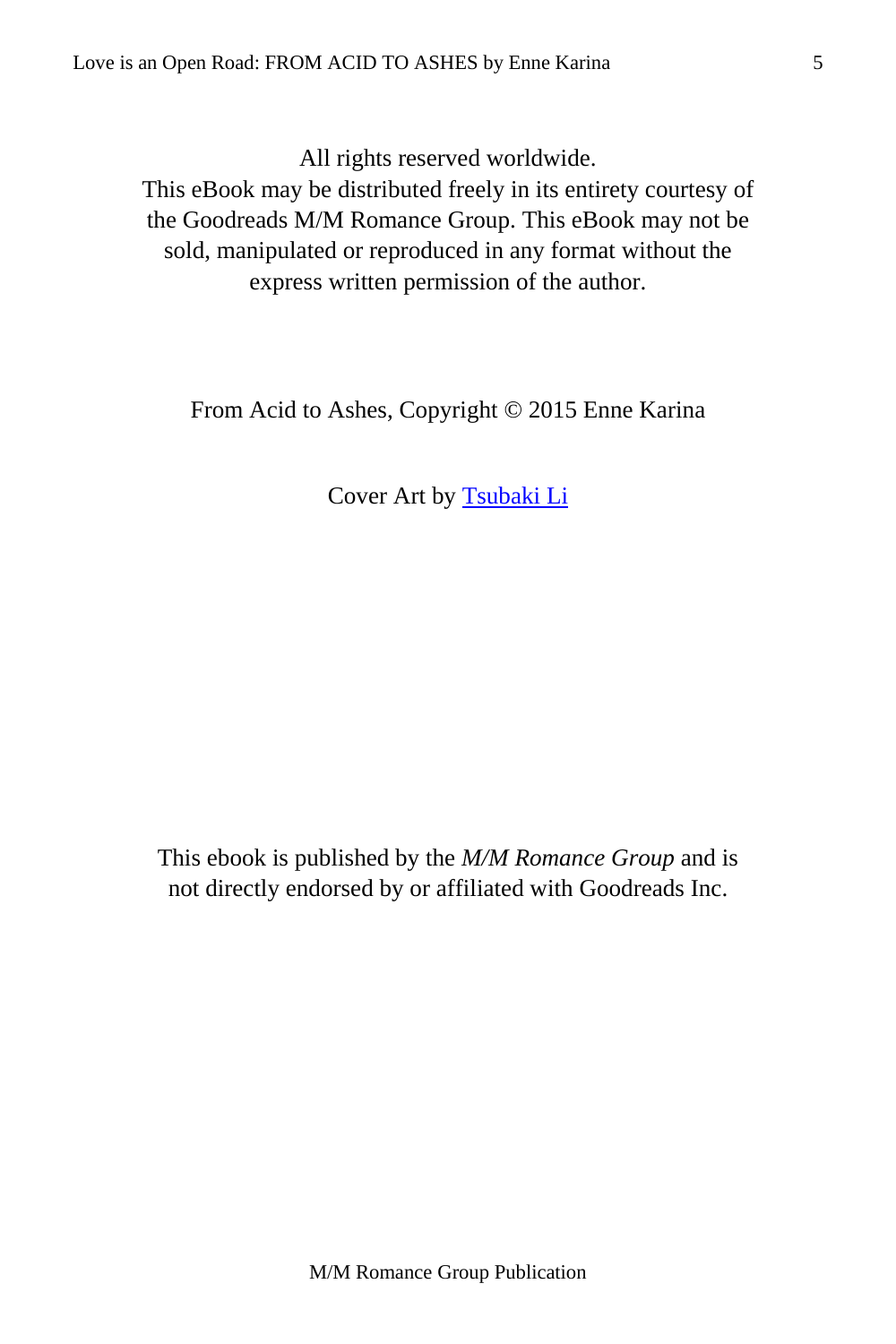All rights reserved worldwide.

This eBook may be distributed freely in its entirety courtesy of the Goodreads M/M Romance Group. This eBook may not be sold, manipulated or reproduced in any format without the express written permission of the author.

From Acid to Ashes, Copyright © 2015 Enne Karina

Cover Art by [Tsubaki Li](http://tsubaki-star.deviantart.com/)

This ebook is published by the *M/M Romance Group* and is not directly endorsed by or affiliated with Goodreads Inc.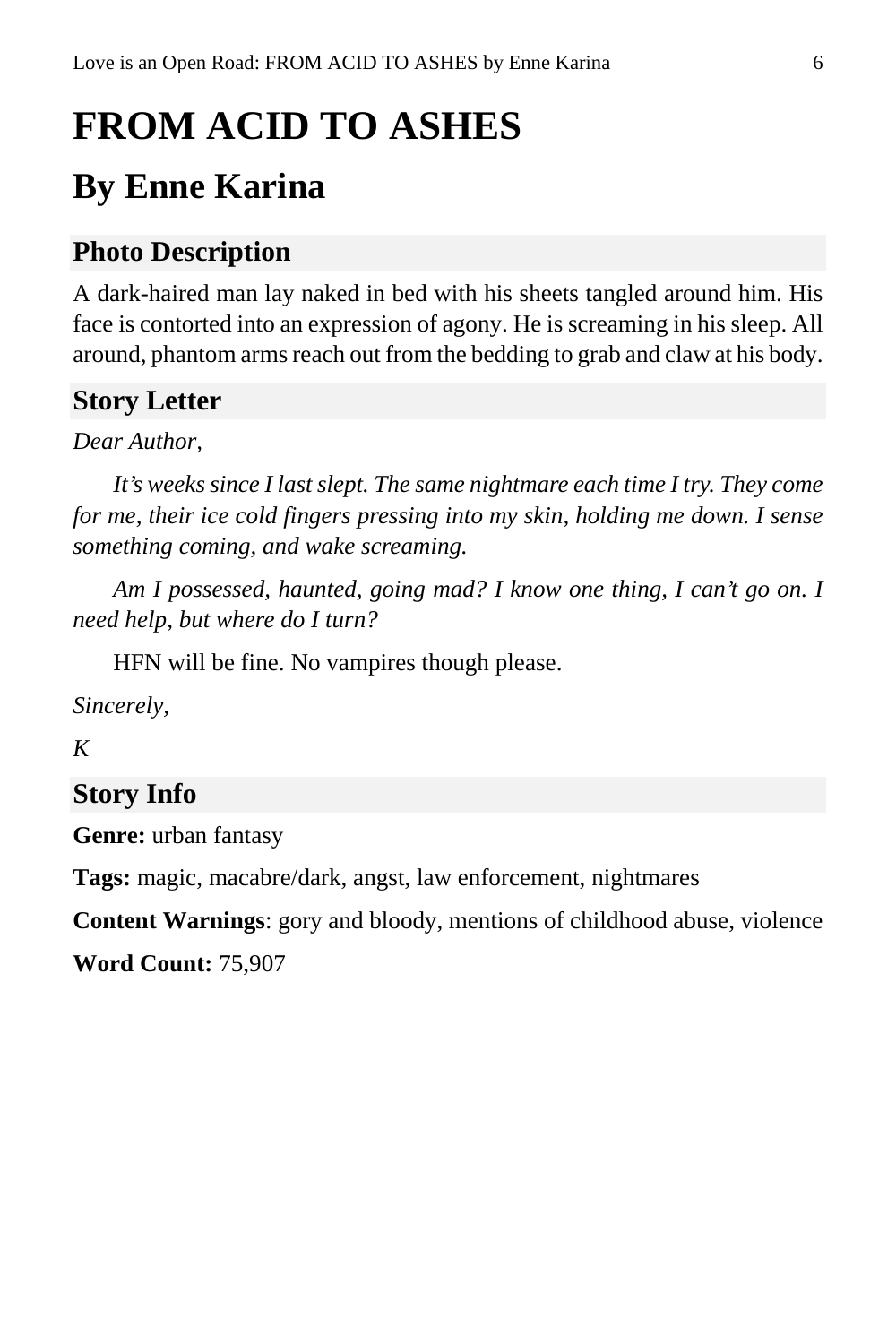### <span id="page-5-0"></span>**FROM ACID TO ASHES By Enne Karina**

#### **Photo Description**

A dark-haired man lay naked in bed with his sheets tangled around him. His face is contorted into an expression of agony. He is screaming in his sleep. All around, phantom arms reach out from the bedding to grab and claw at his body.

#### **Story Letter**

#### *Dear Author,*

*It's weeks since I last slept. The same nightmare each time I try. They come for me, their ice cold fingers pressing into my skin, holding me down. I sense something coming, and wake screaming.*

*Am I possessed, haunted, going mad? I know one thing, I can't go on. I need help, but where do I turn?*

HFN will be fine. No vampires though please.

*Sincerely,*

#### *K*

#### **Story Info**

**Genre:** urban fantasy

**Tags:** magic, macabre/dark, angst, law enforcement, nightmares

**Content Warnings**: gory and bloody, mentions of childhood abuse, violence

**Word Count:** 75,907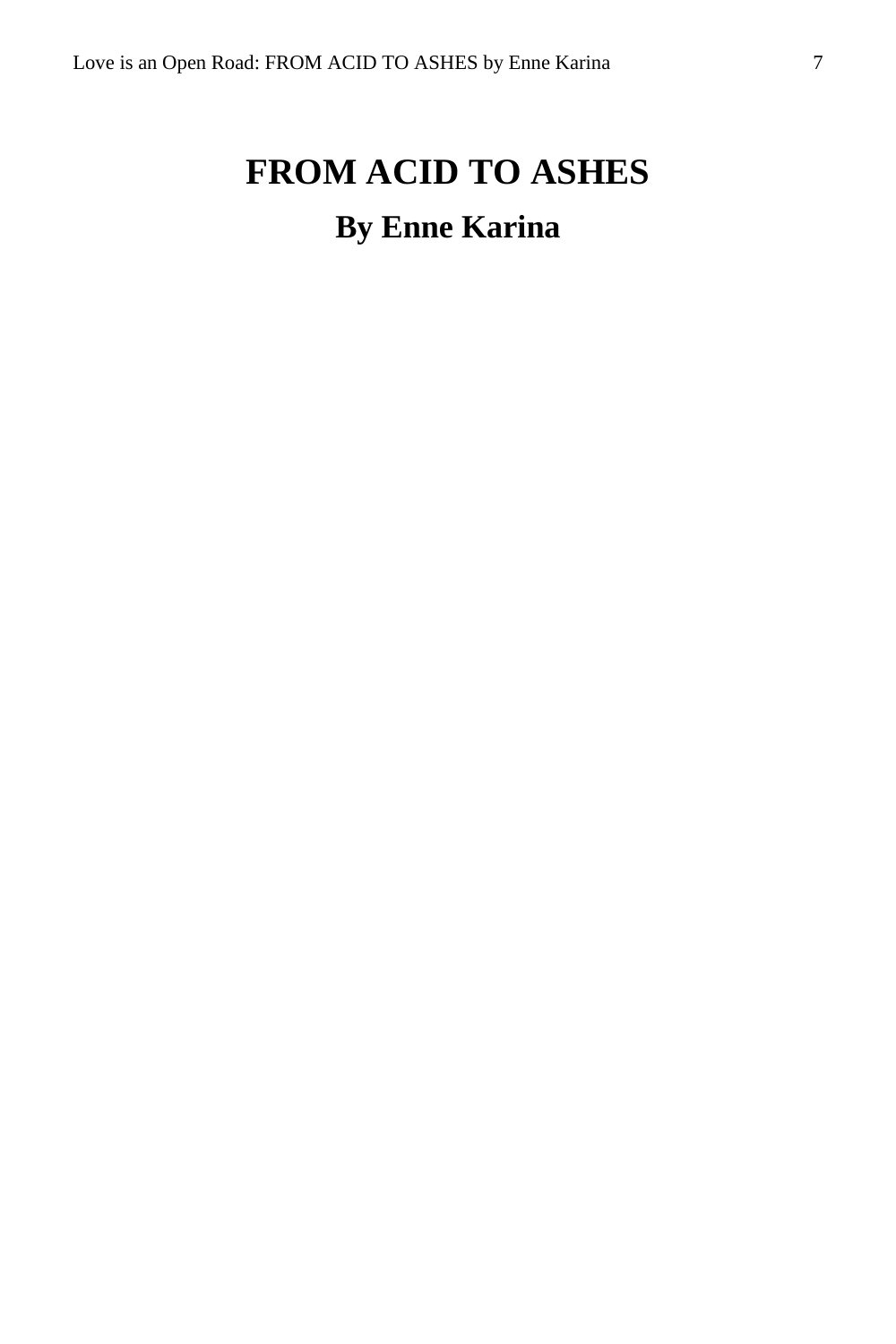## <span id="page-6-0"></span>**FROM ACID TO ASHES**

# **By Enne Karina**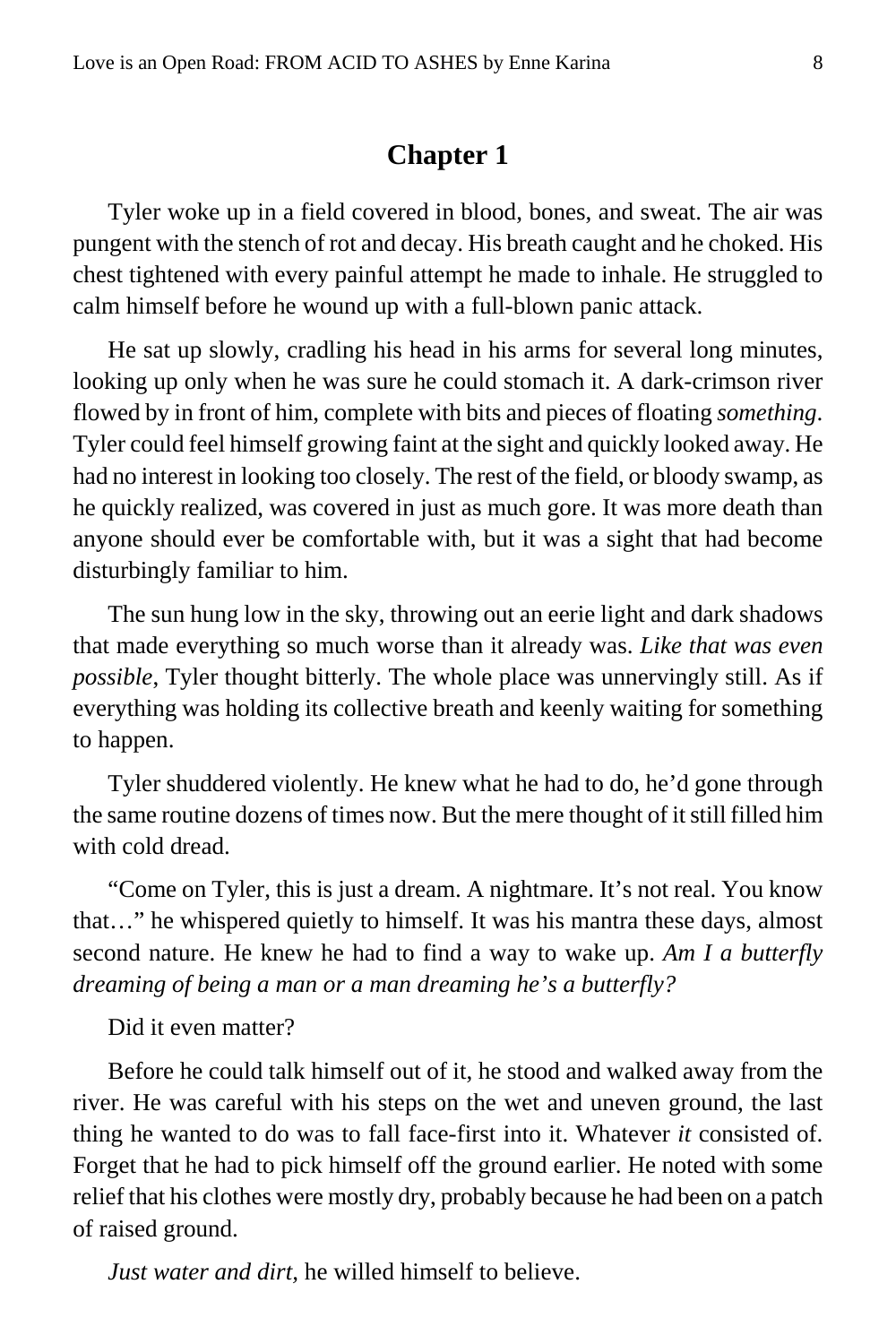#### **Chapter 1**

<span id="page-7-0"></span>Tyler woke up in a field covered in blood, bones, and sweat. The air was pungent with the stench of rot and decay. His breath caught and he choked. His chest tightened with every painful attempt he made to inhale. He struggled to calm himself before he wound up with a full-blown panic attack.

He sat up slowly, cradling his head in his arms for several long minutes, looking up only when he was sure he could stomach it. A dark-crimson river flowed by in front of him, complete with bits and pieces of floating *something*. Tyler could feel himself growing faint at the sight and quickly looked away. He had no interest in looking too closely. The rest of the field, or bloody swamp, as he quickly realized, was covered in just as much gore. It was more death than anyone should ever be comfortable with, but it was a sight that had become disturbingly familiar to him.

The sun hung low in the sky, throwing out an eerie light and dark shadows that made everything so much worse than it already was. *Like that was even possible*, Tyler thought bitterly. The whole place was unnervingly still. As if everything was holding its collective breath and keenly waiting for something to happen.

Tyler shuddered violently. He knew what he had to do, he'd gone through the same routine dozens of times now. But the mere thought of it still filled him with cold dread.

"Come on Tyler, this is just a dream. A nightmare. It's not real. You know that…" he whispered quietly to himself. It was his mantra these days, almost second nature. He knew he had to find a way to wake up. *Am I a butterfly dreaming of being a man or a man dreaming he's a butterfly?*

Did it even matter?

Before he could talk himself out of it, he stood and walked away from the river. He was careful with his steps on the wet and uneven ground, the last thing he wanted to do was to fall face-first into it. Whatever *it* consisted of. Forget that he had to pick himself off the ground earlier. He noted with some relief that his clothes were mostly dry, probably because he had been on a patch of raised ground.

*Just water and dirt,* he willed himself to believe.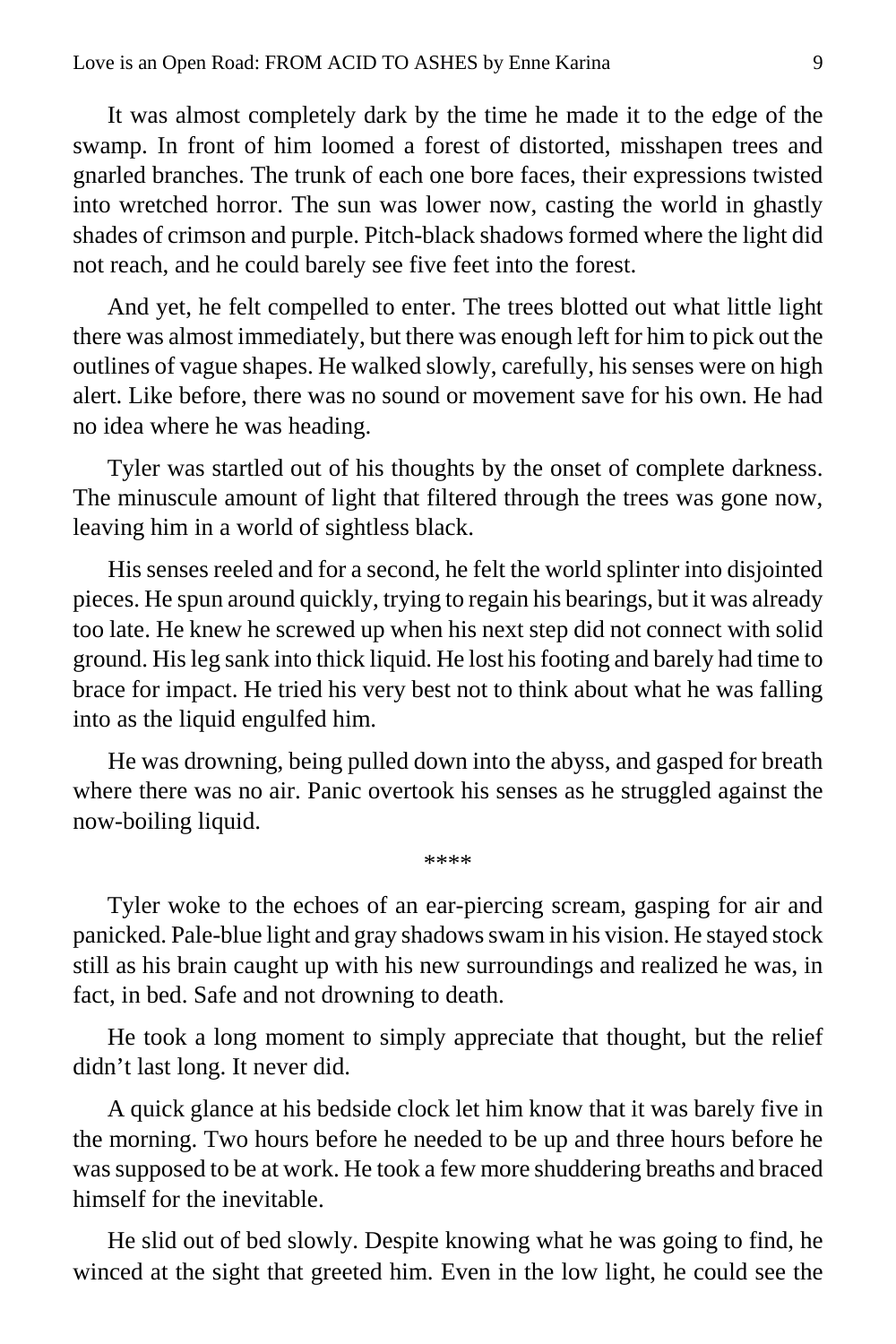It was almost completely dark by the time he made it to the edge of the swamp. In front of him loomed a forest of distorted, misshapen trees and gnarled branches. The trunk of each one bore faces, their expressions twisted into wretched horror. The sun was lower now, casting the world in ghastly shades of crimson and purple. Pitch-black shadows formed where the light did not reach, and he could barely see five feet into the forest.

And yet, he felt compelled to enter. The trees blotted out what little light there was almost immediately, but there was enough left for him to pick out the outlines of vague shapes. He walked slowly, carefully, his senses were on high alert. Like before, there was no sound or movement save for his own. He had no idea where he was heading.

Tyler was startled out of his thoughts by the onset of complete darkness. The minuscule amount of light that filtered through the trees was gone now, leaving him in a world of sightless black.

His senses reeled and for a second, he felt the world splinter into disjointed pieces. He spun around quickly, trying to regain his bearings, but it was already too late. He knew he screwed up when his next step did not connect with solid ground. His leg sank into thick liquid. He lost his footing and barely had time to brace for impact. He tried his very best not to think about what he was falling into as the liquid engulfed him.

He was drowning, being pulled down into the abyss, and gasped for breath where there was no air. Panic overtook his senses as he struggled against the now-boiling liquid.

\*\*\*\*

Tyler woke to the echoes of an ear-piercing scream, gasping for air and panicked. Pale-blue light and gray shadows swam in his vision. He stayed stock still as his brain caught up with his new surroundings and realized he was, in fact, in bed. Safe and not drowning to death.

He took a long moment to simply appreciate that thought, but the relief didn't last long. It never did.

A quick glance at his bedside clock let him know that it was barely five in the morning. Two hours before he needed to be up and three hours before he was supposed to be at work. He took a few more shuddering breaths and braced himself for the inevitable.

He slid out of bed slowly. Despite knowing what he was going to find, he winced at the sight that greeted him. Even in the low light, he could see the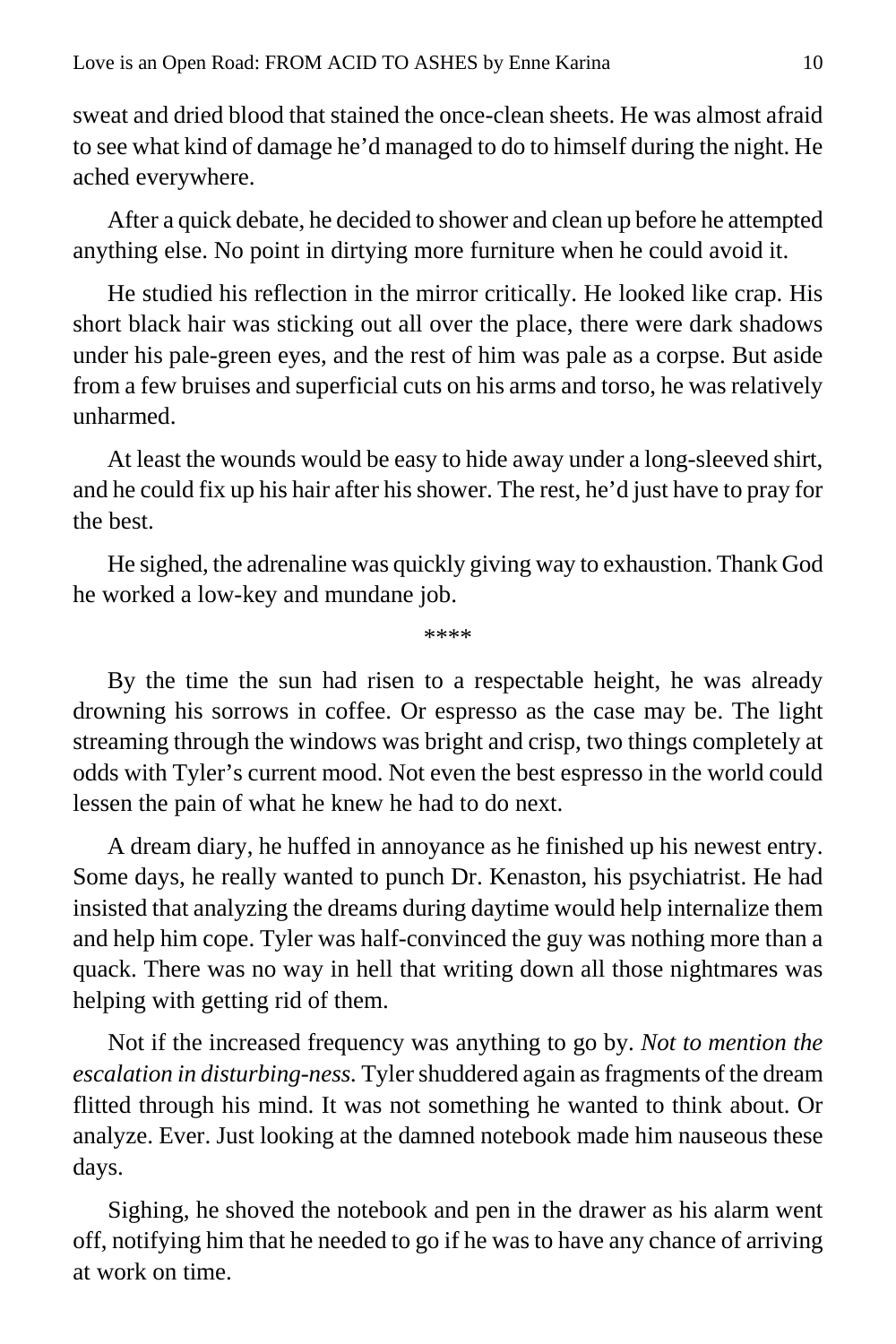sweat and dried blood that stained the once-clean sheets. He was almost afraid to see what kind of damage he'd managed to do to himself during the night. He ached everywhere.

After a quick debate, he decided to shower and clean up before he attempted anything else. No point in dirtying more furniture when he could avoid it.

He studied his reflection in the mirror critically. He looked like crap. His short black hair was sticking out all over the place, there were dark shadows under his pale-green eyes, and the rest of him was pale as a corpse. But aside from a few bruises and superficial cuts on his arms and torso, he was relatively unharmed.

At least the wounds would be easy to hide away under a long-sleeved shirt, and he could fix up his hair after his shower. The rest, he'd just have to pray for the best.

He sighed, the adrenaline was quickly giving way to exhaustion. Thank God he worked a low-key and mundane job.

\*\*\*\*

By the time the sun had risen to a respectable height, he was already drowning his sorrows in coffee. Or espresso as the case may be. The light streaming through the windows was bright and crisp, two things completely at odds with Tyler's current mood. Not even the best espresso in the world could lessen the pain of what he knew he had to do next.

A dream diary, he huffed in annoyance as he finished up his newest entry. Some days, he really wanted to punch Dr. Kenaston, his psychiatrist. He had insisted that analyzing the dreams during daytime would help internalize them and help him cope. Tyler was half-convinced the guy was nothing more than a quack. There was no way in hell that writing down all those nightmares was helping with getting rid of them.

Not if the increased frequency was anything to go by. *Not to mention the escalation in disturbing-ness.* Tyler shuddered again as fragments of the dream flitted through his mind. It was not something he wanted to think about. Or analyze. Ever. Just looking at the damned notebook made him nauseous these days.

Sighing, he shoved the notebook and pen in the drawer as his alarm went off, notifying him that he needed to go if he was to have any chance of arriving at work on time.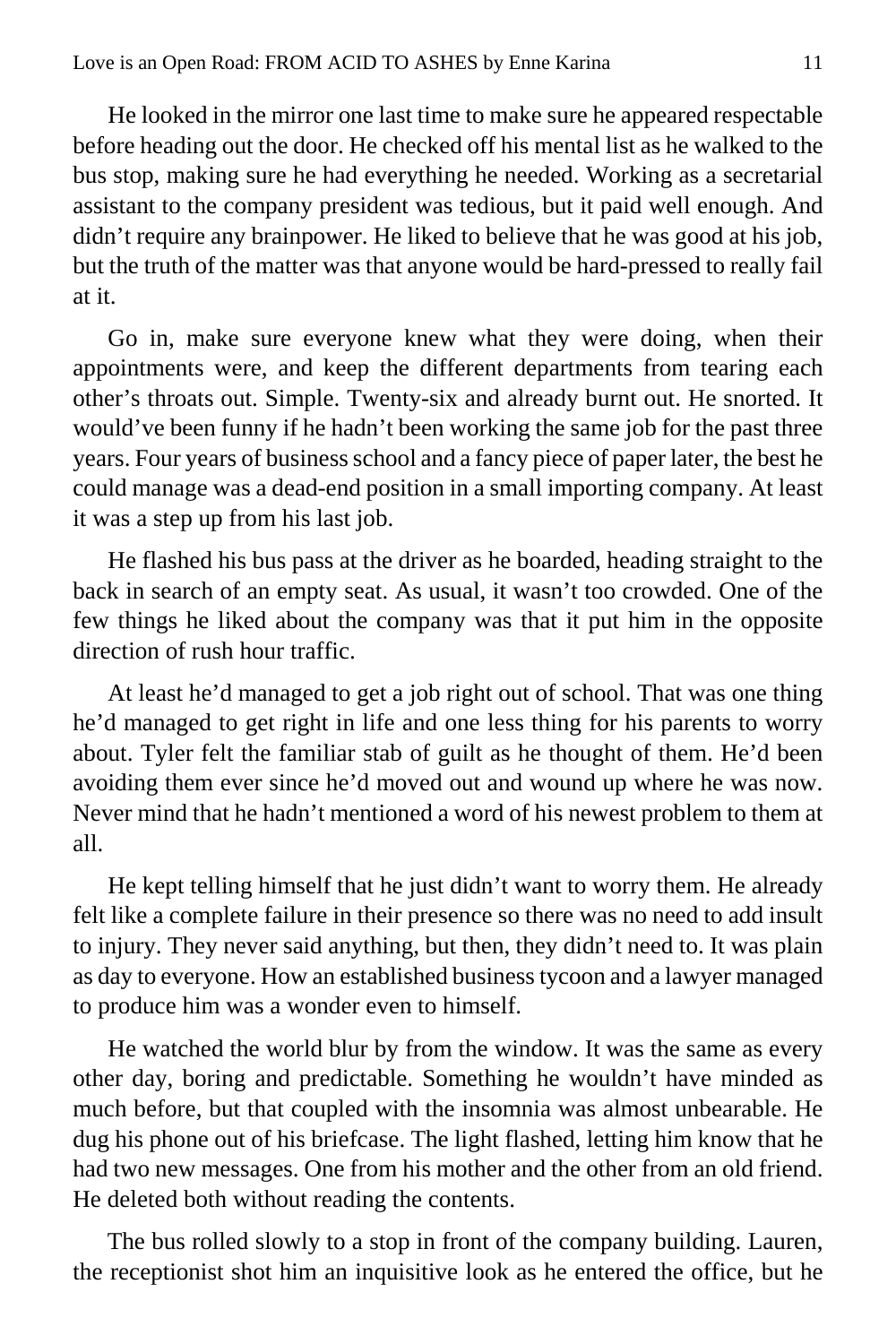He looked in the mirror one last time to make sure he appeared respectable before heading out the door. He checked off his mental list as he walked to the bus stop, making sure he had everything he needed. Working as a secretarial assistant to the company president was tedious, but it paid well enough. And didn't require any brainpower. He liked to believe that he was good at his job, but the truth of the matter was that anyone would be hard-pressed to really fail at it.

Go in, make sure everyone knew what they were doing, when their appointments were, and keep the different departments from tearing each other's throats out. Simple. Twenty-six and already burnt out. He snorted. It would've been funny if he hadn't been working the same job for the past three years. Four years of business school and a fancy piece of paper later, the best he could manage was a dead-end position in a small importing company. At least it was a step up from his last job.

He flashed his bus pass at the driver as he boarded, heading straight to the back in search of an empty seat. As usual, it wasn't too crowded. One of the few things he liked about the company was that it put him in the opposite direction of rush hour traffic.

At least he'd managed to get a job right out of school. That was one thing he'd managed to get right in life and one less thing for his parents to worry about. Tyler felt the familiar stab of guilt as he thought of them. He'd been avoiding them ever since he'd moved out and wound up where he was now. Never mind that he hadn't mentioned a word of his newest problem to them at all.

He kept telling himself that he just didn't want to worry them. He already felt like a complete failure in their presence so there was no need to add insult to injury. They never said anything, but then, they didn't need to. It was plain as day to everyone. How an established business tycoon and a lawyer managed to produce him was a wonder even to himself.

He watched the world blur by from the window. It was the same as every other day, boring and predictable. Something he wouldn't have minded as much before, but that coupled with the insomnia was almost unbearable. He dug his phone out of his briefcase. The light flashed, letting him know that he had two new messages. One from his mother and the other from an old friend. He deleted both without reading the contents.

The bus rolled slowly to a stop in front of the company building. Lauren, the receptionist shot him an inquisitive look as he entered the office, but he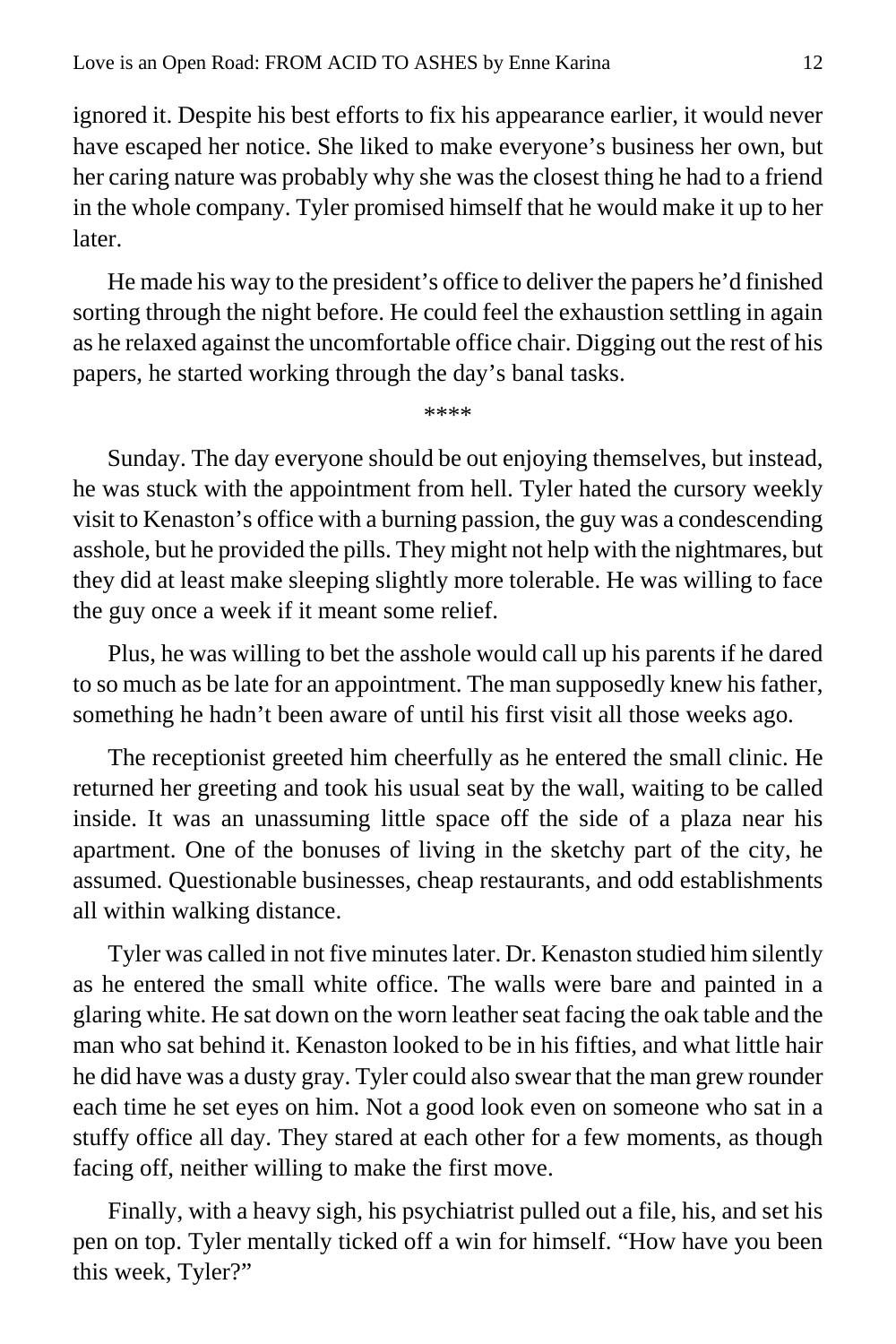ignored it. Despite his best efforts to fix his appearance earlier, it would never have escaped her notice. She liked to make everyone's business her own, but her caring nature was probably why she was the closest thing he had to a friend in the whole company. Tyler promised himself that he would make it up to her later.

He made his way to the president's office to deliver the papers he'd finished sorting through the night before. He could feel the exhaustion settling in again as he relaxed against the uncomfortable office chair. Digging out the rest of his papers, he started working through the day's banal tasks.

\*\*\*\*

Sunday. The day everyone should be out enjoying themselves, but instead, he was stuck with the appointment from hell. Tyler hated the cursory weekly visit to Kenaston's office with a burning passion, the guy was a condescending asshole, but he provided the pills. They might not help with the nightmares, but they did at least make sleeping slightly more tolerable. He was willing to face the guy once a week if it meant some relief.

Plus, he was willing to bet the asshole would call up his parents if he dared to so much as be late for an appointment. The man supposedly knew his father, something he hadn't been aware of until his first visit all those weeks ago.

The receptionist greeted him cheerfully as he entered the small clinic. He returned her greeting and took his usual seat by the wall, waiting to be called inside. It was an unassuming little space off the side of a plaza near his apartment. One of the bonuses of living in the sketchy part of the city, he assumed. Questionable businesses, cheap restaurants, and odd establishments all within walking distance.

Tyler was called in not five minutes later. Dr. Kenaston studied him silently as he entered the small white office. The walls were bare and painted in a glaring white. He sat down on the worn leather seat facing the oak table and the man who sat behind it. Kenaston looked to be in his fifties, and what little hair he did have was a dusty gray. Tyler could also swear that the man grew rounder each time he set eyes on him. Not a good look even on someone who sat in a stuffy office all day. They stared at each other for a few moments, as though facing off, neither willing to make the first move.

Finally, with a heavy sigh, his psychiatrist pulled out a file, his, and set his pen on top. Tyler mentally ticked off a win for himself. "How have you been this week, Tyler?"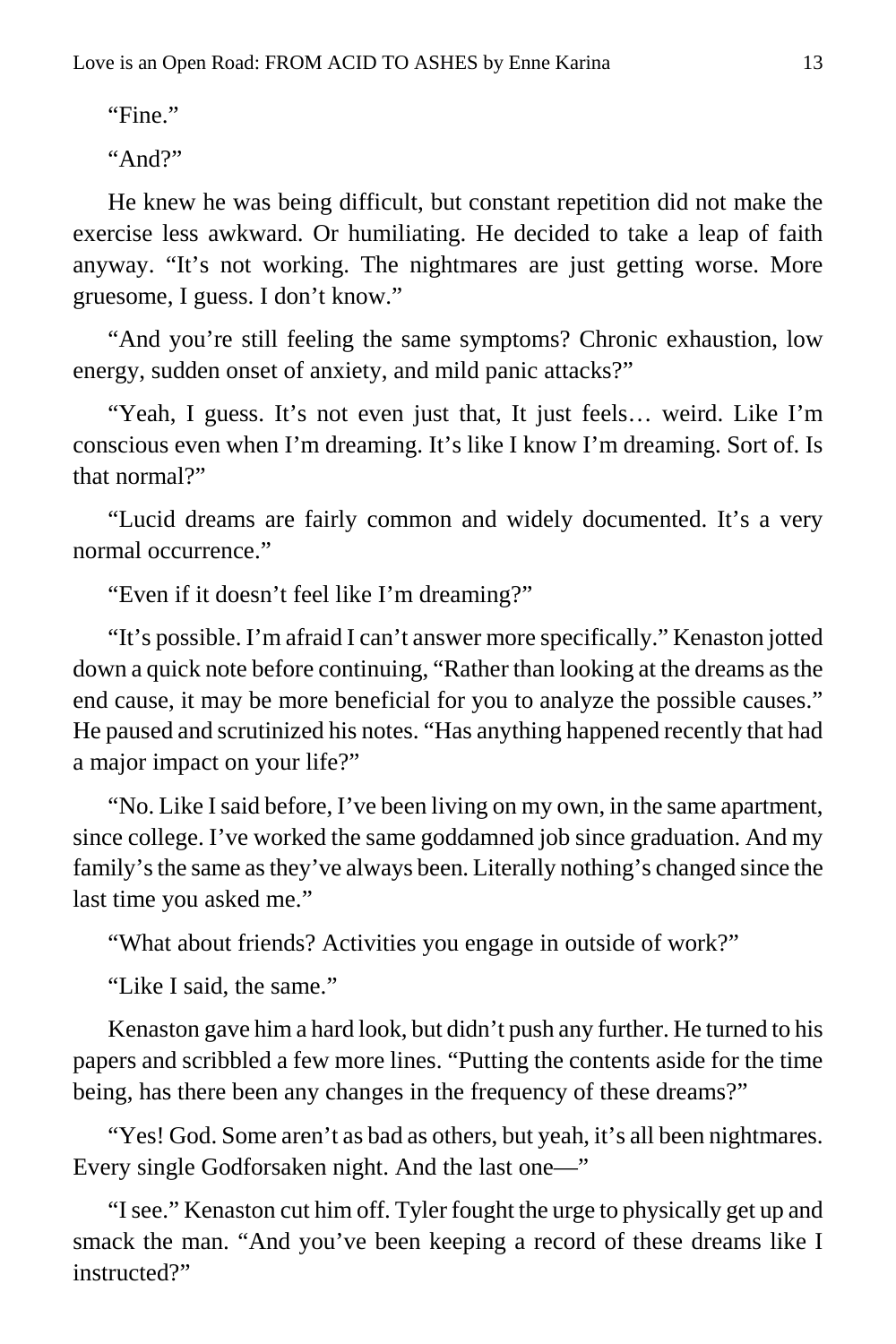"Fine."

"And?"

He knew he was being difficult, but constant repetition did not make the exercise less awkward. Or humiliating. He decided to take a leap of faith anyway. "It's not working. The nightmares are just getting worse. More gruesome, I guess. I don't know."

"And you're still feeling the same symptoms? Chronic exhaustion, low energy, sudden onset of anxiety, and mild panic attacks?"

"Yeah, I guess. It's not even just that, It just feels… weird. Like I'm conscious even when I'm dreaming. It's like I know I'm dreaming. Sort of. Is that normal?"

"Lucid dreams are fairly common and widely documented. It's a very normal occurrence."

"Even if it doesn't feel like I'm dreaming?"

"It's possible. I'm afraid I can't answer more specifically." Kenaston jotted down a quick note before continuing, "Rather than looking at the dreams as the end cause, it may be more beneficial for you to analyze the possible causes." He paused and scrutinized his notes. "Has anything happened recently that had a major impact on your life?"

"No. Like I said before, I've been living on my own, in the same apartment, since college. I've worked the same goddamned job since graduation. And my family's the same as they've always been. Literally nothing's changed since the last time you asked me."

"What about friends? Activities you engage in outside of work?"

"Like I said, the same."

Kenaston gave him a hard look, but didn't push any further. He turned to his papers and scribbled a few more lines. "Putting the contents aside for the time being, has there been any changes in the frequency of these dreams?"

"Yes! God. Some aren't as bad as others, but yeah, it's all been nightmares. Every single Godforsaken night. And the last one—"

"I see." Kenaston cut him off. Tyler fought the urge to physically get up and smack the man. "And you've been keeping a record of these dreams like I instructed?"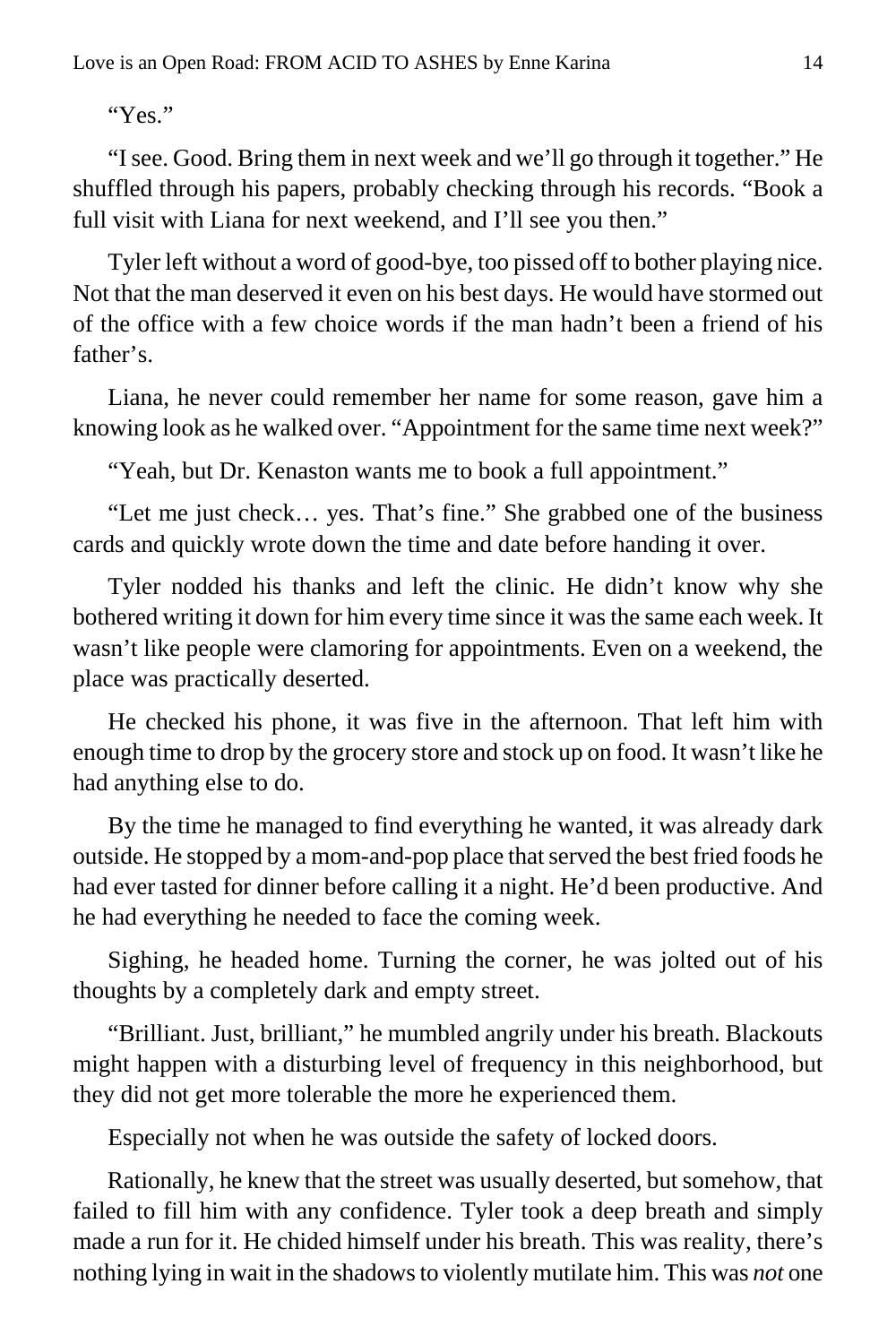"Yes."

"I see. Good. Bring them in next week and we'll go through it together." He shuffled through his papers, probably checking through his records. "Book a full visit with Liana for next weekend, and I'll see you then."

Tyler left without a word of good-bye, too pissed off to bother playing nice. Not that the man deserved it even on his best days. He would have stormed out of the office with a few choice words if the man hadn't been a friend of his father's.

Liana, he never could remember her name for some reason, gave him a knowing look as he walked over. "Appointment for the same time next week?"

"Yeah, but Dr. Kenaston wants me to book a full appointment."

"Let me just check… yes. That's fine." She grabbed one of the business cards and quickly wrote down the time and date before handing it over.

Tyler nodded his thanks and left the clinic. He didn't know why she bothered writing it down for him every time since it was the same each week. It wasn't like people were clamoring for appointments. Even on a weekend, the place was practically deserted.

He checked his phone, it was five in the afternoon. That left him with enough time to drop by the grocery store and stock up on food. It wasn't like he had anything else to do.

By the time he managed to find everything he wanted, it was already dark outside. He stopped by a mom-and-pop place that served the best fried foods he had ever tasted for dinner before calling it a night. He'd been productive. And he had everything he needed to face the coming week.

Sighing, he headed home. Turning the corner, he was jolted out of his thoughts by a completely dark and empty street.

"Brilliant. Just, brilliant," he mumbled angrily under his breath. Blackouts might happen with a disturbing level of frequency in this neighborhood, but they did not get more tolerable the more he experienced them.

Especially not when he was outside the safety of locked doors.

Rationally, he knew that the street was usually deserted, but somehow, that failed to fill him with any confidence. Tyler took a deep breath and simply made a run for it. He chided himself under his breath. This was reality, there's nothing lying in wait in the shadows to violently mutilate him. This was *not* one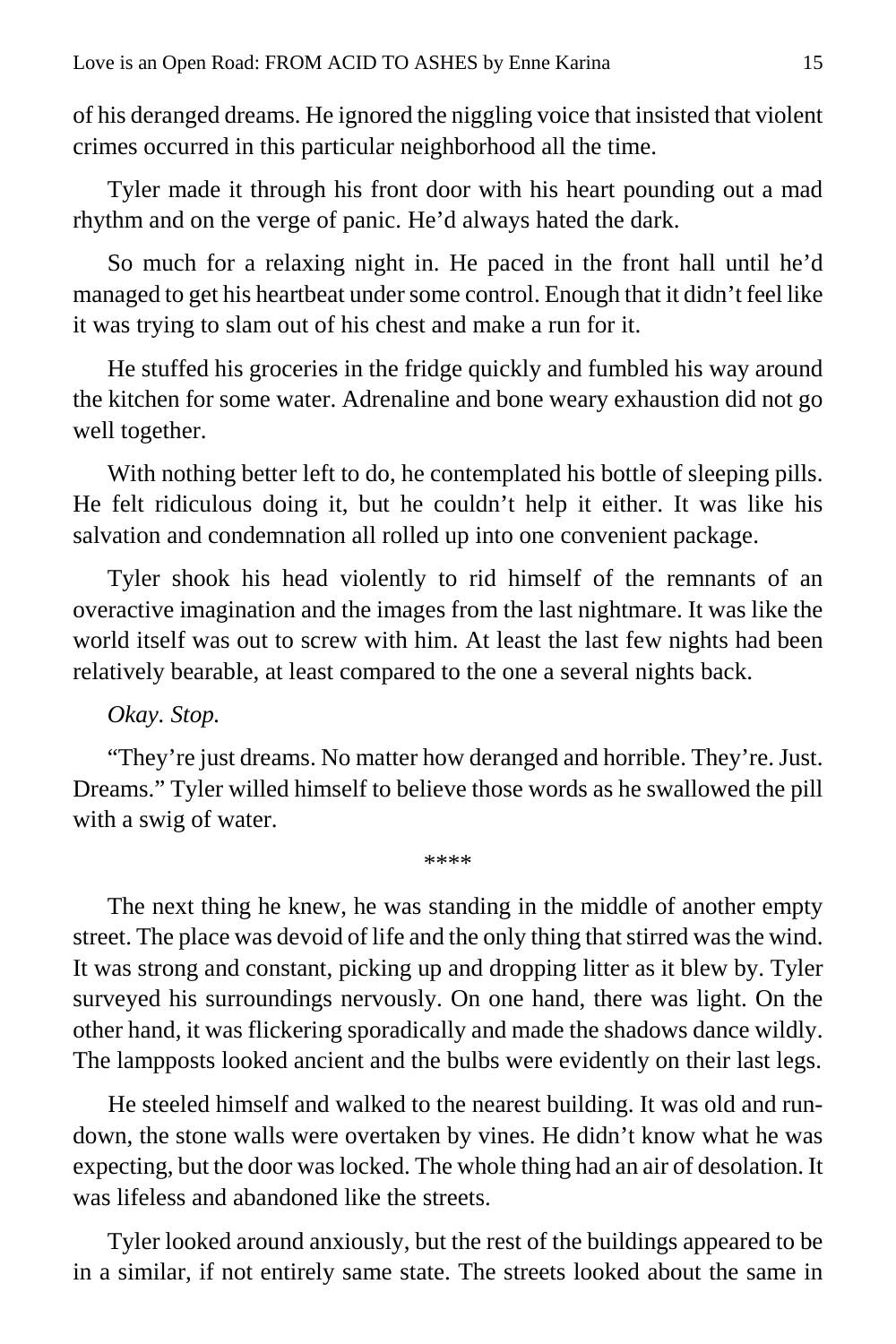of his deranged dreams. He ignored the niggling voice that insisted that violent crimes occurred in this particular neighborhood all the time.

Tyler made it through his front door with his heart pounding out a mad rhythm and on the verge of panic. He'd always hated the dark.

So much for a relaxing night in. He paced in the front hall until he'd managed to get his heartbeat under some control. Enough that it didn't feel like it was trying to slam out of his chest and make a run for it.

He stuffed his groceries in the fridge quickly and fumbled his way around the kitchen for some water. Adrenaline and bone weary exhaustion did not go well together.

With nothing better left to do, he contemplated his bottle of sleeping pills. He felt ridiculous doing it, but he couldn't help it either. It was like his salvation and condemnation all rolled up into one convenient package.

Tyler shook his head violently to rid himself of the remnants of an overactive imagination and the images from the last nightmare. It was like the world itself was out to screw with him. At least the last few nights had been relatively bearable, at least compared to the one a several nights back.

*Okay. Stop.*

"They're just dreams. No matter how deranged and horrible. They're. Just. Dreams." Tyler willed himself to believe those words as he swallowed the pill with a swig of water.

\*\*\*\*

The next thing he knew, he was standing in the middle of another empty street. The place was devoid of life and the only thing that stirred was the wind. It was strong and constant, picking up and dropping litter as it blew by. Tyler surveyed his surroundings nervously. On one hand, there was light. On the other hand, it was flickering sporadically and made the shadows dance wildly. The lampposts looked ancient and the bulbs were evidently on their last legs.

He steeled himself and walked to the nearest building. It was old and rundown, the stone walls were overtaken by vines. He didn't know what he was expecting, but the door was locked. The whole thing had an air of desolation. It was lifeless and abandoned like the streets.

Tyler looked around anxiously, but the rest of the buildings appeared to be in a similar, if not entirely same state. The streets looked about the same in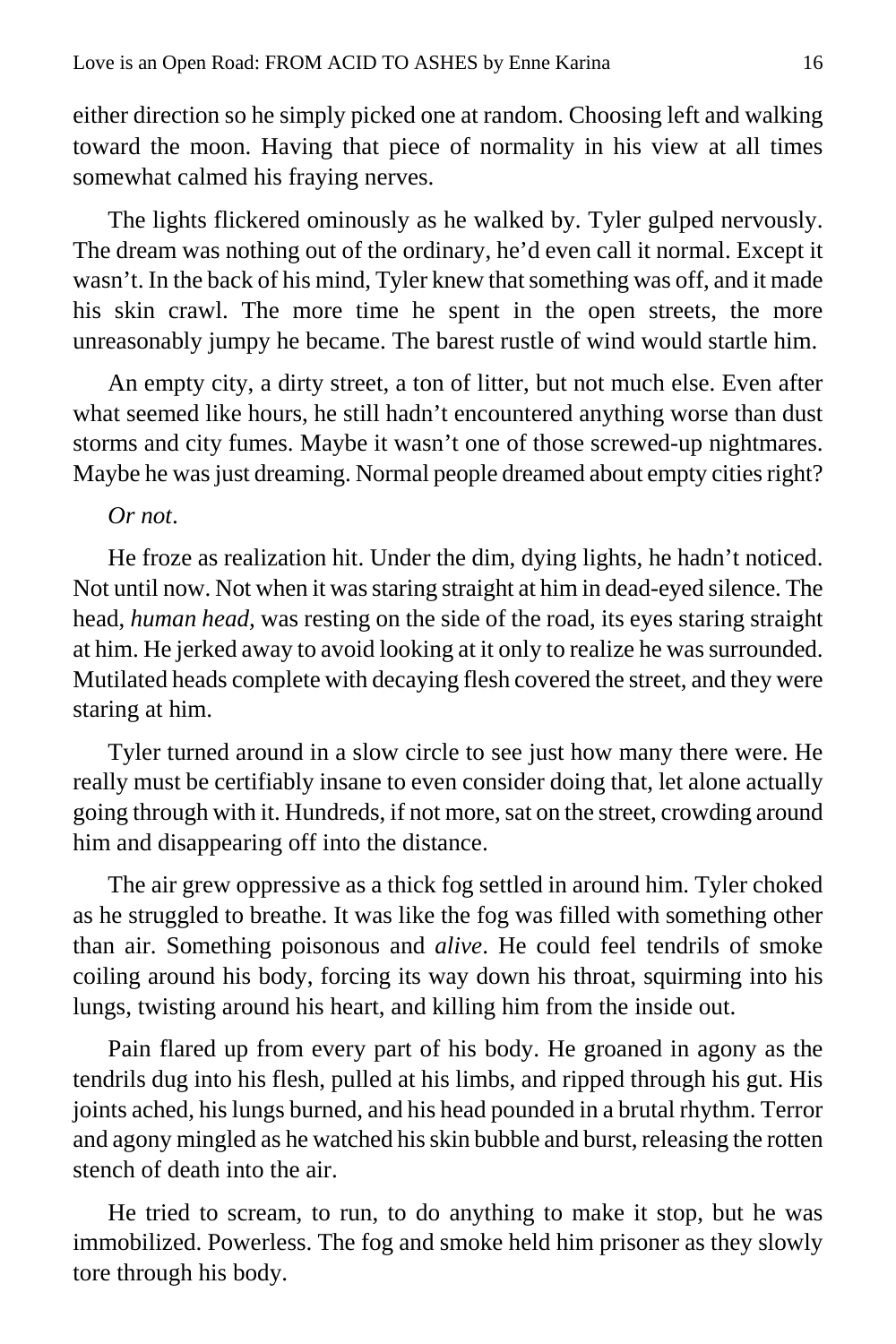either direction so he simply picked one at random. Choosing left and walking toward the moon. Having that piece of normality in his view at all times somewhat calmed his fraying nerves.

The lights flickered ominously as he walked by. Tyler gulped nervously. The dream was nothing out of the ordinary, he'd even call it normal. Except it wasn't. In the back of his mind, Tyler knew that something was off, and it made his skin crawl. The more time he spent in the open streets, the more unreasonably jumpy he became. The barest rustle of wind would startle him.

An empty city, a dirty street, a ton of litter, but not much else. Even after what seemed like hours, he still hadn't encountered anything worse than dust storms and city fumes. Maybe it wasn't one of those screwed-up nightmares. Maybe he was just dreaming. Normal people dreamed about empty cities right?

#### *Or not*.

He froze as realization hit. Under the dim, dying lights, he hadn't noticed. Not until now. Not when it was staring straight at him in dead-eyed silence. The head, *human head,* was resting on the side of the road, its eyes staring straight at him. He jerked away to avoid looking at it only to realize he was surrounded. Mutilated heads complete with decaying flesh covered the street, and they were staring at him.

Tyler turned around in a slow circle to see just how many there were. He really must be certifiably insane to even consider doing that, let alone actually going through with it. Hundreds, if not more, sat on the street, crowding around him and disappearing off into the distance.

The air grew oppressive as a thick fog settled in around him. Tyler choked as he struggled to breathe. It was like the fog was filled with something other than air. Something poisonous and *alive*. He could feel tendrils of smoke coiling around his body, forcing its way down his throat, squirming into his lungs, twisting around his heart, and killing him from the inside out.

Pain flared up from every part of his body. He groaned in agony as the tendrils dug into his flesh, pulled at his limbs, and ripped through his gut. His joints ached, his lungs burned, and his head pounded in a brutal rhythm. Terror and agony mingled as he watched his skin bubble and burst, releasing the rotten stench of death into the air.

He tried to scream, to run, to do anything to make it stop, but he was immobilized. Powerless. The fog and smoke held him prisoner as they slowly tore through his body.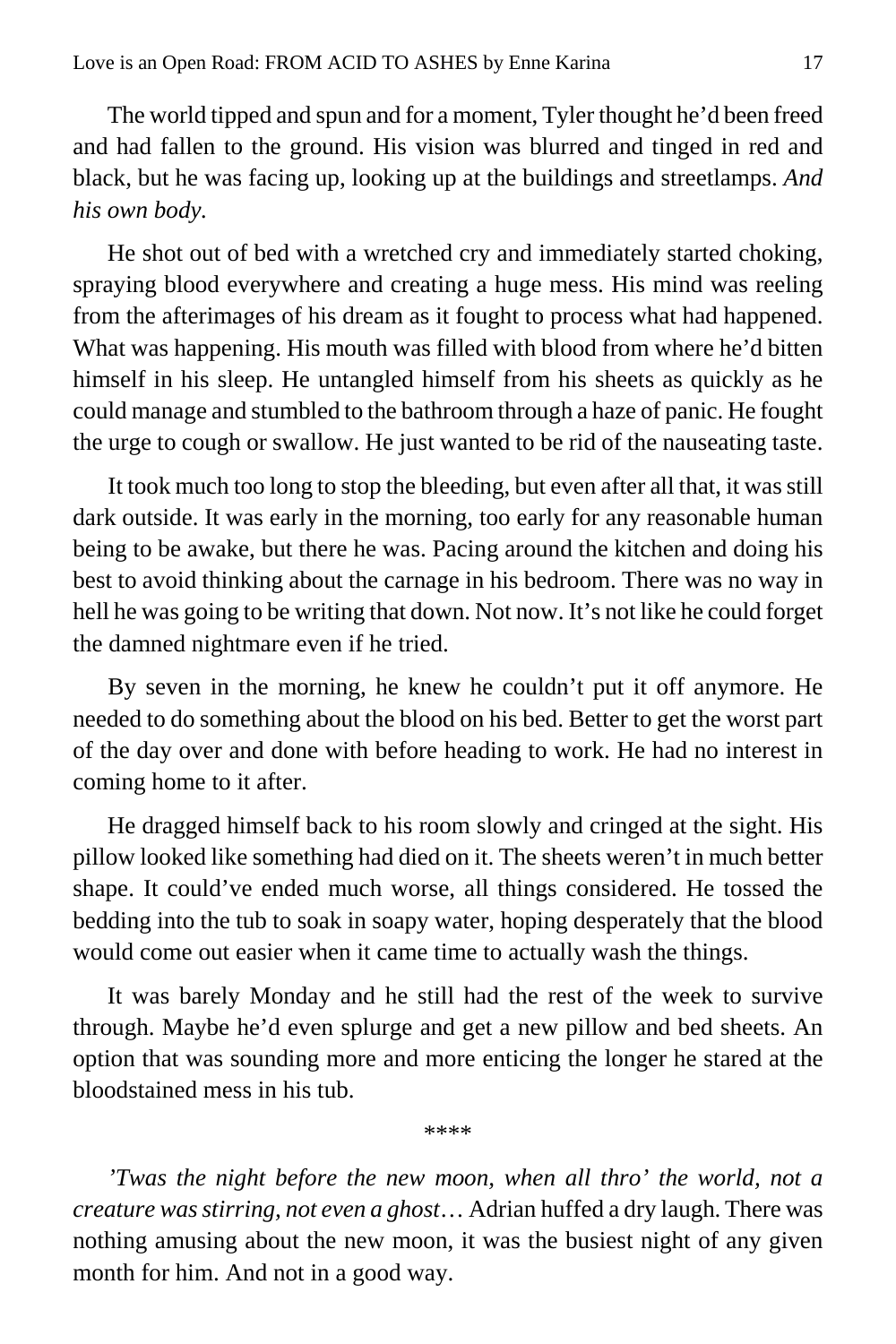The world tipped and spun and for a moment, Tyler thought he'd been freed and had fallen to the ground. His vision was blurred and tinged in red and black, but he was facing up, looking up at the buildings and streetlamps. *And his own body.*

He shot out of bed with a wretched cry and immediately started choking, spraying blood everywhere and creating a huge mess. His mind was reeling from the afterimages of his dream as it fought to process what had happened. What was happening. His mouth was filled with blood from where he'd bitten himself in his sleep. He untangled himself from his sheets as quickly as he could manage and stumbled to the bathroom through a haze of panic. He fought the urge to cough or swallow. He just wanted to be rid of the nauseating taste.

It took much too long to stop the bleeding, but even after all that, it was still dark outside. It was early in the morning, too early for any reasonable human being to be awake, but there he was. Pacing around the kitchen and doing his best to avoid thinking about the carnage in his bedroom. There was no way in hell he was going to be writing that down. Not now. It's not like he could forget the damned nightmare even if he tried.

By seven in the morning, he knew he couldn't put it off anymore. He needed to do something about the blood on his bed. Better to get the worst part of the day over and done with before heading to work. He had no interest in coming home to it after.

He dragged himself back to his room slowly and cringed at the sight. His pillow looked like something had died on it. The sheets weren't in much better shape. It could've ended much worse, all things considered. He tossed the bedding into the tub to soak in soapy water, hoping desperately that the blood would come out easier when it came time to actually wash the things.

It was barely Monday and he still had the rest of the week to survive through. Maybe he'd even splurge and get a new pillow and bed sheets. An option that was sounding more and more enticing the longer he stared at the bloodstained mess in his tub.

\*\*\*\*

*'Twas the night before the new moon, when all thro' the world, not a creature was stirring, not even a ghost*… Adrian huffed a dry laugh. There was nothing amusing about the new moon, it was the busiest night of any given month for him. And not in a good way.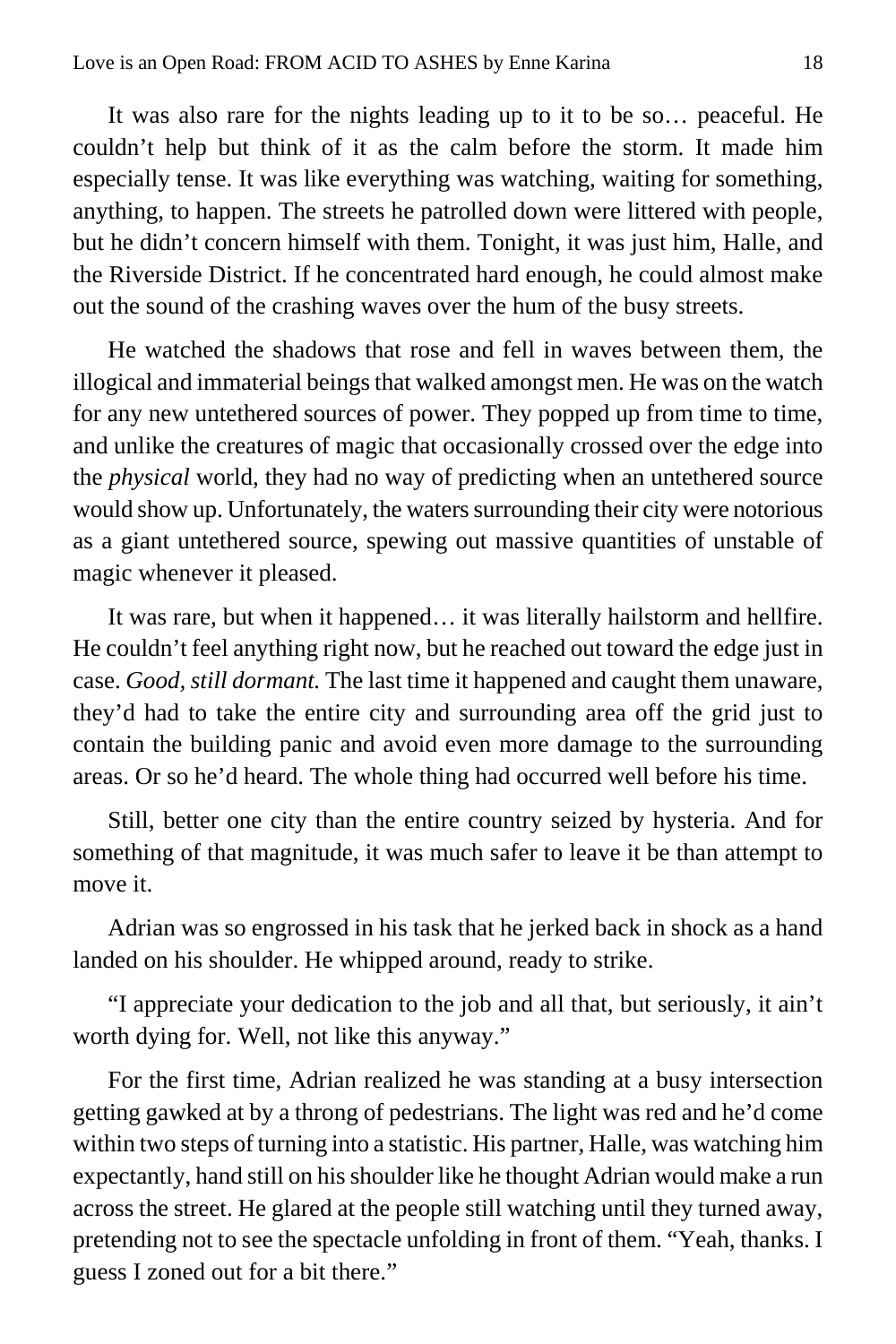It was also rare for the nights leading up to it to be so… peaceful. He couldn't help but think of it as the calm before the storm. It made him especially tense. It was like everything was watching, waiting for something, anything, to happen. The streets he patrolled down were littered with people, but he didn't concern himself with them. Tonight, it was just him, Halle, and the Riverside District. If he concentrated hard enough, he could almost make out the sound of the crashing waves over the hum of the busy streets.

He watched the shadows that rose and fell in waves between them, the illogical and immaterial beings that walked amongst men. He was on the watch for any new untethered sources of power. They popped up from time to time, and unlike the creatures of magic that occasionally crossed over the edge into the *physical* world, they had no way of predicting when an untethered source would show up. Unfortunately, the waters surrounding their city were notorious as a giant untethered source, spewing out massive quantities of unstable of magic whenever it pleased.

It was rare, but when it happened… it was literally hailstorm and hellfire. He couldn't feel anything right now, but he reached out toward the edge just in case. *Good, still dormant.* The last time it happened and caught them unaware, they'd had to take the entire city and surrounding area off the grid just to contain the building panic and avoid even more damage to the surrounding areas. Or so he'd heard. The whole thing had occurred well before his time.

Still, better one city than the entire country seized by hysteria. And for something of that magnitude, it was much safer to leave it be than attempt to move it.

Adrian was so engrossed in his task that he jerked back in shock as a hand landed on his shoulder. He whipped around, ready to strike.

"I appreciate your dedication to the job and all that, but seriously, it ain't worth dying for. Well, not like this anyway."

For the first time, Adrian realized he was standing at a busy intersection getting gawked at by a throng of pedestrians. The light was red and he'd come within two steps of turning into a statistic. His partner, Halle, was watching him expectantly, hand still on his shoulder like he thought Adrian would make a run across the street. He glared at the people still watching until they turned away, pretending not to see the spectacle unfolding in front of them. "Yeah, thanks. I guess I zoned out for a bit there."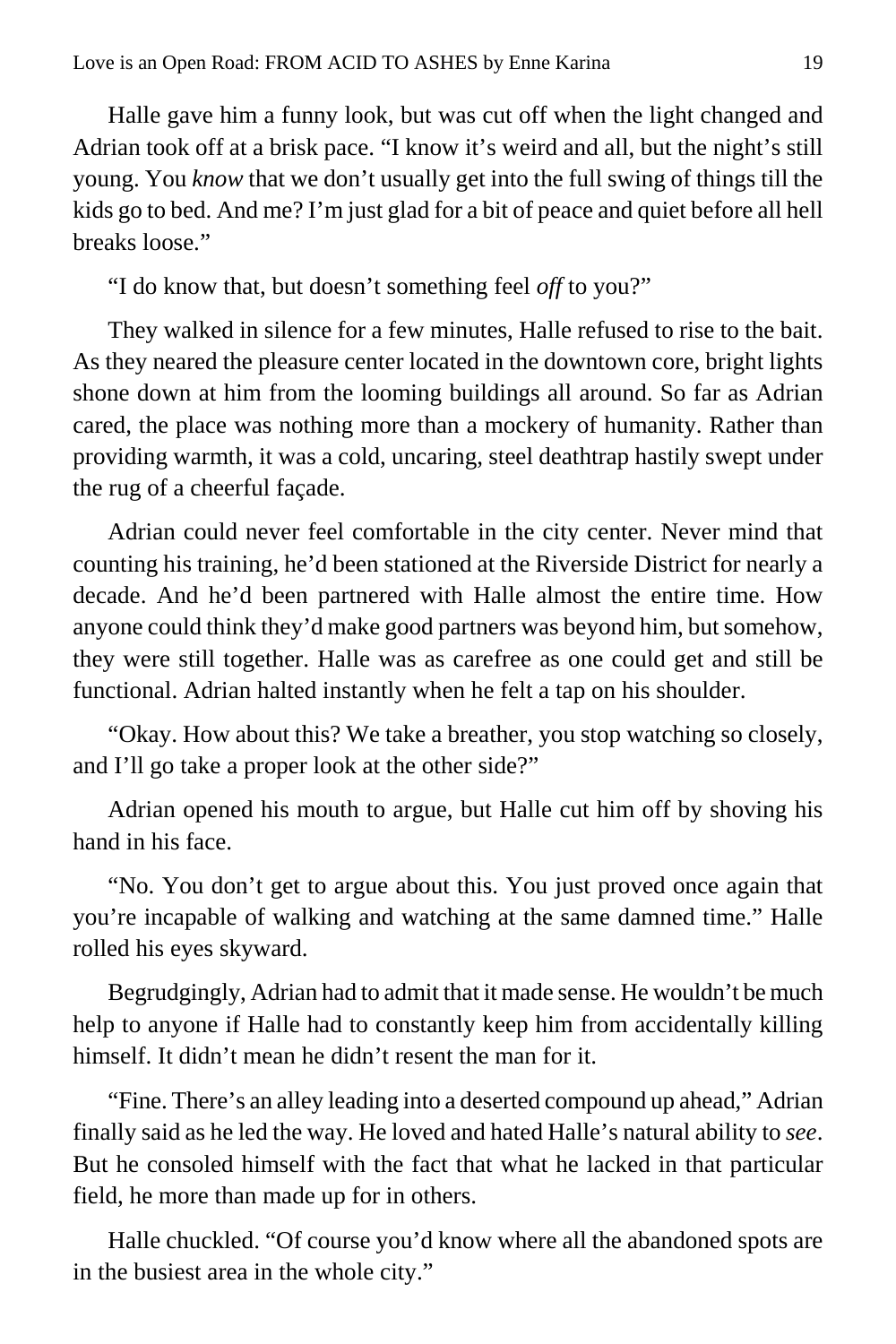Halle gave him a funny look, but was cut off when the light changed and Adrian took off at a brisk pace. "I know it's weird and all, but the night's still young. You *know* that we don't usually get into the full swing of things till the kids go to bed. And me? I'm just glad for a bit of peace and quiet before all hell breaks loose."

"I do know that, but doesn't something feel *off* to you?"

They walked in silence for a few minutes, Halle refused to rise to the bait. As they neared the pleasure center located in the downtown core, bright lights shone down at him from the looming buildings all around. So far as Adrian cared, the place was nothing more than a mockery of humanity. Rather than providing warmth, it was a cold, uncaring, steel deathtrap hastily swept under the rug of a cheerful façade.

Adrian could never feel comfortable in the city center. Never mind that counting his training, he'd been stationed at the Riverside District for nearly a decade. And he'd been partnered with Halle almost the entire time. How anyone could think they'd make good partners was beyond him, but somehow, they were still together. Halle was as carefree as one could get and still be functional. Adrian halted instantly when he felt a tap on his shoulder.

"Okay. How about this? We take a breather, you stop watching so closely, and I'll go take a proper look at the other side?"

Adrian opened his mouth to argue, but Halle cut him off by shoving his hand in his face.

"No. You don't get to argue about this. You just proved once again that you're incapable of walking and watching at the same damned time." Halle rolled his eyes skyward.

Begrudgingly, Adrian had to admit that it made sense. He wouldn't be much help to anyone if Halle had to constantly keep him from accidentally killing himself. It didn't mean he didn't resent the man for it.

"Fine. There's an alley leading into a deserted compound up ahead," Adrian finally said as he led the way. He loved and hated Halle's natural ability to *see*. But he consoled himself with the fact that what he lacked in that particular field, he more than made up for in others.

Halle chuckled. "Of course you'd know where all the abandoned spots are in the busiest area in the whole city."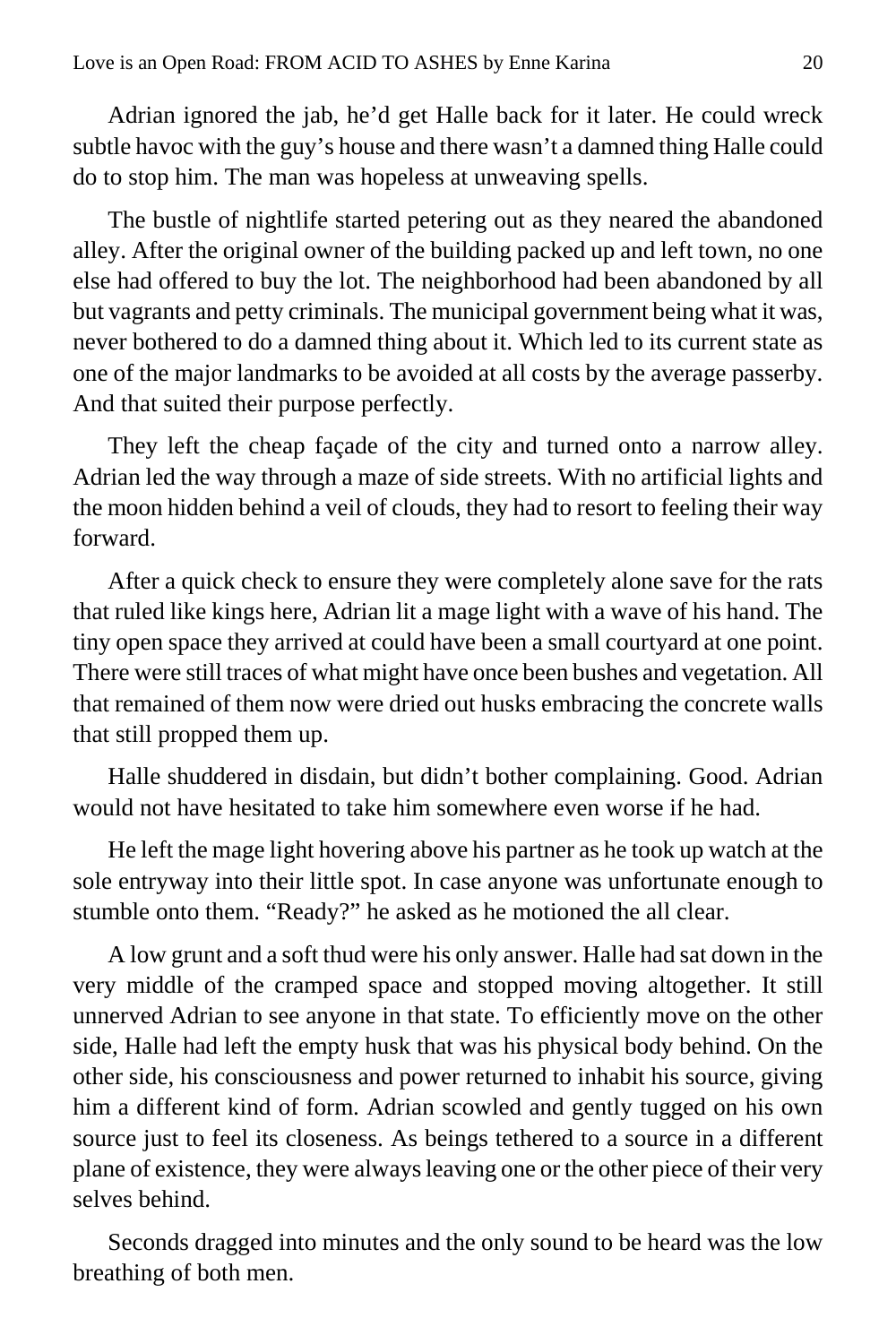Adrian ignored the jab, he'd get Halle back for it later. He could wreck subtle havoc with the guy's house and there wasn't a damned thing Halle could do to stop him. The man was hopeless at unweaving spells.

The bustle of nightlife started petering out as they neared the abandoned alley. After the original owner of the building packed up and left town, no one else had offered to buy the lot. The neighborhood had been abandoned by all but vagrants and petty criminals. The municipal government being what it was, never bothered to do a damned thing about it. Which led to its current state as one of the major landmarks to be avoided at all costs by the average passerby. And that suited their purpose perfectly.

They left the cheap façade of the city and turned onto a narrow alley. Adrian led the way through a maze of side streets. With no artificial lights and the moon hidden behind a veil of clouds, they had to resort to feeling their way forward.

After a quick check to ensure they were completely alone save for the rats that ruled like kings here, Adrian lit a mage light with a wave of his hand. The tiny open space they arrived at could have been a small courtyard at one point. There were still traces of what might have once been bushes and vegetation. All that remained of them now were dried out husks embracing the concrete walls that still propped them up.

Halle shuddered in disdain, but didn't bother complaining. Good. Adrian would not have hesitated to take him somewhere even worse if he had.

He left the mage light hovering above his partner as he took up watch at the sole entryway into their little spot. In case anyone was unfortunate enough to stumble onto them. "Ready?" he asked as he motioned the all clear.

A low grunt and a soft thud were his only answer. Halle had sat down in the very middle of the cramped space and stopped moving altogether. It still unnerved Adrian to see anyone in that state. To efficiently move on the other side, Halle had left the empty husk that was his physical body behind. On the other side, his consciousness and power returned to inhabit his source, giving him a different kind of form. Adrian scowled and gently tugged on his own source just to feel its closeness. As beings tethered to a source in a different plane of existence, they were always leaving one or the other piece of their very selves behind.

Seconds dragged into minutes and the only sound to be heard was the low breathing of both men.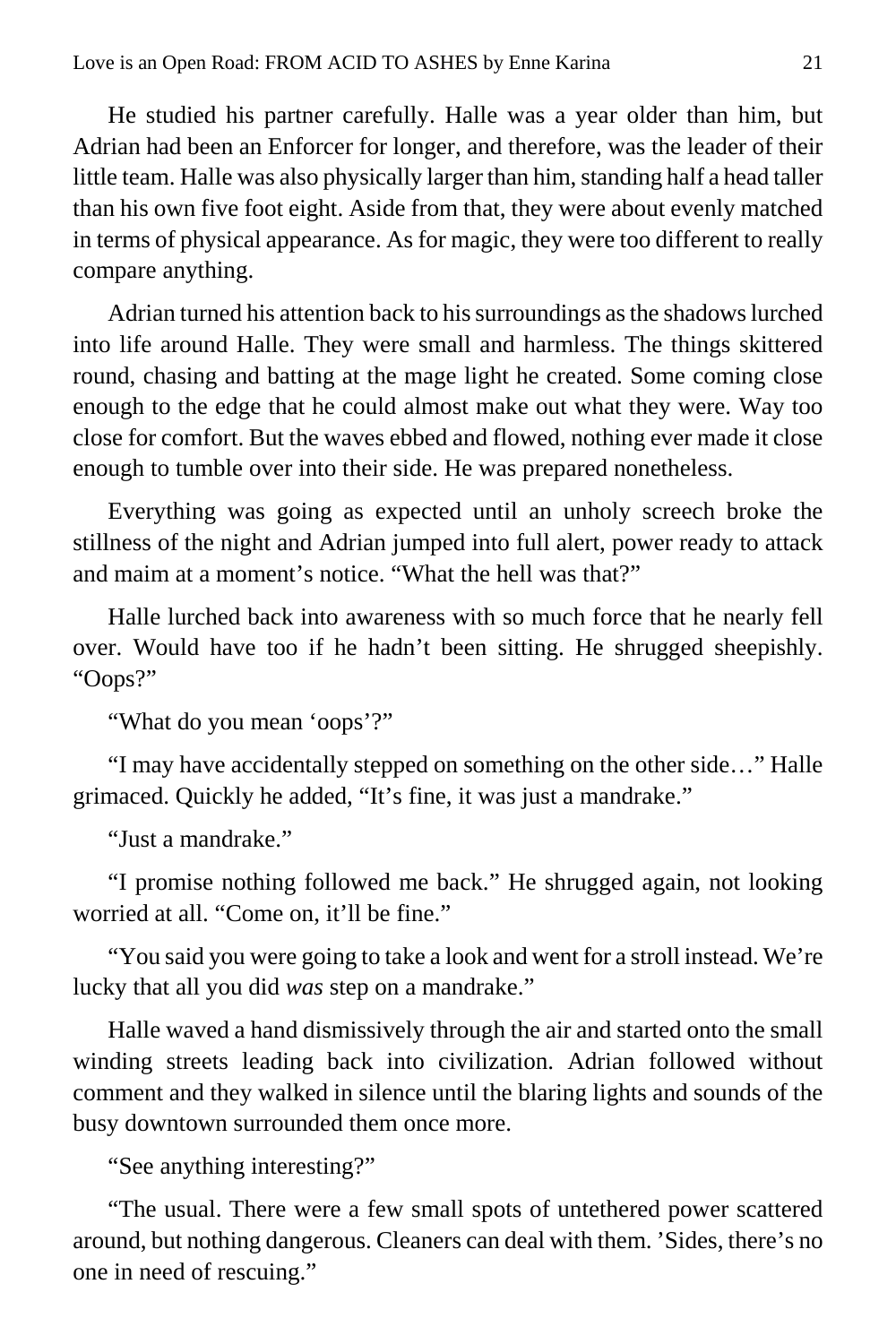He studied his partner carefully. Halle was a year older than him, but Adrian had been an Enforcer for longer, and therefore, was the leader of their little team. Halle was also physically larger than him, standing half a head taller than his own five foot eight. Aside from that, they were about evenly matched in terms of physical appearance. As for magic, they were too different to really compare anything.

Adrian turned his attention back to his surroundings as the shadows lurched into life around Halle. They were small and harmless. The things skittered round, chasing and batting at the mage light he created. Some coming close enough to the edge that he could almost make out what they were. Way too close for comfort. But the waves ebbed and flowed, nothing ever made it close enough to tumble over into their side. He was prepared nonetheless.

Everything was going as expected until an unholy screech broke the stillness of the night and Adrian jumped into full alert, power ready to attack and maim at a moment's notice. "What the hell was that?"

Halle lurched back into awareness with so much force that he nearly fell over. Would have too if he hadn't been sitting. He shrugged sheepishly. "Oops?"

"What do you mean 'oops'?"

"I may have accidentally stepped on something on the other side…" Halle grimaced. Quickly he added, "It's fine, it was just a mandrake."

"Just a mandrake."

"I promise nothing followed me back." He shrugged again, not looking worried at all. "Come on, it'll be fine."

"You said you were going to take a look and went for a stroll instead. We're lucky that all you did *was* step on a mandrake."

Halle waved a hand dismissively through the air and started onto the small winding streets leading back into civilization. Adrian followed without comment and they walked in silence until the blaring lights and sounds of the busy downtown surrounded them once more.

"See anything interesting?"

"The usual. There were a few small spots of untethered power scattered around, but nothing dangerous. Cleaners can deal with them. 'Sides, there's no one in need of rescuing."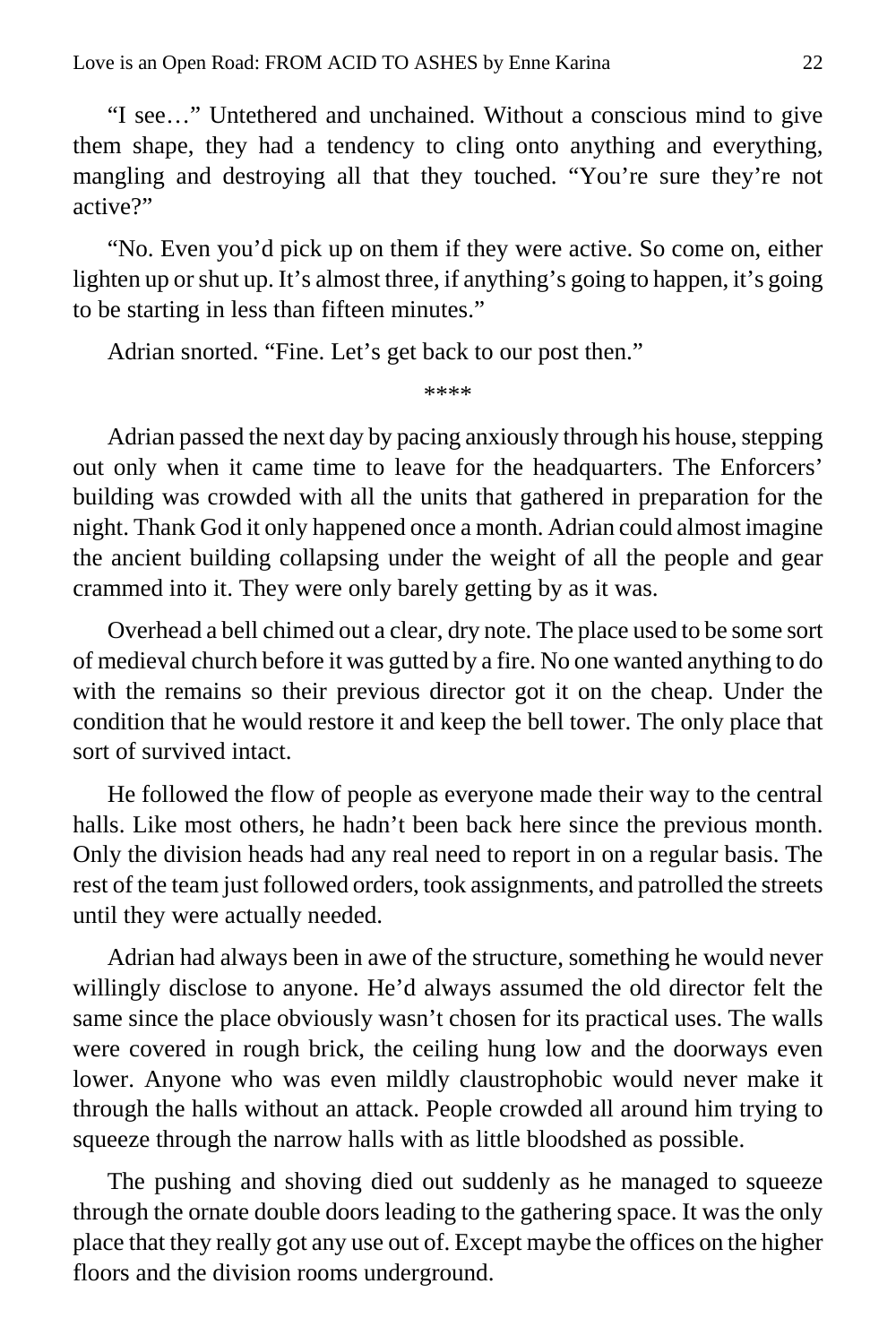"I see…" Untethered and unchained. Without a conscious mind to give them shape, they had a tendency to cling onto anything and everything, mangling and destroying all that they touched. "You're sure they're not active?"

"No. Even you'd pick up on them if they were active. So come on, either lighten up or shut up. It's almost three, if anything's going to happen, it's going to be starting in less than fifteen minutes."

Adrian snorted. "Fine. Let's get back to our post then."

\*\*\*\*

Adrian passed the next day by pacing anxiously through his house, stepping out only when it came time to leave for the headquarters. The Enforcers' building was crowded with all the units that gathered in preparation for the night. Thank God it only happened once a month. Adrian could almost imagine the ancient building collapsing under the weight of all the people and gear crammed into it. They were only barely getting by as it was.

Overhead a bell chimed out a clear, dry note. The place used to be some sort of medieval church before it was gutted by a fire. No one wanted anything to do with the remains so their previous director got it on the cheap. Under the condition that he would restore it and keep the bell tower. The only place that sort of survived intact.

He followed the flow of people as everyone made their way to the central halls. Like most others, he hadn't been back here since the previous month. Only the division heads had any real need to report in on a regular basis. The rest of the team just followed orders, took assignments, and patrolled the streets until they were actually needed.

Adrian had always been in awe of the structure, something he would never willingly disclose to anyone. He'd always assumed the old director felt the same since the place obviously wasn't chosen for its practical uses. The walls were covered in rough brick, the ceiling hung low and the doorways even lower. Anyone who was even mildly claustrophobic would never make it through the halls without an attack. People crowded all around him trying to squeeze through the narrow halls with as little bloodshed as possible.

The pushing and shoving died out suddenly as he managed to squeeze through the ornate double doors leading to the gathering space. It was the only place that they really got any use out of. Except maybe the offices on the higher floors and the division rooms underground.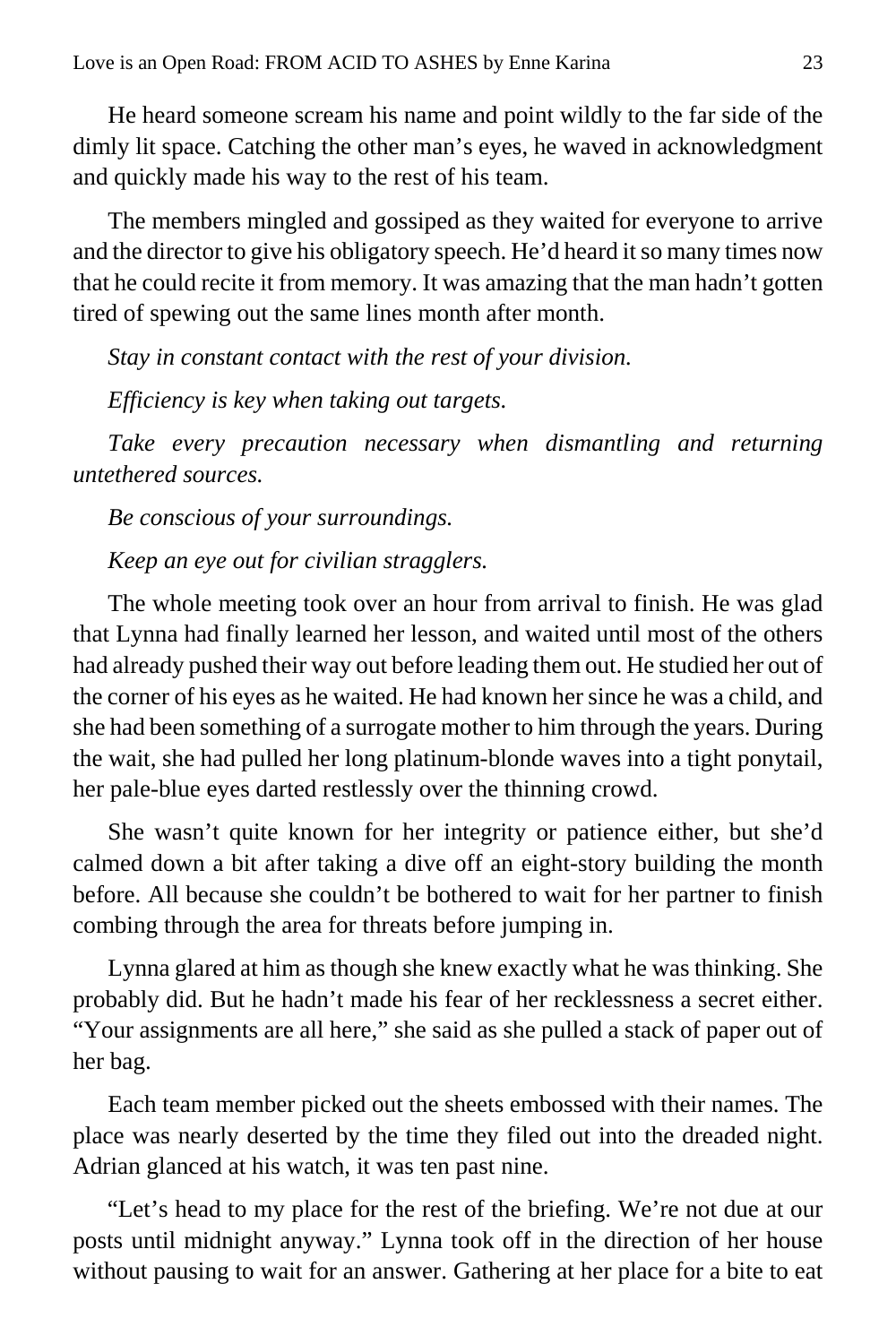He heard someone scream his name and point wildly to the far side of the dimly lit space. Catching the other man's eyes, he waved in acknowledgment and quickly made his way to the rest of his team.

The members mingled and gossiped as they waited for everyone to arrive and the director to give his obligatory speech. He'd heard it so many times now that he could recite it from memory. It was amazing that the man hadn't gotten tired of spewing out the same lines month after month.

*Stay in constant contact with the rest of your division.*

*Efficiency is key when taking out targets.*

*Take every precaution necessary when dismantling and returning untethered sources.*

*Be conscious of your surroundings.*

*Keep an eye out for civilian stragglers.*

The whole meeting took over an hour from arrival to finish. He was glad that Lynna had finally learned her lesson, and waited until most of the others had already pushed their way out before leading them out. He studied her out of the corner of his eyes as he waited. He had known her since he was a child, and she had been something of a surrogate mother to him through the years. During the wait, she had pulled her long platinum-blonde waves into a tight ponytail, her pale-blue eyes darted restlessly over the thinning crowd.

She wasn't quite known for her integrity or patience either, but she'd calmed down a bit after taking a dive off an eight-story building the month before. All because she couldn't be bothered to wait for her partner to finish combing through the area for threats before jumping in.

Lynna glared at him as though she knew exactly what he was thinking. She probably did. But he hadn't made his fear of her recklessness a secret either. "Your assignments are all here," she said as she pulled a stack of paper out of her bag.

Each team member picked out the sheets embossed with their names. The place was nearly deserted by the time they filed out into the dreaded night. Adrian glanced at his watch, it was ten past nine.

"Let's head to my place for the rest of the briefing. We're not due at our posts until midnight anyway." Lynna took off in the direction of her house without pausing to wait for an answer. Gathering at her place for a bite to eat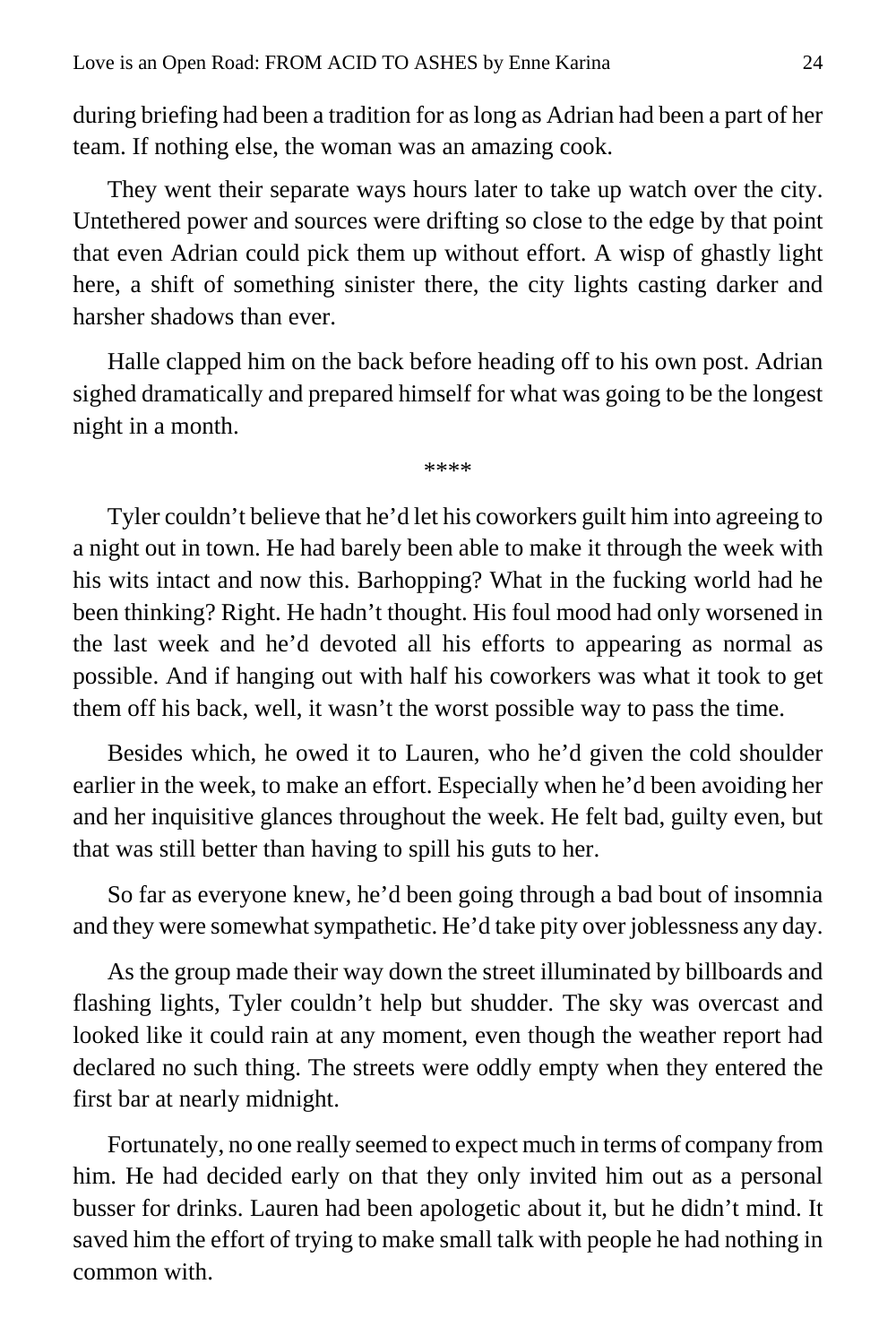during briefing had been a tradition for as long as Adrian had been a part of her team. If nothing else, the woman was an amazing cook.

They went their separate ways hours later to take up watch over the city. Untethered power and sources were drifting so close to the edge by that point that even Adrian could pick them up without effort. A wisp of ghastly light here, a shift of something sinister there, the city lights casting darker and harsher shadows than ever.

Halle clapped him on the back before heading off to his own post. Adrian sighed dramatically and prepared himself for what was going to be the longest night in a month.

\*\*\*\*

Tyler couldn't believe that he'd let his coworkers guilt him into agreeing to a night out in town. He had barely been able to make it through the week with his wits intact and now this. Barhopping? What in the fucking world had he been thinking? Right. He hadn't thought. His foul mood had only worsened in the last week and he'd devoted all his efforts to appearing as normal as possible. And if hanging out with half his coworkers was what it took to get them off his back, well, it wasn't the worst possible way to pass the time.

Besides which, he owed it to Lauren, who he'd given the cold shoulder earlier in the week, to make an effort. Especially when he'd been avoiding her and her inquisitive glances throughout the week. He felt bad, guilty even, but that was still better than having to spill his guts to her.

So far as everyone knew, he'd been going through a bad bout of insomnia and they were somewhat sympathetic. He'd take pity over joblessness any day.

As the group made their way down the street illuminated by billboards and flashing lights, Tyler couldn't help but shudder. The sky was overcast and looked like it could rain at any moment, even though the weather report had declared no such thing. The streets were oddly empty when they entered the first bar at nearly midnight.

Fortunately, no one really seemed to expect much in terms of company from him. He had decided early on that they only invited him out as a personal busser for drinks. Lauren had been apologetic about it, but he didn't mind. It saved him the effort of trying to make small talk with people he had nothing in common with.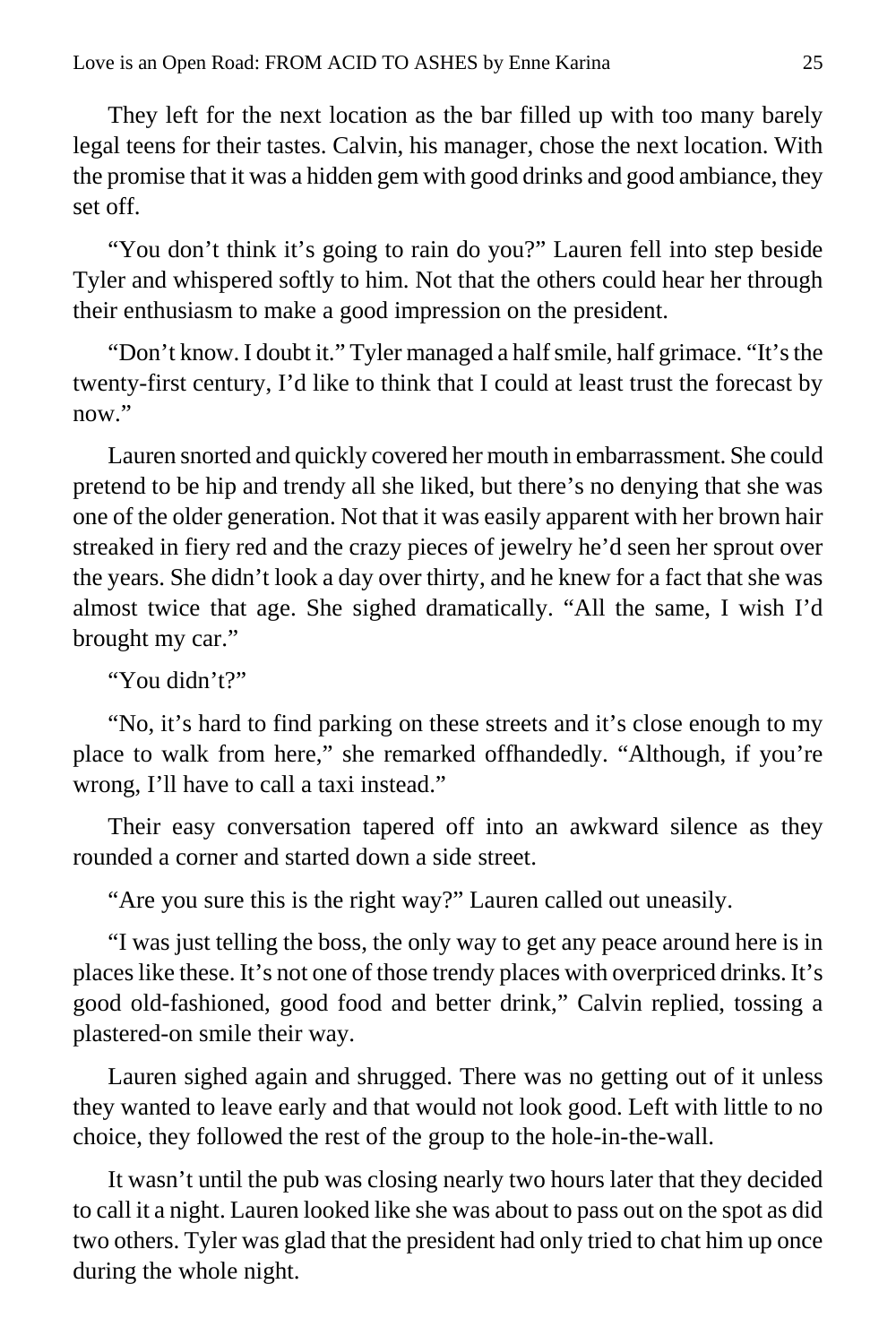They left for the next location as the bar filled up with too many barely legal teens for their tastes. Calvin, his manager, chose the next location. With the promise that it was a hidden gem with good drinks and good ambiance, they set off.

"You don't think it's going to rain do you?" Lauren fell into step beside Tyler and whispered softly to him. Not that the others could hear her through their enthusiasm to make a good impression on the president.

"Don't know. I doubt it." Tyler managed a half smile, half grimace. "It's the twenty-first century, I'd like to think that I could at least trust the forecast by now."

Lauren snorted and quickly covered her mouth in embarrassment. She could pretend to be hip and trendy all she liked, but there's no denying that she was one of the older generation. Not that it was easily apparent with her brown hair streaked in fiery red and the crazy pieces of jewelry he'd seen her sprout over the years. She didn't look a day over thirty, and he knew for a fact that she was almost twice that age. She sighed dramatically. "All the same, I wish I'd brought my car."

"You didn't?"

"No, it's hard to find parking on these streets and it's close enough to my place to walk from here," she remarked offhandedly. "Although, if you're wrong, I'll have to call a taxi instead."

Their easy conversation tapered off into an awkward silence as they rounded a corner and started down a side street.

"Are you sure this is the right way?" Lauren called out uneasily.

"I was just telling the boss, the only way to get any peace around here is in places like these. It's not one of those trendy places with overpriced drinks. It's good old-fashioned, good food and better drink," Calvin replied, tossing a plastered-on smile their way.

Lauren sighed again and shrugged. There was no getting out of it unless they wanted to leave early and that would not look good. Left with little to no choice, they followed the rest of the group to the hole-in-the-wall.

It wasn't until the pub was closing nearly two hours later that they decided to call it a night. Lauren looked like she was about to pass out on the spot as did two others. Tyler was glad that the president had only tried to chat him up once during the whole night.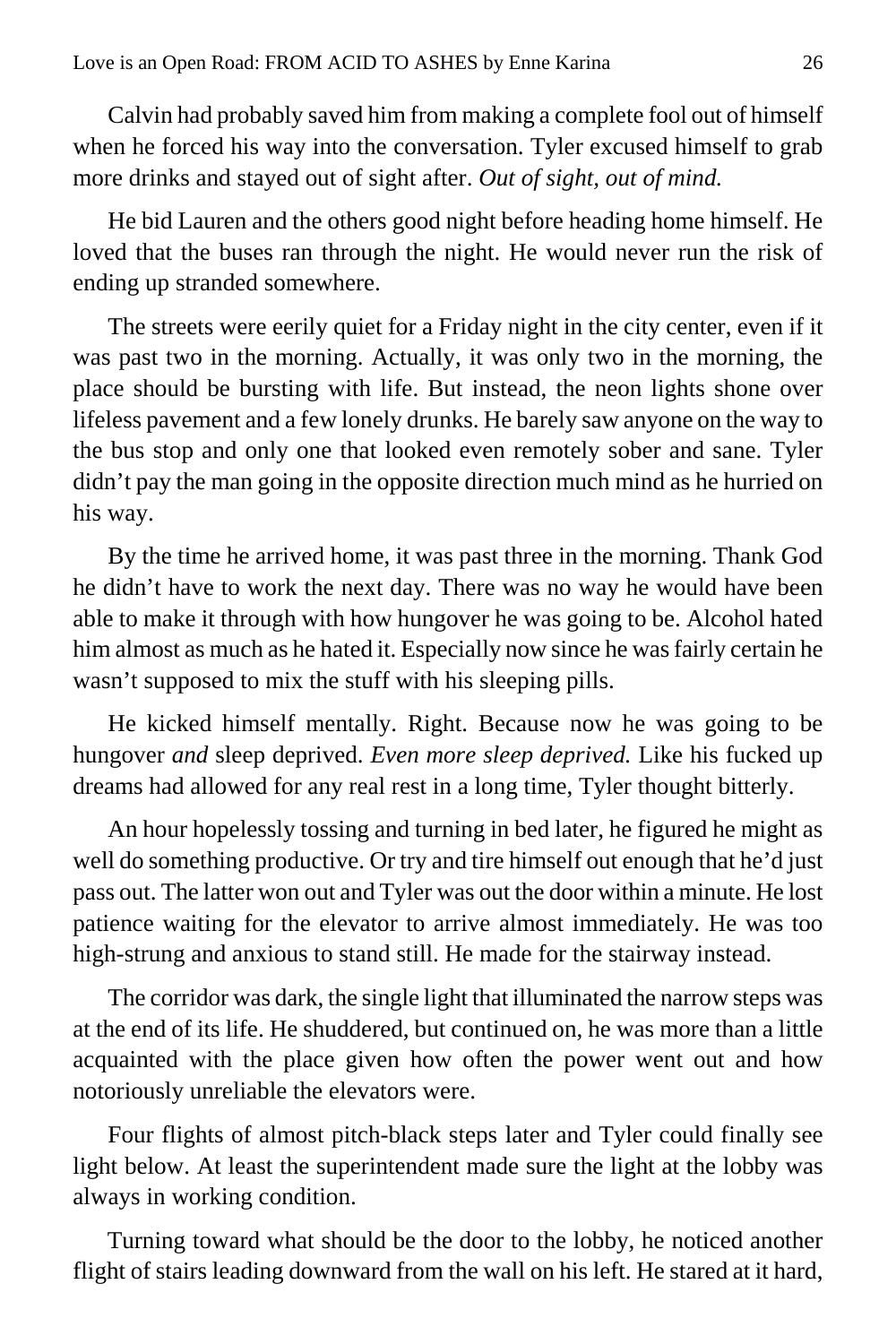Calvin had probably saved him from making a complete fool out of himself when he forced his way into the conversation. Tyler excused himself to grab more drinks and stayed out of sight after. *Out of sight, out of mind.*

He bid Lauren and the others good night before heading home himself. He loved that the buses ran through the night. He would never run the risk of ending up stranded somewhere.

The streets were eerily quiet for a Friday night in the city center, even if it was past two in the morning. Actually, it was only two in the morning, the place should be bursting with life. But instead, the neon lights shone over lifeless pavement and a few lonely drunks. He barely saw anyone on the way to the bus stop and only one that looked even remotely sober and sane. Tyler didn't pay the man going in the opposite direction much mind as he hurried on his way.

By the time he arrived home, it was past three in the morning. Thank God he didn't have to work the next day. There was no way he would have been able to make it through with how hungover he was going to be. Alcohol hated him almost as much as he hated it. Especially now since he was fairly certain he wasn't supposed to mix the stuff with his sleeping pills.

He kicked himself mentally. Right. Because now he was going to be hungover *and* sleep deprived. *Even more sleep deprived.* Like his fucked up dreams had allowed for any real rest in a long time, Tyler thought bitterly.

An hour hopelessly tossing and turning in bed later, he figured he might as well do something productive. Or try and tire himself out enough that he'd just pass out. The latter won out and Tyler was out the door within a minute. He lost patience waiting for the elevator to arrive almost immediately. He was too high-strung and anxious to stand still. He made for the stairway instead.

The corridor was dark, the single light that illuminated the narrow steps was at the end of its life. He shuddered, but continued on, he was more than a little acquainted with the place given how often the power went out and how notoriously unreliable the elevators were.

Four flights of almost pitch-black steps later and Tyler could finally see light below. At least the superintendent made sure the light at the lobby was always in working condition.

Turning toward what should be the door to the lobby, he noticed another flight of stairs leading downward from the wall on his left. He stared at it hard,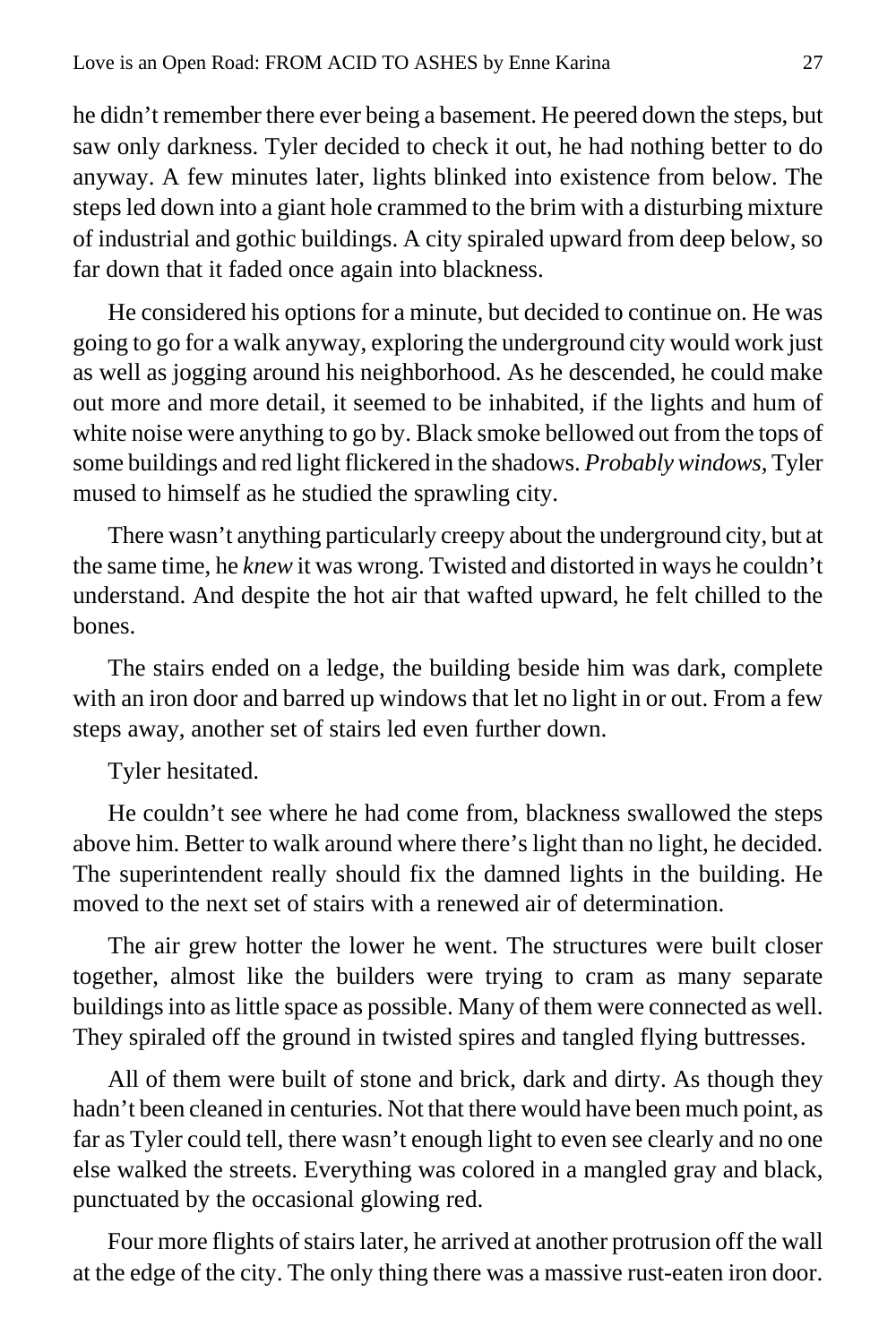he didn't remember there ever being a basement. He peered down the steps, but saw only darkness. Tyler decided to check it out, he had nothing better to do anyway. A few minutes later, lights blinked into existence from below. The steps led down into a giant hole crammed to the brim with a disturbing mixture of industrial and gothic buildings. A city spiraled upward from deep below, so far down that it faded once again into blackness.

He considered his options for a minute, but decided to continue on. He was going to go for a walk anyway, exploring the underground city would work just as well as jogging around his neighborhood. As he descended, he could make out more and more detail, it seemed to be inhabited, if the lights and hum of white noise were anything to go by. Black smoke bellowed out from the tops of some buildings and red light flickered in the shadows. *Probably windows*, Tyler mused to himself as he studied the sprawling city.

There wasn't anything particularly creepy about the underground city, but at the same time, he *knew* it was wrong. Twisted and distorted in ways he couldn't understand. And despite the hot air that wafted upward, he felt chilled to the bones.

The stairs ended on a ledge, the building beside him was dark, complete with an iron door and barred up windows that let no light in or out. From a few steps away, another set of stairs led even further down.

Tyler hesitated.

He couldn't see where he had come from, blackness swallowed the steps above him. Better to walk around where there's light than no light, he decided. The superintendent really should fix the damned lights in the building. He moved to the next set of stairs with a renewed air of determination.

The air grew hotter the lower he went. The structures were built closer together, almost like the builders were trying to cram as many separate buildings into as little space as possible. Many of them were connected as well. They spiraled off the ground in twisted spires and tangled flying buttresses.

All of them were built of stone and brick, dark and dirty. As though they hadn't been cleaned in centuries. Not that there would have been much point, as far as Tyler could tell, there wasn't enough light to even see clearly and no one else walked the streets. Everything was colored in a mangled gray and black, punctuated by the occasional glowing red.

Four more flights of stairs later, he arrived at another protrusion off the wall at the edge of the city. The only thing there was a massive rust-eaten iron door.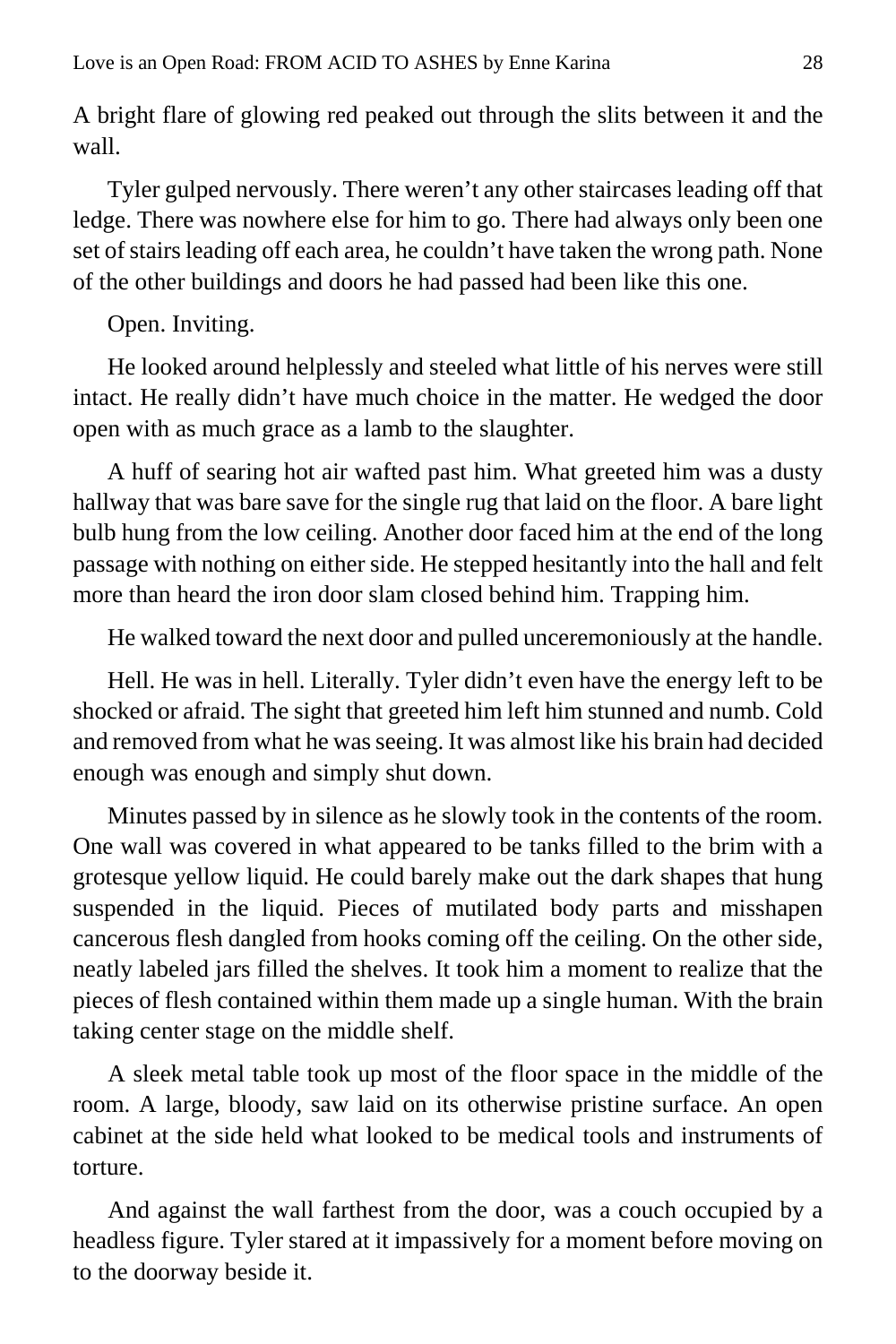A bright flare of glowing red peaked out through the slits between it and the wall.

Tyler gulped nervously. There weren't any other staircases leading off that ledge. There was nowhere else for him to go. There had always only been one set of stairs leading off each area, he couldn't have taken the wrong path. None of the other buildings and doors he had passed had been like this one.

Open. Inviting.

He looked around helplessly and steeled what little of his nerves were still intact. He really didn't have much choice in the matter. He wedged the door open with as much grace as a lamb to the slaughter.

A huff of searing hot air wafted past him. What greeted him was a dusty hallway that was bare save for the single rug that laid on the floor. A bare light bulb hung from the low ceiling. Another door faced him at the end of the long passage with nothing on either side. He stepped hesitantly into the hall and felt more than heard the iron door slam closed behind him. Trapping him.

He walked toward the next door and pulled unceremoniously at the handle.

Hell. He was in hell. Literally. Tyler didn't even have the energy left to be shocked or afraid. The sight that greeted him left him stunned and numb. Cold and removed from what he was seeing. It was almost like his brain had decided enough was enough and simply shut down.

Minutes passed by in silence as he slowly took in the contents of the room. One wall was covered in what appeared to be tanks filled to the brim with a grotesque yellow liquid. He could barely make out the dark shapes that hung suspended in the liquid. Pieces of mutilated body parts and misshapen cancerous flesh dangled from hooks coming off the ceiling. On the other side, neatly labeled jars filled the shelves. It took him a moment to realize that the pieces of flesh contained within them made up a single human. With the brain taking center stage on the middle shelf.

A sleek metal table took up most of the floor space in the middle of the room. A large, bloody, saw laid on its otherwise pristine surface. An open cabinet at the side held what looked to be medical tools and instruments of torture.

And against the wall farthest from the door, was a couch occupied by a headless figure. Tyler stared at it impassively for a moment before moving on to the doorway beside it.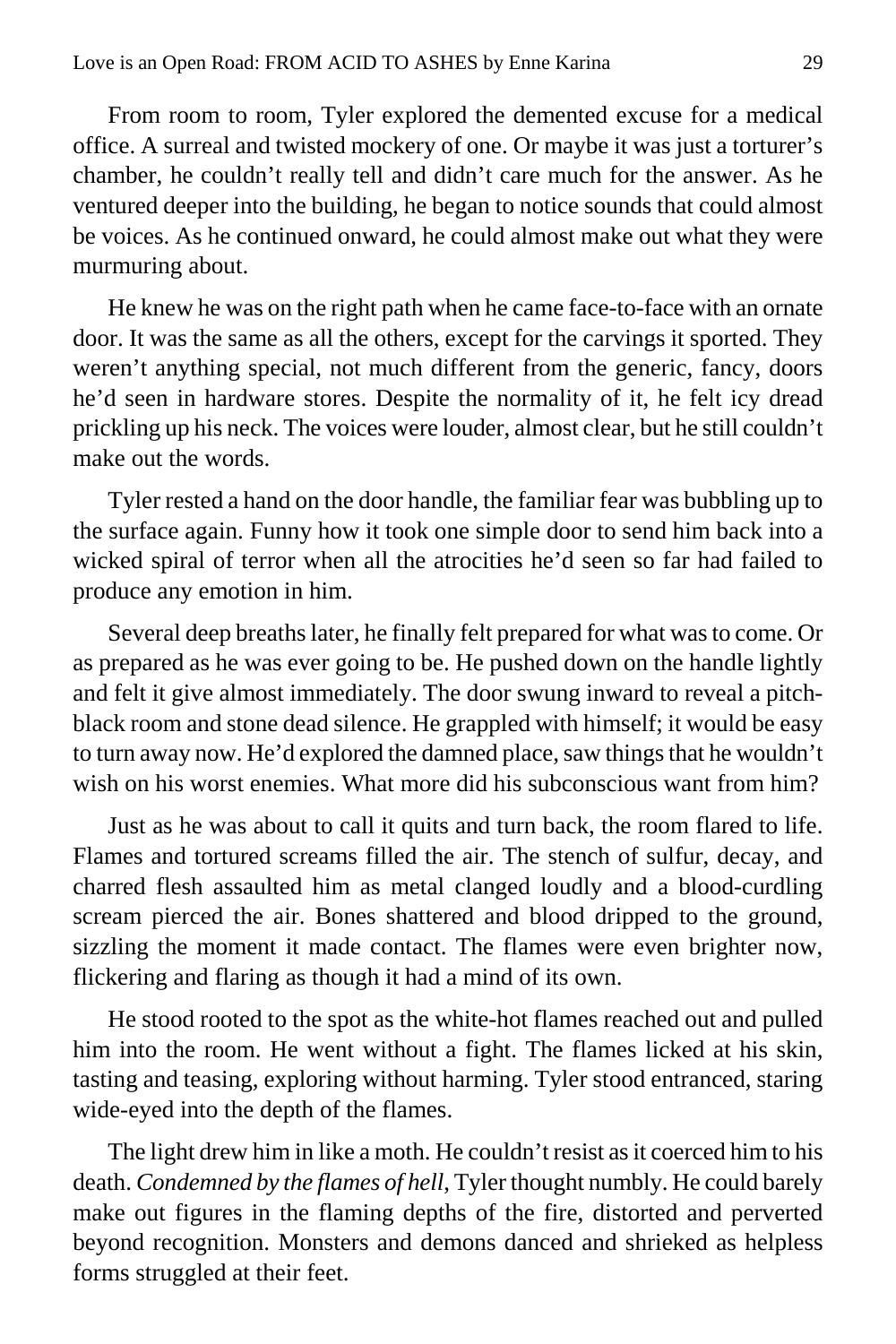From room to room, Tyler explored the demented excuse for a medical office. A surreal and twisted mockery of one. Or maybe it was just a torturer's chamber, he couldn't really tell and didn't care much for the answer. As he ventured deeper into the building, he began to notice sounds that could almost be voices. As he continued onward, he could almost make out what they were murmuring about.

He knew he was on the right path when he came face-to-face with an ornate door. It was the same as all the others, except for the carvings it sported. They weren't anything special, not much different from the generic, fancy, doors he'd seen in hardware stores. Despite the normality of it, he felt icy dread prickling up his neck. The voices were louder, almost clear, but he still couldn't make out the words.

Tyler rested a hand on the door handle, the familiar fear was bubbling up to the surface again. Funny how it took one simple door to send him back into a wicked spiral of terror when all the atrocities he'd seen so far had failed to produce any emotion in him.

Several deep breaths later, he finally felt prepared for what was to come. Or as prepared as he was ever going to be. He pushed down on the handle lightly and felt it give almost immediately. The door swung inward to reveal a pitchblack room and stone dead silence. He grappled with himself; it would be easy to turn away now. He'd explored the damned place, saw things that he wouldn't wish on his worst enemies. What more did his subconscious want from him?

Just as he was about to call it quits and turn back, the room flared to life. Flames and tortured screams filled the air. The stench of sulfur, decay, and charred flesh assaulted him as metal clanged loudly and a blood-curdling scream pierced the air. Bones shattered and blood dripped to the ground, sizzling the moment it made contact. The flames were even brighter now, flickering and flaring as though it had a mind of its own.

He stood rooted to the spot as the white-hot flames reached out and pulled him into the room. He went without a fight. The flames licked at his skin, tasting and teasing, exploring without harming. Tyler stood entranced, staring wide-eyed into the depth of the flames.

The light drew him in like a moth. He couldn't resist as it coerced him to his death. *Condemned by the flames of hell*, Tyler thought numbly. He could barely make out figures in the flaming depths of the fire, distorted and perverted beyond recognition. Monsters and demons danced and shrieked as helpless forms struggled at their feet.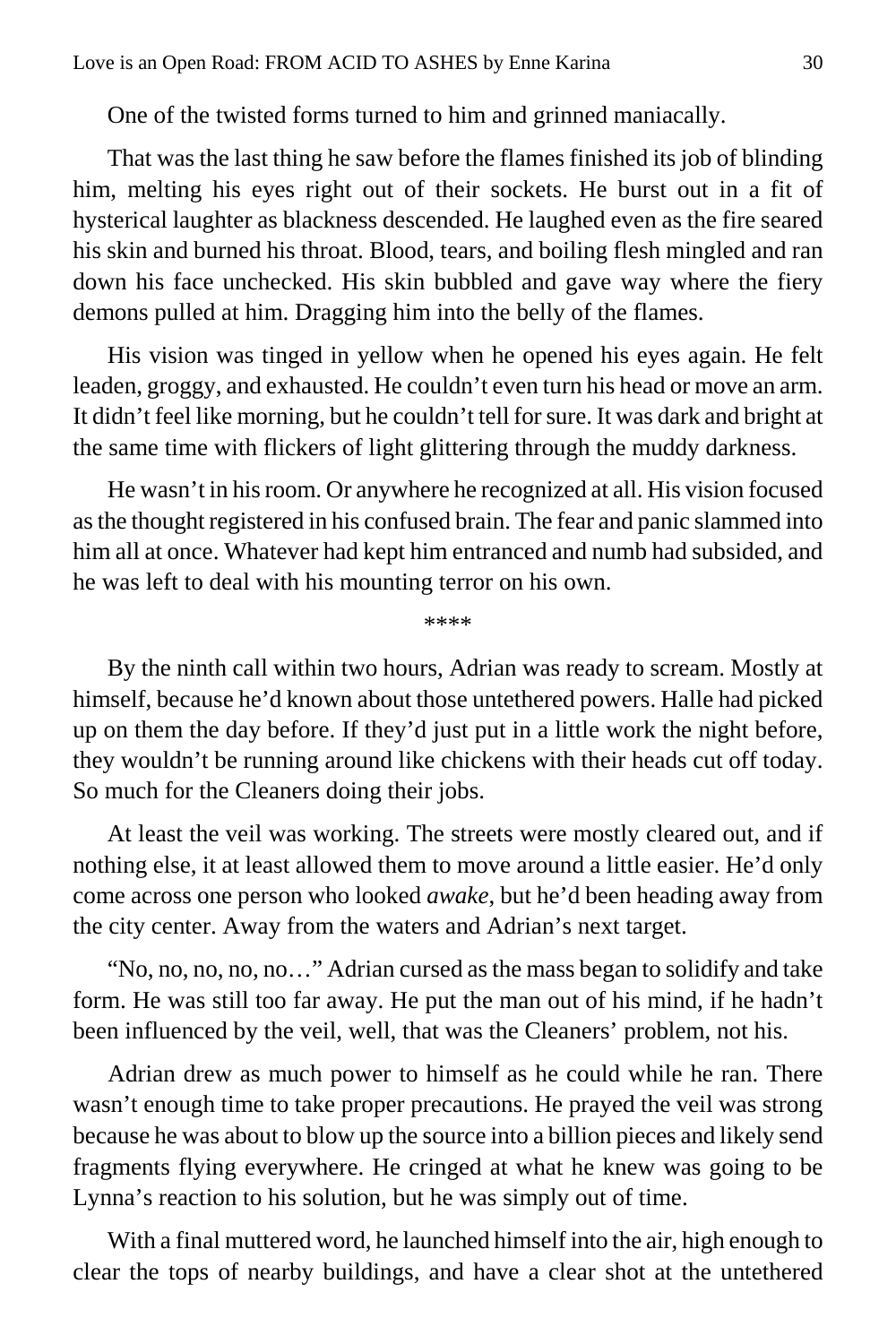One of the twisted forms turned to him and grinned maniacally.

That was the last thing he saw before the flames finished its job of blinding him, melting his eyes right out of their sockets. He burst out in a fit of hysterical laughter as blackness descended. He laughed even as the fire seared his skin and burned his throat. Blood, tears, and boiling flesh mingled and ran down his face unchecked. His skin bubbled and gave way where the fiery demons pulled at him. Dragging him into the belly of the flames.

His vision was tinged in yellow when he opened his eyes again. He felt leaden, groggy, and exhausted. He couldn't even turn his head or move an arm. It didn't feel like morning, but he couldn't tell for sure. It was dark and bright at the same time with flickers of light glittering through the muddy darkness.

He wasn't in his room. Or anywhere he recognized at all. His vision focused as the thought registered in his confused brain. The fear and panic slammed into him all at once. Whatever had kept him entranced and numb had subsided, and he was left to deal with his mounting terror on his own.

\*\*\*\*

By the ninth call within two hours, Adrian was ready to scream. Mostly at himself, because he'd known about those untethered powers. Halle had picked up on them the day before. If they'd just put in a little work the night before, they wouldn't be running around like chickens with their heads cut off today. So much for the Cleaners doing their jobs.

At least the veil was working. The streets were mostly cleared out, and if nothing else, it at least allowed them to move around a little easier. He'd only come across one person who looked *awake*, but he'd been heading away from the city center. Away from the waters and Adrian's next target.

"No, no, no, no, no…" Adrian cursed as the mass began to solidify and take form. He was still too far away. He put the man out of his mind, if he hadn't been influenced by the veil, well, that was the Cleaners' problem, not his.

Adrian drew as much power to himself as he could while he ran. There wasn't enough time to take proper precautions. He prayed the veil was strong because he was about to blow up the source into a billion pieces and likely send fragments flying everywhere. He cringed at what he knew was going to be Lynna's reaction to his solution, but he was simply out of time.

With a final muttered word, he launched himself into the air, high enough to clear the tops of nearby buildings, and have a clear shot at the untethered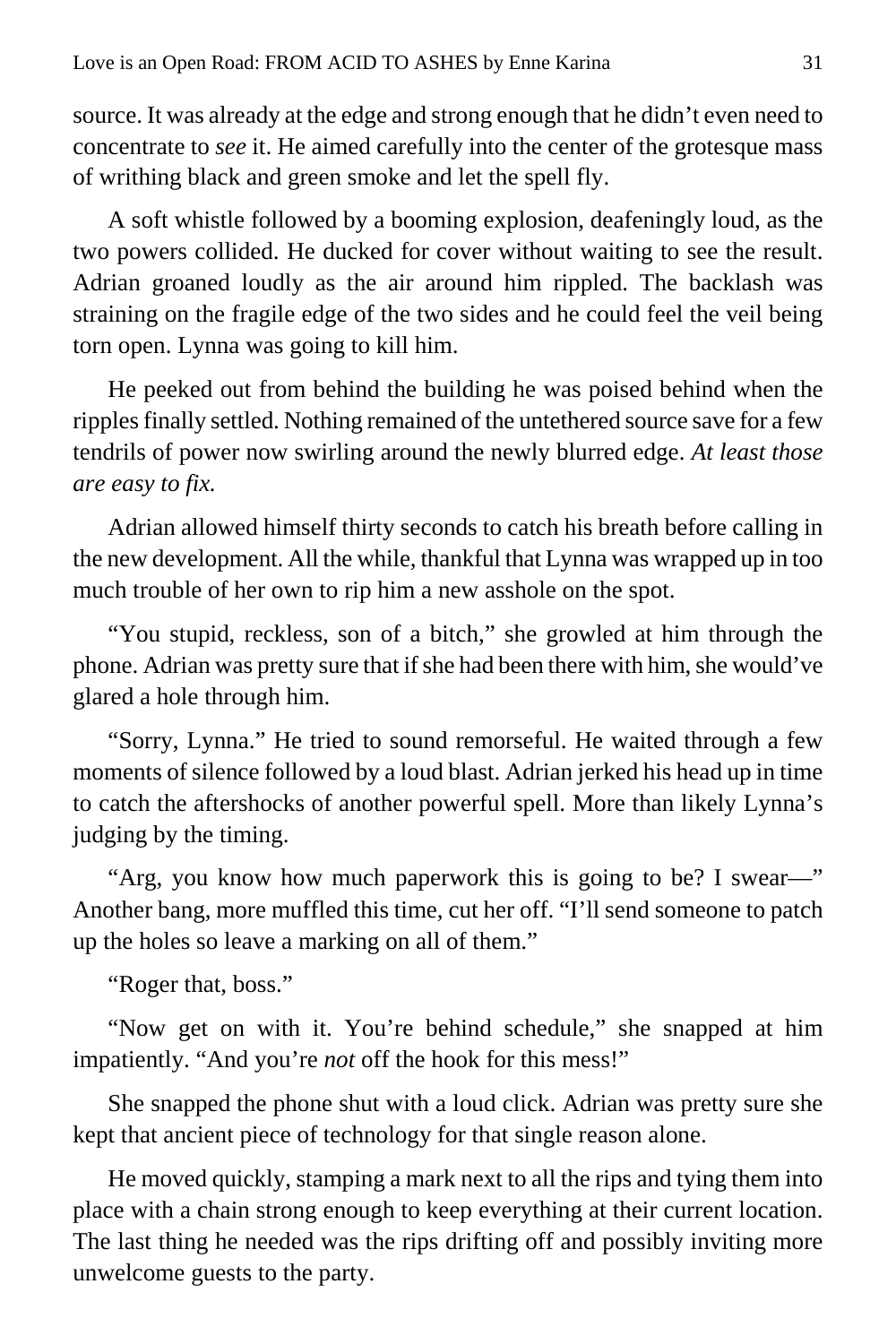source. It was already at the edge and strong enough that he didn't even need to concentrate to *see* it. He aimed carefully into the center of the grotesque mass of writhing black and green smoke and let the spell fly.

A soft whistle followed by a booming explosion, deafeningly loud, as the two powers collided. He ducked for cover without waiting to see the result. Adrian groaned loudly as the air around him rippled. The backlash was straining on the fragile edge of the two sides and he could feel the veil being torn open. Lynna was going to kill him.

He peeked out from behind the building he was poised behind when the ripples finally settled. Nothing remained of the untethered source save for a few tendrils of power now swirling around the newly blurred edge. *At least those are easy to fix.*

Adrian allowed himself thirty seconds to catch his breath before calling in the new development. All the while, thankful that Lynna was wrapped up in too much trouble of her own to rip him a new asshole on the spot.

"You stupid, reckless, son of a bitch," she growled at him through the phone. Adrian was pretty sure that if she had been there with him, she would've glared a hole through him.

"Sorry, Lynna." He tried to sound remorseful. He waited through a few moments of silence followed by a loud blast. Adrian jerked his head up in time to catch the aftershocks of another powerful spell. More than likely Lynna's judging by the timing.

"Arg, you know how much paperwork this is going to be? I swear—" Another bang, more muffled this time, cut her off. "I'll send someone to patch up the holes so leave a marking on all of them."

"Roger that, boss."

"Now get on with it. You're behind schedule," she snapped at him impatiently. "And you're *not* off the hook for this mess!"

She snapped the phone shut with a loud click. Adrian was pretty sure she kept that ancient piece of technology for that single reason alone.

He moved quickly, stamping a mark next to all the rips and tying them into place with a chain strong enough to keep everything at their current location. The last thing he needed was the rips drifting off and possibly inviting more unwelcome guests to the party.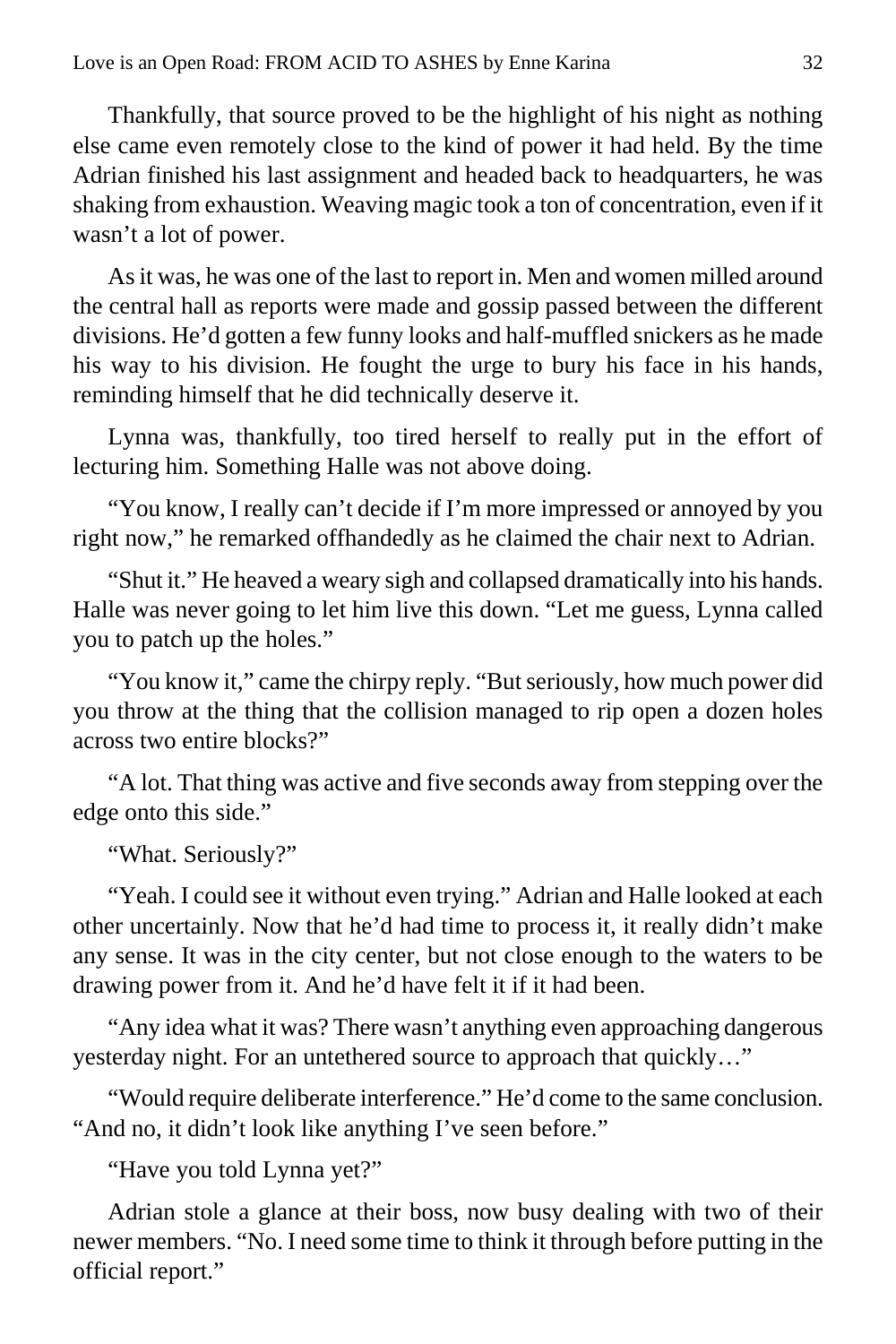Thankfully, that source proved to be the highlight of his night as nothing else came even remotely close to the kind of power it had held. By the time Adrian finished his last assignment and headed back to headquarters, he was shaking from exhaustion. Weaving magic took a ton of concentration, even if it wasn't a lot of power.

As it was, he was one of the last to report in. Men and women milled around the central hall as reports were made and gossip passed between the different divisions. He'd gotten a few funny looks and half-muffled snickers as he made his way to his division. He fought the urge to bury his face in his hands, reminding himself that he did technically deserve it.

Lynna was, thankfully, too tired herself to really put in the effort of lecturing him. Something Halle was not above doing.

"You know, I really can't decide if I'm more impressed or annoyed by you right now," he remarked offhandedly as he claimed the chair next to Adrian.

"Shut it." He heaved a weary sigh and collapsed dramatically into his hands. Halle was never going to let him live this down. "Let me guess, Lynna called you to patch up the holes."

"You know it," came the chirpy reply. "But seriously, how much power did you throw at the thing that the collision managed to rip open a dozen holes across two entire blocks?"

"A lot. That thing was active and five seconds away from stepping over the edge onto this side."

"What. Seriously?"

"Yeah. I could see it without even trying." Adrian and Halle looked at each other uncertainly. Now that he'd had time to process it, it really didn't make any sense. It was in the city center, but not close enough to the waters to be drawing power from it. And he'd have felt it if it had been.

"Any idea what it was? There wasn't anything even approaching dangerous yesterday night. For an untethered source to approach that quickly…"

"Would require deliberate interference." He'd come to the same conclusion. "And no, it didn't look like anything I've seen before."

"Have you told Lynna yet?"

Adrian stole a glance at their boss, now busy dealing with two of their newer members. "No. I need some time to think it through before putting in the official report."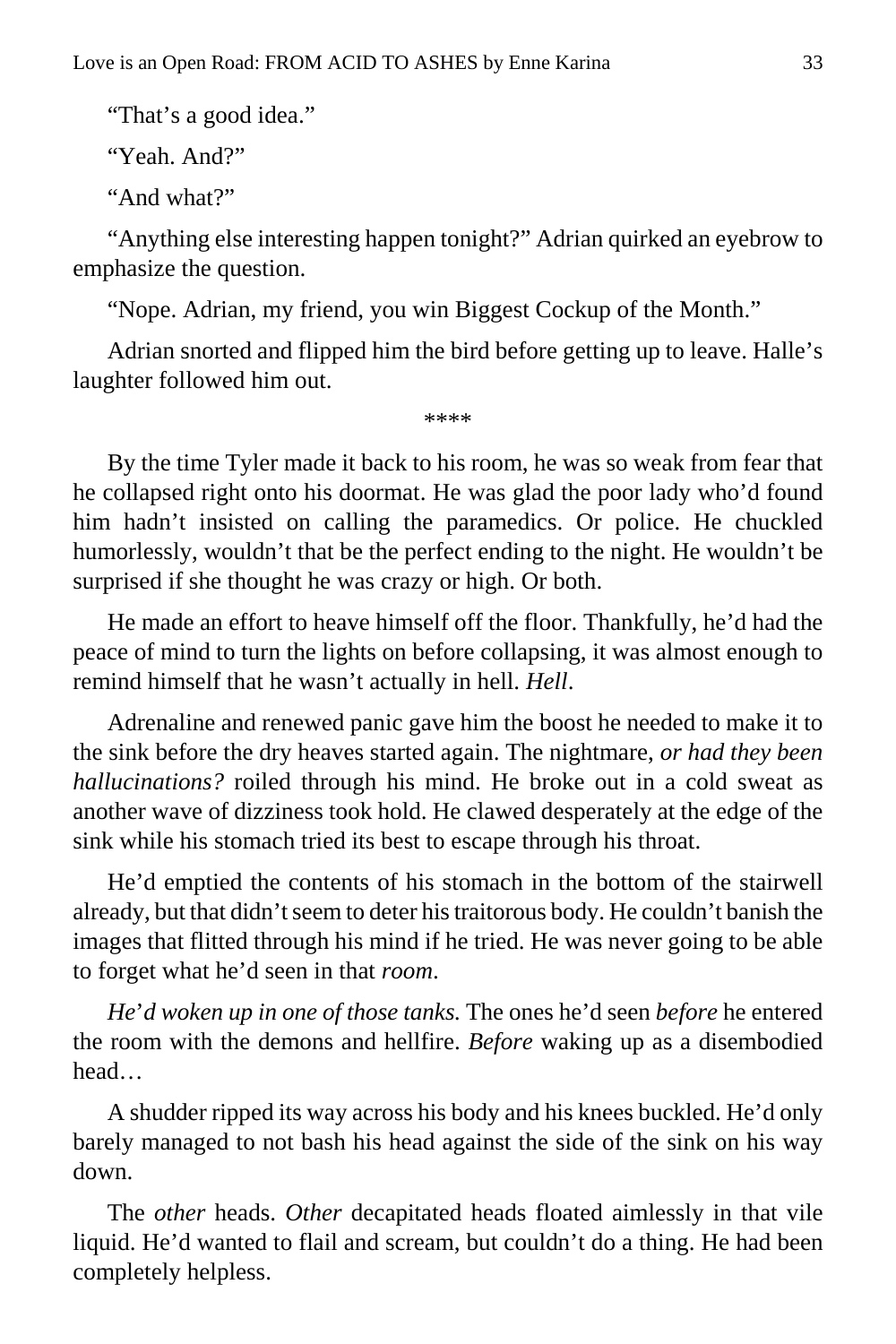"That's a good idea."

"Yeah. And?"

"And what?"

"Anything else interesting happen tonight?" Adrian quirked an eyebrow to emphasize the question.

"Nope. Adrian, my friend, you win Biggest Cockup of the Month."

Adrian snorted and flipped him the bird before getting up to leave. Halle's laughter followed him out.

\*\*\*\*

By the time Tyler made it back to his room, he was so weak from fear that he collapsed right onto his doormat. He was glad the poor lady who'd found him hadn't insisted on calling the paramedics. Or police. He chuckled humorlessly, wouldn't that be the perfect ending to the night. He wouldn't be surprised if she thought he was crazy or high. Or both.

He made an effort to heave himself off the floor. Thankfully, he'd had the peace of mind to turn the lights on before collapsing, it was almost enough to remind himself that he wasn't actually in hell. *Hell*.

Adrenaline and renewed panic gave him the boost he needed to make it to the sink before the dry heaves started again. The nightmare, *or had they been hallucinations?* roiled through his mind. He broke out in a cold sweat as another wave of dizziness took hold. He clawed desperately at the edge of the sink while his stomach tried its best to escape through his throat.

He'd emptied the contents of his stomach in the bottom of the stairwell already, but that didn't seem to deter his traitorous body. He couldn't banish the images that flitted through his mind if he tried. He was never going to be able to forget what he'd seen in that *room*.

*He*'*d woken up in one of those tanks.* The ones he'd seen *before* he entered the room with the demons and hellfire. *Before* waking up as a disembodied head…

A shudder ripped its way across his body and his knees buckled. He'd only barely managed to not bash his head against the side of the sink on his way down.

The *other* heads. *Other* decapitated heads floated aimlessly in that vile liquid. He'd wanted to flail and scream, but couldn't do a thing. He had been completely helpless.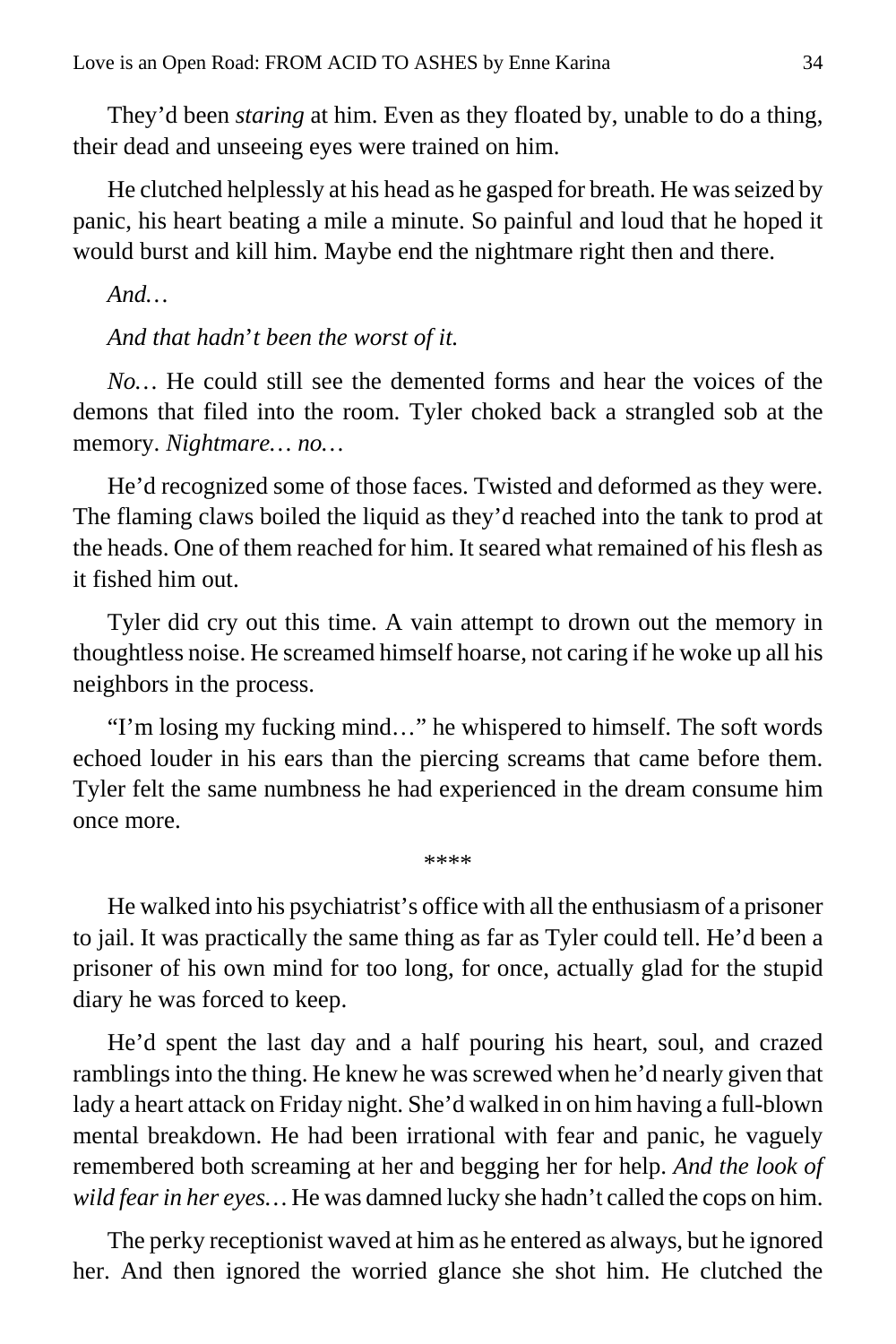They'd been *staring* at him. Even as they floated by, unable to do a thing, their dead and unseeing eyes were trained on him.

He clutched helplessly at his head as he gasped for breath. He was seized by panic, his heart beating a mile a minute. So painful and loud that he hoped it would burst and kill him. Maybe end the nightmare right then and there.

*And…*

*And that hadn*'*t been the worst of it.*

*No…* He could still see the demented forms and hear the voices of the demons that filed into the room. Tyler choked back a strangled sob at the memory. *Nightmare… no…*

He'd recognized some of those faces. Twisted and deformed as they were. The flaming claws boiled the liquid as they'd reached into the tank to prod at the heads. One of them reached for him. It seared what remained of his flesh as it fished him out.

Tyler did cry out this time. A vain attempt to drown out the memory in thoughtless noise. He screamed himself hoarse, not caring if he woke up all his neighbors in the process.

"I'm losing my fucking mind…" he whispered to himself. The soft words echoed louder in his ears than the piercing screams that came before them. Tyler felt the same numbness he had experienced in the dream consume him once more.

\*\*\*\*

He walked into his psychiatrist's office with all the enthusiasm of a prisoner to jail. It was practically the same thing as far as Tyler could tell. He'd been a prisoner of his own mind for too long, for once, actually glad for the stupid diary he was forced to keep.

He'd spent the last day and a half pouring his heart, soul, and crazed ramblings into the thing. He knew he was screwed when he'd nearly given that lady a heart attack on Friday night. She'd walked in on him having a full-blown mental breakdown. He had been irrational with fear and panic, he vaguely remembered both screaming at her and begging her for help. *And the look of wild fear in her eyes…* He was damned lucky she hadn't called the cops on him.

The perky receptionist waved at him as he entered as always, but he ignored her. And then ignored the worried glance she shot him. He clutched the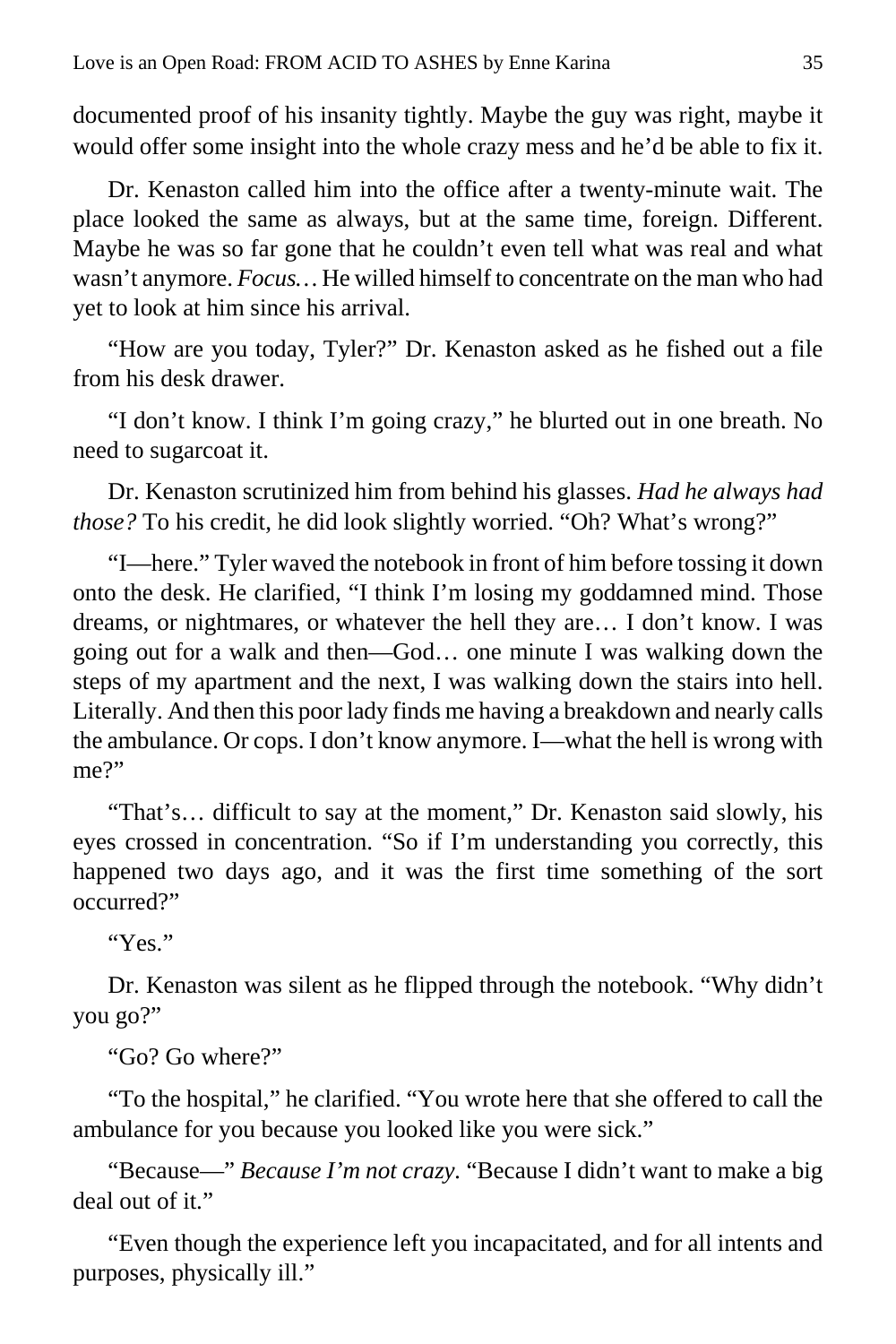documented proof of his insanity tightly. Maybe the guy was right, maybe it would offer some insight into the whole crazy mess and he'd be able to fix it.

Dr. Kenaston called him into the office after a twenty-minute wait. The place looked the same as always, but at the same time, foreign. Different. Maybe he was so far gone that he couldn't even tell what was real and what wasn't anymore. *Focus…* He willed himself to concentrate on the man who had yet to look at him since his arrival.

"How are you today, Tyler?" Dr. Kenaston asked as he fished out a file from his desk drawer.

"I don't know. I think I'm going crazy," he blurted out in one breath. No need to sugarcoat it.

Dr. Kenaston scrutinized him from behind his glasses. *Had he always had those?* To his credit, he did look slightly worried. "Oh? What's wrong?"

"I—here." Tyler waved the notebook in front of him before tossing it down onto the desk. He clarified, "I think I'm losing my goddamned mind. Those dreams, or nightmares, or whatever the hell they are… I don't know. I was going out for a walk and then—God… one minute I was walking down the steps of my apartment and the next, I was walking down the stairs into hell. Literally. And then this poor lady finds me having a breakdown and nearly calls the ambulance. Or cops. I don't know anymore. I—what the hell is wrong with me?"

"That's… difficult to say at the moment," Dr. Kenaston said slowly, his eyes crossed in concentration. "So if I'm understanding you correctly, this happened two days ago, and it was the first time something of the sort occurred?"

"Yes."

Dr. Kenaston was silent as he flipped through the notebook. "Why didn't you go?"

"Go? Go where?"

"To the hospital," he clarified. "You wrote here that she offered to call the ambulance for you because you looked like you were sick."

"Because—" *Because I'm not crazy.* "Because I didn't want to make a big deal out of it."

"Even though the experience left you incapacitated, and for all intents and purposes, physically ill."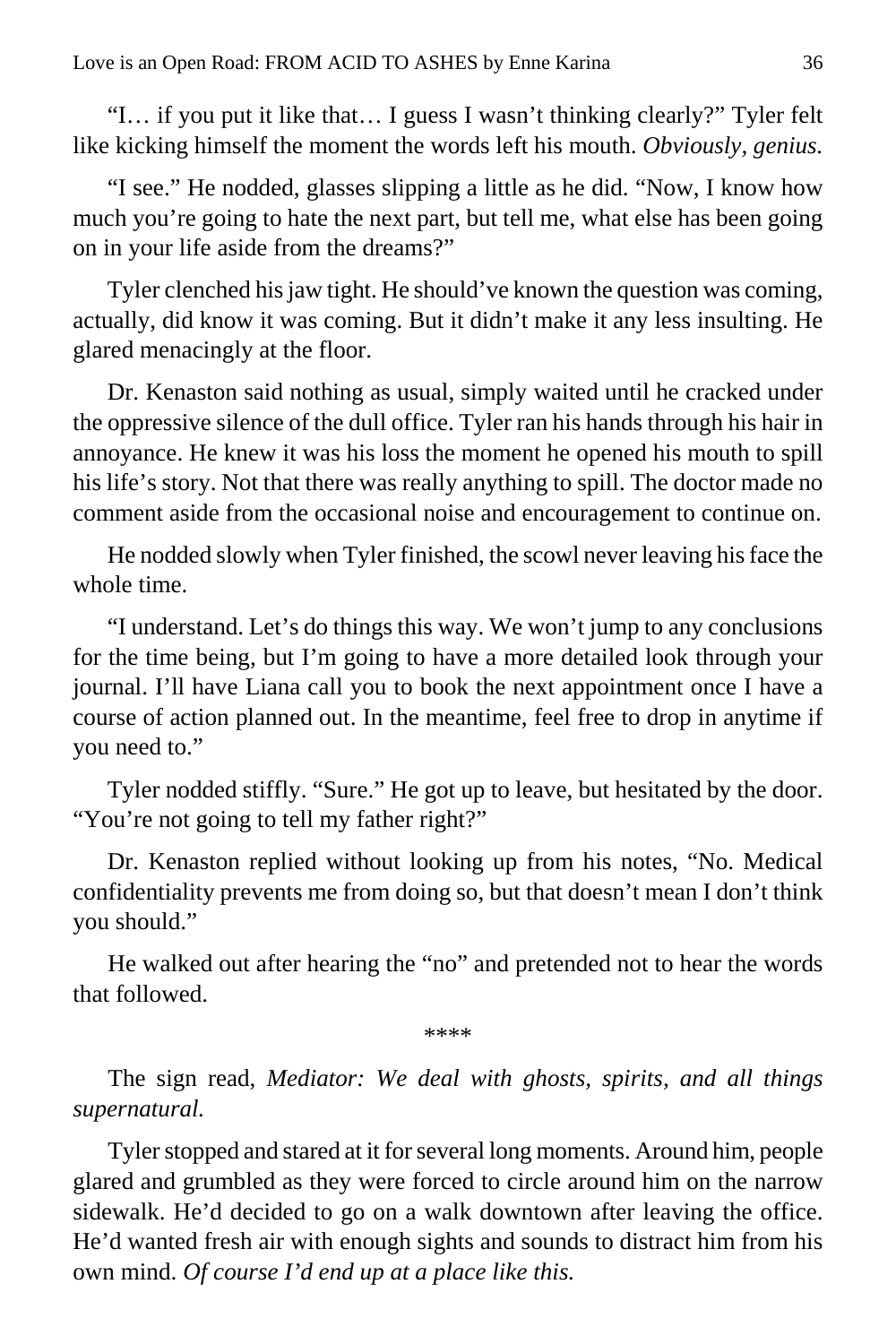"I… if you put it like that… I guess I wasn't thinking clearly?" Tyler felt like kicking himself the moment the words left his mouth. *Obviously, genius.*

"I see." He nodded, glasses slipping a little as he did. "Now, I know how much you're going to hate the next part, but tell me, what else has been going on in your life aside from the dreams?"

Tyler clenched his jaw tight. He should've known the question was coming, actually, did know it was coming. But it didn't make it any less insulting. He glared menacingly at the floor.

Dr. Kenaston said nothing as usual, simply waited until he cracked under the oppressive silence of the dull office. Tyler ran his hands through his hair in annoyance. He knew it was his loss the moment he opened his mouth to spill his life's story. Not that there was really anything to spill. The doctor made no comment aside from the occasional noise and encouragement to continue on.

He nodded slowly when Tyler finished, the scowl never leaving his face the whole time.

"I understand. Let's do things this way. We won't jump to any conclusions for the time being, but I'm going to have a more detailed look through your journal. I'll have Liana call you to book the next appointment once I have a course of action planned out. In the meantime, feel free to drop in anytime if you need to."

Tyler nodded stiffly. "Sure." He got up to leave, but hesitated by the door. "You're not going to tell my father right?"

Dr. Kenaston replied without looking up from his notes, "No. Medical confidentiality prevents me from doing so, but that doesn't mean I don't think you should."

He walked out after hearing the "no" and pretended not to hear the words that followed.

\*\*\*\*

The sign read, *Mediator: We deal with ghosts, spirits, and all things supernatural.*

Tyler stopped and stared at it for several long moments. Around him, people glared and grumbled as they were forced to circle around him on the narrow sidewalk. He'd decided to go on a walk downtown after leaving the office. He'd wanted fresh air with enough sights and sounds to distract him from his own mind. *Of course I'd end up at a place like this.*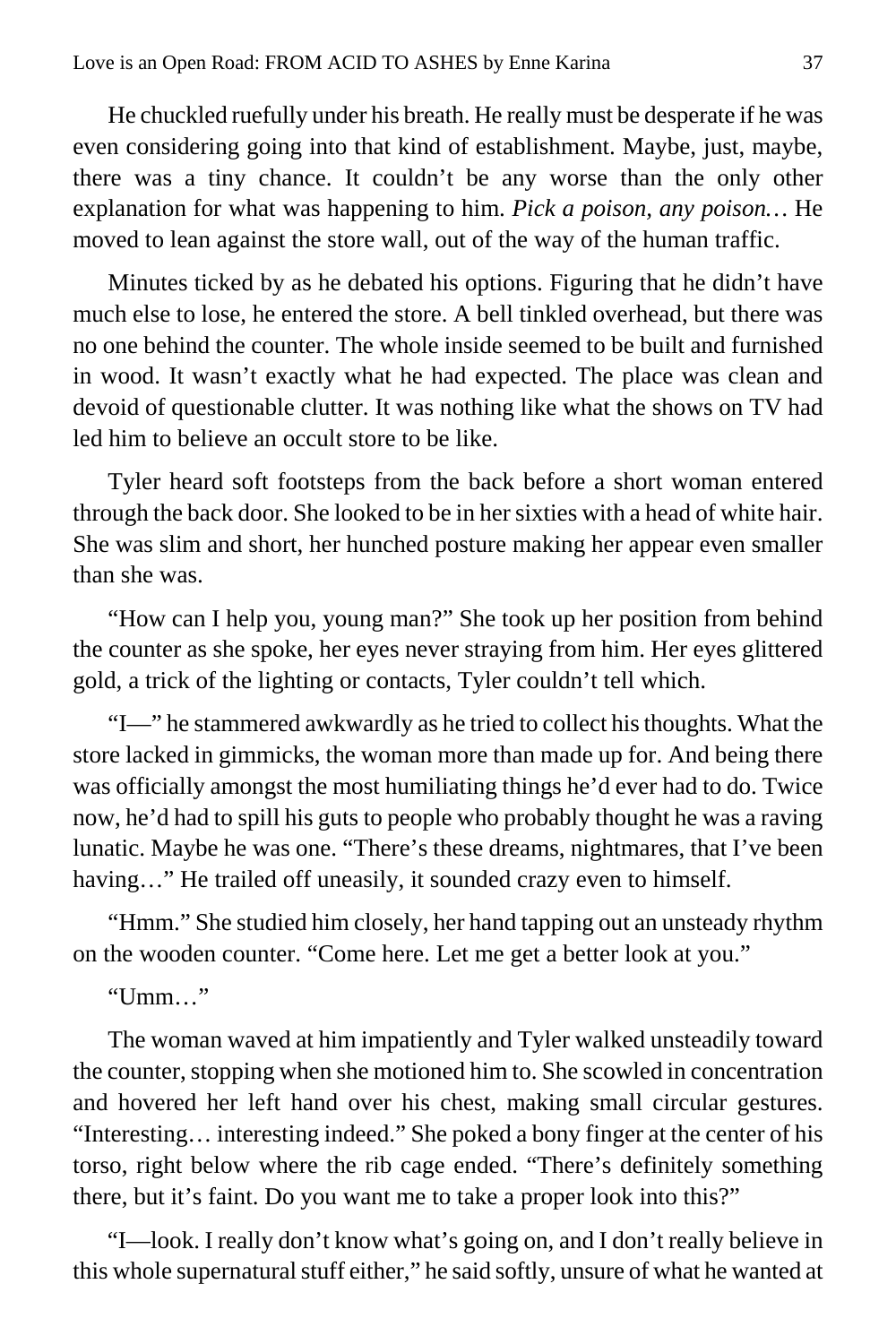He chuckled ruefully under his breath. He really must be desperate if he was even considering going into that kind of establishment. Maybe, just, maybe, there was a tiny chance. It couldn't be any worse than the only other explanation for what was happening to him. *Pick a poison, any poison…* He moved to lean against the store wall, out of the way of the human traffic.

Minutes ticked by as he debated his options. Figuring that he didn't have much else to lose, he entered the store. A bell tinkled overhead, but there was no one behind the counter. The whole inside seemed to be built and furnished in wood. It wasn't exactly what he had expected. The place was clean and devoid of questionable clutter. It was nothing like what the shows on TV had led him to believe an occult store to be like.

Tyler heard soft footsteps from the back before a short woman entered through the back door. She looked to be in her sixties with a head of white hair. She was slim and short, her hunched posture making her appear even smaller than she was.

"How can I help you, young man?" She took up her position from behind the counter as she spoke, her eyes never straying from him. Her eyes glittered gold, a trick of the lighting or contacts, Tyler couldn't tell which.

"I—" he stammered awkwardly as he tried to collect his thoughts. What the store lacked in gimmicks, the woman more than made up for. And being there was officially amongst the most humiliating things he'd ever had to do. Twice now, he'd had to spill his guts to people who probably thought he was a raving lunatic. Maybe he was one. "There's these dreams, nightmares, that I've been having..." He trailed off uneasily, it sounded crazy even to himself.

"Hmm." She studied him closely, her hand tapping out an unsteady rhythm on the wooden counter. "Come here. Let me get a better look at you."

"Umm…"

The woman waved at him impatiently and Tyler walked unsteadily toward the counter, stopping when she motioned him to. She scowled in concentration and hovered her left hand over his chest, making small circular gestures. "Interesting… interesting indeed." She poked a bony finger at the center of his torso, right below where the rib cage ended. "There's definitely something there, but it's faint. Do you want me to take a proper look into this?"

"I—look. I really don't know what's going on, and I don't really believe in this whole supernatural stuff either," he said softly, unsure of what he wanted at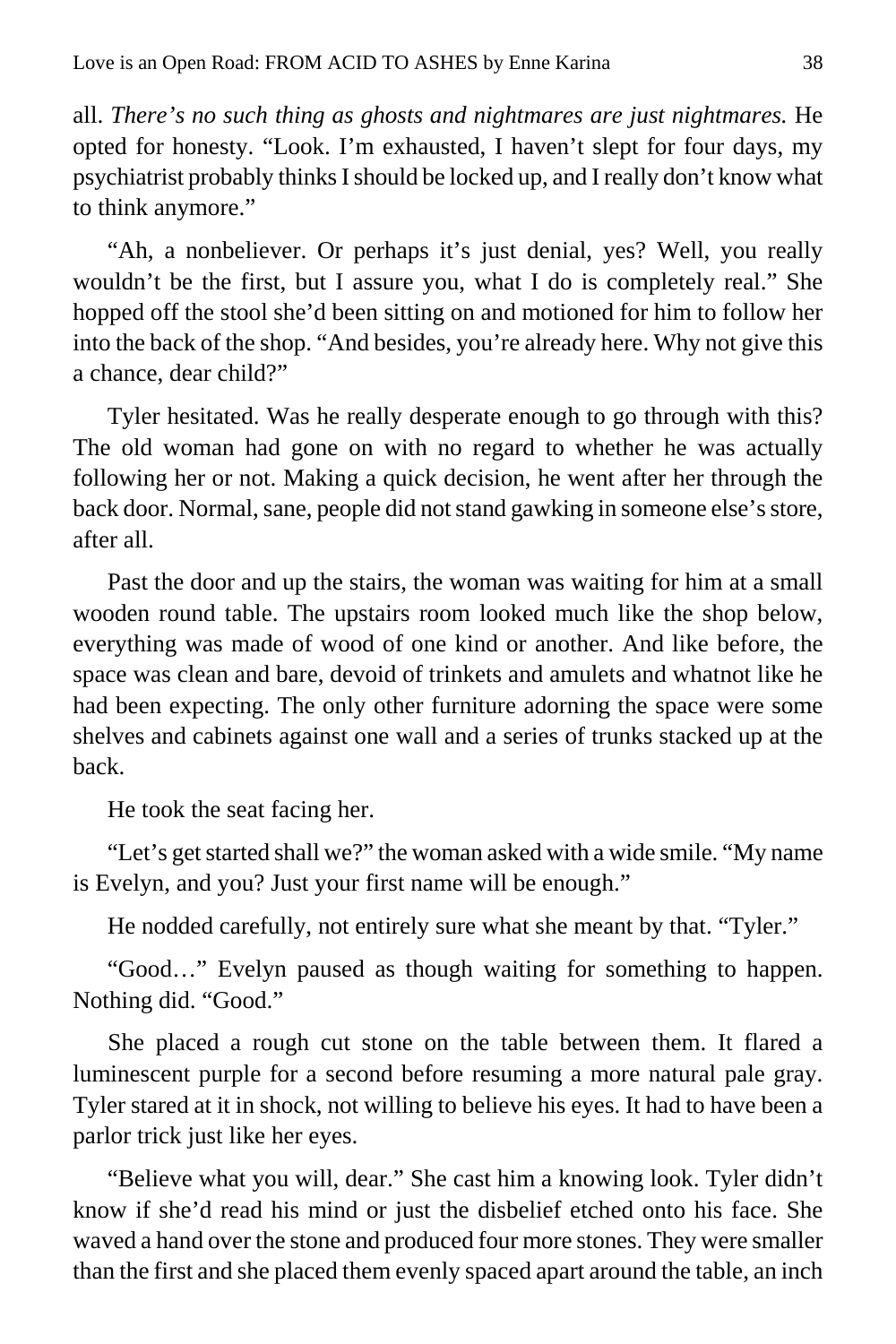all. *There's no such thing as ghosts and nightmares are just nightmares.* He opted for honesty. "Look. I'm exhausted, I haven't slept for four days, my psychiatrist probably thinks I should be locked up, and I really don't know what to think anymore."

"Ah, a nonbeliever. Or perhaps it's just denial, yes? Well, you really wouldn't be the first, but I assure you, what I do is completely real." She hopped off the stool she'd been sitting on and motioned for him to follow her into the back of the shop. "And besides, you're already here. Why not give this a chance, dear child?"

Tyler hesitated. Was he really desperate enough to go through with this? The old woman had gone on with no regard to whether he was actually following her or not. Making a quick decision, he went after her through the back door. Normal, sane, people did not stand gawking in someone else's store, after all.

Past the door and up the stairs, the woman was waiting for him at a small wooden round table. The upstairs room looked much like the shop below, everything was made of wood of one kind or another. And like before, the space was clean and bare, devoid of trinkets and amulets and whatnot like he had been expecting. The only other furniture adorning the space were some shelves and cabinets against one wall and a series of trunks stacked up at the back.

He took the seat facing her.

"Let's get started shall we?" the woman asked with a wide smile. "My name is Evelyn, and you? Just your first name will be enough."

He nodded carefully, not entirely sure what she meant by that. "Tyler."

"Good…" Evelyn paused as though waiting for something to happen. Nothing did. "Good."

She placed a rough cut stone on the table between them. It flared a luminescent purple for a second before resuming a more natural pale gray. Tyler stared at it in shock, not willing to believe his eyes. It had to have been a parlor trick just like her eyes.

"Believe what you will, dear." She cast him a knowing look. Tyler didn't know if she'd read his mind or just the disbelief etched onto his face. She waved a hand over the stone and produced four more stones. They were smaller than the first and she placed them evenly spaced apart around the table, an inch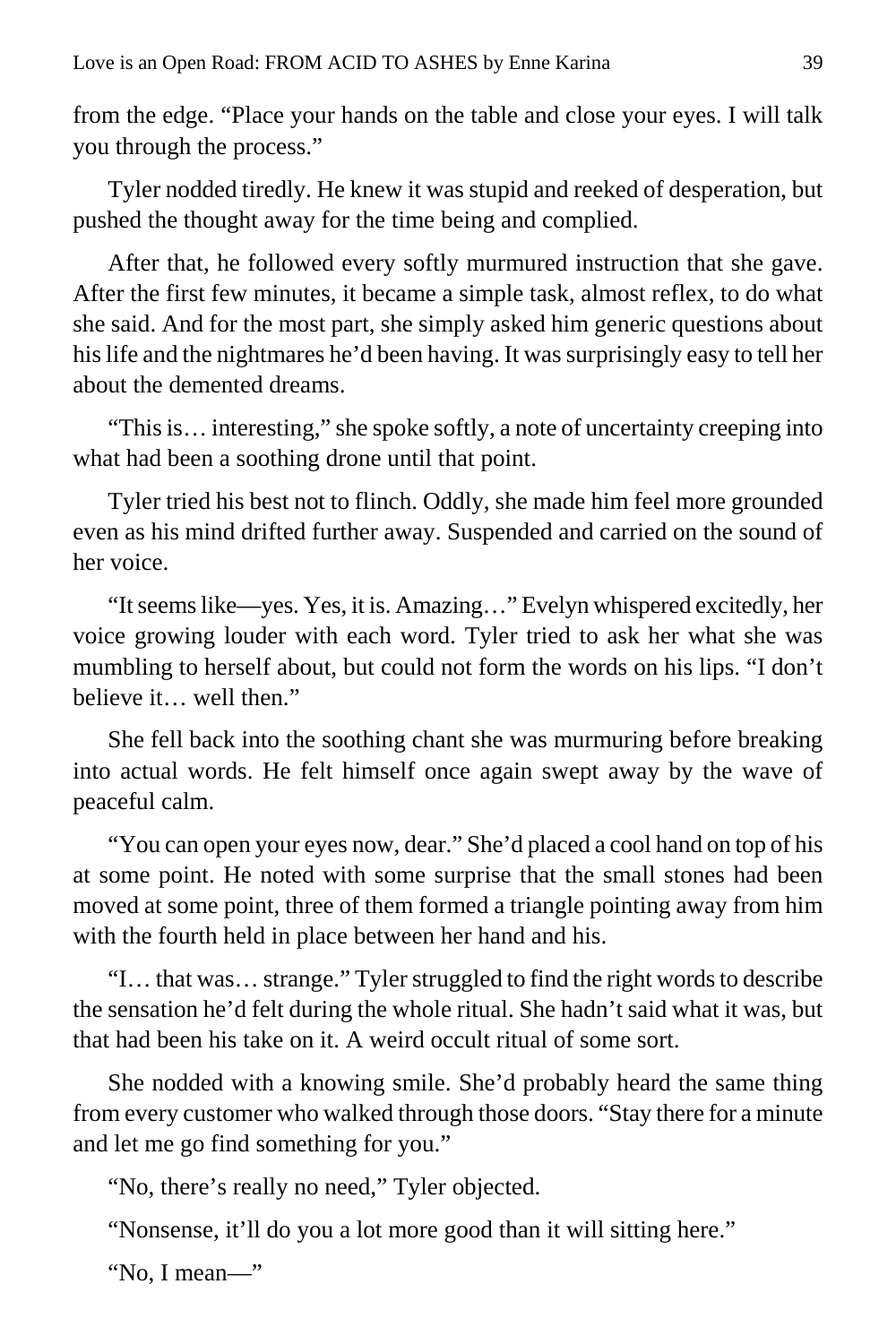from the edge. "Place your hands on the table and close your eyes. I will talk you through the process."

Tyler nodded tiredly. He knew it was stupid and reeked of desperation, but pushed the thought away for the time being and complied.

After that, he followed every softly murmured instruction that she gave. After the first few minutes, it became a simple task, almost reflex, to do what she said. And for the most part, she simply asked him generic questions about his life and the nightmares he'd been having. It was surprisingly easy to tell her about the demented dreams.

"This is… interesting," she spoke softly, a note of uncertainty creeping into what had been a soothing drone until that point.

Tyler tried his best not to flinch. Oddly, she made him feel more grounded even as his mind drifted further away. Suspended and carried on the sound of her voice.

"It seems like—yes. Yes, it is. Amazing…" Evelyn whispered excitedly, her voice growing louder with each word. Tyler tried to ask her what she was mumbling to herself about, but could not form the words on his lips. "I don't believe it… well then."

She fell back into the soothing chant she was murmuring before breaking into actual words. He felt himself once again swept away by the wave of peaceful calm.

"You can open your eyes now, dear." She'd placed a cool hand on top of his at some point. He noted with some surprise that the small stones had been moved at some point, three of them formed a triangle pointing away from him with the fourth held in place between her hand and his.

"I… that was… strange." Tyler struggled to find the right words to describe the sensation he'd felt during the whole ritual. She hadn't said what it was, but that had been his take on it. A weird occult ritual of some sort.

She nodded with a knowing smile. She'd probably heard the same thing from every customer who walked through those doors. "Stay there for a minute and let me go find something for you."

"No, there's really no need," Tyler objected.

"Nonsense, it'll do you a lot more good than it will sitting here."

"No, I mean—"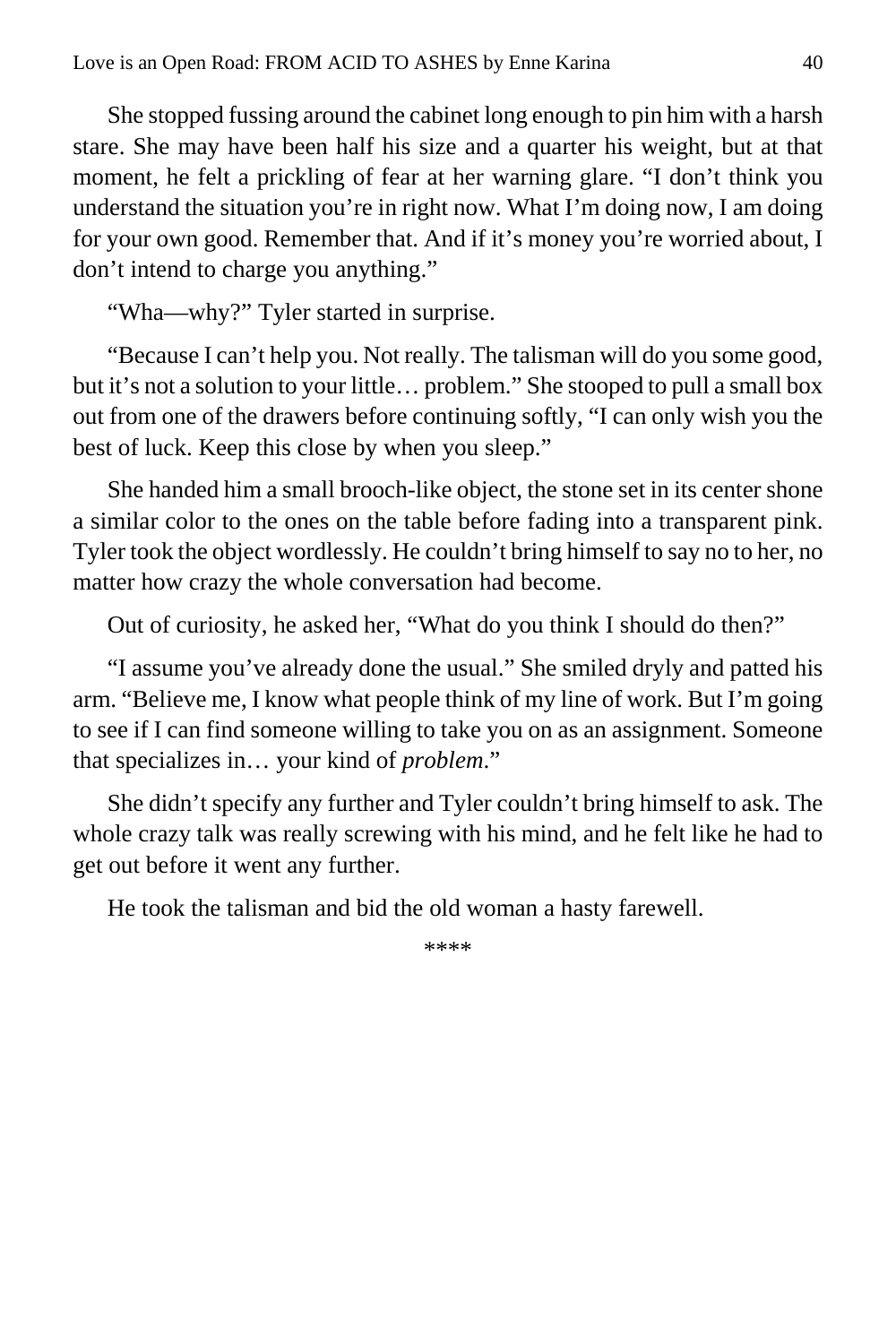She stopped fussing around the cabinet long enough to pin him with a harsh stare. She may have been half his size and a quarter his weight, but at that moment, he felt a prickling of fear at her warning glare. "I don't think you understand the situation you're in right now. What I'm doing now, I am doing for your own good. Remember that. And if it's money you're worried about, I don't intend to charge you anything."

"Wha—why?" Tyler started in surprise.

"Because I can't help you. Not really. The talisman will do you some good, but it's not a solution to your little… problem." She stooped to pull a small box out from one of the drawers before continuing softly, "I can only wish you the best of luck. Keep this close by when you sleep."

She handed him a small brooch-like object, the stone set in its center shone a similar color to the ones on the table before fading into a transparent pink. Tyler took the object wordlessly. He couldn't bring himself to say no to her, no matter how crazy the whole conversation had become.

Out of curiosity, he asked her, "What do you think I should do then?"

"I assume you've already done the usual." She smiled dryly and patted his arm. "Believe me, I know what people think of my line of work. But I'm going to see if I can find someone willing to take you on as an assignment. Someone that specializes in… your kind of *problem*."

She didn't specify any further and Tyler couldn't bring himself to ask. The whole crazy talk was really screwing with his mind, and he felt like he had to get out before it went any further.

He took the talisman and bid the old woman a hasty farewell.

\*\*\*\*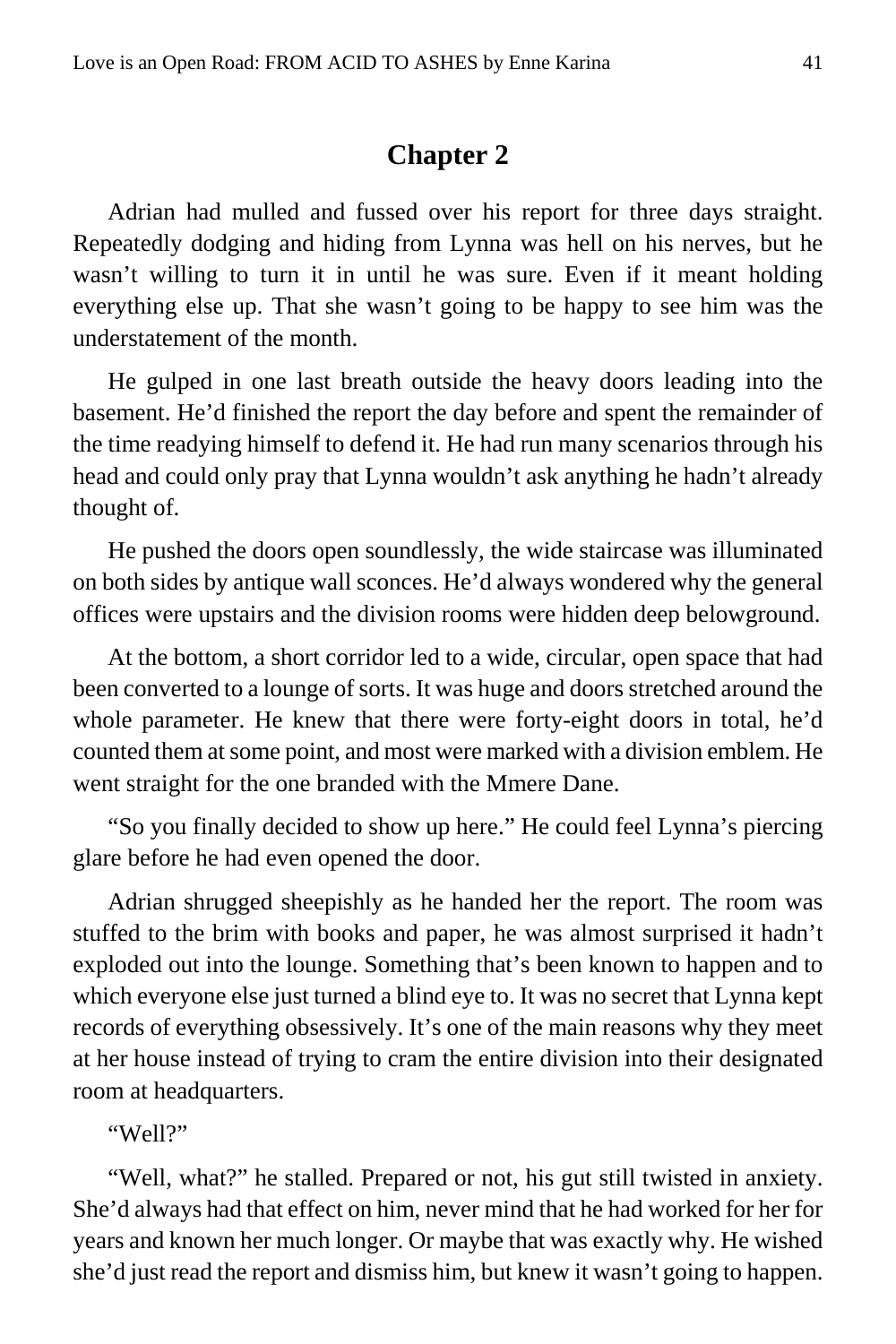## **Chapter 2**

Adrian had mulled and fussed over his report for three days straight. Repeatedly dodging and hiding from Lynna was hell on his nerves, but he wasn't willing to turn it in until he was sure. Even if it meant holding everything else up. That she wasn't going to be happy to see him was the understatement of the month.

He gulped in one last breath outside the heavy doors leading into the basement. He'd finished the report the day before and spent the remainder of the time readying himself to defend it. He had run many scenarios through his head and could only pray that Lynna wouldn't ask anything he hadn't already thought of.

He pushed the doors open soundlessly, the wide staircase was illuminated on both sides by antique wall sconces. He'd always wondered why the general offices were upstairs and the division rooms were hidden deep belowground.

At the bottom, a short corridor led to a wide, circular, open space that had been converted to a lounge of sorts. It was huge and doors stretched around the whole parameter. He knew that there were forty-eight doors in total, he'd counted them at some point, and most were marked with a division emblem. He went straight for the one branded with the Mmere Dane.

"So you finally decided to show up here." He could feel Lynna's piercing glare before he had even opened the door.

Adrian shrugged sheepishly as he handed her the report. The room was stuffed to the brim with books and paper, he was almost surprised it hadn't exploded out into the lounge. Something that's been known to happen and to which everyone else just turned a blind eye to. It was no secret that Lynna kept records of everything obsessively. It's one of the main reasons why they meet at her house instead of trying to cram the entire division into their designated room at headquarters.

"Well?"

"Well, what?" he stalled. Prepared or not, his gut still twisted in anxiety. She'd always had that effect on him, never mind that he had worked for her for years and known her much longer. Or maybe that was exactly why. He wished she'd just read the report and dismiss him, but knew it wasn't going to happen.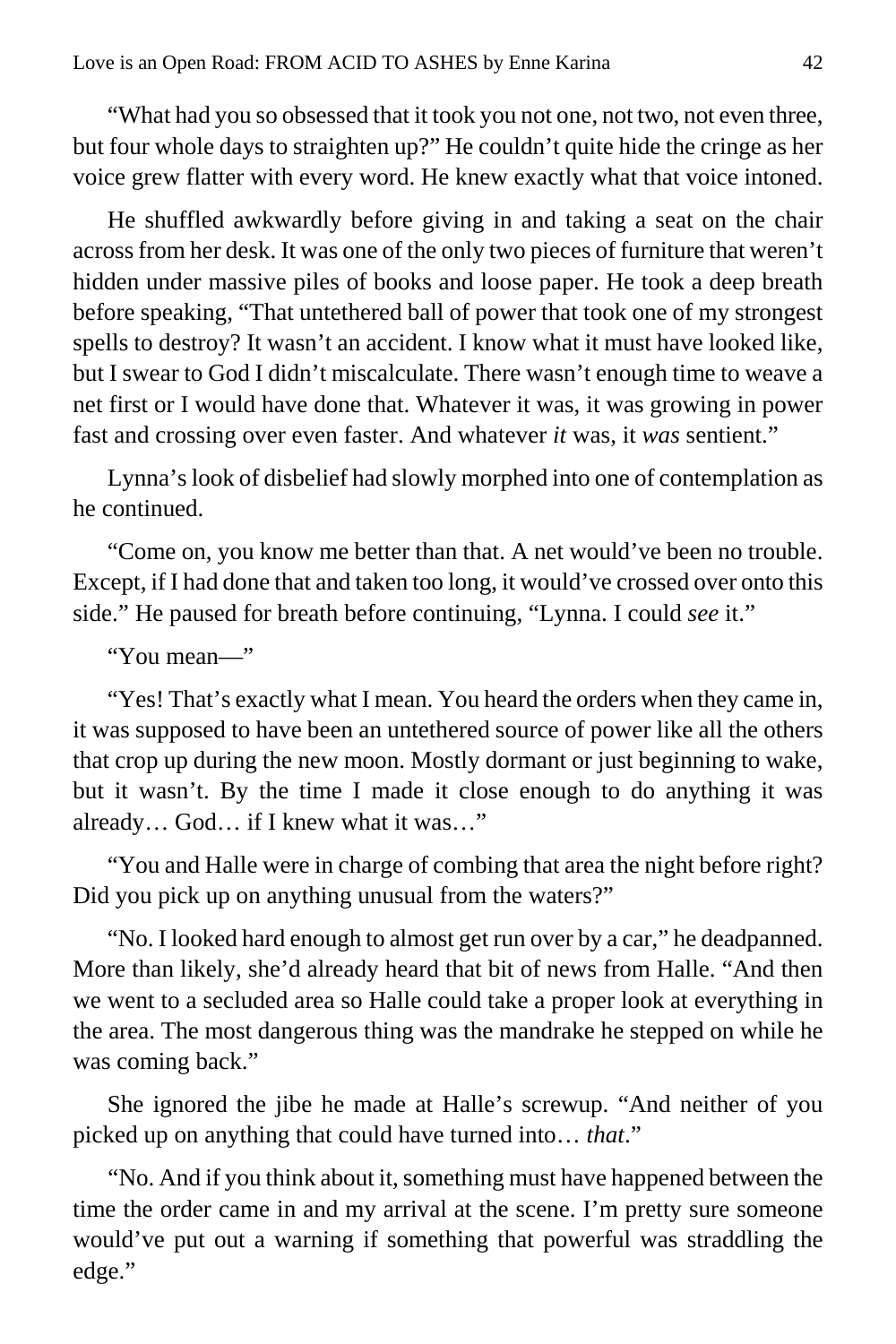"What had you so obsessed that it took you not one, not two, not even three, but four whole days to straighten up?" He couldn't quite hide the cringe as her voice grew flatter with every word. He knew exactly what that voice intoned.

He shuffled awkwardly before giving in and taking a seat on the chair across from her desk. It was one of the only two pieces of furniture that weren't hidden under massive piles of books and loose paper. He took a deep breath before speaking, "That untethered ball of power that took one of my strongest spells to destroy? It wasn't an accident. I know what it must have looked like, but I swear to God I didn't miscalculate. There wasn't enough time to weave a net first or I would have done that. Whatever it was, it was growing in power fast and crossing over even faster. And whatever *it* was, it *was* sentient."

Lynna's look of disbelief had slowly morphed into one of contemplation as he continued.

"Come on, you know me better than that. A net would've been no trouble. Except, if I had done that and taken too long, it would've crossed over onto this side." He paused for breath before continuing, "Lynna. I could *see* it."

"You mean—"

"Yes! That's exactly what I mean. You heard the orders when they came in, it was supposed to have been an untethered source of power like all the others that crop up during the new moon. Mostly dormant or just beginning to wake, but it wasn't. By the time I made it close enough to do anything it was already… God… if I knew what it was…"

"You and Halle were in charge of combing that area the night before right? Did you pick up on anything unusual from the waters?"

"No. I looked hard enough to almost get run over by a car," he deadpanned. More than likely, she'd already heard that bit of news from Halle. "And then we went to a secluded area so Halle could take a proper look at everything in the area. The most dangerous thing was the mandrake he stepped on while he was coming back."

She ignored the jibe he made at Halle's screwup. "And neither of you picked up on anything that could have turned into… *that*."

"No. And if you think about it, something must have happened between the time the order came in and my arrival at the scene. I'm pretty sure someone would've put out a warning if something that powerful was straddling the edge."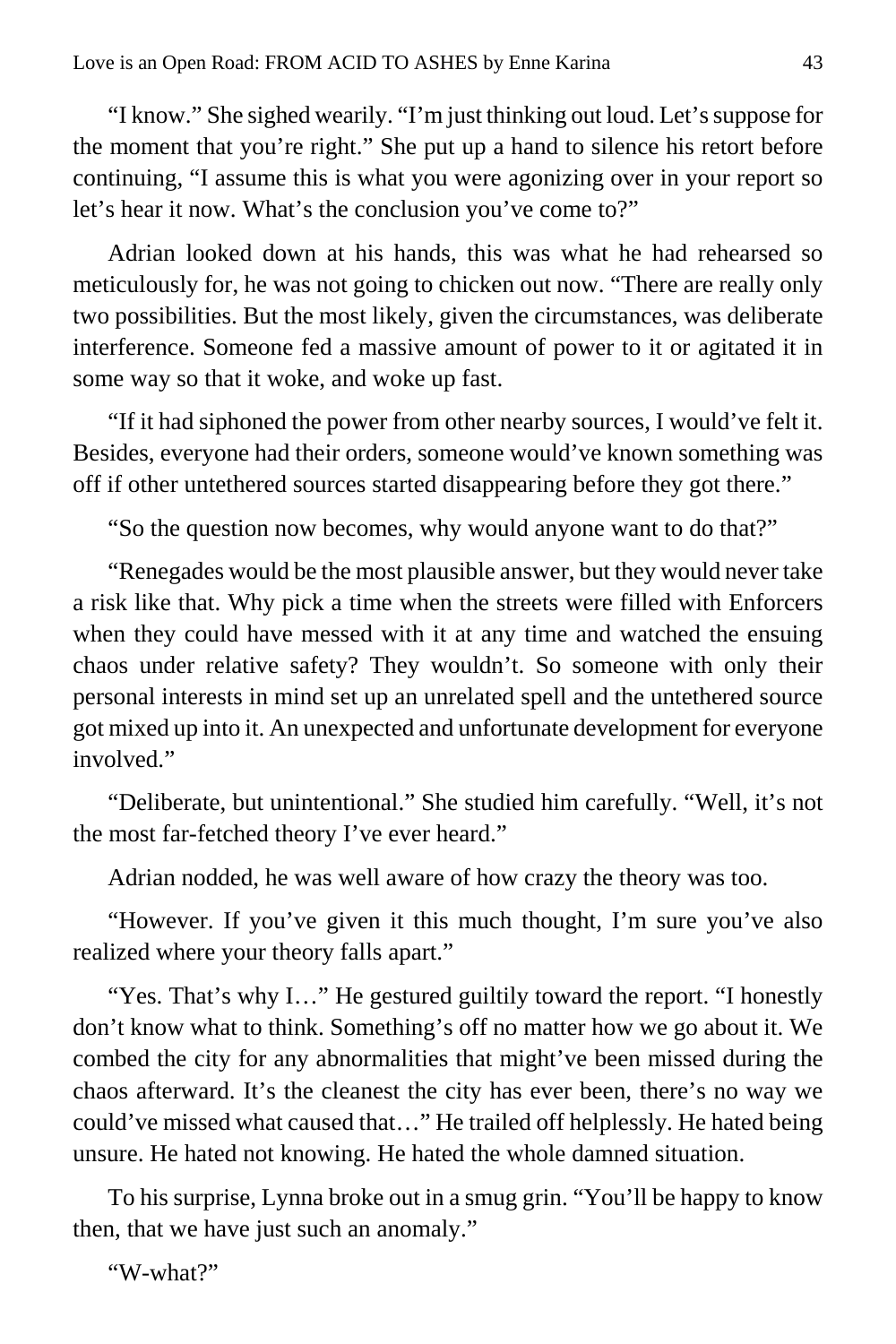"I know." She sighed wearily. "I'm just thinking out loud. Let's suppose for the moment that you're right." She put up a hand to silence his retort before continuing, "I assume this is what you were agonizing over in your report so let's hear it now. What's the conclusion you've come to?"

Adrian looked down at his hands, this was what he had rehearsed so meticulously for, he was not going to chicken out now. "There are really only two possibilities. But the most likely, given the circumstances, was deliberate interference. Someone fed a massive amount of power to it or agitated it in some way so that it woke, and woke up fast.

"If it had siphoned the power from other nearby sources, I would've felt it. Besides, everyone had their orders, someone would've known something was off if other untethered sources started disappearing before they got there."

"So the question now becomes, why would anyone want to do that?"

"Renegades would be the most plausible answer, but they would never take a risk like that. Why pick a time when the streets were filled with Enforcers when they could have messed with it at any time and watched the ensuing chaos under relative safety? They wouldn't. So someone with only their personal interests in mind set up an unrelated spell and the untethered source got mixed up into it. An unexpected and unfortunate development for everyone involved."

"Deliberate, but unintentional." She studied him carefully. "Well, it's not the most far-fetched theory I've ever heard."

Adrian nodded, he was well aware of how crazy the theory was too.

"However. If you've given it this much thought, I'm sure you've also realized where your theory falls apart."

"Yes. That's why I…" He gestured guiltily toward the report. "I honestly don't know what to think. Something's off no matter how we go about it. We combed the city for any abnormalities that might've been missed during the chaos afterward. It's the cleanest the city has ever been, there's no way we could've missed what caused that…" He trailed off helplessly. He hated being unsure. He hated not knowing. He hated the whole damned situation.

To his surprise, Lynna broke out in a smug grin. "You'll be happy to know then, that we have just such an anomaly."

"W-what?"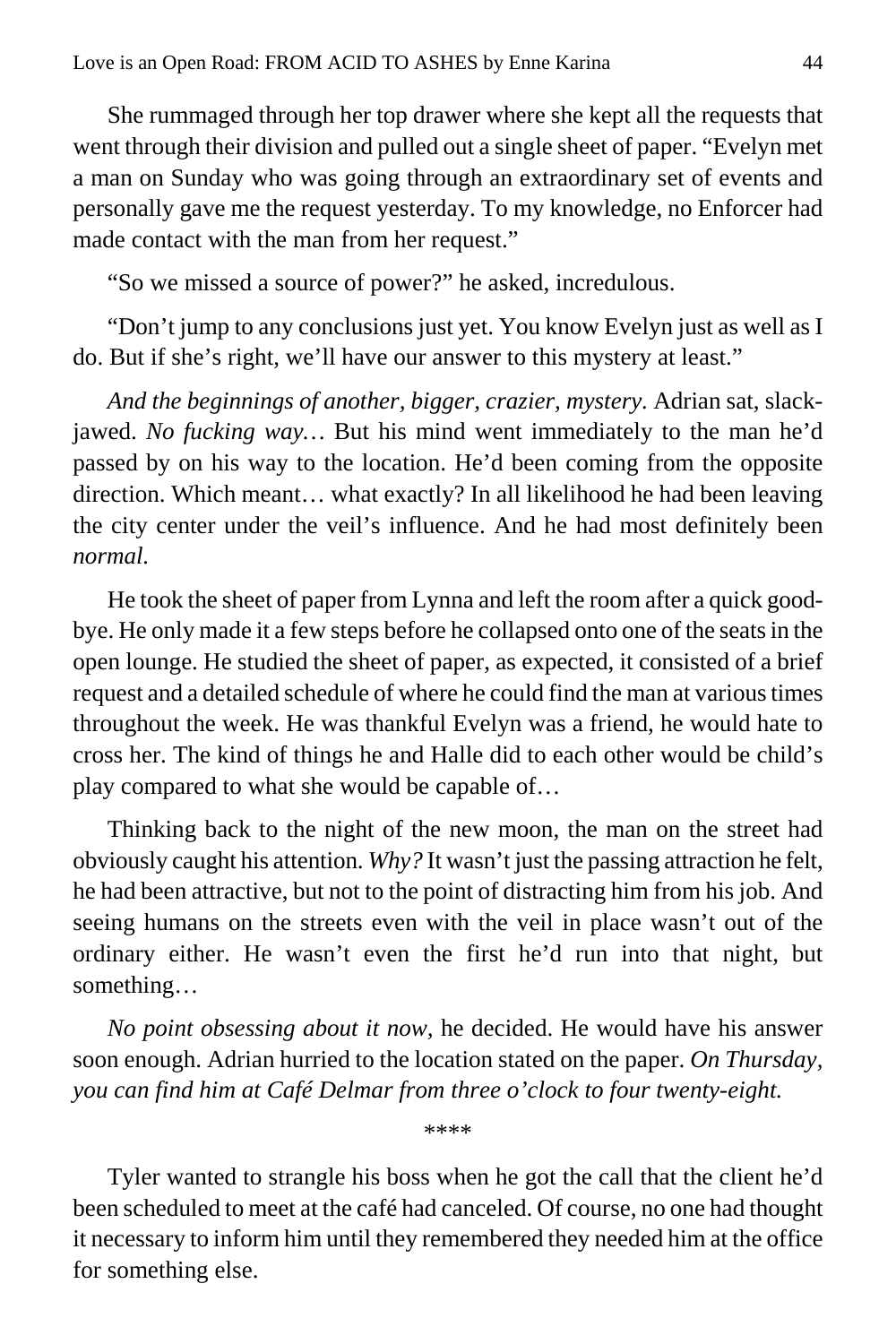She rummaged through her top drawer where she kept all the requests that went through their division and pulled out a single sheet of paper. "Evelyn met a man on Sunday who was going through an extraordinary set of events and personally gave me the request yesterday. To my knowledge, no Enforcer had made contact with the man from her request."

"So we missed a source of power?" he asked, incredulous.

"Don't jump to any conclusions just yet. You know Evelyn just as well as I do. But if she's right, we'll have our answer to this mystery at least."

*And the beginnings of another, bigger, crazier, mystery.* Adrian sat, slackjawed. *No fucking way…* But his mind went immediately to the man he'd passed by on his way to the location. He'd been coming from the opposite direction. Which meant… what exactly? In all likelihood he had been leaving the city center under the veil's influence. And he had most definitely been *normal.*

He took the sheet of paper from Lynna and left the room after a quick goodbye. He only made it a few steps before he collapsed onto one of the seats in the open lounge. He studied the sheet of paper, as expected, it consisted of a brief request and a detailed schedule of where he could find the man at various times throughout the week. He was thankful Evelyn was a friend, he would hate to cross her. The kind of things he and Halle did to each other would be child's play compared to what she would be capable of…

Thinking back to the night of the new moon, the man on the street had obviously caught his attention. *Why?* It wasn't just the passing attraction he felt, he had been attractive, but not to the point of distracting him from his job. And seeing humans on the streets even with the veil in place wasn't out of the ordinary either. He wasn't even the first he'd run into that night, but something…

*No point obsessing about it now,* he decided. He would have his answer soon enough. Adrian hurried to the location stated on the paper. *On Thursday, you can find him at Café Delmar from three o'clock to four twenty-eight.*

\*\*\*\*

Tyler wanted to strangle his boss when he got the call that the client he'd been scheduled to meet at the café had canceled. Of course, no one had thought it necessary to inform him until they remembered they needed him at the office for something else.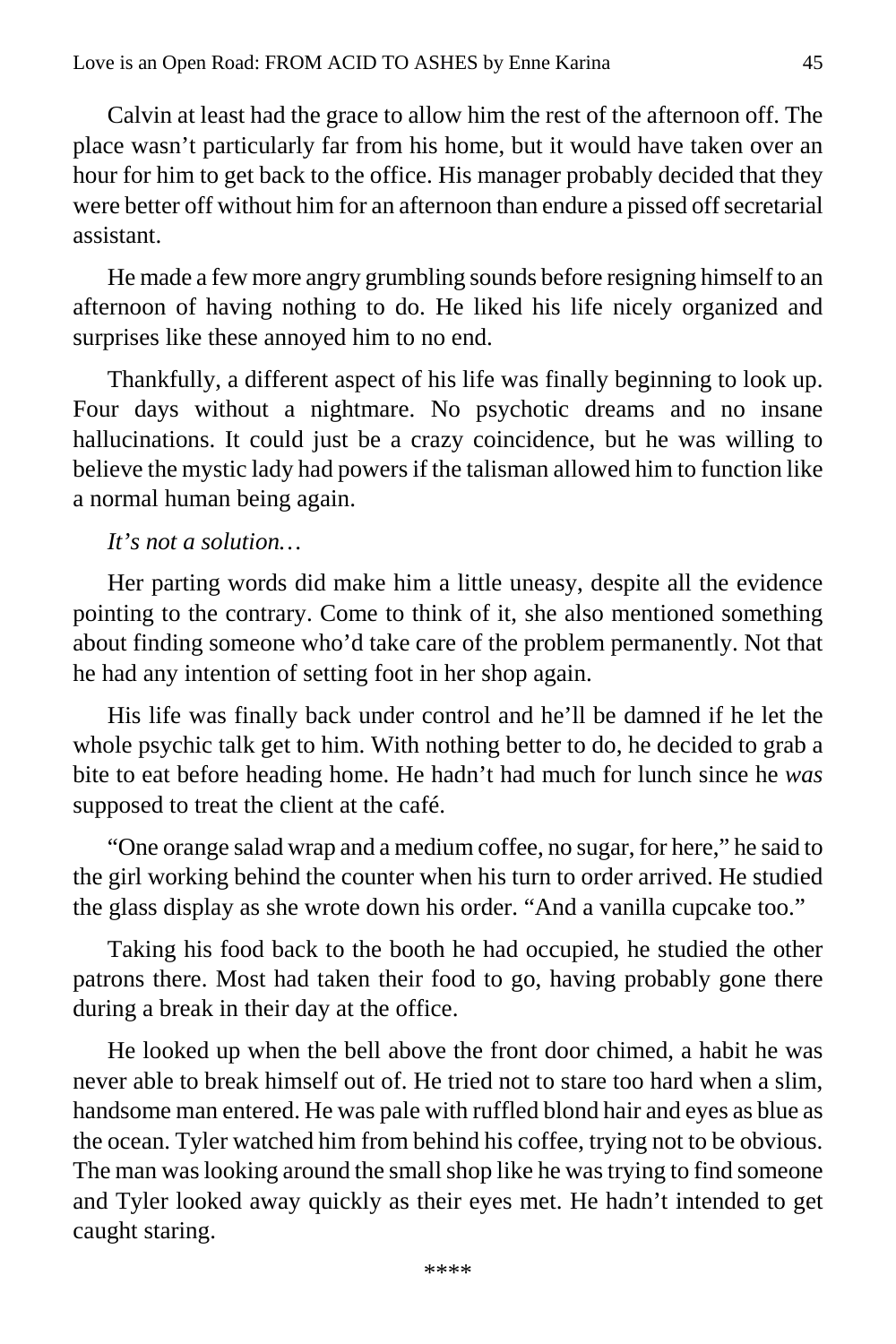Calvin at least had the grace to allow him the rest of the afternoon off. The place wasn't particularly far from his home, but it would have taken over an hour for him to get back to the office. His manager probably decided that they were better off without him for an afternoon than endure a pissed off secretarial assistant.

He made a few more angry grumbling sounds before resigning himself to an afternoon of having nothing to do. He liked his life nicely organized and surprises like these annoyed him to no end.

Thankfully, a different aspect of his life was finally beginning to look up. Four days without a nightmare. No psychotic dreams and no insane hallucinations. It could just be a crazy coincidence, but he was willing to believe the mystic lady had powers if the talisman allowed him to function like a normal human being again.

#### *It's not a solution…*

Her parting words did make him a little uneasy, despite all the evidence pointing to the contrary. Come to think of it, she also mentioned something about finding someone who'd take care of the problem permanently. Not that he had any intention of setting foot in her shop again.

His life was finally back under control and he'll be damned if he let the whole psychic talk get to him. With nothing better to do, he decided to grab a bite to eat before heading home. He hadn't had much for lunch since he *was* supposed to treat the client at the café.

"One orange salad wrap and a medium coffee, no sugar, for here," he said to the girl working behind the counter when his turn to order arrived. He studied the glass display as she wrote down his order. "And a vanilla cupcake too."

Taking his food back to the booth he had occupied, he studied the other patrons there. Most had taken their food to go, having probably gone there during a break in their day at the office.

He looked up when the bell above the front door chimed, a habit he was never able to break himself out of. He tried not to stare too hard when a slim, handsome man entered. He was pale with ruffled blond hair and eyes as blue as the ocean. Tyler watched him from behind his coffee, trying not to be obvious. The man was looking around the small shop like he was trying to find someone and Tyler looked away quickly as their eyes met. He hadn't intended to get caught staring.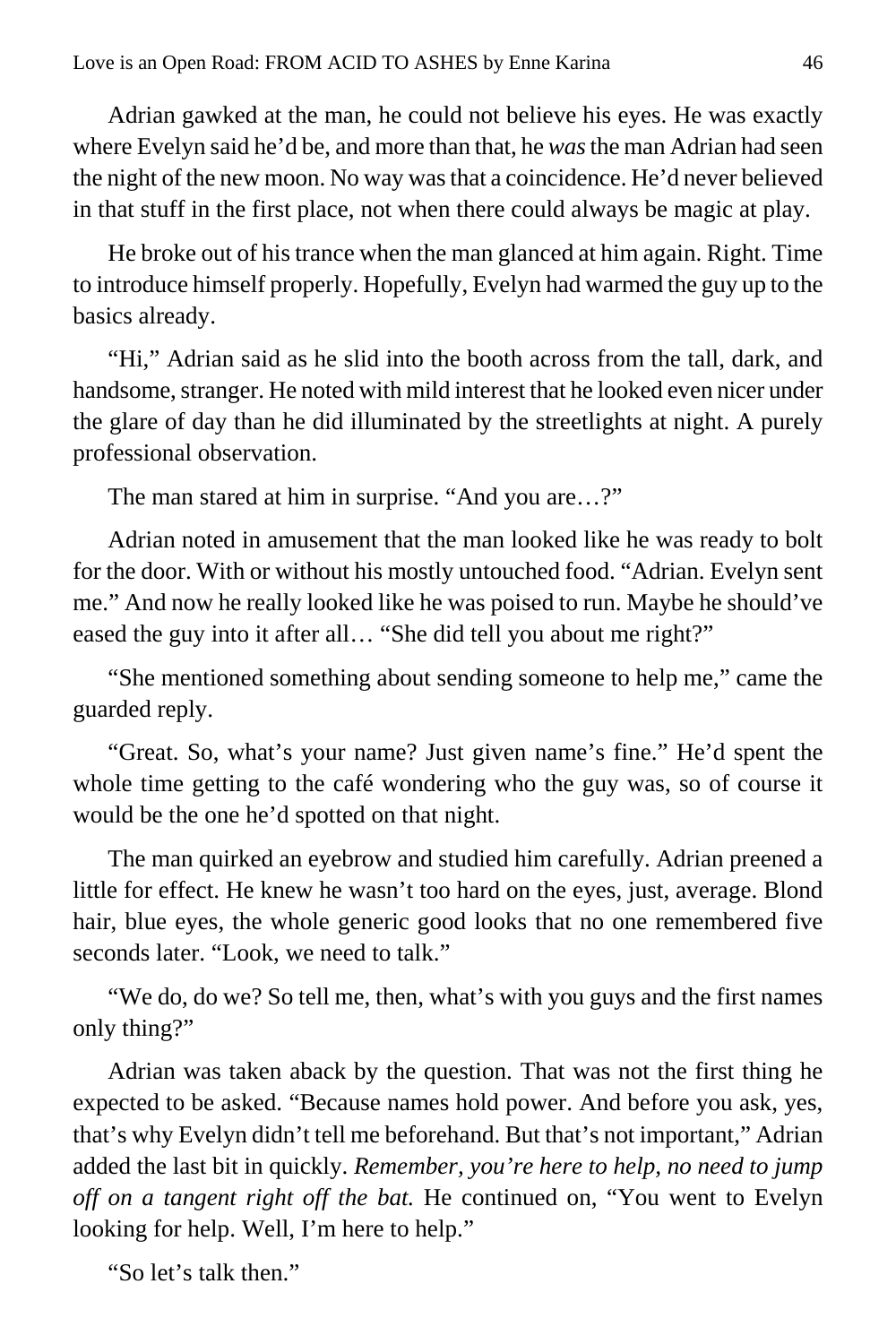Adrian gawked at the man, he could not believe his eyes. He was exactly where Evelyn said he'd be, and more than that, he *was*the man Adrian had seen the night of the new moon. No way was that a coincidence. He'd never believed in that stuff in the first place, not when there could always be magic at play.

He broke out of his trance when the man glanced at him again. Right. Time to introduce himself properly. Hopefully, Evelyn had warmed the guy up to the basics already.

"Hi," Adrian said as he slid into the booth across from the tall, dark, and handsome, stranger. He noted with mild interest that he looked even nicer under the glare of day than he did illuminated by the streetlights at night. A purely professional observation.

The man stared at him in surprise. "And you are…?"

Adrian noted in amusement that the man looked like he was ready to bolt for the door. With or without his mostly untouched food. "Adrian. Evelyn sent me." And now he really looked like he was poised to run. Maybe he should've eased the guy into it after all… "She did tell you about me right?"

"She mentioned something about sending someone to help me," came the guarded reply.

"Great. So, what's your name? Just given name's fine." He'd spent the whole time getting to the café wondering who the guy was, so of course it would be the one he'd spotted on that night.

The man quirked an eyebrow and studied him carefully. Adrian preened a little for effect. He knew he wasn't too hard on the eyes, just, average. Blond hair, blue eyes, the whole generic good looks that no one remembered five seconds later. "Look, we need to talk."

"We do, do we? So tell me, then, what's with you guys and the first names only thing?"

Adrian was taken aback by the question. That was not the first thing he expected to be asked. "Because names hold power. And before you ask, yes, that's why Evelyn didn't tell me beforehand. But that's not important," Adrian added the last bit in quickly. *Remember, you're here to help, no need to jump off on a tangent right off the bat.* He continued on, "You went to Evelyn looking for help. Well, I'm here to help."

"So let's talk then."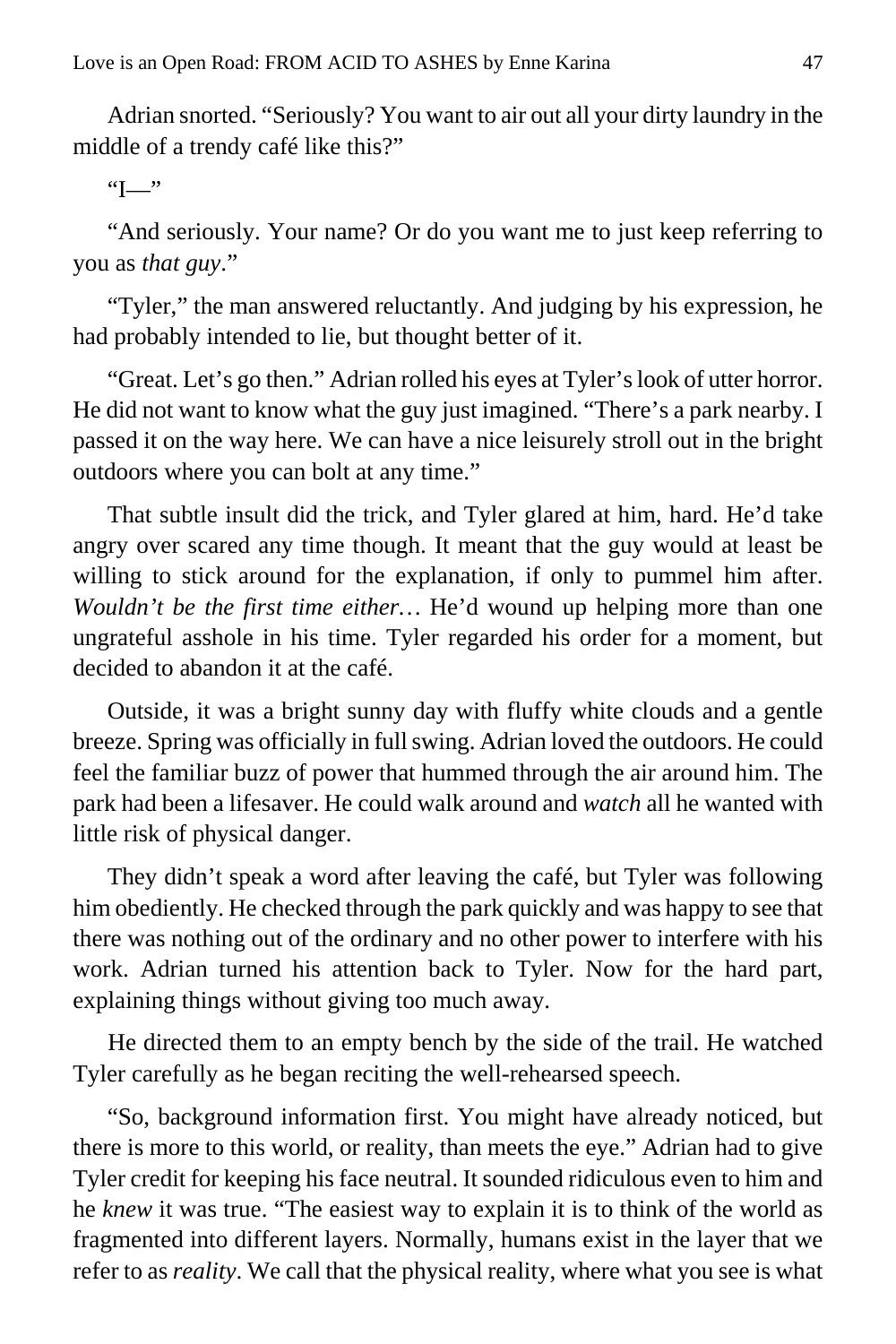Adrian snorted. "Seriously? You want to air out all your dirty laundry in the middle of a trendy café like this?"

"I—"

"And seriously. Your name? Or do you want me to just keep referring to you as *that guy*."

"Tyler," the man answered reluctantly. And judging by his expression, he had probably intended to lie, but thought better of it.

"Great. Let's go then." Adrian rolled his eyes at Tyler's look of utter horror. He did not want to know what the guy just imagined. "There's a park nearby. I passed it on the way here. We can have a nice leisurely stroll out in the bright outdoors where you can bolt at any time."

That subtle insult did the trick, and Tyler glared at him, hard. He'd take angry over scared any time though. It meant that the guy would at least be willing to stick around for the explanation, if only to pummel him after. *Wouldn't be the first time either…* He'd wound up helping more than one ungrateful asshole in his time. Tyler regarded his order for a moment, but decided to abandon it at the café.

Outside, it was a bright sunny day with fluffy white clouds and a gentle breeze. Spring was officially in full swing. Adrian loved the outdoors. He could feel the familiar buzz of power that hummed through the air around him. The park had been a lifesaver. He could walk around and *watch* all he wanted with little risk of physical danger.

They didn't speak a word after leaving the café, but Tyler was following him obediently. He checked through the park quickly and was happy to see that there was nothing out of the ordinary and no other power to interfere with his work. Adrian turned his attention back to Tyler. Now for the hard part, explaining things without giving too much away.

He directed them to an empty bench by the side of the trail. He watched Tyler carefully as he began reciting the well-rehearsed speech.

"So, background information first. You might have already noticed, but there is more to this world, or reality, than meets the eye." Adrian had to give Tyler credit for keeping his face neutral. It sounded ridiculous even to him and he *knew* it was true. "The easiest way to explain it is to think of the world as fragmented into different layers. Normally, humans exist in the layer that we refer to as *reality*. We call that the physical reality, where what you see is what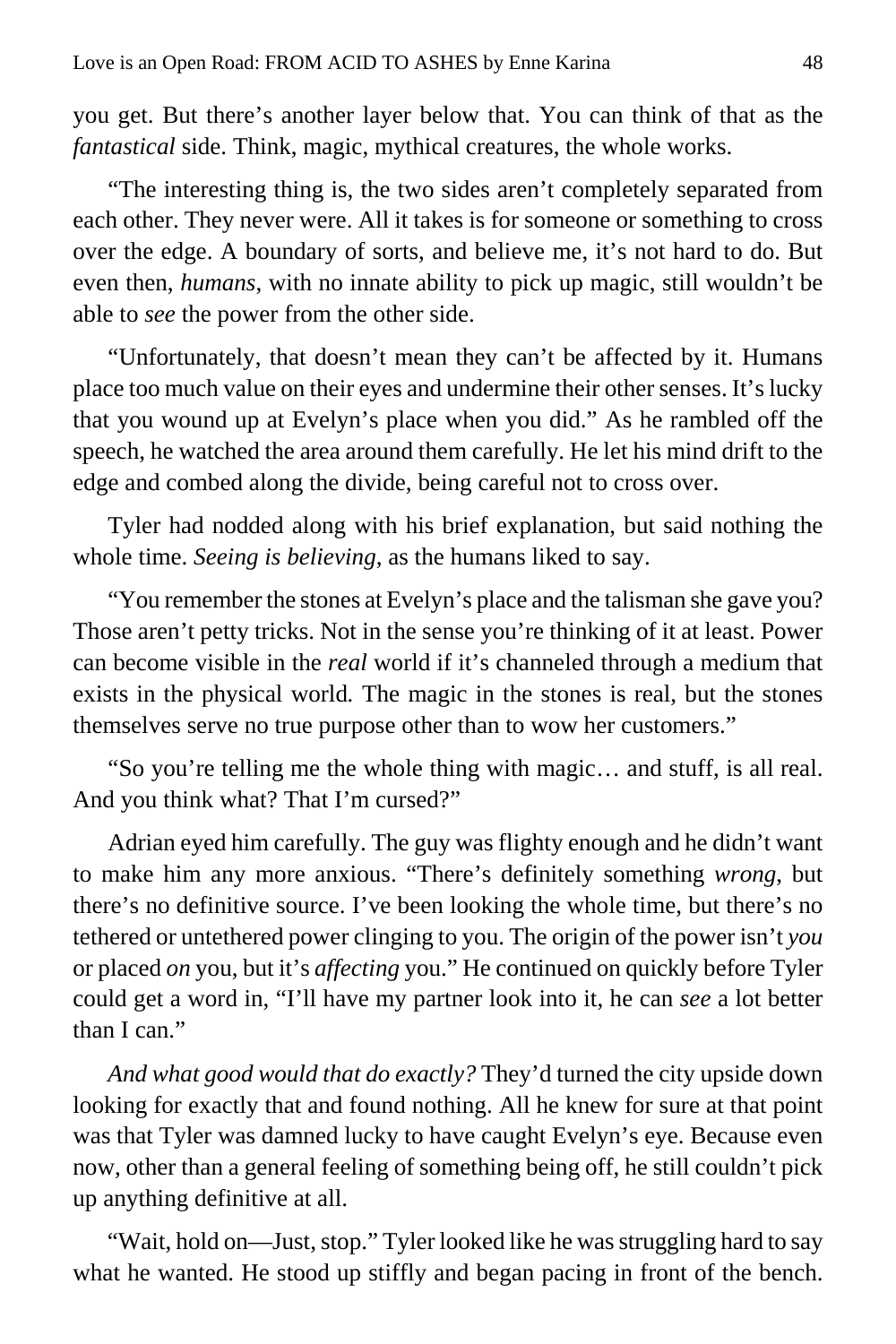you get. But there's another layer below that. You can think of that as the *fantastical* side. Think, magic, mythical creatures, the whole works.

"The interesting thing is, the two sides aren't completely separated from each other. They never were. All it takes is for someone or something to cross over the edge. A boundary of sorts, and believe me, it's not hard to do. But even then, *humans*, with no innate ability to pick up magic, still wouldn't be able to *see* the power from the other side.

"Unfortunately, that doesn't mean they can't be affected by it. Humans place too much value on their eyes and undermine their other senses. It's lucky that you wound up at Evelyn's place when you did." As he rambled off the speech, he watched the area around them carefully. He let his mind drift to the edge and combed along the divide, being careful not to cross over.

Tyler had nodded along with his brief explanation, but said nothing the whole time. *Seeing is believing*, as the humans liked to say.

"You remember the stones at Evelyn's place and the talisman she gave you? Those aren't petty tricks. Not in the sense you're thinking of it at least. Power can become visible in the *real* world if it's channeled through a medium that exists in the physical world*.* The magic in the stones is real, but the stones themselves serve no true purpose other than to wow her customers."

"So you're telling me the whole thing with magic… and stuff, is all real. And you think what? That I'm cursed?"

Adrian eyed him carefully. The guy was flighty enough and he didn't want to make him any more anxious. "There's definitely something *wrong*, but there's no definitive source. I've been looking the whole time, but there's no tethered or untethered power clinging to you. The origin of the power isn't *you* or placed *on* you, but it's *affecting* you." He continued on quickly before Tyler could get a word in, "I'll have my partner look into it, he can *see* a lot better than I can."

*And what good would that do exactly?* They'd turned the city upside down looking for exactly that and found nothing. All he knew for sure at that point was that Tyler was damned lucky to have caught Evelyn's eye. Because even now, other than a general feeling of something being off, he still couldn't pick up anything definitive at all.

"Wait, hold on—Just, stop." Tyler looked like he was struggling hard to say what he wanted. He stood up stiffly and began pacing in front of the bench.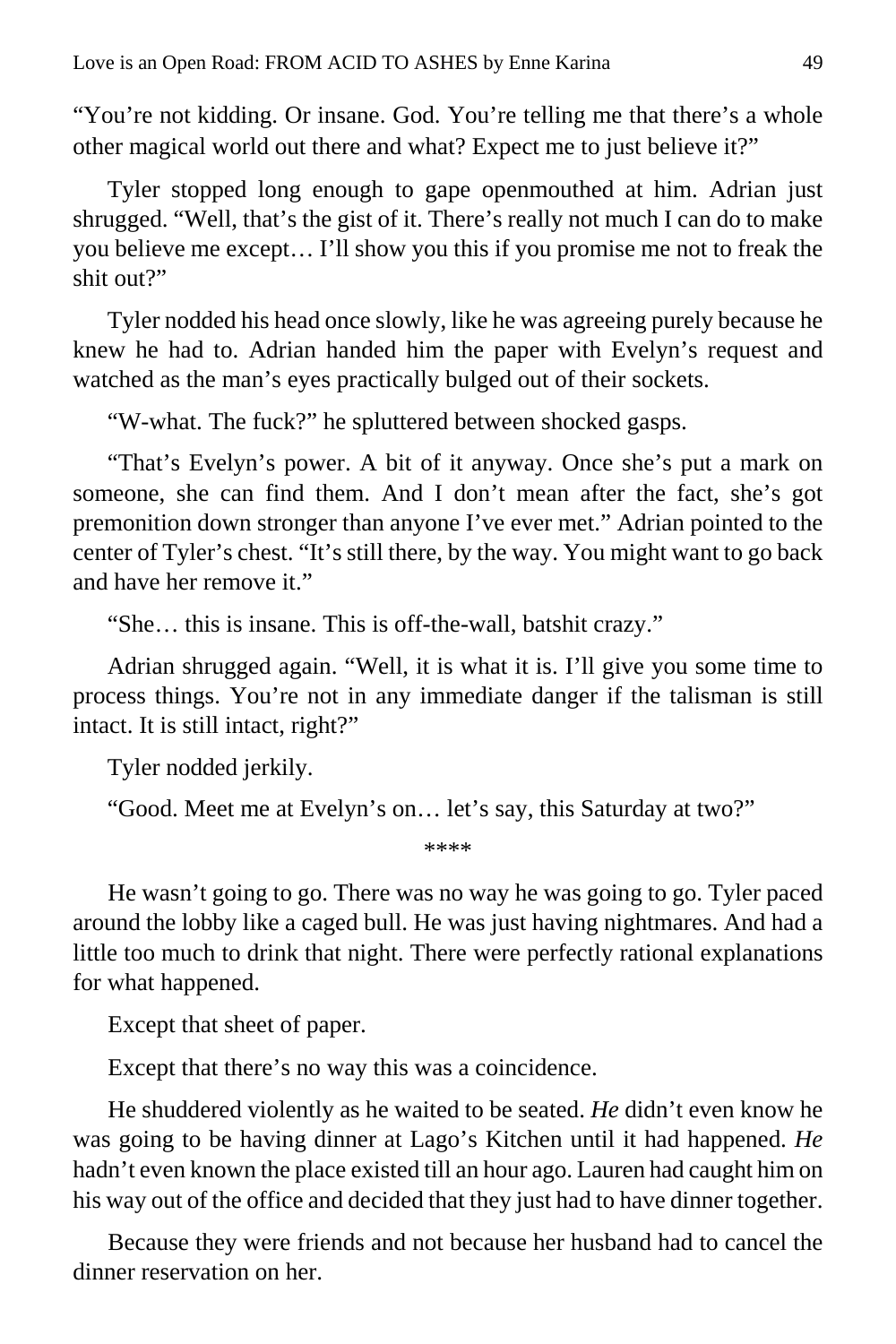"You're not kidding. Or insane. God. You're telling me that there's a whole other magical world out there and what? Expect me to just believe it?"

Tyler stopped long enough to gape openmouthed at him. Adrian just shrugged. "Well, that's the gist of it. There's really not much I can do to make you believe me except… I'll show you this if you promise me not to freak the shit out?"

Tyler nodded his head once slowly, like he was agreeing purely because he knew he had to. Adrian handed him the paper with Evelyn's request and watched as the man's eyes practically bulged out of their sockets.

"W-what. The fuck?" he spluttered between shocked gasps.

"That's Evelyn's power. A bit of it anyway. Once she's put a mark on someone, she can find them. And I don't mean after the fact, she's got premonition down stronger than anyone I've ever met." Adrian pointed to the center of Tyler's chest. "It's still there, by the way. You might want to go back and have her remove it."

"She… this is insane. This is off-the-wall, batshit crazy."

Adrian shrugged again. "Well, it is what it is. I'll give you some time to process things. You're not in any immediate danger if the talisman is still intact. It is still intact, right?"

Tyler nodded jerkily.

"Good. Meet me at Evelyn's on… let's say, this Saturday at two?"

\*\*\*\*

He wasn't going to go. There was no way he was going to go. Tyler paced around the lobby like a caged bull. He was just having nightmares. And had a little too much to drink that night. There were perfectly rational explanations for what happened.

Except that sheet of paper.

Except that there's no way this was a coincidence.

He shuddered violently as he waited to be seated. *He* didn't even know he was going to be having dinner at Lago's Kitchen until it had happened. *He* hadn't even known the place existed till an hour ago. Lauren had caught him on his way out of the office and decided that they just had to have dinner together.

Because they were friends and not because her husband had to cancel the dinner reservation on her.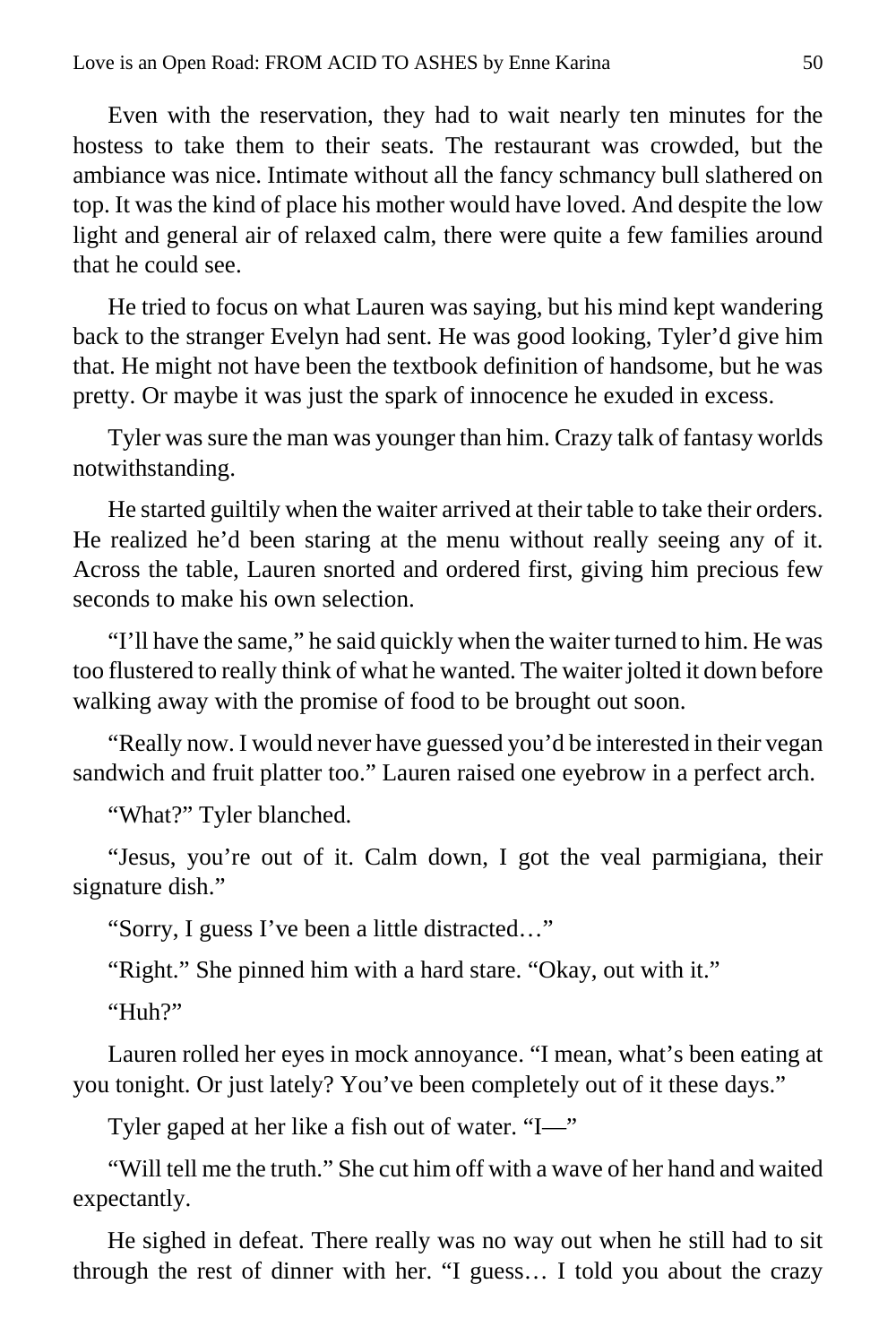Even with the reservation, they had to wait nearly ten minutes for the hostess to take them to their seats. The restaurant was crowded, but the ambiance was nice. Intimate without all the fancy schmancy bull slathered on top. It was the kind of place his mother would have loved. And despite the low light and general air of relaxed calm, there were quite a few families around that he could see.

He tried to focus on what Lauren was saying, but his mind kept wandering back to the stranger Evelyn had sent. He was good looking, Tyler'd give him that. He might not have been the textbook definition of handsome, but he was pretty. Or maybe it was just the spark of innocence he exuded in excess.

Tyler was sure the man was younger than him. Crazy talk of fantasy worlds notwithstanding.

He started guiltily when the waiter arrived at their table to take their orders. He realized he'd been staring at the menu without really seeing any of it. Across the table, Lauren snorted and ordered first, giving him precious few seconds to make his own selection.

"I'll have the same," he said quickly when the waiter turned to him. He was too flustered to really think of what he wanted. The waiter jolted it down before walking away with the promise of food to be brought out soon.

"Really now. I would never have guessed you'd be interested in their vegan sandwich and fruit platter too." Lauren raised one eyebrow in a perfect arch.

"What?" Tyler blanched.

"Jesus, you're out of it. Calm down, I got the veal parmigiana, their signature dish."

"Sorry, I guess I've been a little distracted…"

"Right." She pinned him with a hard stare. "Okay, out with it."

"Huh?"

Lauren rolled her eyes in mock annoyance. "I mean, what's been eating at you tonight. Or just lately? You've been completely out of it these days."

Tyler gaped at her like a fish out of water. "I—"

"Will tell me the truth." She cut him off with a wave of her hand and waited expectantly.

He sighed in defeat. There really was no way out when he still had to sit through the rest of dinner with her. "I guess… I told you about the crazy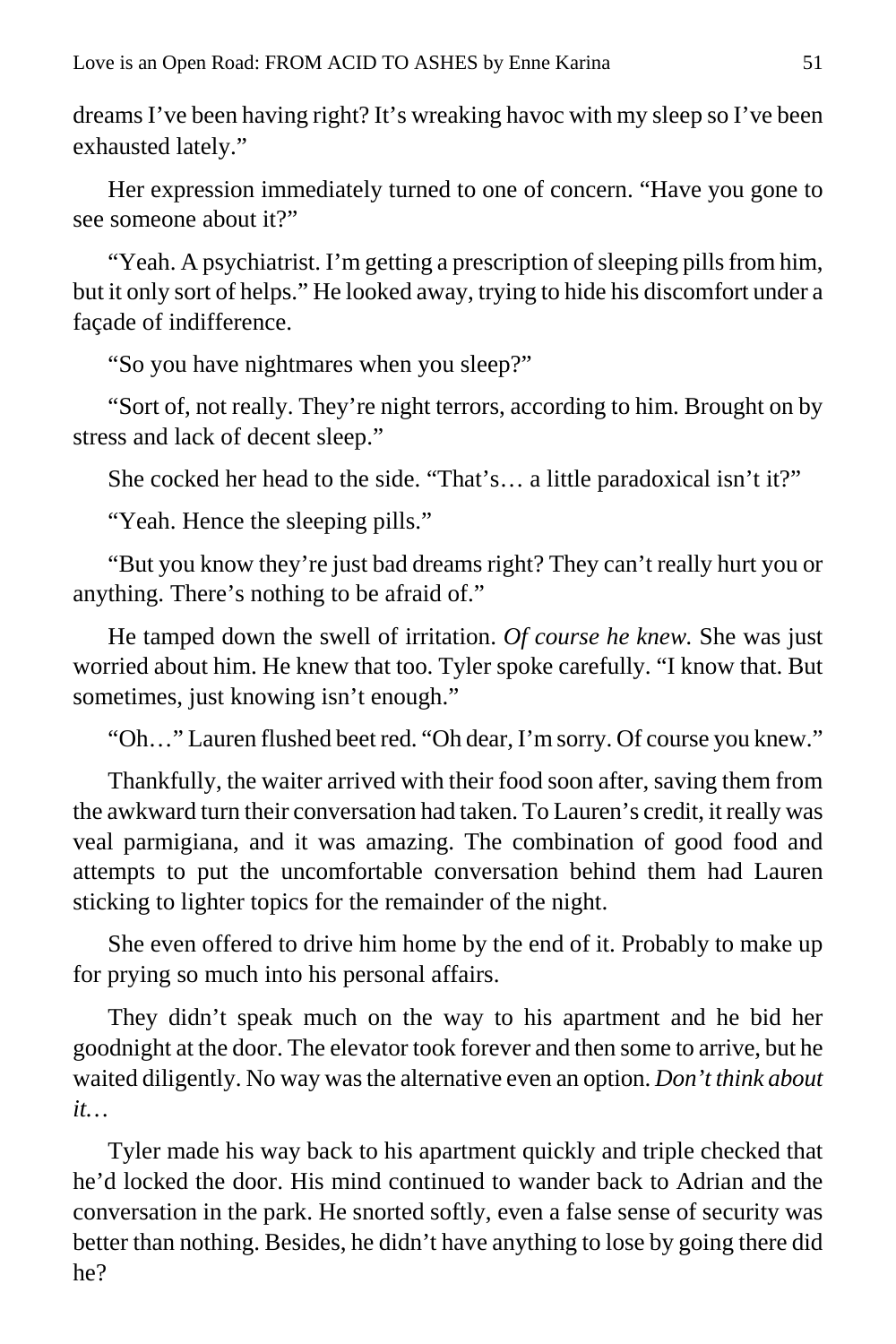dreams I've been having right? It's wreaking havoc with my sleep so I've been exhausted lately."

Her expression immediately turned to one of concern. "Have you gone to see someone about it?"

"Yeah. A psychiatrist. I'm getting a prescription of sleeping pills from him, but it only sort of helps." He looked away, trying to hide his discomfort under a façade of indifference.

"So you have nightmares when you sleep?"

"Sort of, not really. They're night terrors, according to him. Brought on by stress and lack of decent sleep."

She cocked her head to the side. "That's… a little paradoxical isn't it?"

"Yeah. Hence the sleeping pills."

"But you know they're just bad dreams right? They can't really hurt you or anything. There's nothing to be afraid of."

He tamped down the swell of irritation. *Of course he knew.* She was just worried about him. He knew that too. Tyler spoke carefully. "I know that. But sometimes, just knowing isn't enough."

"Oh…" Lauren flushed beet red. "Oh dear, I'm sorry. Of course you knew."

Thankfully, the waiter arrived with their food soon after, saving them from the awkward turn their conversation had taken. To Lauren's credit, it really was veal parmigiana, and it was amazing. The combination of good food and attempts to put the uncomfortable conversation behind them had Lauren sticking to lighter topics for the remainder of the night.

She even offered to drive him home by the end of it. Probably to make up for prying so much into his personal affairs.

They didn't speak much on the way to his apartment and he bid her goodnight at the door. The elevator took forever and then some to arrive, but he waited diligently. No way was the alternative even an option. *Don't think about it…*

Tyler made his way back to his apartment quickly and triple checked that he'd locked the door. His mind continued to wander back to Adrian and the conversation in the park. He snorted softly, even a false sense of security was better than nothing. Besides, he didn't have anything to lose by going there did he?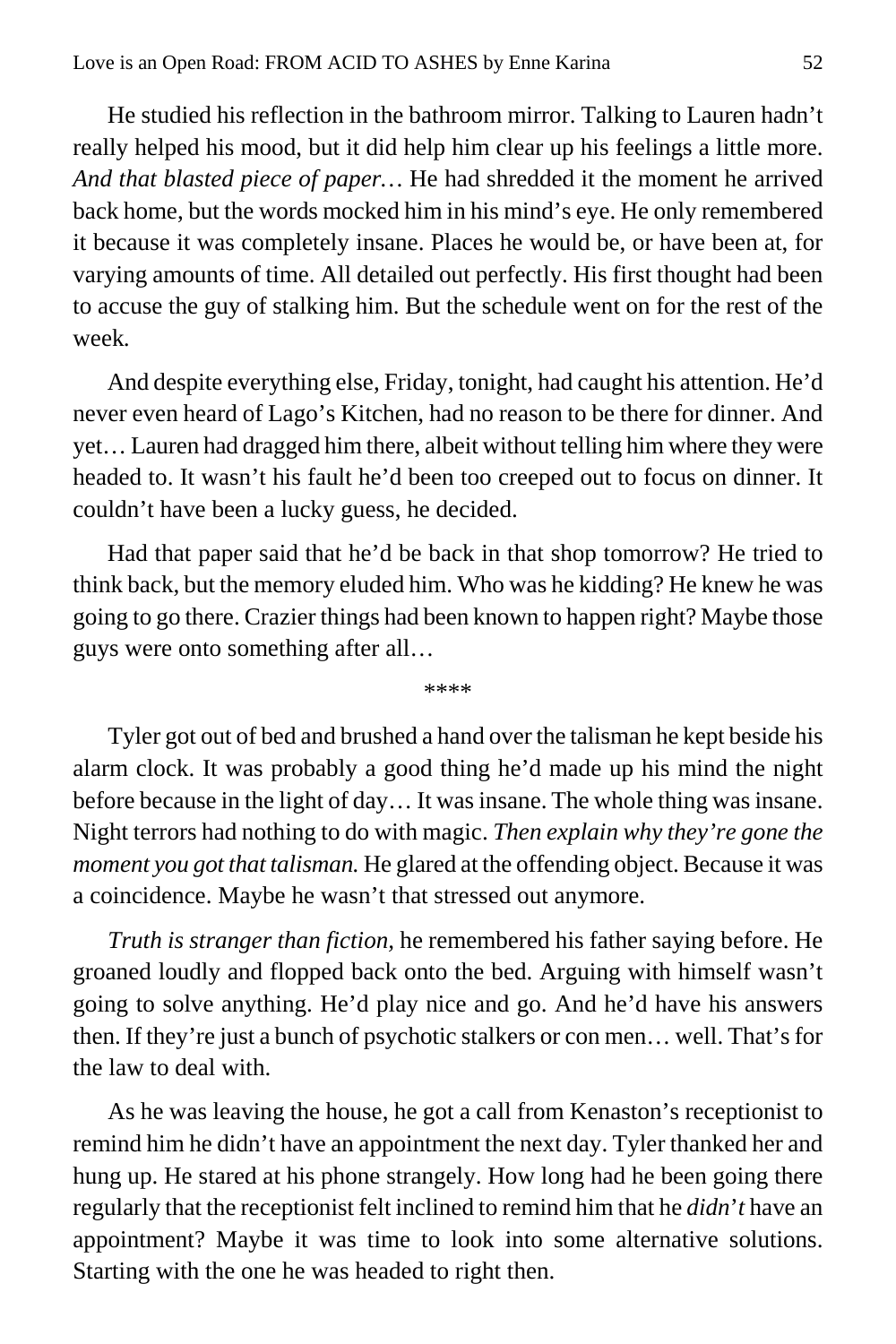He studied his reflection in the bathroom mirror. Talking to Lauren hadn't really helped his mood, but it did help him clear up his feelings a little more. *And that blasted piece of paper…* He had shredded it the moment he arrived back home, but the words mocked him in his mind's eye. He only remembered it because it was completely insane. Places he would be, or have been at, for varying amounts of time. All detailed out perfectly. His first thought had been to accuse the guy of stalking him. But the schedule went on for the rest of the week*.*

And despite everything else, Friday, tonight, had caught his attention. He'd never even heard of Lago's Kitchen, had no reason to be there for dinner. And yet… Lauren had dragged him there, albeit without telling him where they were headed to. It wasn't his fault he'd been too creeped out to focus on dinner. It couldn't have been a lucky guess, he decided.

Had that paper said that he'd be back in that shop tomorrow? He tried to think back, but the memory eluded him. Who was he kidding? He knew he was going to go there. Crazier things had been known to happen right? Maybe those guys were onto something after all…

\*\*\*\*

Tyler got out of bed and brushed a hand over the talisman he kept beside his alarm clock. It was probably a good thing he'd made up his mind the night before because in the light of day… It was insane. The whole thing was insane. Night terrors had nothing to do with magic. *Then explain why they're gone the moment you got that talisman.* He glared at the offending object. Because it was a coincidence. Maybe he wasn't that stressed out anymore.

*Truth is stranger than fiction,* he remembered his father saying before. He groaned loudly and flopped back onto the bed. Arguing with himself wasn't going to solve anything. He'd play nice and go. And he'd have his answers then. If they're just a bunch of psychotic stalkers or con men… well. That's for the law to deal with.

As he was leaving the house, he got a call from Kenaston's receptionist to remind him he didn't have an appointment the next day. Tyler thanked her and hung up. He stared at his phone strangely. How long had he been going there regularly that the receptionist felt inclined to remind him that he *didn*'*t* have an appointment? Maybe it was time to look into some alternative solutions. Starting with the one he was headed to right then.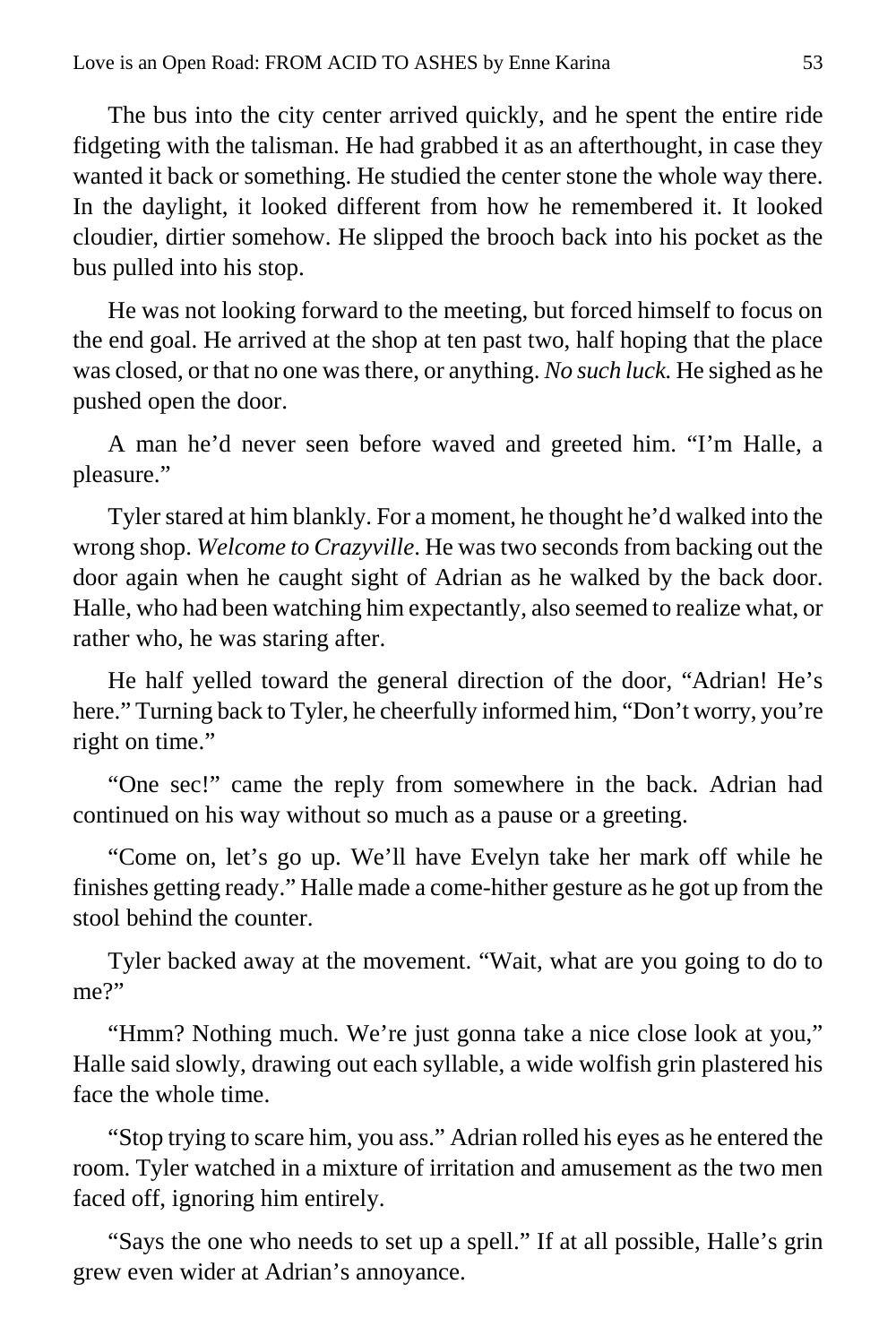The bus into the city center arrived quickly, and he spent the entire ride fidgeting with the talisman. He had grabbed it as an afterthought, in case they wanted it back or something. He studied the center stone the whole way there. In the daylight, it looked different from how he remembered it. It looked cloudier, dirtier somehow. He slipped the brooch back into his pocket as the bus pulled into his stop.

He was not looking forward to the meeting, but forced himself to focus on the end goal. He arrived at the shop at ten past two, half hoping that the place was closed, or that no one was there, or anything. *No such luck.* He sighed as he pushed open the door.

A man he'd never seen before waved and greeted him. "I'm Halle, a pleasure."

Tyler stared at him blankly. For a moment, he thought he'd walked into the wrong shop. *Welcome to Crazyville*. He was two seconds from backing out the door again when he caught sight of Adrian as he walked by the back door. Halle, who had been watching him expectantly, also seemed to realize what, or rather who, he was staring after.

He half yelled toward the general direction of the door, "Adrian! He's here." Turning back to Tyler, he cheerfully informed him, "Don't worry, you're right on time."

"One sec!" came the reply from somewhere in the back. Adrian had continued on his way without so much as a pause or a greeting.

"Come on, let's go up. We'll have Evelyn take her mark off while he finishes getting ready." Halle made a come-hither gesture as he got up from the stool behind the counter.

Tyler backed away at the movement. "Wait, what are you going to do to me?"

"Hmm? Nothing much. We're just gonna take a nice close look at you," Halle said slowly, drawing out each syllable, a wide wolfish grin plastered his face the whole time.

"Stop trying to scare him, you ass." Adrian rolled his eyes as he entered the room. Tyler watched in a mixture of irritation and amusement as the two men faced off, ignoring him entirely.

"Says the one who needs to set up a spell." If at all possible, Halle's grin grew even wider at Adrian's annoyance.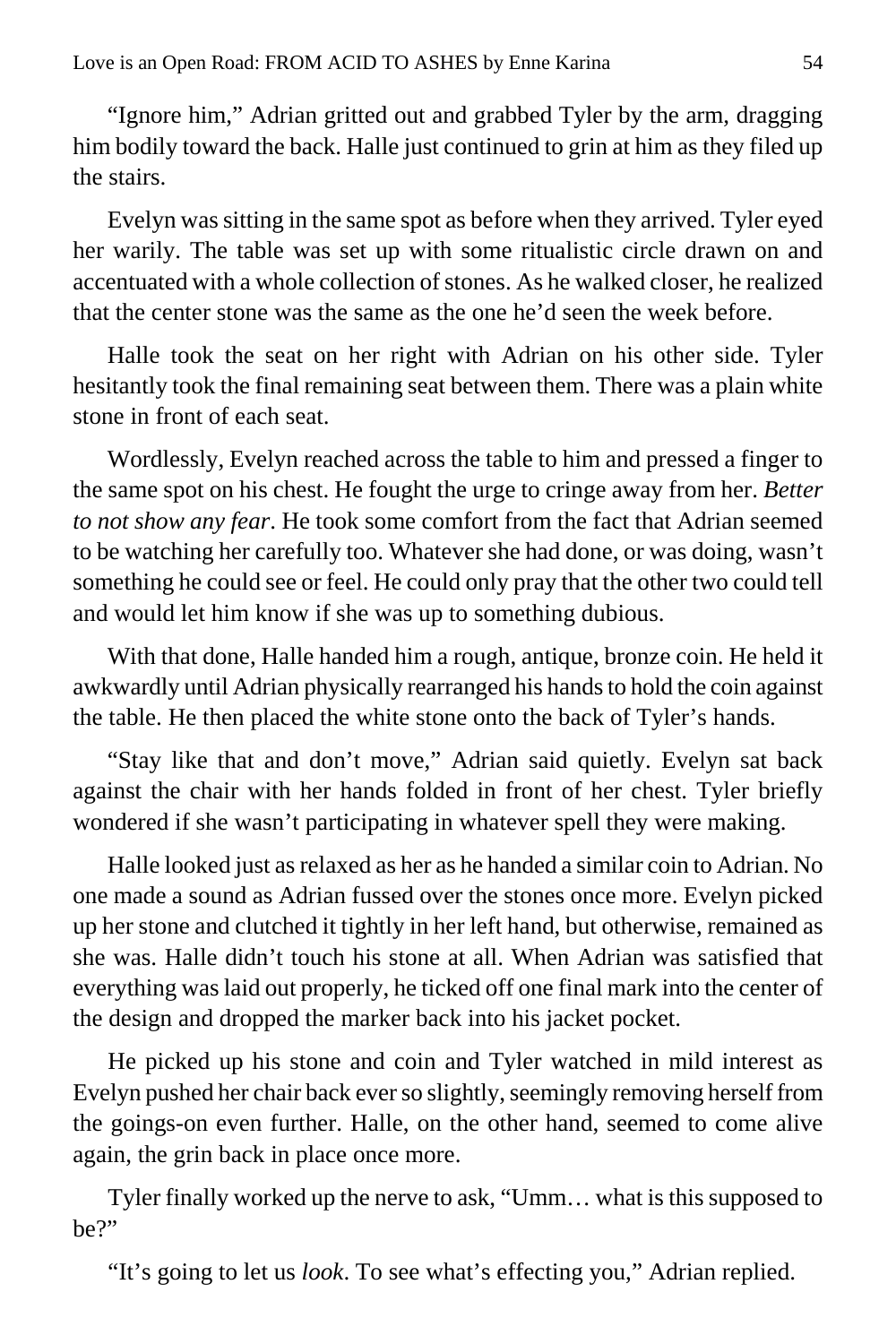"Ignore him," Adrian gritted out and grabbed Tyler by the arm, dragging him bodily toward the back. Halle just continued to grin at him as they filed up the stairs.

Evelyn was sitting in the same spot as before when they arrived. Tyler eyed her warily. The table was set up with some ritualistic circle drawn on and accentuated with a whole collection of stones. As he walked closer, he realized that the center stone was the same as the one he'd seen the week before.

Halle took the seat on her right with Adrian on his other side. Tyler hesitantly took the final remaining seat between them. There was a plain white stone in front of each seat.

Wordlessly, Evelyn reached across the table to him and pressed a finger to the same spot on his chest. He fought the urge to cringe away from her. *Better to not show any fear*. He took some comfort from the fact that Adrian seemed to be watching her carefully too. Whatever she had done, or was doing, wasn't something he could see or feel. He could only pray that the other two could tell and would let him know if she was up to something dubious.

With that done, Halle handed him a rough, antique, bronze coin. He held it awkwardly until Adrian physically rearranged his hands to hold the coin against the table. He then placed the white stone onto the back of Tyler's hands.

"Stay like that and don't move," Adrian said quietly. Evelyn sat back against the chair with her hands folded in front of her chest. Tyler briefly wondered if she wasn't participating in whatever spell they were making.

Halle looked just as relaxed as her as he handed a similar coin to Adrian. No one made a sound as Adrian fussed over the stones once more. Evelyn picked up her stone and clutched it tightly in her left hand, but otherwise, remained as she was. Halle didn't touch his stone at all. When Adrian was satisfied that everything was laid out properly, he ticked off one final mark into the center of the design and dropped the marker back into his jacket pocket.

He picked up his stone and coin and Tyler watched in mild interest as Evelyn pushed her chair back ever so slightly, seemingly removing herself from the goings-on even further. Halle, on the other hand, seemed to come alive again, the grin back in place once more.

Tyler finally worked up the nerve to ask, "Umm… what is this supposed to  $he$ ?"

"It's going to let us *look*. To see what's effecting you," Adrian replied.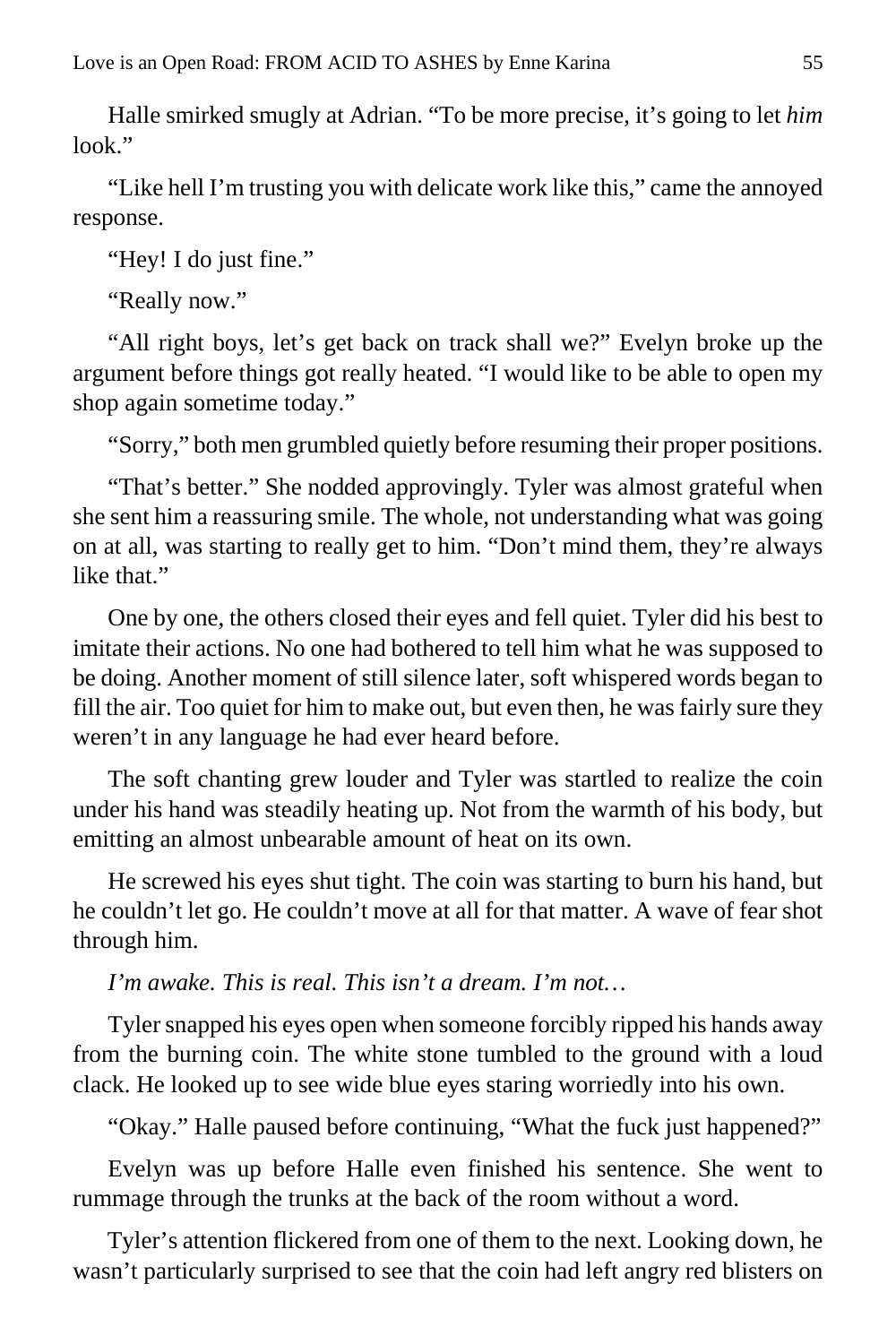Halle smirked smugly at Adrian. "To be more precise, it's going to let *him* look."

"Like hell I'm trusting you with delicate work like this," came the annoyed response.

"Hey! I do just fine."

"Really now."

"All right boys, let's get back on track shall we?" Evelyn broke up the argument before things got really heated. "I would like to be able to open my shop again sometime today."

"Sorry," both men grumbled quietly before resuming their proper positions.

"That's better." She nodded approvingly. Tyler was almost grateful when she sent him a reassuring smile. The whole, not understanding what was going on at all, was starting to really get to him. "Don't mind them, they're always like that."

One by one, the others closed their eyes and fell quiet. Tyler did his best to imitate their actions. No one had bothered to tell him what he was supposed to be doing. Another moment of still silence later, soft whispered words began to fill the air. Too quiet for him to make out, but even then, he was fairly sure they weren't in any language he had ever heard before.

The soft chanting grew louder and Tyler was startled to realize the coin under his hand was steadily heating up. Not from the warmth of his body, but emitting an almost unbearable amount of heat on its own.

He screwed his eyes shut tight. The coin was starting to burn his hand, but he couldn't let go. He couldn't move at all for that matter. A wave of fear shot through him.

*I'm awake. This is real. This isn't a dream. I'm not…*

Tyler snapped his eyes open when someone forcibly ripped his hands away from the burning coin. The white stone tumbled to the ground with a loud clack. He looked up to see wide blue eyes staring worriedly into his own.

"Okay." Halle paused before continuing, "What the fuck just happened?"

Evelyn was up before Halle even finished his sentence. She went to rummage through the trunks at the back of the room without a word.

Tyler's attention flickered from one of them to the next. Looking down, he wasn't particularly surprised to see that the coin had left angry red blisters on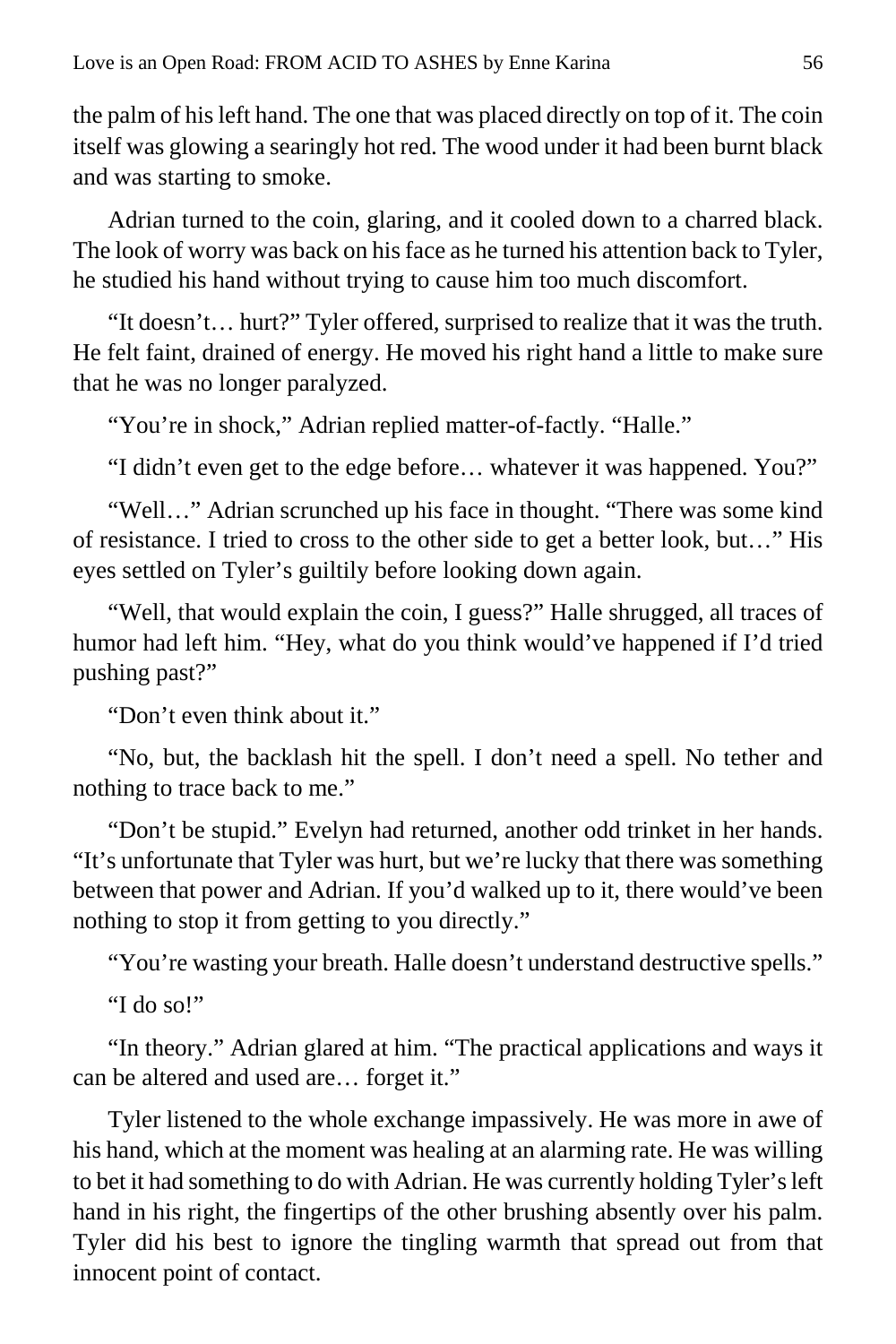the palm of his left hand. The one that was placed directly on top of it. The coin itself was glowing a searingly hot red. The wood under it had been burnt black and was starting to smoke.

Adrian turned to the coin, glaring, and it cooled down to a charred black. The look of worry was back on his face as he turned his attention back to Tyler, he studied his hand without trying to cause him too much discomfort.

"It doesn't… hurt?" Tyler offered, surprised to realize that it was the truth. He felt faint, drained of energy. He moved his right hand a little to make sure that he was no longer paralyzed.

"You're in shock," Adrian replied matter-of-factly. "Halle."

"I didn't even get to the edge before… whatever it was happened. You?"

"Well…" Adrian scrunched up his face in thought. "There was some kind of resistance. I tried to cross to the other side to get a better look, but…" His eyes settled on Tyler's guiltily before looking down again.

"Well, that would explain the coin, I guess?" Halle shrugged, all traces of humor had left him. "Hey, what do you think would've happened if I'd tried pushing past?"

"Don't even think about it."

"No, but, the backlash hit the spell. I don't need a spell. No tether and nothing to trace back to me."

"Don't be stupid." Evelyn had returned, another odd trinket in her hands. "It's unfortunate that Tyler was hurt, but we're lucky that there was something between that power and Adrian. If you'd walked up to it, there would've been nothing to stop it from getting to you directly."

"You're wasting your breath. Halle doesn't understand destructive spells."

"I do so!"

"In theory." Adrian glared at him. "The practical applications and ways it can be altered and used are… forget it."

Tyler listened to the whole exchange impassively. He was more in awe of his hand, which at the moment was healing at an alarming rate. He was willing to bet it had something to do with Adrian. He was currently holding Tyler's left hand in his right, the fingertips of the other brushing absently over his palm. Tyler did his best to ignore the tingling warmth that spread out from that innocent point of contact.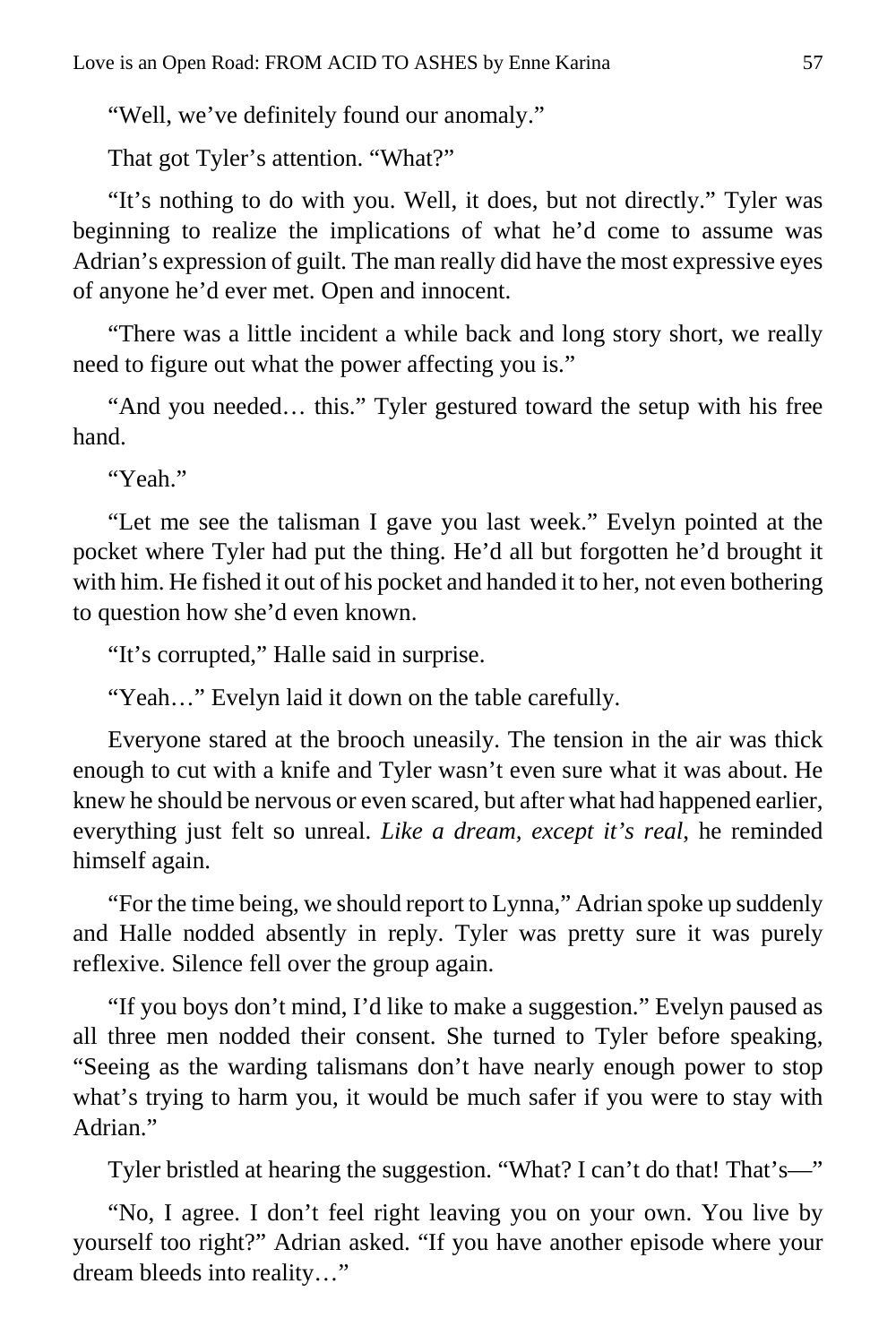"Well, we've definitely found our anomaly."

That got Tyler's attention. "What?"

"It's nothing to do with you. Well, it does, but not directly." Tyler was beginning to realize the implications of what he'd come to assume was Adrian's expression of guilt. The man really did have the most expressive eyes of anyone he'd ever met. Open and innocent.

"There was a little incident a while back and long story short, we really need to figure out what the power affecting you is."

"And you needed… this." Tyler gestured toward the setup with his free hand.

"Yeah."

"Let me see the talisman I gave you last week." Evelyn pointed at the pocket where Tyler had put the thing. He'd all but forgotten he'd brought it with him. He fished it out of his pocket and handed it to her, not even bothering to question how she'd even known.

"It's corrupted," Halle said in surprise.

"Yeah…" Evelyn laid it down on the table carefully.

Everyone stared at the brooch uneasily. The tension in the air was thick enough to cut with a knife and Tyler wasn't even sure what it was about. He knew he should be nervous or even scared, but after what had happened earlier, everything just felt so unreal. *Like a dream, except it's real*, he reminded himself again.

"For the time being, we should report to Lynna," Adrian spoke up suddenly and Halle nodded absently in reply. Tyler was pretty sure it was purely reflexive. Silence fell over the group again.

"If you boys don't mind, I'd like to make a suggestion." Evelyn paused as all three men nodded their consent. She turned to Tyler before speaking, "Seeing as the warding talismans don't have nearly enough power to stop what's trying to harm you, it would be much safer if you were to stay with Adrian."

Tyler bristled at hearing the suggestion. "What? I can't do that! That's—"

"No, I agree. I don't feel right leaving you on your own. You live by yourself too right?" Adrian asked. "If you have another episode where your dream bleeds into reality…"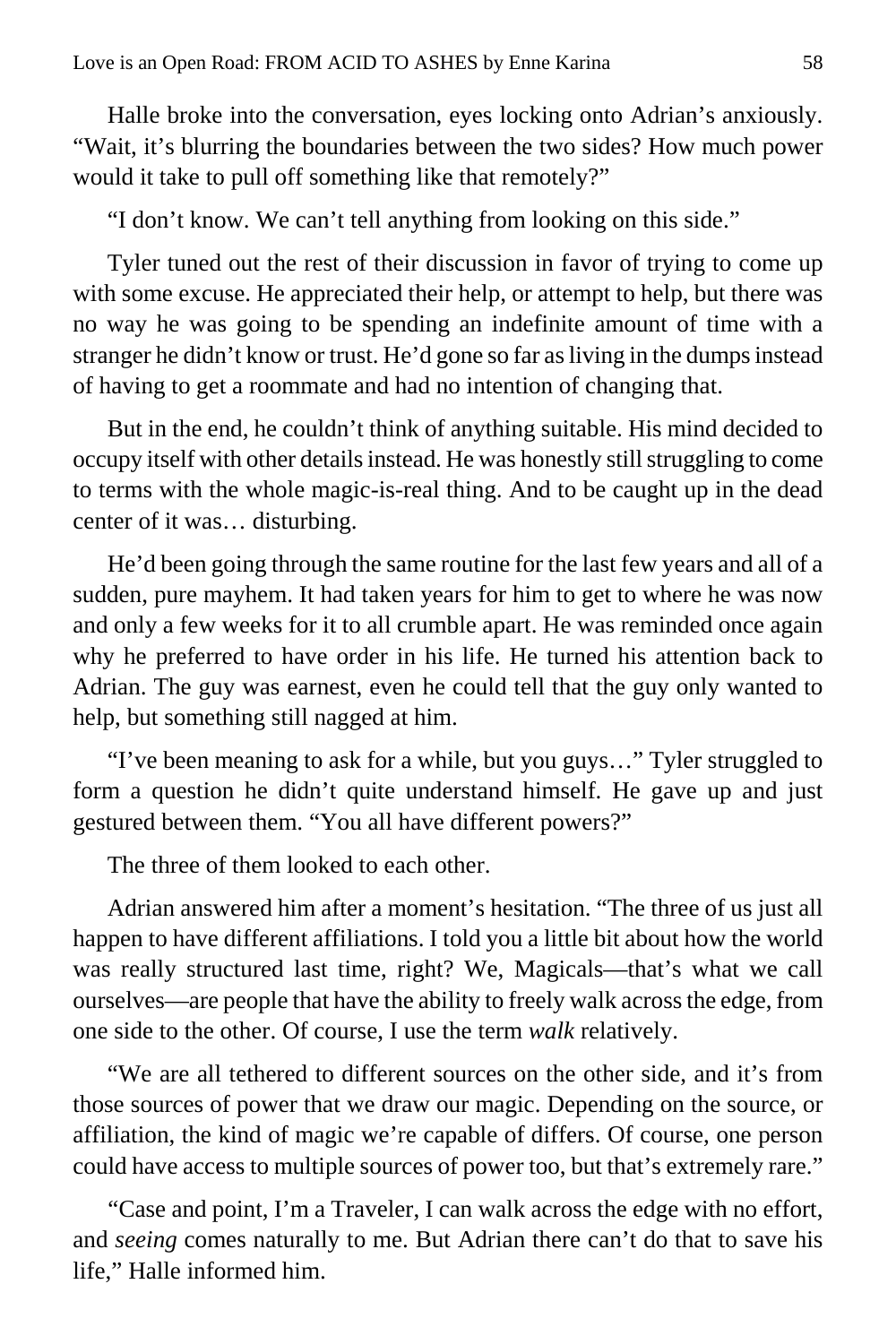Halle broke into the conversation, eyes locking onto Adrian's anxiously. "Wait, it's blurring the boundaries between the two sides? How much power would it take to pull off something like that remotely?"

"I don't know. We can't tell anything from looking on this side."

Tyler tuned out the rest of their discussion in favor of trying to come up with some excuse. He appreciated their help, or attempt to help, but there was no way he was going to be spending an indefinite amount of time with a stranger he didn't know or trust. He'd gone so far as living in the dumps instead of having to get a roommate and had no intention of changing that.

But in the end, he couldn't think of anything suitable. His mind decided to occupy itself with other details instead. He was honestly still struggling to come to terms with the whole magic-is-real thing. And to be caught up in the dead center of it was… disturbing.

He'd been going through the same routine for the last few years and all of a sudden, pure mayhem. It had taken years for him to get to where he was now and only a few weeks for it to all crumble apart. He was reminded once again why he preferred to have order in his life. He turned his attention back to Adrian. The guy was earnest, even he could tell that the guy only wanted to help, but something still nagged at him.

"I've been meaning to ask for a while, but you guys…" Tyler struggled to form a question he didn't quite understand himself. He gave up and just gestured between them. "You all have different powers?"

The three of them looked to each other.

Adrian answered him after a moment's hesitation. "The three of us just all happen to have different affiliations. I told you a little bit about how the world was really structured last time, right? We, Magicals—that's what we call ourselves—are people that have the ability to freely walk across the edge, from one side to the other. Of course, I use the term *walk* relatively.

"We are all tethered to different sources on the other side, and it's from those sources of power that we draw our magic. Depending on the source, or affiliation, the kind of magic we're capable of differs. Of course, one person could have access to multiple sources of power too, but that's extremely rare."

"Case and point, I'm a Traveler, I can walk across the edge with no effort, and *seeing* comes naturally to me. But Adrian there can't do that to save his life," Halle informed him.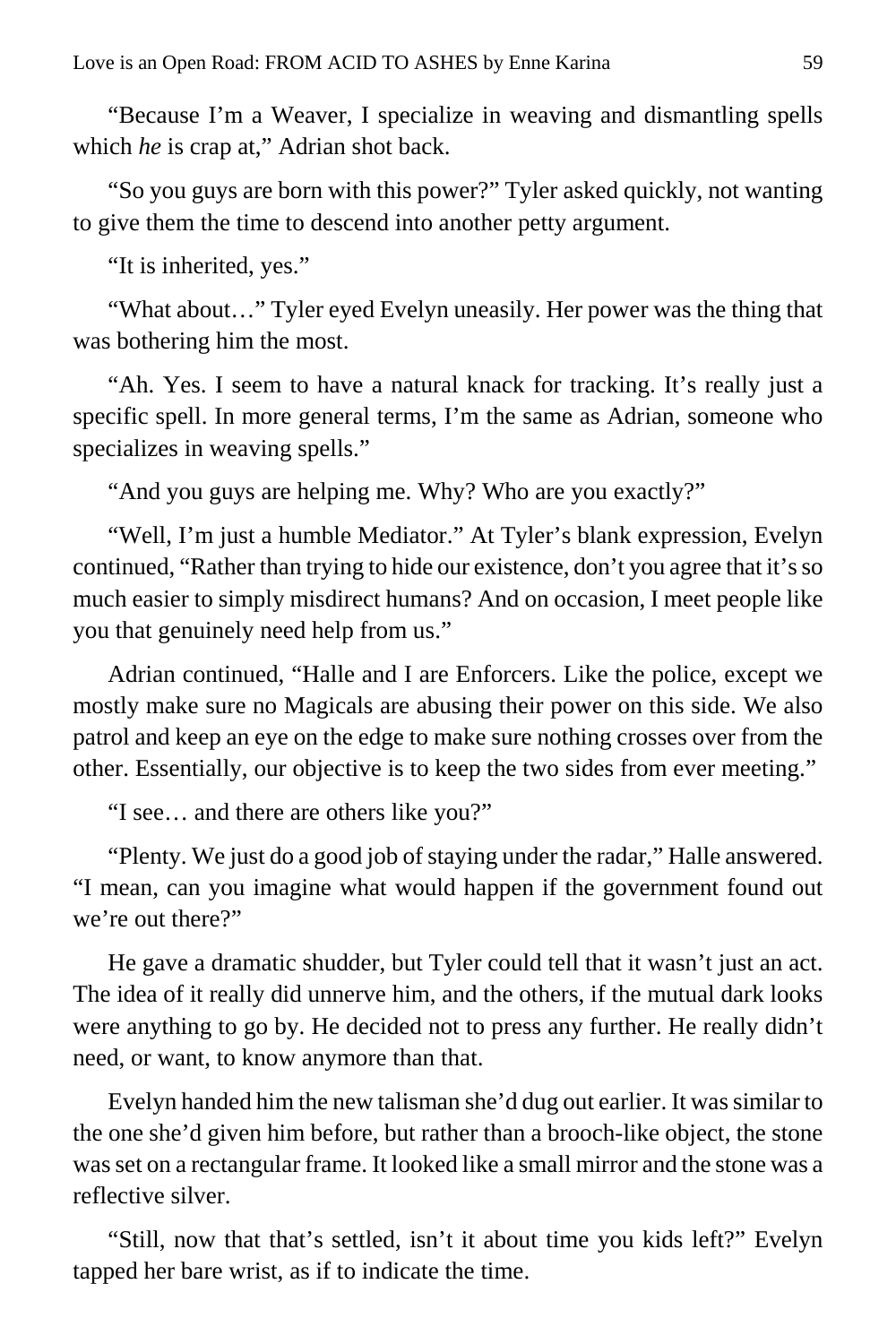"Because I'm a Weaver, I specialize in weaving and dismantling spells which *he* is crap at," Adrian shot back.

"So you guys are born with this power?" Tyler asked quickly, not wanting to give them the time to descend into another petty argument.

"It is inherited, yes."

"What about…" Tyler eyed Evelyn uneasily. Her power was the thing that was bothering him the most.

"Ah. Yes. I seem to have a natural knack for tracking. It's really just a specific spell. In more general terms, I'm the same as Adrian, someone who specializes in weaving spells."

"And you guys are helping me. Why? Who are you exactly?"

"Well, I'm just a humble Mediator." At Tyler's blank expression, Evelyn continued, "Rather than trying to hide our existence, don't you agree that it's so much easier to simply misdirect humans? And on occasion, I meet people like you that genuinely need help from us."

Adrian continued, "Halle and I are Enforcers. Like the police, except we mostly make sure no Magicals are abusing their power on this side. We also patrol and keep an eye on the edge to make sure nothing crosses over from the other. Essentially, our objective is to keep the two sides from ever meeting."

"I see… and there are others like you?"

"Plenty. We just do a good job of staying under the radar," Halle answered. "I mean, can you imagine what would happen if the government found out we're out there?"

He gave a dramatic shudder, but Tyler could tell that it wasn't just an act. The idea of it really did unnerve him, and the others, if the mutual dark looks were anything to go by. He decided not to press any further. He really didn't need, or want, to know anymore than that.

Evelyn handed him the new talisman she'd dug out earlier. It was similar to the one she'd given him before, but rather than a brooch-like object, the stone was set on a rectangular frame. It looked like a small mirror and the stone was a reflective silver.

"Still, now that that's settled, isn't it about time you kids left?" Evelyn tapped her bare wrist, as if to indicate the time.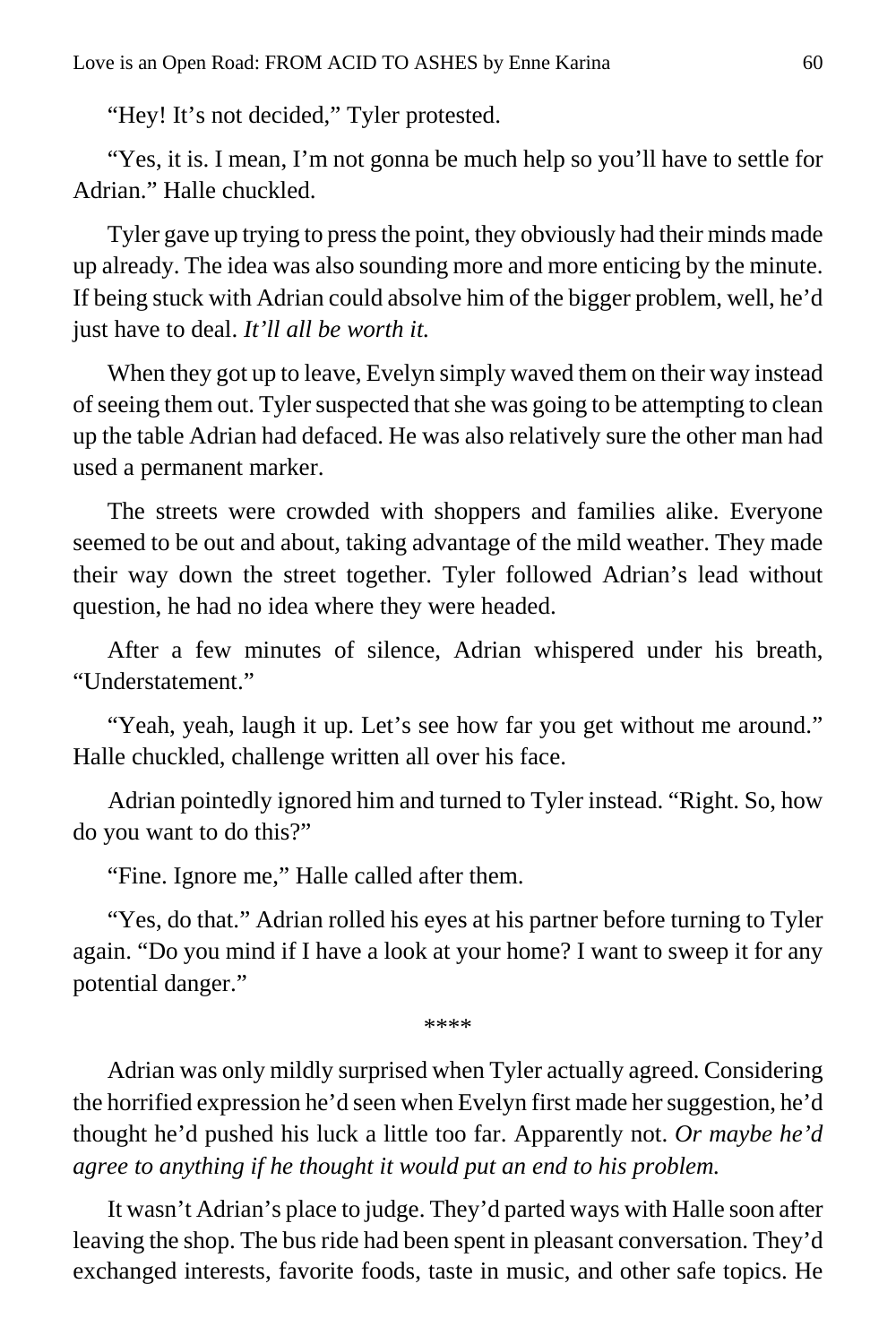"Hey! It's not decided," Tyler protested.

"Yes, it is. I mean, I'm not gonna be much help so you'll have to settle for Adrian." Halle chuckled.

Tyler gave up trying to press the point, they obviously had their minds made up already. The idea was also sounding more and more enticing by the minute. If being stuck with Adrian could absolve him of the bigger problem, well, he'd just have to deal. *It'll all be worth it.*

When they got up to leave, Evelyn simply waved them on their way instead of seeing them out. Tyler suspected that she was going to be attempting to clean up the table Adrian had defaced. He was also relatively sure the other man had used a permanent marker.

The streets were crowded with shoppers and families alike. Everyone seemed to be out and about, taking advantage of the mild weather. They made their way down the street together. Tyler followed Adrian's lead without question, he had no idea where they were headed.

After a few minutes of silence, Adrian whispered under his breath, "Understatement."

"Yeah, yeah, laugh it up. Let's see how far you get without me around." Halle chuckled, challenge written all over his face.

Adrian pointedly ignored him and turned to Tyler instead. "Right. So, how do you want to do this?"

"Fine. Ignore me," Halle called after them.

"Yes, do that." Adrian rolled his eyes at his partner before turning to Tyler again. "Do you mind if I have a look at your home? I want to sweep it for any potential danger."

\*\*\*\*

Adrian was only mildly surprised when Tyler actually agreed. Considering the horrified expression he'd seen when Evelyn first made her suggestion, he'd thought he'd pushed his luck a little too far. Apparently not. *Or maybe he'd agree to anything if he thought it would put an end to his problem.*

It wasn't Adrian's place to judge. They'd parted ways with Halle soon after leaving the shop. The bus ride had been spent in pleasant conversation. They'd exchanged interests, favorite foods, taste in music, and other safe topics. He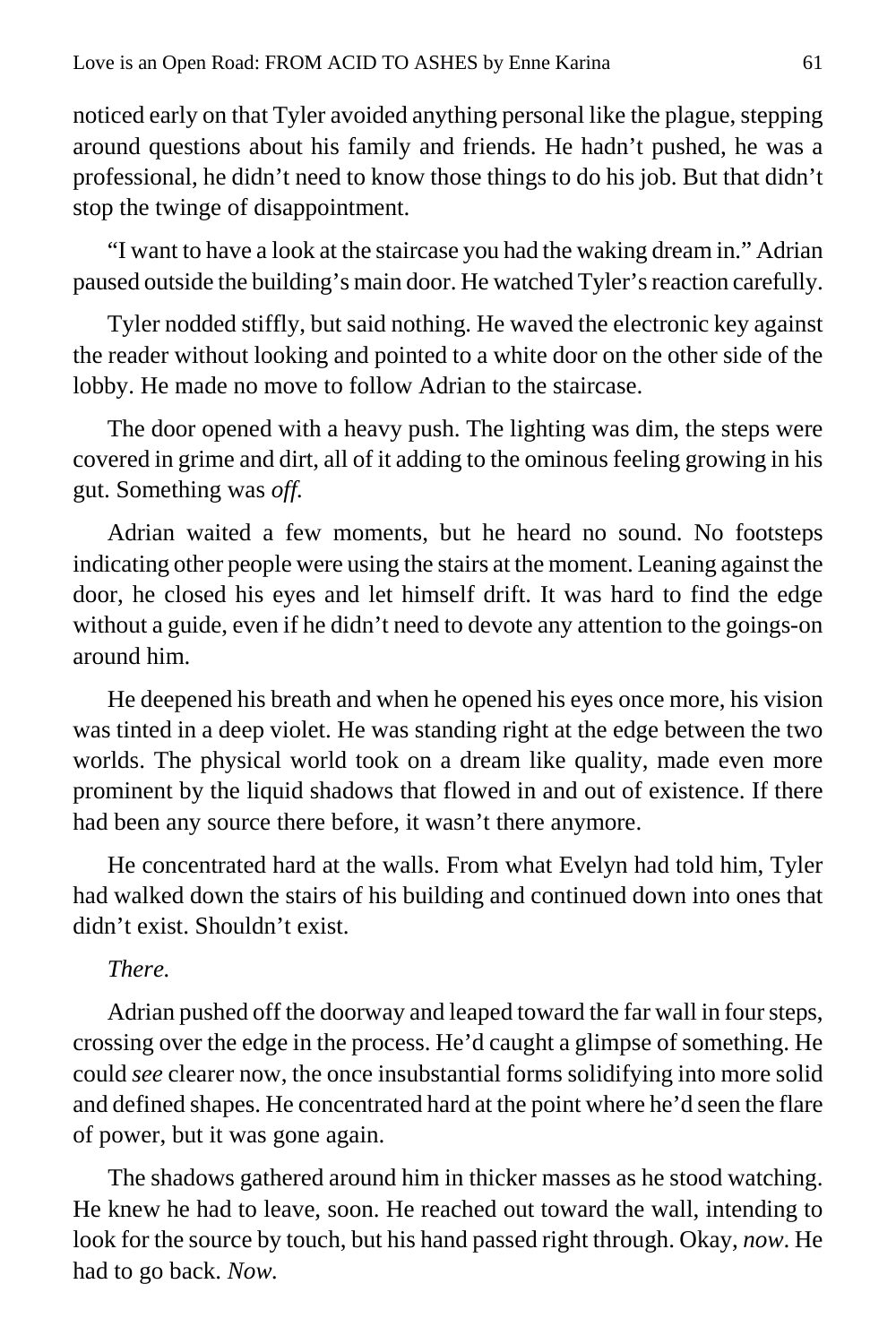noticed early on that Tyler avoided anything personal like the plague, stepping around questions about his family and friends. He hadn't pushed, he was a professional, he didn't need to know those things to do his job. But that didn't stop the twinge of disappointment.

"I want to have a look at the staircase you had the waking dream in." Adrian paused outside the building's main door. He watched Tyler's reaction carefully.

Tyler nodded stiffly, but said nothing. He waved the electronic key against the reader without looking and pointed to a white door on the other side of the lobby. He made no move to follow Adrian to the staircase.

The door opened with a heavy push. The lighting was dim, the steps were covered in grime and dirt, all of it adding to the ominous feeling growing in his gut. Something was *off.*

Adrian waited a few moments, but he heard no sound. No footsteps indicating other people were using the stairs at the moment. Leaning against the door, he closed his eyes and let himself drift. It was hard to find the edge without a guide, even if he didn't need to devote any attention to the goings-on around him.

He deepened his breath and when he opened his eyes once more, his vision was tinted in a deep violet. He was standing right at the edge between the two worlds. The physical world took on a dream like quality, made even more prominent by the liquid shadows that flowed in and out of existence. If there had been any source there before, it wasn't there anymore.

He concentrated hard at the walls. From what Evelyn had told him, Tyler had walked down the stairs of his building and continued down into ones that didn't exist. Shouldn't exist.

## *There.*

Adrian pushed off the doorway and leaped toward the far wall in four steps, crossing over the edge in the process. He'd caught a glimpse of something. He could *see* clearer now, the once insubstantial forms solidifying into more solid and defined shapes. He concentrated hard at the point where he'd seen the flare of power, but it was gone again.

The shadows gathered around him in thicker masses as he stood watching. He knew he had to leave, soon. He reached out toward the wall, intending to look for the source by touch, but his hand passed right through. Okay, *now*. He had to go back. *Now.*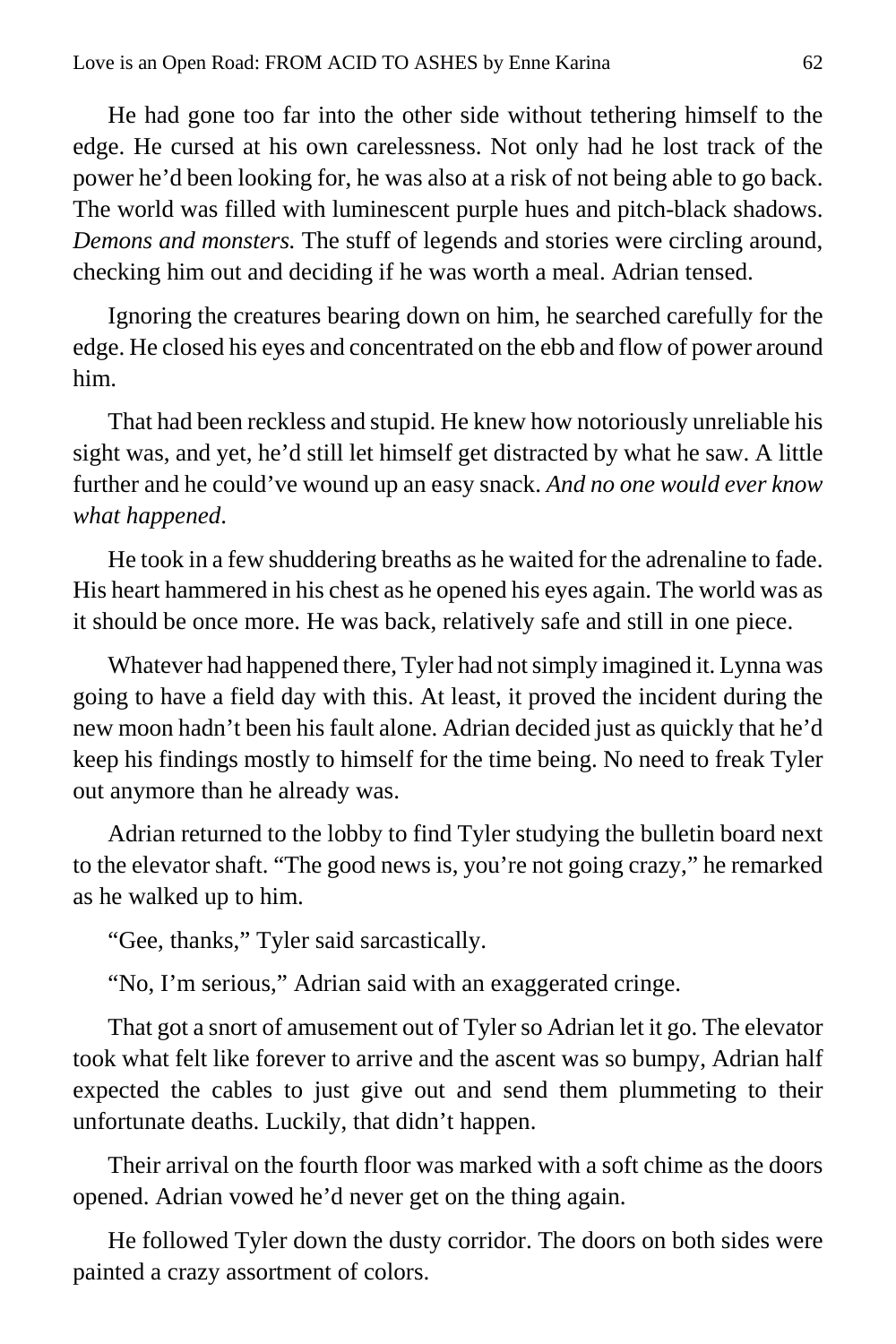He had gone too far into the other side without tethering himself to the edge. He cursed at his own carelessness. Not only had he lost track of the power he'd been looking for, he was also at a risk of not being able to go back. The world was filled with luminescent purple hues and pitch-black shadows. *Demons and monsters.* The stuff of legends and stories were circling around, checking him out and deciding if he was worth a meal. Adrian tensed.

Ignoring the creatures bearing down on him, he searched carefully for the edge. He closed his eyes and concentrated on the ebb and flow of power around him.

That had been reckless and stupid. He knew how notoriously unreliable his sight was, and yet, he'd still let himself get distracted by what he saw. A little further and he could've wound up an easy snack. *And no one would ever know what happened*.

He took in a few shuddering breaths as he waited for the adrenaline to fade. His heart hammered in his chest as he opened his eyes again. The world was as it should be once more. He was back, relatively safe and still in one piece.

Whatever had happened there, Tyler had not simply imagined it. Lynna was going to have a field day with this. At least, it proved the incident during the new moon hadn't been his fault alone. Adrian decided just as quickly that he'd keep his findings mostly to himself for the time being. No need to freak Tyler out anymore than he already was.

Adrian returned to the lobby to find Tyler studying the bulletin board next to the elevator shaft. "The good news is, you're not going crazy," he remarked as he walked up to him.

"Gee, thanks," Tyler said sarcastically.

"No, I'm serious," Adrian said with an exaggerated cringe.

That got a snort of amusement out of Tyler so Adrian let it go. The elevator took what felt like forever to arrive and the ascent was so bumpy, Adrian half expected the cables to just give out and send them plummeting to their unfortunate deaths. Luckily, that didn't happen.

Their arrival on the fourth floor was marked with a soft chime as the doors opened. Adrian vowed he'd never get on the thing again.

He followed Tyler down the dusty corridor. The doors on both sides were painted a crazy assortment of colors.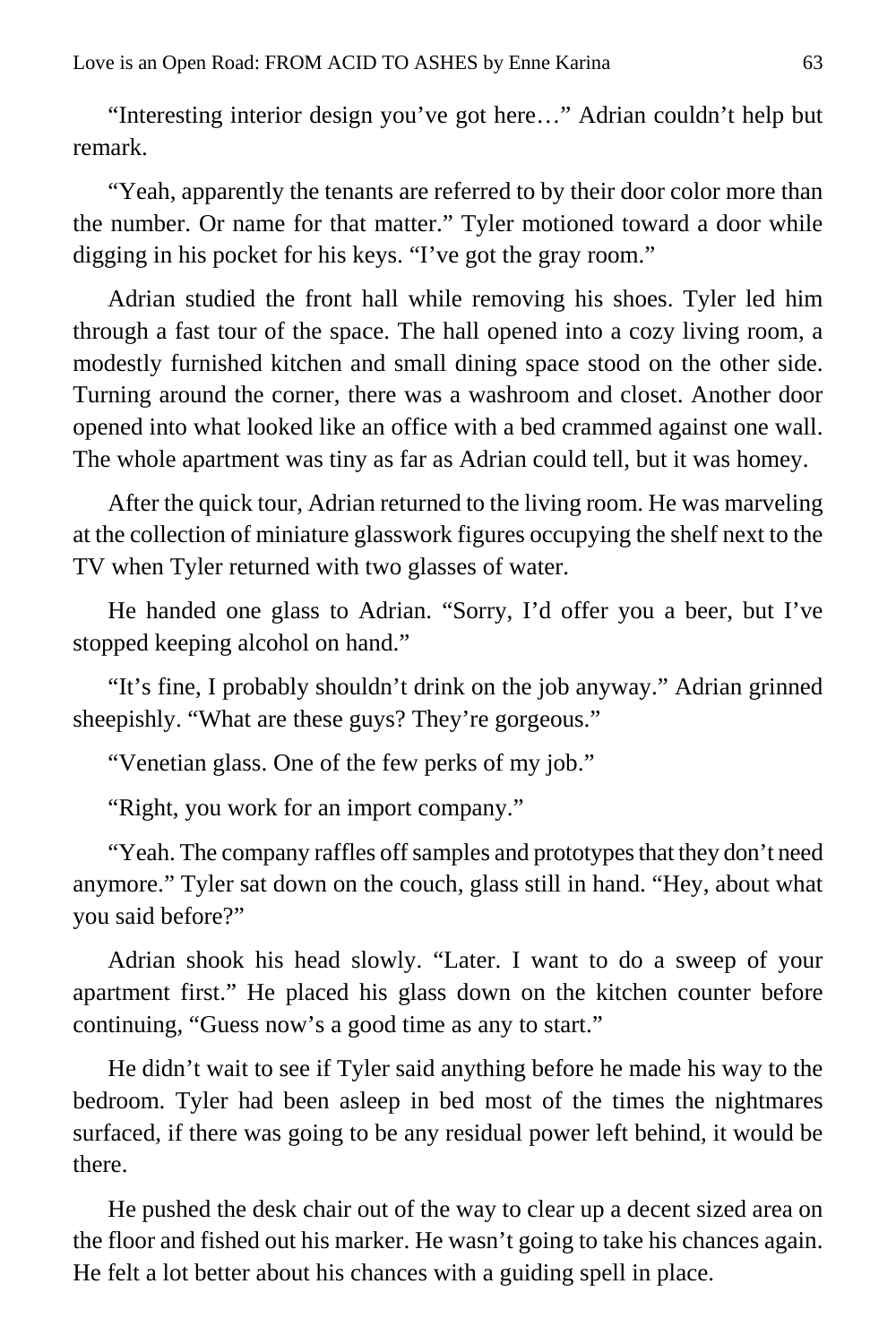"Interesting interior design you've got here…" Adrian couldn't help but remark.

"Yeah, apparently the tenants are referred to by their door color more than the number. Or name for that matter." Tyler motioned toward a door while digging in his pocket for his keys. "I've got the gray room."

Adrian studied the front hall while removing his shoes. Tyler led him through a fast tour of the space. The hall opened into a cozy living room, a modestly furnished kitchen and small dining space stood on the other side. Turning around the corner, there was a washroom and closet. Another door opened into what looked like an office with a bed crammed against one wall. The whole apartment was tiny as far as Adrian could tell, but it was homey.

After the quick tour, Adrian returned to the living room. He was marveling at the collection of miniature glasswork figures occupying the shelf next to the TV when Tyler returned with two glasses of water.

He handed one glass to Adrian. "Sorry, I'd offer you a beer, but I've stopped keeping alcohol on hand."

"It's fine, I probably shouldn't drink on the job anyway." Adrian grinned sheepishly. "What are these guys? They're gorgeous."

"Venetian glass. One of the few perks of my job."

"Right, you work for an import company."

"Yeah. The company raffles off samples and prototypes that they don't need anymore." Tyler sat down on the couch, glass still in hand. "Hey, about what you said before?"

Adrian shook his head slowly. "Later. I want to do a sweep of your apartment first." He placed his glass down on the kitchen counter before continuing, "Guess now's a good time as any to start."

He didn't wait to see if Tyler said anything before he made his way to the bedroom. Tyler had been asleep in bed most of the times the nightmares surfaced, if there was going to be any residual power left behind, it would be there.

He pushed the desk chair out of the way to clear up a decent sized area on the floor and fished out his marker. He wasn't going to take his chances again. He felt a lot better about his chances with a guiding spell in place.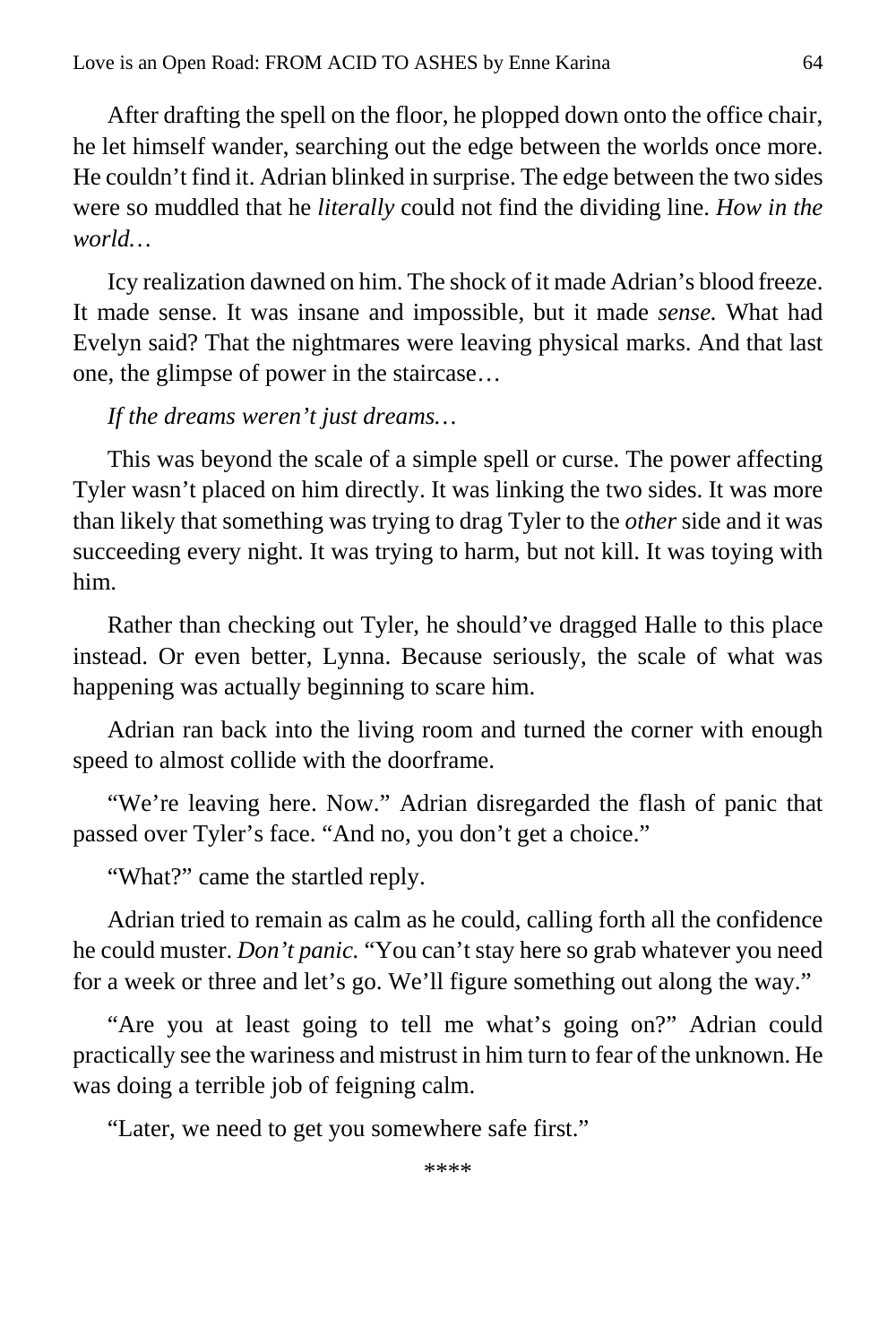After drafting the spell on the floor, he plopped down onto the office chair, he let himself wander, searching out the edge between the worlds once more. He couldn't find it. Adrian blinked in surprise. The edge between the two sides were so muddled that he *literally* could not find the dividing line. *How in the world…*

Icy realization dawned on him. The shock of it made Adrian's blood freeze. It made sense. It was insane and impossible, but it made *sense.* What had Evelyn said? That the nightmares were leaving physical marks. And that last one, the glimpse of power in the staircase…

#### *If the dreams weren't just dreams…*

This was beyond the scale of a simple spell or curse. The power affecting Tyler wasn't placed on him directly. It was linking the two sides. It was more than likely that something was trying to drag Tyler to the *other* side and it was succeeding every night. It was trying to harm, but not kill. It was toying with him.

Rather than checking out Tyler, he should've dragged Halle to this place instead. Or even better, Lynna. Because seriously, the scale of what was happening was actually beginning to scare him.

Adrian ran back into the living room and turned the corner with enough speed to almost collide with the doorframe.

"We're leaving here. Now." Adrian disregarded the flash of panic that passed over Tyler's face. "And no, you don't get a choice."

"What?" came the startled reply.

Adrian tried to remain as calm as he could, calling forth all the confidence he could muster. *Don't panic.* "You can't stay here so grab whatever you need for a week or three and let's go. We'll figure something out along the way."

"Are you at least going to tell me what's going on?" Adrian could practically see the wariness and mistrust in him turn to fear of the unknown. He was doing a terrible job of feigning calm.

"Later, we need to get you somewhere safe first."

\*\*\*\*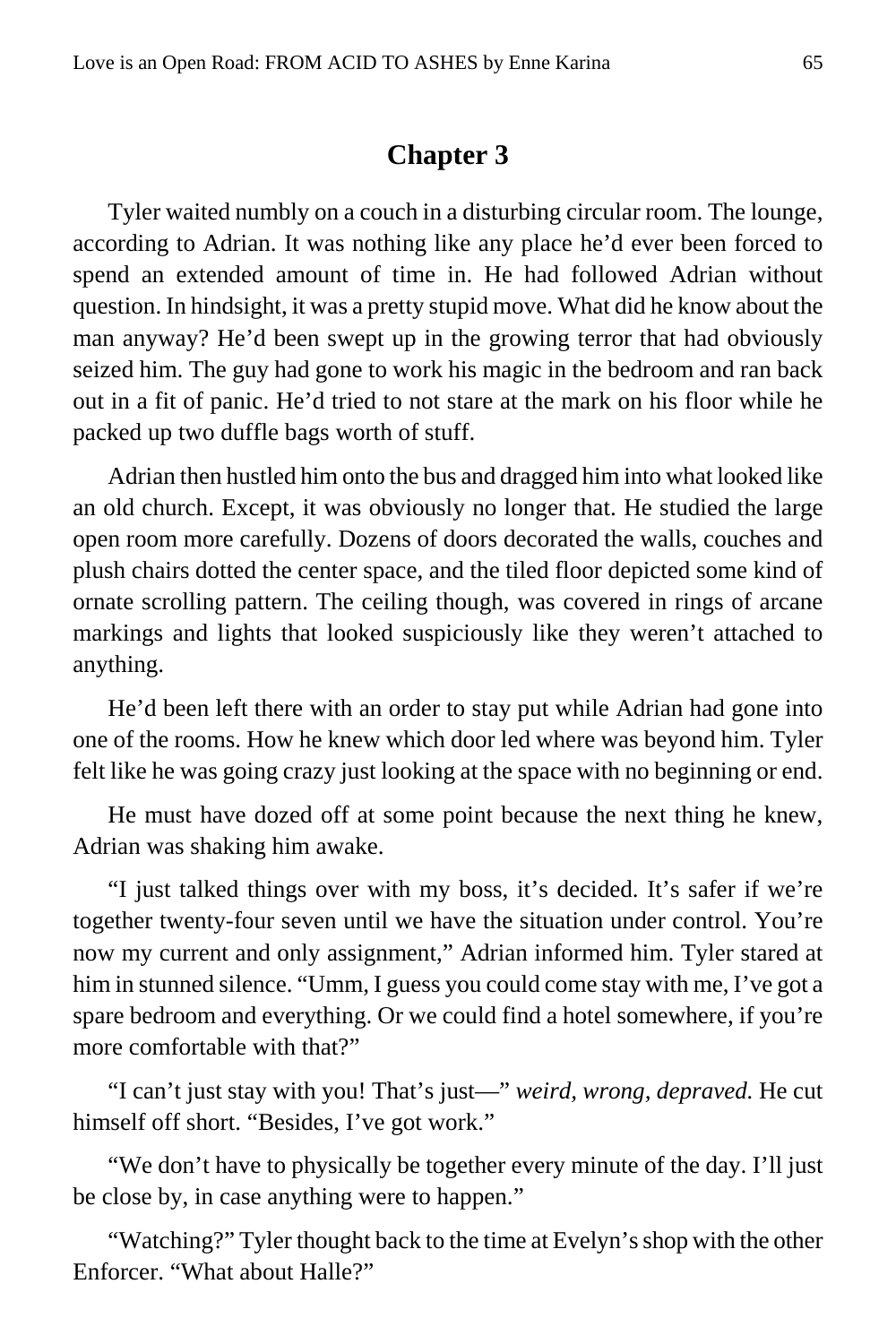# **Chapter 3**

Tyler waited numbly on a couch in a disturbing circular room. The lounge, according to Adrian. It was nothing like any place he'd ever been forced to spend an extended amount of time in. He had followed Adrian without question. In hindsight, it was a pretty stupid move. What did he know about the man anyway? He'd been swept up in the growing terror that had obviously seized him. The guy had gone to work his magic in the bedroom and ran back out in a fit of panic. He'd tried to not stare at the mark on his floor while he packed up two duffle bags worth of stuff.

Adrian then hustled him onto the bus and dragged him into what looked like an old church. Except, it was obviously no longer that. He studied the large open room more carefully. Dozens of doors decorated the walls, couches and plush chairs dotted the center space, and the tiled floor depicted some kind of ornate scrolling pattern. The ceiling though, was covered in rings of arcane markings and lights that looked suspiciously like they weren't attached to anything.

He'd been left there with an order to stay put while Adrian had gone into one of the rooms. How he knew which door led where was beyond him. Tyler felt like he was going crazy just looking at the space with no beginning or end.

He must have dozed off at some point because the next thing he knew, Adrian was shaking him awake.

"I just talked things over with my boss, it's decided. It's safer if we're together twenty-four seven until we have the situation under control. You're now my current and only assignment," Adrian informed him. Tyler stared at him in stunned silence. "Umm, I guess you could come stay with me, I've got a spare bedroom and everything. Or we could find a hotel somewhere, if you're more comfortable with that?"

"I can't just stay with you! That's just—" *weird, wrong, depraved.* He cut himself off short. "Besides, I've got work."

"We don't have to physically be together every minute of the day. I'll just be close by, in case anything were to happen."

"Watching?" Tyler thought back to the time at Evelyn's shop with the other Enforcer. "What about Halle?"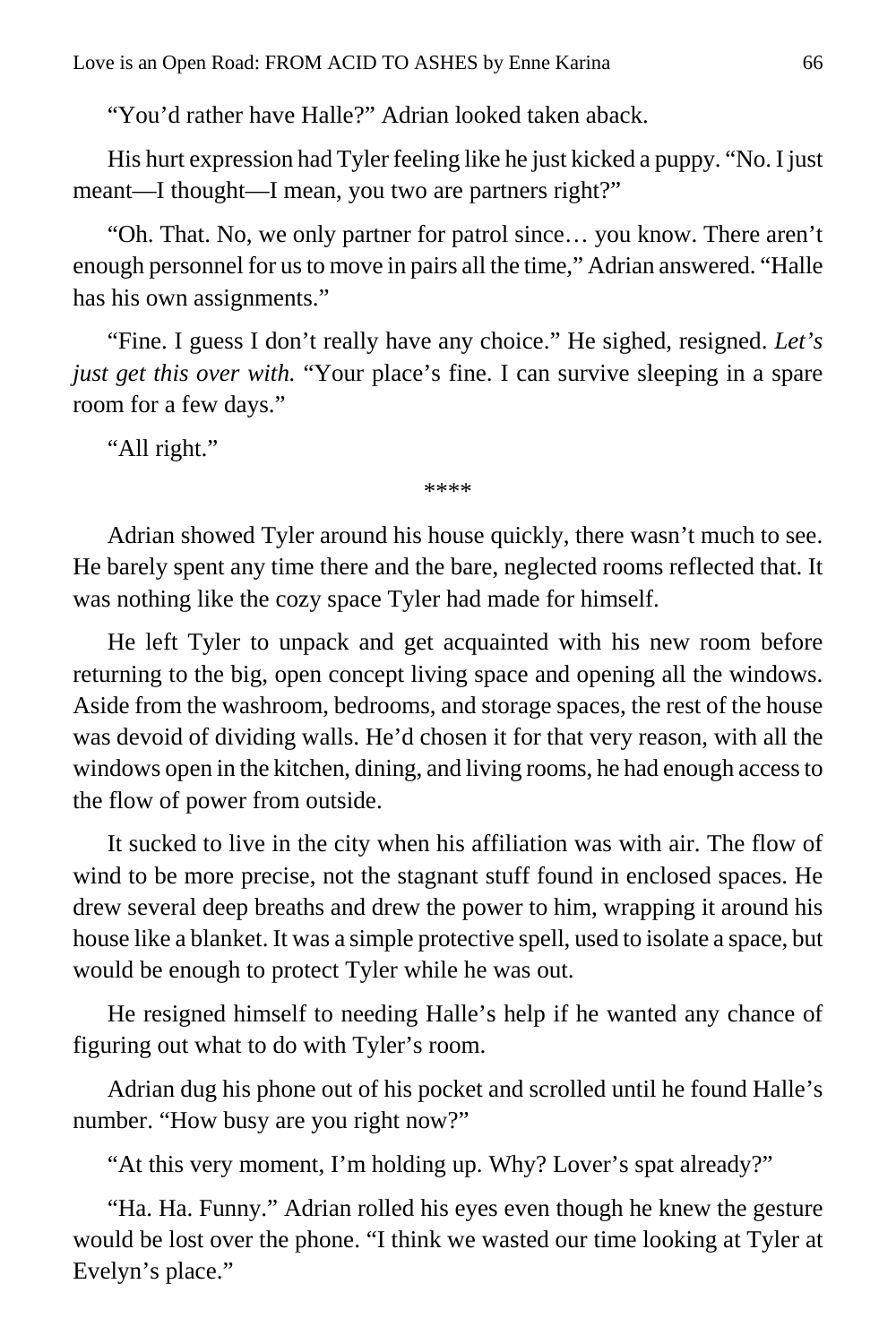"You'd rather have Halle?" Adrian looked taken aback.

His hurt expression had Tyler feeling like he just kicked a puppy. "No. I just meant—I thought—I mean, you two are partners right?"

"Oh. That. No, we only partner for patrol since… you know. There aren't enough personnel for us to move in pairs all the time," Adrian answered. "Halle has his own assignments."

"Fine. I guess I don't really have any choice." He sighed, resigned. *Let's just get this over with.* "Your place's fine. I can survive sleeping in a spare room for a few days."

"All right."

\*\*\*\*

Adrian showed Tyler around his house quickly, there wasn't much to see. He barely spent any time there and the bare, neglected rooms reflected that. It was nothing like the cozy space Tyler had made for himself.

He left Tyler to unpack and get acquainted with his new room before returning to the big, open concept living space and opening all the windows. Aside from the washroom, bedrooms, and storage spaces, the rest of the house was devoid of dividing walls. He'd chosen it for that very reason, with all the windows open in the kitchen, dining, and living rooms, he had enough access to the flow of power from outside.

It sucked to live in the city when his affiliation was with air. The flow of wind to be more precise, not the stagnant stuff found in enclosed spaces. He drew several deep breaths and drew the power to him, wrapping it around his house like a blanket. It was a simple protective spell, used to isolate a space, but would be enough to protect Tyler while he was out.

He resigned himself to needing Halle's help if he wanted any chance of figuring out what to do with Tyler's room.

Adrian dug his phone out of his pocket and scrolled until he found Halle's number. "How busy are you right now?"

"At this very moment, I'm holding up. Why? Lover's spat already?"

"Ha. Ha. Funny." Adrian rolled his eyes even though he knew the gesture would be lost over the phone. "I think we wasted our time looking at Tyler at Evelyn's place."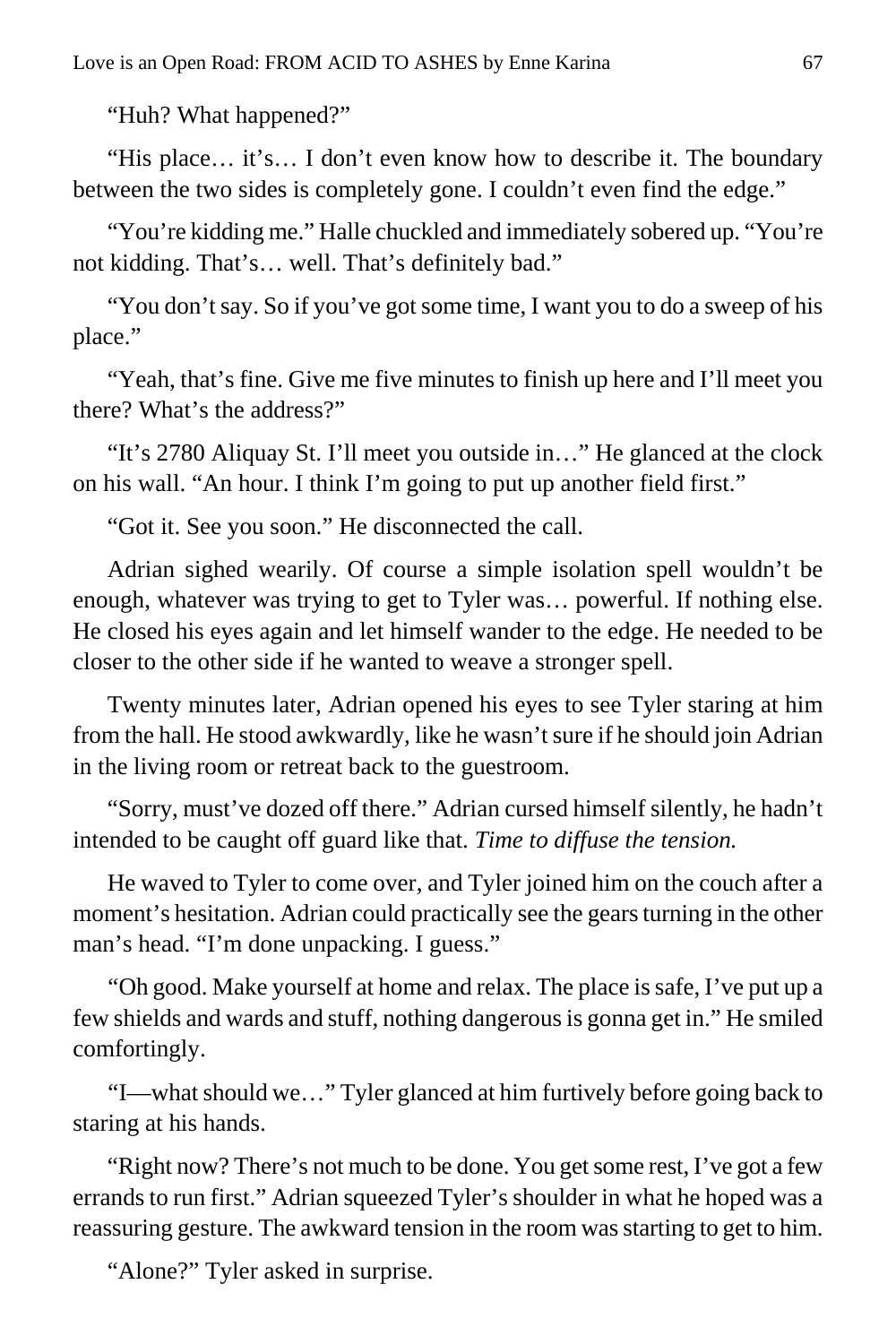"Huh? What happened?"

"His place… it's… I don't even know how to describe it. The boundary between the two sides is completely gone. I couldn't even find the edge."

"You're kidding me." Halle chuckled and immediately sobered up. "You're not kidding. That's… well. That's definitely bad."

"You don't say. So if you've got some time, I want you to do a sweep of his place."

"Yeah, that's fine. Give me five minutes to finish up here and I'll meet you there? What's the address?"

"It's 2780 Aliquay St. I'll meet you outside in…" He glanced at the clock on his wall. "An hour. I think I'm going to put up another field first."

"Got it. See you soon." He disconnected the call.

Adrian sighed wearily. Of course a simple isolation spell wouldn't be enough, whatever was trying to get to Tyler was… powerful. If nothing else. He closed his eyes again and let himself wander to the edge. He needed to be closer to the other side if he wanted to weave a stronger spell.

Twenty minutes later, Adrian opened his eyes to see Tyler staring at him from the hall. He stood awkwardly, like he wasn't sure if he should join Adrian in the living room or retreat back to the guestroom.

"Sorry, must've dozed off there." Adrian cursed himself silently, he hadn't intended to be caught off guard like that. *Time to diffuse the tension.*

He waved to Tyler to come over, and Tyler joined him on the couch after a moment's hesitation. Adrian could practically see the gears turning in the other man's head. "I'm done unpacking. I guess."

"Oh good. Make yourself at home and relax. The place is safe, I've put up a few shields and wards and stuff, nothing dangerous is gonna get in." He smiled comfortingly.

"I—what should we…" Tyler glanced at him furtively before going back to staring at his hands.

"Right now? There's not much to be done. You get some rest, I've got a few errands to run first." Adrian squeezed Tyler's shoulder in what he hoped was a reassuring gesture. The awkward tension in the room was starting to get to him.

"Alone?" Tyler asked in surprise.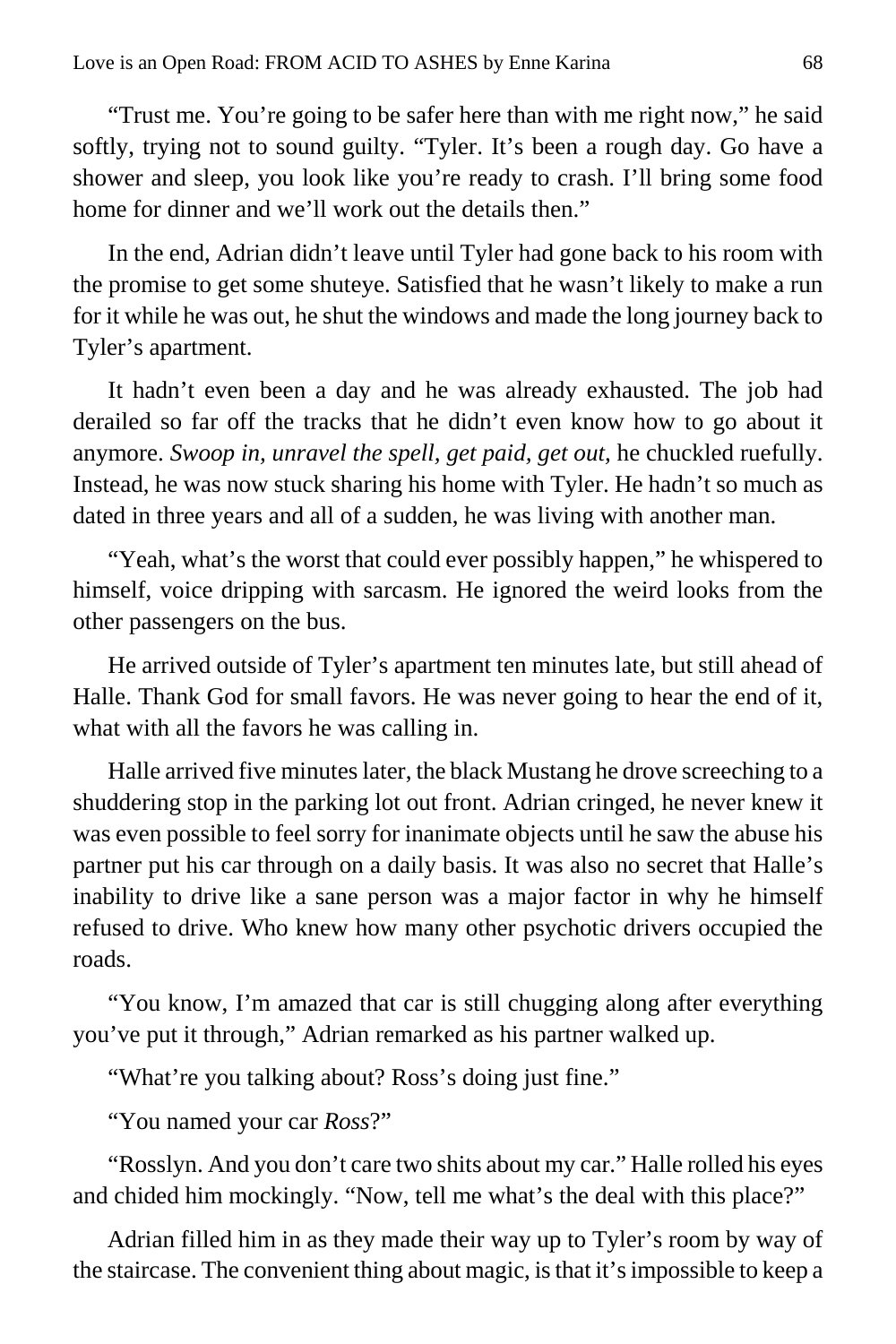"Trust me. You're going to be safer here than with me right now," he said softly, trying not to sound guilty. "Tyler. It's been a rough day. Go have a shower and sleep, you look like you're ready to crash. I'll bring some food home for dinner and we'll work out the details then."

In the end, Adrian didn't leave until Tyler had gone back to his room with the promise to get some shuteye. Satisfied that he wasn't likely to make a run for it while he was out, he shut the windows and made the long journey back to Tyler's apartment.

It hadn't even been a day and he was already exhausted. The job had derailed so far off the tracks that he didn't even know how to go about it anymore. *Swoop in, unravel the spell, get paid, get out,* he chuckled ruefully. Instead, he was now stuck sharing his home with Tyler. He hadn't so much as dated in three years and all of a sudden, he was living with another man.

"Yeah, what's the worst that could ever possibly happen," he whispered to himself, voice dripping with sarcasm. He ignored the weird looks from the other passengers on the bus.

He arrived outside of Tyler's apartment ten minutes late, but still ahead of Halle. Thank God for small favors. He was never going to hear the end of it, what with all the favors he was calling in.

Halle arrived five minutes later, the black Mustang he drove screeching to a shuddering stop in the parking lot out front. Adrian cringed, he never knew it was even possible to feel sorry for inanimate objects until he saw the abuse his partner put his car through on a daily basis. It was also no secret that Halle's inability to drive like a sane person was a major factor in why he himself refused to drive. Who knew how many other psychotic drivers occupied the roads.

"You know, I'm amazed that car is still chugging along after everything you've put it through," Adrian remarked as his partner walked up.

"What're you talking about? Ross's doing just fine."

"You named your car *Ross*?"

"Rosslyn. And you don't care two shits about my car." Halle rolled his eyes and chided him mockingly. "Now, tell me what's the deal with this place?"

Adrian filled him in as they made their way up to Tyler's room by way of the staircase. The convenient thing about magic, is that it's impossible to keep a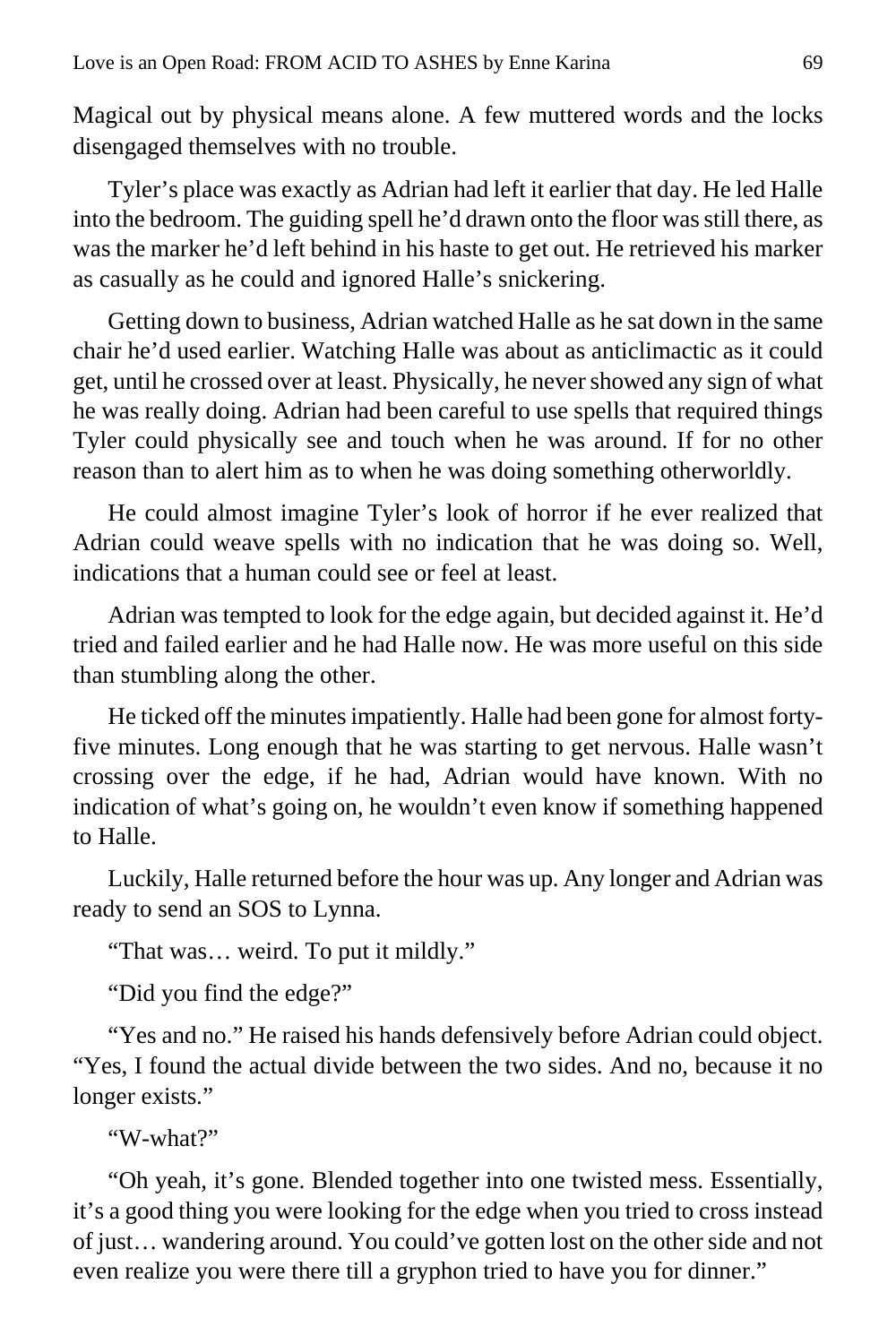Magical out by physical means alone. A few muttered words and the locks disengaged themselves with no trouble.

Tyler's place was exactly as Adrian had left it earlier that day. He led Halle into the bedroom. The guiding spell he'd drawn onto the floor was still there, as was the marker he'd left behind in his haste to get out. He retrieved his marker as casually as he could and ignored Halle's snickering.

Getting down to business, Adrian watched Halle as he sat down in the same chair he'd used earlier. Watching Halle was about as anticlimactic as it could get, until he crossed over at least. Physically, he never showed any sign of what he was really doing. Adrian had been careful to use spells that required things Tyler could physically see and touch when he was around. If for no other reason than to alert him as to when he was doing something otherworldly.

He could almost imagine Tyler's look of horror if he ever realized that Adrian could weave spells with no indication that he was doing so. Well, indications that a human could see or feel at least.

Adrian was tempted to look for the edge again, but decided against it. He'd tried and failed earlier and he had Halle now. He was more useful on this side than stumbling along the other.

He ticked off the minutes impatiently. Halle had been gone for almost fortyfive minutes. Long enough that he was starting to get nervous. Halle wasn't crossing over the edge, if he had, Adrian would have known. With no indication of what's going on, he wouldn't even know if something happened to Halle.

Luckily, Halle returned before the hour was up. Any longer and Adrian was ready to send an SOS to Lynna.

"That was… weird. To put it mildly."

"Did you find the edge?"

"Yes and no." He raised his hands defensively before Adrian could object. "Yes, I found the actual divide between the two sides. And no, because it no longer exists."

"W-what?"

"Oh yeah, it's gone. Blended together into one twisted mess. Essentially, it's a good thing you were looking for the edge when you tried to cross instead of just… wandering around. You could've gotten lost on the other side and not even realize you were there till a gryphon tried to have you for dinner."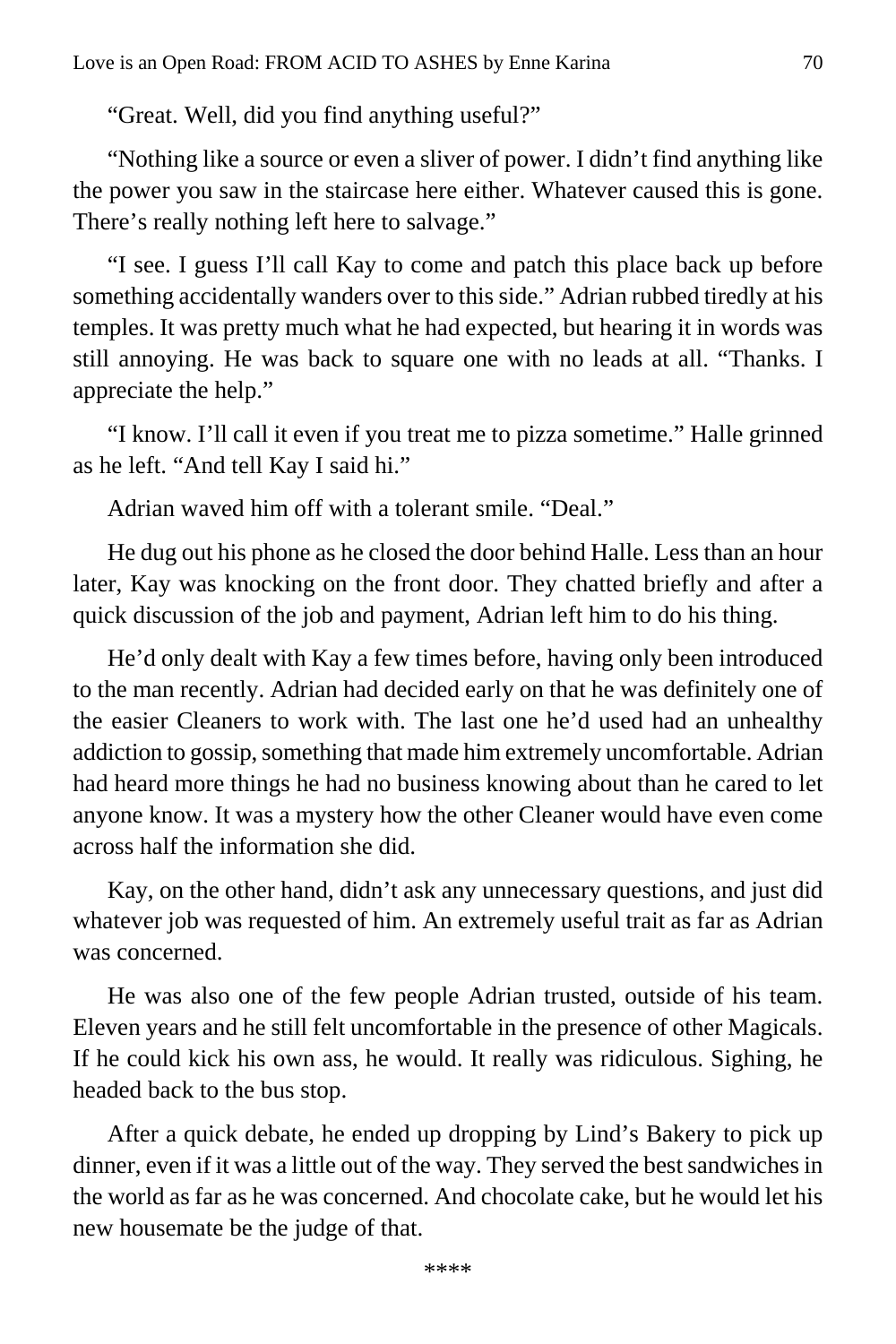"Great. Well, did you find anything useful?"

"Nothing like a source or even a sliver of power. I didn't find anything like the power you saw in the staircase here either. Whatever caused this is gone. There's really nothing left here to salvage."

"I see. I guess I'll call Kay to come and patch this place back up before something accidentally wanders over to this side." Adrian rubbed tiredly at his temples. It was pretty much what he had expected, but hearing it in words was still annoying. He was back to square one with no leads at all. "Thanks. I appreciate the help."

"I know. I'll call it even if you treat me to pizza sometime." Halle grinned as he left. "And tell Kay I said hi."

Adrian waved him off with a tolerant smile. "Deal."

He dug out his phone as he closed the door behind Halle. Less than an hour later, Kay was knocking on the front door. They chatted briefly and after a quick discussion of the job and payment, Adrian left him to do his thing.

He'd only dealt with Kay a few times before, having only been introduced to the man recently. Adrian had decided early on that he was definitely one of the easier Cleaners to work with. The last one he'd used had an unhealthy addiction to gossip, something that made him extremely uncomfortable. Adrian had heard more things he had no business knowing about than he cared to let anyone know. It was a mystery how the other Cleaner would have even come across half the information she did.

Kay, on the other hand, didn't ask any unnecessary questions, and just did whatever job was requested of him. An extremely useful trait as far as Adrian was concerned.

He was also one of the few people Adrian trusted, outside of his team. Eleven years and he still felt uncomfortable in the presence of other Magicals. If he could kick his own ass, he would. It really was ridiculous. Sighing, he headed back to the bus stop.

After a quick debate, he ended up dropping by Lind's Bakery to pick up dinner, even if it was a little out of the way. They served the best sandwiches in the world as far as he was concerned. And chocolate cake, but he would let his new housemate be the judge of that.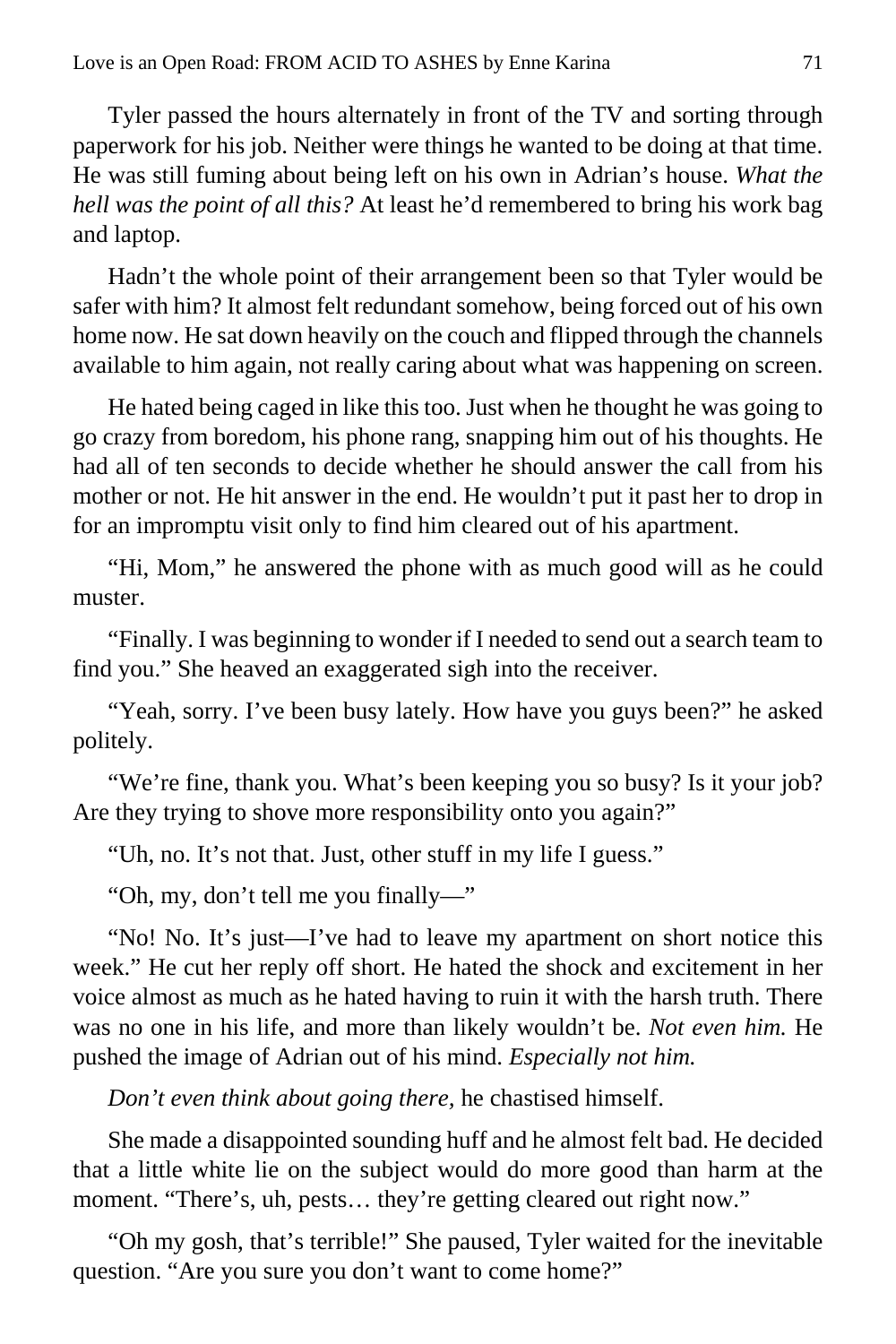Tyler passed the hours alternately in front of the TV and sorting through paperwork for his job. Neither were things he wanted to be doing at that time. He was still fuming about being left on his own in Adrian's house. *What the hell was the point of all this?* At least he'd remembered to bring his work bag and laptop.

Hadn't the whole point of their arrangement been so that Tyler would be safer with him? It almost felt redundant somehow, being forced out of his own home now. He sat down heavily on the couch and flipped through the channels available to him again, not really caring about what was happening on screen.

He hated being caged in like this too. Just when he thought he was going to go crazy from boredom, his phone rang, snapping him out of his thoughts. He had all of ten seconds to decide whether he should answer the call from his mother or not. He hit answer in the end. He wouldn't put it past her to drop in for an impromptu visit only to find him cleared out of his apartment.

"Hi, Mom," he answered the phone with as much good will as he could muster.

"Finally. I was beginning to wonder if I needed to send out a search team to find you." She heaved an exaggerated sigh into the receiver.

"Yeah, sorry. I've been busy lately. How have you guys been?" he asked politely.

"We're fine, thank you. What's been keeping you so busy? Is it your job? Are they trying to shove more responsibility onto you again?"

"Uh, no. It's not that. Just, other stuff in my life I guess."

"Oh, my, don't tell me you finally—"

"No! No. It's just—I've had to leave my apartment on short notice this week." He cut her reply off short. He hated the shock and excitement in her voice almost as much as he hated having to ruin it with the harsh truth. There was no one in his life, and more than likely wouldn't be. *Not even him.* He pushed the image of Adrian out of his mind. *Especially not him.*

*Don't even think about going there,* he chastised himself.

She made a disappointed sounding huff and he almost felt bad. He decided that a little white lie on the subject would do more good than harm at the moment. "There's, uh, pests... they're getting cleared out right now."

"Oh my gosh, that's terrible!" She paused, Tyler waited for the inevitable question. "Are you sure you don't want to come home?"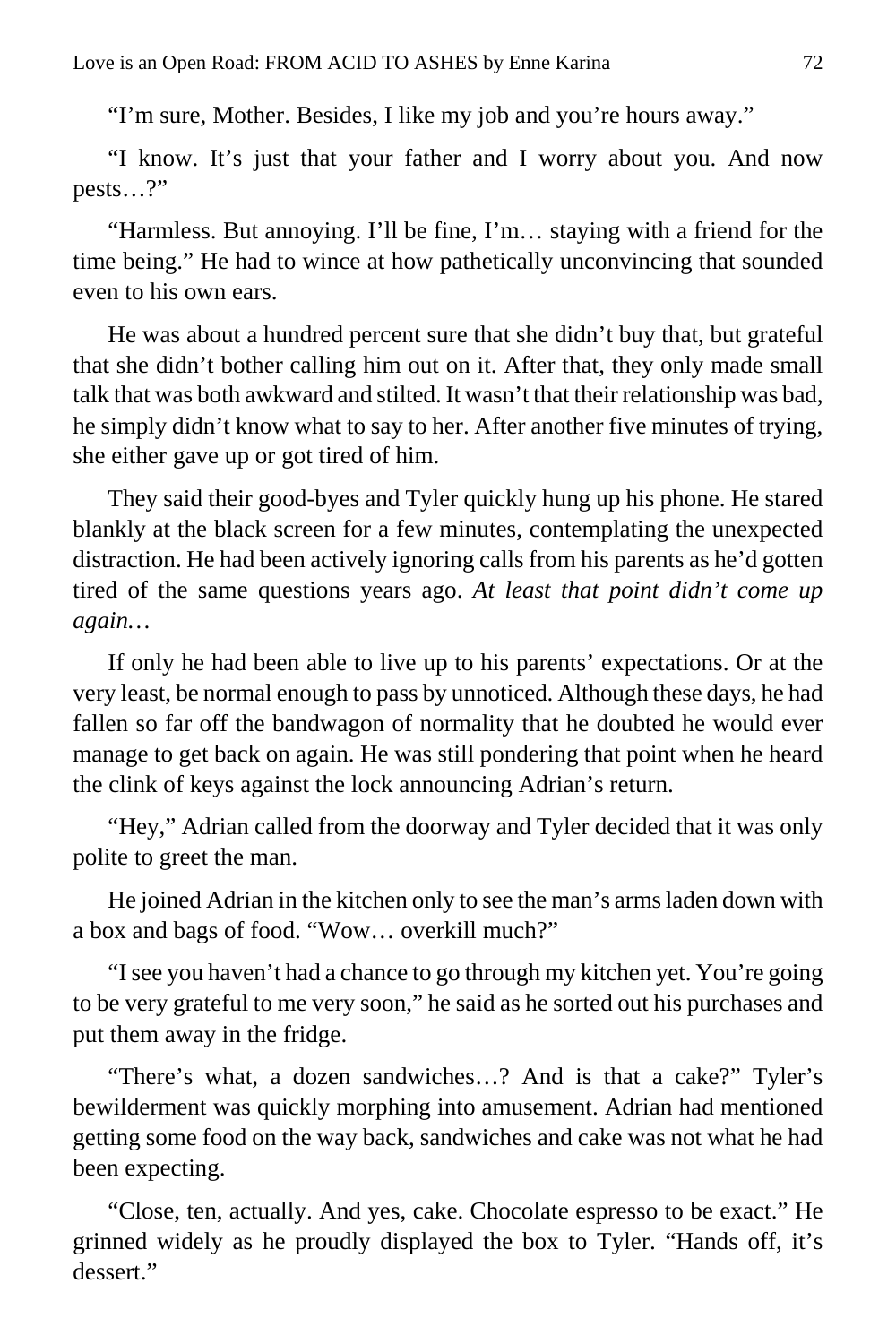"I'm sure, Mother. Besides, I like my job and you're hours away."

"I know. It's just that your father and I worry about you. And now pests…?"

"Harmless. But annoying. I'll be fine, I'm… staying with a friend for the time being." He had to wince at how pathetically unconvincing that sounded even to his own ears.

He was about a hundred percent sure that she didn't buy that, but grateful that she didn't bother calling him out on it. After that, they only made small talk that was both awkward and stilted. It wasn't that their relationship was bad, he simply didn't know what to say to her. After another five minutes of trying, she either gave up or got tired of him.

They said their good-byes and Tyler quickly hung up his phone. He stared blankly at the black screen for a few minutes, contemplating the unexpected distraction. He had been actively ignoring calls from his parents as he'd gotten tired of the same questions years ago. *At least that point didn't come up again…*

If only he had been able to live up to his parents' expectations. Or at the very least, be normal enough to pass by unnoticed. Although these days, he had fallen so far off the bandwagon of normality that he doubted he would ever manage to get back on again. He was still pondering that point when he heard the clink of keys against the lock announcing Adrian's return.

"Hey," Adrian called from the doorway and Tyler decided that it was only polite to greet the man.

He joined Adrian in the kitchen only to see the man's arms laden down with a box and bags of food. "Wow… overkill much?"

"I see you haven't had a chance to go through my kitchen yet. You're going to be very grateful to me very soon," he said as he sorted out his purchases and put them away in the fridge.

"There's what, a dozen sandwiches…? And is that a cake?" Tyler's bewilderment was quickly morphing into amusement. Adrian had mentioned getting some food on the way back, sandwiches and cake was not what he had been expecting.

"Close, ten, actually. And yes, cake. Chocolate espresso to be exact." He grinned widely as he proudly displayed the box to Tyler. "Hands off, it's dessert."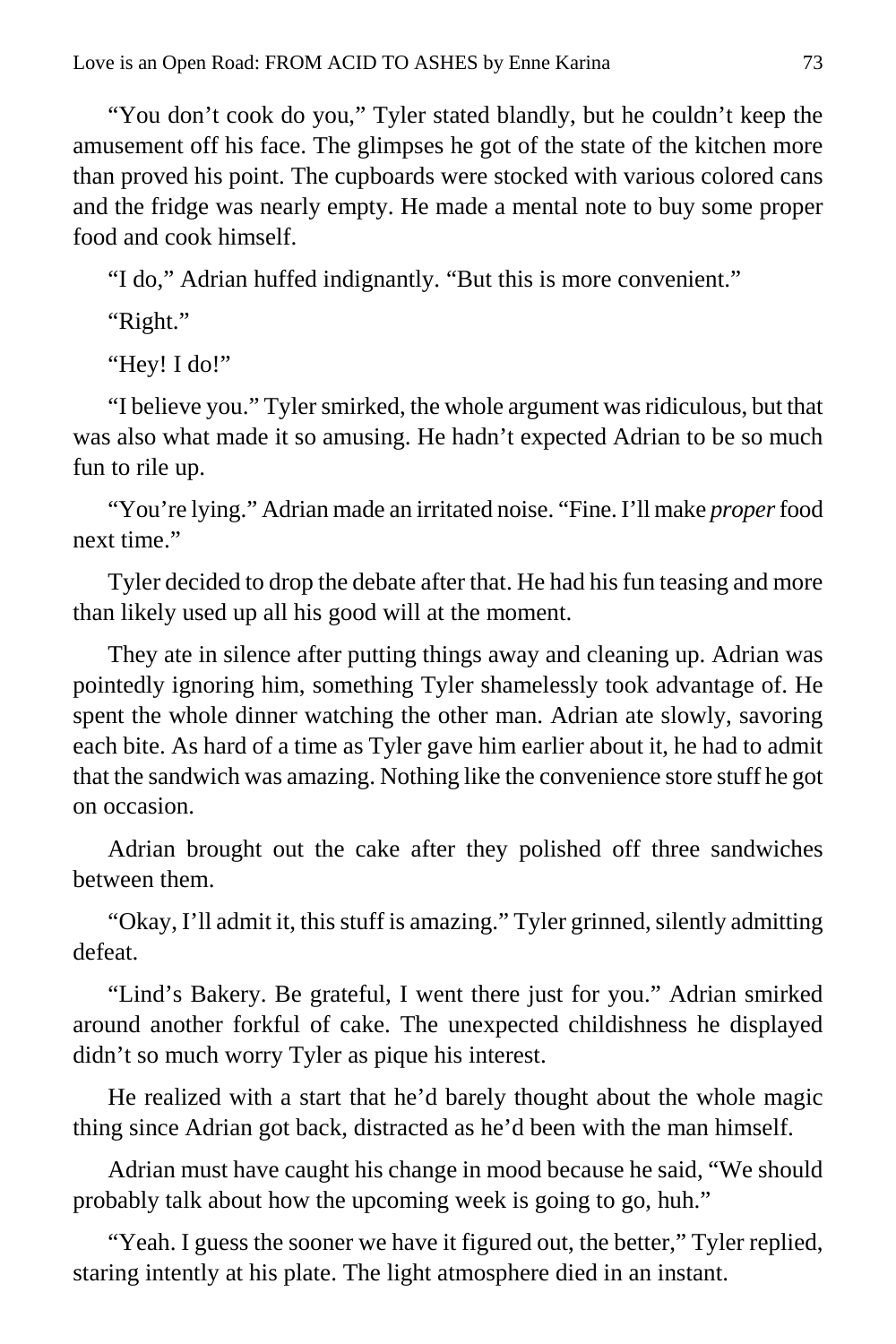"You don't cook do you," Tyler stated blandly, but he couldn't keep the amusement off his face. The glimpses he got of the state of the kitchen more than proved his point. The cupboards were stocked with various colored cans and the fridge was nearly empty. He made a mental note to buy some proper food and cook himself.

"I do," Adrian huffed indignantly. "But this is more convenient."

"Right."

"Hey! I do!"

"I believe you." Tyler smirked, the whole argument was ridiculous, but that was also what made it so amusing. He hadn't expected Adrian to be so much fun to rile up.

"You're lying." Adrian made an irritated noise. "Fine. I'll make *proper*food next time."

Tyler decided to drop the debate after that. He had his fun teasing and more than likely used up all his good will at the moment.

They ate in silence after putting things away and cleaning up. Adrian was pointedly ignoring him, something Tyler shamelessly took advantage of. He spent the whole dinner watching the other man. Adrian ate slowly, savoring each bite. As hard of a time as Tyler gave him earlier about it, he had to admit that the sandwich was amazing. Nothing like the convenience store stuff he got on occasion.

Adrian brought out the cake after they polished off three sandwiches between them.

"Okay, I'll admit it, this stuff is amazing." Tyler grinned, silently admitting defeat.

"Lind's Bakery. Be grateful, I went there just for you." Adrian smirked around another forkful of cake. The unexpected childishness he displayed didn't so much worry Tyler as pique his interest.

He realized with a start that he'd barely thought about the whole magic thing since Adrian got back, distracted as he'd been with the man himself.

Adrian must have caught his change in mood because he said, "We should probably talk about how the upcoming week is going to go, huh."

"Yeah. I guess the sooner we have it figured out, the better," Tyler replied, staring intently at his plate. The light atmosphere died in an instant.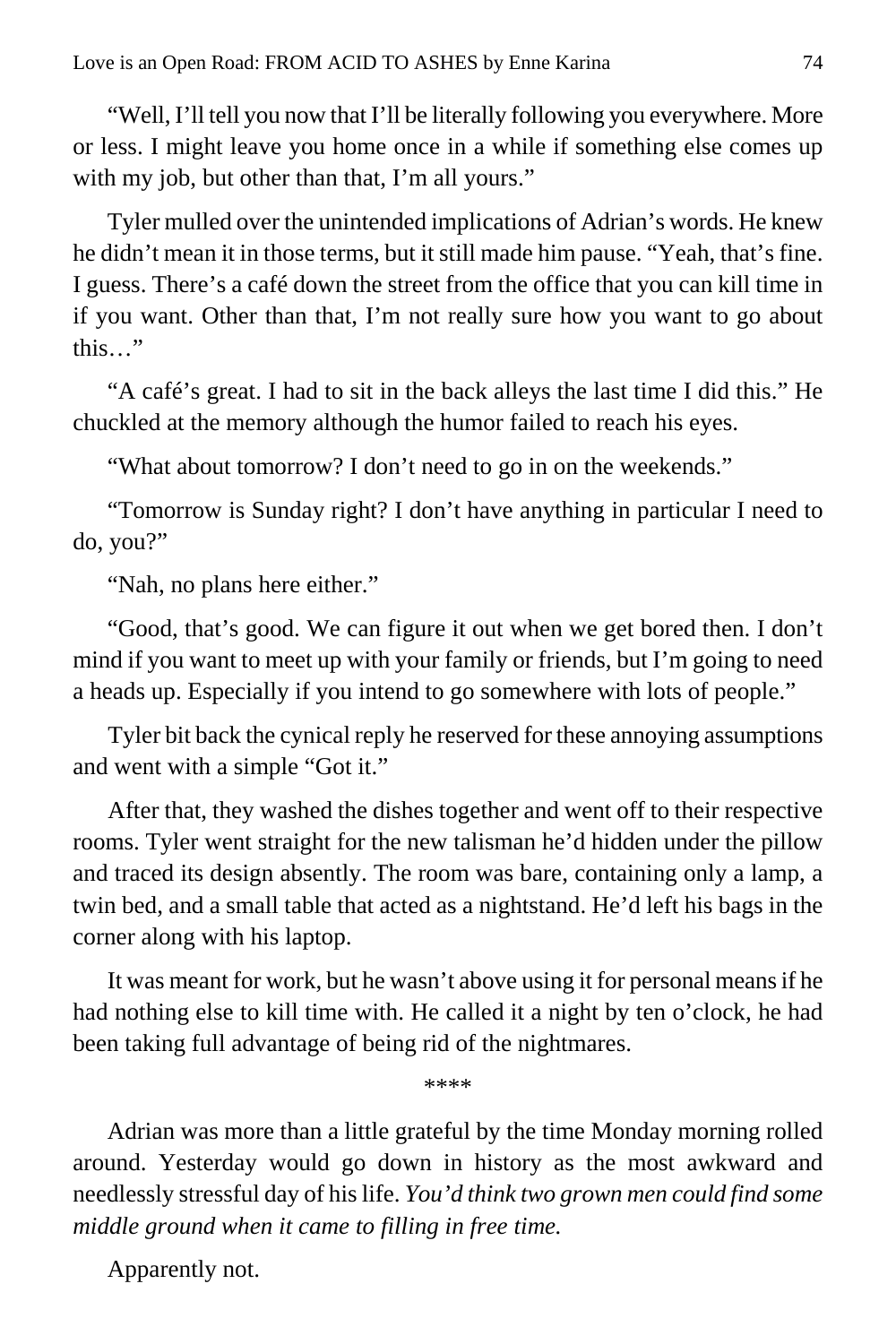"Well, I'll tell you now that I'll be literally following you everywhere. More or less. I might leave you home once in a while if something else comes up with my job, but other than that, I'm all yours."

Tyler mulled over the unintended implications of Adrian's words. He knew he didn't mean it in those terms, but it still made him pause. "Yeah, that's fine. I guess. There's a café down the street from the office that you can kill time in if you want. Other than that, I'm not really sure how you want to go about this…"

"A café's great. I had to sit in the back alleys the last time I did this." He chuckled at the memory although the humor failed to reach his eyes.

"What about tomorrow? I don't need to go in on the weekends."

"Tomorrow is Sunday right? I don't have anything in particular I need to do, you?"

"Nah, no plans here either."

"Good, that's good. We can figure it out when we get bored then. I don't mind if you want to meet up with your family or friends, but I'm going to need a heads up. Especially if you intend to go somewhere with lots of people."

Tyler bit back the cynical reply he reserved for these annoying assumptions and went with a simple "Got it."

After that, they washed the dishes together and went off to their respective rooms. Tyler went straight for the new talisman he'd hidden under the pillow and traced its design absently. The room was bare, containing only a lamp, a twin bed, and a small table that acted as a nightstand. He'd left his bags in the corner along with his laptop.

It was meant for work, but he wasn't above using it for personal means if he had nothing else to kill time with. He called it a night by ten o'clock, he had been taking full advantage of being rid of the nightmares.

\*\*\*\*

Adrian was more than a little grateful by the time Monday morning rolled around. Yesterday would go down in history as the most awkward and needlessly stressful day of his life. *You'd think two grown men could find some middle ground when it came to filling in free time.*

Apparently not.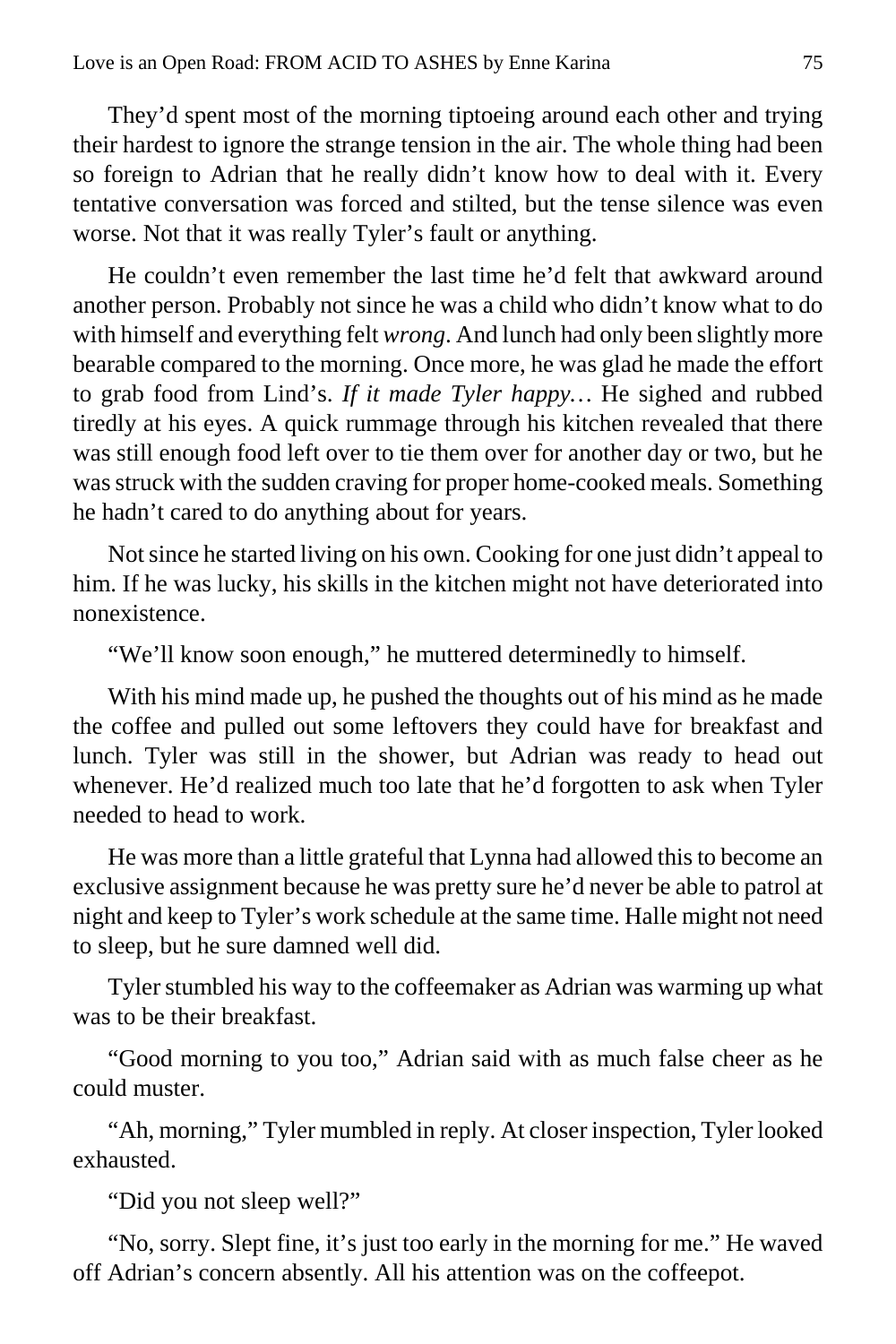They'd spent most of the morning tiptoeing around each other and trying their hardest to ignore the strange tension in the air. The whole thing had been so foreign to Adrian that he really didn't know how to deal with it. Every tentative conversation was forced and stilted, but the tense silence was even worse. Not that it was really Tyler's fault or anything.

He couldn't even remember the last time he'd felt that awkward around another person. Probably not since he was a child who didn't know what to do with himself and everything felt *wrong*. And lunch had only been slightly more bearable compared to the morning. Once more, he was glad he made the effort to grab food from Lind's. *If it made Tyler happy…* He sighed and rubbed tiredly at his eyes. A quick rummage through his kitchen revealed that there was still enough food left over to tie them over for another day or two, but he was struck with the sudden craving for proper home-cooked meals. Something he hadn't cared to do anything about for years.

Not since he started living on his own. Cooking for one just didn't appeal to him. If he was lucky, his skills in the kitchen might not have deteriorated into nonexistence.

"We'll know soon enough," he muttered determinedly to himself.

With his mind made up, he pushed the thoughts out of his mind as he made the coffee and pulled out some leftovers they could have for breakfast and lunch. Tyler was still in the shower, but Adrian was ready to head out whenever. He'd realized much too late that he'd forgotten to ask when Tyler needed to head to work.

He was more than a little grateful that Lynna had allowed this to become an exclusive assignment because he was pretty sure he'd never be able to patrol at night and keep to Tyler's work schedule at the same time. Halle might not need to sleep, but he sure damned well did.

Tyler stumbled his way to the coffeemaker as Adrian was warming up what was to be their breakfast.

"Good morning to you too," Adrian said with as much false cheer as he could muster.

"Ah, morning," Tyler mumbled in reply. At closer inspection, Tyler looked exhausted.

"Did you not sleep well?"

"No, sorry. Slept fine, it's just too early in the morning for me." He waved off Adrian's concern absently. All his attention was on the coffeepot.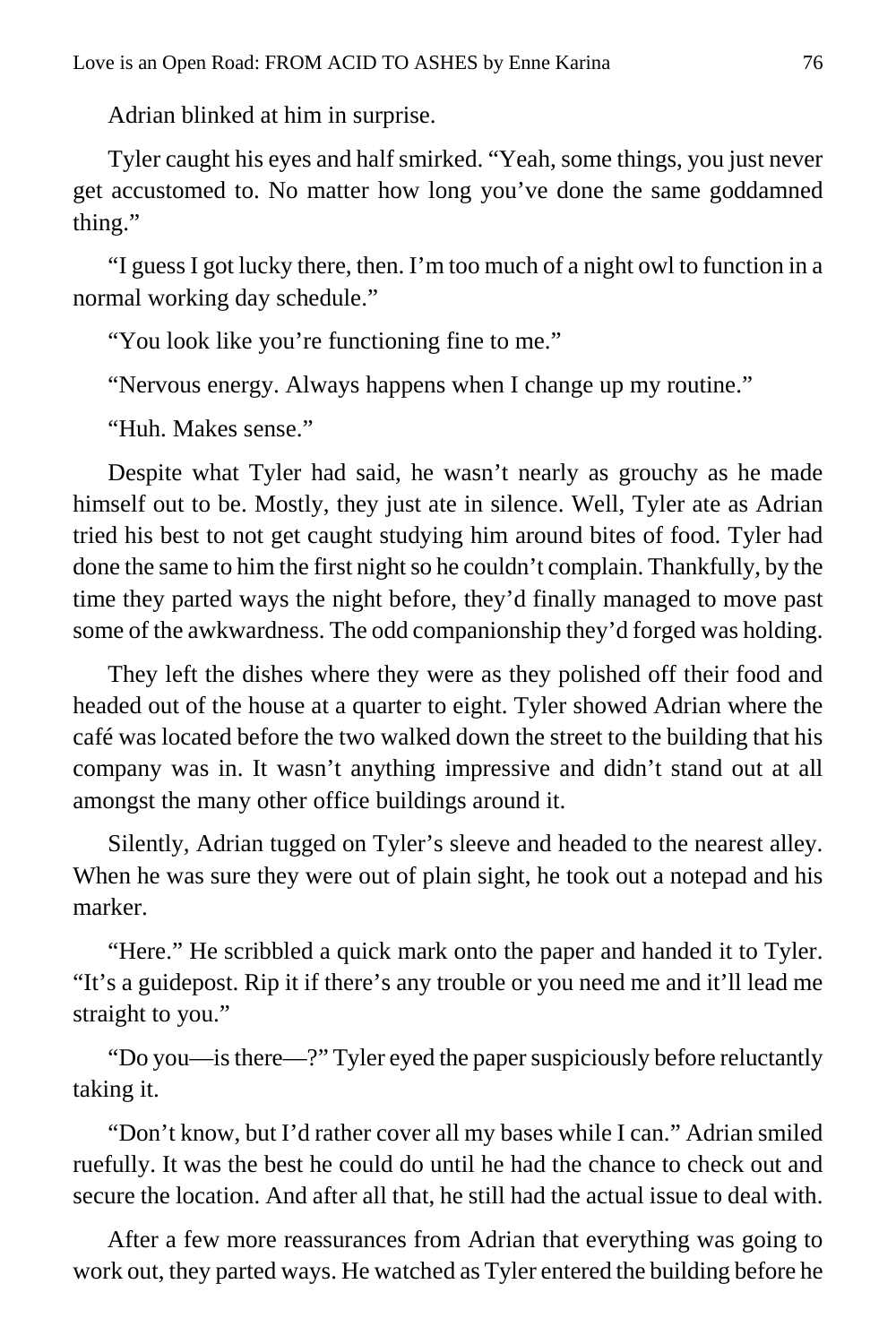Adrian blinked at him in surprise.

Tyler caught his eyes and half smirked. "Yeah, some things, you just never get accustomed to. No matter how long you've done the same goddamned thing."

"I guess I got lucky there, then. I'm too much of a night owl to function in a normal working day schedule."

"You look like you're functioning fine to me."

"Nervous energy. Always happens when I change up my routine."

"Huh. Makes sense."

Despite what Tyler had said, he wasn't nearly as grouchy as he made himself out to be. Mostly, they just ate in silence. Well, Tyler ate as Adrian tried his best to not get caught studying him around bites of food. Tyler had done the same to him the first night so he couldn't complain. Thankfully, by the time they parted ways the night before, they'd finally managed to move past some of the awkwardness. The odd companionship they'd forged was holding.

They left the dishes where they were as they polished off their food and headed out of the house at a quarter to eight. Tyler showed Adrian where the café was located before the two walked down the street to the building that his company was in. It wasn't anything impressive and didn't stand out at all amongst the many other office buildings around it.

Silently, Adrian tugged on Tyler's sleeve and headed to the nearest alley. When he was sure they were out of plain sight, he took out a notepad and his marker.

"Here." He scribbled a quick mark onto the paper and handed it to Tyler. "It's a guidepost. Rip it if there's any trouble or you need me and it'll lead me straight to you."

"Do you—is there—?" Tyler eyed the paper suspiciously before reluctantly taking it.

"Don't know, but I'd rather cover all my bases while I can." Adrian smiled ruefully. It was the best he could do until he had the chance to check out and secure the location. And after all that, he still had the actual issue to deal with.

After a few more reassurances from Adrian that everything was going to work out, they parted ways. He watched as Tyler entered the building before he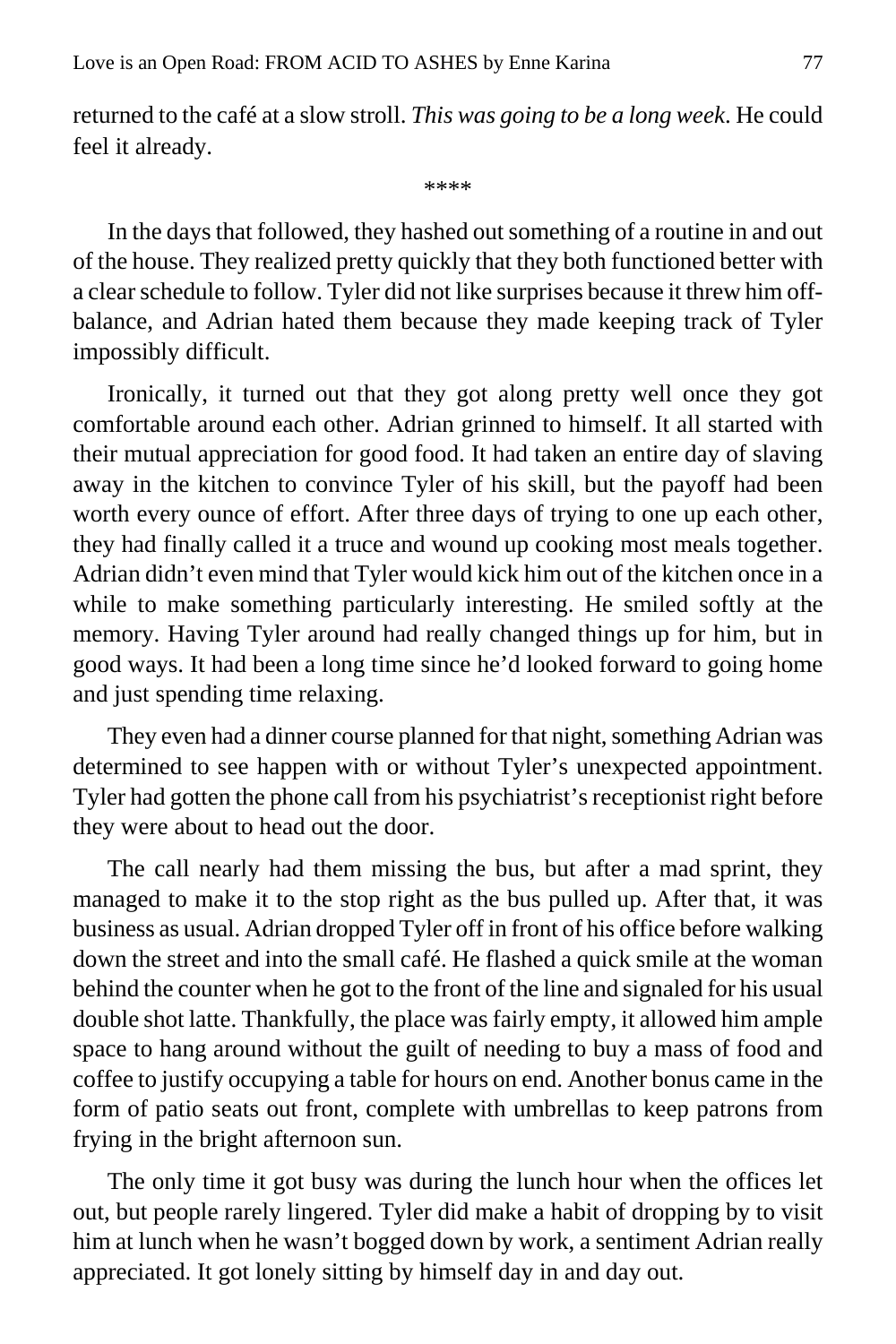returned to the café at a slow stroll. *This was going to be a long week*. He could feel it already.

\*\*\*\*

In the days that followed, they hashed out something of a routine in and out of the house. They realized pretty quickly that they both functioned better with a clear schedule to follow. Tyler did not like surprises because it threw him offbalance, and Adrian hated them because they made keeping track of Tyler impossibly difficult.

Ironically, it turned out that they got along pretty well once they got comfortable around each other. Adrian grinned to himself. It all started with their mutual appreciation for good food. It had taken an entire day of slaving away in the kitchen to convince Tyler of his skill, but the payoff had been worth every ounce of effort. After three days of trying to one up each other, they had finally called it a truce and wound up cooking most meals together. Adrian didn't even mind that Tyler would kick him out of the kitchen once in a while to make something particularly interesting. He smiled softly at the memory. Having Tyler around had really changed things up for him, but in good ways. It had been a long time since he'd looked forward to going home and just spending time relaxing.

They even had a dinner course planned for that night, something Adrian was determined to see happen with or without Tyler's unexpected appointment. Tyler had gotten the phone call from his psychiatrist's receptionist right before they were about to head out the door.

The call nearly had them missing the bus, but after a mad sprint, they managed to make it to the stop right as the bus pulled up. After that, it was business as usual. Adrian dropped Tyler off in front of his office before walking down the street and into the small café. He flashed a quick smile at the woman behind the counter when he got to the front of the line and signaled for his usual double shot latte. Thankfully, the place was fairly empty, it allowed him ample space to hang around without the guilt of needing to buy a mass of food and coffee to justify occupying a table for hours on end. Another bonus came in the form of patio seats out front, complete with umbrellas to keep patrons from frying in the bright afternoon sun.

The only time it got busy was during the lunch hour when the offices let out, but people rarely lingered. Tyler did make a habit of dropping by to visit him at lunch when he wasn't bogged down by work, a sentiment Adrian really appreciated. It got lonely sitting by himself day in and day out.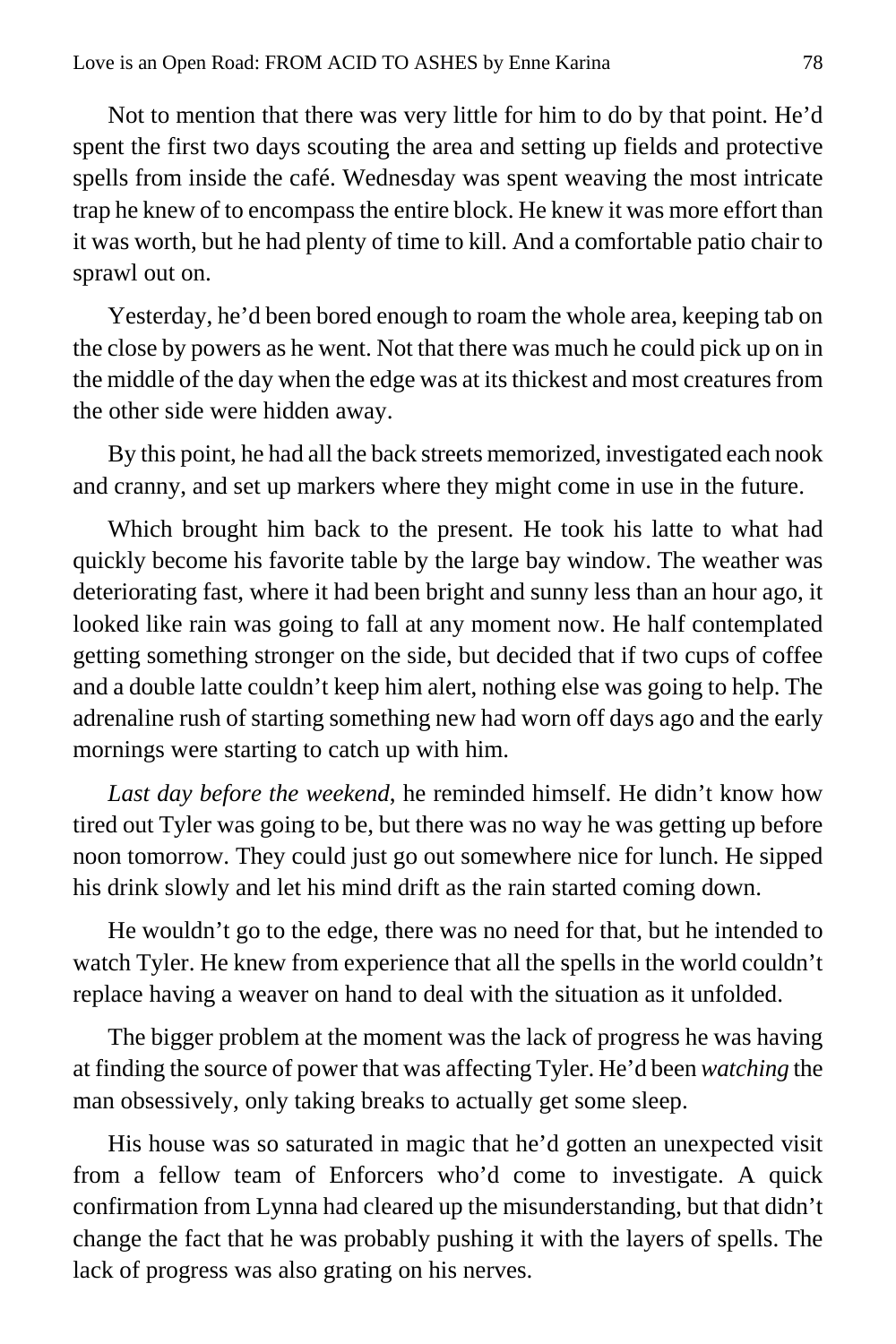Not to mention that there was very little for him to do by that point. He'd spent the first two days scouting the area and setting up fields and protective spells from inside the café. Wednesday was spent weaving the most intricate trap he knew of to encompass the entire block. He knew it was more effort than it was worth, but he had plenty of time to kill. And a comfortable patio chair to sprawl out on.

Yesterday, he'd been bored enough to roam the whole area, keeping tab on the close by powers as he went. Not that there was much he could pick up on in the middle of the day when the edge was at its thickest and most creatures from the other side were hidden away.

By this point, he had all the back streets memorized, investigated each nook and cranny, and set up markers where they might come in use in the future.

Which brought him back to the present. He took his latte to what had quickly become his favorite table by the large bay window. The weather was deteriorating fast, where it had been bright and sunny less than an hour ago, it looked like rain was going to fall at any moment now. He half contemplated getting something stronger on the side, but decided that if two cups of coffee and a double latte couldn't keep him alert, nothing else was going to help. The adrenaline rush of starting something new had worn off days ago and the early mornings were starting to catch up with him.

*Last day before the weekend*, he reminded himself. He didn't know how tired out Tyler was going to be, but there was no way he was getting up before noon tomorrow. They could just go out somewhere nice for lunch. He sipped his drink slowly and let his mind drift as the rain started coming down.

He wouldn't go to the edge, there was no need for that, but he intended to watch Tyler. He knew from experience that all the spells in the world couldn't replace having a weaver on hand to deal with the situation as it unfolded.

The bigger problem at the moment was the lack of progress he was having at finding the source of power that was affecting Tyler. He'd been *watching* the man obsessively, only taking breaks to actually get some sleep.

His house was so saturated in magic that he'd gotten an unexpected visit from a fellow team of Enforcers who'd come to investigate. A quick confirmation from Lynna had cleared up the misunderstanding, but that didn't change the fact that he was probably pushing it with the layers of spells. The lack of progress was also grating on his nerves.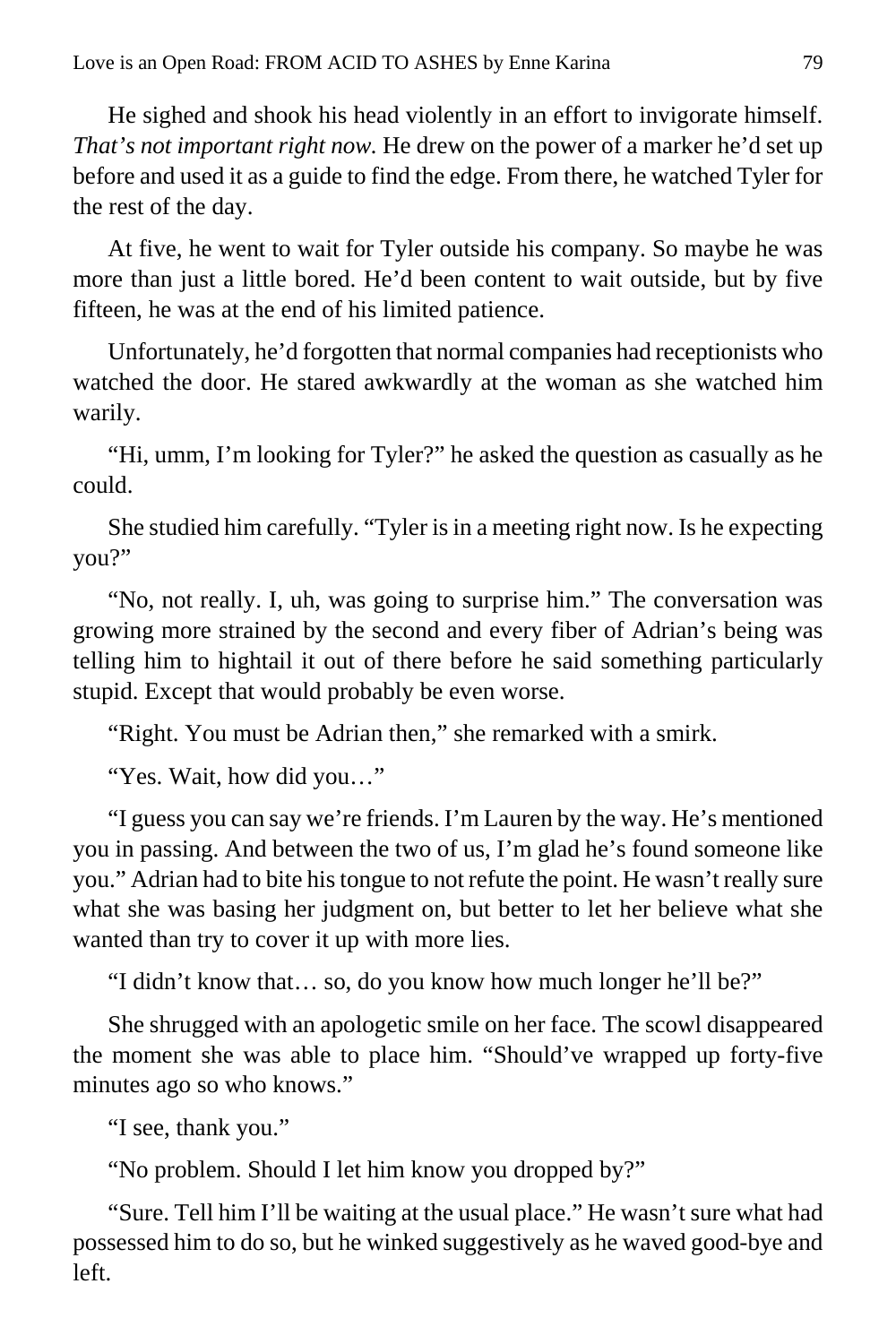He sighed and shook his head violently in an effort to invigorate himself. *That's not important right now.* He drew on the power of a marker he'd set up before and used it as a guide to find the edge. From there, he watched Tyler for the rest of the day.

At five, he went to wait for Tyler outside his company. So maybe he was more than just a little bored. He'd been content to wait outside, but by five fifteen, he was at the end of his limited patience.

Unfortunately, he'd forgotten that normal companies had receptionists who watched the door. He stared awkwardly at the woman as she watched him warily.

"Hi, umm, I'm looking for Tyler?" he asked the question as casually as he could.

She studied him carefully. "Tyler is in a meeting right now. Is he expecting you?"

"No, not really. I, uh, was going to surprise him." The conversation was growing more strained by the second and every fiber of Adrian's being was telling him to hightail it out of there before he said something particularly stupid. Except that would probably be even worse.

"Right. You must be Adrian then," she remarked with a smirk.

"Yes. Wait, how did you…"

"I guess you can say we're friends. I'm Lauren by the way. He's mentioned you in passing. And between the two of us, I'm glad he's found someone like you." Adrian had to bite his tongue to not refute the point. He wasn't really sure what she was basing her judgment on, but better to let her believe what she wanted than try to cover it up with more lies.

"I didn't know that… so, do you know how much longer he'll be?"

She shrugged with an apologetic smile on her face. The scowl disappeared the moment she was able to place him. "Should've wrapped up forty-five minutes ago so who knows."

"I see, thank you."

"No problem. Should I let him know you dropped by?"

"Sure. Tell him I'll be waiting at the usual place." He wasn't sure what had possessed him to do so, but he winked suggestively as he waved good-bye and left.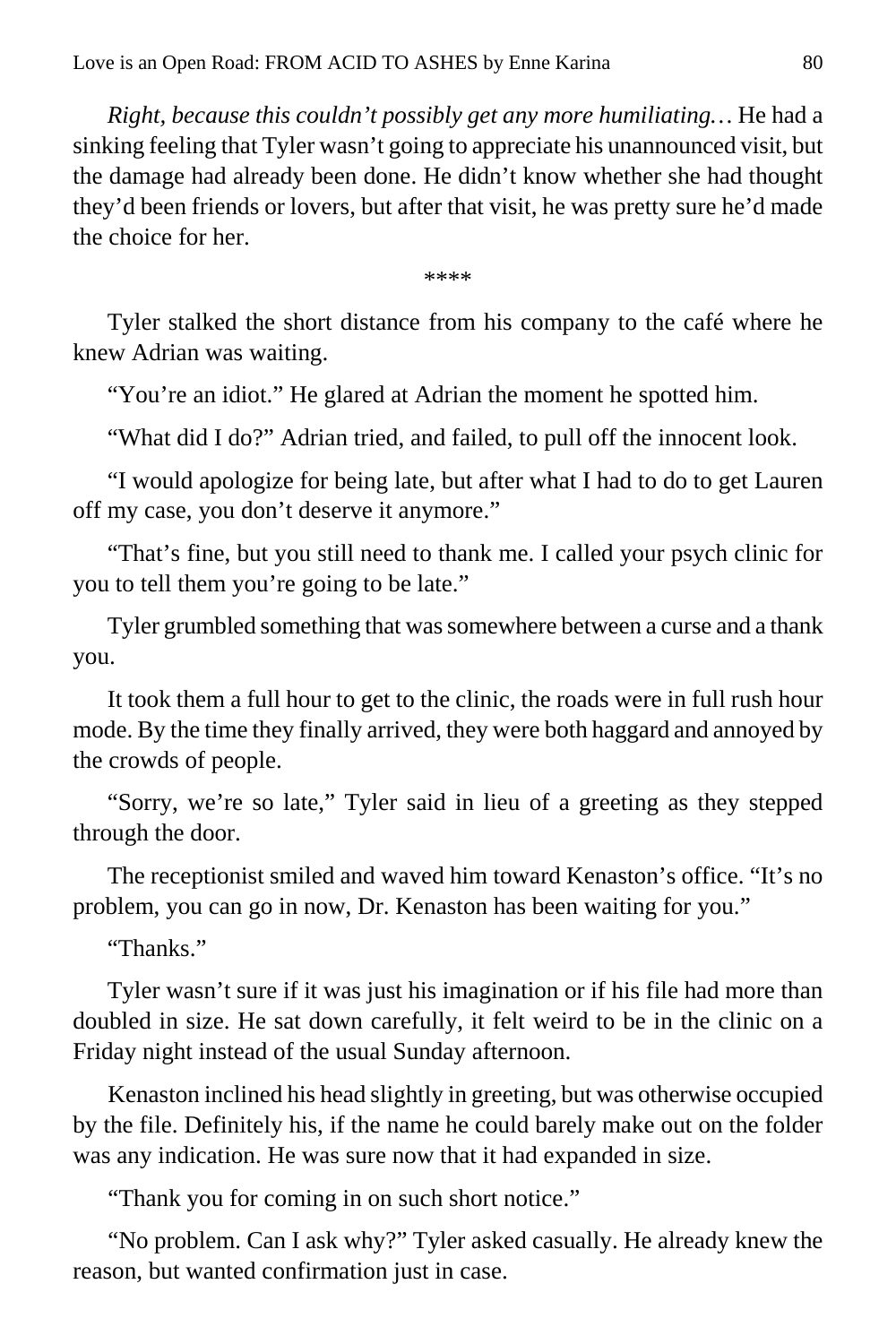*Right, because this couldn't possibly get any more humiliating…* He had a sinking feeling that Tyler wasn't going to appreciate his unannounced visit, but the damage had already been done. He didn't know whether she had thought they'd been friends or lovers, but after that visit, he was pretty sure he'd made the choice for her.

\*\*\*\*

Tyler stalked the short distance from his company to the café where he knew Adrian was waiting.

"You're an idiot." He glared at Adrian the moment he spotted him.

"What did I do?" Adrian tried, and failed, to pull off the innocent look.

"I would apologize for being late, but after what I had to do to get Lauren off my case, you don't deserve it anymore."

"That's fine, but you still need to thank me. I called your psych clinic for you to tell them you're going to be late."

Tyler grumbled something that was somewhere between a curse and a thank you.

It took them a full hour to get to the clinic, the roads were in full rush hour mode. By the time they finally arrived, they were both haggard and annoyed by the crowds of people.

"Sorry, we're so late," Tyler said in lieu of a greeting as they stepped through the door.

The receptionist smiled and waved him toward Kenaston's office. "It's no problem, you can go in now, Dr. Kenaston has been waiting for you."

"Thanks."

Tyler wasn't sure if it was just his imagination or if his file had more than doubled in size. He sat down carefully, it felt weird to be in the clinic on a Friday night instead of the usual Sunday afternoon.

Kenaston inclined his head slightly in greeting, but was otherwise occupied by the file. Definitely his, if the name he could barely make out on the folder was any indication. He was sure now that it had expanded in size.

"Thank you for coming in on such short notice."

"No problem. Can I ask why?" Tyler asked casually. He already knew the reason, but wanted confirmation just in case.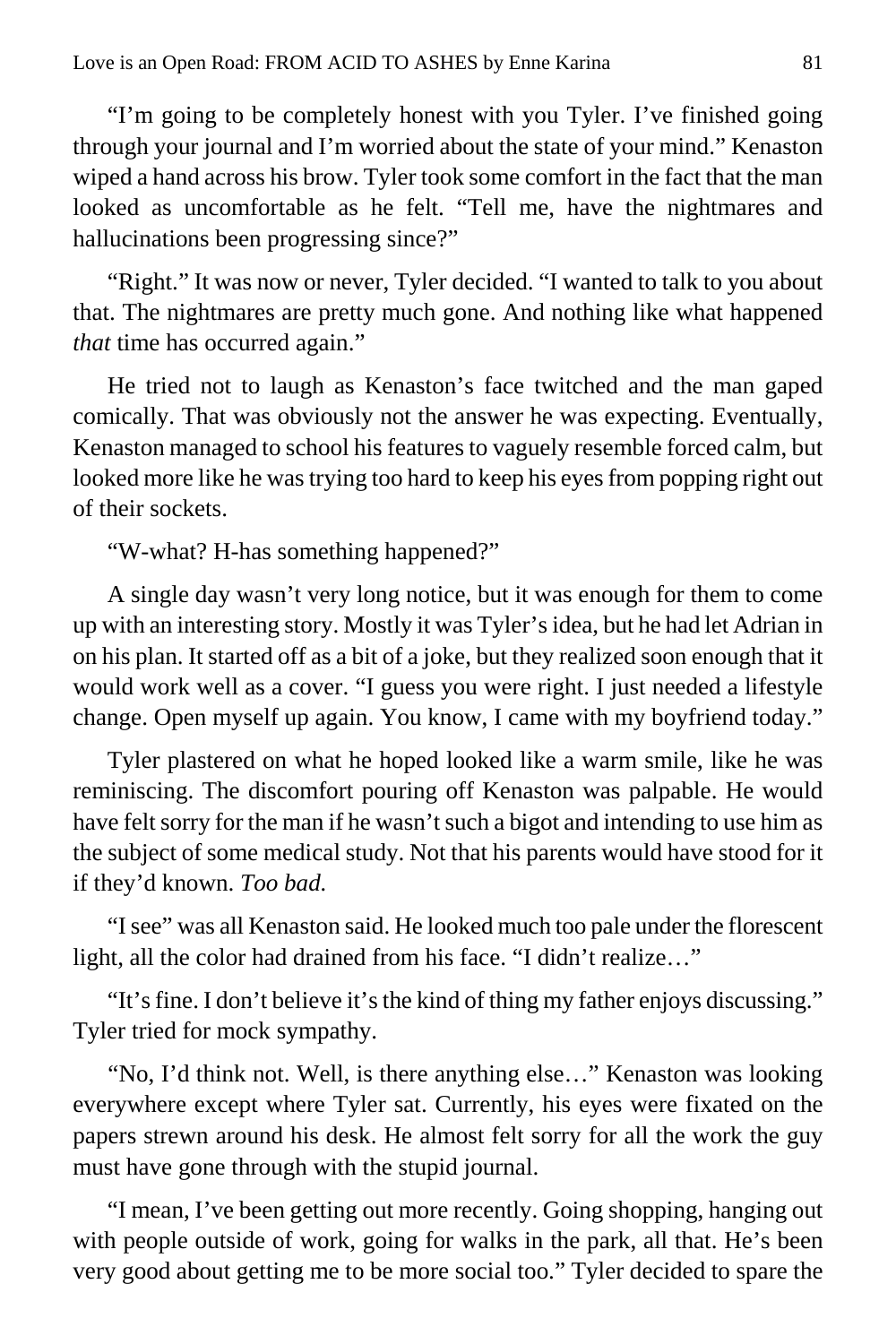"I'm going to be completely honest with you Tyler. I've finished going through your journal and I'm worried about the state of your mind." Kenaston wiped a hand across his brow. Tyler took some comfort in the fact that the man looked as uncomfortable as he felt. "Tell me, have the nightmares and hallucinations been progressing since?"

"Right." It was now or never, Tyler decided. "I wanted to talk to you about that. The nightmares are pretty much gone. And nothing like what happened *that* time has occurred again."

He tried not to laugh as Kenaston's face twitched and the man gaped comically. That was obviously not the answer he was expecting. Eventually, Kenaston managed to school his features to vaguely resemble forced calm, but looked more like he was trying too hard to keep his eyes from popping right out of their sockets.

"W-what? H-has something happened?"

A single day wasn't very long notice, but it was enough for them to come up with an interesting story. Mostly it was Tyler's idea, but he had let Adrian in on his plan. It started off as a bit of a joke, but they realized soon enough that it would work well as a cover. "I guess you were right. I just needed a lifestyle change. Open myself up again. You know, I came with my boyfriend today."

Tyler plastered on what he hoped looked like a warm smile, like he was reminiscing. The discomfort pouring off Kenaston was palpable. He would have felt sorry for the man if he wasn't such a bigot and intending to use him as the subject of some medical study. Not that his parents would have stood for it if they'd known. *Too bad.*

"I see" was all Kenaston said. He looked much too pale under the florescent light, all the color had drained from his face. "I didn't realize…"

"It's fine. I don't believe it's the kind of thing my father enjoys discussing." Tyler tried for mock sympathy.

"No, I'd think not. Well, is there anything else…" Kenaston was looking everywhere except where Tyler sat. Currently, his eyes were fixated on the papers strewn around his desk. He almost felt sorry for all the work the guy must have gone through with the stupid journal.

"I mean, I've been getting out more recently. Going shopping, hanging out with people outside of work, going for walks in the park, all that. He's been very good about getting me to be more social too." Tyler decided to spare the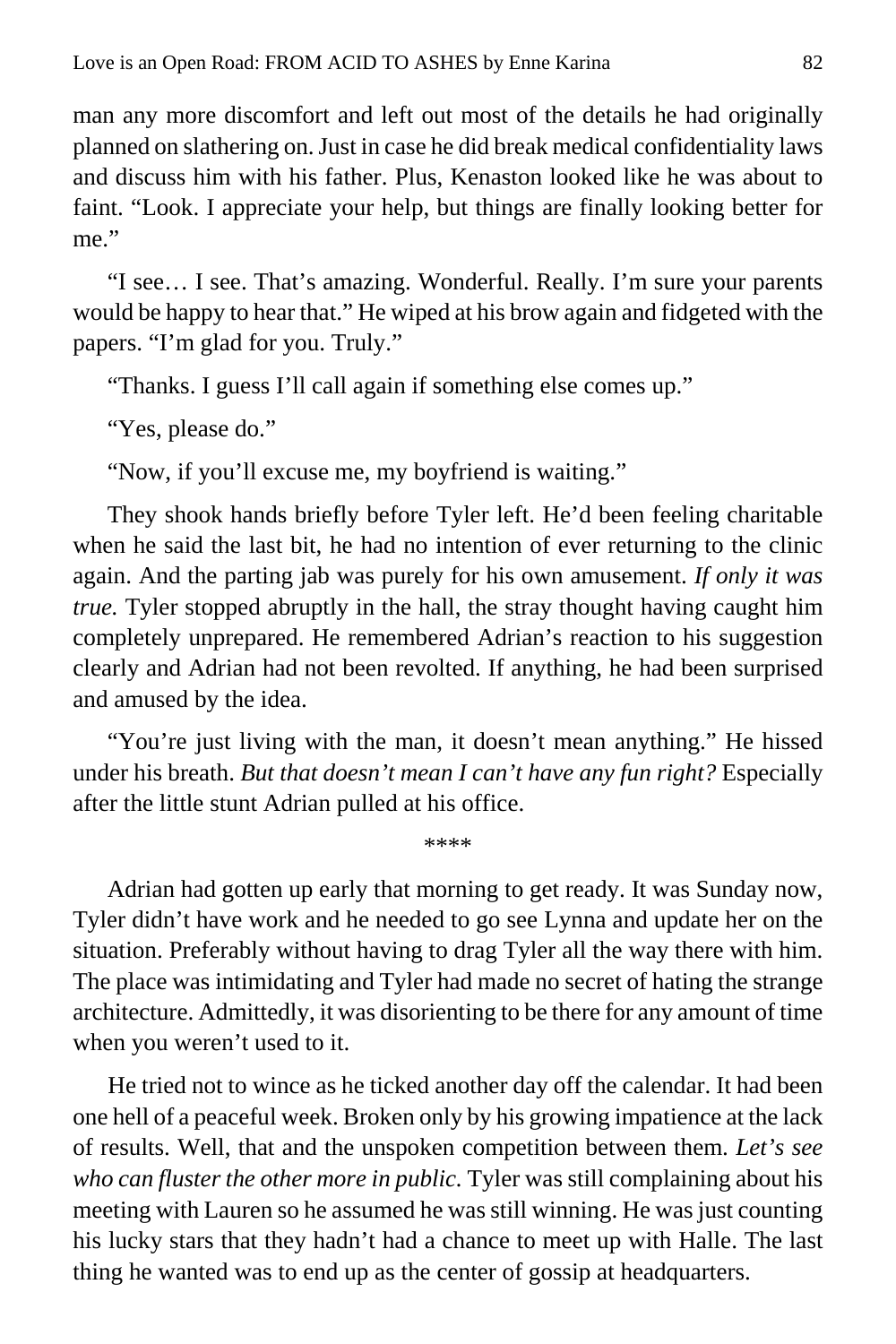man any more discomfort and left out most of the details he had originally planned on slathering on. Just in case he did break medical confidentiality laws and discuss him with his father. Plus, Kenaston looked like he was about to faint. "Look. I appreciate your help, but things are finally looking better for me."

"I see… I see. That's amazing. Wonderful. Really. I'm sure your parents would be happy to hear that." He wiped at his brow again and fidgeted with the papers. "I'm glad for you. Truly."

"Thanks. I guess I'll call again if something else comes up."

"Yes, please do."

"Now, if you'll excuse me, my boyfriend is waiting."

They shook hands briefly before Tyler left. He'd been feeling charitable when he said the last bit, he had no intention of ever returning to the clinic again. And the parting jab was purely for his own amusement. *If only it was true.* Tyler stopped abruptly in the hall, the stray thought having caught him completely unprepared. He remembered Adrian's reaction to his suggestion clearly and Adrian had not been revolted. If anything, he had been surprised and amused by the idea.

"You're just living with the man, it doesn't mean anything." He hissed under his breath. *But that doesn't mean I can't have any fun right?* Especially after the little stunt Adrian pulled at his office.

\*\*\*\*

Adrian had gotten up early that morning to get ready. It was Sunday now, Tyler didn't have work and he needed to go see Lynna and update her on the situation. Preferably without having to drag Tyler all the way there with him. The place was intimidating and Tyler had made no secret of hating the strange architecture. Admittedly, it was disorienting to be there for any amount of time when you weren't used to it.

He tried not to wince as he ticked another day off the calendar. It had been one hell of a peaceful week. Broken only by his growing impatience at the lack of results. Well, that and the unspoken competition between them. *Let's see who can fluster the other more in public.* Tyler was still complaining about his meeting with Lauren so he assumed he was still winning. He was just counting his lucky stars that they hadn't had a chance to meet up with Halle. The last thing he wanted was to end up as the center of gossip at headquarters.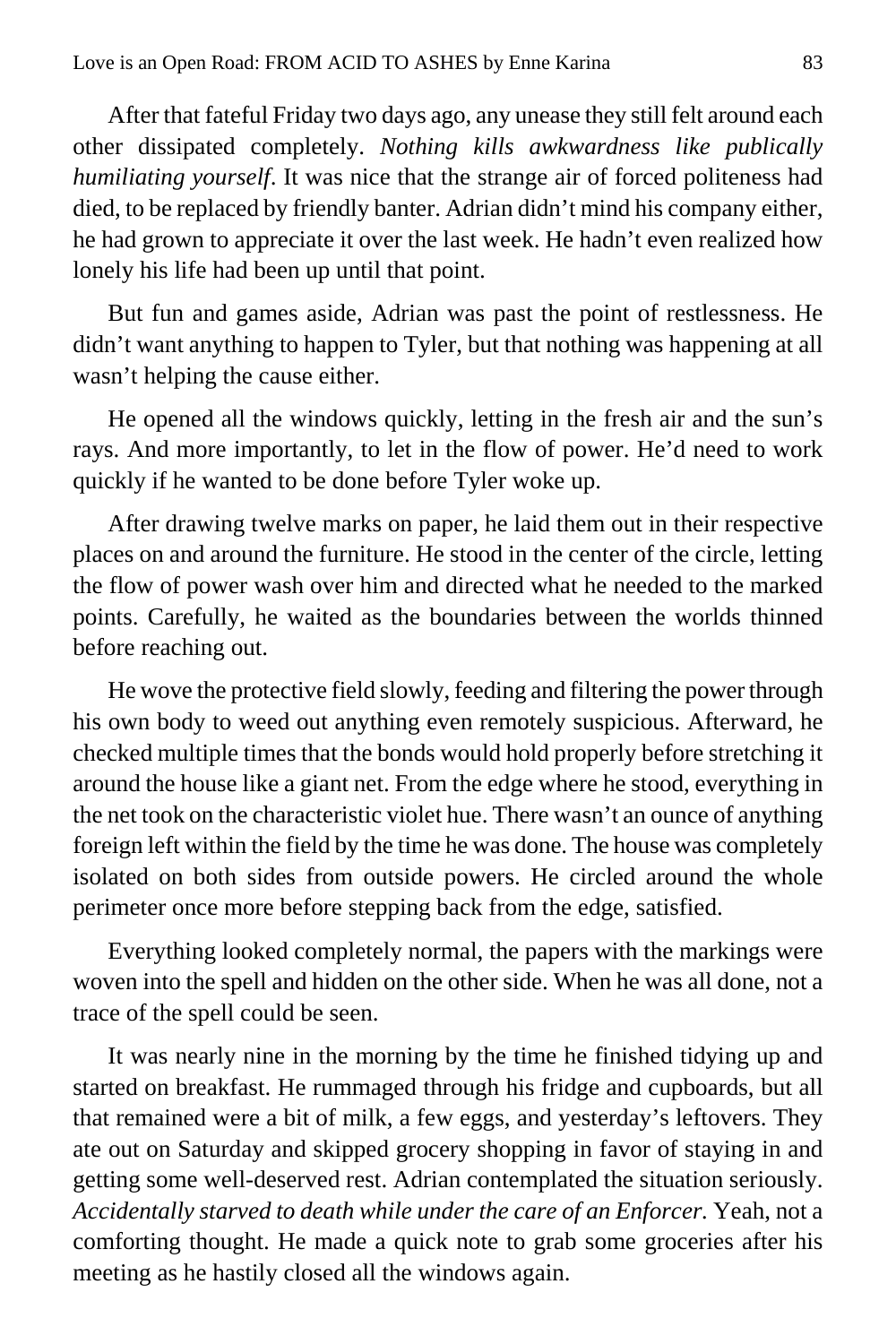After that fateful Friday two days ago, any unease they still felt around each other dissipated completely. *Nothing kills awkwardness like publically humiliating yourself*. It was nice that the strange air of forced politeness had died, to be replaced by friendly banter. Adrian didn't mind his company either, he had grown to appreciate it over the last week. He hadn't even realized how lonely his life had been up until that point.

But fun and games aside, Adrian was past the point of restlessness. He didn't want anything to happen to Tyler, but that nothing was happening at all wasn't helping the cause either.

He opened all the windows quickly, letting in the fresh air and the sun's rays. And more importantly, to let in the flow of power. He'd need to work quickly if he wanted to be done before Tyler woke up.

After drawing twelve marks on paper, he laid them out in their respective places on and around the furniture. He stood in the center of the circle, letting the flow of power wash over him and directed what he needed to the marked points. Carefully, he waited as the boundaries between the worlds thinned before reaching out.

He wove the protective field slowly, feeding and filtering the power through his own body to weed out anything even remotely suspicious. Afterward, he checked multiple times that the bonds would hold properly before stretching it around the house like a giant net. From the edge where he stood, everything in the net took on the characteristic violet hue. There wasn't an ounce of anything foreign left within the field by the time he was done. The house was completely isolated on both sides from outside powers. He circled around the whole perimeter once more before stepping back from the edge, satisfied.

Everything looked completely normal, the papers with the markings were woven into the spell and hidden on the other side. When he was all done, not a trace of the spell could be seen.

It was nearly nine in the morning by the time he finished tidying up and started on breakfast. He rummaged through his fridge and cupboards, but all that remained were a bit of milk, a few eggs, and yesterday's leftovers. They ate out on Saturday and skipped grocery shopping in favor of staying in and getting some well-deserved rest. Adrian contemplated the situation seriously. *Accidentally starved to death while under the care of an Enforcer.* Yeah, not a comforting thought. He made a quick note to grab some groceries after his meeting as he hastily closed all the windows again.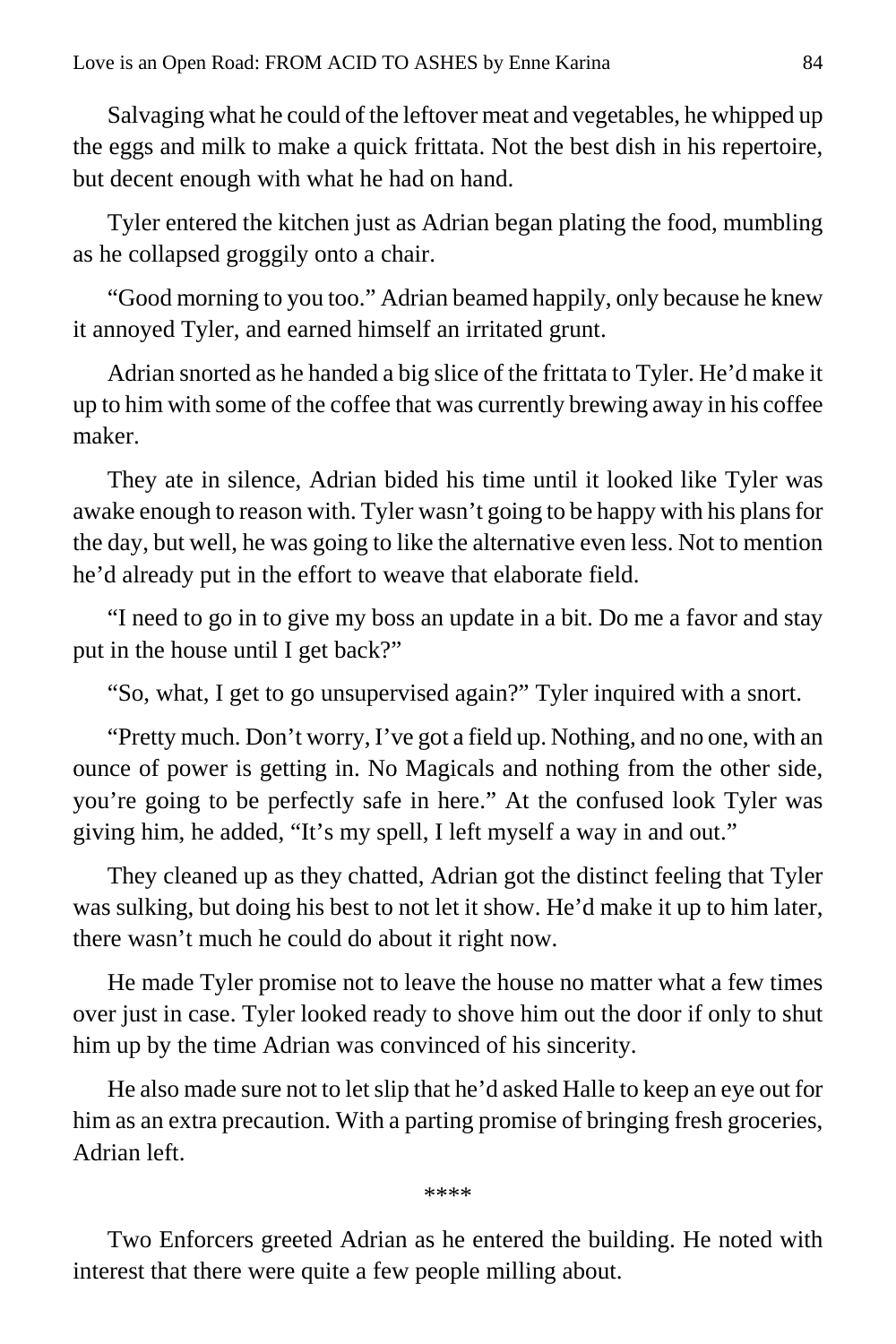Salvaging what he could of the leftover meat and vegetables, he whipped up the eggs and milk to make a quick frittata. Not the best dish in his repertoire, but decent enough with what he had on hand.

Tyler entered the kitchen just as Adrian began plating the food, mumbling as he collapsed groggily onto a chair.

"Good morning to you too." Adrian beamed happily, only because he knew it annoyed Tyler, and earned himself an irritated grunt.

Adrian snorted as he handed a big slice of the frittata to Tyler. He'd make it up to him with some of the coffee that was currently brewing away in his coffee maker.

They ate in silence, Adrian bided his time until it looked like Tyler was awake enough to reason with. Tyler wasn't going to be happy with his plans for the day, but well, he was going to like the alternative even less. Not to mention he'd already put in the effort to weave that elaborate field.

"I need to go in to give my boss an update in a bit. Do me a favor and stay put in the house until I get back?"

"So, what, I get to go unsupervised again?" Tyler inquired with a snort.

"Pretty much. Don't worry, I've got a field up. Nothing, and no one, with an ounce of power is getting in. No Magicals and nothing from the other side, you're going to be perfectly safe in here." At the confused look Tyler was giving him, he added, "It's my spell, I left myself a way in and out."

They cleaned up as they chatted, Adrian got the distinct feeling that Tyler was sulking, but doing his best to not let it show. He'd make it up to him later, there wasn't much he could do about it right now.

He made Tyler promise not to leave the house no matter what a few times over just in case. Tyler looked ready to shove him out the door if only to shut him up by the time Adrian was convinced of his sincerity.

He also made sure not to let slip that he'd asked Halle to keep an eye out for him as an extra precaution. With a parting promise of bringing fresh groceries, Adrian left.

\*\*\*\*

Two Enforcers greeted Adrian as he entered the building. He noted with interest that there were quite a few people milling about.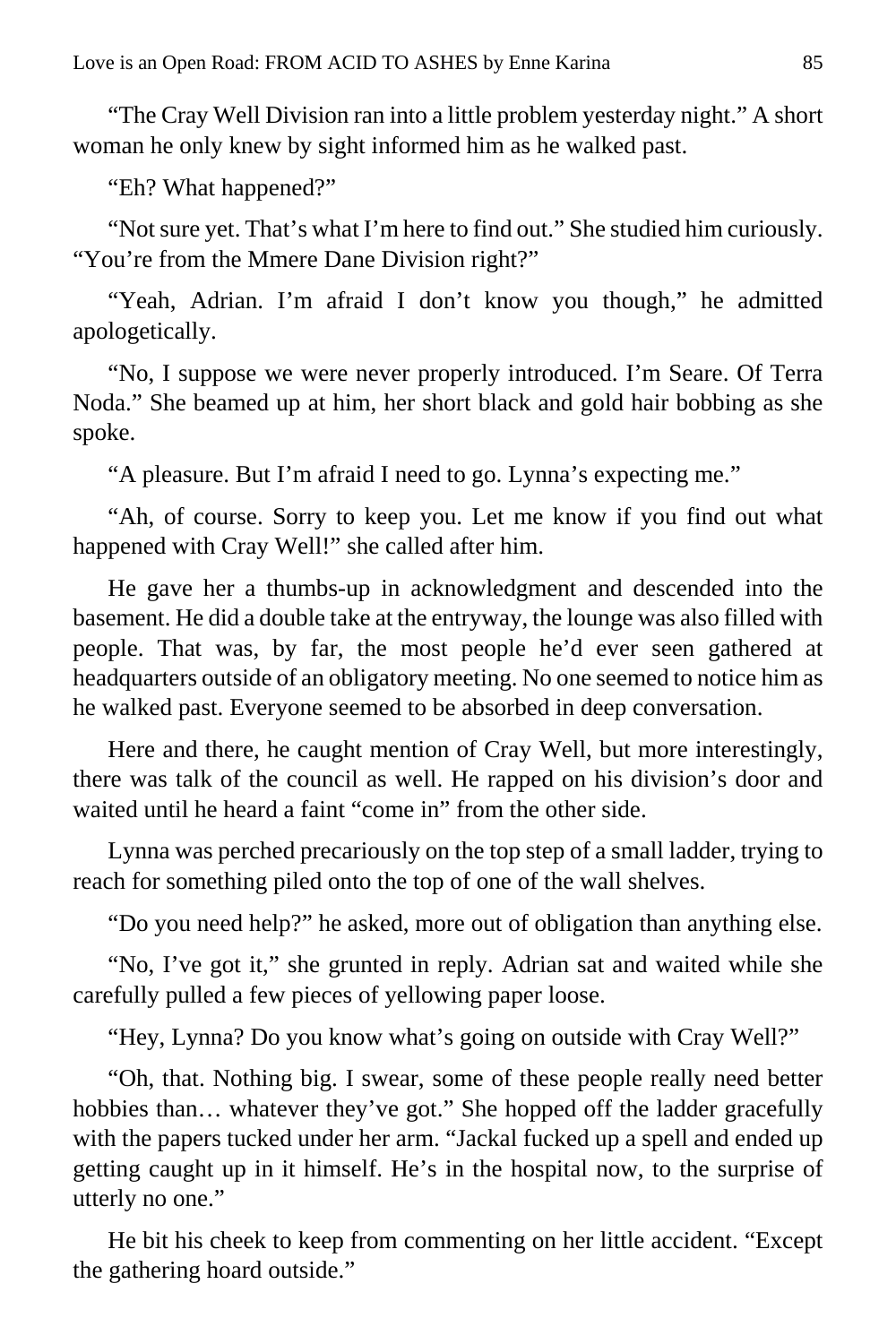"The Cray Well Division ran into a little problem yesterday night." A short woman he only knew by sight informed him as he walked past.

"Eh? What happened?"

"Not sure yet. That's what I'm here to find out." She studied him curiously. "You're from the Mmere Dane Division right?"

"Yeah, Adrian. I'm afraid I don't know you though," he admitted apologetically.

"No, I suppose we were never properly introduced. I'm Seare. Of Terra Noda." She beamed up at him, her short black and gold hair bobbing as she spoke.

"A pleasure. But I'm afraid I need to go. Lynna's expecting me."

"Ah, of course. Sorry to keep you. Let me know if you find out what happened with Cray Well!" she called after him.

He gave her a thumbs-up in acknowledgment and descended into the basement. He did a double take at the entryway, the lounge was also filled with people. That was, by far, the most people he'd ever seen gathered at headquarters outside of an obligatory meeting. No one seemed to notice him as he walked past. Everyone seemed to be absorbed in deep conversation.

Here and there, he caught mention of Cray Well, but more interestingly, there was talk of the council as well. He rapped on his division's door and waited until he heard a faint "come in" from the other side.

Lynna was perched precariously on the top step of a small ladder, trying to reach for something piled onto the top of one of the wall shelves.

"Do you need help?" he asked, more out of obligation than anything else.

"No, I've got it," she grunted in reply. Adrian sat and waited while she carefully pulled a few pieces of yellowing paper loose.

"Hey, Lynna? Do you know what's going on outside with Cray Well?"

"Oh, that. Nothing big. I swear, some of these people really need better hobbies than… whatever they've got." She hopped off the ladder gracefully with the papers tucked under her arm. "Jackal fucked up a spell and ended up getting caught up in it himself. He's in the hospital now, to the surprise of utterly no one."

He bit his cheek to keep from commenting on her little accident. "Except the gathering hoard outside."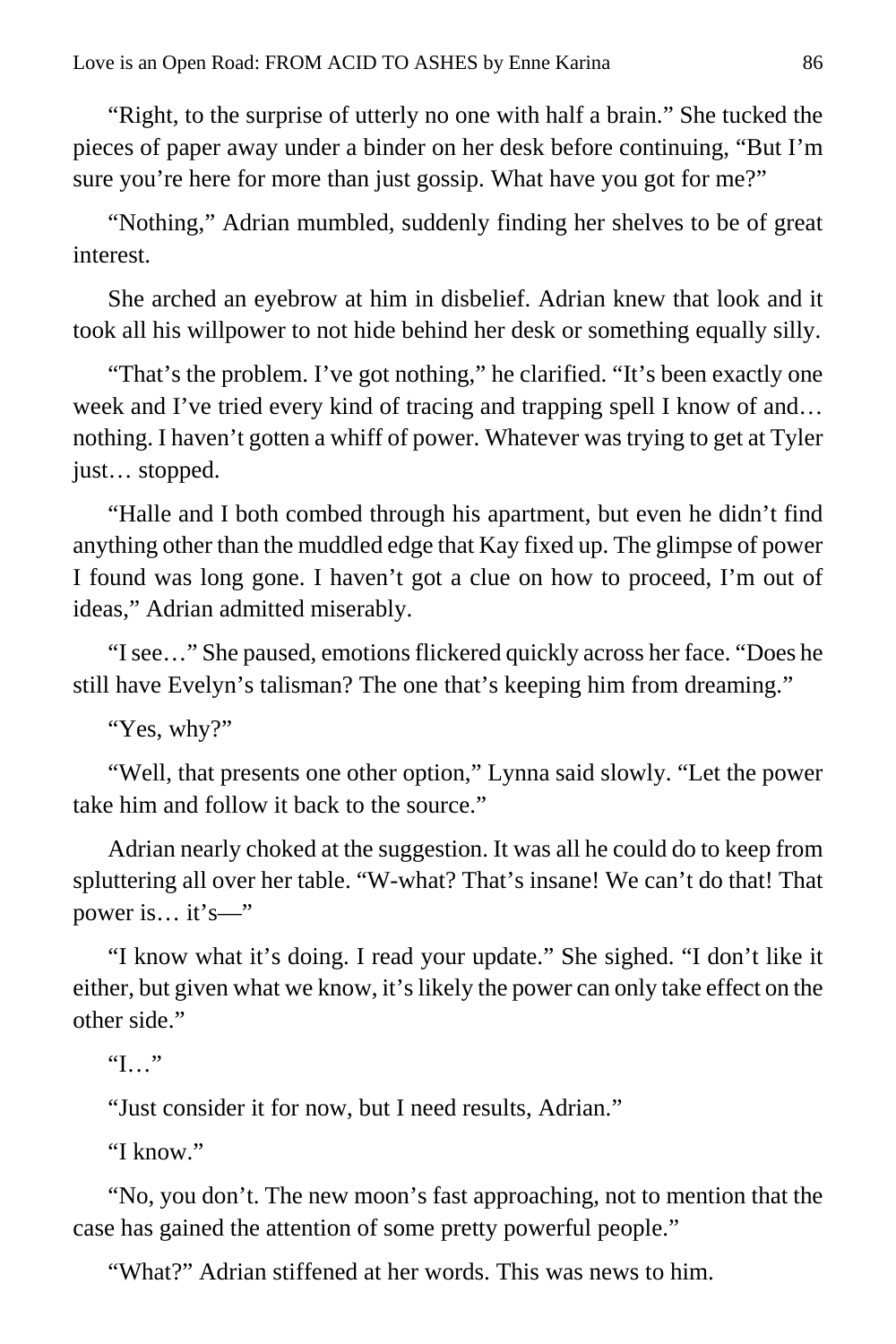"Right, to the surprise of utterly no one with half a brain." She tucked the pieces of paper away under a binder on her desk before continuing, "But I'm sure you're here for more than just gossip. What have you got for me?"

"Nothing," Adrian mumbled, suddenly finding her shelves to be of great interest.

She arched an eyebrow at him in disbelief. Adrian knew that look and it took all his willpower to not hide behind her desk or something equally silly.

"That's the problem. I've got nothing," he clarified. "It's been exactly one week and I've tried every kind of tracing and trapping spell I know of and… nothing. I haven't gotten a whiff of power. Whatever was trying to get at Tyler just… stopped.

"Halle and I both combed through his apartment, but even he didn't find anything other than the muddled edge that Kay fixed up. The glimpse of power I found was long gone. I haven't got a clue on how to proceed, I'm out of ideas," Adrian admitted miserably.

"I see…" She paused, emotions flickered quickly across her face. "Does he still have Evelyn's talisman? The one that's keeping him from dreaming."

"Yes, why?"

"Well, that presents one other option," Lynna said slowly. "Let the power take him and follow it back to the source."

Adrian nearly choked at the suggestion. It was all he could do to keep from spluttering all over her table. "W-what? That's insane! We can't do that! That power is… it's—"

"I know what it's doing. I read your update." She sighed. "I don't like it either, but given what we know, it's likely the power can only take effect on the other side."

"I…"

"Just consider it for now, but I need results, Adrian."

"I know."

"No, you don't. The new moon's fast approaching, not to mention that the case has gained the attention of some pretty powerful people."

"What?" Adrian stiffened at her words. This was news to him.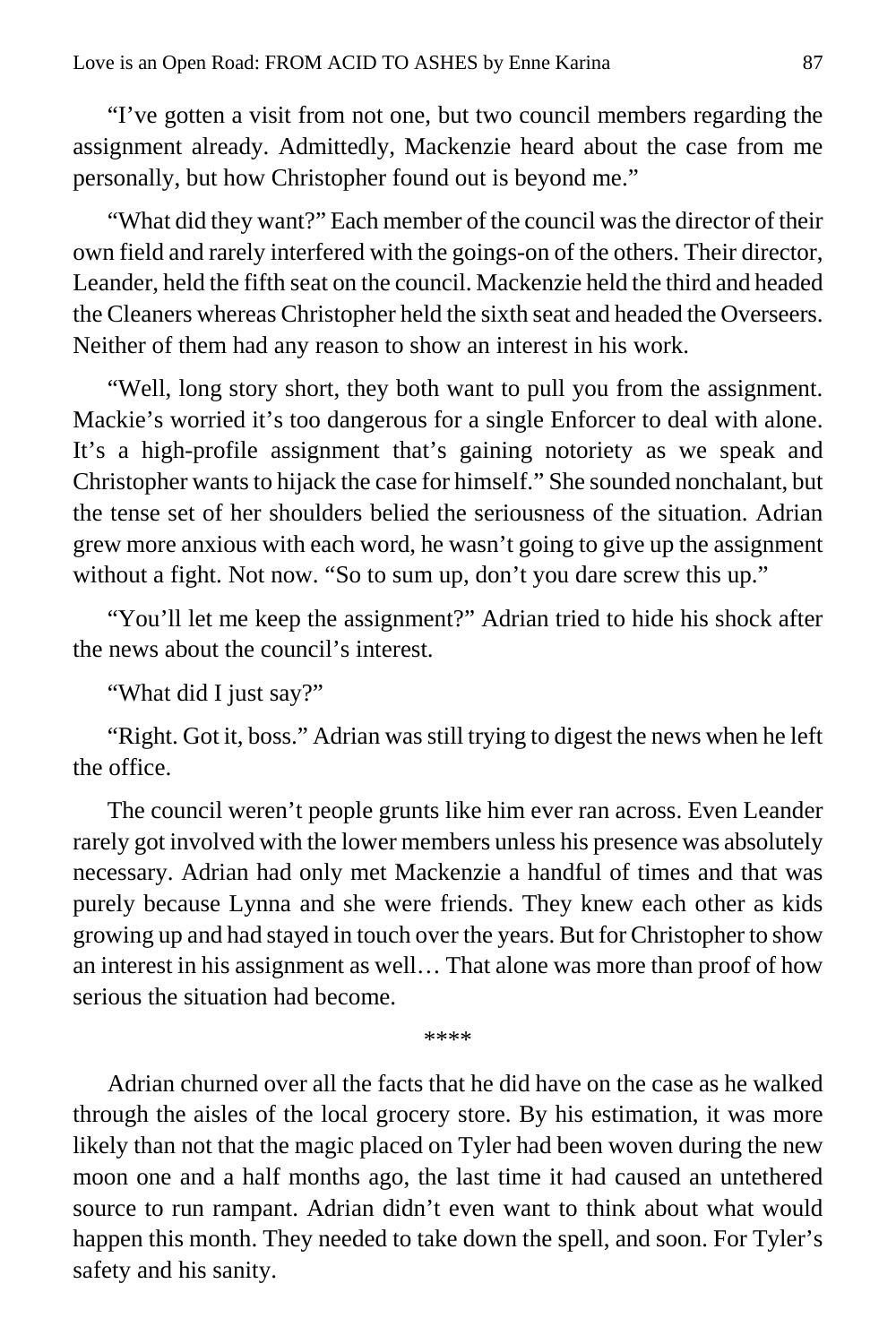"I've gotten a visit from not one, but two council members regarding the assignment already. Admittedly, Mackenzie heard about the case from me personally, but how Christopher found out is beyond me."

"What did they want?" Each member of the council was the director of their own field and rarely interfered with the goings-on of the others. Their director, Leander, held the fifth seat on the council. Mackenzie held the third and headed the Cleaners whereas Christopher held the sixth seat and headed the Overseers. Neither of them had any reason to show an interest in his work.

"Well, long story short, they both want to pull you from the assignment. Mackie's worried it's too dangerous for a single Enforcer to deal with alone. It's a high-profile assignment that's gaining notoriety as we speak and Christopher wants to hijack the case for himself." She sounded nonchalant, but the tense set of her shoulders belied the seriousness of the situation. Adrian grew more anxious with each word, he wasn't going to give up the assignment without a fight. Not now. "So to sum up, don't you dare screw this up."

"You'll let me keep the assignment?" Adrian tried to hide his shock after the news about the council's interest.

"What did I just say?"

"Right. Got it, boss." Adrian was still trying to digest the news when he left the office.

The council weren't people grunts like him ever ran across. Even Leander rarely got involved with the lower members unless his presence was absolutely necessary. Adrian had only met Mackenzie a handful of times and that was purely because Lynna and she were friends. They knew each other as kids growing up and had stayed in touch over the years. But for Christopher to show an interest in his assignment as well… That alone was more than proof of how serious the situation had become.

\*\*\*\*

Adrian churned over all the facts that he did have on the case as he walked through the aisles of the local grocery store. By his estimation, it was more likely than not that the magic placed on Tyler had been woven during the new moon one and a half months ago, the last time it had caused an untethered source to run rampant. Adrian didn't even want to think about what would happen this month. They needed to take down the spell, and soon. For Tyler's safety and his sanity.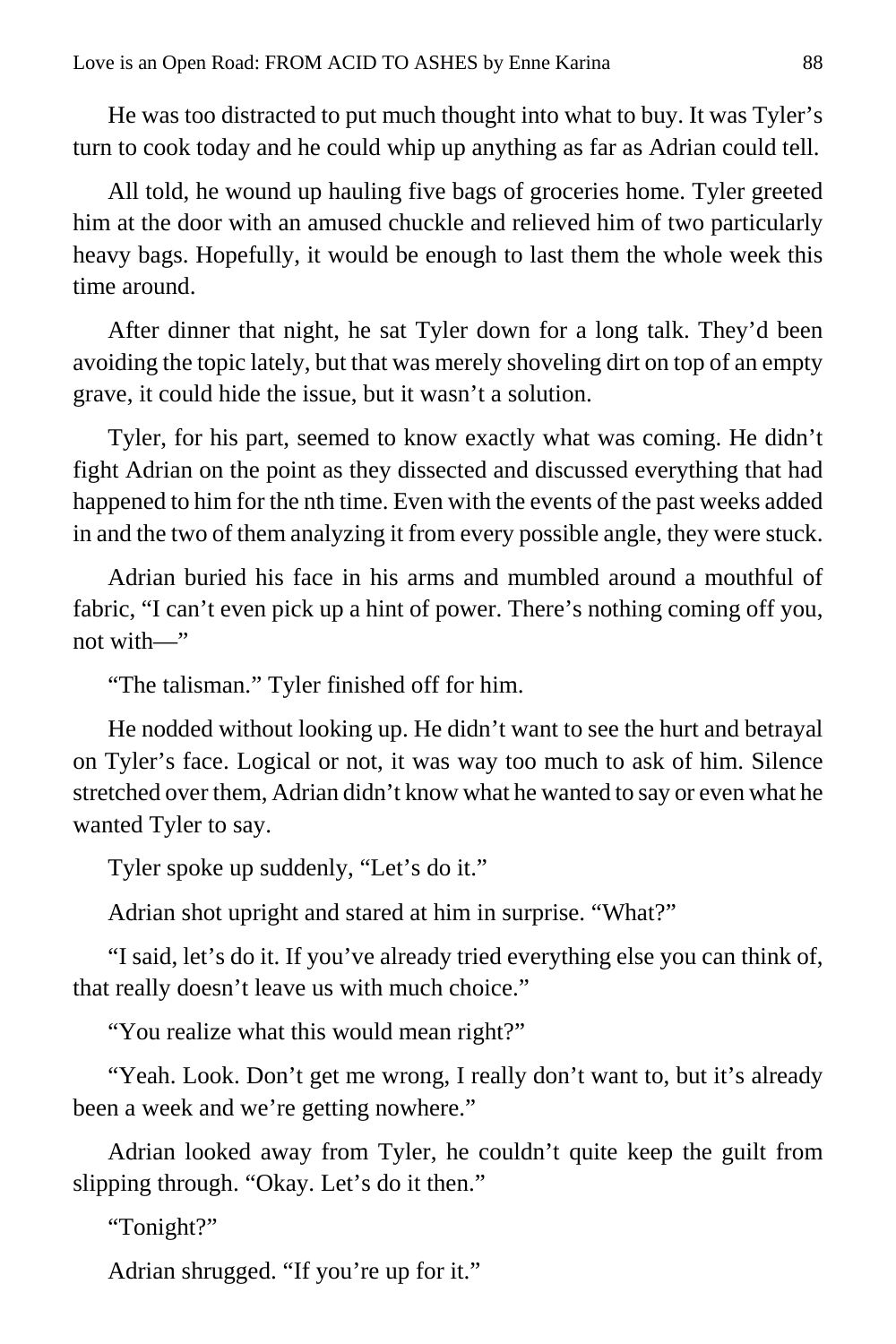He was too distracted to put much thought into what to buy. It was Tyler's turn to cook today and he could whip up anything as far as Adrian could tell.

All told, he wound up hauling five bags of groceries home. Tyler greeted him at the door with an amused chuckle and relieved him of two particularly heavy bags. Hopefully, it would be enough to last them the whole week this time around.

After dinner that night, he sat Tyler down for a long talk. They'd been avoiding the topic lately, but that was merely shoveling dirt on top of an empty grave, it could hide the issue, but it wasn't a solution.

Tyler, for his part, seemed to know exactly what was coming. He didn't fight Adrian on the point as they dissected and discussed everything that had happened to him for the nth time. Even with the events of the past weeks added in and the two of them analyzing it from every possible angle, they were stuck.

Adrian buried his face in his arms and mumbled around a mouthful of fabric, "I can't even pick up a hint of power. There's nothing coming off you, not with—"

"The talisman." Tyler finished off for him.

He nodded without looking up. He didn't want to see the hurt and betrayal on Tyler's face. Logical or not, it was way too much to ask of him. Silence stretched over them, Adrian didn't know what he wanted to say or even what he wanted Tyler to say.

Tyler spoke up suddenly, "Let's do it."

Adrian shot upright and stared at him in surprise. "What?"

"I said, let's do it. If you've already tried everything else you can think of, that really doesn't leave us with much choice."

"You realize what this would mean right?"

"Yeah. Look. Don't get me wrong, I really don't want to, but it's already been a week and we're getting nowhere."

Adrian looked away from Tyler, he couldn't quite keep the guilt from slipping through. "Okay. Let's do it then."

"Tonight?"

Adrian shrugged. "If you're up for it."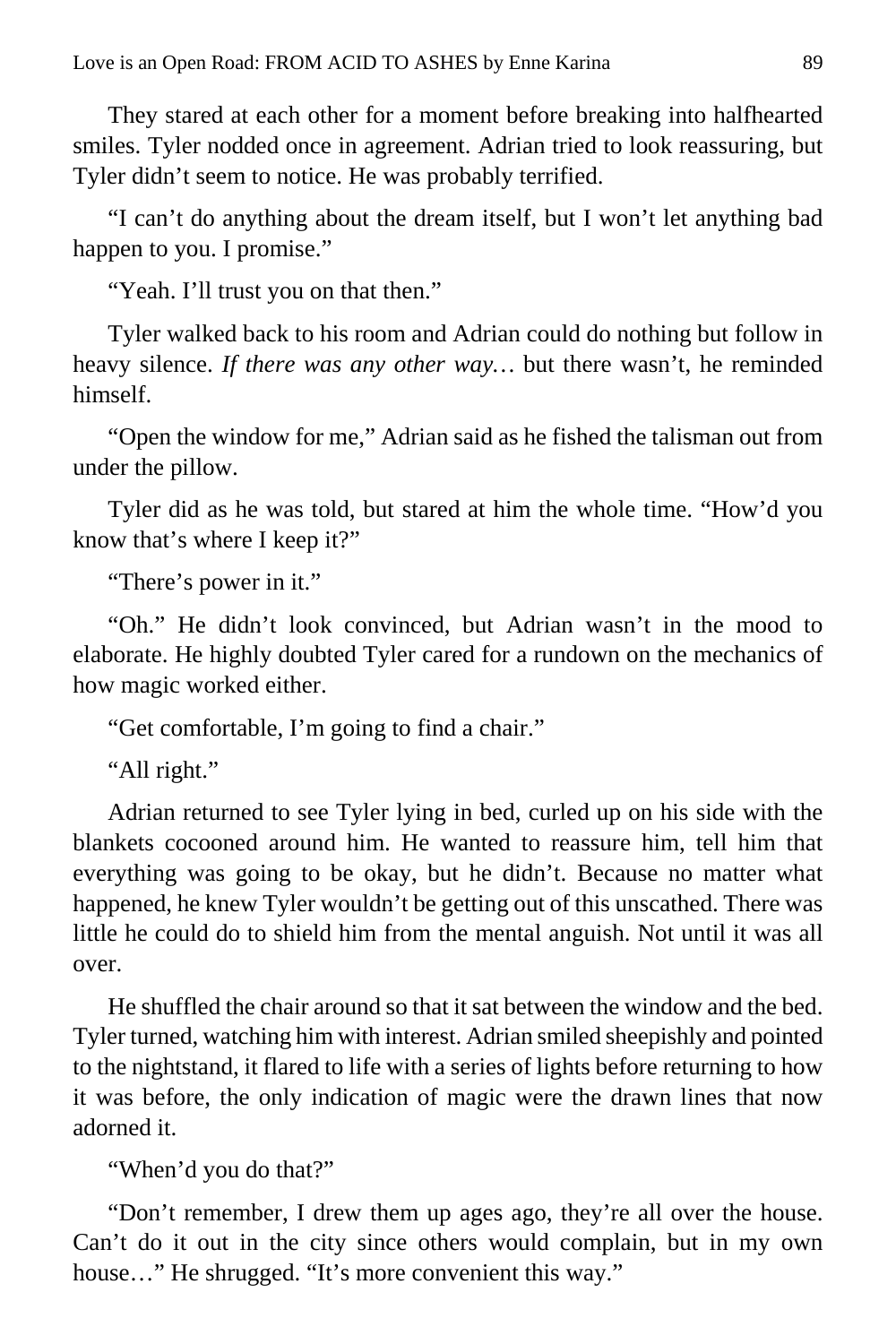They stared at each other for a moment before breaking into halfhearted smiles. Tyler nodded once in agreement. Adrian tried to look reassuring, but Tyler didn't seem to notice. He was probably terrified.

"I can't do anything about the dream itself, but I won't let anything bad happen to you. I promise."

"Yeah. I'll trust you on that then."

Tyler walked back to his room and Adrian could do nothing but follow in heavy silence. *If there was any other way…* but there wasn't, he reminded himself.

"Open the window for me," Adrian said as he fished the talisman out from under the pillow.

Tyler did as he was told, but stared at him the whole time. "How'd you know that's where I keep it?"

"There's power in it."

"Oh." He didn't look convinced, but Adrian wasn't in the mood to elaborate. He highly doubted Tyler cared for a rundown on the mechanics of how magic worked either.

"Get comfortable, I'm going to find a chair."

"All right."

Adrian returned to see Tyler lying in bed, curled up on his side with the blankets cocooned around him. He wanted to reassure him, tell him that everything was going to be okay, but he didn't. Because no matter what happened, he knew Tyler wouldn't be getting out of this unscathed. There was little he could do to shield him from the mental anguish. Not until it was all over.

He shuffled the chair around so that it sat between the window and the bed. Tyler turned, watching him with interest. Adrian smiled sheepishly and pointed to the nightstand, it flared to life with a series of lights before returning to how it was before, the only indication of magic were the drawn lines that now adorned it.

"When'd you do that?"

"Don't remember, I drew them up ages ago, they're all over the house. Can't do it out in the city since others would complain, but in my own house..." He shrugged. "It's more convenient this way."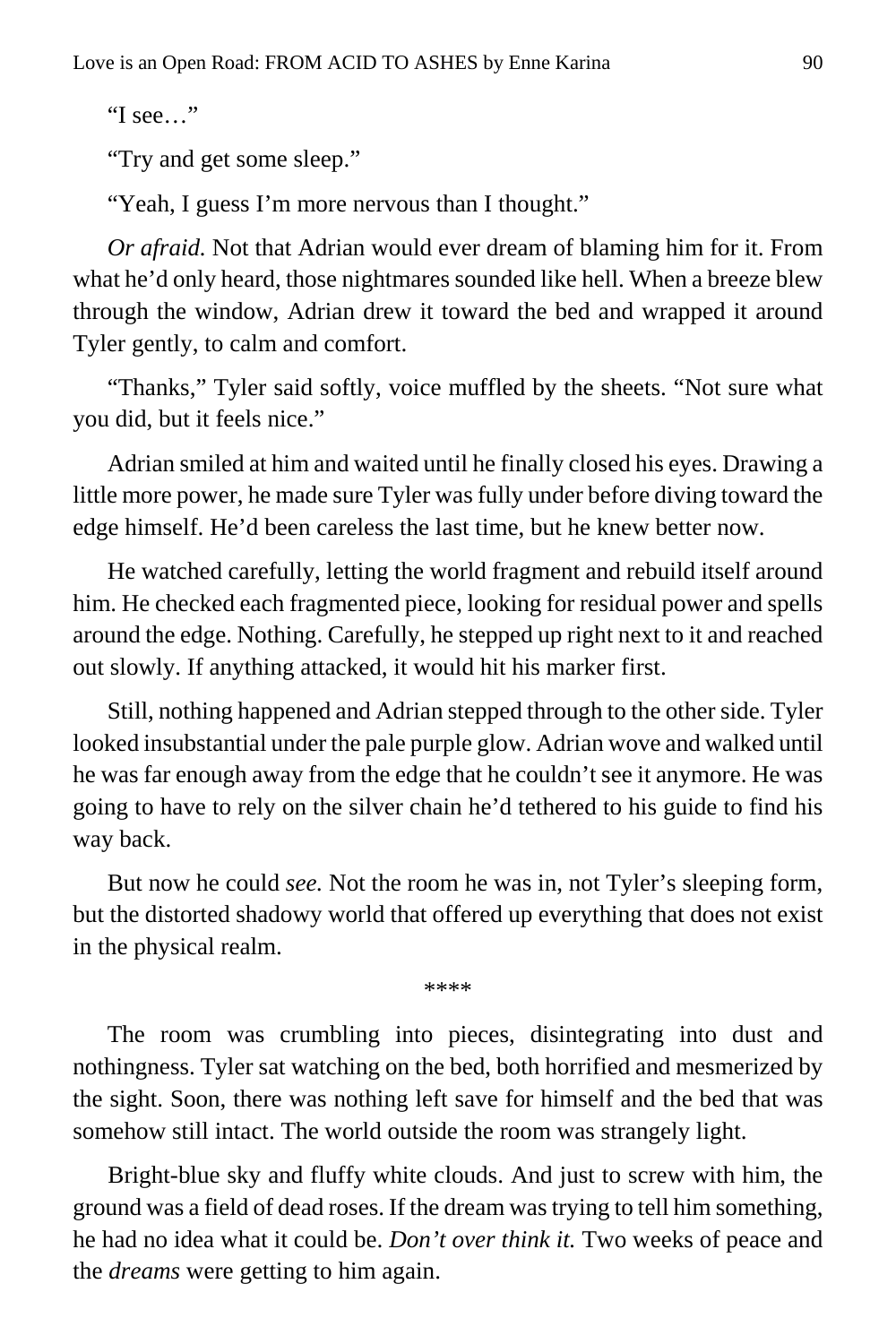"Try and get some sleep."

"Yeah, I guess I'm more nervous than I thought."

*Or afraid.* Not that Adrian would ever dream of blaming him for it. From what he'd only heard, those nightmares sounded like hell. When a breeze blew through the window, Adrian drew it toward the bed and wrapped it around Tyler gently, to calm and comfort.

"Thanks," Tyler said softly, voice muffled by the sheets. "Not sure what you did, but it feels nice."

Adrian smiled at him and waited until he finally closed his eyes. Drawing a little more power, he made sure Tyler was fully under before diving toward the edge himself. He'd been careless the last time, but he knew better now.

He watched carefully, letting the world fragment and rebuild itself around him. He checked each fragmented piece, looking for residual power and spells around the edge. Nothing. Carefully, he stepped up right next to it and reached out slowly. If anything attacked, it would hit his marker first.

Still, nothing happened and Adrian stepped through to the other side. Tyler looked insubstantial under the pale purple glow. Adrian wove and walked until he was far enough away from the edge that he couldn't see it anymore. He was going to have to rely on the silver chain he'd tethered to his guide to find his way back.

But now he could *see.* Not the room he was in, not Tyler's sleeping form, but the distorted shadowy world that offered up everything that does not exist in the physical realm.

\*\*\*\*

The room was crumbling into pieces, disintegrating into dust and nothingness. Tyler sat watching on the bed, both horrified and mesmerized by the sight. Soon, there was nothing left save for himself and the bed that was somehow still intact. The world outside the room was strangely light.

Bright-blue sky and fluffy white clouds. And just to screw with him, the ground was a field of dead roses. If the dream was trying to tell him something, he had no idea what it could be. *Don't over think it.* Two weeks of peace and the *dreams* were getting to him again.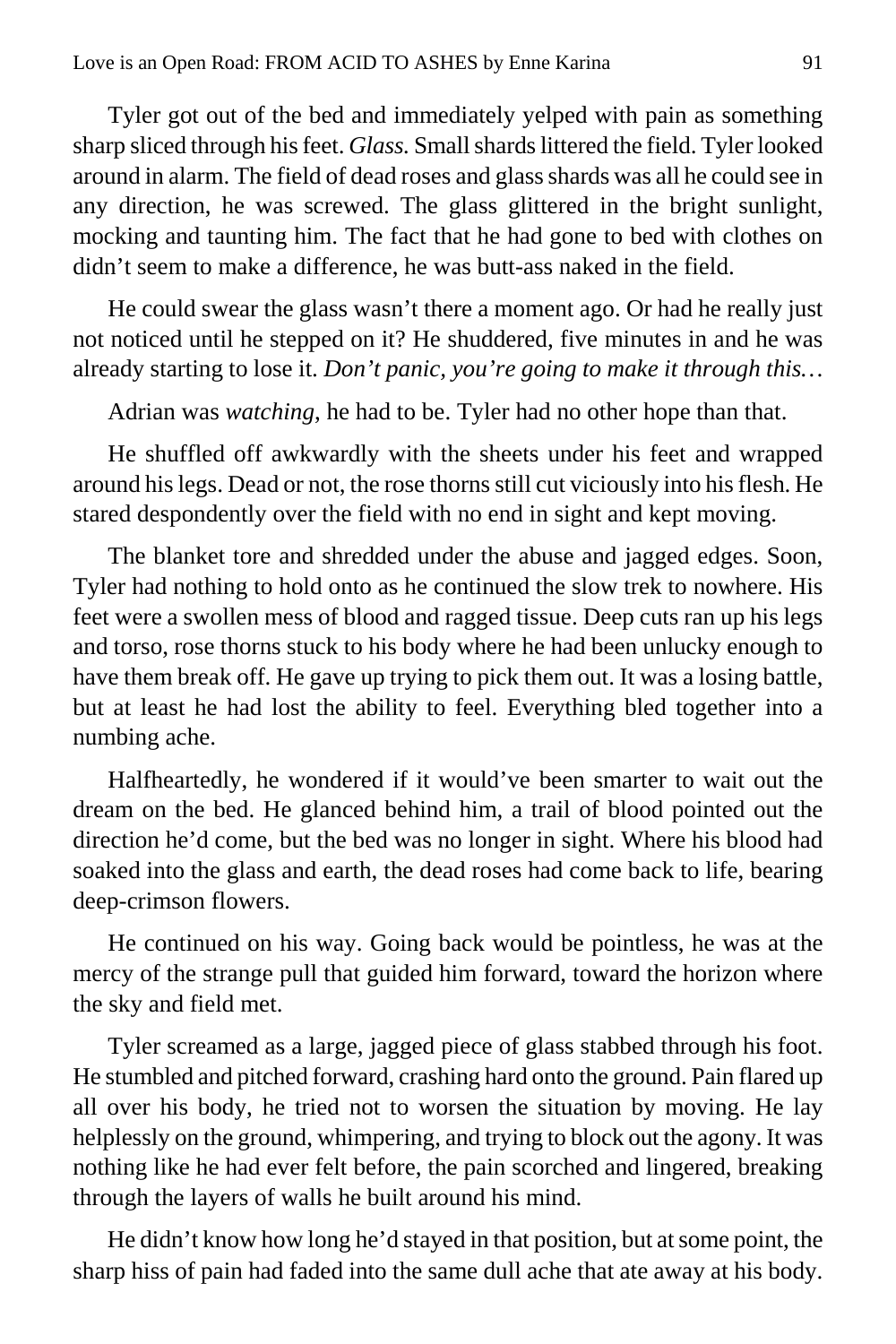Tyler got out of the bed and immediately yelped with pain as something sharp sliced through his feet. *Glass.* Small shards littered the field. Tyler looked around in alarm. The field of dead roses and glass shards was all he could see in any direction, he was screwed. The glass glittered in the bright sunlight, mocking and taunting him. The fact that he had gone to bed with clothes on didn't seem to make a difference, he was butt-ass naked in the field.

He could swear the glass wasn't there a moment ago. Or had he really just not noticed until he stepped on it? He shuddered, five minutes in and he was already starting to lose it. *Don't panic, you're going to make it through this…*

Adrian was *watching*, he had to be. Tyler had no other hope than that.

He shuffled off awkwardly with the sheets under his feet and wrapped around his legs. Dead or not, the rose thorns still cut viciously into his flesh. He stared despondently over the field with no end in sight and kept moving.

The blanket tore and shredded under the abuse and jagged edges. Soon, Tyler had nothing to hold onto as he continued the slow trek to nowhere. His feet were a swollen mess of blood and ragged tissue. Deep cuts ran up his legs and torso, rose thorns stuck to his body where he had been unlucky enough to have them break off. He gave up trying to pick them out. It was a losing battle, but at least he had lost the ability to feel. Everything bled together into a numbing ache.

Halfheartedly, he wondered if it would've been smarter to wait out the dream on the bed. He glanced behind him, a trail of blood pointed out the direction he'd come, but the bed was no longer in sight. Where his blood had soaked into the glass and earth, the dead roses had come back to life, bearing deep-crimson flowers.

He continued on his way. Going back would be pointless, he was at the mercy of the strange pull that guided him forward, toward the horizon where the sky and field met.

Tyler screamed as a large, jagged piece of glass stabbed through his foot. He stumbled and pitched forward, crashing hard onto the ground. Pain flared up all over his body, he tried not to worsen the situation by moving. He lay helplessly on the ground, whimpering, and trying to block out the agony. It was nothing like he had ever felt before, the pain scorched and lingered, breaking through the layers of walls he built around his mind.

He didn't know how long he'd stayed in that position, but at some point, the sharp hiss of pain had faded into the same dull ache that ate away at his body.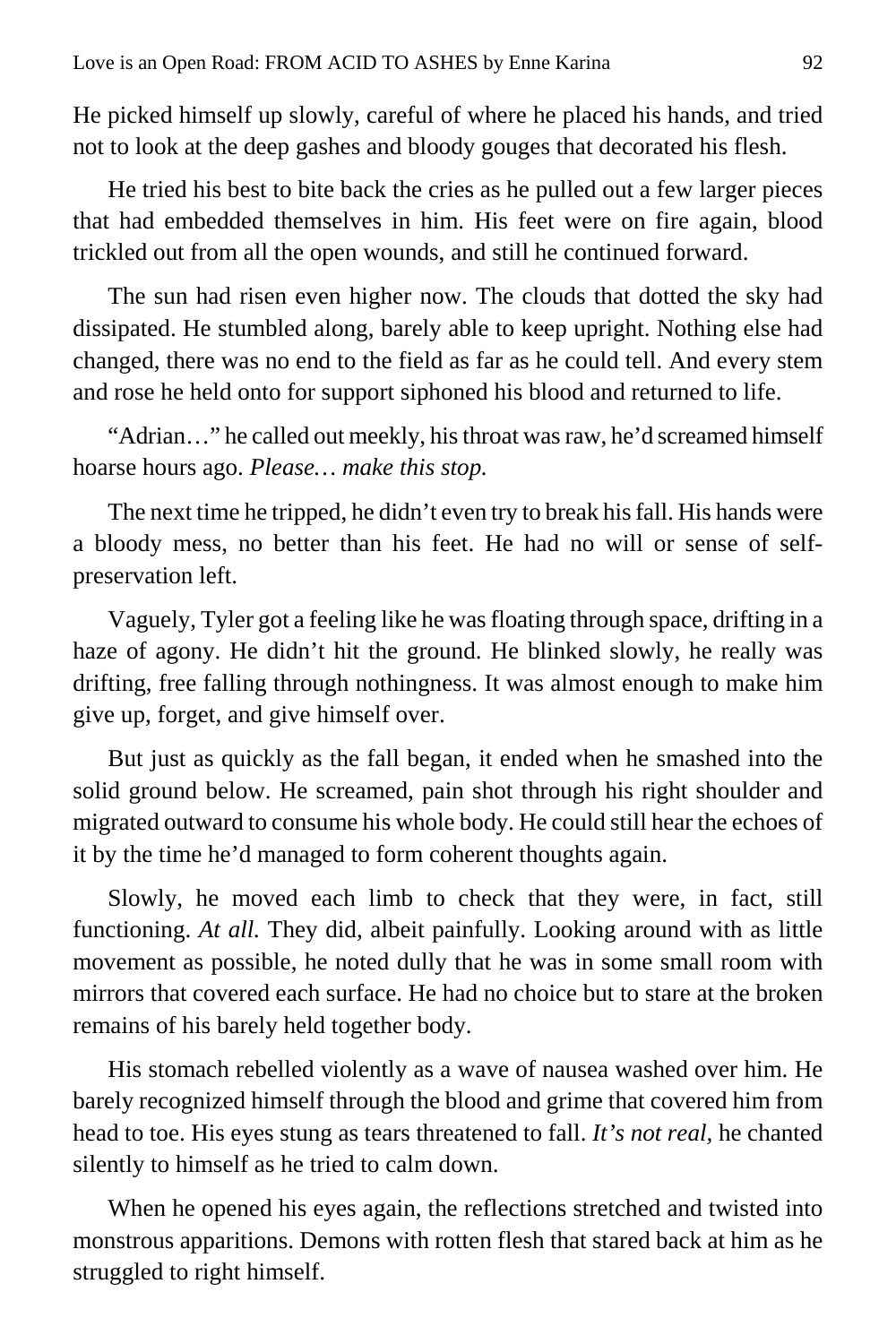He picked himself up slowly, careful of where he placed his hands, and tried not to look at the deep gashes and bloody gouges that decorated his flesh.

He tried his best to bite back the cries as he pulled out a few larger pieces that had embedded themselves in him. His feet were on fire again, blood trickled out from all the open wounds, and still he continued forward.

The sun had risen even higher now. The clouds that dotted the sky had dissipated. He stumbled along, barely able to keep upright. Nothing else had changed, there was no end to the field as far as he could tell. And every stem and rose he held onto for support siphoned his blood and returned to life.

"Adrian…" he called out meekly, his throat was raw, he'd screamed himself hoarse hours ago. *Please… make this stop.*

The next time he tripped, he didn't even try to break his fall. His hands were a bloody mess, no better than his feet. He had no will or sense of selfpreservation left.

Vaguely, Tyler got a feeling like he was floating through space, drifting in a haze of agony. He didn't hit the ground. He blinked slowly, he really was drifting, free falling through nothingness. It was almost enough to make him give up, forget, and give himself over.

But just as quickly as the fall began, it ended when he smashed into the solid ground below. He screamed, pain shot through his right shoulder and migrated outward to consume his whole body. He could still hear the echoes of it by the time he'd managed to form coherent thoughts again.

Slowly, he moved each limb to check that they were, in fact, still functioning. *At all.* They did, albeit painfully. Looking around with as little movement as possible, he noted dully that he was in some small room with mirrors that covered each surface. He had no choice but to stare at the broken remains of his barely held together body.

His stomach rebelled violently as a wave of nausea washed over him. He barely recognized himself through the blood and grime that covered him from head to toe. His eyes stung as tears threatened to fall. *It's not real,* he chanted silently to himself as he tried to calm down.

When he opened his eyes again, the reflections stretched and twisted into monstrous apparitions. Demons with rotten flesh that stared back at him as he struggled to right himself.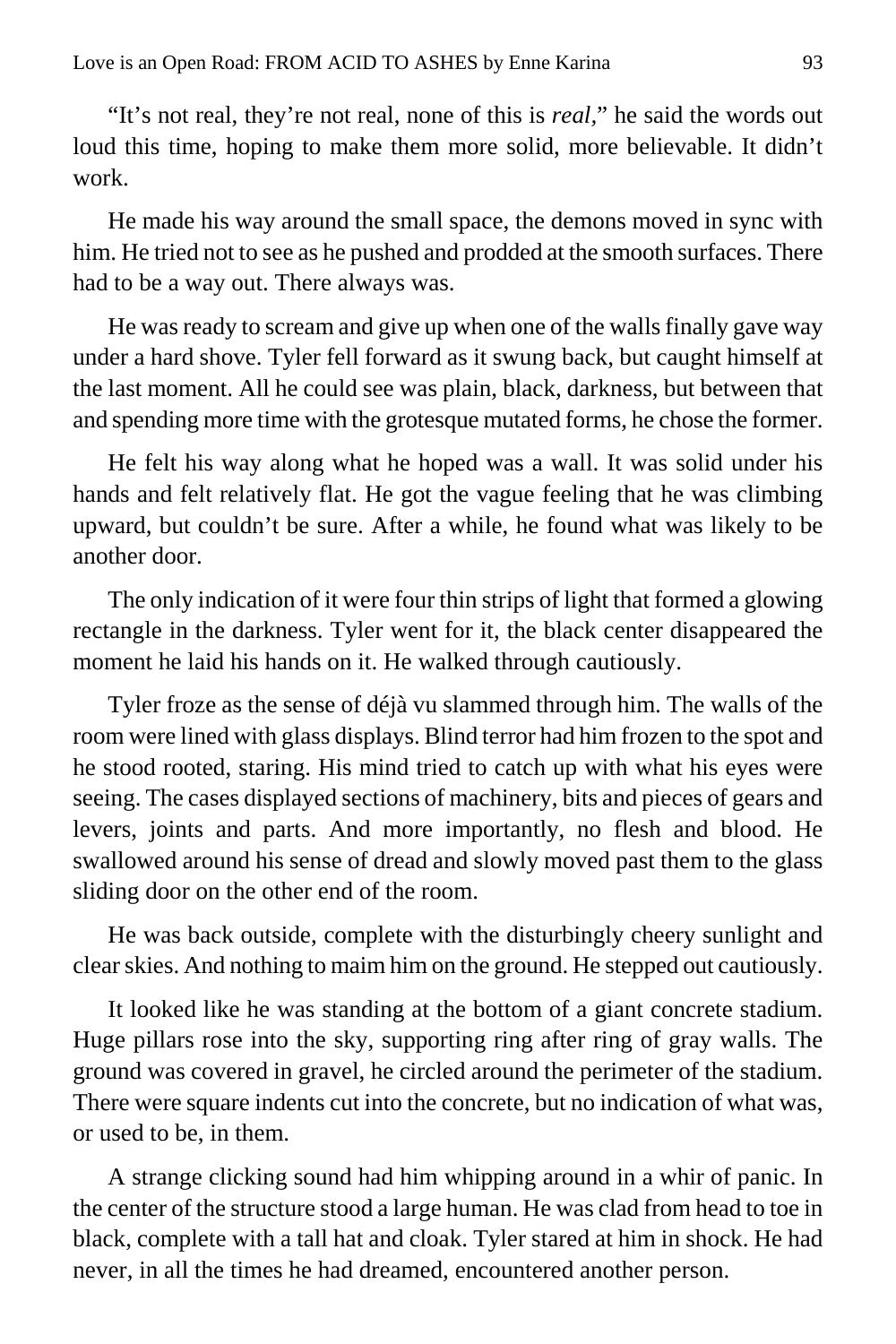"It's not real, they're not real, none of this is *real,*" he said the words out loud this time, hoping to make them more solid, more believable. It didn't work.

He made his way around the small space, the demons moved in sync with him. He tried not to see as he pushed and prodded at the smooth surfaces. There had to be a way out. There always was.

He was ready to scream and give up when one of the walls finally gave way under a hard shove. Tyler fell forward as it swung back, but caught himself at the last moment. All he could see was plain, black, darkness, but between that and spending more time with the grotesque mutated forms, he chose the former.

He felt his way along what he hoped was a wall. It was solid under his hands and felt relatively flat. He got the vague feeling that he was climbing upward, but couldn't be sure. After a while, he found what was likely to be another door.

The only indication of it were four thin strips of light that formed a glowing rectangle in the darkness. Tyler went for it, the black center disappeared the moment he laid his hands on it. He walked through cautiously.

Tyler froze as the sense of déjà vu slammed through him. The walls of the room were lined with glass displays. Blind terror had him frozen to the spot and he stood rooted, staring. His mind tried to catch up with what his eyes were seeing. The cases displayed sections of machinery, bits and pieces of gears and levers, joints and parts. And more importantly, no flesh and blood. He swallowed around his sense of dread and slowly moved past them to the glass sliding door on the other end of the room.

He was back outside, complete with the disturbingly cheery sunlight and clear skies. And nothing to maim him on the ground. He stepped out cautiously.

It looked like he was standing at the bottom of a giant concrete stadium. Huge pillars rose into the sky, supporting ring after ring of gray walls. The ground was covered in gravel, he circled around the perimeter of the stadium. There were square indents cut into the concrete, but no indication of what was, or used to be, in them.

A strange clicking sound had him whipping around in a whir of panic. In the center of the structure stood a large human. He was clad from head to toe in black, complete with a tall hat and cloak. Tyler stared at him in shock. He had never, in all the times he had dreamed, encountered another person.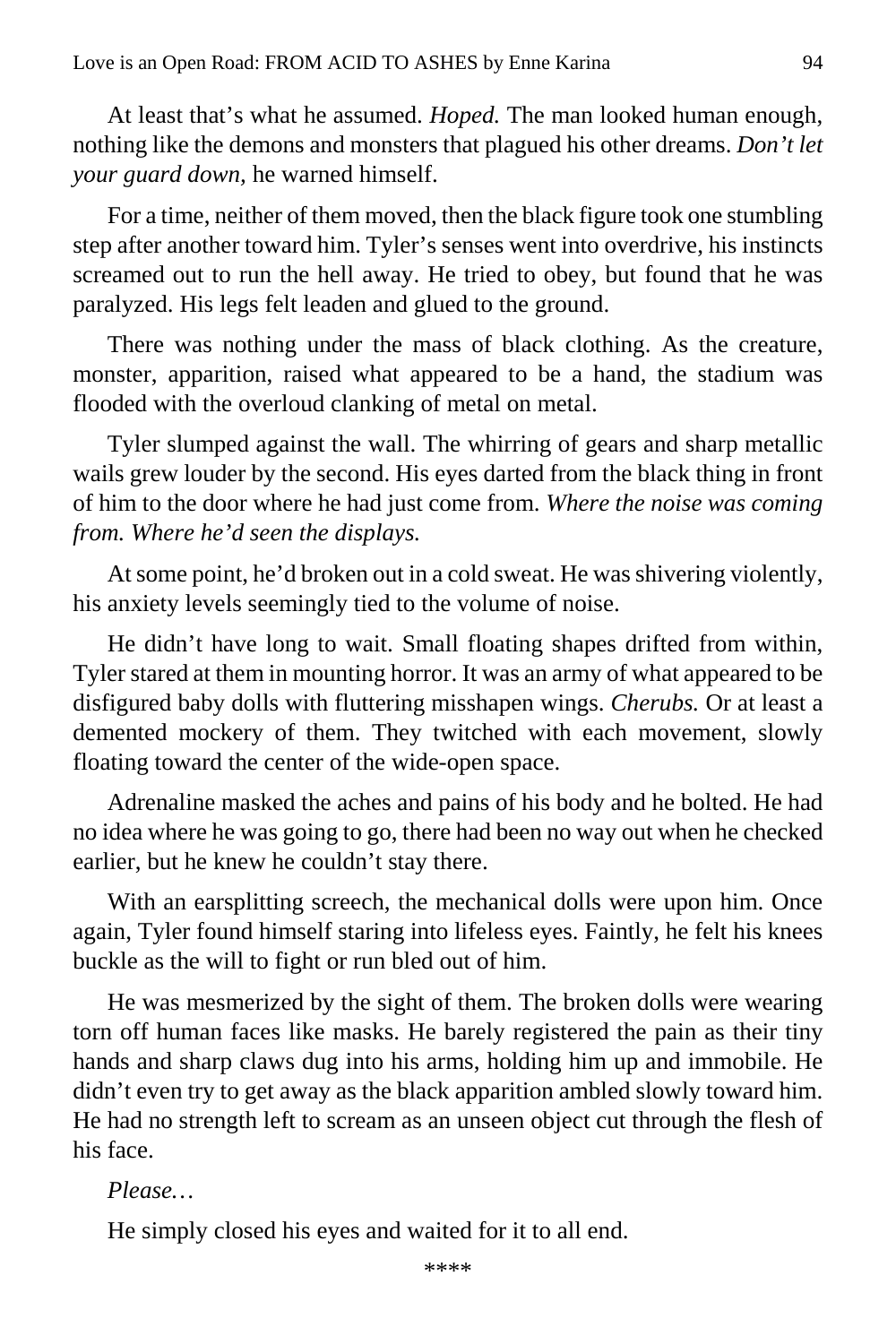At least that's what he assumed. *Hoped.* The man looked human enough, nothing like the demons and monsters that plagued his other dreams. *Don't let your guard down,* he warned himself.

For a time, neither of them moved, then the black figure took one stumbling step after another toward him. Tyler's senses went into overdrive, his instincts screamed out to run the hell away. He tried to obey, but found that he was paralyzed. His legs felt leaden and glued to the ground.

There was nothing under the mass of black clothing. As the creature, monster, apparition, raised what appeared to be a hand, the stadium was flooded with the overloud clanking of metal on metal.

Tyler slumped against the wall. The whirring of gears and sharp metallic wails grew louder by the second. His eyes darted from the black thing in front of him to the door where he had just come from. *Where the noise was coming from. Where he'd seen the displays.*

At some point, he'd broken out in a cold sweat. He was shivering violently, his anxiety levels seemingly tied to the volume of noise.

He didn't have long to wait. Small floating shapes drifted from within, Tyler stared at them in mounting horror. It was an army of what appeared to be disfigured baby dolls with fluttering misshapen wings. *Cherubs.* Or at least a demented mockery of them. They twitched with each movement, slowly floating toward the center of the wide-open space.

Adrenaline masked the aches and pains of his body and he bolted. He had no idea where he was going to go, there had been no way out when he checked earlier, but he knew he couldn't stay there.

With an earsplitting screech, the mechanical dolls were upon him. Once again, Tyler found himself staring into lifeless eyes. Faintly, he felt his knees buckle as the will to fight or run bled out of him.

He was mesmerized by the sight of them. The broken dolls were wearing torn off human faces like masks. He barely registered the pain as their tiny hands and sharp claws dug into his arms, holding him up and immobile. He didn't even try to get away as the black apparition ambled slowly toward him. He had no strength left to scream as an unseen object cut through the flesh of his face.

*Please…*

He simply closed his eyes and waited for it to all end.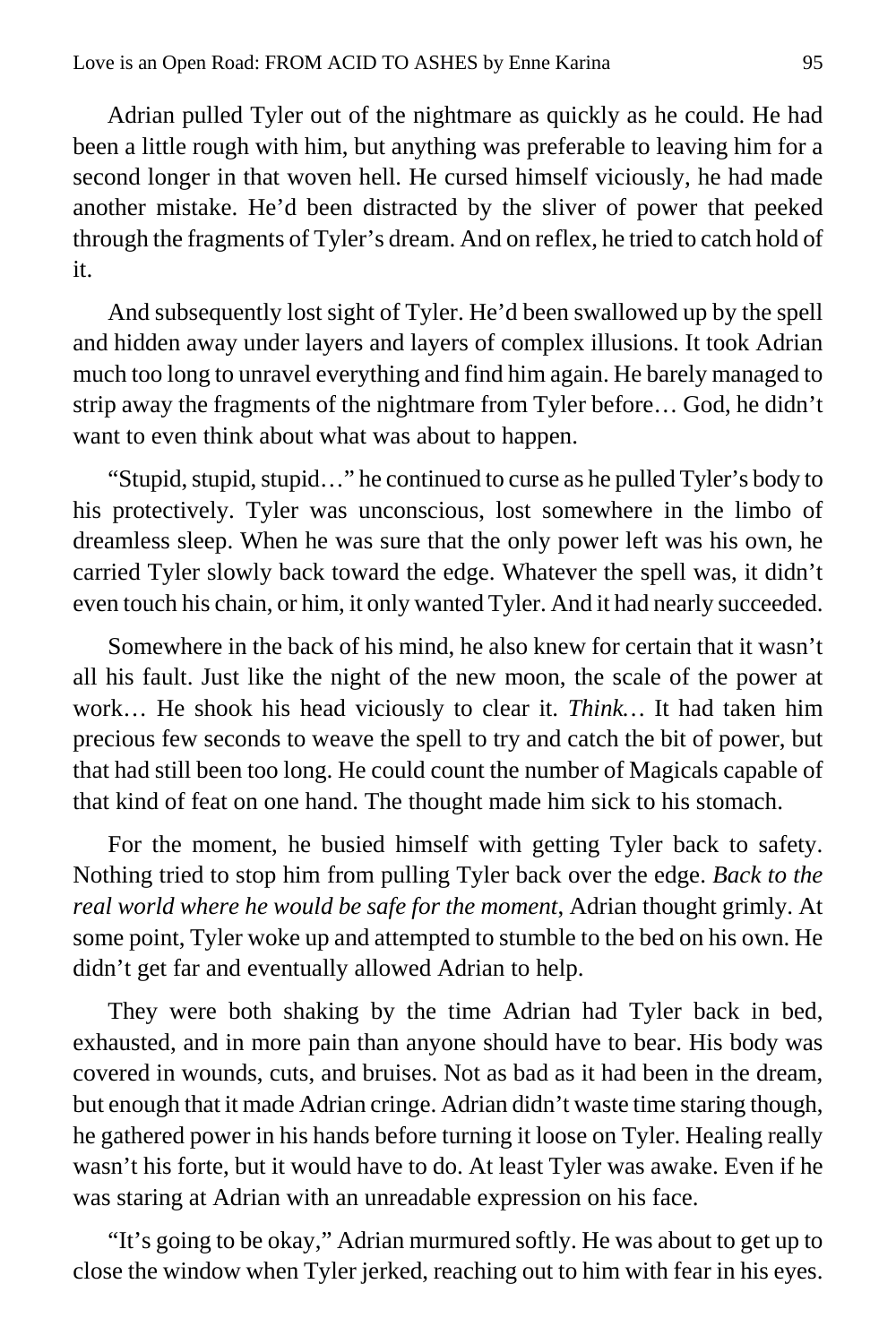Adrian pulled Tyler out of the nightmare as quickly as he could. He had been a little rough with him, but anything was preferable to leaving him for a second longer in that woven hell. He cursed himself viciously, he had made another mistake. He'd been distracted by the sliver of power that peeked through the fragments of Tyler's dream. And on reflex, he tried to catch hold of it.

And subsequently lost sight of Tyler. He'd been swallowed up by the spell and hidden away under layers and layers of complex illusions. It took Adrian much too long to unravel everything and find him again. He barely managed to strip away the fragments of the nightmare from Tyler before… God, he didn't want to even think about what was about to happen.

"Stupid, stupid, stupid…" he continued to curse as he pulled Tyler's body to his protectively. Tyler was unconscious, lost somewhere in the limbo of dreamless sleep. When he was sure that the only power left was his own, he carried Tyler slowly back toward the edge. Whatever the spell was, it didn't even touch his chain, or him, it only wanted Tyler. And it had nearly succeeded.

Somewhere in the back of his mind, he also knew for certain that it wasn't all his fault. Just like the night of the new moon, the scale of the power at work… He shook his head viciously to clear it. *Think…* It had taken him precious few seconds to weave the spell to try and catch the bit of power, but that had still been too long. He could count the number of Magicals capable of that kind of feat on one hand. The thought made him sick to his stomach.

For the moment, he busied himself with getting Tyler back to safety. Nothing tried to stop him from pulling Tyler back over the edge. *Back to the real world where he would be safe for the moment*, Adrian thought grimly. At some point, Tyler woke up and attempted to stumble to the bed on his own. He didn't get far and eventually allowed Adrian to help.

They were both shaking by the time Adrian had Tyler back in bed, exhausted, and in more pain than anyone should have to bear. His body was covered in wounds, cuts, and bruises. Not as bad as it had been in the dream, but enough that it made Adrian cringe. Adrian didn't waste time staring though, he gathered power in his hands before turning it loose on Tyler. Healing really wasn't his forte, but it would have to do. At least Tyler was awake. Even if he was staring at Adrian with an unreadable expression on his face.

"It's going to be okay," Adrian murmured softly. He was about to get up to close the window when Tyler jerked, reaching out to him with fear in his eyes.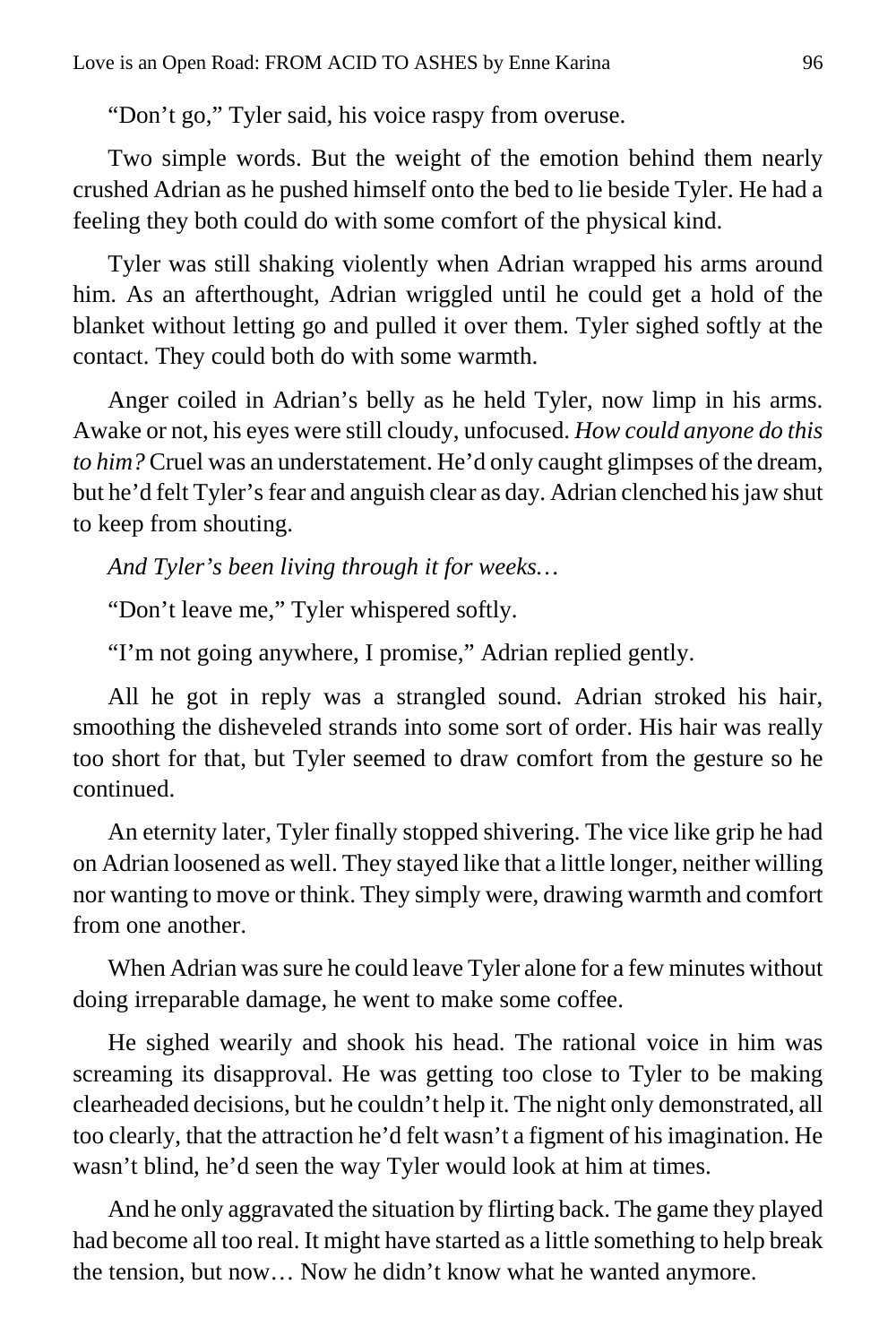"Don't go," Tyler said, his voice raspy from overuse.

Two simple words. But the weight of the emotion behind them nearly crushed Adrian as he pushed himself onto the bed to lie beside Tyler. He had a feeling they both could do with some comfort of the physical kind.

Tyler was still shaking violently when Adrian wrapped his arms around him. As an afterthought, Adrian wriggled until he could get a hold of the blanket without letting go and pulled it over them. Tyler sighed softly at the contact. They could both do with some warmth.

Anger coiled in Adrian's belly as he held Tyler, now limp in his arms. Awake or not, his eyes were still cloudy, unfocused. *How could anyone do this to him?* Cruel was an understatement. He'd only caught glimpses of the dream, but he'd felt Tyler's fear and anguish clear as day. Adrian clenched his jaw shut to keep from shouting.

*And Tyler's been living through it for weeks…*

"Don't leave me," Tyler whispered softly.

"I'm not going anywhere, I promise," Adrian replied gently.

All he got in reply was a strangled sound. Adrian stroked his hair, smoothing the disheveled strands into some sort of order. His hair was really too short for that, but Tyler seemed to draw comfort from the gesture so he continued.

An eternity later, Tyler finally stopped shivering. The vice like grip he had on Adrian loosened as well. They stayed like that a little longer, neither willing nor wanting to move or think. They simply were, drawing warmth and comfort from one another.

When Adrian was sure he could leave Tyler alone for a few minutes without doing irreparable damage, he went to make some coffee.

He sighed wearily and shook his head. The rational voice in him was screaming its disapproval. He was getting too close to Tyler to be making clearheaded decisions, but he couldn't help it. The night only demonstrated, all too clearly, that the attraction he'd felt wasn't a figment of his imagination. He wasn't blind, he'd seen the way Tyler would look at him at times.

And he only aggravated the situation by flirting back. The game they played had become all too real. It might have started as a little something to help break the tension, but now… Now he didn't know what he wanted anymore.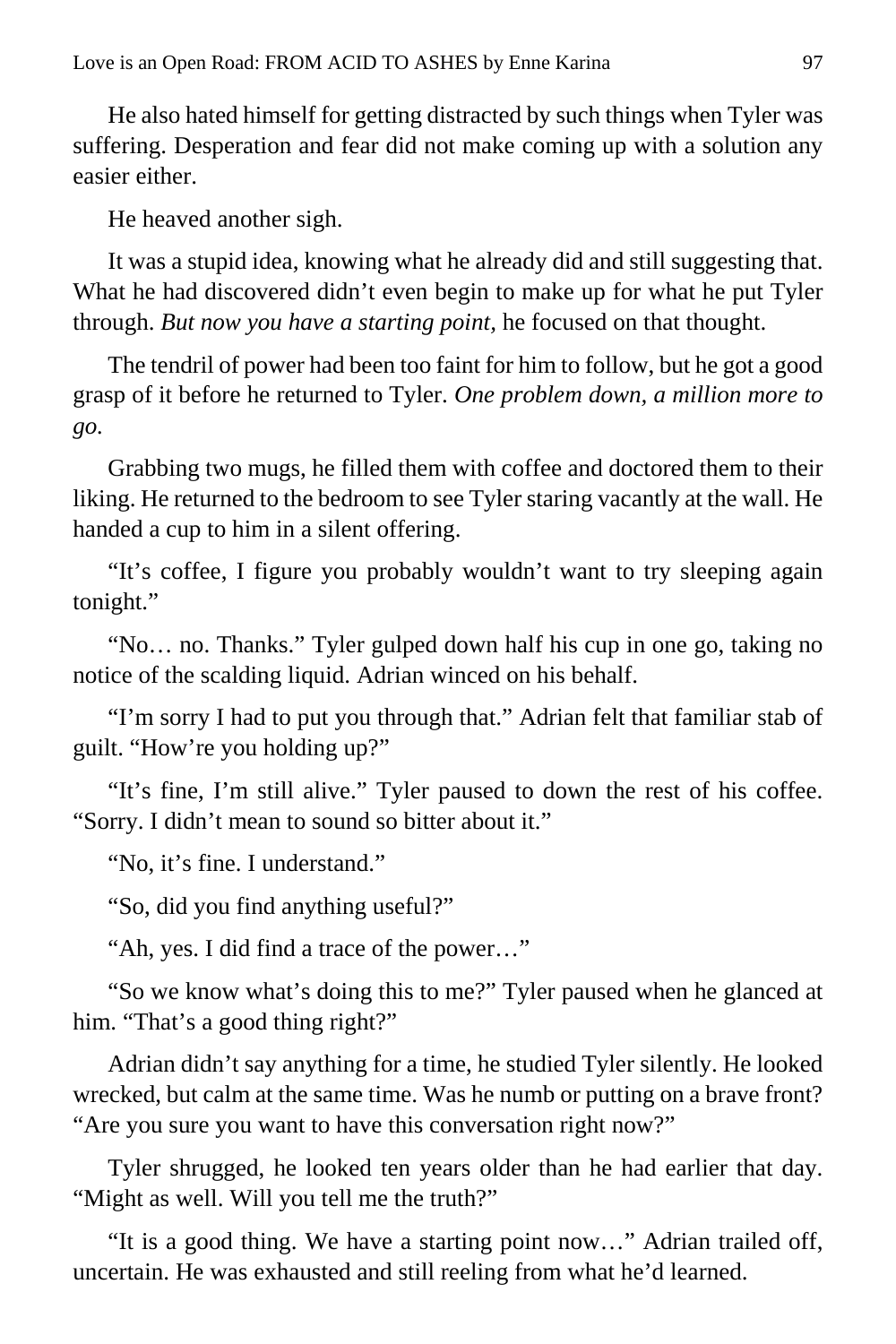He also hated himself for getting distracted by such things when Tyler was suffering. Desperation and fear did not make coming up with a solution any easier either.

He heaved another sigh.

It was a stupid idea, knowing what he already did and still suggesting that. What he had discovered didn't even begin to make up for what he put Tyler through. *But now you have a starting point,* he focused on that thought.

The tendril of power had been too faint for him to follow, but he got a good grasp of it before he returned to Tyler. *One problem down, a million more to go.*

Grabbing two mugs, he filled them with coffee and doctored them to their liking. He returned to the bedroom to see Tyler staring vacantly at the wall. He handed a cup to him in a silent offering.

"It's coffee, I figure you probably wouldn't want to try sleeping again tonight."

"No… no. Thanks." Tyler gulped down half his cup in one go, taking no notice of the scalding liquid. Adrian winced on his behalf.

"I'm sorry I had to put you through that." Adrian felt that familiar stab of guilt. "How're you holding up?"

"It's fine, I'm still alive." Tyler paused to down the rest of his coffee. "Sorry. I didn't mean to sound so bitter about it."

"No, it's fine. I understand."

"So, did you find anything useful?"

"Ah, yes. I did find a trace of the power…"

"So we know what's doing this to me?" Tyler paused when he glanced at him. "That's a good thing right?"

Adrian didn't say anything for a time, he studied Tyler silently. He looked wrecked, but calm at the same time. Was he numb or putting on a brave front? "Are you sure you want to have this conversation right now?"

Tyler shrugged, he looked ten years older than he had earlier that day. "Might as well. Will you tell me the truth?"

"It is a good thing. We have a starting point now…" Adrian trailed off, uncertain. He was exhausted and still reeling from what he'd learned.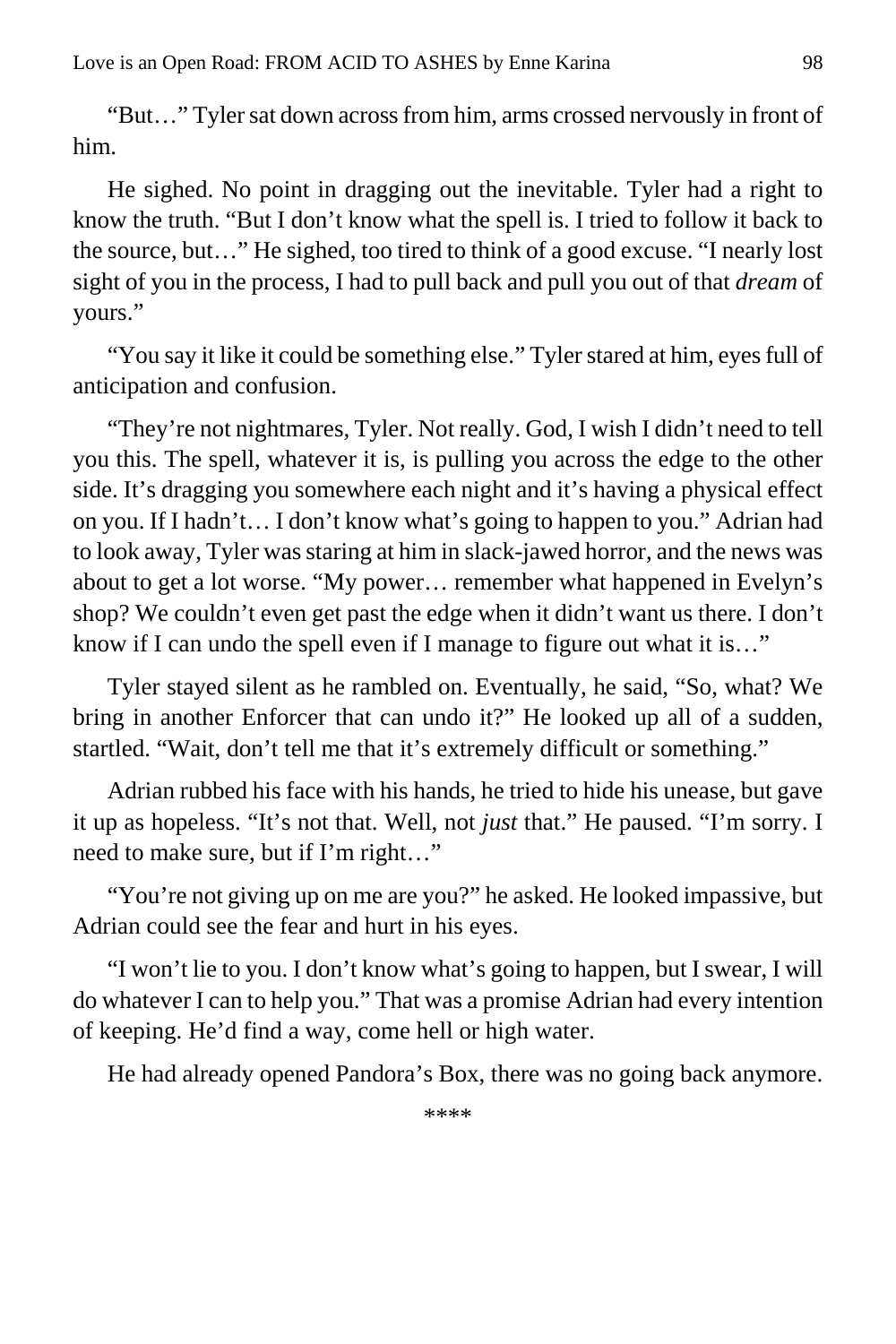"But…" Tyler sat down across from him, arms crossed nervously in front of him.

He sighed. No point in dragging out the inevitable. Tyler had a right to know the truth. "But I don't know what the spell is. I tried to follow it back to the source, but…" He sighed, too tired to think of a good excuse. "I nearly lost sight of you in the process, I had to pull back and pull you out of that *dream* of yours."

"You say it like it could be something else." Tyler stared at him, eyes full of anticipation and confusion.

"They're not nightmares, Tyler. Not really. God, I wish I didn't need to tell you this. The spell, whatever it is, is pulling you across the edge to the other side. It's dragging you somewhere each night and it's having a physical effect on you. If I hadn't… I don't know what's going to happen to you." Adrian had to look away, Tyler was staring at him in slack-jawed horror, and the news was about to get a lot worse. "My power… remember what happened in Evelyn's shop? We couldn't even get past the edge when it didn't want us there. I don't know if I can undo the spell even if I manage to figure out what it is..."

Tyler stayed silent as he rambled on. Eventually, he said, "So, what? We bring in another Enforcer that can undo it?" He looked up all of a sudden, startled. "Wait, don't tell me that it's extremely difficult or something."

Adrian rubbed his face with his hands, he tried to hide his unease, but gave it up as hopeless. "It's not that. Well, not *just* that." He paused. "I'm sorry. I need to make sure, but if I'm right…"

"You're not giving up on me are you?" he asked. He looked impassive, but Adrian could see the fear and hurt in his eyes.

"I won't lie to you. I don't know what's going to happen, but I swear, I will do whatever I can to help you." That was a promise Adrian had every intention of keeping. He'd find a way, come hell or high water.

He had already opened Pandora's Box, there was no going back anymore.

\*\*\*\*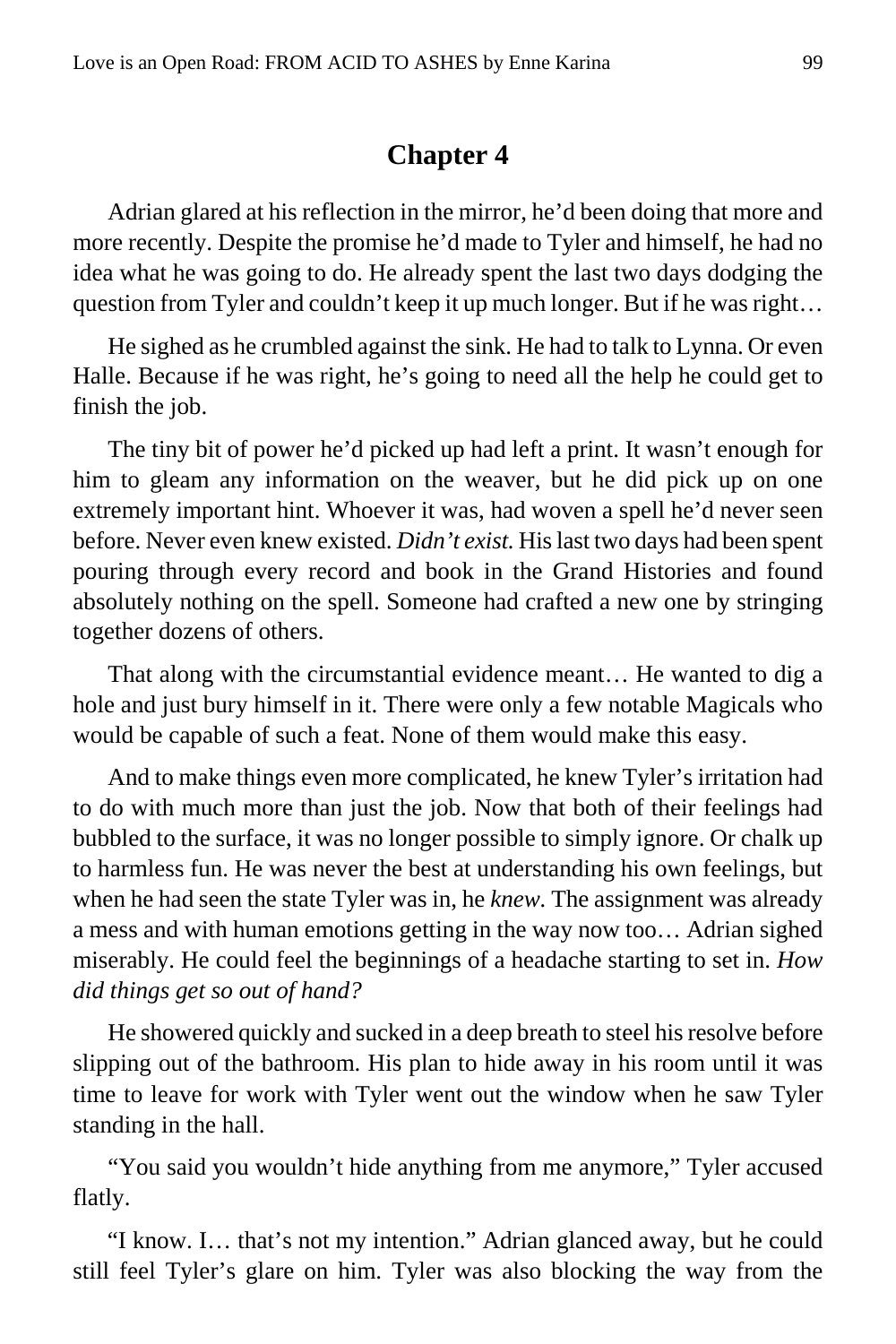## **Chapter 4**

Adrian glared at his reflection in the mirror, he'd been doing that more and more recently. Despite the promise he'd made to Tyler and himself, he had no idea what he was going to do. He already spent the last two days dodging the question from Tyler and couldn't keep it up much longer. But if he was right…

He sighed as he crumbled against the sink. He had to talk to Lynna. Or even Halle. Because if he was right, he's going to need all the help he could get to finish the job.

The tiny bit of power he'd picked up had left a print. It wasn't enough for him to gleam any information on the weaver, but he did pick up on one extremely important hint. Whoever it was, had woven a spell he'd never seen before. Never even knew existed. *Didn't exist.* His last two days had been spent pouring through every record and book in the Grand Histories and found absolutely nothing on the spell. Someone had crafted a new one by stringing together dozens of others.

That along with the circumstantial evidence meant… He wanted to dig a hole and just bury himself in it. There were only a few notable Magicals who would be capable of such a feat. None of them would make this easy.

And to make things even more complicated, he knew Tyler's irritation had to do with much more than just the job. Now that both of their feelings had bubbled to the surface, it was no longer possible to simply ignore. Or chalk up to harmless fun. He was never the best at understanding his own feelings, but when he had seen the state Tyler was in, he *knew.* The assignment was already a mess and with human emotions getting in the way now too… Adrian sighed miserably. He could feel the beginnings of a headache starting to set in. *How did things get so out of hand?*

He showered quickly and sucked in a deep breath to steel his resolve before slipping out of the bathroom. His plan to hide away in his room until it was time to leave for work with Tyler went out the window when he saw Tyler standing in the hall.

"You said you wouldn't hide anything from me anymore," Tyler accused flatly.

"I know. I… that's not my intention." Adrian glanced away, but he could still feel Tyler's glare on him. Tyler was also blocking the way from the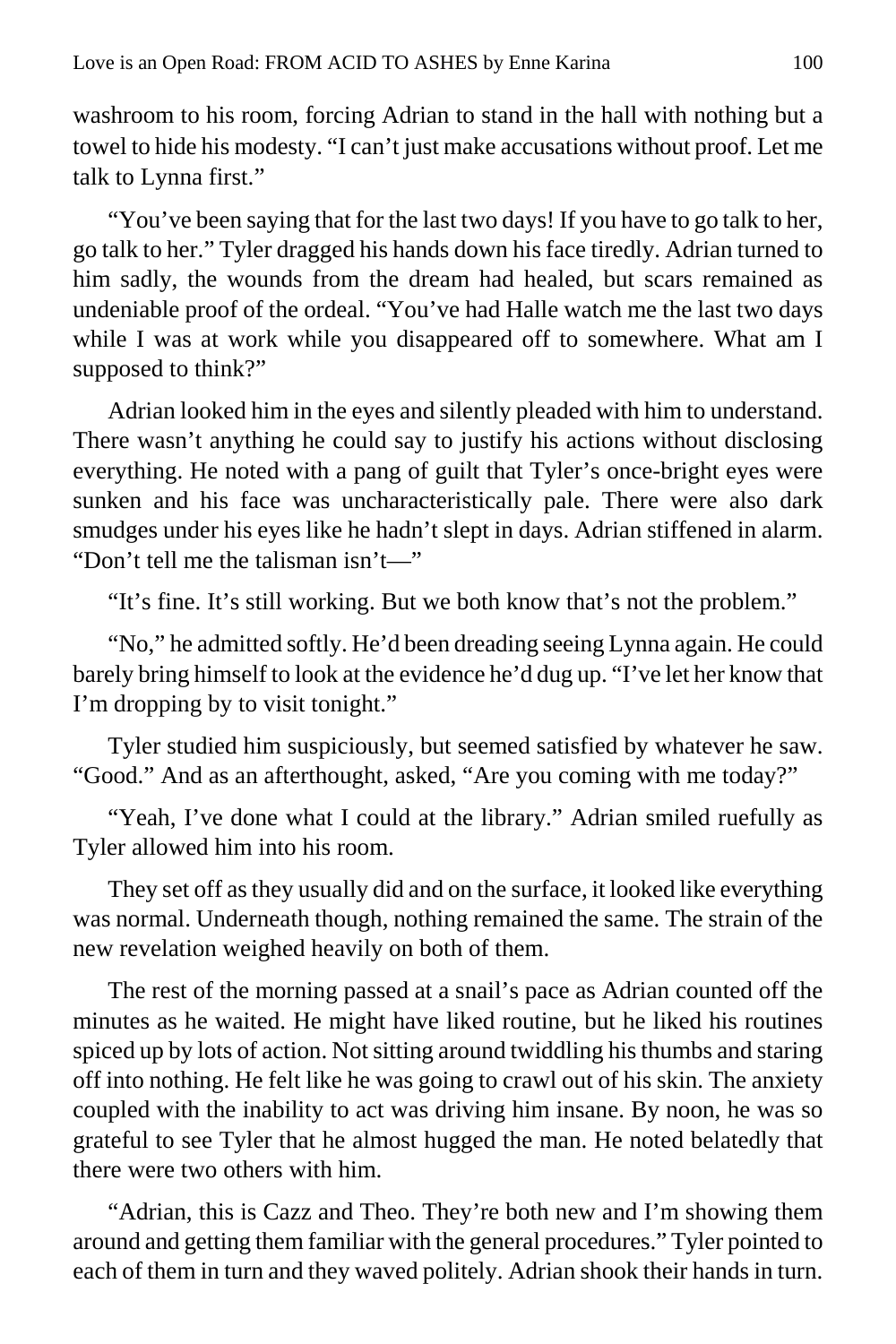washroom to his room, forcing Adrian to stand in the hall with nothing but a towel to hide his modesty. "I can't just make accusations without proof. Let me talk to Lynna first."

"You've been saying that for the last two days! If you have to go talk to her, go talk to her." Tyler dragged his hands down his face tiredly. Adrian turned to him sadly, the wounds from the dream had healed, but scars remained as undeniable proof of the ordeal. "You've had Halle watch me the last two days while I was at work while you disappeared off to somewhere. What am I supposed to think?"

Adrian looked him in the eyes and silently pleaded with him to understand. There wasn't anything he could say to justify his actions without disclosing everything. He noted with a pang of guilt that Tyler's once-bright eyes were sunken and his face was uncharacteristically pale. There were also dark smudges under his eyes like he hadn't slept in days. Adrian stiffened in alarm. "Don't tell me the talisman isn't—"

"It's fine. It's still working. But we both know that's not the problem."

"No," he admitted softly. He'd been dreading seeing Lynna again. He could barely bring himself to look at the evidence he'd dug up. "I've let her know that I'm dropping by to visit tonight."

Tyler studied him suspiciously, but seemed satisfied by whatever he saw. "Good." And as an afterthought, asked, "Are you coming with me today?"

"Yeah, I've done what I could at the library." Adrian smiled ruefully as Tyler allowed him into his room.

They set off as they usually did and on the surface, it looked like everything was normal. Underneath though, nothing remained the same. The strain of the new revelation weighed heavily on both of them.

The rest of the morning passed at a snail's pace as Adrian counted off the minutes as he waited. He might have liked routine, but he liked his routines spiced up by lots of action. Not sitting around twiddling his thumbs and staring off into nothing. He felt like he was going to crawl out of his skin. The anxiety coupled with the inability to act was driving him insane. By noon, he was so grateful to see Tyler that he almost hugged the man. He noted belatedly that there were two others with him.

"Adrian, this is Cazz and Theo. They're both new and I'm showing them around and getting them familiar with the general procedures." Tyler pointed to each of them in turn and they waved politely. Adrian shook their hands in turn.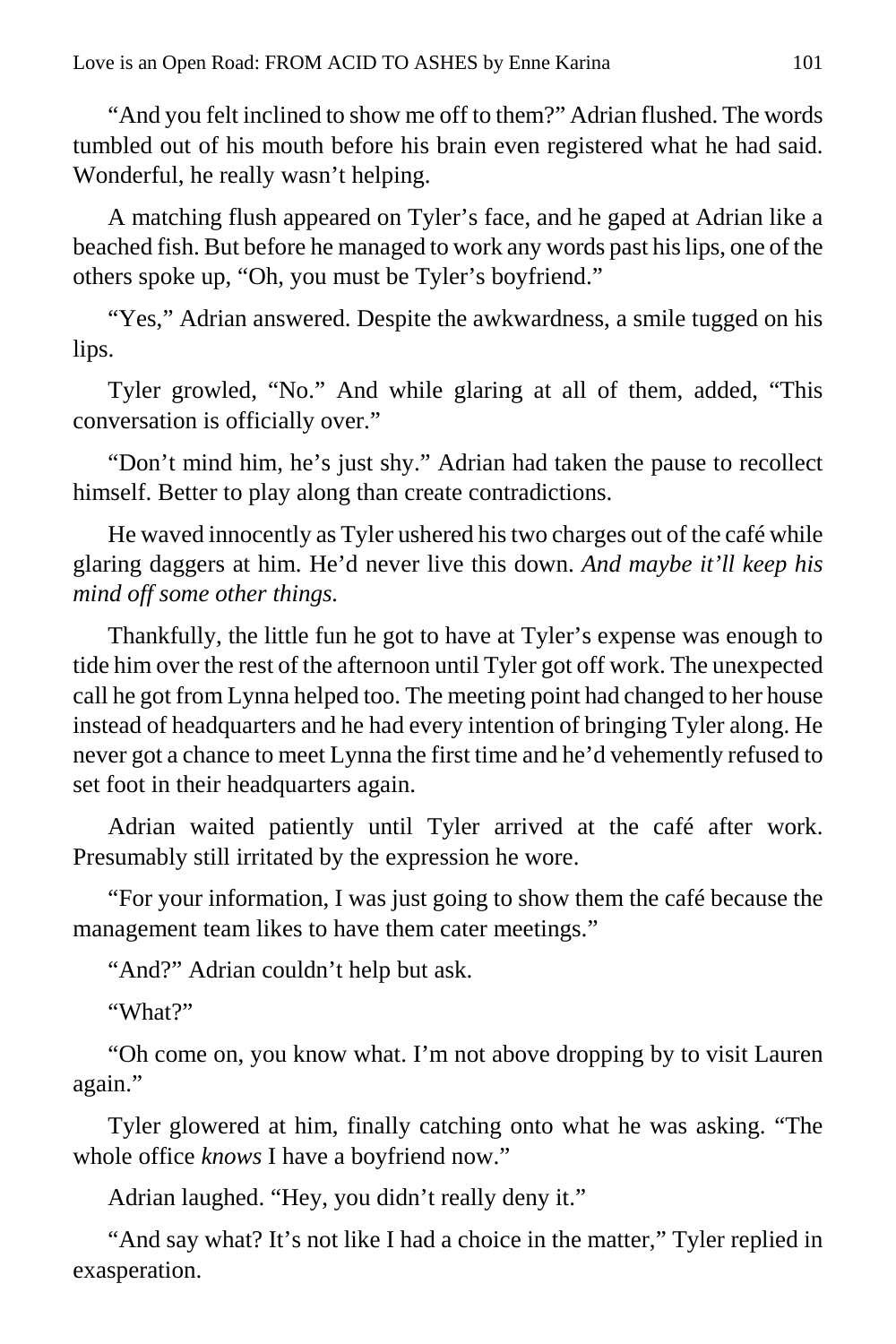"And you felt inclined to show me off to them?" Adrian flushed. The words tumbled out of his mouth before his brain even registered what he had said. Wonderful, he really wasn't helping.

A matching flush appeared on Tyler's face, and he gaped at Adrian like a beached fish. But before he managed to work any words past his lips, one of the others spoke up, "Oh, you must be Tyler's boyfriend."

"Yes," Adrian answered. Despite the awkwardness, a smile tugged on his lips.

Tyler growled, "No." And while glaring at all of them, added, "This conversation is officially over."

"Don't mind him, he's just shy." Adrian had taken the pause to recollect himself. Better to play along than create contradictions.

He waved innocently as Tyler ushered his two charges out of the café while glaring daggers at him. He'd never live this down. *And maybe it'll keep his mind off some other things.*

Thankfully, the little fun he got to have at Tyler's expense was enough to tide him over the rest of the afternoon until Tyler got off work. The unexpected call he got from Lynna helped too. The meeting point had changed to her house instead of headquarters and he had every intention of bringing Tyler along. He never got a chance to meet Lynna the first time and he'd vehemently refused to set foot in their headquarters again.

Adrian waited patiently until Tyler arrived at the café after work. Presumably still irritated by the expression he wore.

"For your information, I was just going to show them the café because the management team likes to have them cater meetings."

"And?" Adrian couldn't help but ask.

"What?"

"Oh come on, you know what. I'm not above dropping by to visit Lauren again."

Tyler glowered at him, finally catching onto what he was asking. "The whole office *knows* I have a boyfriend now."

Adrian laughed. "Hey, you didn't really deny it."

"And say what? It's not like I had a choice in the matter," Tyler replied in exasperation.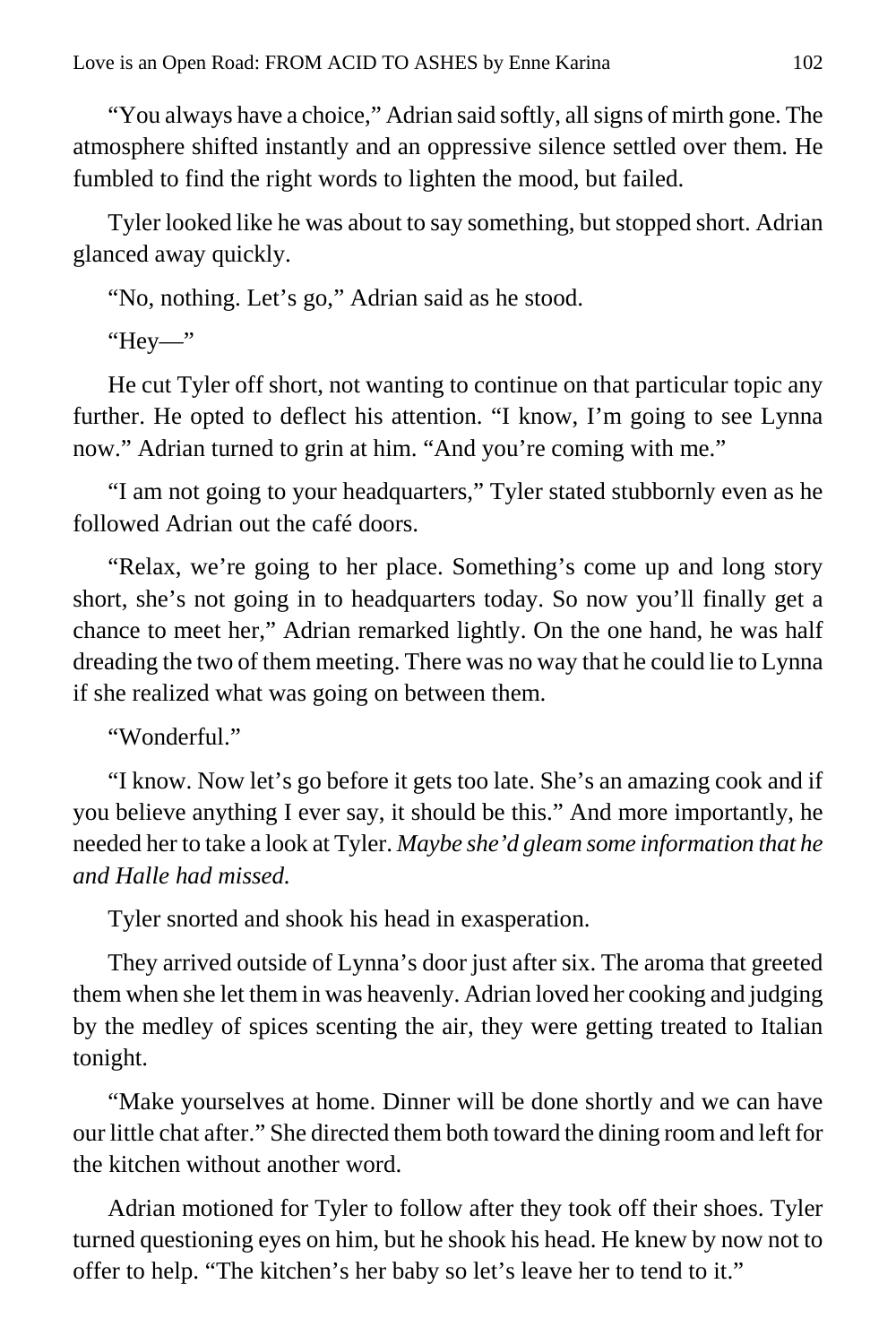"You always have a choice," Adrian said softly, all signs of mirth gone. The atmosphere shifted instantly and an oppressive silence settled over them. He fumbled to find the right words to lighten the mood, but failed.

Tyler looked like he was about to say something, but stopped short. Adrian glanced away quickly.

"No, nothing. Let's go," Adrian said as he stood.

"Hey—"

He cut Tyler off short, not wanting to continue on that particular topic any further. He opted to deflect his attention. "I know, I'm going to see Lynna now." Adrian turned to grin at him. "And you're coming with me."

"I am not going to your headquarters," Tyler stated stubbornly even as he followed Adrian out the café doors.

"Relax, we're going to her place. Something's come up and long story short, she's not going in to headquarters today. So now you'll finally get a chance to meet her," Adrian remarked lightly. On the one hand, he was half dreading the two of them meeting. There was no way that he could lie to Lynna if she realized what was going on between them.

"Wonderful."

"I know. Now let's go before it gets too late. She's an amazing cook and if you believe anything I ever say, it should be this." And more importantly, he needed her to take a look at Tyler. *Maybe she'd gleam some information that he and Halle had missed.*

Tyler snorted and shook his head in exasperation.

They arrived outside of Lynna's door just after six. The aroma that greeted them when she let them in was heavenly. Adrian loved her cooking and judging by the medley of spices scenting the air, they were getting treated to Italian tonight.

"Make yourselves at home. Dinner will be done shortly and we can have our little chat after." She directed them both toward the dining room and left for the kitchen without another word.

Adrian motioned for Tyler to follow after they took off their shoes. Tyler turned questioning eyes on him, but he shook his head. He knew by now not to offer to help. "The kitchen's her baby so let's leave her to tend to it."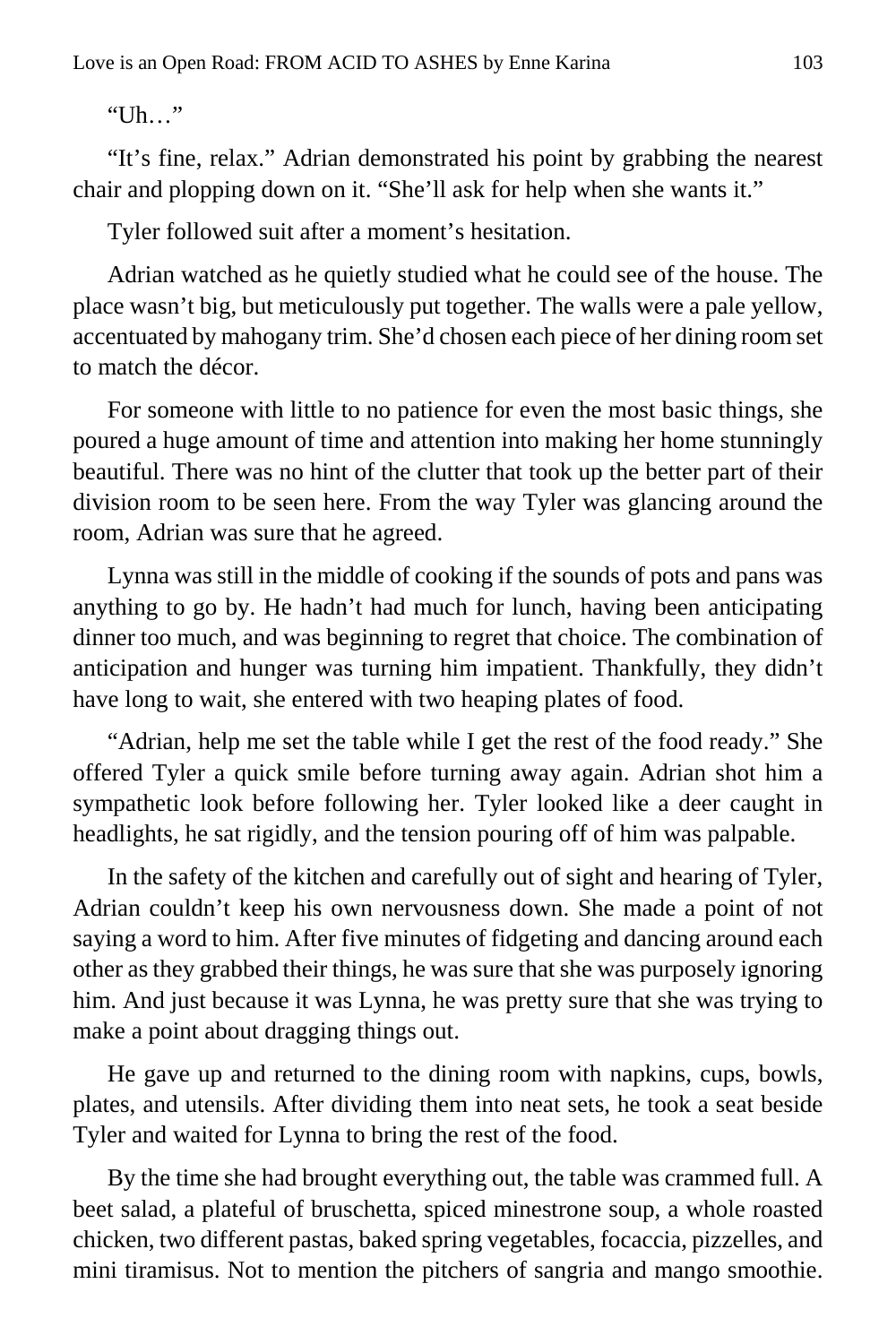$"U$ h…"

"It's fine, relax." Adrian demonstrated his point by grabbing the nearest chair and plopping down on it. "She'll ask for help when she wants it."

Tyler followed suit after a moment's hesitation.

Adrian watched as he quietly studied what he could see of the house. The place wasn't big, but meticulously put together. The walls were a pale yellow, accentuated by mahogany trim. She'd chosen each piece of her dining room set to match the décor.

For someone with little to no patience for even the most basic things, she poured a huge amount of time and attention into making her home stunningly beautiful. There was no hint of the clutter that took up the better part of their division room to be seen here. From the way Tyler was glancing around the room, Adrian was sure that he agreed.

Lynna was still in the middle of cooking if the sounds of pots and pans was anything to go by. He hadn't had much for lunch, having been anticipating dinner too much, and was beginning to regret that choice. The combination of anticipation and hunger was turning him impatient. Thankfully, they didn't have long to wait, she entered with two heaping plates of food.

"Adrian, help me set the table while I get the rest of the food ready." She offered Tyler a quick smile before turning away again. Adrian shot him a sympathetic look before following her. Tyler looked like a deer caught in headlights, he sat rigidly, and the tension pouring off of him was palpable.

In the safety of the kitchen and carefully out of sight and hearing of Tyler, Adrian couldn't keep his own nervousness down. She made a point of not saying a word to him. After five minutes of fidgeting and dancing around each other as they grabbed their things, he was sure that she was purposely ignoring him. And just because it was Lynna, he was pretty sure that she was trying to make a point about dragging things out.

He gave up and returned to the dining room with napkins, cups, bowls, plates, and utensils. After dividing them into neat sets, he took a seat beside Tyler and waited for Lynna to bring the rest of the food.

By the time she had brought everything out, the table was crammed full. A beet salad, a plateful of bruschetta, spiced minestrone soup, a whole roasted chicken, two different pastas, baked spring vegetables, focaccia, pizzelles, and mini tiramisus. Not to mention the pitchers of sangria and mango smoothie.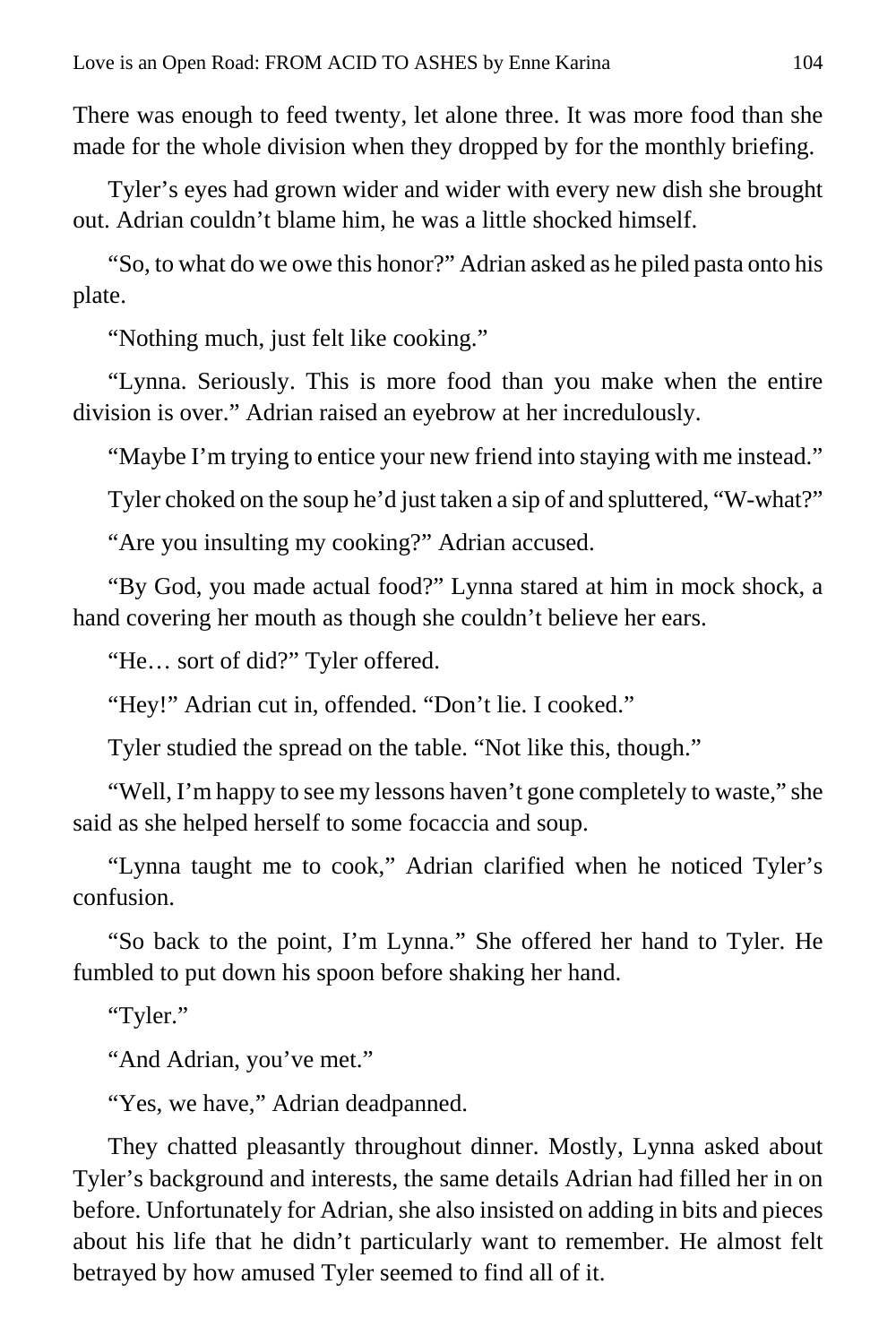There was enough to feed twenty, let alone three. It was more food than she made for the whole division when they dropped by for the monthly briefing.

Tyler's eyes had grown wider and wider with every new dish she brought out. Adrian couldn't blame him, he was a little shocked himself.

"So, to what do we owe this honor?" Adrian asked as he piled pasta onto his plate.

"Nothing much, just felt like cooking."

"Lynna. Seriously. This is more food than you make when the entire division is over." Adrian raised an eyebrow at her incredulously.

"Maybe I'm trying to entice your new friend into staying with me instead."

Tyler choked on the soup he'd just taken a sip of and spluttered, "W-what?"

"Are you insulting my cooking?" Adrian accused.

"By God, you made actual food?" Lynna stared at him in mock shock, a hand covering her mouth as though she couldn't believe her ears.

"He… sort of did?" Tyler offered.

"Hey!" Adrian cut in, offended. "Don't lie. I cooked."

Tyler studied the spread on the table. "Not like this, though."

"Well, I'm happy to see my lessons haven't gone completely to waste," she said as she helped herself to some focaccia and soup.

"Lynna taught me to cook," Adrian clarified when he noticed Tyler's confusion.

"So back to the point, I'm Lynna." She offered her hand to Tyler. He fumbled to put down his spoon before shaking her hand.

"Tyler."

"And Adrian, you've met."

"Yes, we have," Adrian deadpanned.

They chatted pleasantly throughout dinner. Mostly, Lynna asked about Tyler's background and interests, the same details Adrian had filled her in on before. Unfortunately for Adrian, she also insisted on adding in bits and pieces about his life that he didn't particularly want to remember. He almost felt betrayed by how amused Tyler seemed to find all of it.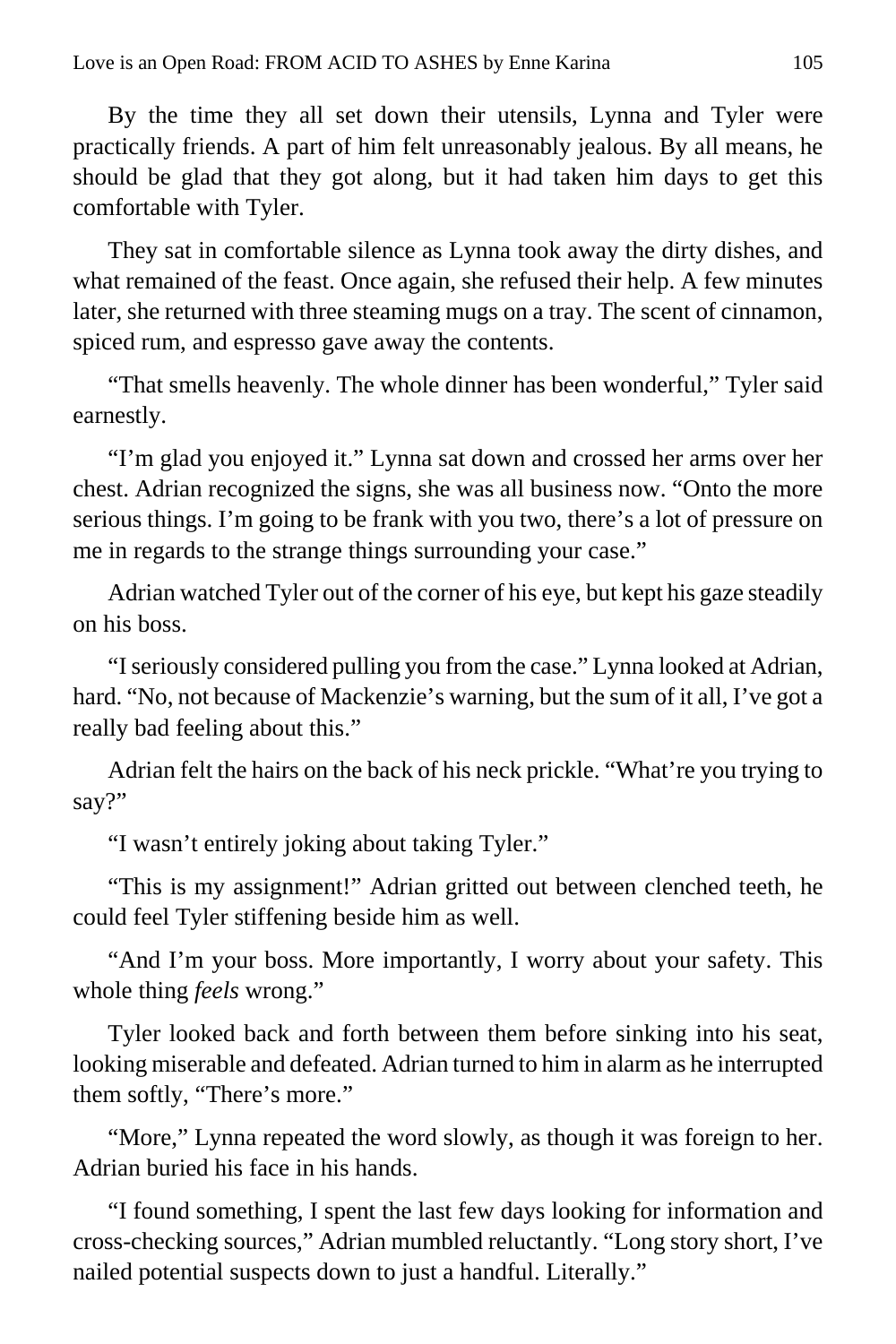By the time they all set down their utensils, Lynna and Tyler were practically friends. A part of him felt unreasonably jealous. By all means, he should be glad that they got along, but it had taken him days to get this comfortable with Tyler.

They sat in comfortable silence as Lynna took away the dirty dishes, and what remained of the feast. Once again, she refused their help. A few minutes later, she returned with three steaming mugs on a tray. The scent of cinnamon, spiced rum, and espresso gave away the contents.

"That smells heavenly. The whole dinner has been wonderful," Tyler said earnestly.

"I'm glad you enjoyed it." Lynna sat down and crossed her arms over her chest. Adrian recognized the signs, she was all business now. "Onto the more serious things. I'm going to be frank with you two, there's a lot of pressure on me in regards to the strange things surrounding your case."

Adrian watched Tyler out of the corner of his eye, but kept his gaze steadily on his boss.

"I seriously considered pulling you from the case." Lynna looked at Adrian, hard. "No, not because of Mackenzie's warning, but the sum of it all, I've got a really bad feeling about this."

Adrian felt the hairs on the back of his neck prickle. "What're you trying to say?"

"I wasn't entirely joking about taking Tyler."

"This is my assignment!" Adrian gritted out between clenched teeth, he could feel Tyler stiffening beside him as well.

"And I'm your boss. More importantly, I worry about your safety. This whole thing *feels* wrong."

Tyler looked back and forth between them before sinking into his seat, looking miserable and defeated. Adrian turned to him in alarm as he interrupted them softly, "There's more."

"More," Lynna repeated the word slowly, as though it was foreign to her. Adrian buried his face in his hands.

"I found something, I spent the last few days looking for information and cross-checking sources," Adrian mumbled reluctantly. "Long story short, I've nailed potential suspects down to just a handful. Literally."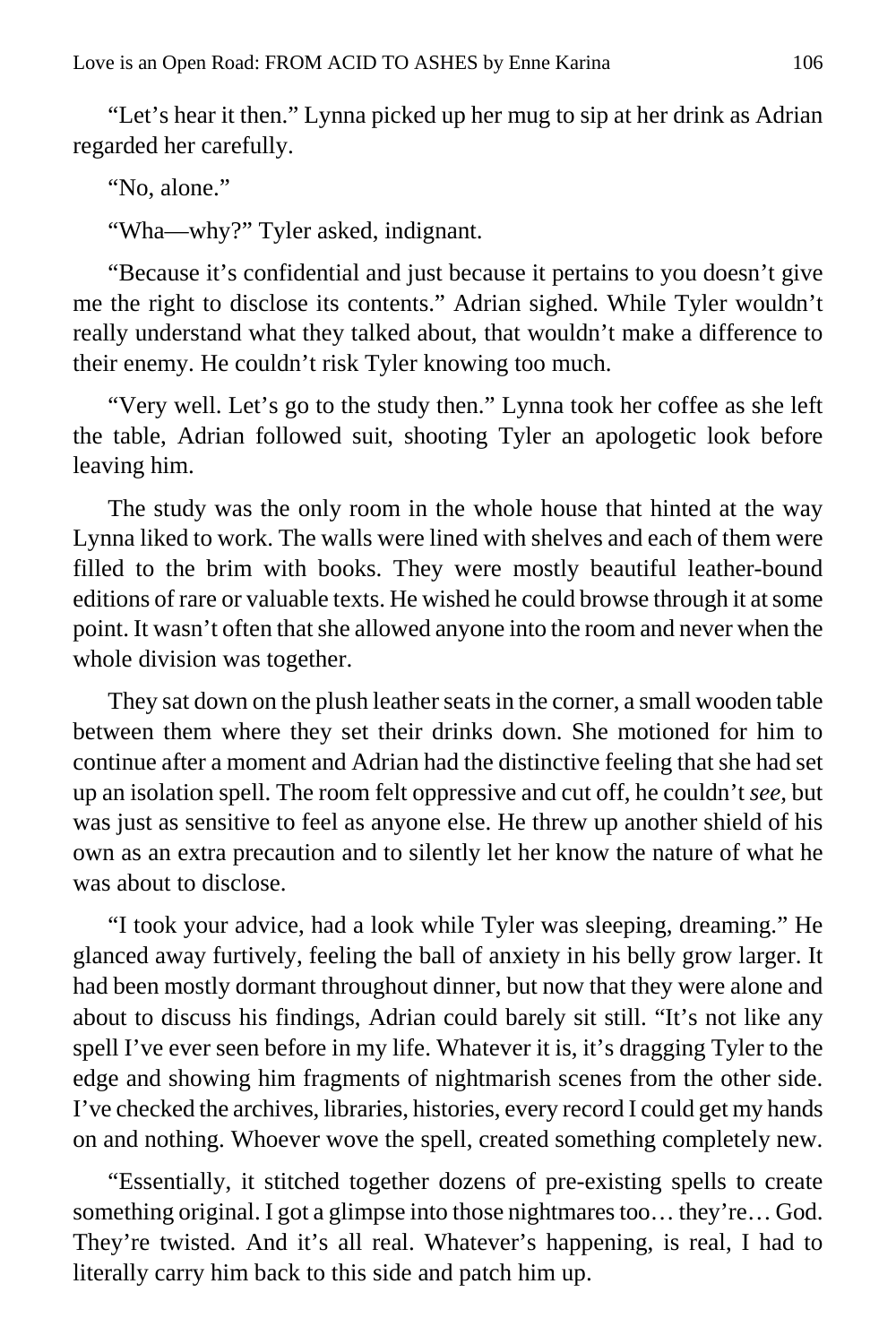"Let's hear it then." Lynna picked up her mug to sip at her drink as Adrian regarded her carefully.

"No, alone."

"Wha—why?" Tyler asked, indignant.

"Because it's confidential and just because it pertains to you doesn't give me the right to disclose its contents." Adrian sighed. While Tyler wouldn't really understand what they talked about, that wouldn't make a difference to their enemy. He couldn't risk Tyler knowing too much.

"Very well. Let's go to the study then." Lynna took her coffee as she left the table, Adrian followed suit, shooting Tyler an apologetic look before leaving him.

The study was the only room in the whole house that hinted at the way Lynna liked to work. The walls were lined with shelves and each of them were filled to the brim with books. They were mostly beautiful leather-bound editions of rare or valuable texts. He wished he could browse through it at some point. It wasn't often that she allowed anyone into the room and never when the whole division was together.

They sat down on the plush leather seats in the corner, a small wooden table between them where they set their drinks down. She motioned for him to continue after a moment and Adrian had the distinctive feeling that she had set up an isolation spell. The room felt oppressive and cut off, he couldn't *see,* but was just as sensitive to feel as anyone else. He threw up another shield of his own as an extra precaution and to silently let her know the nature of what he was about to disclose.

"I took your advice, had a look while Tyler was sleeping, dreaming." He glanced away furtively, feeling the ball of anxiety in his belly grow larger. It had been mostly dormant throughout dinner, but now that they were alone and about to discuss his findings, Adrian could barely sit still. "It's not like any spell I've ever seen before in my life. Whatever it is, it's dragging Tyler to the edge and showing him fragments of nightmarish scenes from the other side. I've checked the archives, libraries, histories, every record I could get my hands on and nothing. Whoever wove the spell, created something completely new.

"Essentially, it stitched together dozens of pre-existing spells to create something original. I got a glimpse into those nightmares too… they're… God. They're twisted. And it's all real. Whatever's happening, is real, I had to literally carry him back to this side and patch him up.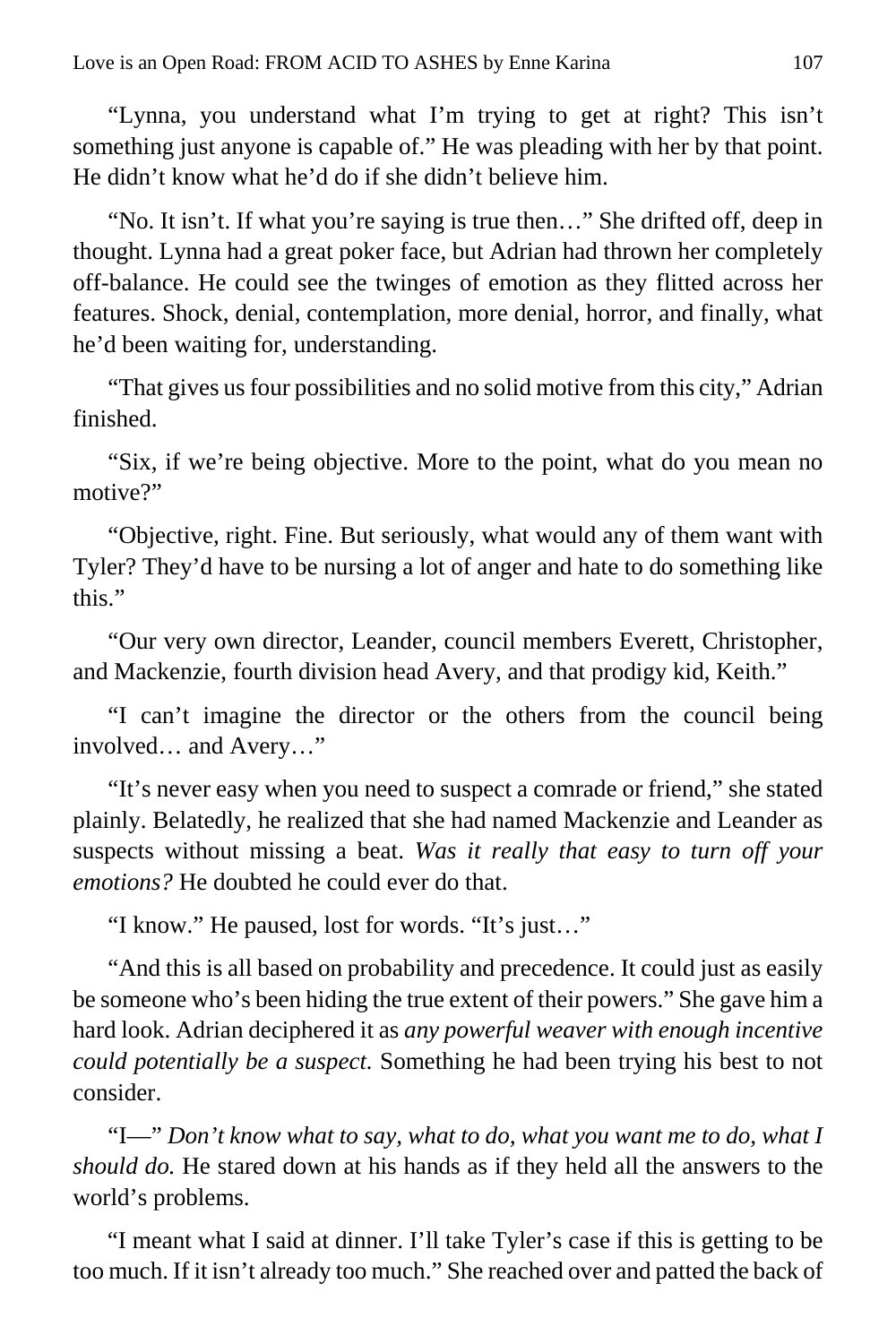"Lynna, you understand what I'm trying to get at right? This isn't something just anyone is capable of." He was pleading with her by that point. He didn't know what he'd do if she didn't believe him.

"No. It isn't. If what you're saying is true then…" She drifted off, deep in thought. Lynna had a great poker face, but Adrian had thrown her completely off-balance. He could see the twinges of emotion as they flitted across her features. Shock, denial, contemplation, more denial, horror, and finally, what he'd been waiting for, understanding.

"That gives us four possibilities and no solid motive from this city," Adrian finished.

"Six, if we're being objective. More to the point, what do you mean no motive?"

"Objective, right. Fine. But seriously, what would any of them want with Tyler? They'd have to be nursing a lot of anger and hate to do something like this."

"Our very own director, Leander, council members Everett, Christopher, and Mackenzie, fourth division head Avery, and that prodigy kid, Keith."

"I can't imagine the director or the others from the council being involved… and Avery…"

"It's never easy when you need to suspect a comrade or friend," she stated plainly. Belatedly, he realized that she had named Mackenzie and Leander as suspects without missing a beat. *Was it really that easy to turn off your emotions?* He doubted he could ever do that.

"I know." He paused, lost for words. "It's just…"

"And this is all based on probability and precedence. It could just as easily be someone who's been hiding the true extent of their powers." She gave him a hard look. Adrian deciphered it as *any powerful weaver with enough incentive could potentially be a suspect.* Something he had been trying his best to not consider.

"I—" *Don't know what to say, what to do, what you want me to do, what I should do.* He stared down at his hands as if they held all the answers to the world's problems.

"I meant what I said at dinner. I'll take Tyler's case if this is getting to be too much. If it isn't already too much." She reached over and patted the back of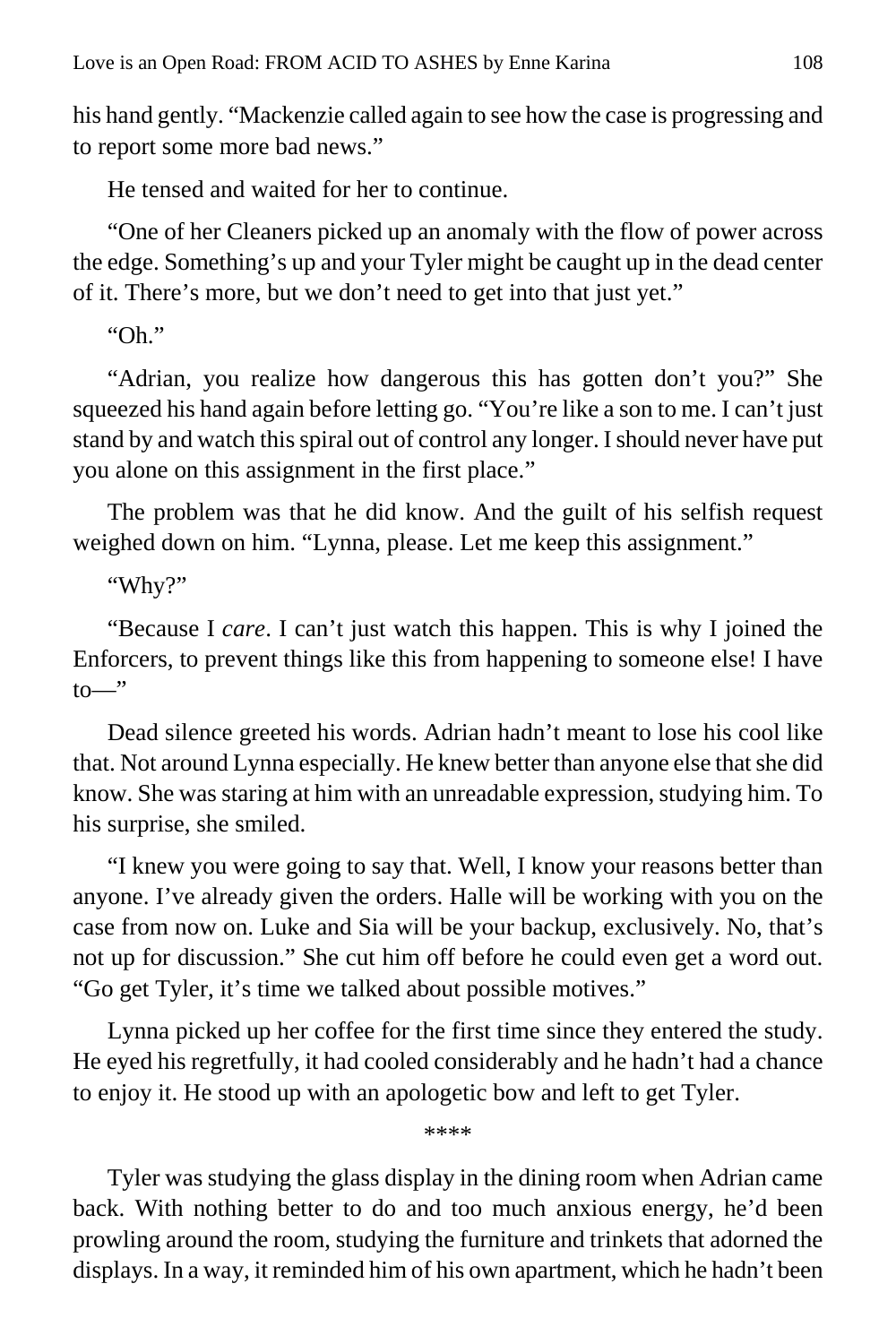his hand gently. "Mackenzie called again to see how the case is progressing and to report some more bad news."

He tensed and waited for her to continue.

"One of her Cleaners picked up an anomaly with the flow of power across the edge. Something's up and your Tyler might be caught up in the dead center of it. There's more, but we don't need to get into that just yet."

"Oh."

"Adrian, you realize how dangerous this has gotten don't you?" She squeezed his hand again before letting go. "You're like a son to me. I can't just stand by and watch this spiral out of control any longer. I should never have put you alone on this assignment in the first place."

The problem was that he did know. And the guilt of his selfish request weighed down on him. "Lynna, please. Let me keep this assignment."

"Why?"

"Because I *care*. I can't just watch this happen. This is why I joined the Enforcers, to prevent things like this from happening to someone else! I have  $to$  $"$ 

Dead silence greeted his words. Adrian hadn't meant to lose his cool like that. Not around Lynna especially. He knew better than anyone else that she did know. She was staring at him with an unreadable expression, studying him. To his surprise, she smiled.

"I knew you were going to say that. Well, I know your reasons better than anyone. I've already given the orders. Halle will be working with you on the case from now on. Luke and Sia will be your backup, exclusively. No, that's not up for discussion." She cut him off before he could even get a word out. "Go get Tyler, it's time we talked about possible motives."

Lynna picked up her coffee for the first time since they entered the study. He eyed his regretfully, it had cooled considerably and he hadn't had a chance to enjoy it. He stood up with an apologetic bow and left to get Tyler.

\*\*\*\*

Tyler was studying the glass display in the dining room when Adrian came back. With nothing better to do and too much anxious energy, he'd been prowling around the room, studying the furniture and trinkets that adorned the displays. In a way, it reminded him of his own apartment, which he hadn't been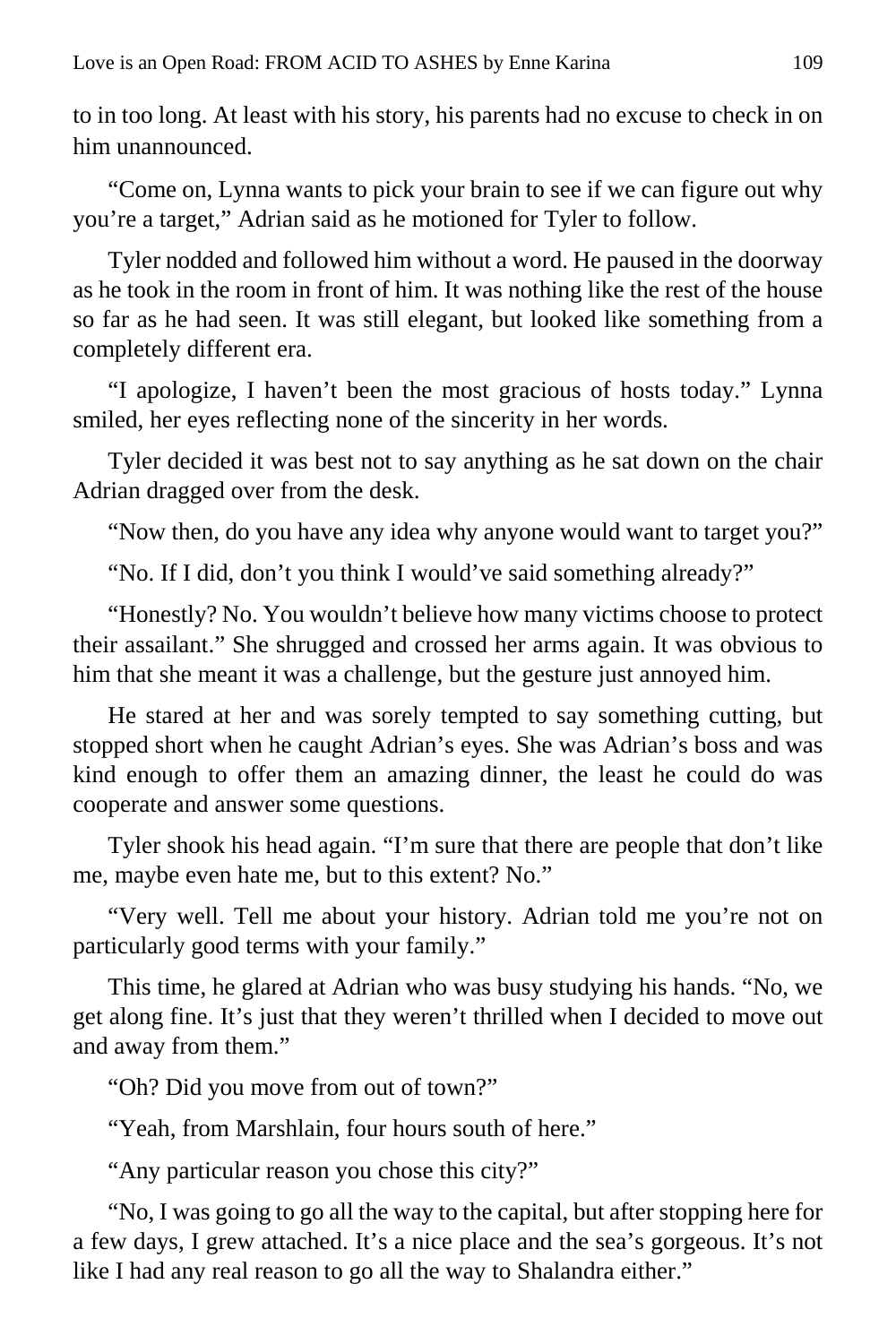to in too long. At least with his story, his parents had no excuse to check in on him unannounced.

"Come on, Lynna wants to pick your brain to see if we can figure out why you're a target," Adrian said as he motioned for Tyler to follow.

Tyler nodded and followed him without a word. He paused in the doorway as he took in the room in front of him. It was nothing like the rest of the house so far as he had seen. It was still elegant, but looked like something from a completely different era.

"I apologize, I haven't been the most gracious of hosts today." Lynna smiled, her eyes reflecting none of the sincerity in her words.

Tyler decided it was best not to say anything as he sat down on the chair Adrian dragged over from the desk.

"Now then, do you have any idea why anyone would want to target you?"

"No. If I did, don't you think I would've said something already?"

"Honestly? No. You wouldn't believe how many victims choose to protect their assailant." She shrugged and crossed her arms again. It was obvious to him that she meant it was a challenge, but the gesture just annoyed him.

He stared at her and was sorely tempted to say something cutting, but stopped short when he caught Adrian's eyes. She was Adrian's boss and was kind enough to offer them an amazing dinner, the least he could do was cooperate and answer some questions.

Tyler shook his head again. "I'm sure that there are people that don't like me, maybe even hate me, but to this extent? No."

"Very well. Tell me about your history. Adrian told me you're not on particularly good terms with your family."

This time, he glared at Adrian who was busy studying his hands. "No, we get along fine. It's just that they weren't thrilled when I decided to move out and away from them."

"Oh? Did you move from out of town?"

"Yeah, from Marshlain, four hours south of here."

"Any particular reason you chose this city?"

"No, I was going to go all the way to the capital, but after stopping here for a few days, I grew attached. It's a nice place and the sea's gorgeous. It's not like I had any real reason to go all the way to Shalandra either."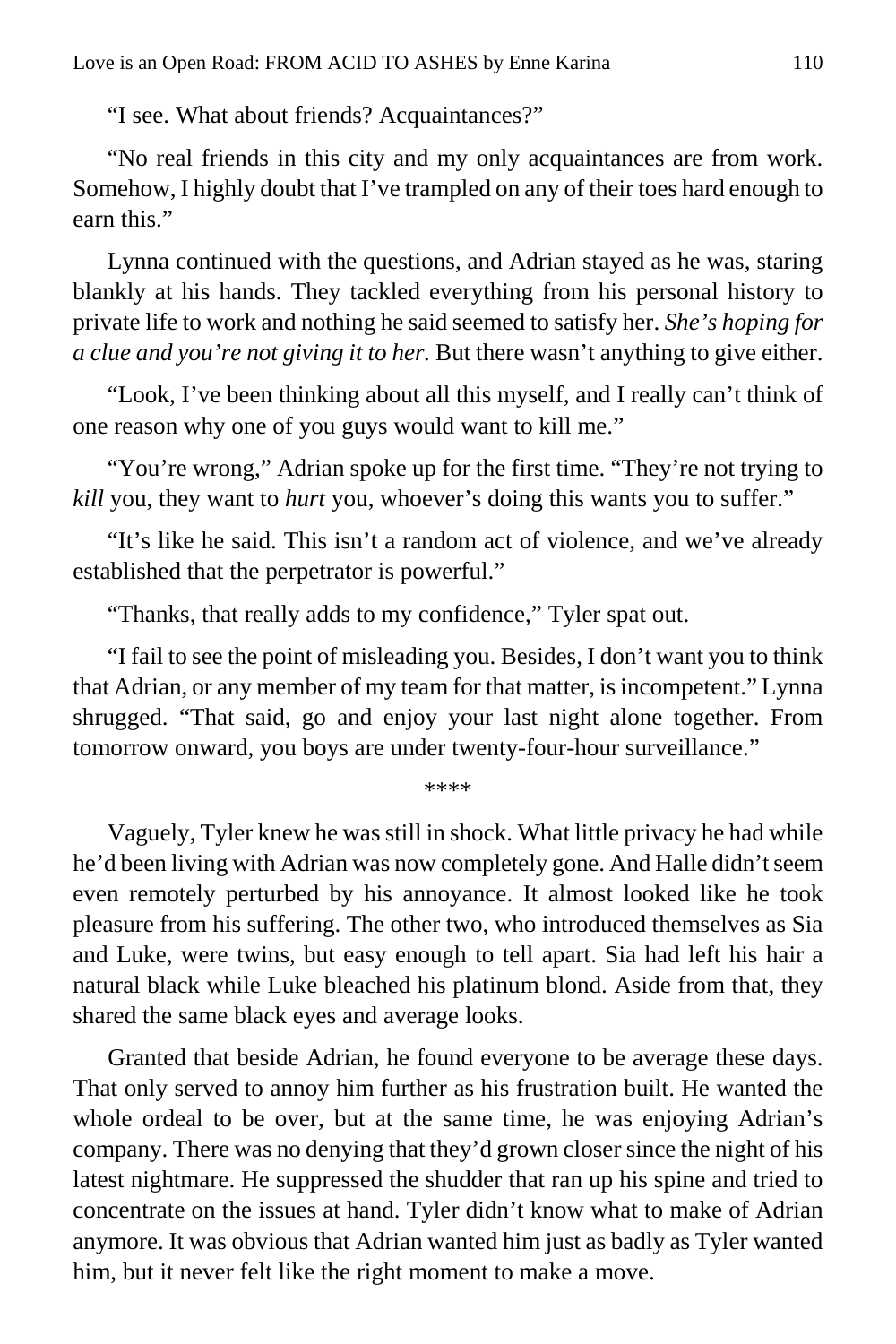"I see. What about friends? Acquaintances?"

"No real friends in this city and my only acquaintances are from work. Somehow, I highly doubt that I've trampled on any of their toes hard enough to earn this."

Lynna continued with the questions, and Adrian stayed as he was, staring blankly at his hands. They tackled everything from his personal history to private life to work and nothing he said seemed to satisfy her. *She's hoping for a clue and you're not giving it to her.* But there wasn't anything to give either.

"Look, I've been thinking about all this myself, and I really can't think of one reason why one of you guys would want to kill me."

"You're wrong," Adrian spoke up for the first time. "They're not trying to *kill* you, they want to *hurt* you, whoever's doing this wants you to suffer."

"It's like he said. This isn't a random act of violence, and we've already established that the perpetrator is powerful."

"Thanks, that really adds to my confidence," Tyler spat out.

"I fail to see the point of misleading you. Besides, I don't want you to think that Adrian, or any member of my team for that matter, is incompetent." Lynna shrugged. "That said, go and enjoy your last night alone together. From tomorrow onward, you boys are under twenty-four-hour surveillance."

\*\*\*\*

Vaguely, Tyler knew he was still in shock. What little privacy he had while he'd been living with Adrian was now completely gone. And Halle didn't seem even remotely perturbed by his annoyance. It almost looked like he took pleasure from his suffering. The other two, who introduced themselves as Sia and Luke, were twins, but easy enough to tell apart. Sia had left his hair a natural black while Luke bleached his platinum blond. Aside from that, they shared the same black eyes and average looks.

Granted that beside Adrian, he found everyone to be average these days. That only served to annoy him further as his frustration built. He wanted the whole ordeal to be over, but at the same time, he was enjoying Adrian's company. There was no denying that they'd grown closer since the night of his latest nightmare. He suppressed the shudder that ran up his spine and tried to concentrate on the issues at hand. Tyler didn't know what to make of Adrian anymore. It was obvious that Adrian wanted him just as badly as Tyler wanted him, but it never felt like the right moment to make a move.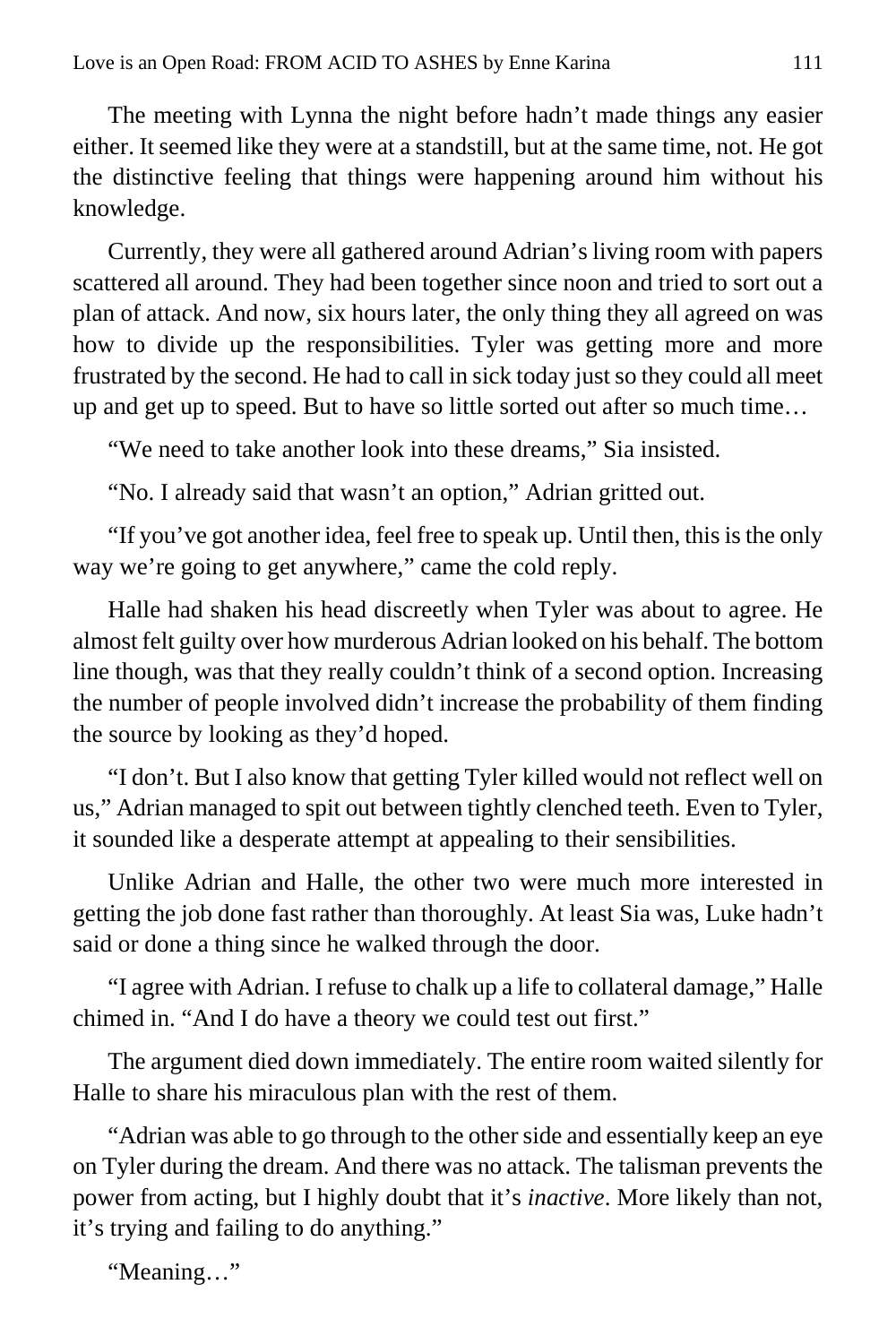The meeting with Lynna the night before hadn't made things any easier either. It seemed like they were at a standstill, but at the same time, not. He got the distinctive feeling that things were happening around him without his knowledge.

Currently, they were all gathered around Adrian's living room with papers scattered all around. They had been together since noon and tried to sort out a plan of attack. And now, six hours later, the only thing they all agreed on was how to divide up the responsibilities. Tyler was getting more and more frustrated by the second. He had to call in sick today just so they could all meet up and get up to speed. But to have so little sorted out after so much time…

"We need to take another look into these dreams," Sia insisted.

"No. I already said that wasn't an option," Adrian gritted out.

"If you've got another idea, feel free to speak up. Until then, this is the only way we're going to get anywhere," came the cold reply.

Halle had shaken his head discreetly when Tyler was about to agree. He almost felt guilty over how murderous Adrian looked on his behalf. The bottom line though, was that they really couldn't think of a second option. Increasing the number of people involved didn't increase the probability of them finding the source by looking as they'd hoped.

"I don't. But I also know that getting Tyler killed would not reflect well on us," Adrian managed to spit out between tightly clenched teeth. Even to Tyler, it sounded like a desperate attempt at appealing to their sensibilities.

Unlike Adrian and Halle, the other two were much more interested in getting the job done fast rather than thoroughly. At least Sia was, Luke hadn't said or done a thing since he walked through the door.

"I agree with Adrian. I refuse to chalk up a life to collateral damage," Halle chimed in. "And I do have a theory we could test out first."

The argument died down immediately. The entire room waited silently for Halle to share his miraculous plan with the rest of them.

"Adrian was able to go through to the other side and essentially keep an eye on Tyler during the dream. And there was no attack. The talisman prevents the power from acting, but I highly doubt that it's *inactive*. More likely than not, it's trying and failing to do anything."

"Meaning…"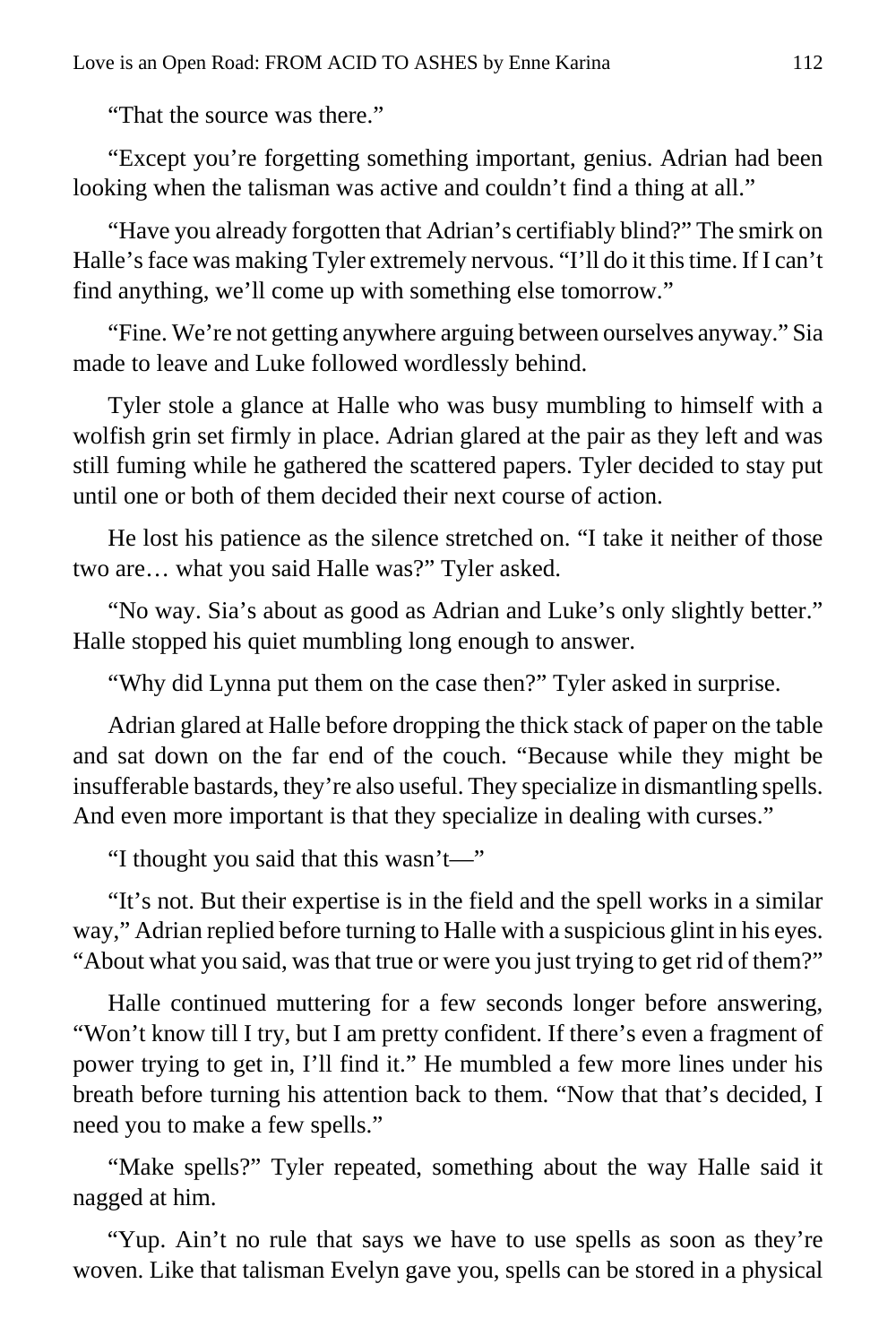"That the source was there."

"Except you're forgetting something important, genius. Adrian had been looking when the talisman was active and couldn't find a thing at all."

"Have you already forgotten that Adrian's certifiably blind?" The smirk on Halle's face was making Tyler extremely nervous. "I'll do it this time. If I can't find anything, we'll come up with something else tomorrow."

"Fine. We're not getting anywhere arguing between ourselves anyway." Sia made to leave and Luke followed wordlessly behind.

Tyler stole a glance at Halle who was busy mumbling to himself with a wolfish grin set firmly in place. Adrian glared at the pair as they left and was still fuming while he gathered the scattered papers. Tyler decided to stay put until one or both of them decided their next course of action.

He lost his patience as the silence stretched on. "I take it neither of those two are… what you said Halle was?" Tyler asked.

"No way. Sia's about as good as Adrian and Luke's only slightly better." Halle stopped his quiet mumbling long enough to answer.

"Why did Lynna put them on the case then?" Tyler asked in surprise.

Adrian glared at Halle before dropping the thick stack of paper on the table and sat down on the far end of the couch. "Because while they might be insufferable bastards, they're also useful. They specialize in dismantling spells. And even more important is that they specialize in dealing with curses."

"I thought you said that this wasn't—"

"It's not. But their expertise is in the field and the spell works in a similar way," Adrian replied before turning to Halle with a suspicious glint in his eyes. "About what you said, was that true or were you just trying to get rid of them?"

Halle continued muttering for a few seconds longer before answering, "Won't know till I try, but I am pretty confident. If there's even a fragment of power trying to get in, I'll find it." He mumbled a few more lines under his breath before turning his attention back to them. "Now that that's decided, I need you to make a few spells."

"Make spells?" Tyler repeated, something about the way Halle said it nagged at him.

"Yup. Ain't no rule that says we have to use spells as soon as they're woven. Like that talisman Evelyn gave you, spells can be stored in a physical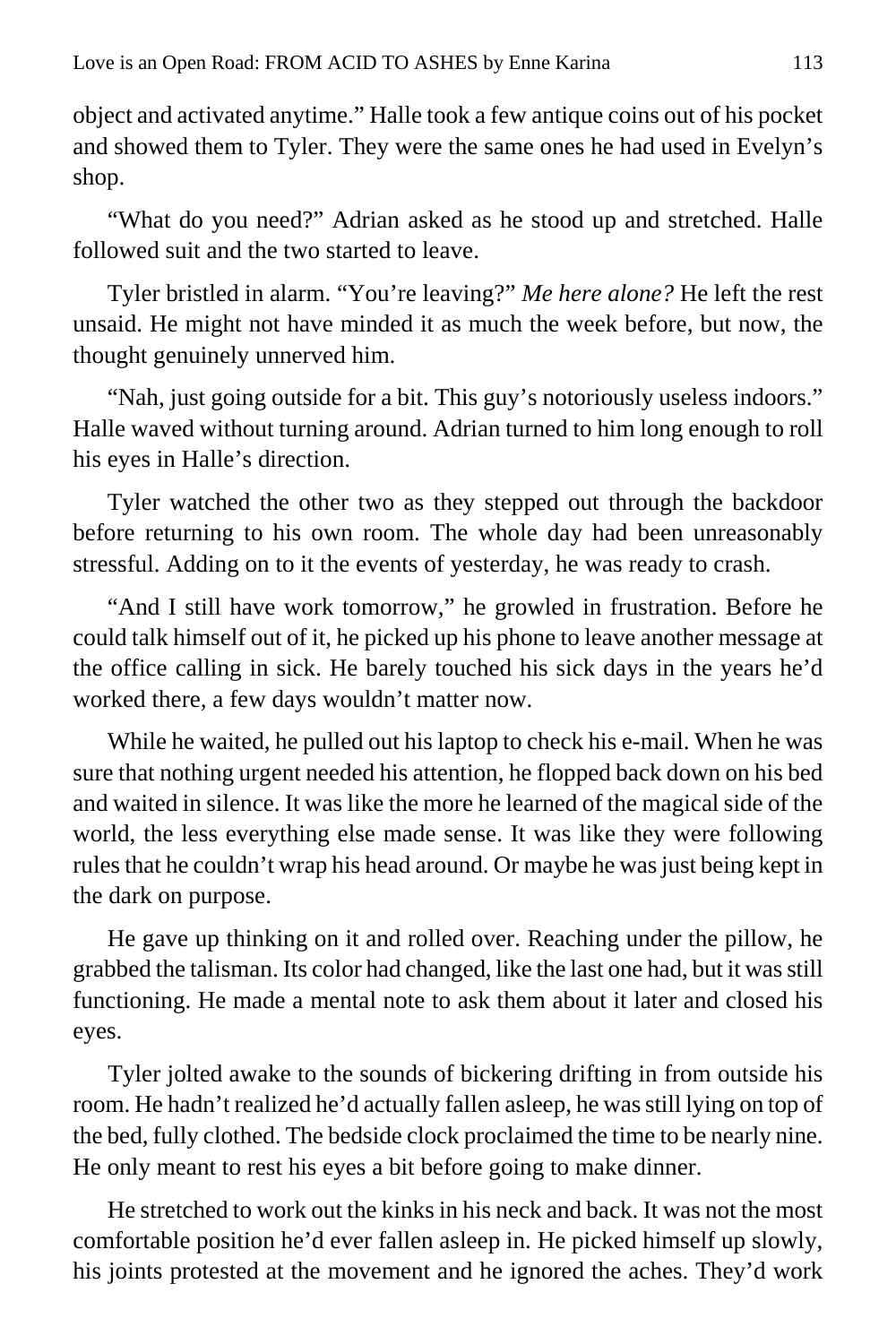object and activated anytime." Halle took a few antique coins out of his pocket and showed them to Tyler. They were the same ones he had used in Evelyn's shop.

"What do you need?" Adrian asked as he stood up and stretched. Halle followed suit and the two started to leave.

Tyler bristled in alarm. "You're leaving?" *Me here alone?* He left the rest unsaid. He might not have minded it as much the week before, but now, the thought genuinely unnerved him.

"Nah, just going outside for a bit. This guy's notoriously useless indoors." Halle waved without turning around. Adrian turned to him long enough to roll his eyes in Halle's direction.

Tyler watched the other two as they stepped out through the backdoor before returning to his own room. The whole day had been unreasonably stressful. Adding on to it the events of yesterday, he was ready to crash.

"And I still have work tomorrow," he growled in frustration. Before he could talk himself out of it, he picked up his phone to leave another message at the office calling in sick. He barely touched his sick days in the years he'd worked there, a few days wouldn't matter now.

While he waited, he pulled out his laptop to check his e-mail. When he was sure that nothing urgent needed his attention, he flopped back down on his bed and waited in silence. It was like the more he learned of the magical side of the world, the less everything else made sense. It was like they were following rules that he couldn't wrap his head around. Or maybe he was just being kept in the dark on purpose.

He gave up thinking on it and rolled over. Reaching under the pillow, he grabbed the talisman. Its color had changed, like the last one had, but it was still functioning. He made a mental note to ask them about it later and closed his eyes.

Tyler jolted awake to the sounds of bickering drifting in from outside his room. He hadn't realized he'd actually fallen asleep, he was still lying on top of the bed, fully clothed. The bedside clock proclaimed the time to be nearly nine. He only meant to rest his eyes a bit before going to make dinner.

He stretched to work out the kinks in his neck and back. It was not the most comfortable position he'd ever fallen asleep in. He picked himself up slowly, his joints protested at the movement and he ignored the aches. They'd work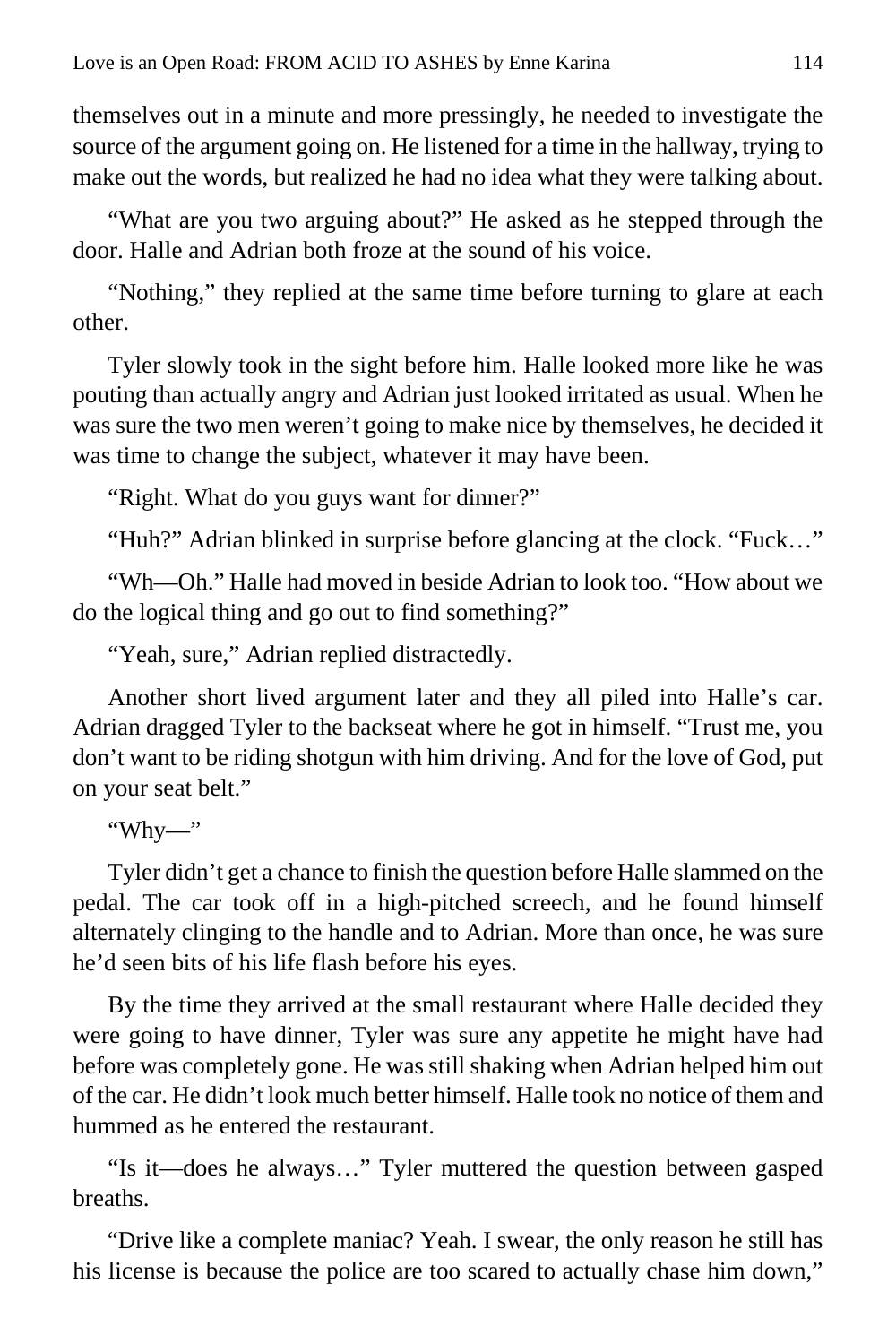themselves out in a minute and more pressingly, he needed to investigate the source of the argument going on. He listened for a time in the hallway, trying to make out the words, but realized he had no idea what they were talking about.

"What are you two arguing about?" He asked as he stepped through the door. Halle and Adrian both froze at the sound of his voice.

"Nothing," they replied at the same time before turning to glare at each other.

Tyler slowly took in the sight before him. Halle looked more like he was pouting than actually angry and Adrian just looked irritated as usual. When he was sure the two men weren't going to make nice by themselves, he decided it was time to change the subject, whatever it may have been.

"Right. What do you guys want for dinner?"

"Huh?" Adrian blinked in surprise before glancing at the clock. "Fuck…"

"Wh—Oh." Halle had moved in beside Adrian to look too. "How about we do the logical thing and go out to find something?"

"Yeah, sure," Adrian replied distractedly.

Another short lived argument later and they all piled into Halle's car. Adrian dragged Tyler to the backseat where he got in himself. "Trust me, you don't want to be riding shotgun with him driving. And for the love of God, put on your seat belt."

"Why—"

Tyler didn't get a chance to finish the question before Halle slammed on the pedal. The car took off in a high-pitched screech, and he found himself alternately clinging to the handle and to Adrian. More than once, he was sure he'd seen bits of his life flash before his eyes.

By the time they arrived at the small restaurant where Halle decided they were going to have dinner, Tyler was sure any appetite he might have had before was completely gone. He was still shaking when Adrian helped him out of the car. He didn't look much better himself. Halle took no notice of them and hummed as he entered the restaurant.

"Is it—does he always…" Tyler muttered the question between gasped breaths.

"Drive like a complete maniac? Yeah. I swear, the only reason he still has his license is because the police are too scared to actually chase him down,"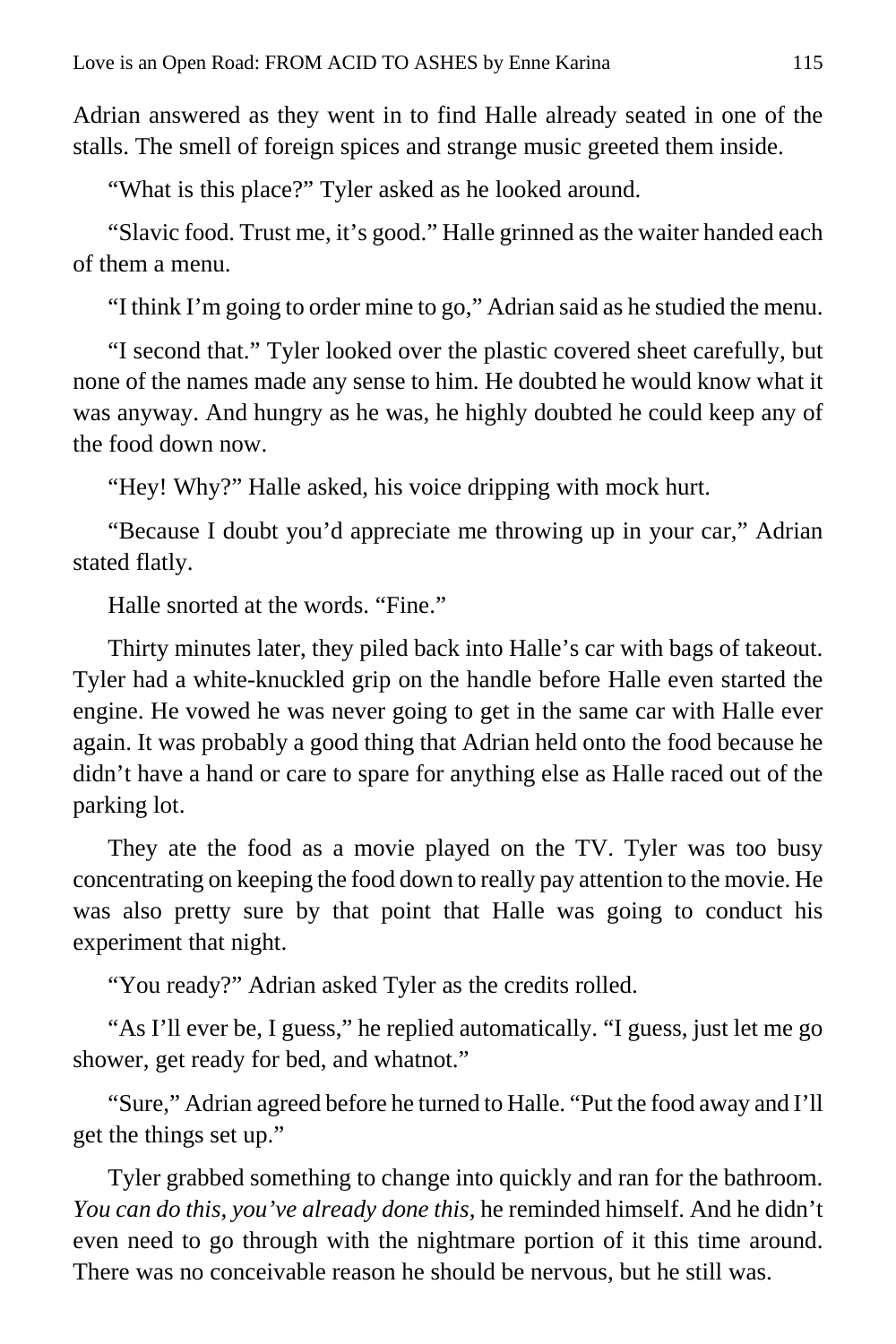Adrian answered as they went in to find Halle already seated in one of the stalls. The smell of foreign spices and strange music greeted them inside.

"What is this place?" Tyler asked as he looked around.

"Slavic food. Trust me, it's good." Halle grinned as the waiter handed each of them a menu.

"I think I'm going to order mine to go," Adrian said as he studied the menu.

"I second that." Tyler looked over the plastic covered sheet carefully, but none of the names made any sense to him. He doubted he would know what it was anyway. And hungry as he was, he highly doubted he could keep any of the food down now.

"Hey! Why?" Halle asked, his voice dripping with mock hurt.

"Because I doubt you'd appreciate me throwing up in your car," Adrian stated flatly.

Halle snorted at the words. "Fine."

Thirty minutes later, they piled back into Halle's car with bags of takeout. Tyler had a white-knuckled grip on the handle before Halle even started the engine. He vowed he was never going to get in the same car with Halle ever again. It was probably a good thing that Adrian held onto the food because he didn't have a hand or care to spare for anything else as Halle raced out of the parking lot.

They ate the food as a movie played on the TV. Tyler was too busy concentrating on keeping the food down to really pay attention to the movie. He was also pretty sure by that point that Halle was going to conduct his experiment that night.

"You ready?" Adrian asked Tyler as the credits rolled.

"As I'll ever be, I guess," he replied automatically. "I guess, just let me go shower, get ready for bed, and whatnot."

"Sure," Adrian agreed before he turned to Halle. "Put the food away and I'll get the things set up."

Tyler grabbed something to change into quickly and ran for the bathroom. *You can do this, you've already done this,* he reminded himself. And he didn't even need to go through with the nightmare portion of it this time around. There was no conceivable reason he should be nervous, but he still was.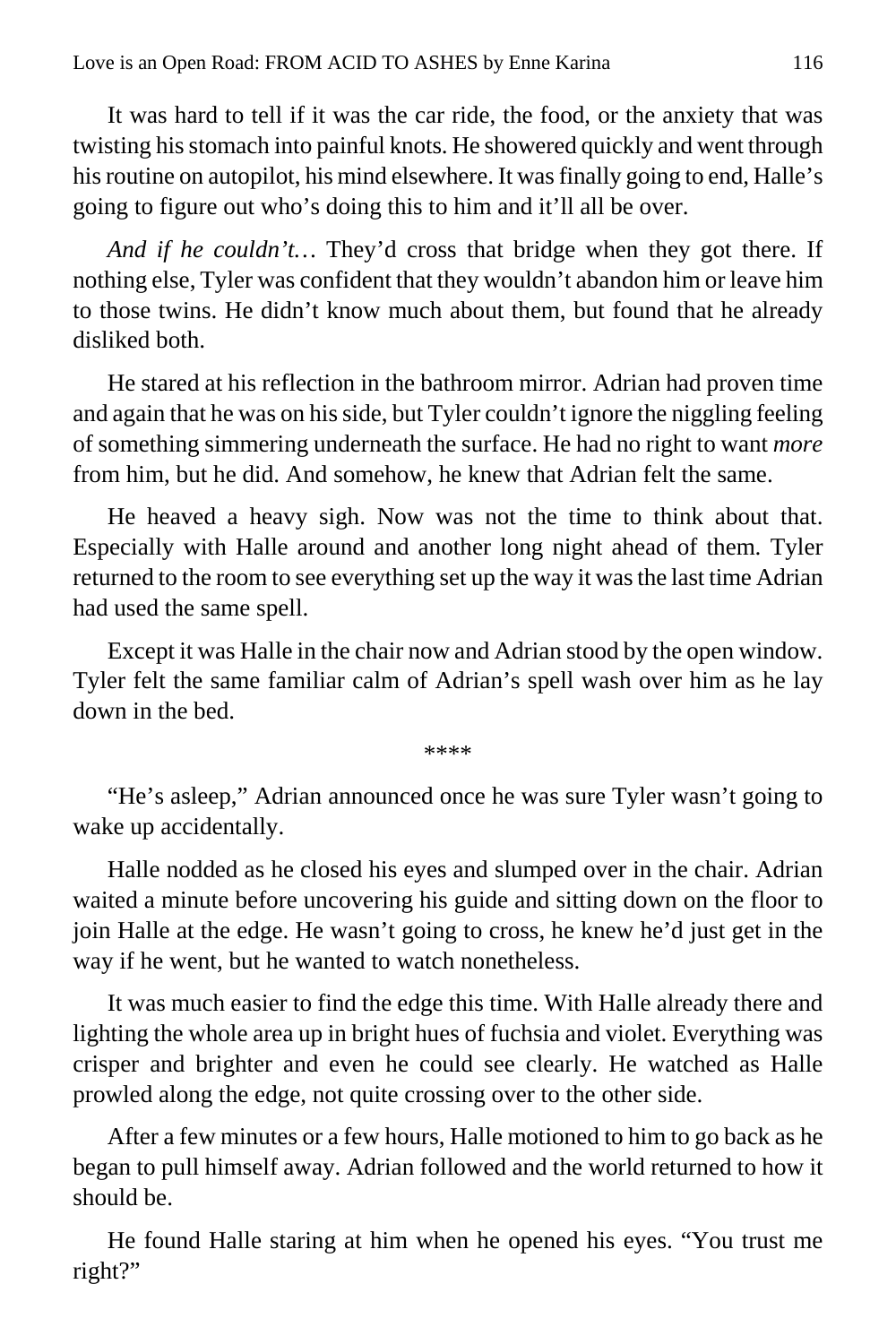It was hard to tell if it was the car ride, the food, or the anxiety that was twisting his stomach into painful knots. He showered quickly and went through his routine on autopilot, his mind elsewhere. It was finally going to end, Halle's going to figure out who's doing this to him and it'll all be over.

*And if he couldn't...* They'd cross that bridge when they got there. If nothing else, Tyler was confident that they wouldn't abandon him or leave him to those twins. He didn't know much about them, but found that he already disliked both.

He stared at his reflection in the bathroom mirror. Adrian had proven time and again that he was on his side, but Tyler couldn't ignore the niggling feeling of something simmering underneath the surface. He had no right to want *more* from him, but he did. And somehow, he knew that Adrian felt the same.

He heaved a heavy sigh. Now was not the time to think about that. Especially with Halle around and another long night ahead of them. Tyler returned to the room to see everything set up the way it was the last time Adrian had used the same spell.

Except it was Halle in the chair now and Adrian stood by the open window. Tyler felt the same familiar calm of Adrian's spell wash over him as he lay down in the bed.

\*\*\*\*

"He's asleep," Adrian announced once he was sure Tyler wasn't going to wake up accidentally.

Halle nodded as he closed his eyes and slumped over in the chair. Adrian waited a minute before uncovering his guide and sitting down on the floor to join Halle at the edge. He wasn't going to cross, he knew he'd just get in the way if he went, but he wanted to watch nonetheless.

It was much easier to find the edge this time. With Halle already there and lighting the whole area up in bright hues of fuchsia and violet. Everything was crisper and brighter and even he could see clearly. He watched as Halle prowled along the edge, not quite crossing over to the other side.

After a few minutes or a few hours, Halle motioned to him to go back as he began to pull himself away. Adrian followed and the world returned to how it should be.

He found Halle staring at him when he opened his eyes. "You trust me right?"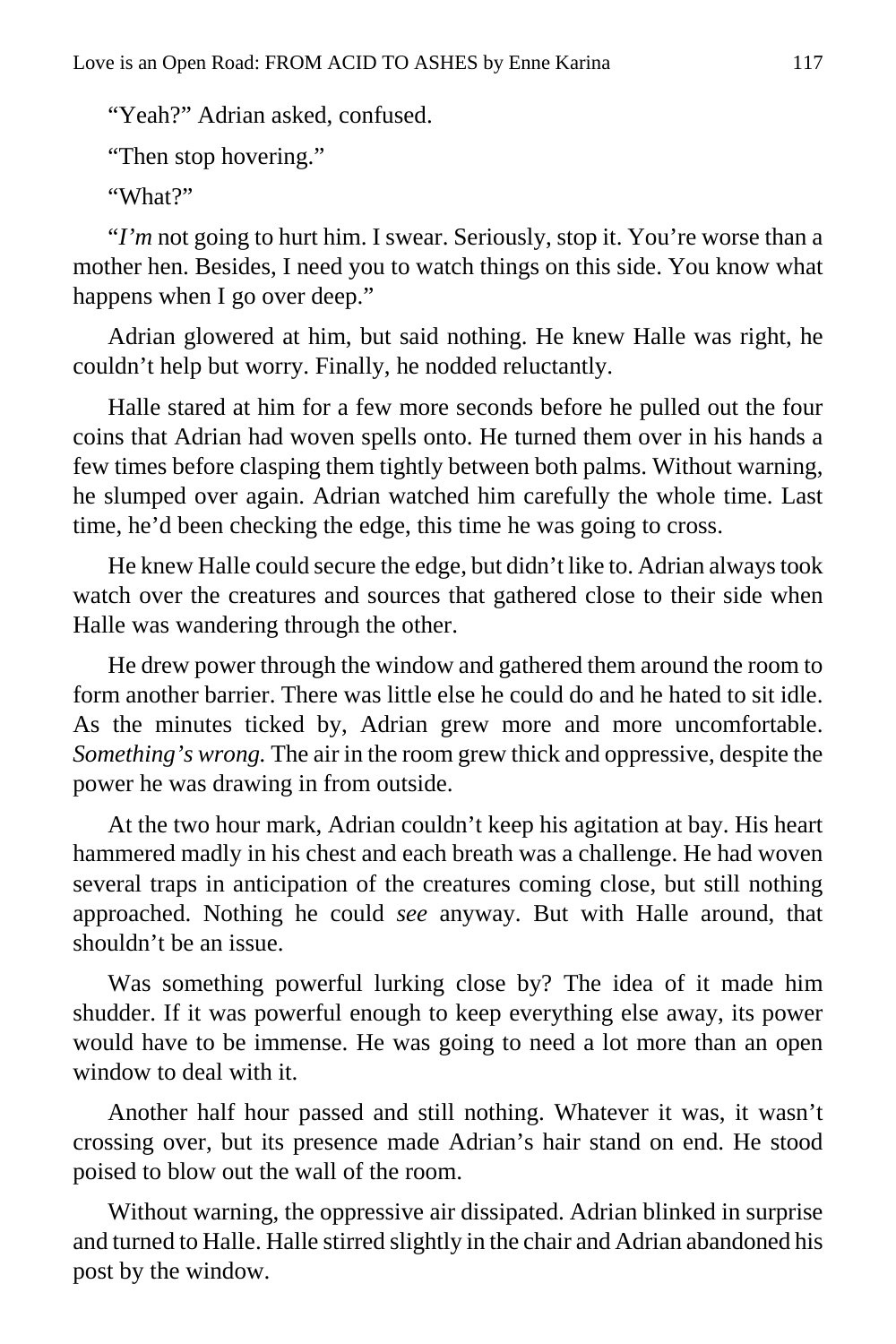"Yeah?" Adrian asked, confused.

"Then stop hovering."

"What?"

"*I'm* not going to hurt him. I swear. Seriously, stop it. You're worse than a mother hen. Besides, I need you to watch things on this side. You know what happens when I go over deep."

Adrian glowered at him, but said nothing. He knew Halle was right, he couldn't help but worry. Finally, he nodded reluctantly.

Halle stared at him for a few more seconds before he pulled out the four coins that Adrian had woven spells onto. He turned them over in his hands a few times before clasping them tightly between both palms. Without warning, he slumped over again. Adrian watched him carefully the whole time. Last time, he'd been checking the edge, this time he was going to cross.

He knew Halle could secure the edge, but didn't like to. Adrian always took watch over the creatures and sources that gathered close to their side when Halle was wandering through the other.

He drew power through the window and gathered them around the room to form another barrier. There was little else he could do and he hated to sit idle. As the minutes ticked by, Adrian grew more and more uncomfortable. *Something's wrong.* The air in the room grew thick and oppressive, despite the power he was drawing in from outside.

At the two hour mark, Adrian couldn't keep his agitation at bay. His heart hammered madly in his chest and each breath was a challenge. He had woven several traps in anticipation of the creatures coming close, but still nothing approached. Nothing he could *see* anyway. But with Halle around, that shouldn't be an issue.

Was something powerful lurking close by? The idea of it made him shudder. If it was powerful enough to keep everything else away, its power would have to be immense. He was going to need a lot more than an open window to deal with it.

Another half hour passed and still nothing. Whatever it was, it wasn't crossing over, but its presence made Adrian's hair stand on end. He stood poised to blow out the wall of the room.

Without warning, the oppressive air dissipated. Adrian blinked in surprise and turned to Halle. Halle stirred slightly in the chair and Adrian abandoned his post by the window.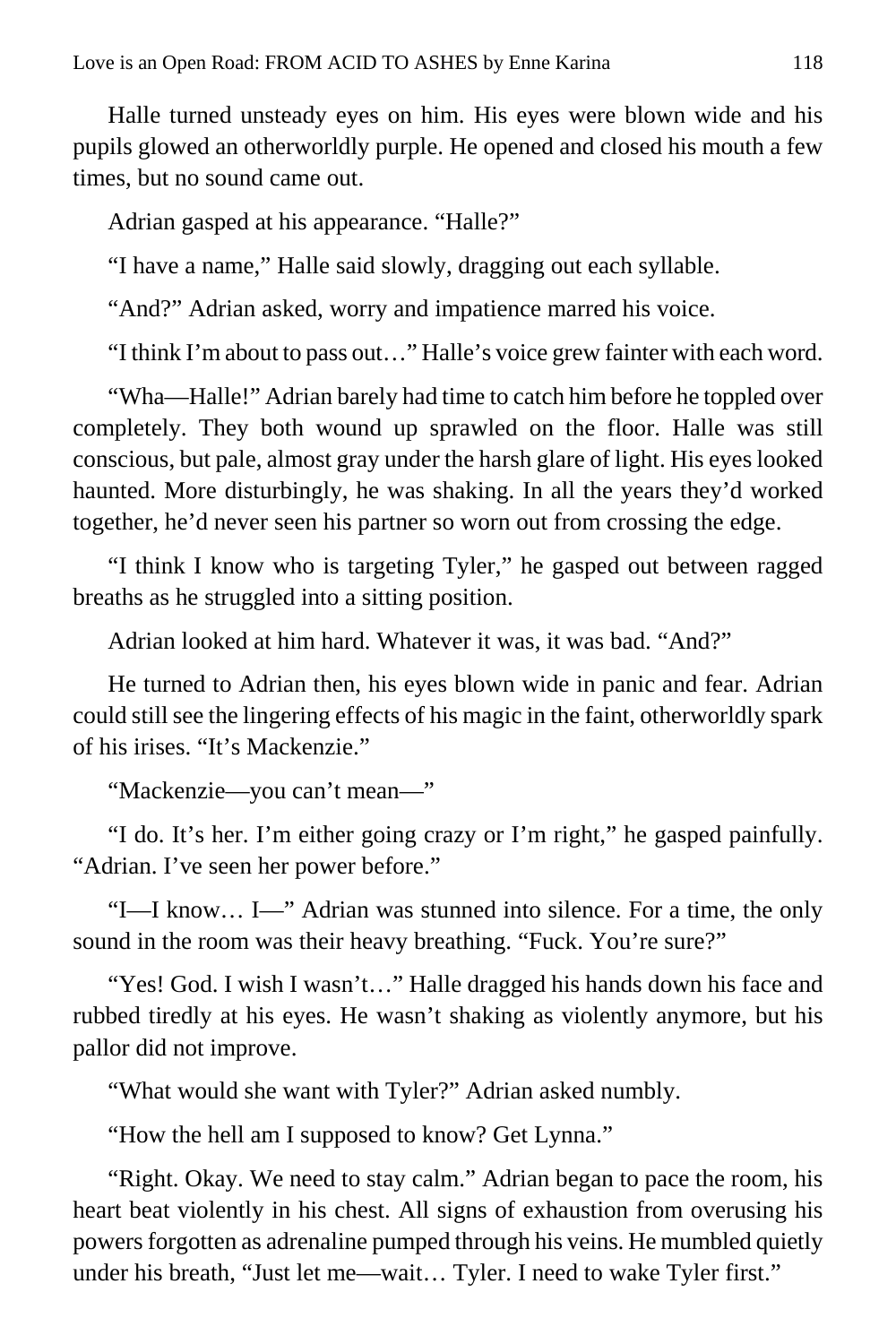Halle turned unsteady eyes on him. His eyes were blown wide and his pupils glowed an otherworldly purple. He opened and closed his mouth a few times, but no sound came out.

Adrian gasped at his appearance. "Halle?"

"I have a name," Halle said slowly, dragging out each syllable.

"And?" Adrian asked, worry and impatience marred his voice.

"I think I'm about to pass out…" Halle's voice grew fainter with each word.

"Wha—Halle!" Adrian barely had time to catch him before he toppled over completely. They both wound up sprawled on the floor. Halle was still conscious, but pale, almost gray under the harsh glare of light. His eyes looked haunted. More disturbingly, he was shaking. In all the years they'd worked together, he'd never seen his partner so worn out from crossing the edge.

"I think I know who is targeting Tyler," he gasped out between ragged breaths as he struggled into a sitting position.

Adrian looked at him hard. Whatever it was, it was bad. "And?"

He turned to Adrian then, his eyes blown wide in panic and fear. Adrian could still see the lingering effects of his magic in the faint, otherworldly spark of his irises. "It's Mackenzie."

"Mackenzie—you can't mean—"

"I do. It's her. I'm either going crazy or I'm right," he gasped painfully. "Adrian. I've seen her power before."

"I—I know… I—" Adrian was stunned into silence. For a time, the only sound in the room was their heavy breathing. "Fuck. You're sure?"

"Yes! God. I wish I wasn't…" Halle dragged his hands down his face and rubbed tiredly at his eyes. He wasn't shaking as violently anymore, but his pallor did not improve.

"What would she want with Tyler?" Adrian asked numbly.

"How the hell am I supposed to know? Get Lynna."

"Right. Okay. We need to stay calm." Adrian began to pace the room, his heart beat violently in his chest. All signs of exhaustion from overusing his powers forgotten as adrenaline pumped through his veins. He mumbled quietly under his breath, "Just let me—wait… Tyler. I need to wake Tyler first."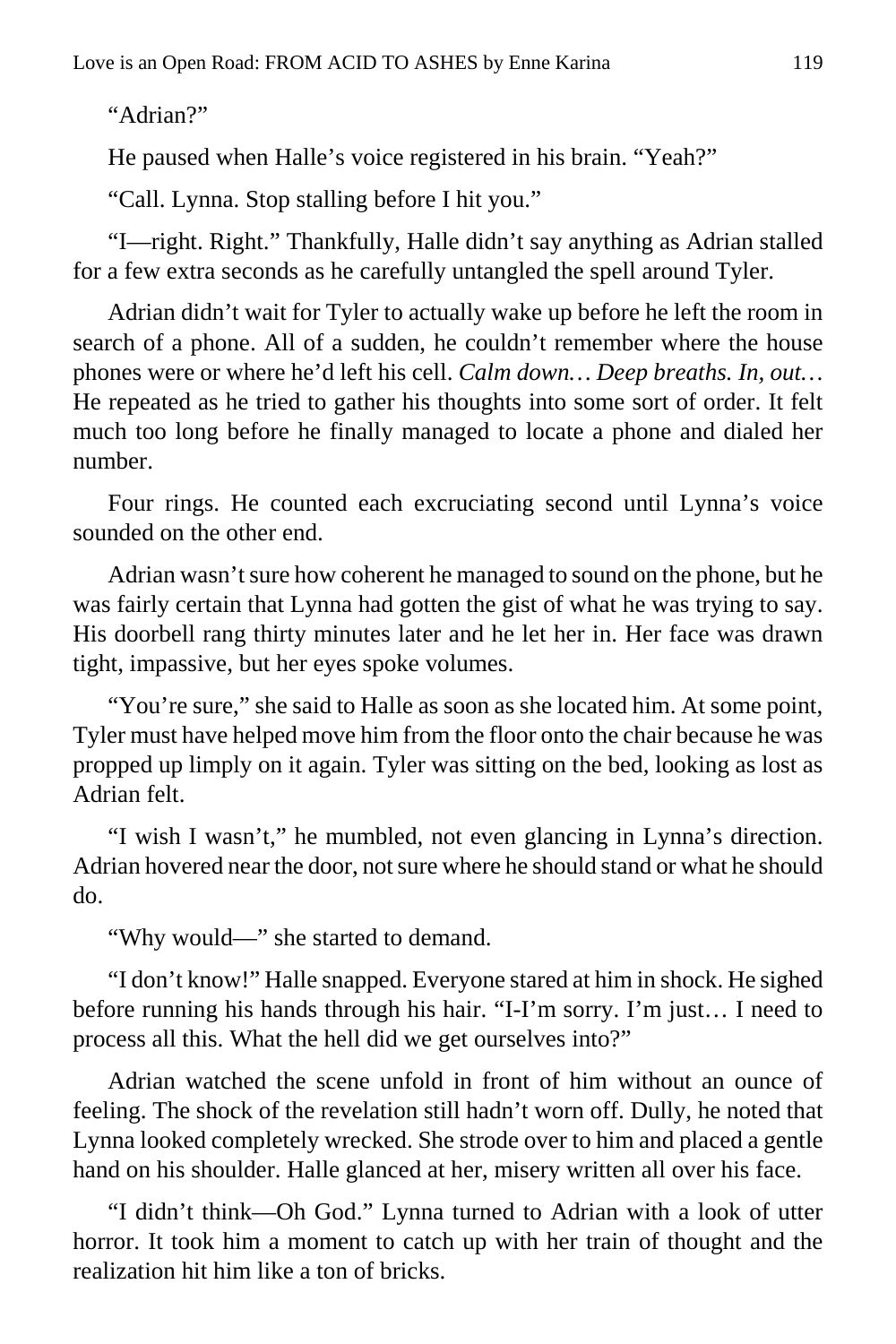"Adrian?"

He paused when Halle's voice registered in his brain. "Yeah?"

"Call. Lynna. Stop stalling before I hit you."

"I—right. Right." Thankfully, Halle didn't say anything as Adrian stalled for a few extra seconds as he carefully untangled the spell around Tyler.

Adrian didn't wait for Tyler to actually wake up before he left the room in search of a phone. All of a sudden, he couldn't remember where the house phones were or where he'd left his cell. *Calm down… Deep breaths. In, out…*  He repeated as he tried to gather his thoughts into some sort of order. It felt much too long before he finally managed to locate a phone and dialed her number.

Four rings. He counted each excruciating second until Lynna's voice sounded on the other end.

Adrian wasn't sure how coherent he managed to sound on the phone, but he was fairly certain that Lynna had gotten the gist of what he was trying to say. His doorbell rang thirty minutes later and he let her in. Her face was drawn tight, impassive, but her eyes spoke volumes.

"You're sure," she said to Halle as soon as she located him. At some point, Tyler must have helped move him from the floor onto the chair because he was propped up limply on it again. Tyler was sitting on the bed, looking as lost as Adrian felt.

"I wish I wasn't," he mumbled, not even glancing in Lynna's direction. Adrian hovered near the door, not sure where he should stand or what he should do.

"Why would—" she started to demand.

"I don't know!" Halle snapped. Everyone stared at him in shock. He sighed before running his hands through his hair. "I-I'm sorry. I'm just… I need to process all this. What the hell did we get ourselves into?"

Adrian watched the scene unfold in front of him without an ounce of feeling. The shock of the revelation still hadn't worn off. Dully, he noted that Lynna looked completely wrecked. She strode over to him and placed a gentle hand on his shoulder. Halle glanced at her, misery written all over his face.

"I didn't think—Oh God." Lynna turned to Adrian with a look of utter horror. It took him a moment to catch up with her train of thought and the realization hit him like a ton of bricks.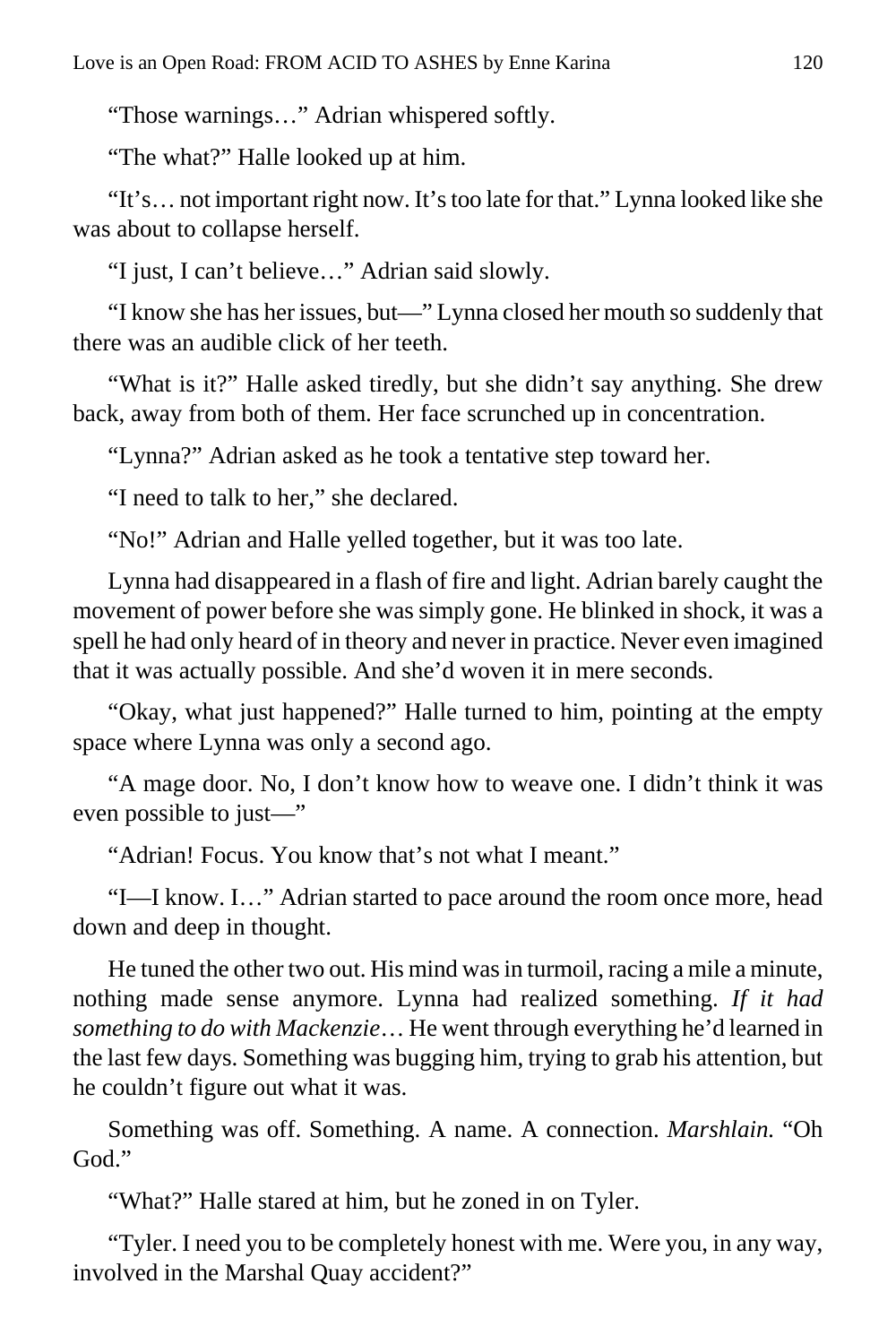"Those warnings…" Adrian whispered softly.

"The what?" Halle looked up at him.

"It's… not important right now. It's too late for that." Lynna looked like she was about to collapse herself.

"I just, I can't believe…" Adrian said slowly.

"I know she has her issues, but—" Lynna closed her mouth so suddenly that there was an audible click of her teeth.

"What is it?" Halle asked tiredly, but she didn't say anything. She drew back, away from both of them. Her face scrunched up in concentration.

"Lynna?" Adrian asked as he took a tentative step toward her.

"I need to talk to her," she declared.

"No!" Adrian and Halle yelled together, but it was too late.

Lynna had disappeared in a flash of fire and light. Adrian barely caught the movement of power before she was simply gone. He blinked in shock, it was a spell he had only heard of in theory and never in practice. Never even imagined that it was actually possible. And she'd woven it in mere seconds.

"Okay, what just happened?" Halle turned to him, pointing at the empty space where Lynna was only a second ago.

"A mage door. No, I don't know how to weave one. I didn't think it was even possible to just—"

"Adrian! Focus. You know that's not what I meant."

"I—I know. I…" Adrian started to pace around the room once more, head down and deep in thought.

He tuned the other two out. His mind was in turmoil, racing a mile a minute, nothing made sense anymore. Lynna had realized something. *If it had something to do with Mackenzie*… He went through everything he'd learned in the last few days. Something was bugging him, trying to grab his attention, but he couldn't figure out what it was.

Something was off. Something. A name. A connection. *Marshlain.* "Oh God."

"What?" Halle stared at him, but he zoned in on Tyler.

"Tyler. I need you to be completely honest with me. Were you, in any way, involved in the Marshal Quay accident?"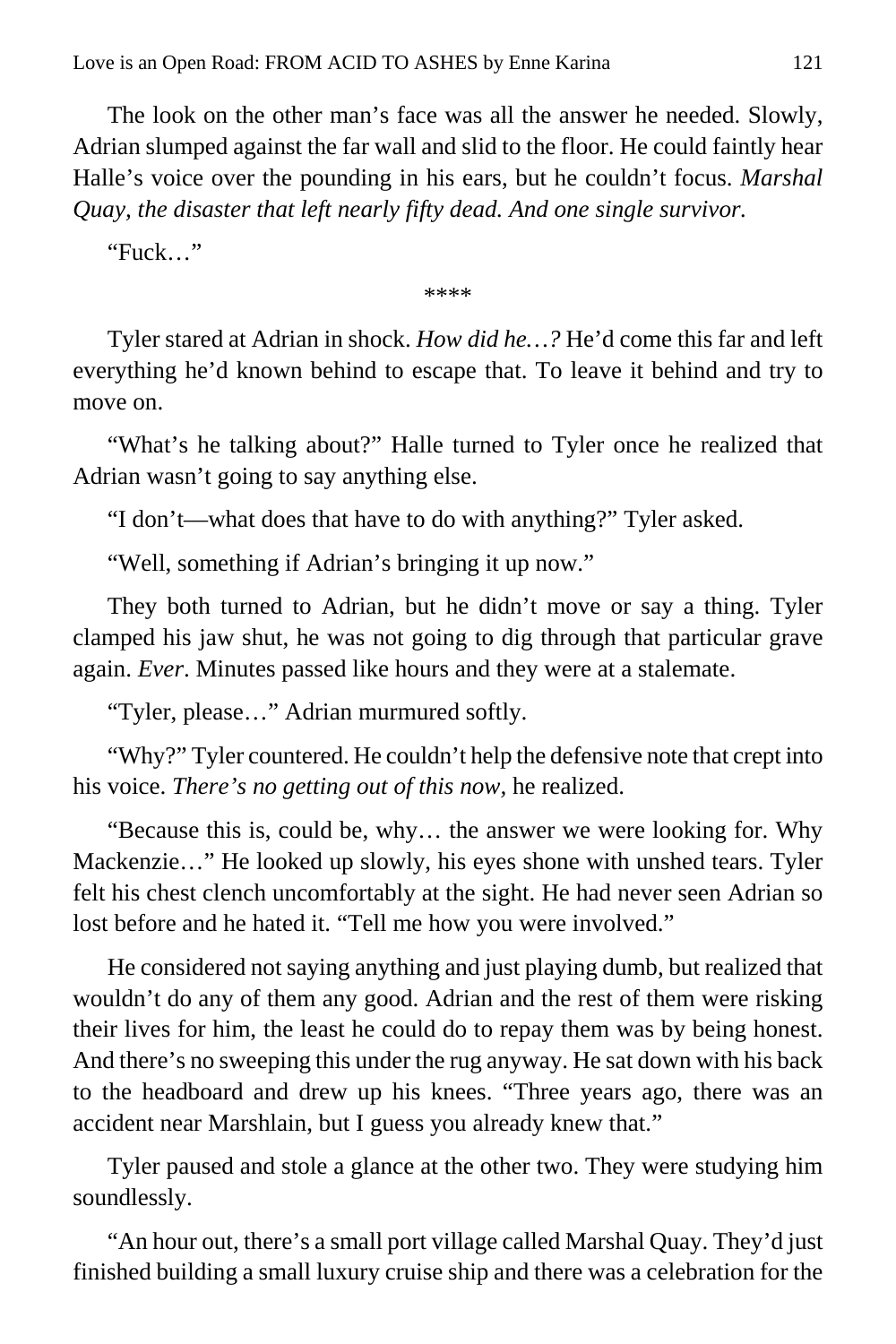The look on the other man's face was all the answer he needed. Slowly, Adrian slumped against the far wall and slid to the floor. He could faintly hear Halle's voice over the pounding in his ears, but he couldn't focus. *Marshal Quay, the disaster that left nearly fifty dead. And one single survivor.*

"Fuck…"

\*\*\*\*

Tyler stared at Adrian in shock. *How did he…?* He'd come this far and left everything he'd known behind to escape that. To leave it behind and try to move on.

"What's he talking about?" Halle turned to Tyler once he realized that Adrian wasn't going to say anything else.

"I don't—what does that have to do with anything?" Tyler asked.

"Well, something if Adrian's bringing it up now."

They both turned to Adrian, but he didn't move or say a thing. Tyler clamped his jaw shut, he was not going to dig through that particular grave again. *Ever*. Minutes passed like hours and they were at a stalemate.

"Tyler, please…" Adrian murmured softly.

"Why?" Tyler countered. He couldn't help the defensive note that crept into his voice. *There's no getting out of this now,* he realized.

"Because this is, could be, why… the answer we were looking for. Why Mackenzie…" He looked up slowly, his eyes shone with unshed tears. Tyler felt his chest clench uncomfortably at the sight. He had never seen Adrian so lost before and he hated it. "Tell me how you were involved."

He considered not saying anything and just playing dumb, but realized that wouldn't do any of them any good. Adrian and the rest of them were risking their lives for him, the least he could do to repay them was by being honest. And there's no sweeping this under the rug anyway. He sat down with his back to the headboard and drew up his knees. "Three years ago, there was an accident near Marshlain, but I guess you already knew that."

Tyler paused and stole a glance at the other two. They were studying him soundlessly.

"An hour out, there's a small port village called Marshal Quay. They'd just finished building a small luxury cruise ship and there was a celebration for the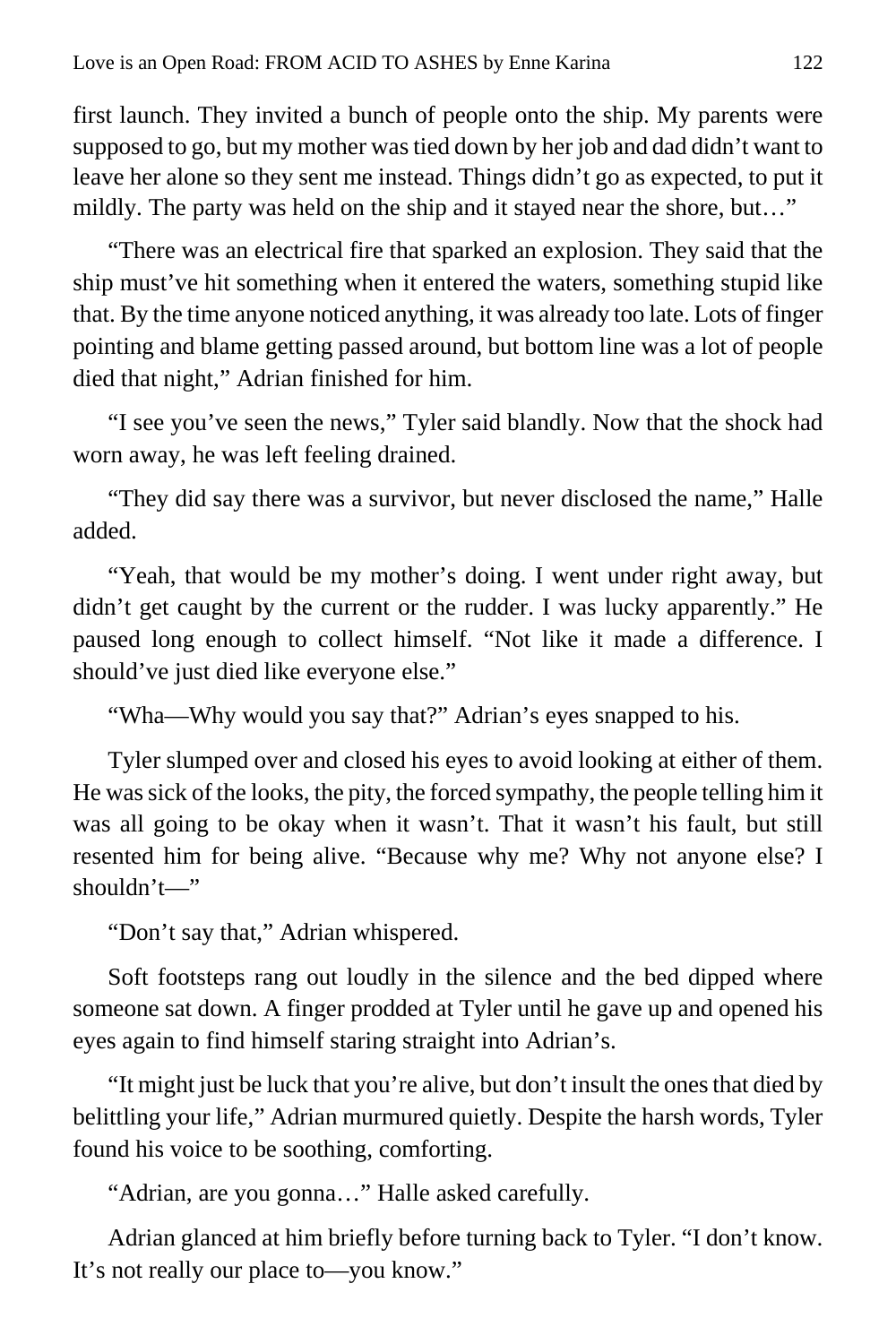first launch. They invited a bunch of people onto the ship. My parents were supposed to go, but my mother was tied down by her job and dad didn't want to leave her alone so they sent me instead. Things didn't go as expected, to put it mildly. The party was held on the ship and it stayed near the shore, but…"

"There was an electrical fire that sparked an explosion. They said that the ship must've hit something when it entered the waters, something stupid like that. By the time anyone noticed anything, it was already too late. Lots of finger pointing and blame getting passed around, but bottom line was a lot of people died that night," Adrian finished for him.

"I see you've seen the news," Tyler said blandly. Now that the shock had worn away, he was left feeling drained.

"They did say there was a survivor, but never disclosed the name," Halle added.

"Yeah, that would be my mother's doing. I went under right away, but didn't get caught by the current or the rudder. I was lucky apparently." He paused long enough to collect himself. "Not like it made a difference. I should've just died like everyone else."

"Wha—Why would you say that?" Adrian's eyes snapped to his.

Tyler slumped over and closed his eyes to avoid looking at either of them. He was sick of the looks, the pity, the forced sympathy, the people telling him it was all going to be okay when it wasn't. That it wasn't his fault, but still resented him for being alive. "Because why me? Why not anyone else? I shouldn't—"

"Don't say that," Adrian whispered.

Soft footsteps rang out loudly in the silence and the bed dipped where someone sat down. A finger prodded at Tyler until he gave up and opened his eyes again to find himself staring straight into Adrian's.

"It might just be luck that you're alive, but don't insult the ones that died by belittling your life," Adrian murmured quietly. Despite the harsh words, Tyler found his voice to be soothing, comforting.

"Adrian, are you gonna…" Halle asked carefully.

Adrian glanced at him briefly before turning back to Tyler. "I don't know. It's not really our place to—you know."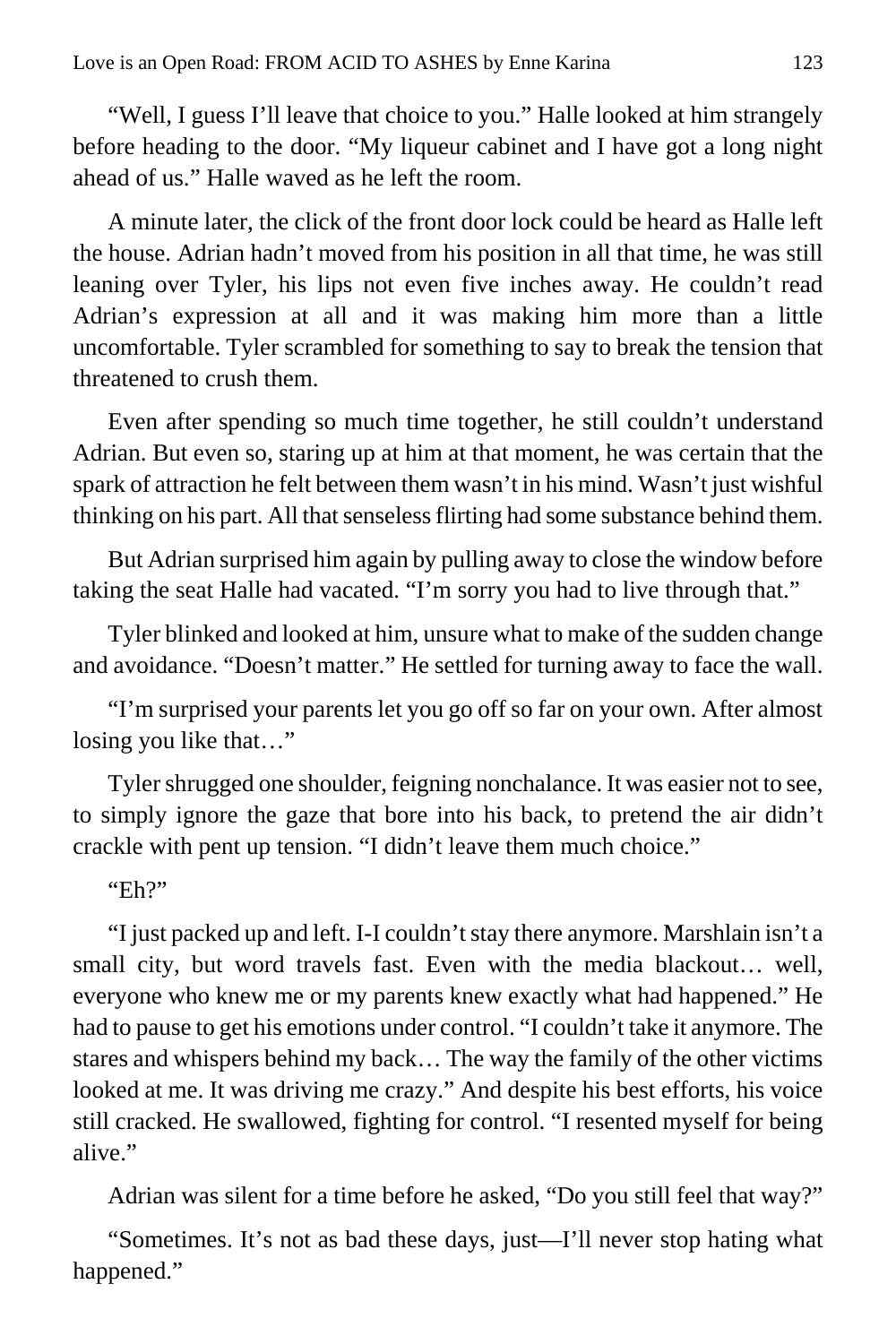"Well, I guess I'll leave that choice to you." Halle looked at him strangely before heading to the door. "My liqueur cabinet and I have got a long night ahead of us." Halle waved as he left the room.

A minute later, the click of the front door lock could be heard as Halle left the house. Adrian hadn't moved from his position in all that time, he was still leaning over Tyler, his lips not even five inches away. He couldn't read Adrian's expression at all and it was making him more than a little uncomfortable. Tyler scrambled for something to say to break the tension that threatened to crush them.

Even after spending so much time together, he still couldn't understand Adrian. But even so, staring up at him at that moment, he was certain that the spark of attraction he felt between them wasn't in his mind. Wasn't just wishful thinking on his part. All that senseless flirting had some substance behind them.

But Adrian surprised him again by pulling away to close the window before taking the seat Halle had vacated. "I'm sorry you had to live through that."

Tyler blinked and looked at him, unsure what to make of the sudden change and avoidance. "Doesn't matter." He settled for turning away to face the wall.

"I'm surprised your parents let you go off so far on your own. After almost losing you like that…"

Tyler shrugged one shoulder, feigning nonchalance. It was easier not to see, to simply ignore the gaze that bore into his back, to pretend the air didn't crackle with pent up tension. "I didn't leave them much choice."

## "Eh?"

"I just packed up and left. I-I couldn't stay there anymore. Marshlain isn't a small city, but word travels fast. Even with the media blackout… well, everyone who knew me or my parents knew exactly what had happened." He had to pause to get his emotions under control. "I couldn't take it anymore. The stares and whispers behind my back… The way the family of the other victims looked at me. It was driving me crazy." And despite his best efforts, his voice still cracked. He swallowed, fighting for control. "I resented myself for being alive."

Adrian was silent for a time before he asked, "Do you still feel that way?"

"Sometimes. It's not as bad these days, just—I'll never stop hating what happened."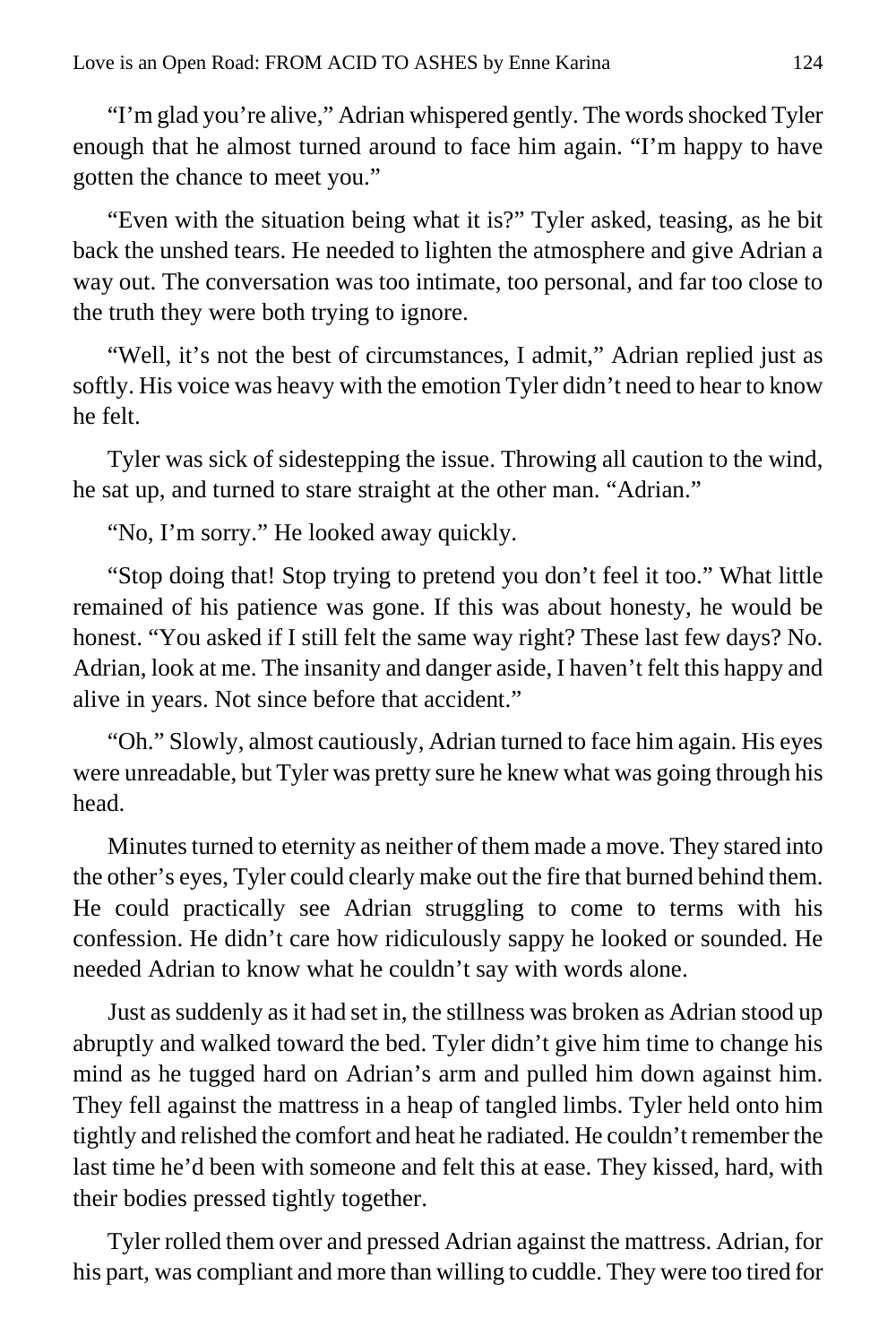"I'm glad you're alive," Adrian whispered gently. The words shocked Tyler enough that he almost turned around to face him again. "I'm happy to have gotten the chance to meet you."

"Even with the situation being what it is?" Tyler asked, teasing, as he bit back the unshed tears. He needed to lighten the atmosphere and give Adrian a way out. The conversation was too intimate, too personal, and far too close to the truth they were both trying to ignore.

"Well, it's not the best of circumstances, I admit," Adrian replied just as softly. His voice was heavy with the emotion Tyler didn't need to hear to know he felt.

Tyler was sick of sidestepping the issue. Throwing all caution to the wind, he sat up, and turned to stare straight at the other man. "Adrian."

"No, I'm sorry." He looked away quickly.

"Stop doing that! Stop trying to pretend you don't feel it too." What little remained of his patience was gone. If this was about honesty, he would be honest. "You asked if I still felt the same way right? These last few days? No. Adrian, look at me. The insanity and danger aside, I haven't felt this happy and alive in years. Not since before that accident."

"Oh." Slowly, almost cautiously, Adrian turned to face him again. His eyes were unreadable, but Tyler was pretty sure he knew what was going through his head.

Minutes turned to eternity as neither of them made a move. They stared into the other's eyes, Tyler could clearly make out the fire that burned behind them. He could practically see Adrian struggling to come to terms with his confession. He didn't care how ridiculously sappy he looked or sounded. He needed Adrian to know what he couldn't say with words alone.

Just as suddenly as it had set in, the stillness was broken as Adrian stood up abruptly and walked toward the bed. Tyler didn't give him time to change his mind as he tugged hard on Adrian's arm and pulled him down against him. They fell against the mattress in a heap of tangled limbs. Tyler held onto him tightly and relished the comfort and heat he radiated. He couldn't remember the last time he'd been with someone and felt this at ease. They kissed, hard, with their bodies pressed tightly together.

Tyler rolled them over and pressed Adrian against the mattress. Adrian, for his part, was compliant and more than willing to cuddle. They were too tired for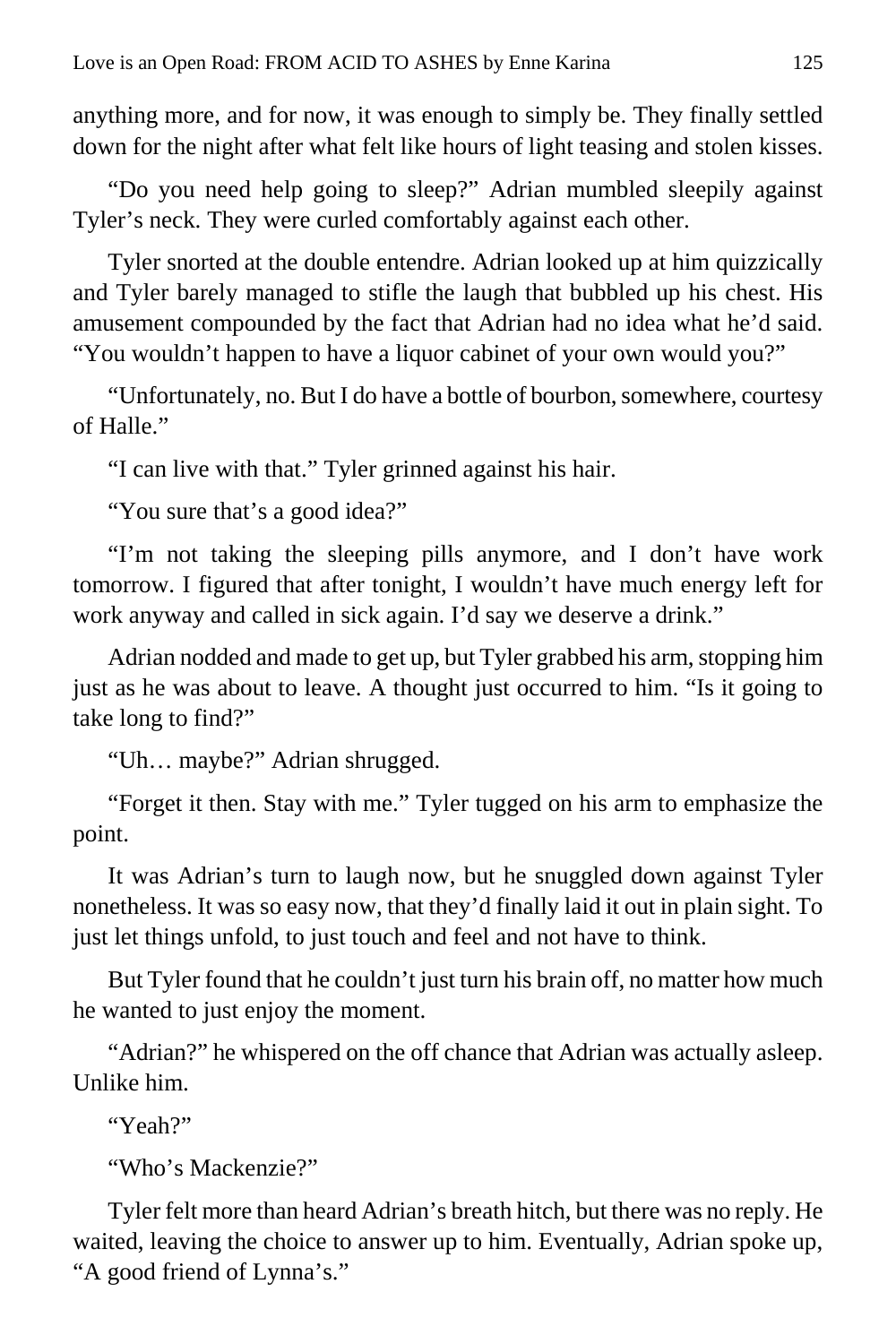anything more, and for now, it was enough to simply be. They finally settled down for the night after what felt like hours of light teasing and stolen kisses.

"Do you need help going to sleep?" Adrian mumbled sleepily against Tyler's neck. They were curled comfortably against each other.

Tyler snorted at the double entendre. Adrian looked up at him quizzically and Tyler barely managed to stifle the laugh that bubbled up his chest. His amusement compounded by the fact that Adrian had no idea what he'd said. "You wouldn't happen to have a liquor cabinet of your own would you?"

"Unfortunately, no. But I do have a bottle of bourbon, somewhere, courtesy of Halle."

"I can live with that." Tyler grinned against his hair.

"You sure that's a good idea?"

"I'm not taking the sleeping pills anymore, and I don't have work tomorrow. I figured that after tonight, I wouldn't have much energy left for work anyway and called in sick again. I'd say we deserve a drink."

Adrian nodded and made to get up, but Tyler grabbed his arm, stopping him just as he was about to leave. A thought just occurred to him. "Is it going to take long to find?"

"Uh… maybe?" Adrian shrugged.

"Forget it then. Stay with me." Tyler tugged on his arm to emphasize the point.

It was Adrian's turn to laugh now, but he snuggled down against Tyler nonetheless. It was so easy now, that they'd finally laid it out in plain sight. To just let things unfold, to just touch and feel and not have to think.

But Tyler found that he couldn't just turn his brain off, no matter how much he wanted to just enjoy the moment.

"Adrian?" he whispered on the off chance that Adrian was actually asleep. Unlike him.

"Yeah?"

"Who's Mackenzie?"

Tyler felt more than heard Adrian's breath hitch, but there was no reply. He waited, leaving the choice to answer up to him. Eventually, Adrian spoke up, "A good friend of Lynna's."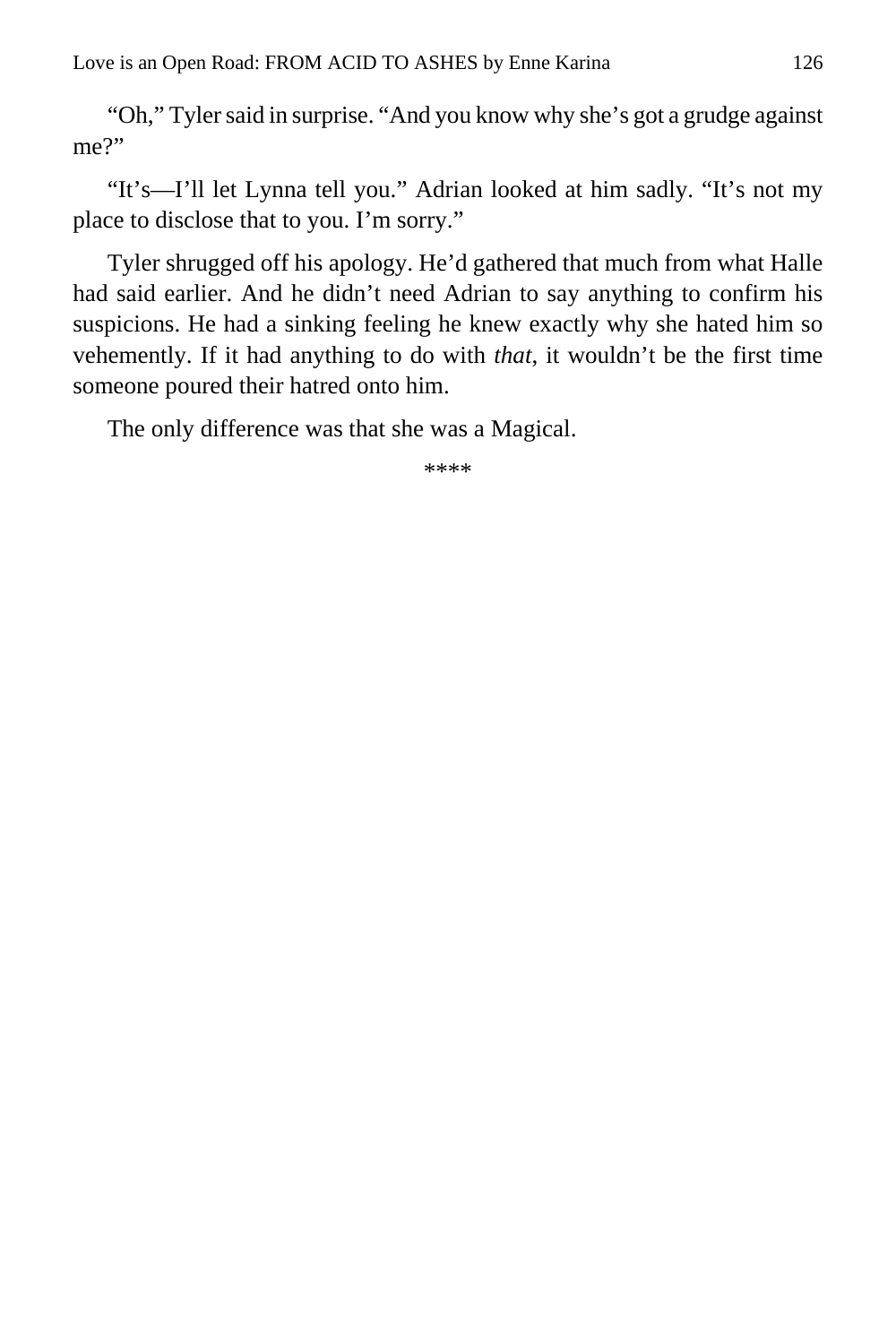"Oh," Tyler said in surprise. "And you know why she's got a grudge against me?"

"It's—I'll let Lynna tell you." Adrian looked at him sadly. "It's not my place to disclose that to you. I'm sorry."

Tyler shrugged off his apology. He'd gathered that much from what Halle had said earlier. And he didn't need Adrian to say anything to confirm his suspicions. He had a sinking feeling he knew exactly why she hated him so vehemently. If it had anything to do with *that*, it wouldn't be the first time someone poured their hatred onto him.

The only difference was that she was a Magical.

\*\*\*\*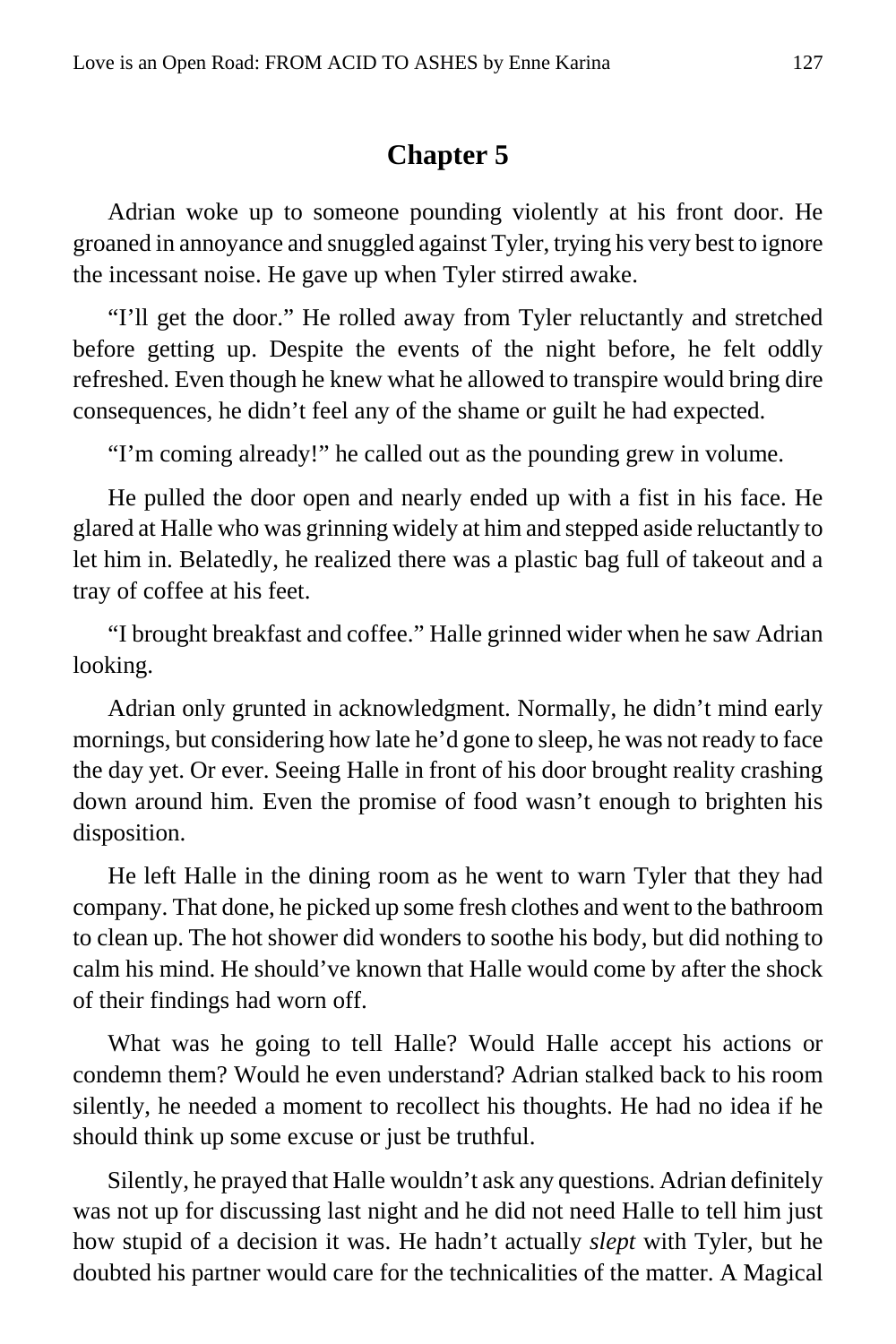## **Chapter 5**

Adrian woke up to someone pounding violently at his front door. He groaned in annoyance and snuggled against Tyler, trying his very best to ignore the incessant noise. He gave up when Tyler stirred awake.

"I'll get the door." He rolled away from Tyler reluctantly and stretched before getting up. Despite the events of the night before, he felt oddly refreshed. Even though he knew what he allowed to transpire would bring dire consequences, he didn't feel any of the shame or guilt he had expected.

"I'm coming already!" he called out as the pounding grew in volume.

He pulled the door open and nearly ended up with a fist in his face. He glared at Halle who was grinning widely at him and stepped aside reluctantly to let him in. Belatedly, he realized there was a plastic bag full of takeout and a tray of coffee at his feet.

"I brought breakfast and coffee." Halle grinned wider when he saw Adrian looking.

Adrian only grunted in acknowledgment. Normally, he didn't mind early mornings, but considering how late he'd gone to sleep, he was not ready to face the day yet. Or ever. Seeing Halle in front of his door brought reality crashing down around him. Even the promise of food wasn't enough to brighten his disposition.

He left Halle in the dining room as he went to warn Tyler that they had company. That done, he picked up some fresh clothes and went to the bathroom to clean up. The hot shower did wonders to soothe his body, but did nothing to calm his mind. He should've known that Halle would come by after the shock of their findings had worn off.

What was he going to tell Halle? Would Halle accept his actions or condemn them? Would he even understand? Adrian stalked back to his room silently, he needed a moment to recollect his thoughts. He had no idea if he should think up some excuse or just be truthful.

Silently, he prayed that Halle wouldn't ask any questions. Adrian definitely was not up for discussing last night and he did not need Halle to tell him just how stupid of a decision it was. He hadn't actually *slept* with Tyler, but he doubted his partner would care for the technicalities of the matter. A Magical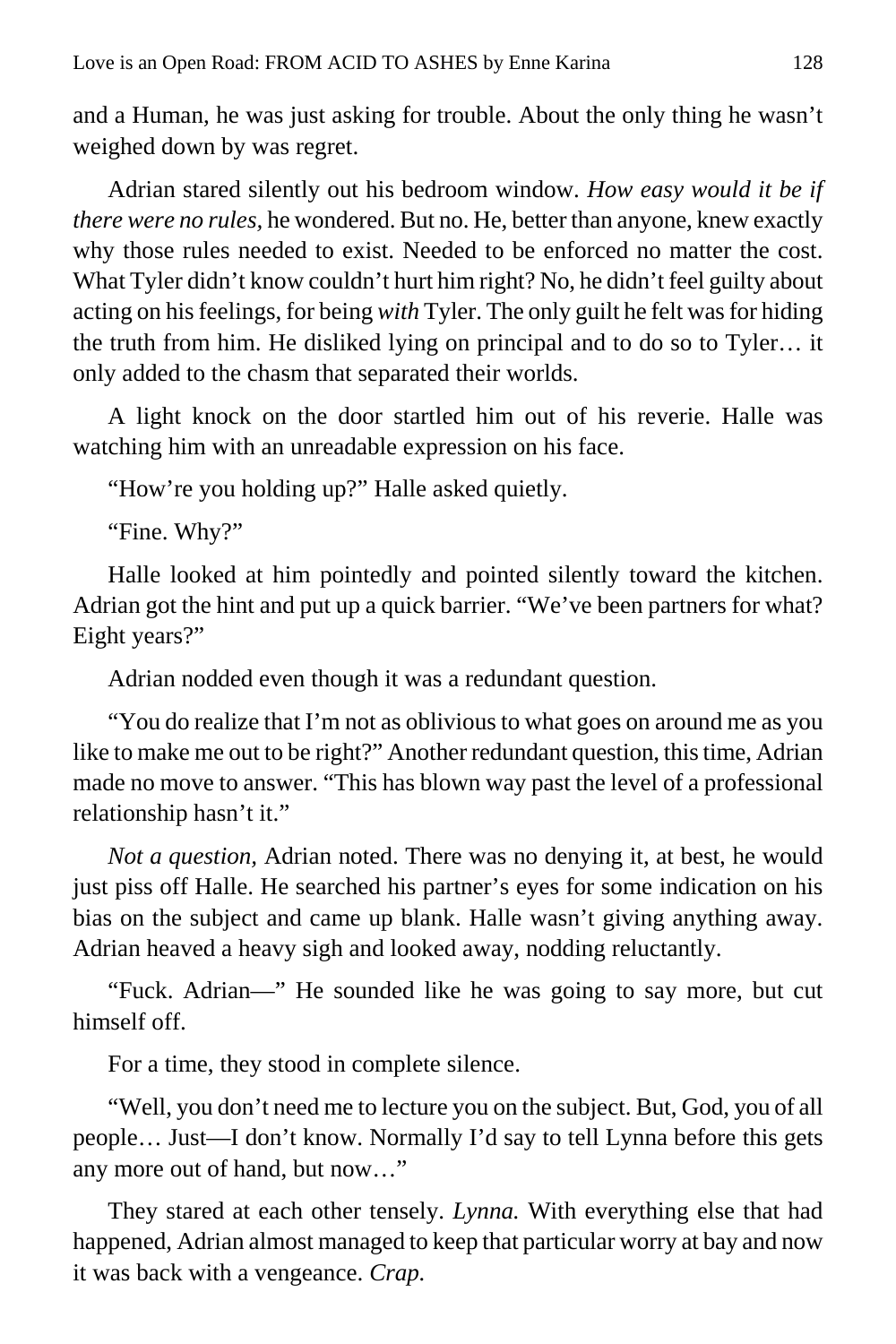and a Human, he was just asking for trouble. About the only thing he wasn't weighed down by was regret.

Adrian stared silently out his bedroom window. *How easy would it be if there were no rules,* he wondered. But no. He, better than anyone, knew exactly why those rules needed to exist. Needed to be enforced no matter the cost. What Tyler didn't know couldn't hurt him right? No, he didn't feel guilty about acting on his feelings, for being *with* Tyler. The only guilt he felt was for hiding the truth from him. He disliked lying on principal and to do so to Tyler… it only added to the chasm that separated their worlds.

A light knock on the door startled him out of his reverie. Halle was watching him with an unreadable expression on his face.

"How're you holding up?" Halle asked quietly.

"Fine. Why?"

Halle looked at him pointedly and pointed silently toward the kitchen. Adrian got the hint and put up a quick barrier. "We've been partners for what? Eight years?"

Adrian nodded even though it was a redundant question.

"You do realize that I'm not as oblivious to what goes on around me as you like to make me out to be right?" Another redundant question, this time, Adrian made no move to answer. "This has blown way past the level of a professional relationship hasn't it."

*Not a question,* Adrian noted. There was no denying it, at best, he would just piss off Halle. He searched his partner's eyes for some indication on his bias on the subject and came up blank. Halle wasn't giving anything away. Adrian heaved a heavy sigh and looked away, nodding reluctantly.

"Fuck. Adrian—" He sounded like he was going to say more, but cut himself off.

For a time, they stood in complete silence.

"Well, you don't need me to lecture you on the subject. But, God, you of all people… Just—I don't know. Normally I'd say to tell Lynna before this gets any more out of hand, but now…"

They stared at each other tensely. *Lynna.* With everything else that had happened, Adrian almost managed to keep that particular worry at bay and now it was back with a vengeance. *Crap.*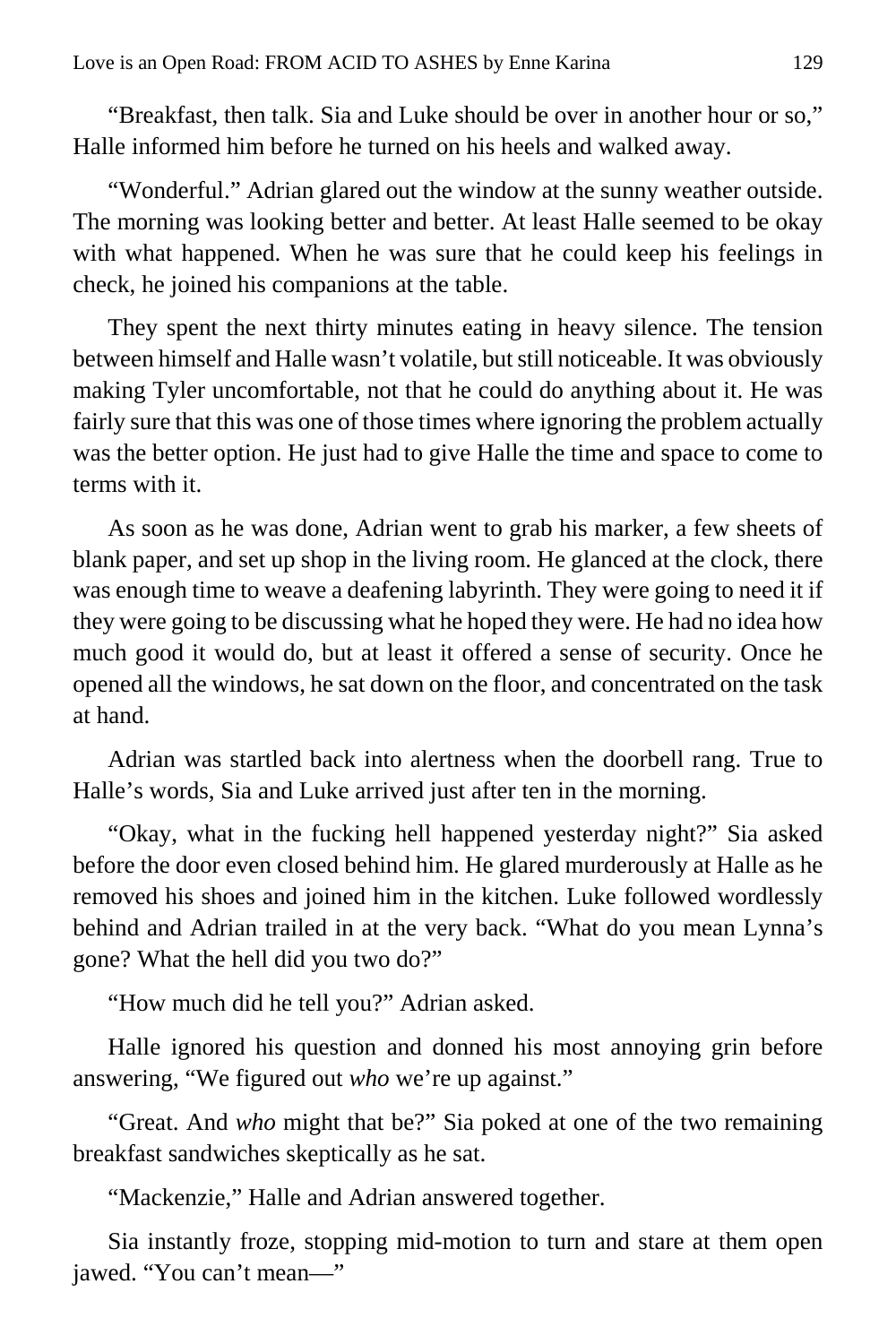"Breakfast, then talk. Sia and Luke should be over in another hour or so," Halle informed him before he turned on his heels and walked away.

"Wonderful." Adrian glared out the window at the sunny weather outside. The morning was looking better and better. At least Halle seemed to be okay with what happened. When he was sure that he could keep his feelings in check, he joined his companions at the table.

They spent the next thirty minutes eating in heavy silence. The tension between himself and Halle wasn't volatile, but still noticeable. It was obviously making Tyler uncomfortable, not that he could do anything about it. He was fairly sure that this was one of those times where ignoring the problem actually was the better option. He just had to give Halle the time and space to come to terms with it.

As soon as he was done, Adrian went to grab his marker, a few sheets of blank paper, and set up shop in the living room. He glanced at the clock, there was enough time to weave a deafening labyrinth. They were going to need it if they were going to be discussing what he hoped they were. He had no idea how much good it would do, but at least it offered a sense of security. Once he opened all the windows, he sat down on the floor, and concentrated on the task at hand.

Adrian was startled back into alertness when the doorbell rang. True to Halle's words, Sia and Luke arrived just after ten in the morning.

"Okay, what in the fucking hell happened yesterday night?" Sia asked before the door even closed behind him. He glared murderously at Halle as he removed his shoes and joined him in the kitchen. Luke followed wordlessly behind and Adrian trailed in at the very back. "What do you mean Lynna's gone? What the hell did you two do?"

"How much did he tell you?" Adrian asked.

Halle ignored his question and donned his most annoying grin before answering, "We figured out *who* we're up against."

"Great. And *who* might that be?" Sia poked at one of the two remaining breakfast sandwiches skeptically as he sat.

"Mackenzie," Halle and Adrian answered together.

Sia instantly froze, stopping mid-motion to turn and stare at them open jawed. "You can't mean—"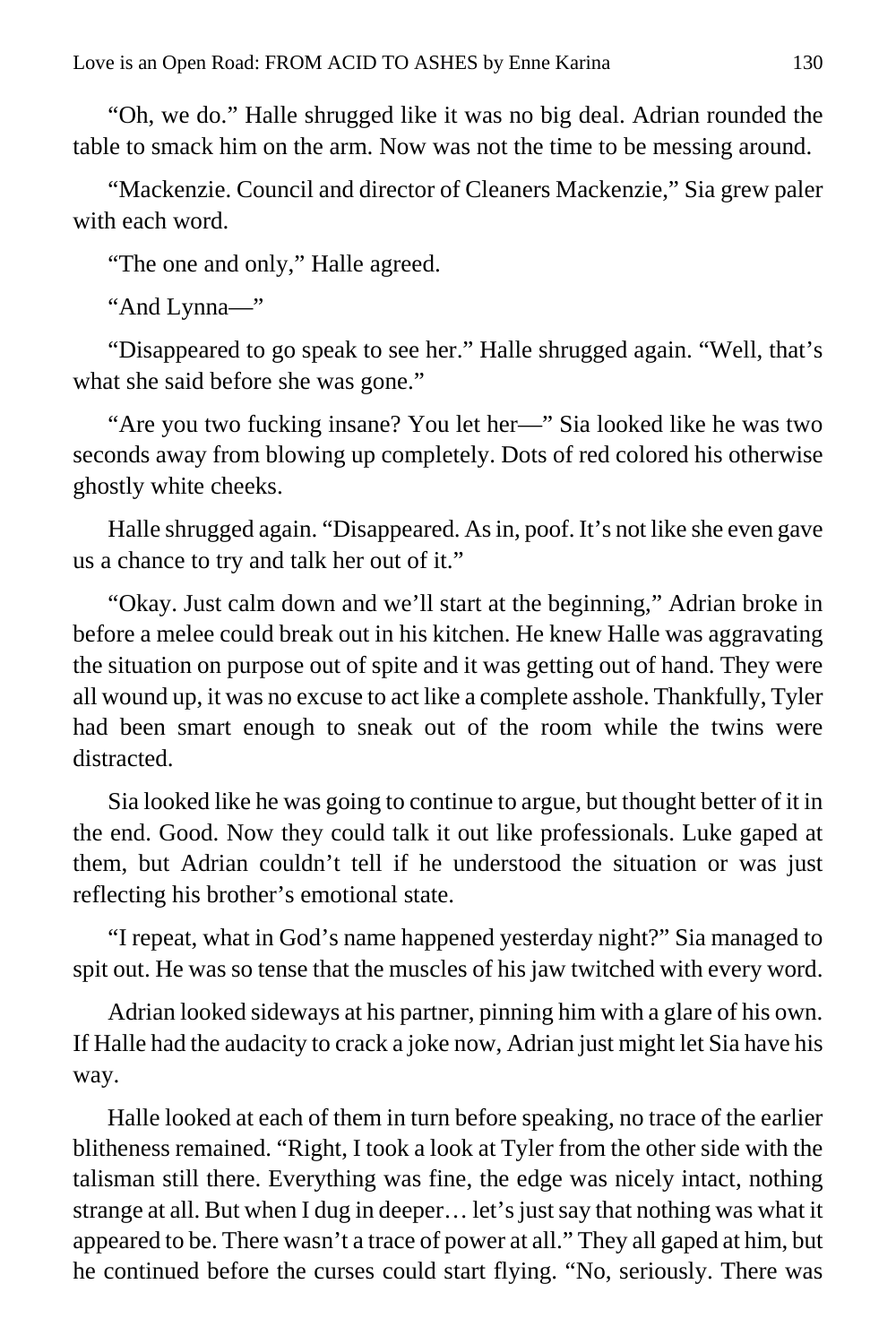"Oh, we do." Halle shrugged like it was no big deal. Adrian rounded the table to smack him on the arm. Now was not the time to be messing around.

"Mackenzie. Council and director of Cleaners Mackenzie," Sia grew paler with each word.

"The one and only," Halle agreed.

"And Lynna—"

"Disappeared to go speak to see her." Halle shrugged again. "Well, that's what she said before she was gone."

"Are you two fucking insane? You let her—" Sia looked like he was two seconds away from blowing up completely. Dots of red colored his otherwise ghostly white cheeks.

Halle shrugged again. "Disappeared. As in, poof. It's not like she even gave us a chance to try and talk her out of it."

"Okay. Just calm down and we'll start at the beginning," Adrian broke in before a melee could break out in his kitchen. He knew Halle was aggravating the situation on purpose out of spite and it was getting out of hand. They were all wound up, it was no excuse to act like a complete asshole. Thankfully, Tyler had been smart enough to sneak out of the room while the twins were distracted.

Sia looked like he was going to continue to argue, but thought better of it in the end. Good. Now they could talk it out like professionals. Luke gaped at them, but Adrian couldn't tell if he understood the situation or was just reflecting his brother's emotional state.

"I repeat, what in God's name happened yesterday night?" Sia managed to spit out. He was so tense that the muscles of his jaw twitched with every word.

Adrian looked sideways at his partner, pinning him with a glare of his own. If Halle had the audacity to crack a joke now, Adrian just might let Sia have his way.

Halle looked at each of them in turn before speaking, no trace of the earlier blitheness remained. "Right, I took a look at Tyler from the other side with the talisman still there. Everything was fine, the edge was nicely intact, nothing strange at all. But when I dug in deeper… let's just say that nothing was what it appeared to be. There wasn't a trace of power at all." They all gaped at him, but he continued before the curses could start flying. "No, seriously. There was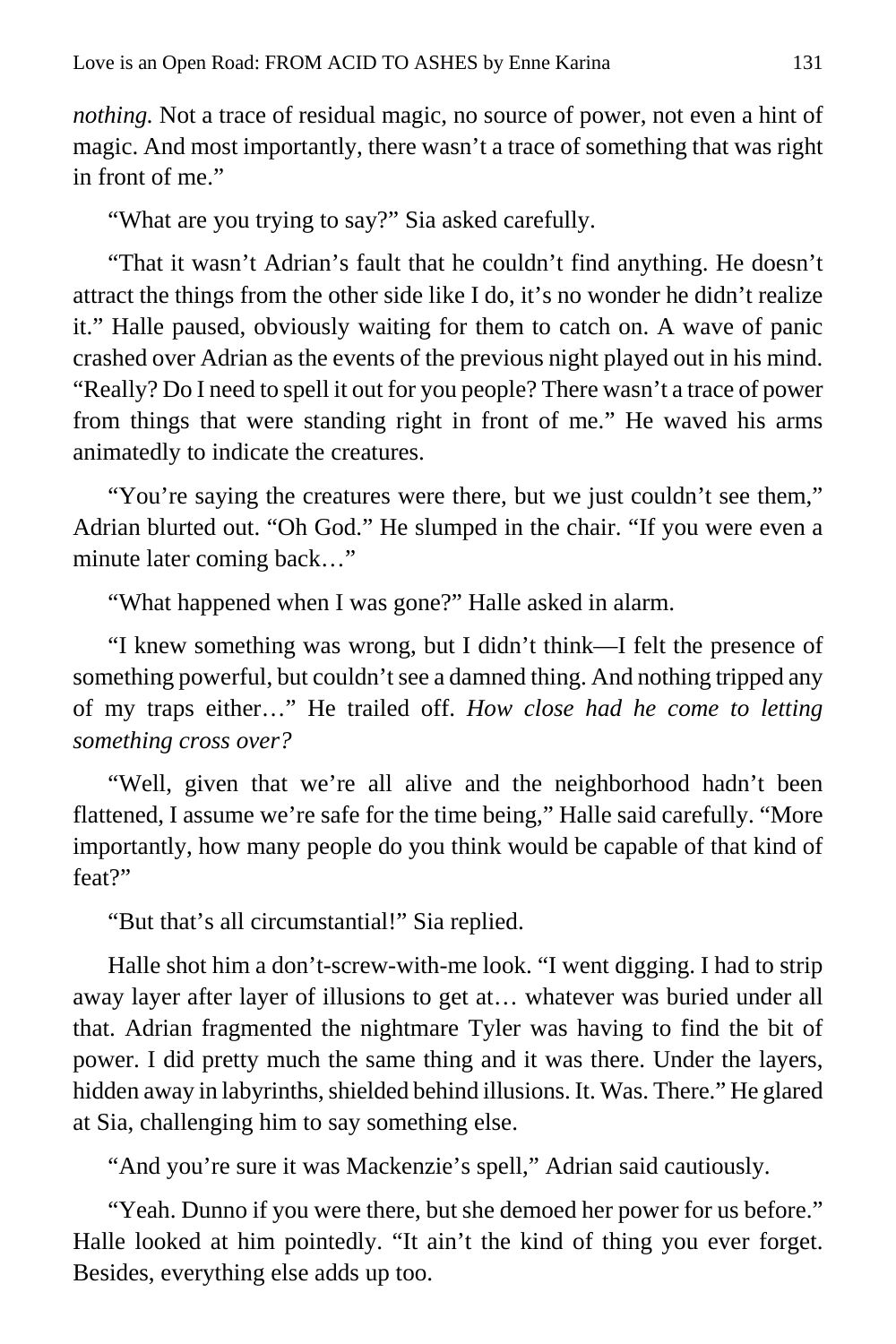*nothing*. Not a trace of residual magic, no source of power, not even a hint of magic. And most importantly, there wasn't a trace of something that was right in front of me."

"What are you trying to say?" Sia asked carefully.

"That it wasn't Adrian's fault that he couldn't find anything. He doesn't attract the things from the other side like I do, it's no wonder he didn't realize it." Halle paused, obviously waiting for them to catch on. A wave of panic crashed over Adrian as the events of the previous night played out in his mind. "Really? Do I need to spell it out for you people? There wasn't a trace of power from things that were standing right in front of me." He waved his arms animatedly to indicate the creatures.

"You're saying the creatures were there, but we just couldn't see them," Adrian blurted out. "Oh God." He slumped in the chair. "If you were even a minute later coming back…"

"What happened when I was gone?" Halle asked in alarm.

"I knew something was wrong, but I didn't think—I felt the presence of something powerful, but couldn't see a damned thing. And nothing tripped any of my traps either…" He trailed off. *How close had he come to letting something cross over?*

"Well, given that we're all alive and the neighborhood hadn't been flattened, I assume we're safe for the time being," Halle said carefully. "More importantly, how many people do you think would be capable of that kind of feat?"

"But that's all circumstantial!" Sia replied.

Halle shot him a don't-screw-with-me look. "I went digging. I had to strip away layer after layer of illusions to get at… whatever was buried under all that. Adrian fragmented the nightmare Tyler was having to find the bit of power. I did pretty much the same thing and it was there. Under the layers, hidden away in labyrinths, shielded behind illusions. It. Was. There." He glared at Sia, challenging him to say something else.

"And you're sure it was Mackenzie's spell," Adrian said cautiously.

"Yeah. Dunno if you were there, but she demoed her power for us before." Halle looked at him pointedly. "It ain't the kind of thing you ever forget. Besides, everything else adds up too.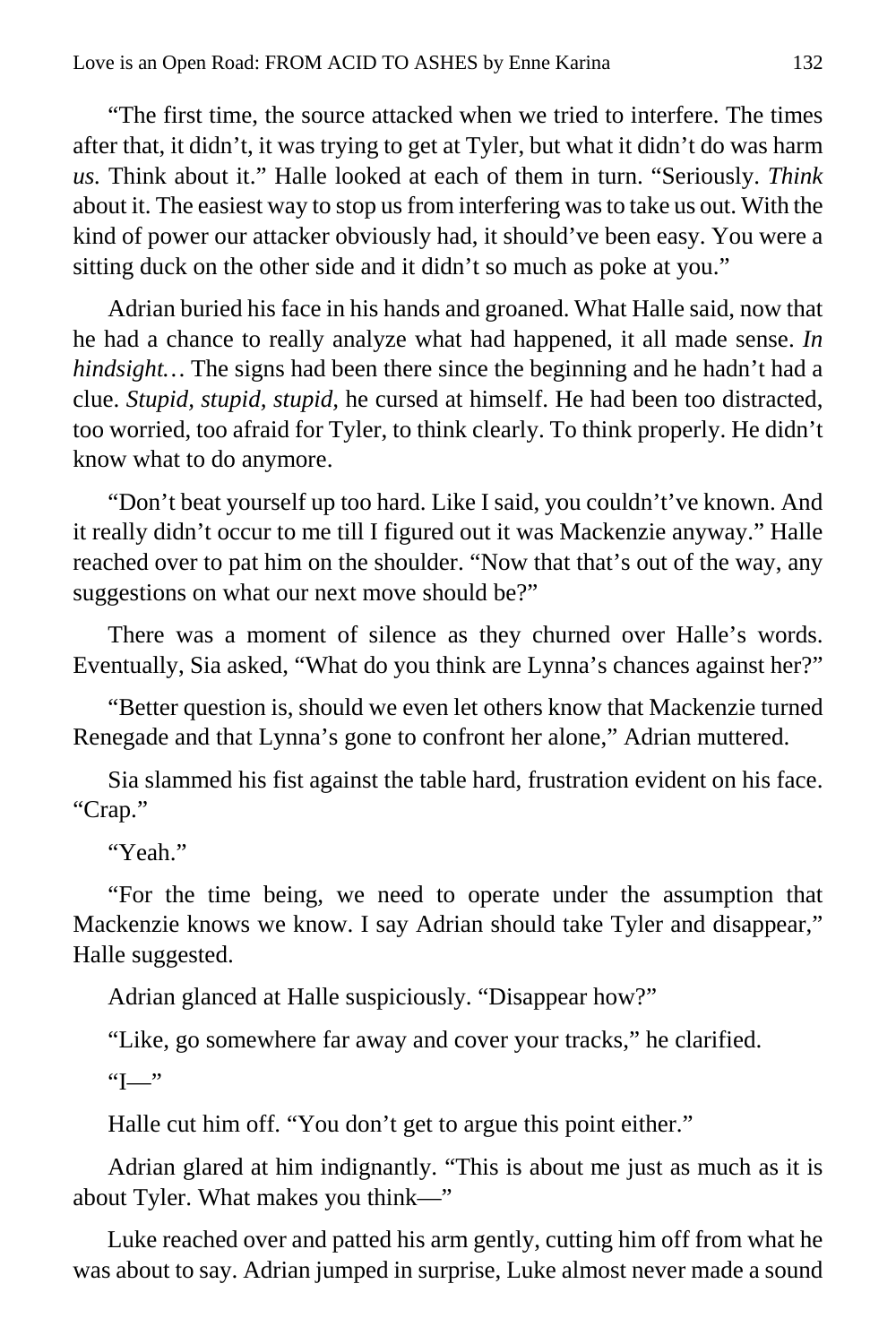"The first time, the source attacked when we tried to interfere. The times after that, it didn't, it was trying to get at Tyler, but what it didn't do was harm *us.* Think about it." Halle looked at each of them in turn. "Seriously. *Think* about it. The easiest way to stop us from interfering was to take us out. With the kind of power our attacker obviously had, it should've been easy. You were a sitting duck on the other side and it didn't so much as poke at you."

Adrian buried his face in his hands and groaned. What Halle said, now that he had a chance to really analyze what had happened, it all made sense. *In hindsight*... The signs had been there since the beginning and he hadn't had a clue. *Stupid, stupid, stupid,* he cursed at himself. He had been too distracted, too worried, too afraid for Tyler, to think clearly. To think properly. He didn't know what to do anymore.

"Don't beat yourself up too hard. Like I said, you couldn't've known. And it really didn't occur to me till I figured out it was Mackenzie anyway." Halle reached over to pat him on the shoulder. "Now that that's out of the way, any suggestions on what our next move should be?"

There was a moment of silence as they churned over Halle's words. Eventually, Sia asked, "What do you think are Lynna's chances against her?"

"Better question is, should we even let others know that Mackenzie turned Renegade and that Lynna's gone to confront her alone," Adrian muttered.

Sia slammed his fist against the table hard, frustration evident on his face. "Crap."

"Yeah"

"For the time being, we need to operate under the assumption that Mackenzie knows we know. I say Adrian should take Tyler and disappear," Halle suggested.

Adrian glanced at Halle suspiciously. "Disappear how?"

"Like, go somewhere far away and cover your tracks," he clarified.

 $T$ "

Halle cut him off. "You don't get to argue this point either."

Adrian glared at him indignantly. "This is about me just as much as it is about Tyler. What makes you think—"

Luke reached over and patted his arm gently, cutting him off from what he was about to say. Adrian jumped in surprise, Luke almost never made a sound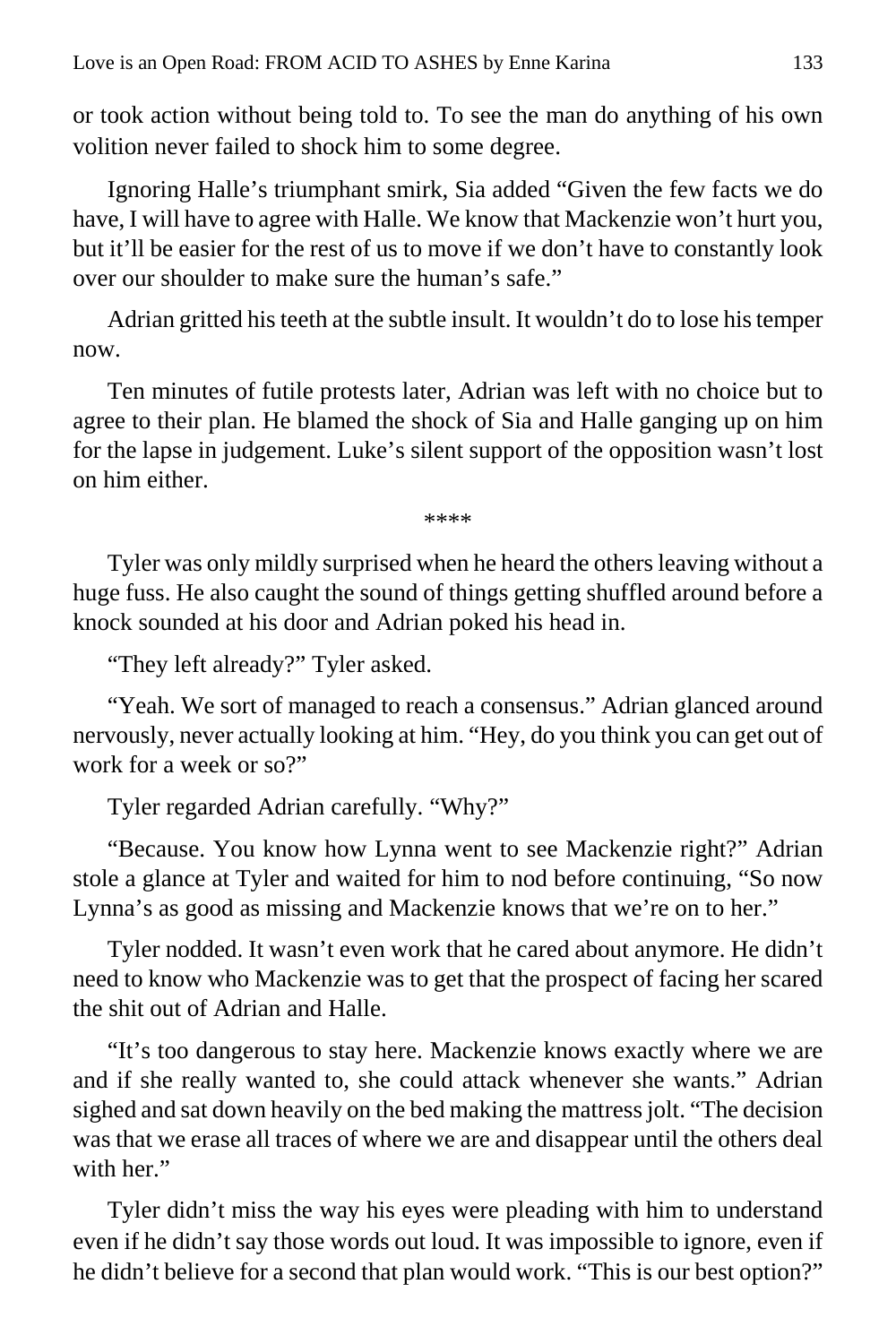or took action without being told to. To see the man do anything of his own volition never failed to shock him to some degree.

Ignoring Halle's triumphant smirk, Sia added "Given the few facts we do have, I will have to agree with Halle. We know that Mackenzie won't hurt you, but it'll be easier for the rest of us to move if we don't have to constantly look over our shoulder to make sure the human's safe."

Adrian gritted his teeth at the subtle insult. It wouldn't do to lose his temper now.

Ten minutes of futile protests later, Adrian was left with no choice but to agree to their plan. He blamed the shock of Sia and Halle ganging up on him for the lapse in judgement. Luke's silent support of the opposition wasn't lost on him either.

\*\*\*\*

Tyler was only mildly surprised when he heard the others leaving without a huge fuss. He also caught the sound of things getting shuffled around before a knock sounded at his door and Adrian poked his head in.

"They left already?" Tyler asked.

"Yeah. We sort of managed to reach a consensus." Adrian glanced around nervously, never actually looking at him. "Hey, do you think you can get out of work for a week or so?"

Tyler regarded Adrian carefully. "Why?"

"Because. You know how Lynna went to see Mackenzie right?" Adrian stole a glance at Tyler and waited for him to nod before continuing, "So now Lynna's as good as missing and Mackenzie knows that we're on to her."

Tyler nodded. It wasn't even work that he cared about anymore. He didn't need to know who Mackenzie was to get that the prospect of facing her scared the shit out of Adrian and Halle.

"It's too dangerous to stay here. Mackenzie knows exactly where we are and if she really wanted to, she could attack whenever she wants." Adrian sighed and sat down heavily on the bed making the mattress jolt. "The decision was that we erase all traces of where we are and disappear until the others deal with her."

Tyler didn't miss the way his eyes were pleading with him to understand even if he didn't say those words out loud. It was impossible to ignore, even if he didn't believe for a second that plan would work. "This is our best option?"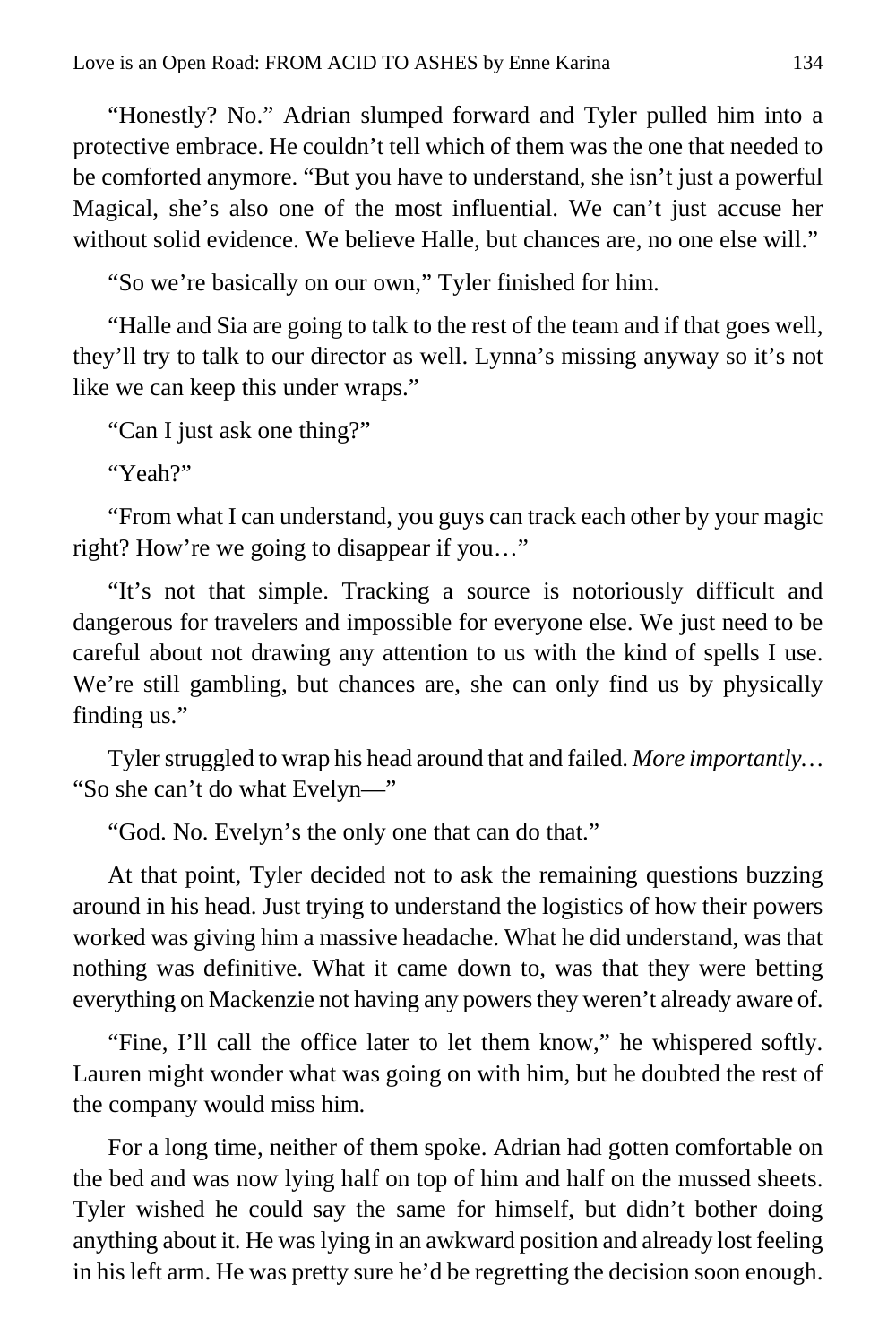"Honestly? No." Adrian slumped forward and Tyler pulled him into a protective embrace. He couldn't tell which of them was the one that needed to be comforted anymore. "But you have to understand, she isn't just a powerful Magical, she's also one of the most influential. We can't just accuse her without solid evidence. We believe Halle, but chances are, no one else will."

"So we're basically on our own," Tyler finished for him.

"Halle and Sia are going to talk to the rest of the team and if that goes well, they'll try to talk to our director as well. Lynna's missing anyway so it's not like we can keep this under wraps."

"Can I just ask one thing?"

"Yeah?"

"From what I can understand, you guys can track each other by your magic right? How're we going to disappear if you…"

"It's not that simple. Tracking a source is notoriously difficult and dangerous for travelers and impossible for everyone else. We just need to be careful about not drawing any attention to us with the kind of spells I use. We're still gambling, but chances are, she can only find us by physically finding us."

Tyler struggled to wrap his head around that and failed. *More importantly…*  "So she can't do what Evelyn—"

"God. No. Evelyn's the only one that can do that."

At that point, Tyler decided not to ask the remaining questions buzzing around in his head. Just trying to understand the logistics of how their powers worked was giving him a massive headache. What he did understand, was that nothing was definitive. What it came down to, was that they were betting everything on Mackenzie not having any powers they weren't already aware of.

"Fine, I'll call the office later to let them know," he whispered softly. Lauren might wonder what was going on with him, but he doubted the rest of the company would miss him.

For a long time, neither of them spoke. Adrian had gotten comfortable on the bed and was now lying half on top of him and half on the mussed sheets. Tyler wished he could say the same for himself, but didn't bother doing anything about it. He was lying in an awkward position and already lost feeling in his left arm. He was pretty sure he'd be regretting the decision soon enough.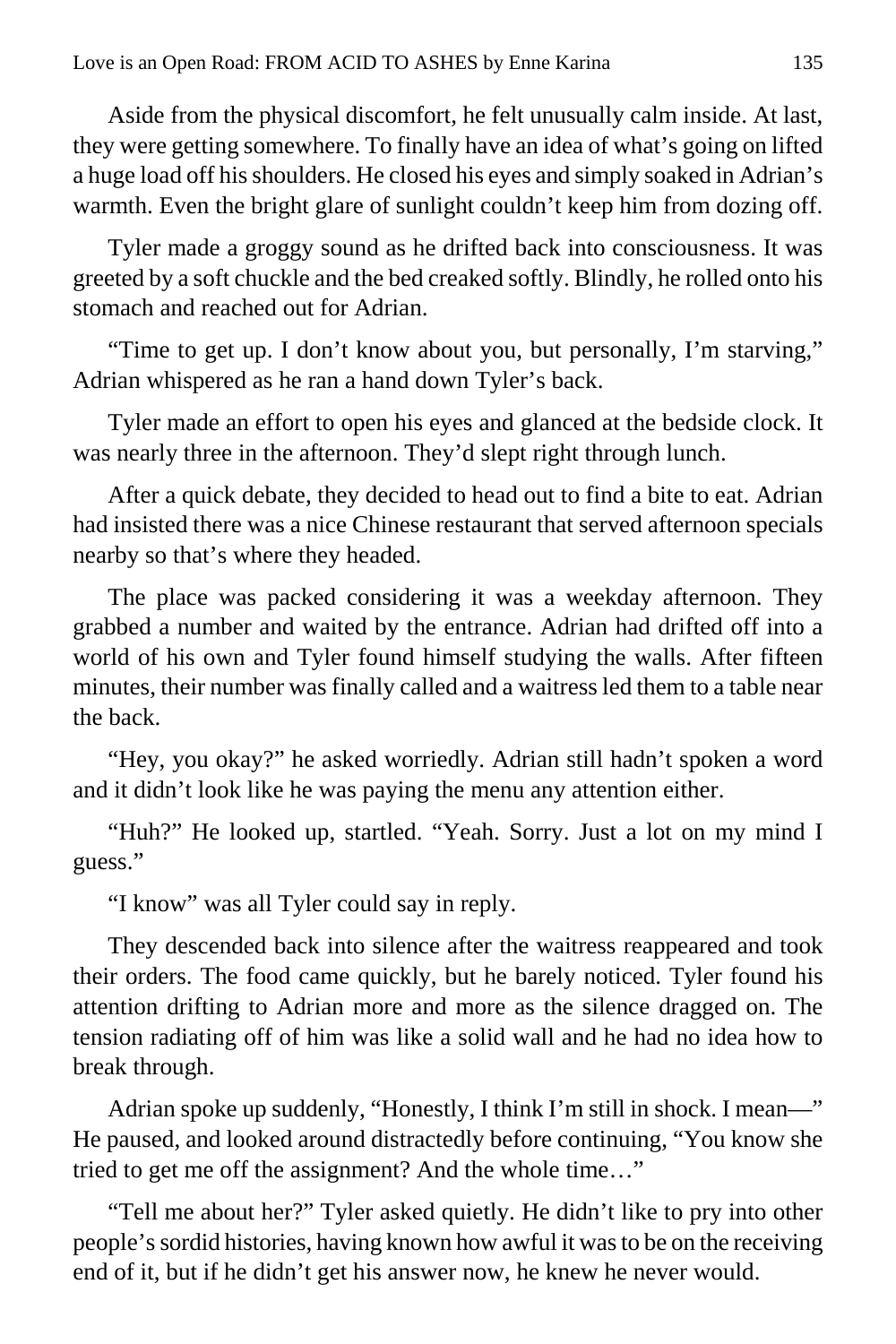Aside from the physical discomfort, he felt unusually calm inside. At last, they were getting somewhere. To finally have an idea of what's going on lifted a huge load off his shoulders. He closed his eyes and simply soaked in Adrian's warmth. Even the bright glare of sunlight couldn't keep him from dozing off.

Tyler made a groggy sound as he drifted back into consciousness. It was greeted by a soft chuckle and the bed creaked softly. Blindly, he rolled onto his stomach and reached out for Adrian.

"Time to get up. I don't know about you, but personally, I'm starving," Adrian whispered as he ran a hand down Tyler's back.

Tyler made an effort to open his eyes and glanced at the bedside clock. It was nearly three in the afternoon. They'd slept right through lunch.

After a quick debate, they decided to head out to find a bite to eat. Adrian had insisted there was a nice Chinese restaurant that served afternoon specials nearby so that's where they headed.

The place was packed considering it was a weekday afternoon. They grabbed a number and waited by the entrance. Adrian had drifted off into a world of his own and Tyler found himself studying the walls. After fifteen minutes, their number was finally called and a waitress led them to a table near the back.

"Hey, you okay?" he asked worriedly. Adrian still hadn't spoken a word and it didn't look like he was paying the menu any attention either.

"Huh?" He looked up, startled. "Yeah. Sorry. Just a lot on my mind I guess."

"I know" was all Tyler could say in reply.

They descended back into silence after the waitress reappeared and took their orders. The food came quickly, but he barely noticed. Tyler found his attention drifting to Adrian more and more as the silence dragged on. The tension radiating off of him was like a solid wall and he had no idea how to break through.

Adrian spoke up suddenly, "Honestly, I think I'm still in shock. I mean—" He paused, and looked around distractedly before continuing, "You know she tried to get me off the assignment? And the whole time…"

"Tell me about her?" Tyler asked quietly. He didn't like to pry into other people's sordid histories, having known how awful it was to be on the receiving end of it, but if he didn't get his answer now, he knew he never would.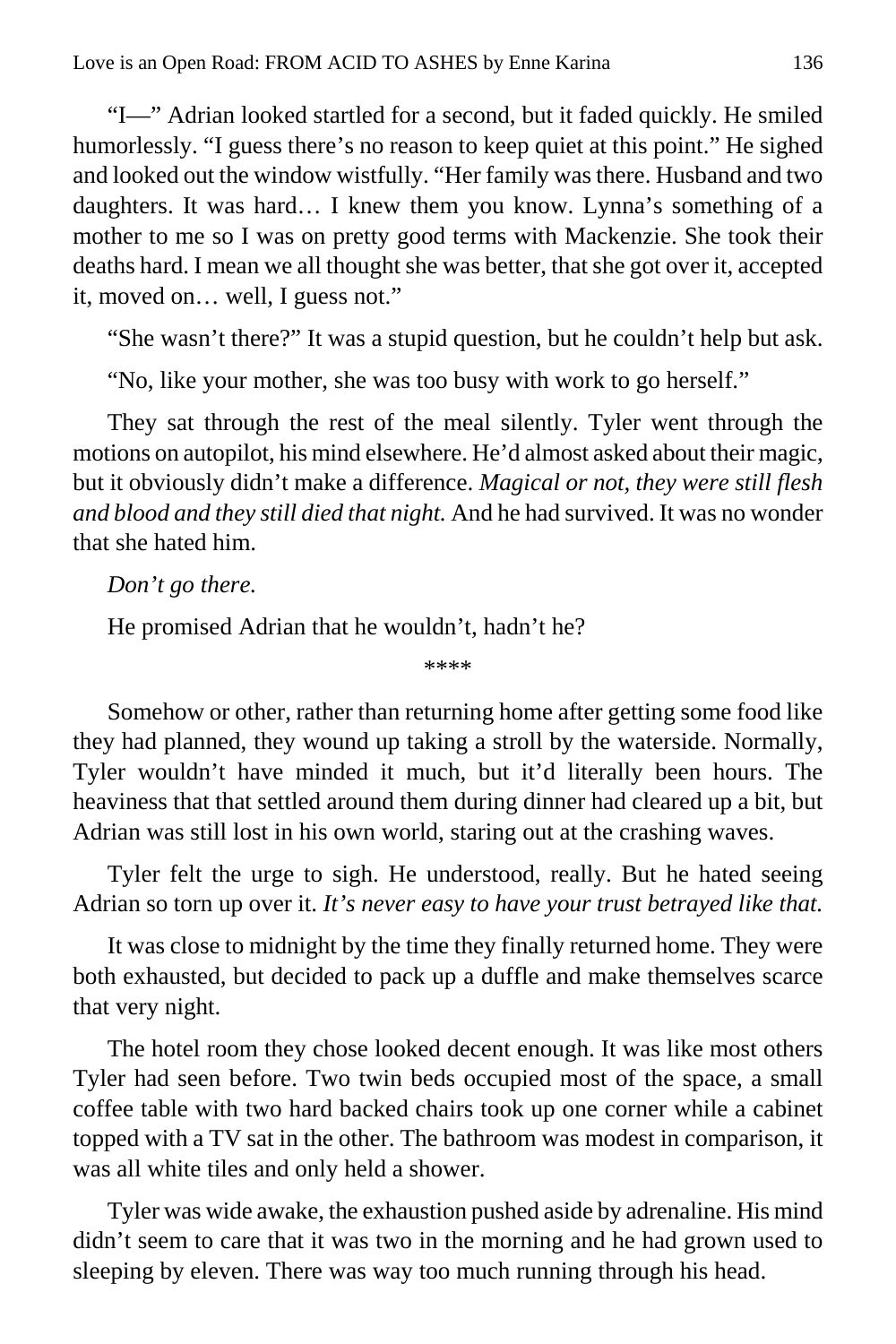"I—" Adrian looked startled for a second, but it faded quickly. He smiled humorlessly. "I guess there's no reason to keep quiet at this point." He sighed and looked out the window wistfully. "Her family was there. Husband and two daughters. It was hard… I knew them you know. Lynna's something of a mother to me so I was on pretty good terms with Mackenzie. She took their deaths hard. I mean we all thought she was better, that she got over it, accepted it, moved on… well, I guess not."

"She wasn't there?" It was a stupid question, but he couldn't help but ask.

"No, like your mother, she was too busy with work to go herself."

They sat through the rest of the meal silently. Tyler went through the motions on autopilot, his mind elsewhere. He'd almost asked about their magic, but it obviously didn't make a difference. *Magical or not, they were still flesh and blood and they still died that night.* And he had survived. It was no wonder that she hated him.

*Don't go there.*

He promised Adrian that he wouldn't, hadn't he?

\*\*\*\*

Somehow or other, rather than returning home after getting some food like they had planned, they wound up taking a stroll by the waterside. Normally, Tyler wouldn't have minded it much, but it'd literally been hours. The heaviness that that settled around them during dinner had cleared up a bit, but Adrian was still lost in his own world, staring out at the crashing waves.

Tyler felt the urge to sigh. He understood, really. But he hated seeing Adrian so torn up over it. *It's never easy to have your trust betrayed like that.*

It was close to midnight by the time they finally returned home. They were both exhausted, but decided to pack up a duffle and make themselves scarce that very night.

The hotel room they chose looked decent enough. It was like most others Tyler had seen before. Two twin beds occupied most of the space, a small coffee table with two hard backed chairs took up one corner while a cabinet topped with a TV sat in the other. The bathroom was modest in comparison, it was all white tiles and only held a shower.

Tyler was wide awake, the exhaustion pushed aside by adrenaline. His mind didn't seem to care that it was two in the morning and he had grown used to sleeping by eleven. There was way too much running through his head.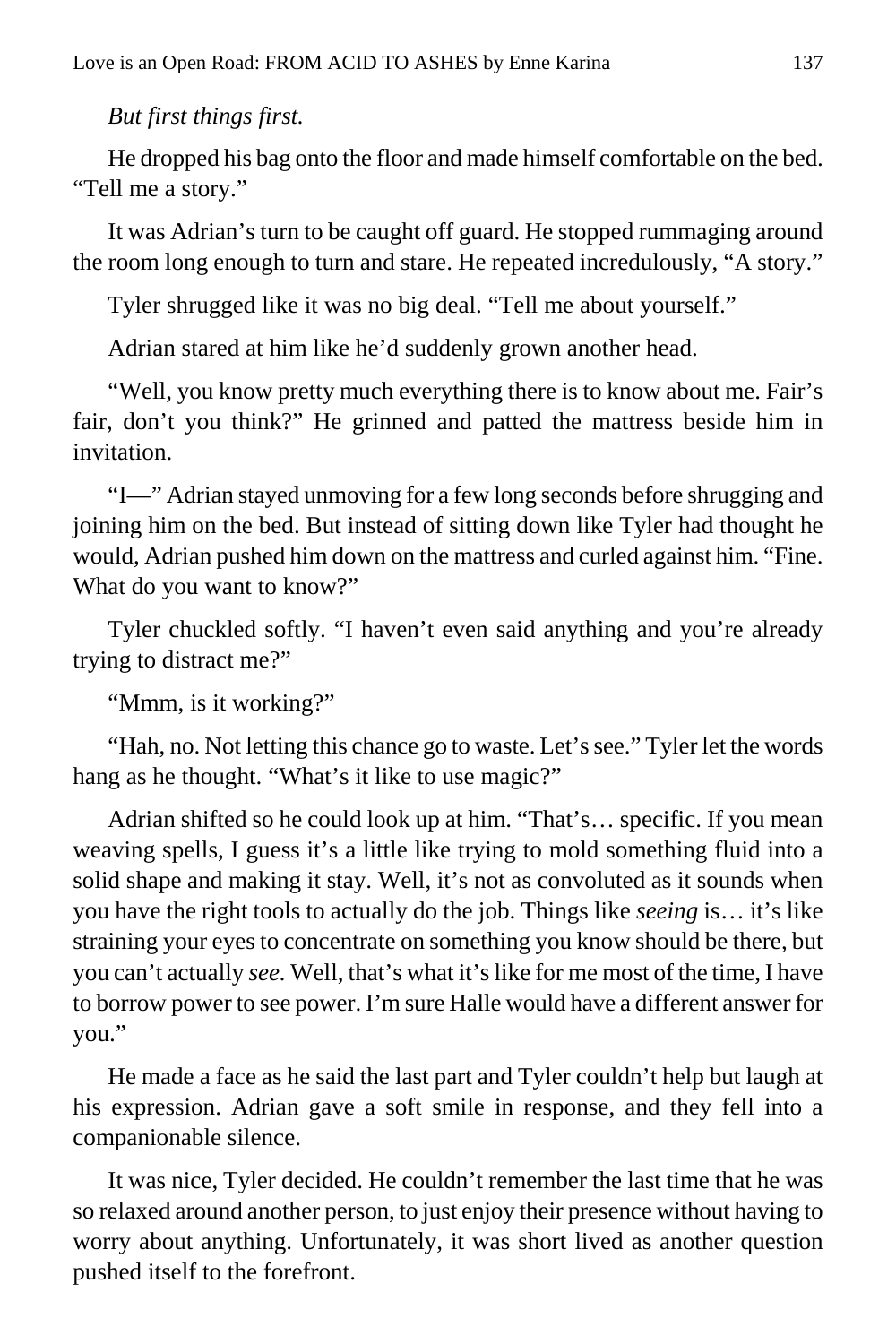## *But first things first.*

He dropped his bag onto the floor and made himself comfortable on the bed. "Tell me a story."

It was Adrian's turn to be caught off guard. He stopped rummaging around the room long enough to turn and stare. He repeated incredulously, "A story."

Tyler shrugged like it was no big deal. "Tell me about yourself."

Adrian stared at him like he'd suddenly grown another head.

"Well, you know pretty much everything there is to know about me. Fair's fair, don't you think?" He grinned and patted the mattress beside him in invitation.

"I—" Adrian stayed unmoving for a few long seconds before shrugging and joining him on the bed. But instead of sitting down like Tyler had thought he would, Adrian pushed him down on the mattress and curled against him. "Fine. What do you want to know?"

Tyler chuckled softly. "I haven't even said anything and you're already trying to distract me?"

"Mmm, is it working?"

"Hah, no. Not letting this chance go to waste. Let's see." Tyler let the words hang as he thought. "What's it like to use magic?"

Adrian shifted so he could look up at him. "That's… specific. If you mean weaving spells, I guess it's a little like trying to mold something fluid into a solid shape and making it stay. Well, it's not as convoluted as it sounds when you have the right tools to actually do the job. Things like *seeing* is… it's like straining your eyes to concentrate on something you know should be there, but you can't actually *see.* Well, that's what it's like for me most of the time, I have to borrow power to see power. I'm sure Halle would have a different answer for you."

He made a face as he said the last part and Tyler couldn't help but laugh at his expression. Adrian gave a soft smile in response, and they fell into a companionable silence.

It was nice, Tyler decided. He couldn't remember the last time that he was so relaxed around another person, to just enjoy their presence without having to worry about anything. Unfortunately, it was short lived as another question pushed itself to the forefront.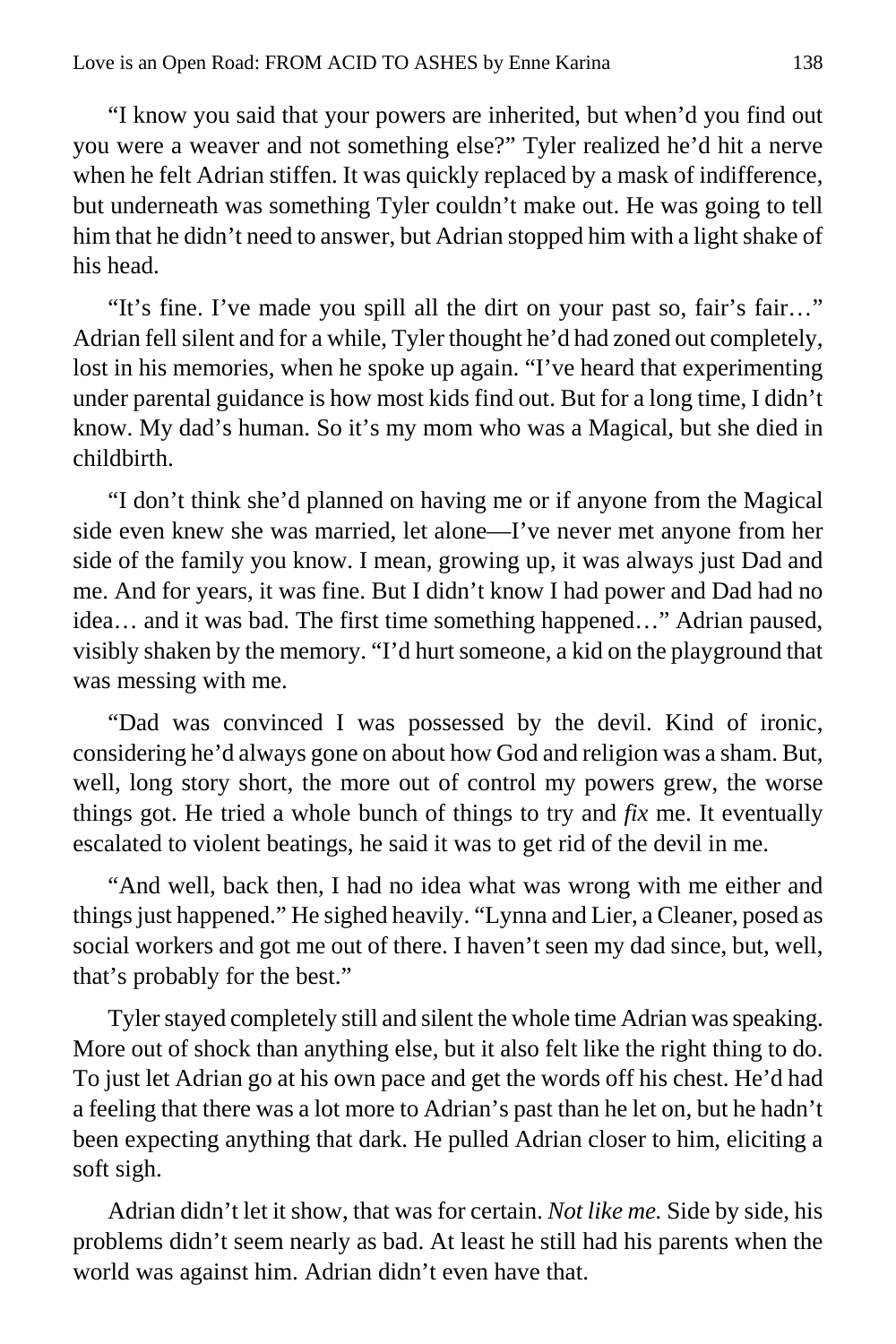"I know you said that your powers are inherited, but when'd you find out you were a weaver and not something else?" Tyler realized he'd hit a nerve when he felt Adrian stiffen. It was quickly replaced by a mask of indifference, but underneath was something Tyler couldn't make out. He was going to tell him that he didn't need to answer, but Adrian stopped him with a light shake of his head.

"It's fine. I've made you spill all the dirt on your past so, fair's fair…" Adrian fell silent and for a while, Tyler thought he'd had zoned out completely, lost in his memories, when he spoke up again. "I've heard that experimenting under parental guidance is how most kids find out. But for a long time, I didn't know. My dad's human. So it's my mom who was a Magical, but she died in childbirth.

"I don't think she'd planned on having me or if anyone from the Magical side even knew she was married, let alone—I've never met anyone from her side of the family you know. I mean, growing up, it was always just Dad and me. And for years, it was fine. But I didn't know I had power and Dad had no idea… and it was bad. The first time something happened…" Adrian paused, visibly shaken by the memory. "I'd hurt someone, a kid on the playground that was messing with me.

"Dad was convinced I was possessed by the devil. Kind of ironic, considering he'd always gone on about how God and religion was a sham. But, well, long story short, the more out of control my powers grew, the worse things got. He tried a whole bunch of things to try and *fix* me. It eventually escalated to violent beatings, he said it was to get rid of the devil in me.

"And well, back then, I had no idea what was wrong with me either and things just happened." He sighed heavily. "Lynna and Lier, a Cleaner, posed as social workers and got me out of there. I haven't seen my dad since, but, well, that's probably for the best."

Tyler stayed completely still and silent the whole time Adrian was speaking. More out of shock than anything else, but it also felt like the right thing to do. To just let Adrian go at his own pace and get the words off his chest. He'd had a feeling that there was a lot more to Adrian's past than he let on, but he hadn't been expecting anything that dark. He pulled Adrian closer to him, eliciting a soft sigh.

Adrian didn't let it show, that was for certain. *Not like me.* Side by side, his problems didn't seem nearly as bad. At least he still had his parents when the world was against him. Adrian didn't even have that.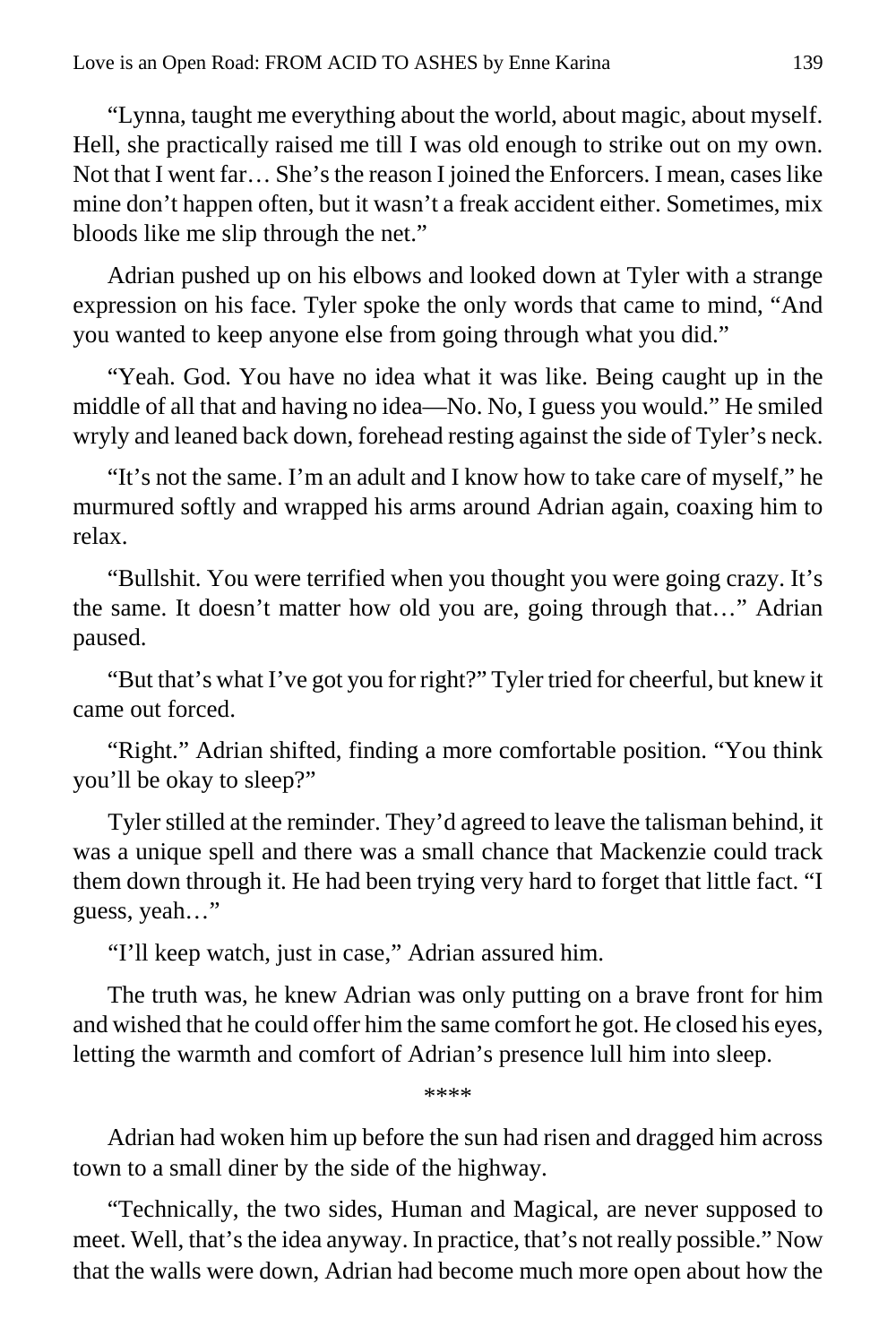"Lynna, taught me everything about the world, about magic, about myself. Hell, she practically raised me till I was old enough to strike out on my own. Not that I went far… She's the reason I joined the Enforcers. I mean, cases like mine don't happen often, but it wasn't a freak accident either. Sometimes, mix bloods like me slip through the net."

Adrian pushed up on his elbows and looked down at Tyler with a strange expression on his face. Tyler spoke the only words that came to mind, "And you wanted to keep anyone else from going through what you did."

"Yeah. God. You have no idea what it was like. Being caught up in the middle of all that and having no idea—No. No, I guess you would." He smiled wryly and leaned back down, forehead resting against the side of Tyler's neck.

"It's not the same. I'm an adult and I know how to take care of myself," he murmured softly and wrapped his arms around Adrian again, coaxing him to relax.

"Bullshit. You were terrified when you thought you were going crazy. It's the same. It doesn't matter how old you are, going through that…" Adrian paused.

"But that's what I've got you for right?" Tyler tried for cheerful, but knew it came out forced.

"Right." Adrian shifted, finding a more comfortable position. "You think you'll be okay to sleep?"

Tyler stilled at the reminder. They'd agreed to leave the talisman behind, it was a unique spell and there was a small chance that Mackenzie could track them down through it. He had been trying very hard to forget that little fact. "I guess, yeah…"

"I'll keep watch, just in case," Adrian assured him.

The truth was, he knew Adrian was only putting on a brave front for him and wished that he could offer him the same comfort he got. He closed his eyes, letting the warmth and comfort of Adrian's presence lull him into sleep.

\*\*\*\*

Adrian had woken him up before the sun had risen and dragged him across town to a small diner by the side of the highway.

"Technically, the two sides, Human and Magical, are never supposed to meet. Well, that's the idea anyway. In practice, that's not really possible." Now that the walls were down, Adrian had become much more open about how the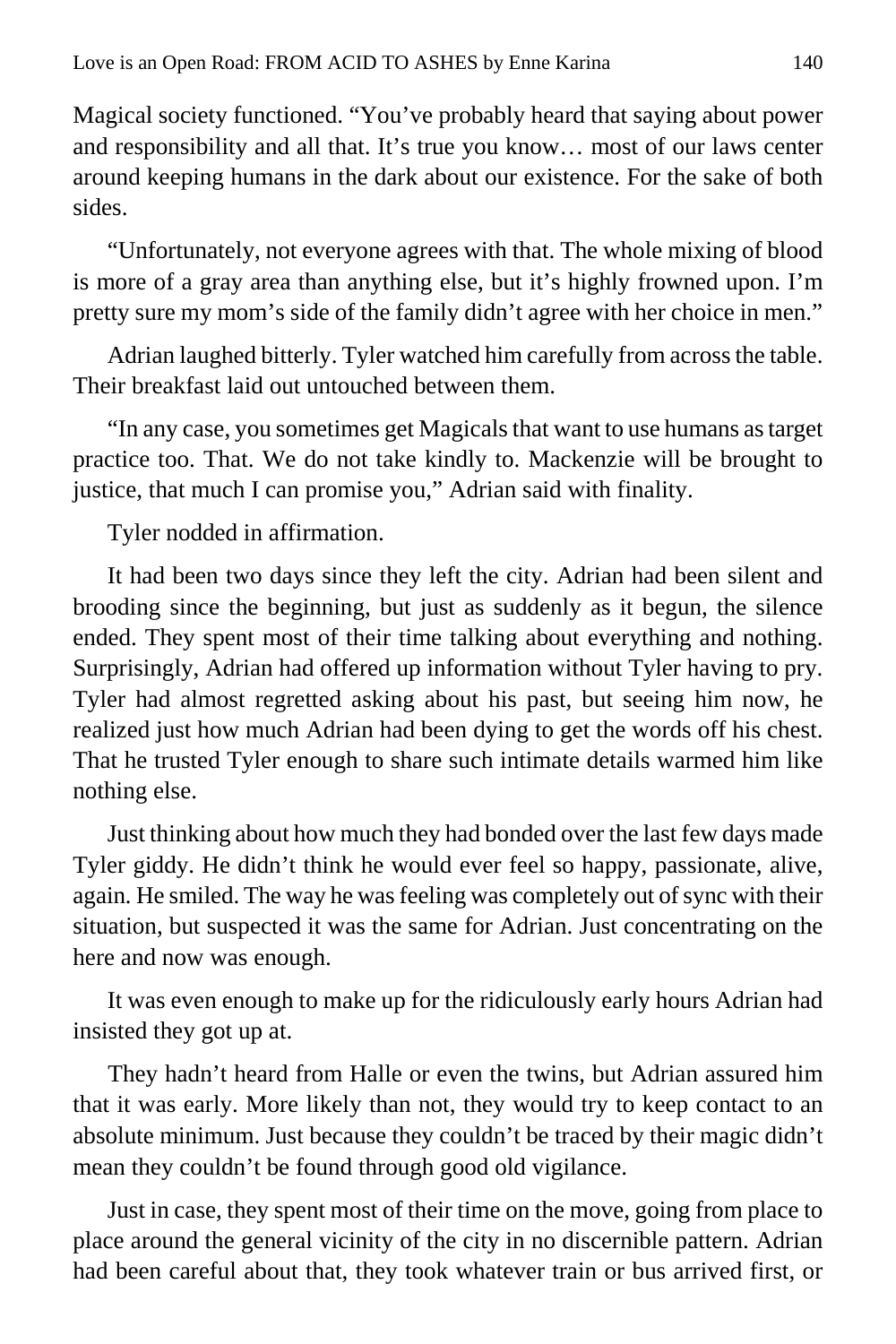Magical society functioned. "You've probably heard that saying about power and responsibility and all that. It's true you know… most of our laws center around keeping humans in the dark about our existence. For the sake of both sides.

"Unfortunately, not everyone agrees with that. The whole mixing of blood is more of a gray area than anything else, but it's highly frowned upon. I'm pretty sure my mom's side of the family didn't agree with her choice in men."

Adrian laughed bitterly. Tyler watched him carefully from across the table. Their breakfast laid out untouched between them.

"In any case, you sometimes get Magicals that want to use humans as target practice too. That. We do not take kindly to. Mackenzie will be brought to justice, that much I can promise you," Adrian said with finality.

Tyler nodded in affirmation.

It had been two days since they left the city. Adrian had been silent and brooding since the beginning, but just as suddenly as it begun, the silence ended. They spent most of their time talking about everything and nothing. Surprisingly, Adrian had offered up information without Tyler having to pry. Tyler had almost regretted asking about his past, but seeing him now, he realized just how much Adrian had been dying to get the words off his chest. That he trusted Tyler enough to share such intimate details warmed him like nothing else.

Just thinking about how much they had bonded over the last few days made Tyler giddy. He didn't think he would ever feel so happy, passionate, alive, again*.* He smiled. The way he was feeling was completely out of sync with their situation, but suspected it was the same for Adrian. Just concentrating on the here and now was enough.

It was even enough to make up for the ridiculously early hours Adrian had insisted they got up at.

They hadn't heard from Halle or even the twins, but Adrian assured him that it was early. More likely than not, they would try to keep contact to an absolute minimum. Just because they couldn't be traced by their magic didn't mean they couldn't be found through good old vigilance.

Just in case, they spent most of their time on the move, going from place to place around the general vicinity of the city in no discernible pattern. Adrian had been careful about that, they took whatever train or bus arrived first, or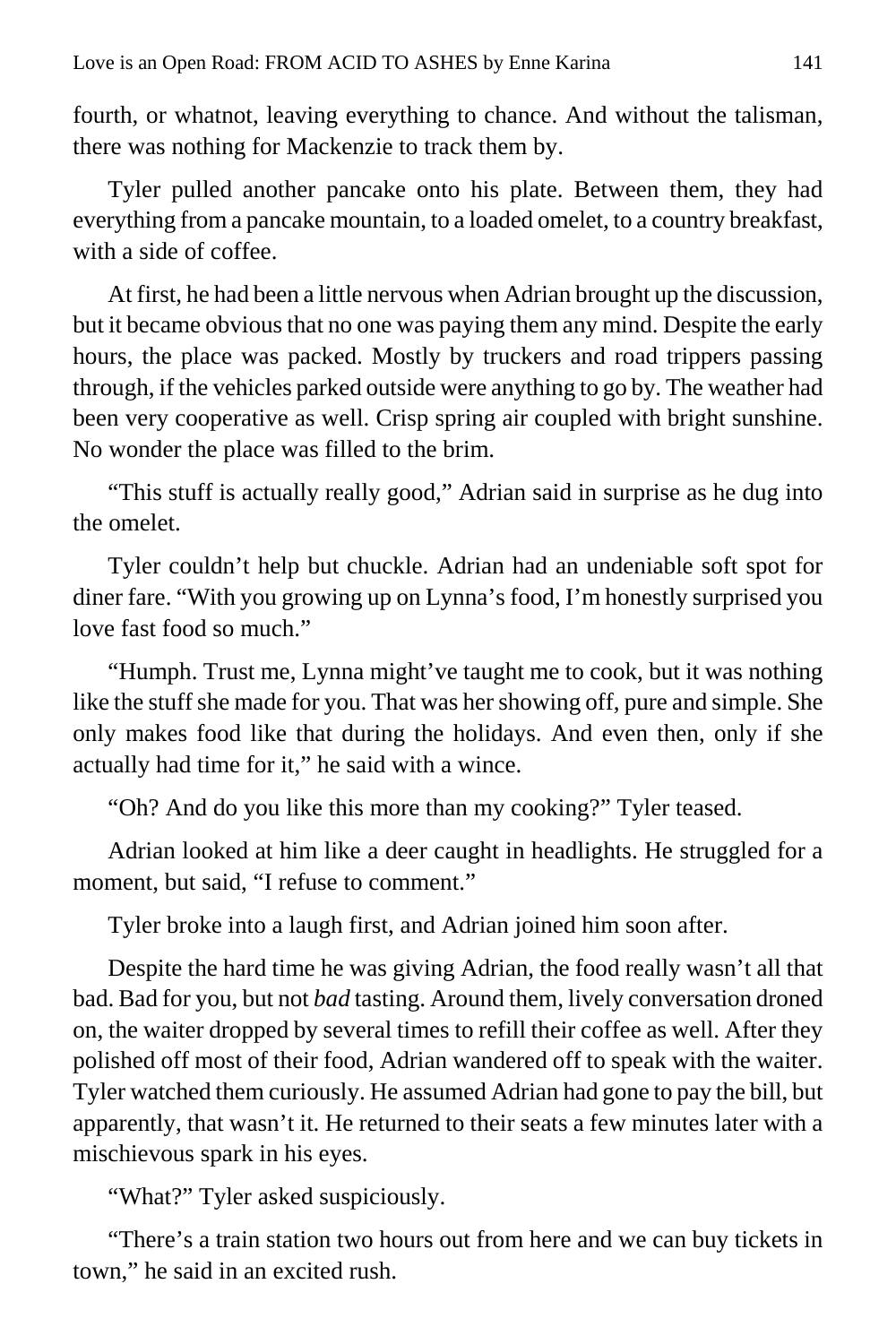fourth, or whatnot, leaving everything to chance. And without the talisman, there was nothing for Mackenzie to track them by.

Tyler pulled another pancake onto his plate. Between them, they had everything from a pancake mountain, to a loaded omelet, to a country breakfast, with a side of coffee.

At first, he had been a little nervous when Adrian brought up the discussion, but it became obvious that no one was paying them any mind. Despite the early hours, the place was packed. Mostly by truckers and road trippers passing through, if the vehicles parked outside were anything to go by. The weather had been very cooperative as well. Crisp spring air coupled with bright sunshine. No wonder the place was filled to the brim.

"This stuff is actually really good," Adrian said in surprise as he dug into the omelet.

Tyler couldn't help but chuckle. Adrian had an undeniable soft spot for diner fare. "With you growing up on Lynna's food, I'm honestly surprised you love fast food so much."

"Humph. Trust me, Lynna might've taught me to cook, but it was nothing like the stuff she made for you. That was her showing off, pure and simple. She only makes food like that during the holidays. And even then, only if she actually had time for it," he said with a wince.

"Oh? And do you like this more than my cooking?" Tyler teased.

Adrian looked at him like a deer caught in headlights. He struggled for a moment, but said, "I refuse to comment."

Tyler broke into a laugh first, and Adrian joined him soon after.

Despite the hard time he was giving Adrian, the food really wasn't all that bad. Bad for you, but not *bad* tasting. Around them, lively conversation droned on, the waiter dropped by several times to refill their coffee as well. After they polished off most of their food, Adrian wandered off to speak with the waiter. Tyler watched them curiously. He assumed Adrian had gone to pay the bill, but apparently, that wasn't it. He returned to their seats a few minutes later with a mischievous spark in his eyes.

"What?" Tyler asked suspiciously.

"There's a train station two hours out from here and we can buy tickets in town," he said in an excited rush.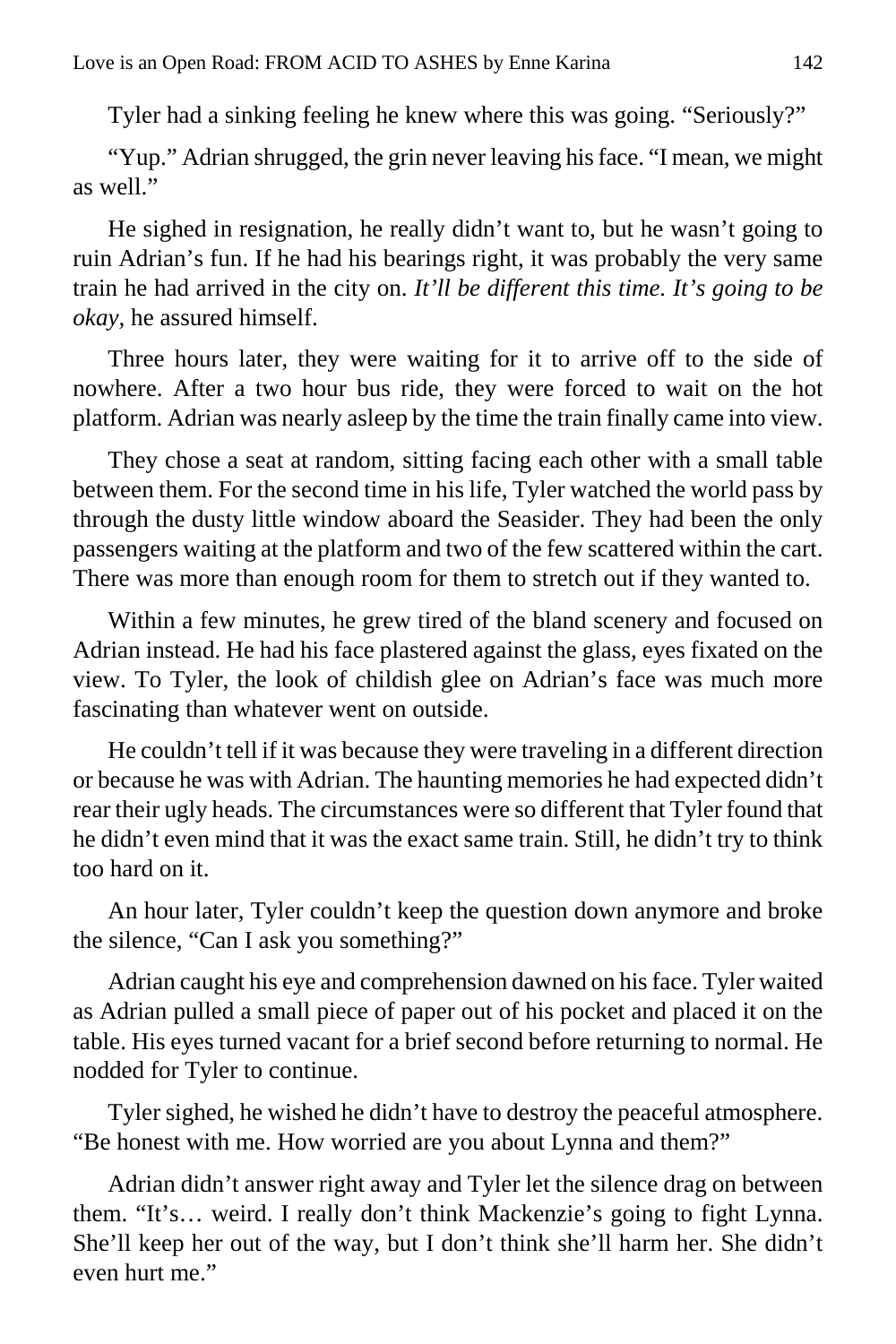Tyler had a sinking feeling he knew where this was going. "Seriously?"

"Yup." Adrian shrugged, the grin never leaving his face. "I mean, we might as well."

He sighed in resignation, he really didn't want to, but he wasn't going to ruin Adrian's fun. If he had his bearings right, it was probably the very same train he had arrived in the city on. *It'll be different this time. It's going to be okay,* he assured himself.

Three hours later, they were waiting for it to arrive off to the side of nowhere. After a two hour bus ride, they were forced to wait on the hot platform. Adrian was nearly asleep by the time the train finally came into view.

They chose a seat at random, sitting facing each other with a small table between them. For the second time in his life, Tyler watched the world pass by through the dusty little window aboard the Seasider. They had been the only passengers waiting at the platform and two of the few scattered within the cart. There was more than enough room for them to stretch out if they wanted to.

Within a few minutes, he grew tired of the bland scenery and focused on Adrian instead. He had his face plastered against the glass, eyes fixated on the view. To Tyler, the look of childish glee on Adrian's face was much more fascinating than whatever went on outside.

He couldn't tell if it was because they were traveling in a different direction or because he was with Adrian. The haunting memories he had expected didn't rear their ugly heads. The circumstances were so different that Tyler found that he didn't even mind that it was the exact same train. Still, he didn't try to think too hard on it.

An hour later, Tyler couldn't keep the question down anymore and broke the silence, "Can I ask you something?"

Adrian caught his eye and comprehension dawned on his face. Tyler waited as Adrian pulled a small piece of paper out of his pocket and placed it on the table. His eyes turned vacant for a brief second before returning to normal. He nodded for Tyler to continue.

Tyler sighed, he wished he didn't have to destroy the peaceful atmosphere. "Be honest with me. How worried are you about Lynna and them?"

Adrian didn't answer right away and Tyler let the silence drag on between them. "It's… weird. I really don't think Mackenzie's going to fight Lynna. She'll keep her out of the way, but I don't think she'll harm her. She didn't even hurt me."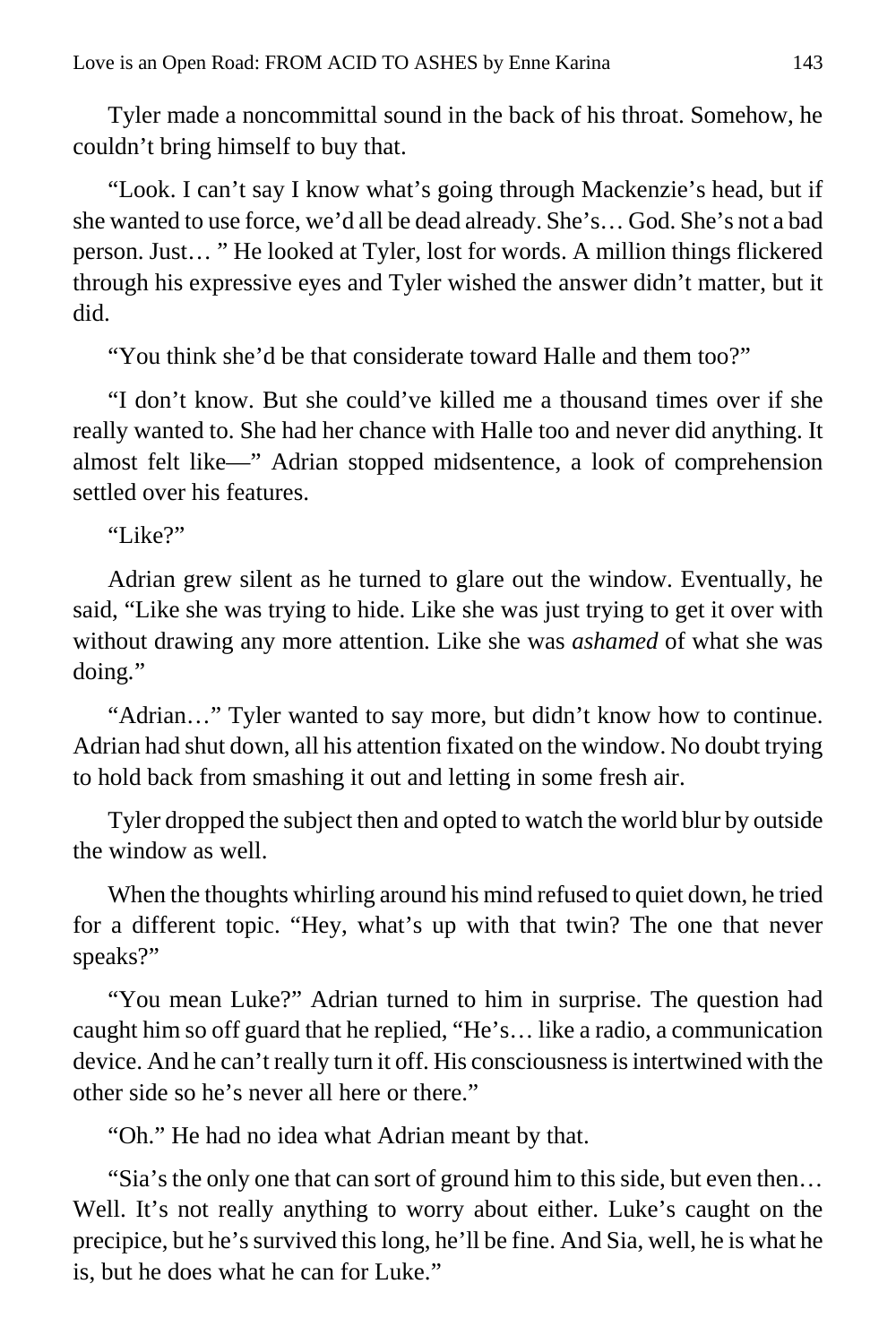Tyler made a noncommittal sound in the back of his throat. Somehow, he couldn't bring himself to buy that.

"Look. I can't say I know what's going through Mackenzie's head, but if she wanted to use force, we'd all be dead already. She's… God. She's not a bad person. Just… " He looked at Tyler, lost for words. A million things flickered through his expressive eyes and Tyler wished the answer didn't matter, but it did.

"You think she'd be that considerate toward Halle and them too?"

"I don't know. But she could've killed me a thousand times over if she really wanted to. She had her chance with Halle too and never did anything. It almost felt like—" Adrian stopped midsentence, a look of comprehension settled over his features.

"Like?"

Adrian grew silent as he turned to glare out the window. Eventually, he said, "Like she was trying to hide. Like she was just trying to get it over with without drawing any more attention. Like she was *ashamed* of what she was doing*.*"

"Adrian…" Tyler wanted to say more, but didn't know how to continue. Adrian had shut down, all his attention fixated on the window. No doubt trying to hold back from smashing it out and letting in some fresh air.

Tyler dropped the subject then and opted to watch the world blur by outside the window as well.

When the thoughts whirling around his mind refused to quiet down, he tried for a different topic. "Hey, what's up with that twin? The one that never speaks?"

"You mean Luke?" Adrian turned to him in surprise. The question had caught him so off guard that he replied, "He's… like a radio, a communication device. And he can't really turn it off. His consciousness is intertwined with the other side so he's never all here or there."

"Oh." He had no idea what Adrian meant by that.

"Sia's the only one that can sort of ground him to this side, but even then… Well. It's not really anything to worry about either. Luke's caught on the precipice, but he's survived this long, he'll be fine. And Sia, well, he is what he is, but he does what he can for Luke."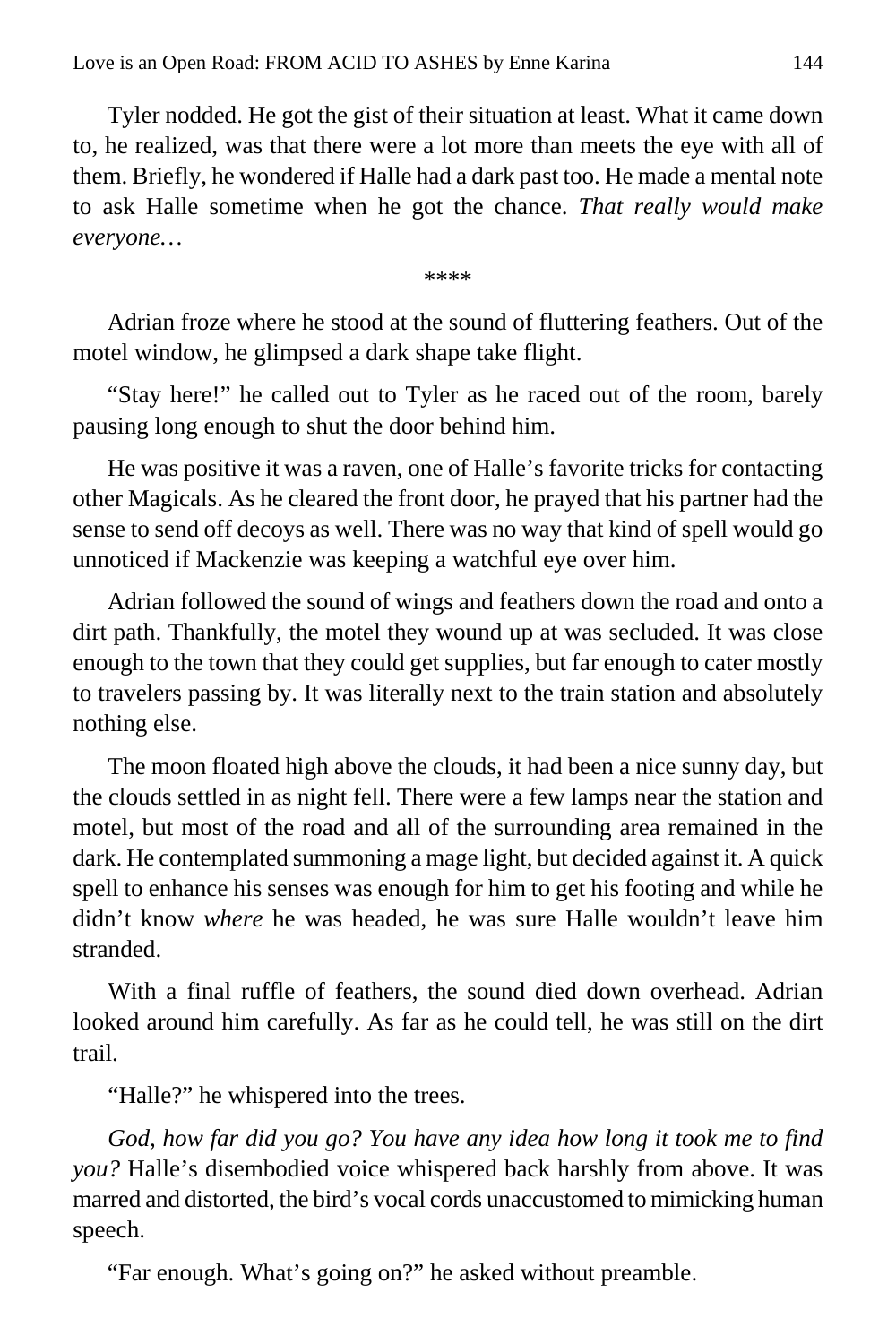Tyler nodded. He got the gist of their situation at least. What it came down to, he realized, was that there were a lot more than meets the eye with all of them. Briefly, he wondered if Halle had a dark past too. He made a mental note to ask Halle sometime when he got the chance. *That really would make everyone…*

\*\*\*\*

Adrian froze where he stood at the sound of fluttering feathers. Out of the motel window, he glimpsed a dark shape take flight.

"Stay here!" he called out to Tyler as he raced out of the room, barely pausing long enough to shut the door behind him.

He was positive it was a raven, one of Halle's favorite tricks for contacting other Magicals. As he cleared the front door, he prayed that his partner had the sense to send off decoys as well. There was no way that kind of spell would go unnoticed if Mackenzie was keeping a watchful eye over him.

Adrian followed the sound of wings and feathers down the road and onto a dirt path. Thankfully, the motel they wound up at was secluded. It was close enough to the town that they could get supplies, but far enough to cater mostly to travelers passing by. It was literally next to the train station and absolutely nothing else.

The moon floated high above the clouds, it had been a nice sunny day, but the clouds settled in as night fell. There were a few lamps near the station and motel, but most of the road and all of the surrounding area remained in the dark. He contemplated summoning a mage light, but decided against it. A quick spell to enhance his senses was enough for him to get his footing and while he didn't know *where* he was headed, he was sure Halle wouldn't leave him stranded.

With a final ruffle of feathers, the sound died down overhead. Adrian looked around him carefully. As far as he could tell, he was still on the dirt trail.

"Halle?" he whispered into the trees.

*God, how far did you go? You have any idea how long it took me to find you?* Halle's disembodied voice whispered back harshly from above. It was marred and distorted, the bird's vocal cords unaccustomed to mimicking human speech.

"Far enough. What's going on?" he asked without preamble.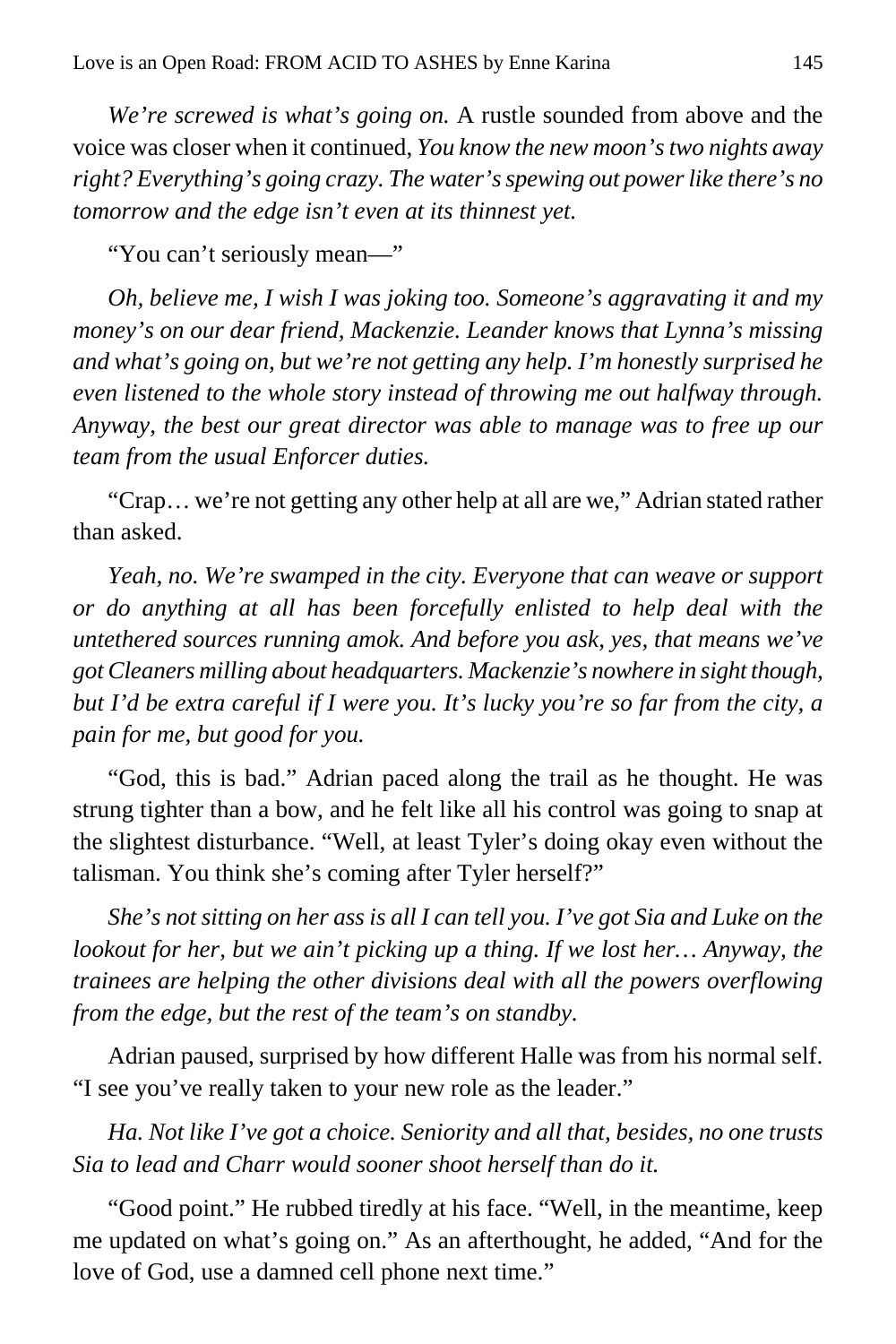*We're screwed is what's going on.* A rustle sounded from above and the voice was closer when it continued, *You know the new moon's two nights away right? Everything's going crazy. The water's spewing out power like there's no tomorrow and the edge isn't even at its thinnest yet.*

"You can't seriously mean—"

*Oh, believe me, I wish I was joking too. Someone's aggravating it and my money's on our dear friend, Mackenzie. Leander knows that Lynna's missing and what's going on, but we're not getting any help. I'm honestly surprised he even listened to the whole story instead of throwing me out halfway through. Anyway, the best our great director was able to manage was to free up our team from the usual Enforcer duties.*

"Crap… we're not getting any other help at all are we," Adrian stated rather than asked.

*Yeah, no. We're swamped in the city. Everyone that can weave or support or do anything at all has been forcefully enlisted to help deal with the untethered sources running amok. And before you ask, yes, that means we've got Cleaners milling about headquarters. Mackenzie's nowhere in sight though, but I'd be extra careful if I were you. It's lucky you're so far from the city, a pain for me, but good for you.*

"God, this is bad." Adrian paced along the trail as he thought. He was strung tighter than a bow, and he felt like all his control was going to snap at the slightest disturbance. "Well, at least Tyler's doing okay even without the talisman. You think she's coming after Tyler herself?"

*She's not sitting on her ass is all I can tell you. I've got Sia and Luke on the lookout for her, but we ain't picking up a thing. If we lost her... Anyway, the trainees are helping the other divisions deal with all the powers overflowing from the edge, but the rest of the team's on standby.*

Adrian paused, surprised by how different Halle was from his normal self. "I see you've really taken to your new role as the leader."

*Ha. Not like I've got a choice. Seniority and all that, besides, no one trusts Sia to lead and Charr would sooner shoot herself than do it.*

"Good point." He rubbed tiredly at his face. "Well, in the meantime, keep me updated on what's going on." As an afterthought, he added, "And for the love of God, use a damned cell phone next time."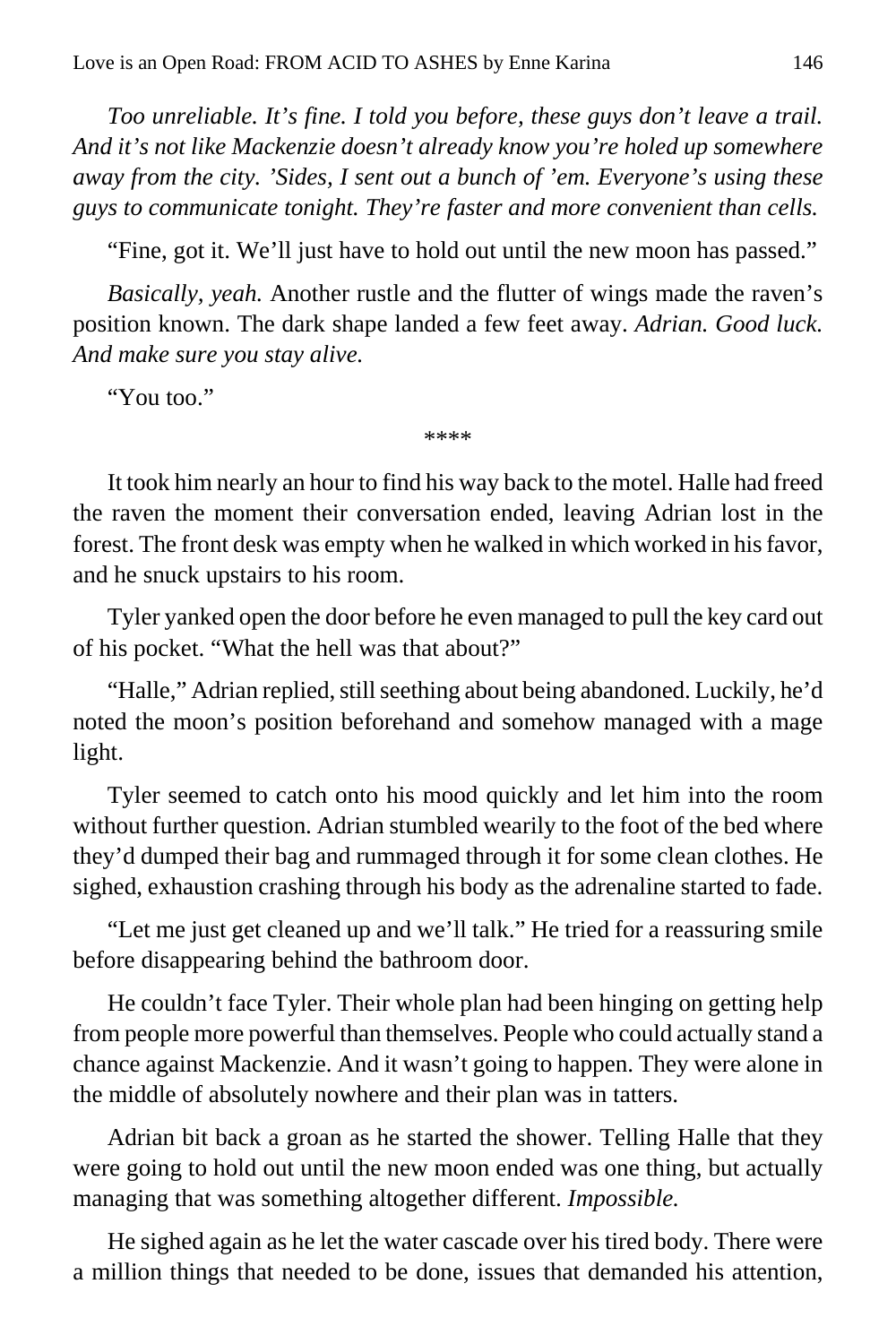*Too unreliable. It's fine. I told you before, these guys don't leave a trail. And it's not like Mackenzie doesn't already know you're holed up somewhere away from the city. 'Sides, I sent out a bunch of 'em. Everyone's using these guys to communicate tonight. They're faster and more convenient than cells.*

"Fine, got it. We'll just have to hold out until the new moon has passed."

*Basically, yeah.* Another rustle and the flutter of wings made the raven's position known. The dark shape landed a few feet away. *Adrian. Good luck. And make sure you stay alive.*

"You too."

\*\*\*\*

It took him nearly an hour to find his way back to the motel. Halle had freed the raven the moment their conversation ended, leaving Adrian lost in the forest. The front desk was empty when he walked in which worked in his favor, and he snuck upstairs to his room.

Tyler yanked open the door before he even managed to pull the key card out of his pocket. "What the hell was that about?"

"Halle," Adrian replied, still seething about being abandoned. Luckily, he'd noted the moon's position beforehand and somehow managed with a mage light.

Tyler seemed to catch onto his mood quickly and let him into the room without further question. Adrian stumbled wearily to the foot of the bed where they'd dumped their bag and rummaged through it for some clean clothes. He sighed, exhaustion crashing through his body as the adrenaline started to fade.

"Let me just get cleaned up and we'll talk." He tried for a reassuring smile before disappearing behind the bathroom door.

He couldn't face Tyler. Their whole plan had been hinging on getting help from people more powerful than themselves. People who could actually stand a chance against Mackenzie. And it wasn't going to happen. They were alone in the middle of absolutely nowhere and their plan was in tatters.

Adrian bit back a groan as he started the shower. Telling Halle that they were going to hold out until the new moon ended was one thing, but actually managing that was something altogether different. *Impossible.*

He sighed again as he let the water cascade over his tired body. There were a million things that needed to be done, issues that demanded his attention,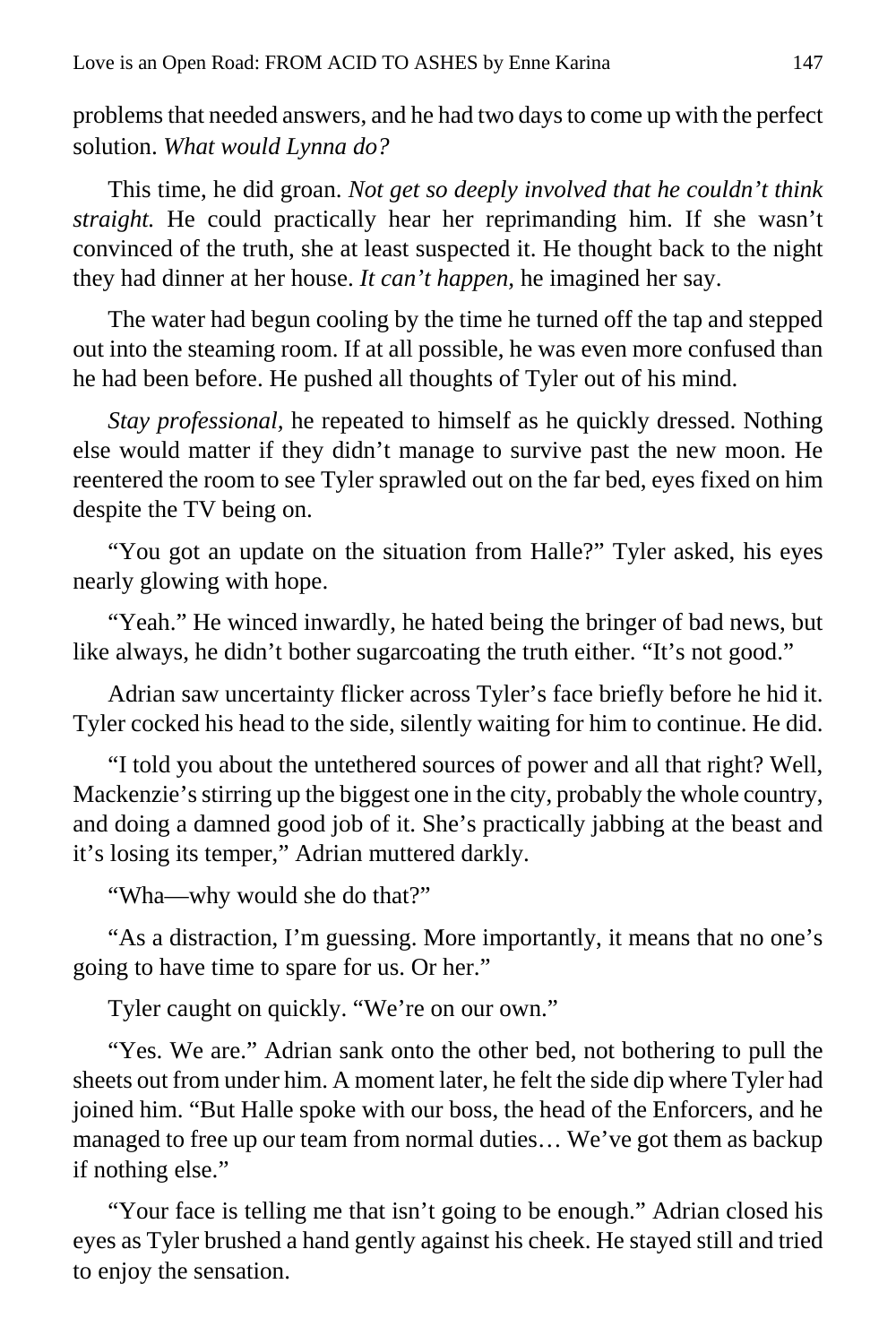problems that needed answers, and he had two days to come up with the perfect solution. *What would Lynna do?*

This time, he did groan. *Not get so deeply involved that he couldn't think straight.* He could practically hear her reprimanding him. If she wasn't convinced of the truth, she at least suspected it. He thought back to the night they had dinner at her house. *It can't happen,* he imagined her say.

The water had begun cooling by the time he turned off the tap and stepped out into the steaming room. If at all possible, he was even more confused than he had been before. He pushed all thoughts of Tyler out of his mind.

*Stay professional,* he repeated to himself as he quickly dressed. Nothing else would matter if they didn't manage to survive past the new moon. He reentered the room to see Tyler sprawled out on the far bed, eyes fixed on him despite the TV being on.

"You got an update on the situation from Halle?" Tyler asked, his eyes nearly glowing with hope.

"Yeah." He winced inwardly, he hated being the bringer of bad news, but like always, he didn't bother sugarcoating the truth either. "It's not good."

Adrian saw uncertainty flicker across Tyler's face briefly before he hid it. Tyler cocked his head to the side, silently waiting for him to continue. He did.

"I told you about the untethered sources of power and all that right? Well, Mackenzie's stirring up the biggest one in the city, probably the whole country, and doing a damned good job of it. She's practically jabbing at the beast and it's losing its temper," Adrian muttered darkly.

"Wha—why would she do that?"

"As a distraction, I'm guessing. More importantly, it means that no one's going to have time to spare for us. Or her."

Tyler caught on quickly. "We're on our own."

"Yes. We are." Adrian sank onto the other bed, not bothering to pull the sheets out from under him. A moment later, he felt the side dip where Tyler had joined him. "But Halle spoke with our boss, the head of the Enforcers, and he managed to free up our team from normal duties… We've got them as backup if nothing else."

"Your face is telling me that isn't going to be enough." Adrian closed his eyes as Tyler brushed a hand gently against his cheek. He stayed still and tried to enjoy the sensation.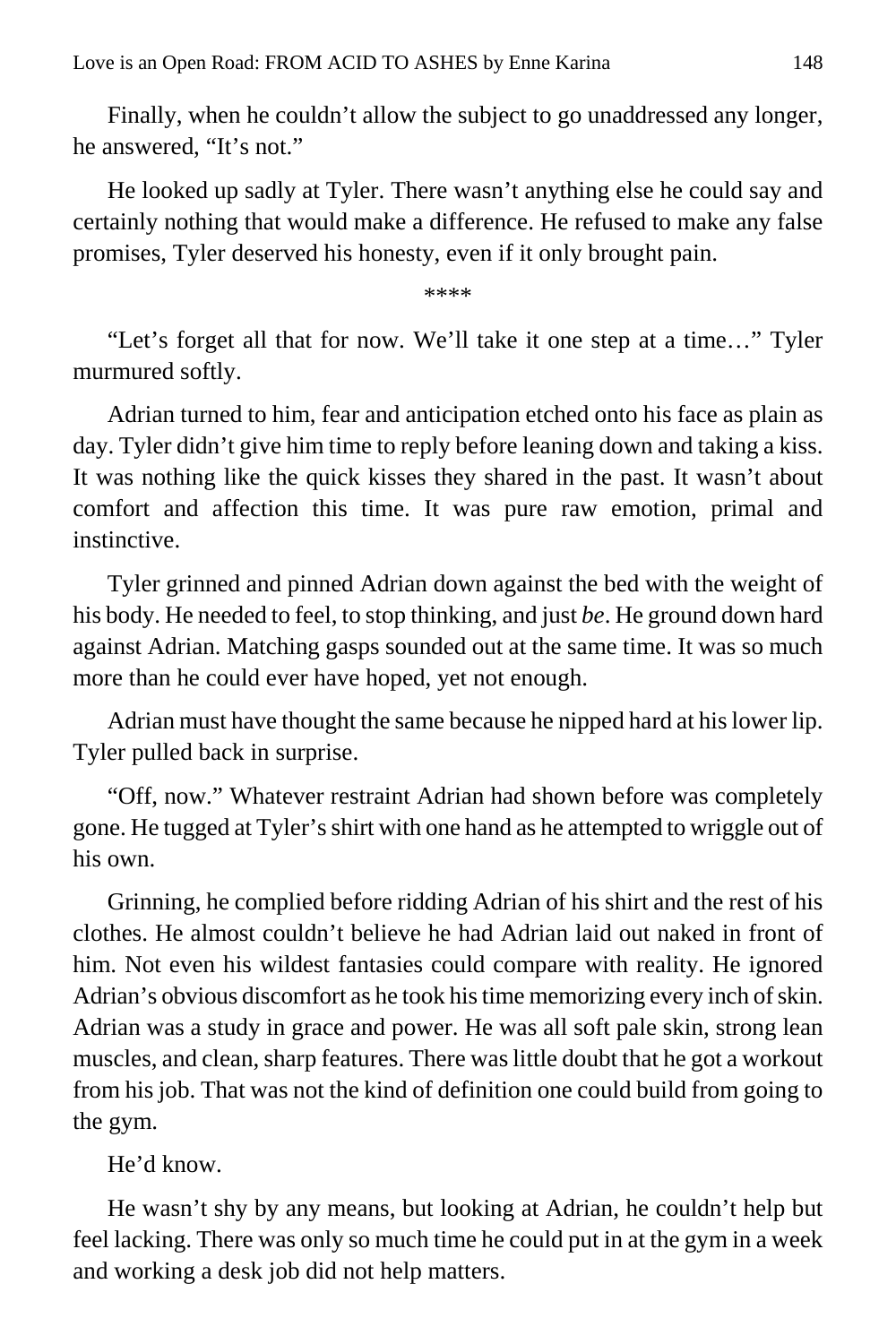Finally, when he couldn't allow the subject to go unaddressed any longer, he answered, "It's not."

He looked up sadly at Tyler. There wasn't anything else he could say and certainly nothing that would make a difference. He refused to make any false promises, Tyler deserved his honesty, even if it only brought pain.

\*\*\*\*

"Let's forget all that for now. We'll take it one step at a time…" Tyler murmured softly.

Adrian turned to him, fear and anticipation etched onto his face as plain as day. Tyler didn't give him time to reply before leaning down and taking a kiss. It was nothing like the quick kisses they shared in the past. It wasn't about comfort and affection this time. It was pure raw emotion, primal and instinctive.

Tyler grinned and pinned Adrian down against the bed with the weight of his body. He needed to feel, to stop thinking, and just *be*. He ground down hard against Adrian. Matching gasps sounded out at the same time. It was so much more than he could ever have hoped, yet not enough.

Adrian must have thought the same because he nipped hard at his lower lip. Tyler pulled back in surprise.

"Off, now." Whatever restraint Adrian had shown before was completely gone. He tugged at Tyler's shirt with one hand as he attempted to wriggle out of his own.

Grinning, he complied before ridding Adrian of his shirt and the rest of his clothes. He almost couldn't believe he had Adrian laid out naked in front of him. Not even his wildest fantasies could compare with reality. He ignored Adrian's obvious discomfort as he took his time memorizing every inch of skin. Adrian was a study in grace and power. He was all soft pale skin, strong lean muscles, and clean, sharp features. There was little doubt that he got a workout from his job. That was not the kind of definition one could build from going to the gym.

He'd know.

He wasn't shy by any means, but looking at Adrian, he couldn't help but feel lacking. There was only so much time he could put in at the gym in a week and working a desk job did not help matters.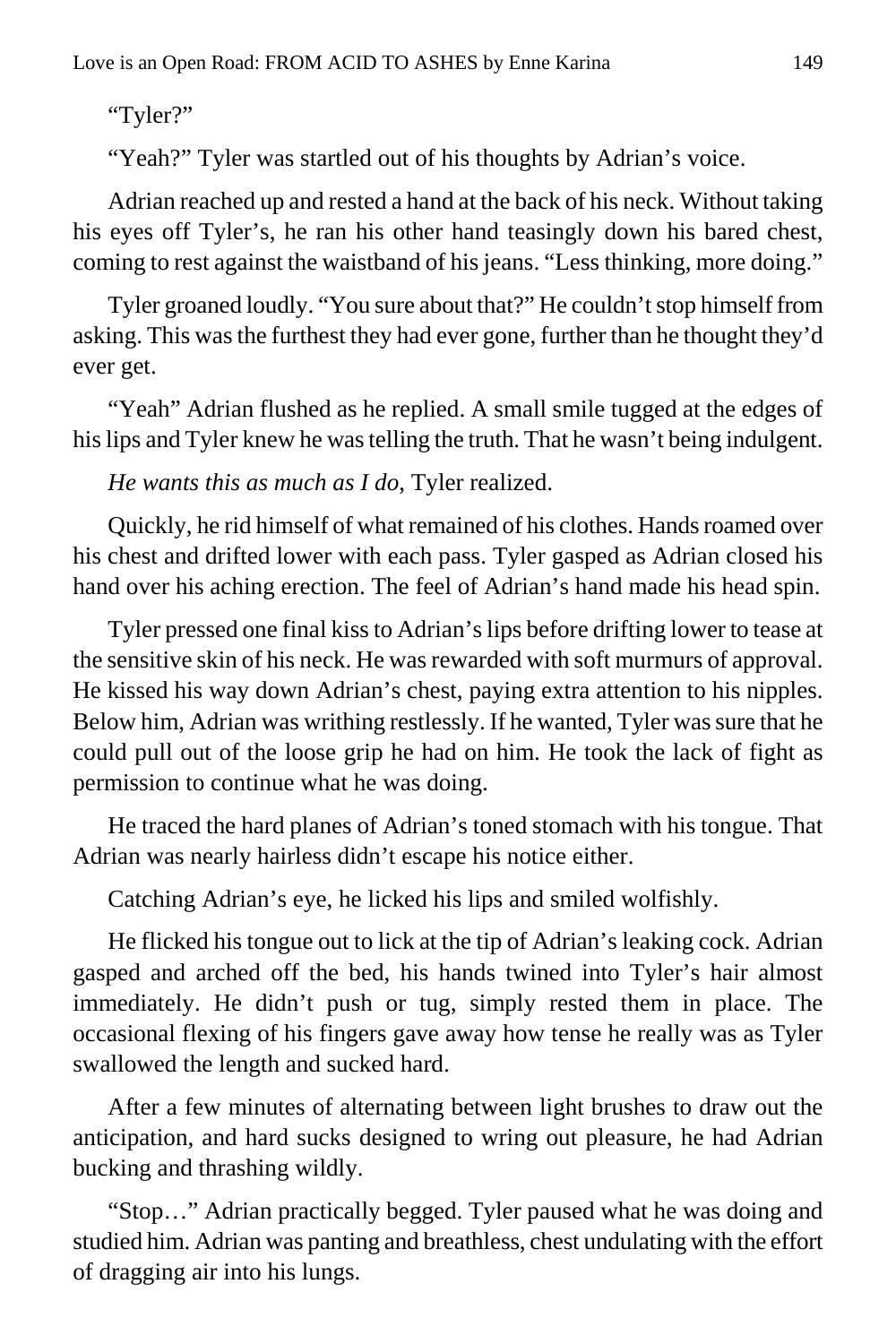"Yeah?" Tyler was startled out of his thoughts by Adrian's voice.

Adrian reached up and rested a hand at the back of his neck. Without taking his eyes off Tyler's, he ran his other hand teasingly down his bared chest, coming to rest against the waistband of his jeans. "Less thinking, more doing."

Tyler groaned loudly. "You sure about that?" He couldn't stop himself from asking. This was the furthest they had ever gone, further than he thought they'd ever get.

"Yeah" Adrian flushed as he replied. A small smile tugged at the edges of his lips and Tyler knew he was telling the truth. That he wasn't being indulgent.

*He wants this as much as I do*, Tyler realized.

Quickly, he rid himself of what remained of his clothes. Hands roamed over his chest and drifted lower with each pass. Tyler gasped as Adrian closed his hand over his aching erection. The feel of Adrian's hand made his head spin.

Tyler pressed one final kiss to Adrian's lips before drifting lower to tease at the sensitive skin of his neck. He was rewarded with soft murmurs of approval. He kissed his way down Adrian's chest, paying extra attention to his nipples. Below him, Adrian was writhing restlessly. If he wanted, Tyler was sure that he could pull out of the loose grip he had on him. He took the lack of fight as permission to continue what he was doing.

He traced the hard planes of Adrian's toned stomach with his tongue. That Adrian was nearly hairless didn't escape his notice either.

Catching Adrian's eye, he licked his lips and smiled wolfishly.

He flicked his tongue out to lick at the tip of Adrian's leaking cock. Adrian gasped and arched off the bed, his hands twined into Tyler's hair almost immediately. He didn't push or tug, simply rested them in place. The occasional flexing of his fingers gave away how tense he really was as Tyler swallowed the length and sucked hard.

After a few minutes of alternating between light brushes to draw out the anticipation, and hard sucks designed to wring out pleasure, he had Adrian bucking and thrashing wildly.

"Stop…" Adrian practically begged. Tyler paused what he was doing and studied him. Adrian was panting and breathless, chest undulating with the effort of dragging air into his lungs.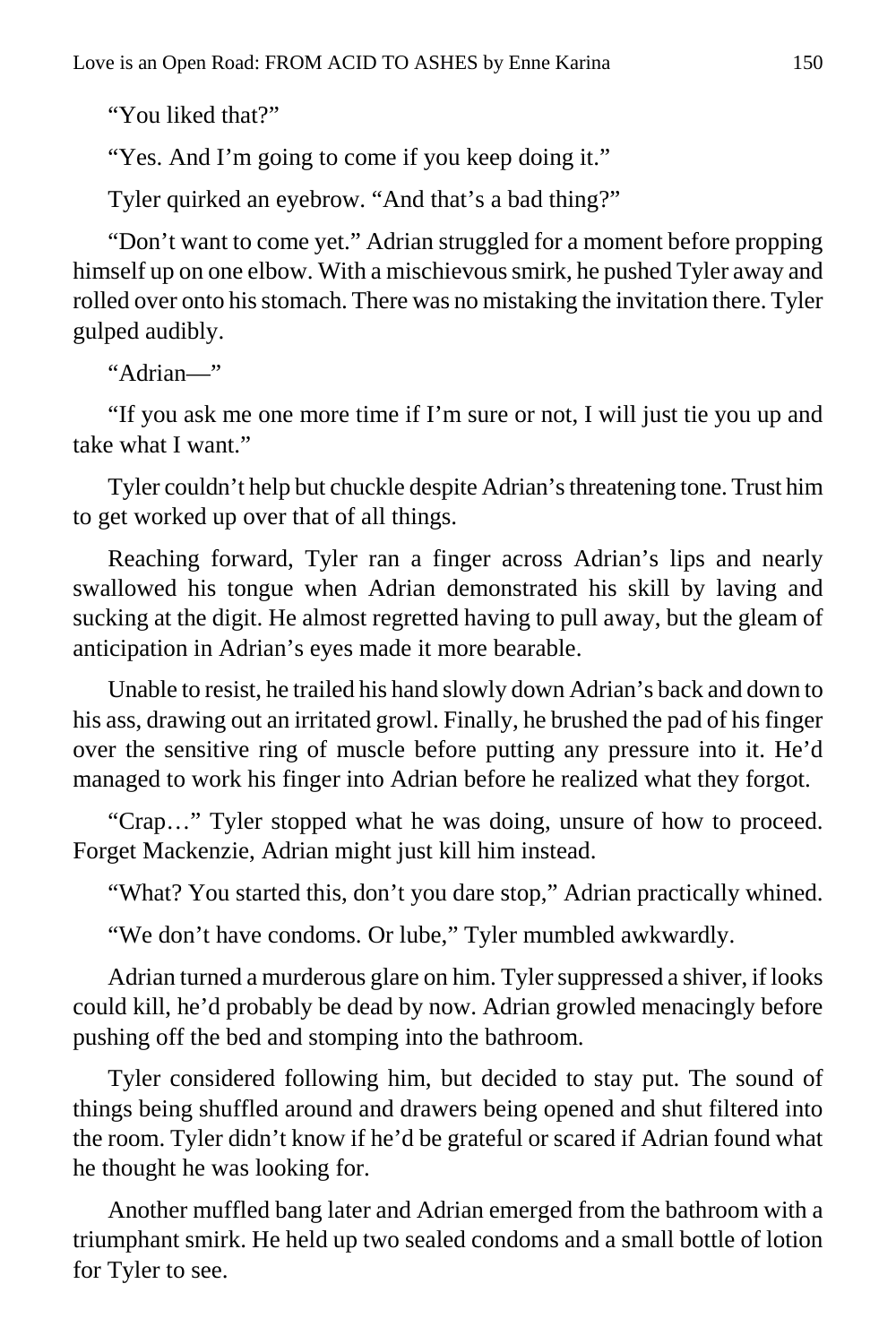"You liked that?"

"Yes. And I'm going to come if you keep doing it."

Tyler quirked an eyebrow. "And that's a bad thing?"

"Don't want to come yet." Adrian struggled for a moment before propping himself up on one elbow. With a mischievous smirk, he pushed Tyler away and rolled over onto his stomach. There was no mistaking the invitation there. Tyler gulped audibly.

"Adrian—"

"If you ask me one more time if I'm sure or not, I will just tie you up and take what I want."

Tyler couldn't help but chuckle despite Adrian's threatening tone. Trust him to get worked up over that of all things.

Reaching forward, Tyler ran a finger across Adrian's lips and nearly swallowed his tongue when Adrian demonstrated his skill by laving and sucking at the digit. He almost regretted having to pull away, but the gleam of anticipation in Adrian's eyes made it more bearable.

Unable to resist, he trailed his hand slowly down Adrian's back and down to his ass, drawing out an irritated growl. Finally, he brushed the pad of his finger over the sensitive ring of muscle before putting any pressure into it. He'd managed to work his finger into Adrian before he realized what they forgot.

"Crap…" Tyler stopped what he was doing, unsure of how to proceed. Forget Mackenzie, Adrian might just kill him instead.

"What? You started this, don't you dare stop," Adrian practically whined.

"We don't have condoms. Or lube," Tyler mumbled awkwardly.

Adrian turned a murderous glare on him. Tyler suppressed a shiver, if looks could kill, he'd probably be dead by now. Adrian growled menacingly before pushing off the bed and stomping into the bathroom.

Tyler considered following him, but decided to stay put. The sound of things being shuffled around and drawers being opened and shut filtered into the room. Tyler didn't know if he'd be grateful or scared if Adrian found what he thought he was looking for.

Another muffled bang later and Adrian emerged from the bathroom with a triumphant smirk. He held up two sealed condoms and a small bottle of lotion for Tyler to see.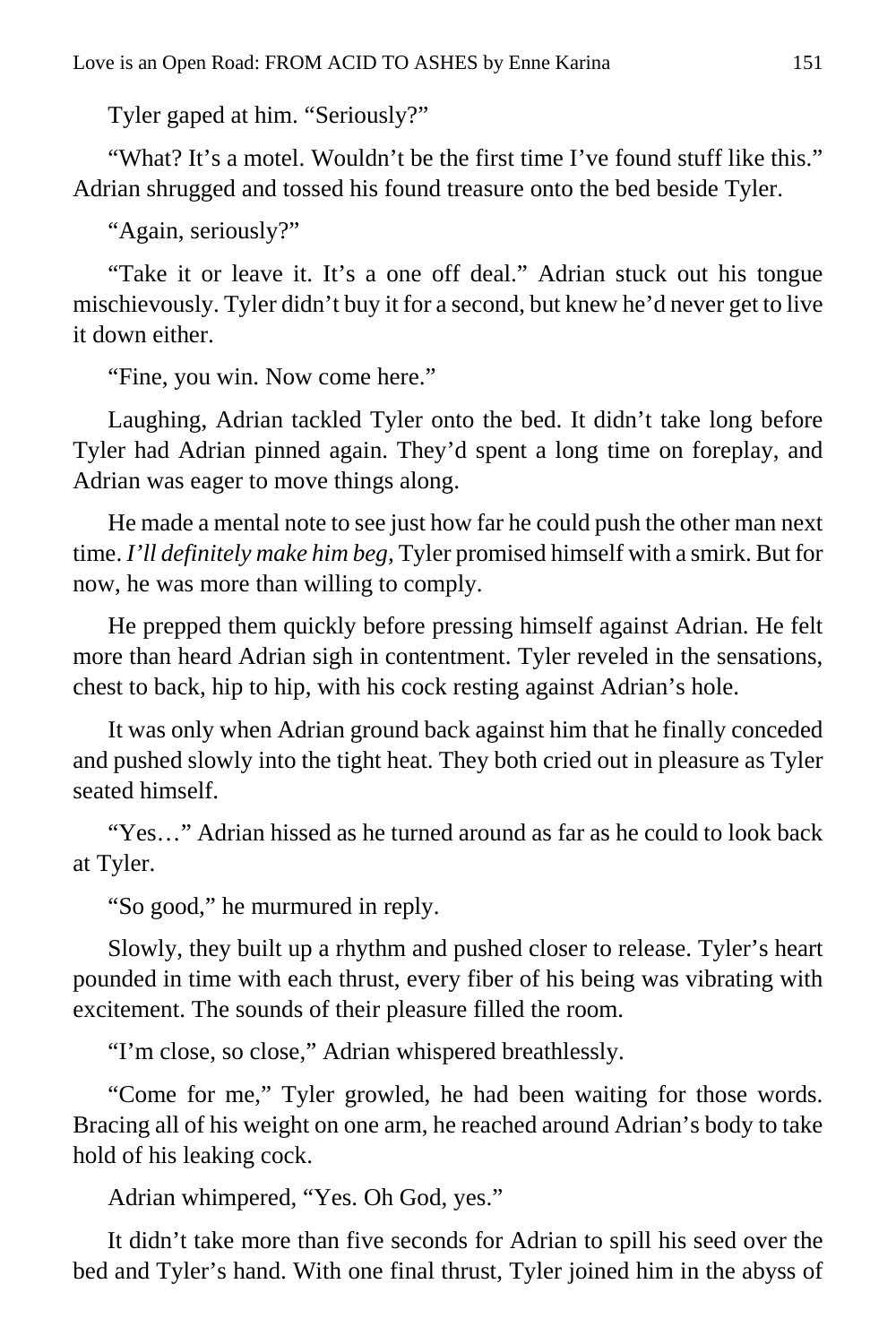Tyler gaped at him. "Seriously?"

"What? It's a motel. Wouldn't be the first time I've found stuff like this." Adrian shrugged and tossed his found treasure onto the bed beside Tyler.

"Again, seriously?"

"Take it or leave it. It's a one off deal." Adrian stuck out his tongue mischievously. Tyler didn't buy it for a second, but knew he'd never get to live it down either.

"Fine, you win. Now come here."

Laughing, Adrian tackled Tyler onto the bed. It didn't take long before Tyler had Adrian pinned again. They'd spent a long time on foreplay, and Adrian was eager to move things along.

He made a mental note to see just how far he could push the other man next time. *I'll definitely make him beg,* Tyler promised himself with a smirk. But for now, he was more than willing to comply.

He prepped them quickly before pressing himself against Adrian. He felt more than heard Adrian sigh in contentment. Tyler reveled in the sensations, chest to back, hip to hip, with his cock resting against Adrian's hole.

It was only when Adrian ground back against him that he finally conceded and pushed slowly into the tight heat. They both cried out in pleasure as Tyler seated himself.

"Yes…" Adrian hissed as he turned around as far as he could to look back at Tyler.

"So good," he murmured in reply.

Slowly, they built up a rhythm and pushed closer to release. Tyler's heart pounded in time with each thrust, every fiber of his being was vibrating with excitement. The sounds of their pleasure filled the room.

"I'm close, so close," Adrian whispered breathlessly.

"Come for me," Tyler growled, he had been waiting for those words. Bracing all of his weight on one arm, he reached around Adrian's body to take hold of his leaking cock.

Adrian whimpered, "Yes. Oh God, yes."

It didn't take more than five seconds for Adrian to spill his seed over the bed and Tyler's hand. With one final thrust, Tyler joined him in the abyss of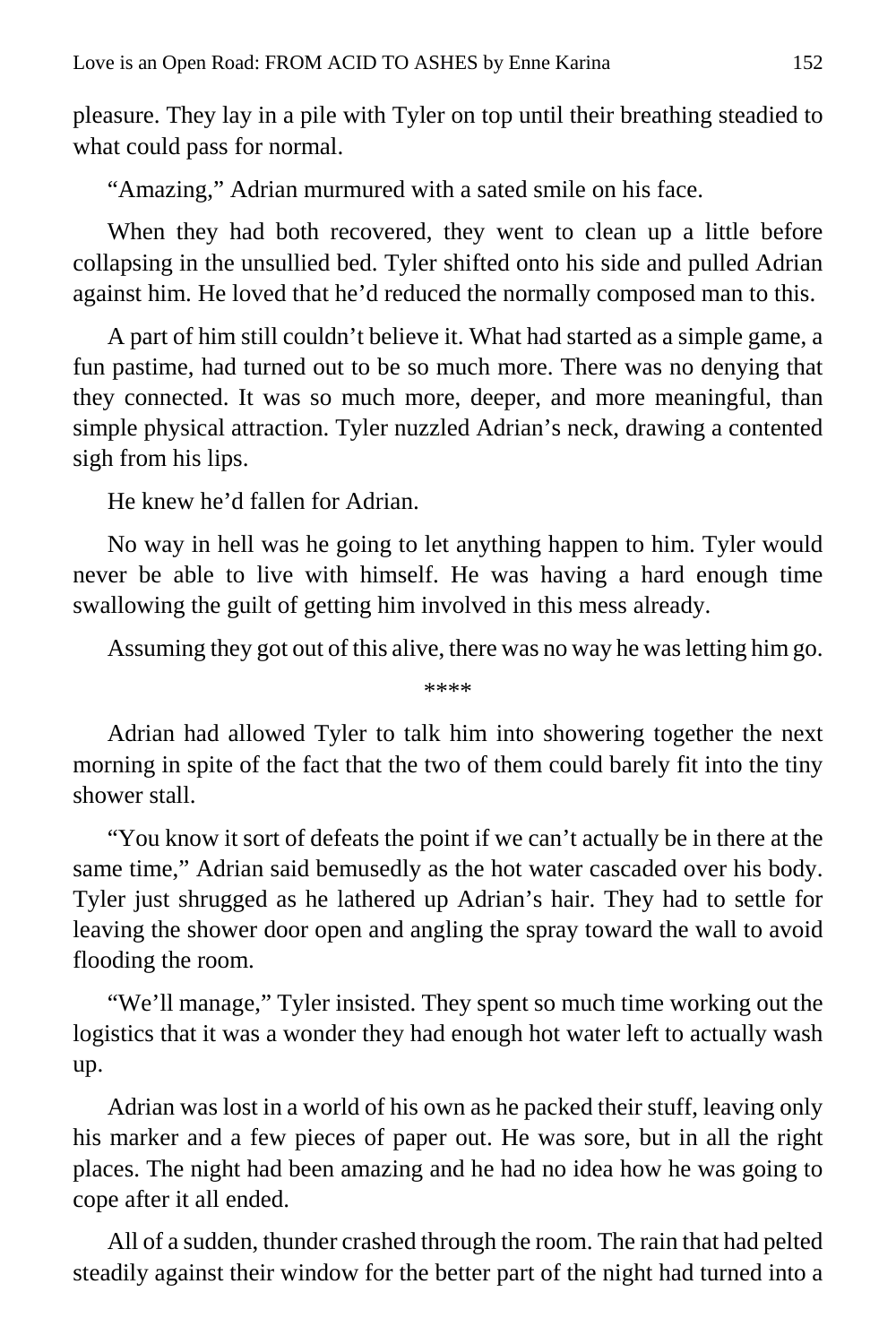pleasure. They lay in a pile with Tyler on top until their breathing steadied to what could pass for normal.

"Amazing," Adrian murmured with a sated smile on his face.

When they had both recovered, they went to clean up a little before collapsing in the unsullied bed. Tyler shifted onto his side and pulled Adrian against him. He loved that he'd reduced the normally composed man to this.

A part of him still couldn't believe it. What had started as a simple game, a fun pastime, had turned out to be so much more. There was no denying that they connected. It was so much more, deeper, and more meaningful, than simple physical attraction. Tyler nuzzled Adrian's neck, drawing a contented sigh from his lips.

He knew he'd fallen for Adrian.

No way in hell was he going to let anything happen to him. Tyler would never be able to live with himself. He was having a hard enough time swallowing the guilt of getting him involved in this mess already.

Assuming they got out of this alive, there was no way he was letting him go.

\*\*\*\*

Adrian had allowed Tyler to talk him into showering together the next morning in spite of the fact that the two of them could barely fit into the tiny shower stall.

"You know it sort of defeats the point if we can't actually be in there at the same time," Adrian said bemusedly as the hot water cascaded over his body. Tyler just shrugged as he lathered up Adrian's hair. They had to settle for leaving the shower door open and angling the spray toward the wall to avoid flooding the room.

"We'll manage," Tyler insisted. They spent so much time working out the logistics that it was a wonder they had enough hot water left to actually wash up.

Adrian was lost in a world of his own as he packed their stuff, leaving only his marker and a few pieces of paper out. He was sore, but in all the right places. The night had been amazing and he had no idea how he was going to cope after it all ended.

All of a sudden, thunder crashed through the room. The rain that had pelted steadily against their window for the better part of the night had turned into a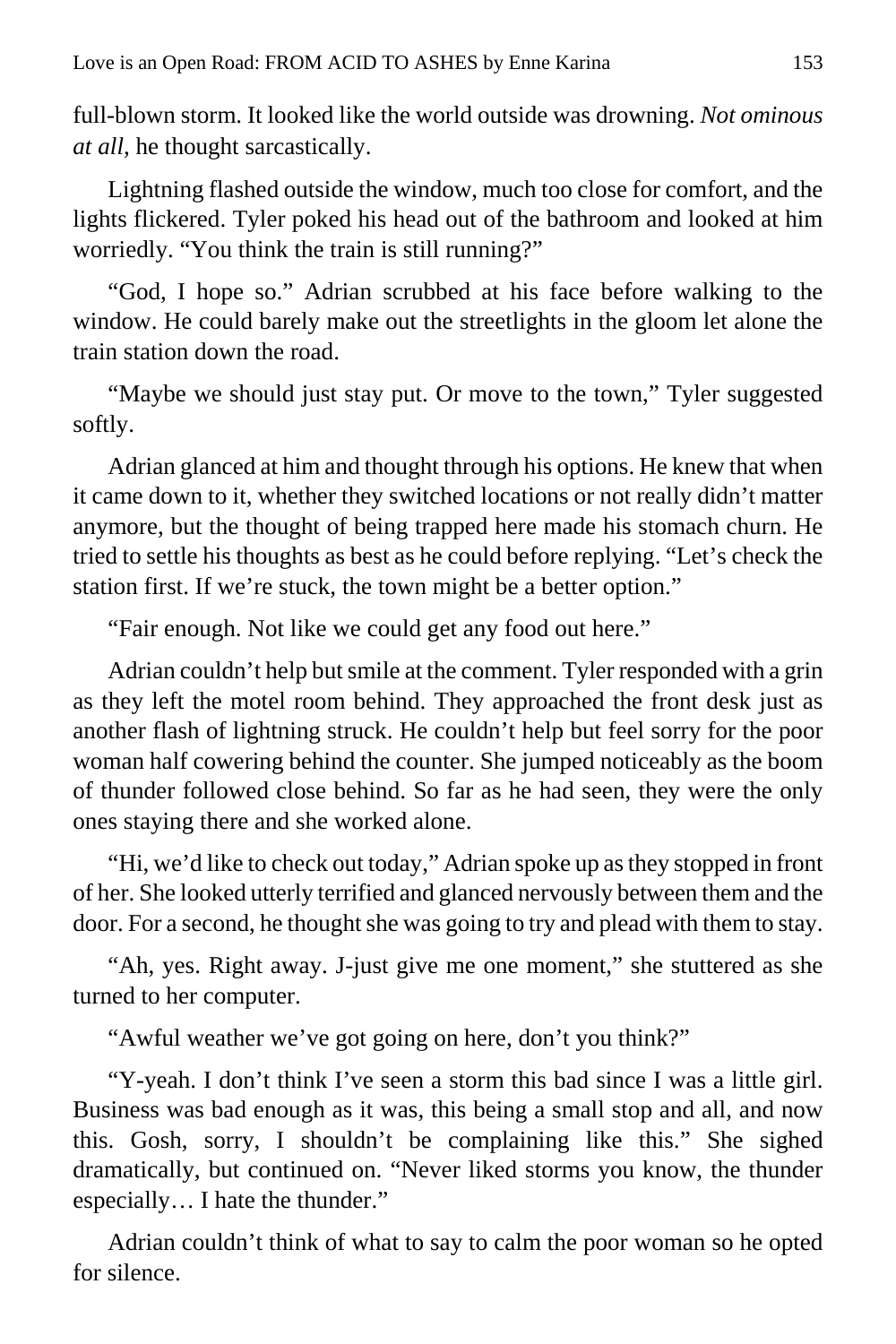full-blown storm. It looked like the world outside was drowning. *Not ominous at all,* he thought sarcastically.

Lightning flashed outside the window, much too close for comfort, and the lights flickered. Tyler poked his head out of the bathroom and looked at him worriedly. "You think the train is still running?"

"God, I hope so." Adrian scrubbed at his face before walking to the window. He could barely make out the streetlights in the gloom let alone the train station down the road.

"Maybe we should just stay put. Or move to the town," Tyler suggested softly.

Adrian glanced at him and thought through his options. He knew that when it came down to it, whether they switched locations or not really didn't matter anymore, but the thought of being trapped here made his stomach churn. He tried to settle his thoughts as best as he could before replying. "Let's check the station first. If we're stuck, the town might be a better option."

"Fair enough. Not like we could get any food out here."

Adrian couldn't help but smile at the comment. Tyler responded with a grin as they left the motel room behind. They approached the front desk just as another flash of lightning struck. He couldn't help but feel sorry for the poor woman half cowering behind the counter. She jumped noticeably as the boom of thunder followed close behind. So far as he had seen, they were the only ones staying there and she worked alone.

"Hi, we'd like to check out today," Adrian spoke up as they stopped in front of her. She looked utterly terrified and glanced nervously between them and the door. For a second, he thought she was going to try and plead with them to stay.

"Ah, yes. Right away. J-just give me one moment," she stuttered as she turned to her computer.

"Awful weather we've got going on here, don't you think?"

"Y-yeah. I don't think I've seen a storm this bad since I was a little girl. Business was bad enough as it was, this being a small stop and all, and now this. Gosh, sorry, I shouldn't be complaining like this." She sighed dramatically, but continued on. "Never liked storms you know, the thunder especially… I hate the thunder."

Adrian couldn't think of what to say to calm the poor woman so he opted for silence.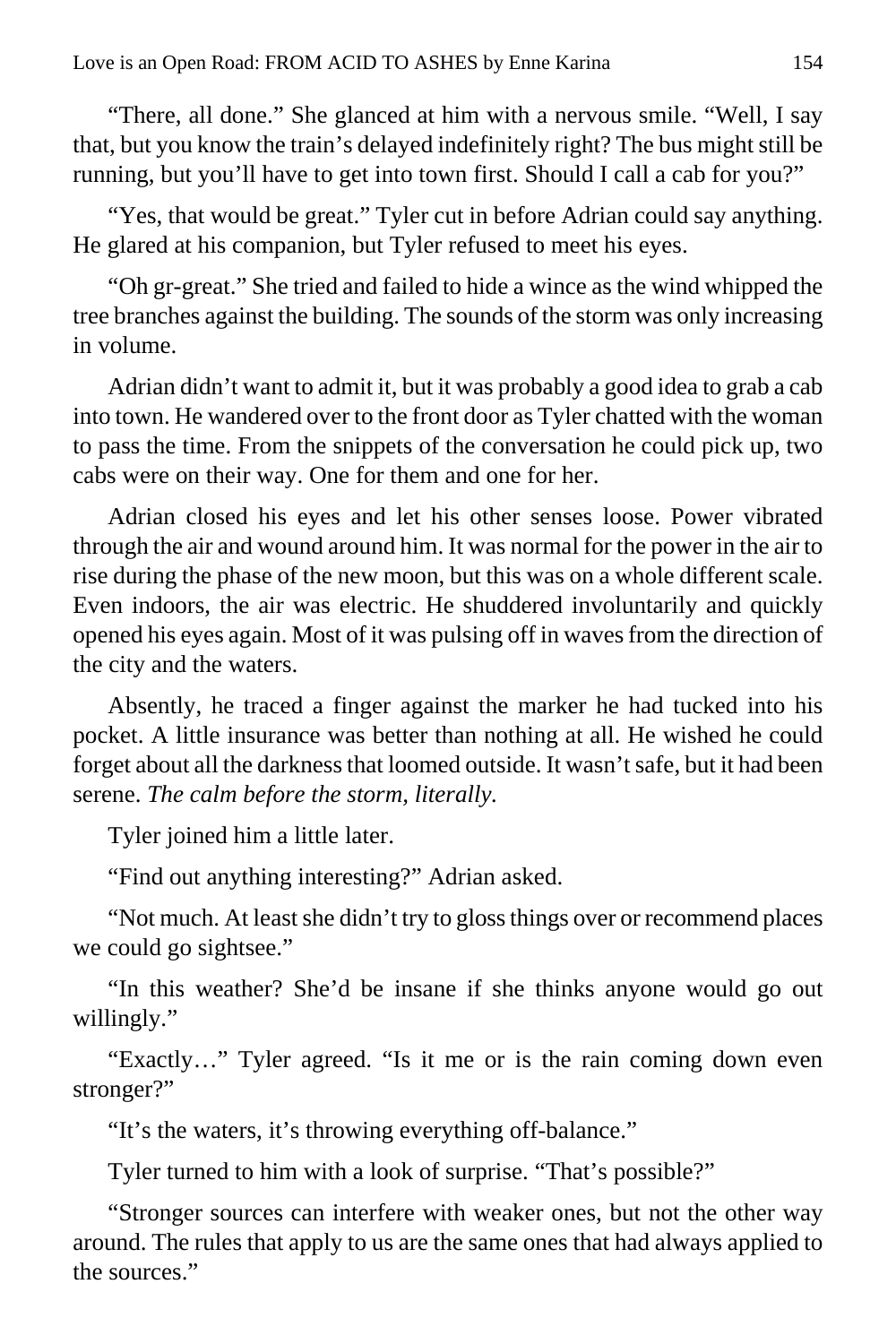"There, all done." She glanced at him with a nervous smile. "Well, I say that, but you know the train's delayed indefinitely right? The bus might still be running, but you'll have to get into town first. Should I call a cab for you?"

"Yes, that would be great." Tyler cut in before Adrian could say anything. He glared at his companion, but Tyler refused to meet his eyes.

"Oh gr-great." She tried and failed to hide a wince as the wind whipped the tree branches against the building. The sounds of the storm was only increasing in volume.

Adrian didn't want to admit it, but it was probably a good idea to grab a cab into town. He wandered over to the front door as Tyler chatted with the woman to pass the time. From the snippets of the conversation he could pick up, two cabs were on their way. One for them and one for her.

Adrian closed his eyes and let his other senses loose. Power vibrated through the air and wound around him. It was normal for the power in the air to rise during the phase of the new moon, but this was on a whole different scale. Even indoors, the air was electric. He shuddered involuntarily and quickly opened his eyes again. Most of it was pulsing off in waves from the direction of the city and the waters.

Absently, he traced a finger against the marker he had tucked into his pocket. A little insurance was better than nothing at all. He wished he could forget about all the darkness that loomed outside. It wasn't safe, but it had been serene. *The calm before the storm, literally.*

Tyler joined him a little later.

"Find out anything interesting?" Adrian asked.

"Not much. At least she didn't try to gloss things over or recommend places we could go sightsee."

"In this weather? She'd be insane if she thinks anyone would go out willingly."

"Exactly…" Tyler agreed. "Is it me or is the rain coming down even stronger?"

"It's the waters, it's throwing everything off-balance."

Tyler turned to him with a look of surprise. "That's possible?"

"Stronger sources can interfere with weaker ones, but not the other way around. The rules that apply to us are the same ones that had always applied to the sources."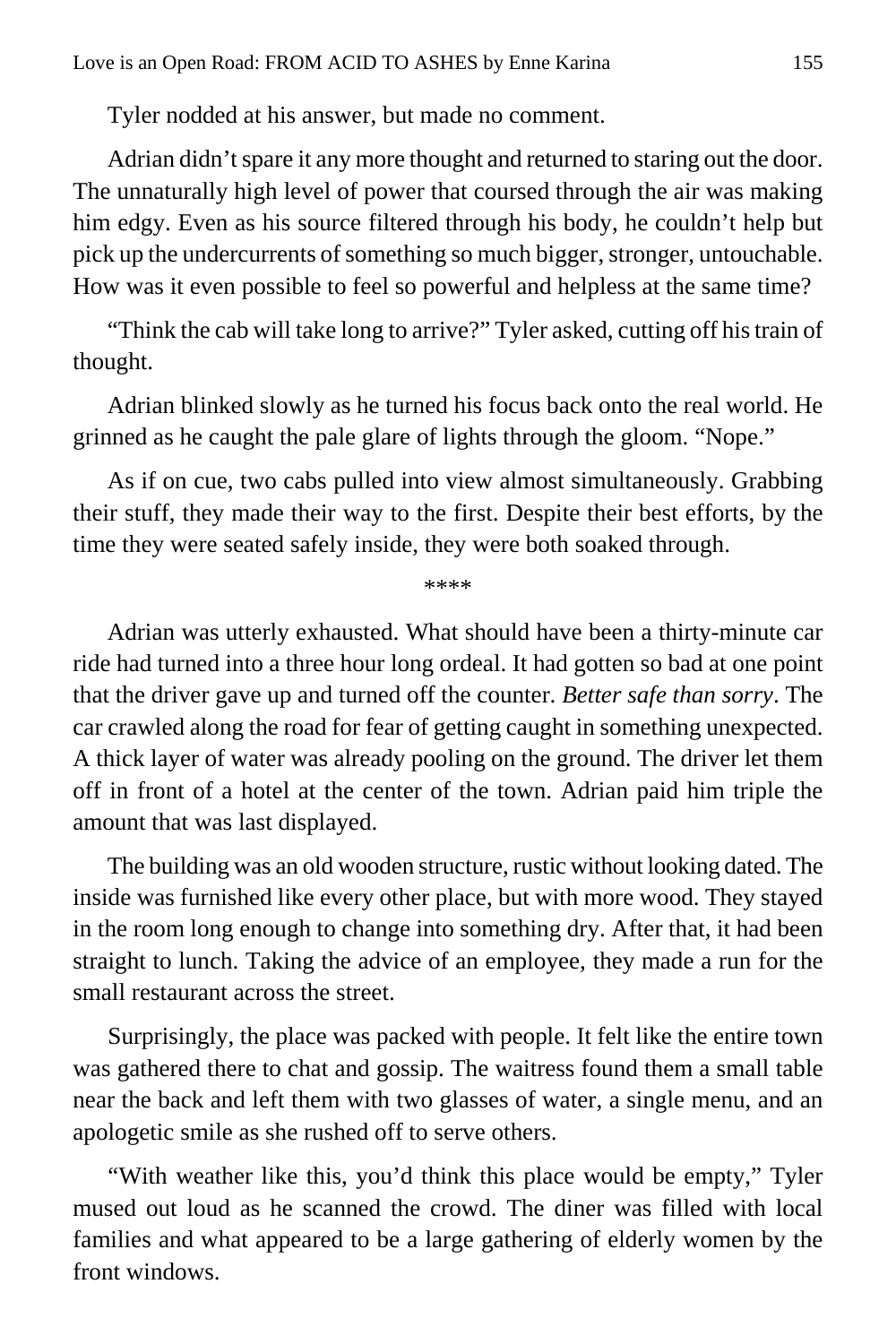Tyler nodded at his answer, but made no comment.

Adrian didn't spare it any more thought and returned to staring out the door. The unnaturally high level of power that coursed through the air was making him edgy. Even as his source filtered through his body, he couldn't help but pick up the undercurrents of something so much bigger, stronger, untouchable. How was it even possible to feel so powerful and helpless at the same time?

"Think the cab will take long to arrive?" Tyler asked, cutting off his train of thought.

Adrian blinked slowly as he turned his focus back onto the real world. He grinned as he caught the pale glare of lights through the gloom. "Nope."

As if on cue, two cabs pulled into view almost simultaneously. Grabbing their stuff, they made their way to the first. Despite their best efforts, by the time they were seated safely inside, they were both soaked through.

\*\*\*\*

Adrian was utterly exhausted. What should have been a thirty-minute car ride had turned into a three hour long ordeal. It had gotten so bad at one point that the driver gave up and turned off the counter. *Better safe than sorry*. The car crawled along the road for fear of getting caught in something unexpected. A thick layer of water was already pooling on the ground. The driver let them off in front of a hotel at the center of the town. Adrian paid him triple the amount that was last displayed.

The building was an old wooden structure, rustic without looking dated. The inside was furnished like every other place, but with more wood. They stayed in the room long enough to change into something dry. After that, it had been straight to lunch. Taking the advice of an employee, they made a run for the small restaurant across the street.

Surprisingly, the place was packed with people. It felt like the entire town was gathered there to chat and gossip. The waitress found them a small table near the back and left them with two glasses of water, a single menu, and an apologetic smile as she rushed off to serve others.

"With weather like this, you'd think this place would be empty," Tyler mused out loud as he scanned the crowd. The diner was filled with local families and what appeared to be a large gathering of elderly women by the front windows.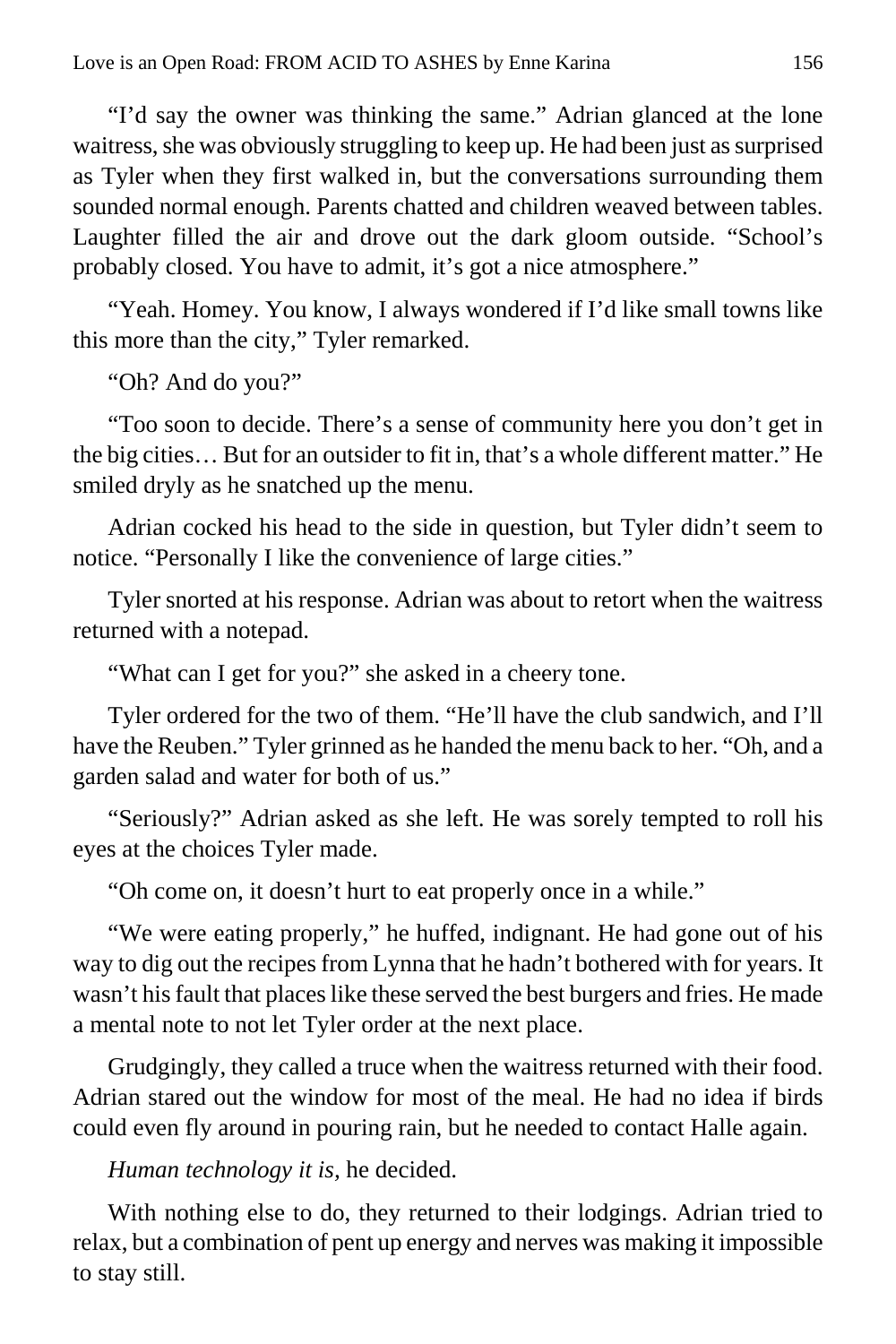"I'd say the owner was thinking the same." Adrian glanced at the lone waitress, she was obviously struggling to keep up. He had been just as surprised as Tyler when they first walked in, but the conversations surrounding them sounded normal enough. Parents chatted and children weaved between tables. Laughter filled the air and drove out the dark gloom outside. "School's probably closed. You have to admit, it's got a nice atmosphere."

"Yeah. Homey. You know, I always wondered if I'd like small towns like this more than the city," Tyler remarked.

"Oh? And do you?"

"Too soon to decide. There's a sense of community here you don't get in the big cities… But for an outsider to fit in, that's a whole different matter." He smiled dryly as he snatched up the menu.

Adrian cocked his head to the side in question, but Tyler didn't seem to notice. "Personally I like the convenience of large cities."

Tyler snorted at his response. Adrian was about to retort when the waitress returned with a notepad.

"What can I get for you?" she asked in a cheery tone.

Tyler ordered for the two of them. "He'll have the club sandwich, and I'll have the Reuben." Tyler grinned as he handed the menu back to her. "Oh, and a garden salad and water for both of us."

"Seriously?" Adrian asked as she left. He was sorely tempted to roll his eyes at the choices Tyler made.

"Oh come on, it doesn't hurt to eat properly once in a while."

"We were eating properly," he huffed, indignant. He had gone out of his way to dig out the recipes from Lynna that he hadn't bothered with for years. It wasn't his fault that places like these served the best burgers and fries. He made a mental note to not let Tyler order at the next place.

Grudgingly, they called a truce when the waitress returned with their food. Adrian stared out the window for most of the meal. He had no idea if birds could even fly around in pouring rain, but he needed to contact Halle again.

*Human technology it is,* he decided.

With nothing else to do, they returned to their lodgings. Adrian tried to relax, but a combination of pent up energy and nerves was making it impossible to stay still.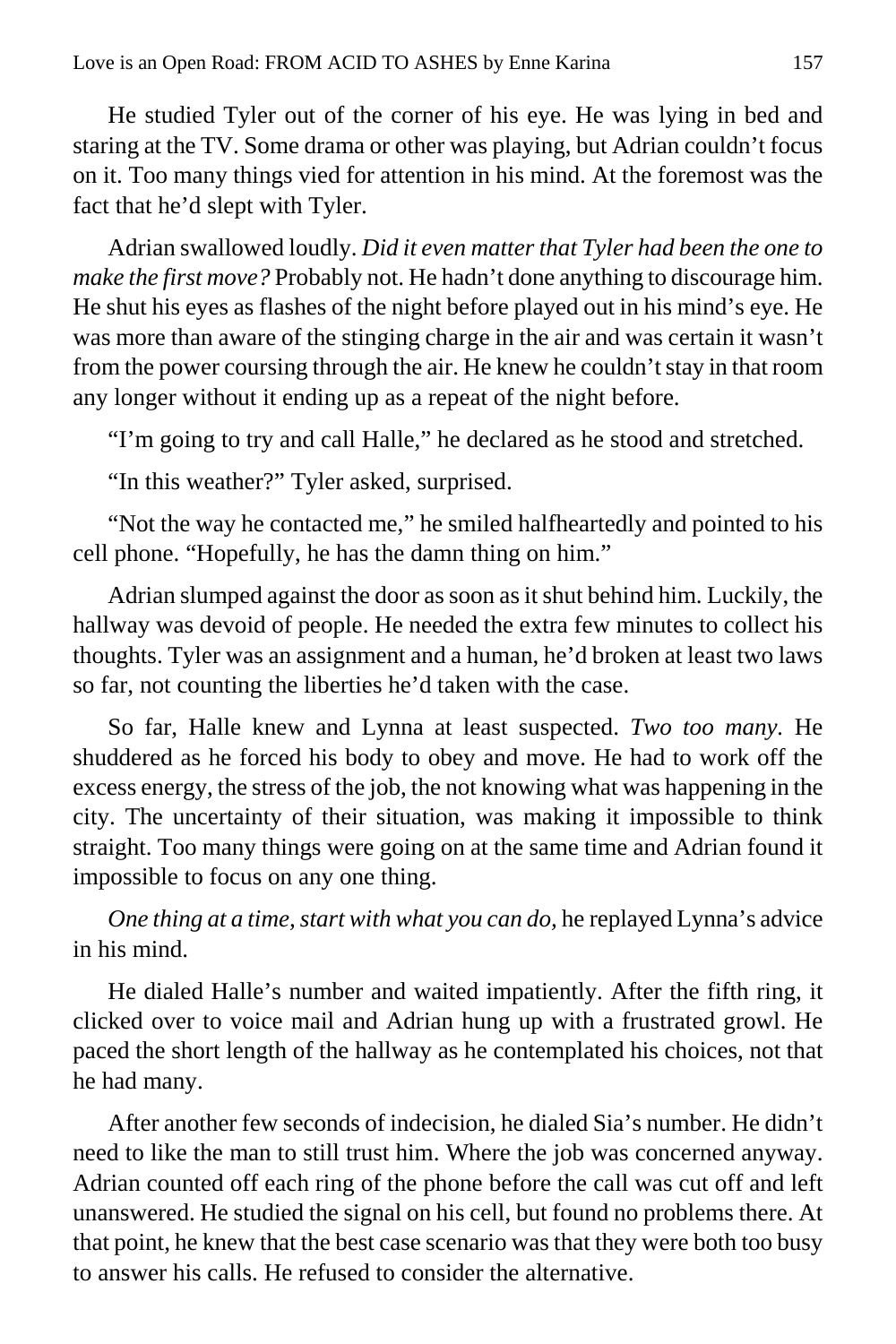He studied Tyler out of the corner of his eye. He was lying in bed and staring at the TV. Some drama or other was playing, but Adrian couldn't focus on it. Too many things vied for attention in his mind. At the foremost was the fact that he'd slept with Tyler.

Adrian swallowed loudly. *Did it even matter that Tyler had been the one to make the first move?* Probably not. He hadn't done anything to discourage him. He shut his eyes as flashes of the night before played out in his mind's eye. He was more than aware of the stinging charge in the air and was certain it wasn't from the power coursing through the air. He knew he couldn't stay in that room any longer without it ending up as a repeat of the night before.

"I'm going to try and call Halle," he declared as he stood and stretched.

"In this weather?" Tyler asked, surprised.

"Not the way he contacted me," he smiled halfheartedly and pointed to his cell phone. "Hopefully, he has the damn thing on him."

Adrian slumped against the door as soon as it shut behind him. Luckily, the hallway was devoid of people. He needed the extra few minutes to collect his thoughts. Tyler was an assignment and a human, he'd broken at least two laws so far, not counting the liberties he'd taken with the case.

So far, Halle knew and Lynna at least suspected. *Two too many.* He shuddered as he forced his body to obey and move. He had to work off the excess energy, the stress of the job, the not knowing what was happening in the city. The uncertainty of their situation, was making it impossible to think straight. Too many things were going on at the same time and Adrian found it impossible to focus on any one thing.

*One thing at a time, start with what you can do,* he replayed Lynna's advice in his mind.

He dialed Halle's number and waited impatiently. After the fifth ring, it clicked over to voice mail and Adrian hung up with a frustrated growl. He paced the short length of the hallway as he contemplated his choices, not that he had many.

After another few seconds of indecision, he dialed Sia's number. He didn't need to like the man to still trust him. Where the job was concerned anyway. Adrian counted off each ring of the phone before the call was cut off and left unanswered. He studied the signal on his cell, but found no problems there. At that point, he knew that the best case scenario was that they were both too busy to answer his calls. He refused to consider the alternative.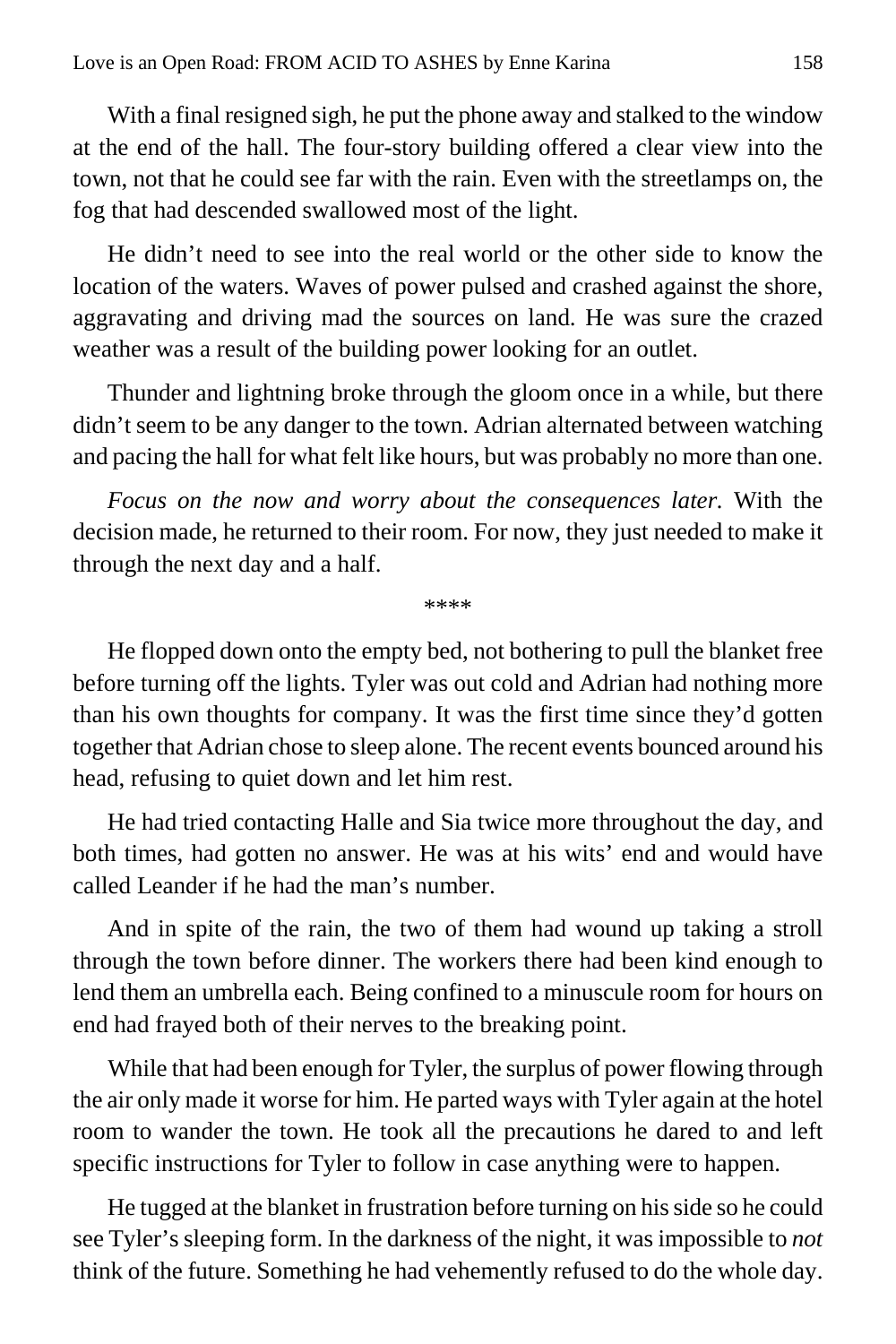With a final resigned sigh, he put the phone away and stalked to the window at the end of the hall. The four-story building offered a clear view into the town, not that he could see far with the rain. Even with the streetlamps on, the fog that had descended swallowed most of the light.

He didn't need to see into the real world or the other side to know the location of the waters. Waves of power pulsed and crashed against the shore, aggravating and driving mad the sources on land. He was sure the crazed weather was a result of the building power looking for an outlet.

Thunder and lightning broke through the gloom once in a while, but there didn't seem to be any danger to the town. Adrian alternated between watching and pacing the hall for what felt like hours, but was probably no more than one.

*Focus on the now and worry about the consequences later.* With the decision made, he returned to their room. For now, they just needed to make it through the next day and a half.

\*\*\*\*

He flopped down onto the empty bed, not bothering to pull the blanket free before turning off the lights. Tyler was out cold and Adrian had nothing more than his own thoughts for company. It was the first time since they'd gotten together that Adrian chose to sleep alone. The recent events bounced around his head, refusing to quiet down and let him rest.

He had tried contacting Halle and Sia twice more throughout the day, and both times, had gotten no answer. He was at his wits' end and would have called Leander if he had the man's number.

And in spite of the rain, the two of them had wound up taking a stroll through the town before dinner. The workers there had been kind enough to lend them an umbrella each. Being confined to a minuscule room for hours on end had frayed both of their nerves to the breaking point.

While that had been enough for Tyler, the surplus of power flowing through the air only made it worse for him. He parted ways with Tyler again at the hotel room to wander the town. He took all the precautions he dared to and left specific instructions for Tyler to follow in case anything were to happen.

He tugged at the blanket in frustration before turning on his side so he could see Tyler's sleeping form. In the darkness of the night, it was impossible to *not* think of the future. Something he had vehemently refused to do the whole day.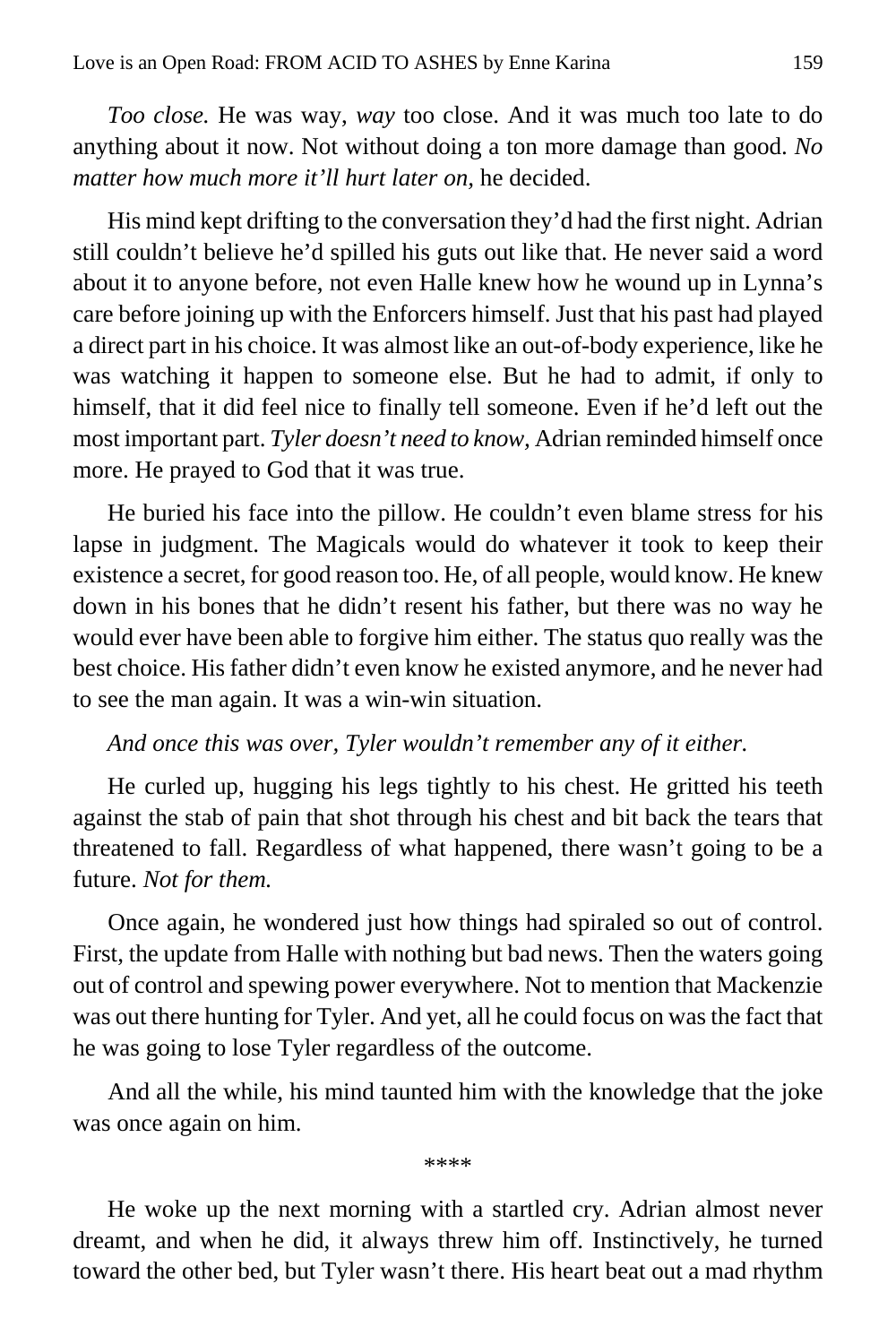*Too close.* He was way, *way* too close. And it was much too late to do anything about it now. Not without doing a ton more damage than good. *No matter how much more it'll hurt later on,* he decided.

His mind kept drifting to the conversation they'd had the first night. Adrian still couldn't believe he'd spilled his guts out like that. He never said a word about it to anyone before, not even Halle knew how he wound up in Lynna's care before joining up with the Enforcers himself. Just that his past had played a direct part in his choice. It was almost like an out-of-body experience, like he was watching it happen to someone else. But he had to admit, if only to himself, that it did feel nice to finally tell someone. Even if he'd left out the most important part. *Tyler doesn't need to know,* Adrian reminded himself once more. He prayed to God that it was true.

He buried his face into the pillow. He couldn't even blame stress for his lapse in judgment. The Magicals would do whatever it took to keep their existence a secret, for good reason too. He, of all people, would know. He knew down in his bones that he didn't resent his father, but there was no way he would ever have been able to forgive him either. The status quo really was the best choice. His father didn't even know he existed anymore, and he never had to see the man again. It was a win-win situation.

## *And once this was over, Tyler wouldn't remember any of it either.*

He curled up, hugging his legs tightly to his chest. He gritted his teeth against the stab of pain that shot through his chest and bit back the tears that threatened to fall. Regardless of what happened, there wasn't going to be a future. *Not for them.*

Once again, he wondered just how things had spiraled so out of control. First, the update from Halle with nothing but bad news. Then the waters going out of control and spewing power everywhere. Not to mention that Mackenzie was out there hunting for Tyler. And yet, all he could focus on was the fact that he was going to lose Tyler regardless of the outcome.

And all the while, his mind taunted him with the knowledge that the joke was once again on him.

\*\*\*\*

He woke up the next morning with a startled cry. Adrian almost never dreamt, and when he did, it always threw him off. Instinctively, he turned toward the other bed, but Tyler wasn't there. His heart beat out a mad rhythm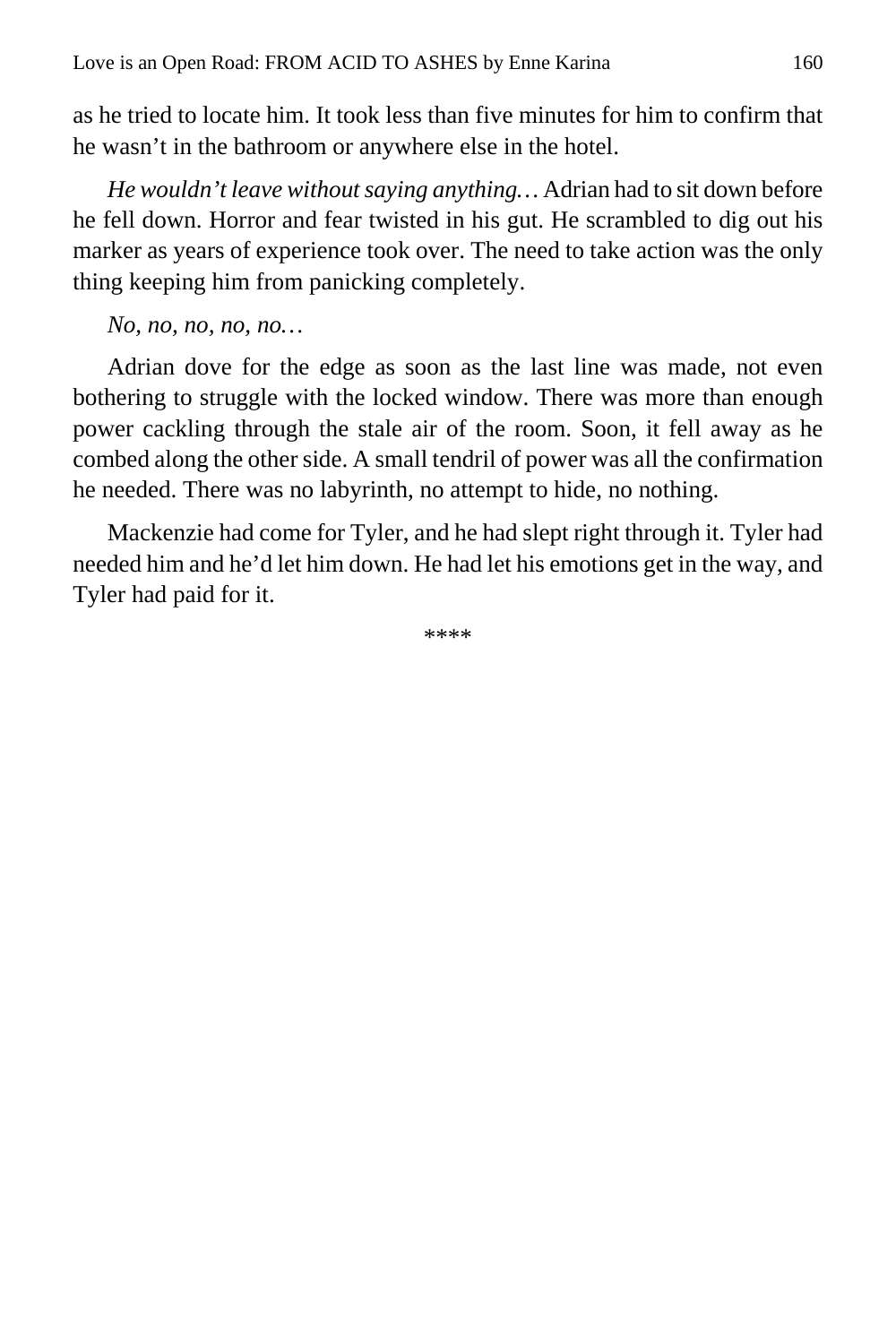as he tried to locate him. It took less than five minutes for him to confirm that he wasn't in the bathroom or anywhere else in the hotel.

*He wouldn't leave without saying anything…* Adrian had to sit down before he fell down. Horror and fear twisted in his gut. He scrambled to dig out his marker as years of experience took over. The need to take action was the only thing keeping him from panicking completely.

*No, no, no, no, no…*

Adrian dove for the edge as soon as the last line was made, not even bothering to struggle with the locked window. There was more than enough power cackling through the stale air of the room. Soon, it fell away as he combed along the other side. A small tendril of power was all the confirmation he needed. There was no labyrinth, no attempt to hide, no nothing.

Mackenzie had come for Tyler, and he had slept right through it. Tyler had needed him and he'd let him down. He had let his emotions get in the way, and Tyler had paid for it.

\*\*\*\*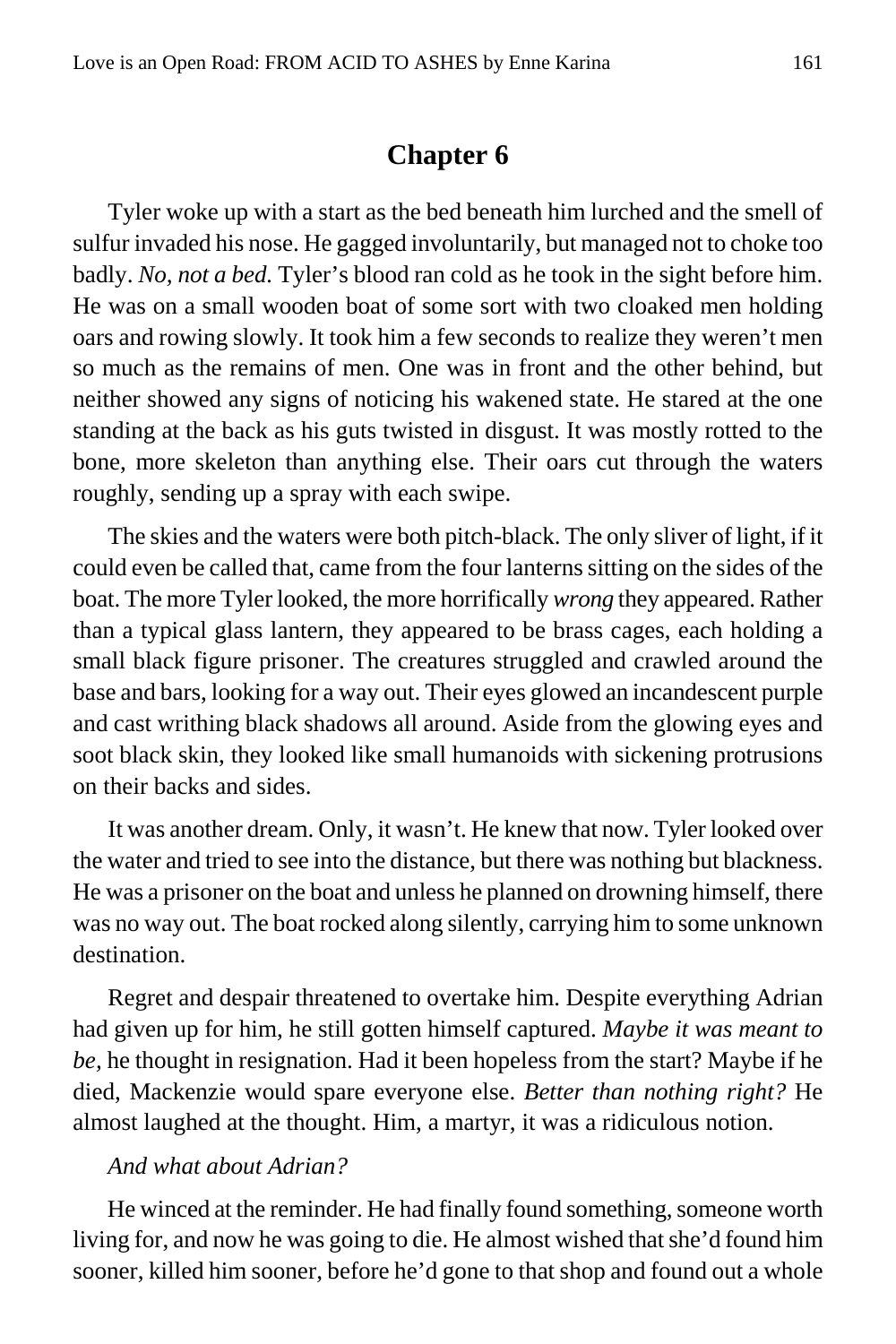## **Chapter 6**

Tyler woke up with a start as the bed beneath him lurched and the smell of sulfur invaded his nose. He gagged involuntarily, but managed not to choke too badly. *No, not a bed.* Tyler's blood ran cold as he took in the sight before him. He was on a small wooden boat of some sort with two cloaked men holding oars and rowing slowly. It took him a few seconds to realize they weren't men so much as the remains of men. One was in front and the other behind, but neither showed any signs of noticing his wakened state. He stared at the one standing at the back as his guts twisted in disgust. It was mostly rotted to the bone, more skeleton than anything else. Their oars cut through the waters roughly, sending up a spray with each swipe.

The skies and the waters were both pitch-black. The only sliver of light, if it could even be called that, came from the four lanterns sitting on the sides of the boat. The more Tyler looked, the more horrifically *wrong* they appeared. Rather than a typical glass lantern, they appeared to be brass cages, each holding a small black figure prisoner. The creatures struggled and crawled around the base and bars, looking for a way out. Their eyes glowed an incandescent purple and cast writhing black shadows all around. Aside from the glowing eyes and soot black skin, they looked like small humanoids with sickening protrusions on their backs and sides.

It was another dream. Only, it wasn't. He knew that now. Tyler looked over the water and tried to see into the distance, but there was nothing but blackness. He was a prisoner on the boat and unless he planned on drowning himself, there was no way out. The boat rocked along silently, carrying him to some unknown destination.

Regret and despair threatened to overtake him. Despite everything Adrian had given up for him, he still gotten himself captured. *Maybe it was meant to be,* he thought in resignation. Had it been hopeless from the start? Maybe if he died, Mackenzie would spare everyone else. *Better than nothing right?* He almost laughed at the thought. Him, a martyr, it was a ridiculous notion.

## *And what about Adrian?*

He winced at the reminder. He had finally found something, someone worth living for, and now he was going to die. He almost wished that she'd found him sooner, killed him sooner, before he'd gone to that shop and found out a whole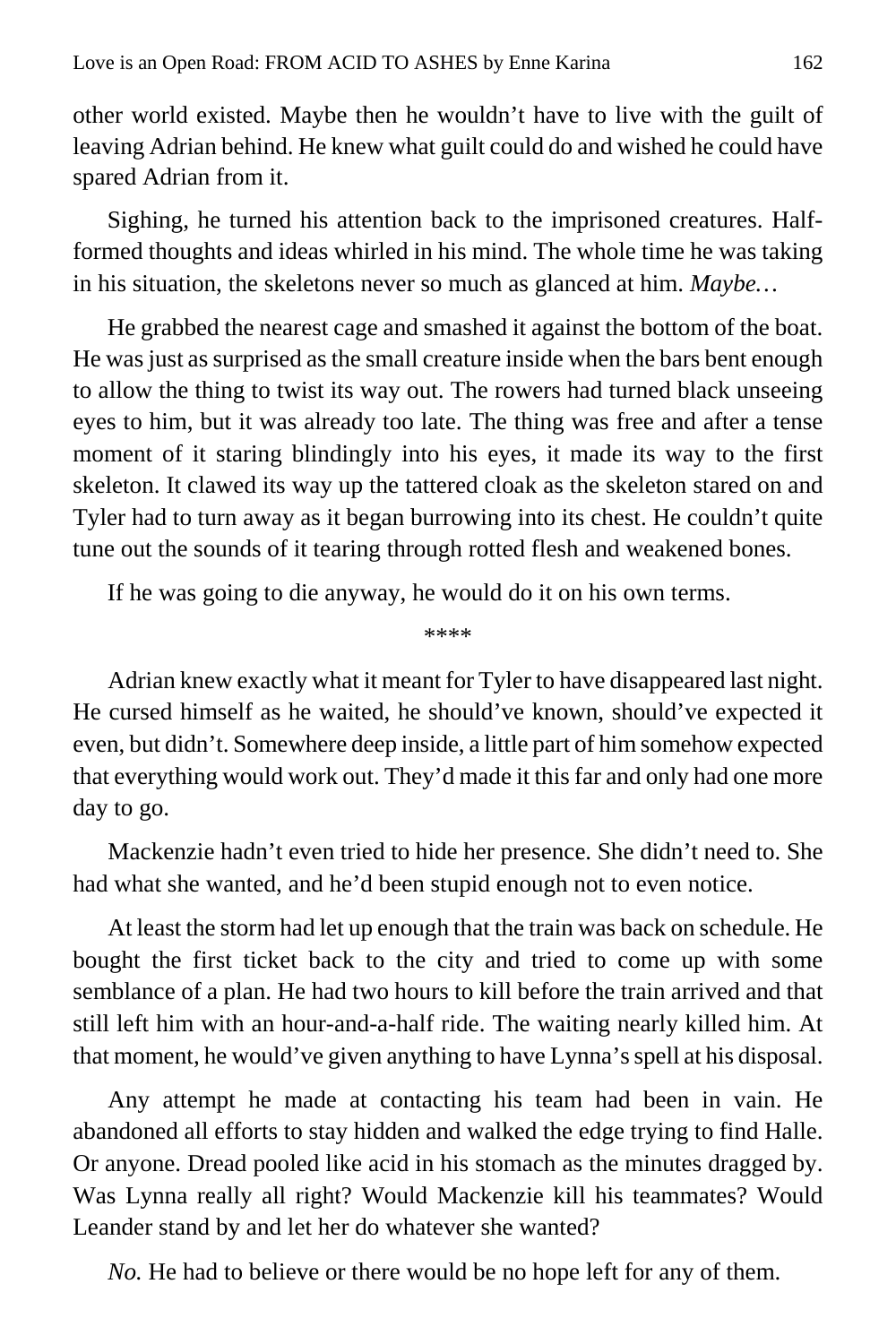other world existed. Maybe then he wouldn't have to live with the guilt of leaving Adrian behind. He knew what guilt could do and wished he could have spared Adrian from it.

Sighing, he turned his attention back to the imprisoned creatures. Halfformed thoughts and ideas whirled in his mind. The whole time he was taking in his situation, the skeletons never so much as glanced at him. *Maybe…*

He grabbed the nearest cage and smashed it against the bottom of the boat. He was just as surprised as the small creature inside when the bars bent enough to allow the thing to twist its way out. The rowers had turned black unseeing eyes to him, but it was already too late. The thing was free and after a tense moment of it staring blindingly into his eyes, it made its way to the first skeleton. It clawed its way up the tattered cloak as the skeleton stared on and Tyler had to turn away as it began burrowing into its chest. He couldn't quite tune out the sounds of it tearing through rotted flesh and weakened bones.

If he was going to die anyway, he would do it on his own terms.

\*\*\*\*

Adrian knew exactly what it meant for Tyler to have disappeared last night. He cursed himself as he waited, he should've known, should've expected it even, but didn't. Somewhere deep inside, a little part of him somehow expected that everything would work out. They'd made it this far and only had one more day to go.

Mackenzie hadn't even tried to hide her presence. She didn't need to. She had what she wanted, and he'd been stupid enough not to even notice.

At least the storm had let up enough that the train was back on schedule. He bought the first ticket back to the city and tried to come up with some semblance of a plan. He had two hours to kill before the train arrived and that still left him with an hour-and-a-half ride. The waiting nearly killed him. At that moment, he would've given anything to have Lynna's spell at his disposal.

Any attempt he made at contacting his team had been in vain. He abandoned all efforts to stay hidden and walked the edge trying to find Halle. Or anyone. Dread pooled like acid in his stomach as the minutes dragged by. Was Lynna really all right? Would Mackenzie kill his teammates? Would Leander stand by and let her do whatever she wanted?

*No.* He had to believe or there would be no hope left for any of them.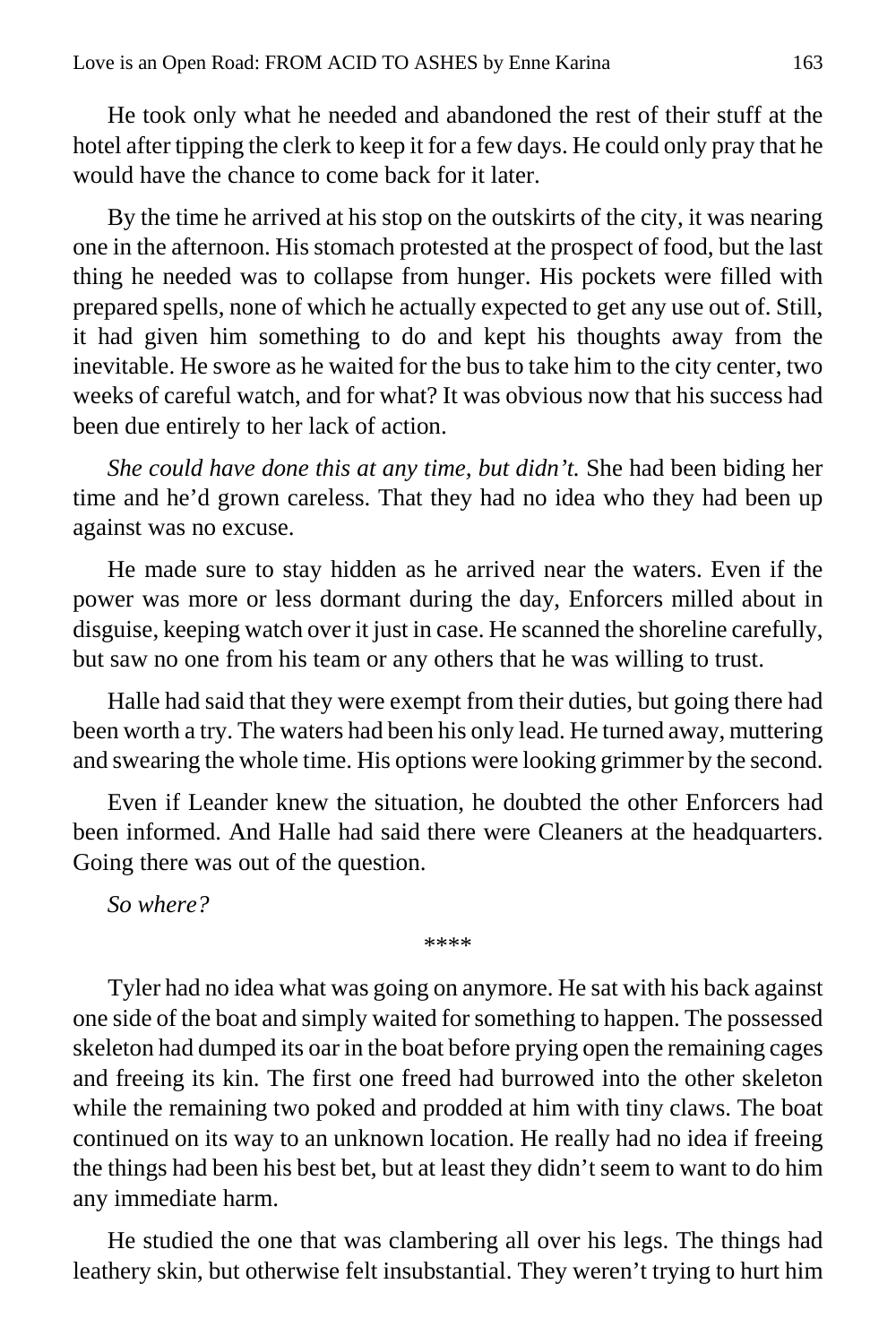He took only what he needed and abandoned the rest of their stuff at the hotel after tipping the clerk to keep it for a few days. He could only pray that he would have the chance to come back for it later.

By the time he arrived at his stop on the outskirts of the city, it was nearing one in the afternoon. His stomach protested at the prospect of food, but the last thing he needed was to collapse from hunger. His pockets were filled with prepared spells, none of which he actually expected to get any use out of. Still, it had given him something to do and kept his thoughts away from the inevitable. He swore as he waited for the bus to take him to the city center, two weeks of careful watch, and for what? It was obvious now that his success had been due entirely to her lack of action.

*She could have done this at any time, but didn't.* She had been biding her time and he'd grown careless. That they had no idea who they had been up against was no excuse.

He made sure to stay hidden as he arrived near the waters. Even if the power was more or less dormant during the day, Enforcers milled about in disguise, keeping watch over it just in case. He scanned the shoreline carefully, but saw no one from his team or any others that he was willing to trust.

Halle had said that they were exempt from their duties, but going there had been worth a try. The waters had been his only lead. He turned away, muttering and swearing the whole time. His options were looking grimmer by the second.

Even if Leander knew the situation, he doubted the other Enforcers had been informed. And Halle had said there were Cleaners at the headquarters. Going there was out of the question.

*So where?*

\*\*\*\*

Tyler had no idea what was going on anymore. He sat with his back against one side of the boat and simply waited for something to happen. The possessed skeleton had dumped its oar in the boat before prying open the remaining cages and freeing its kin. The first one freed had burrowed into the other skeleton while the remaining two poked and prodded at him with tiny claws. The boat continued on its way to an unknown location. He really had no idea if freeing the things had been his best bet, but at least they didn't seem to want to do him any immediate harm.

He studied the one that was clambering all over his legs. The things had leathery skin, but otherwise felt insubstantial. They weren't trying to hurt him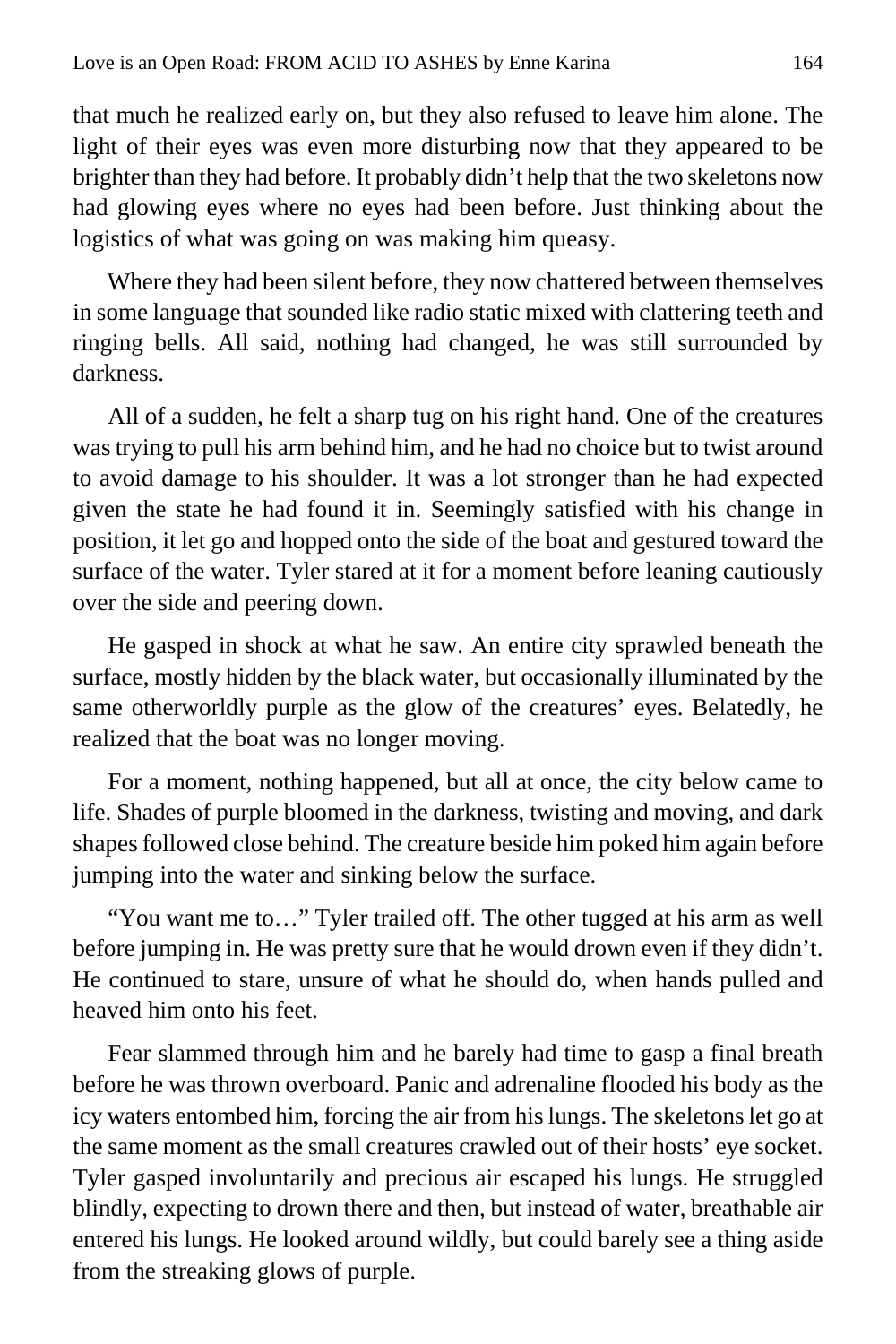that much he realized early on, but they also refused to leave him alone. The light of their eyes was even more disturbing now that they appeared to be brighter than they had before. It probably didn't help that the two skeletons now had glowing eyes where no eyes had been before. Just thinking about the logistics of what was going on was making him queasy.

Where they had been silent before, they now chattered between themselves in some language that sounded like radio static mixed with clattering teeth and ringing bells. All said, nothing had changed, he was still surrounded by darkness.

All of a sudden, he felt a sharp tug on his right hand. One of the creatures was trying to pull his arm behind him, and he had no choice but to twist around to avoid damage to his shoulder. It was a lot stronger than he had expected given the state he had found it in. Seemingly satisfied with his change in position, it let go and hopped onto the side of the boat and gestured toward the surface of the water. Tyler stared at it for a moment before leaning cautiously over the side and peering down.

He gasped in shock at what he saw. An entire city sprawled beneath the surface, mostly hidden by the black water, but occasionally illuminated by the same otherworldly purple as the glow of the creatures' eyes. Belatedly, he realized that the boat was no longer moving.

For a moment, nothing happened, but all at once, the city below came to life. Shades of purple bloomed in the darkness, twisting and moving, and dark shapes followed close behind. The creature beside him poked him again before jumping into the water and sinking below the surface.

"You want me to…" Tyler trailed off. The other tugged at his arm as well before jumping in. He was pretty sure that he would drown even if they didn't. He continued to stare, unsure of what he should do, when hands pulled and heaved him onto his feet.

Fear slammed through him and he barely had time to gasp a final breath before he was thrown overboard. Panic and adrenaline flooded his body as the icy waters entombed him, forcing the air from his lungs. The skeletons let go at the same moment as the small creatures crawled out of their hosts' eye socket. Tyler gasped involuntarily and precious air escaped his lungs. He struggled blindly, expecting to drown there and then, but instead of water, breathable air entered his lungs. He looked around wildly, but could barely see a thing aside from the streaking glows of purple.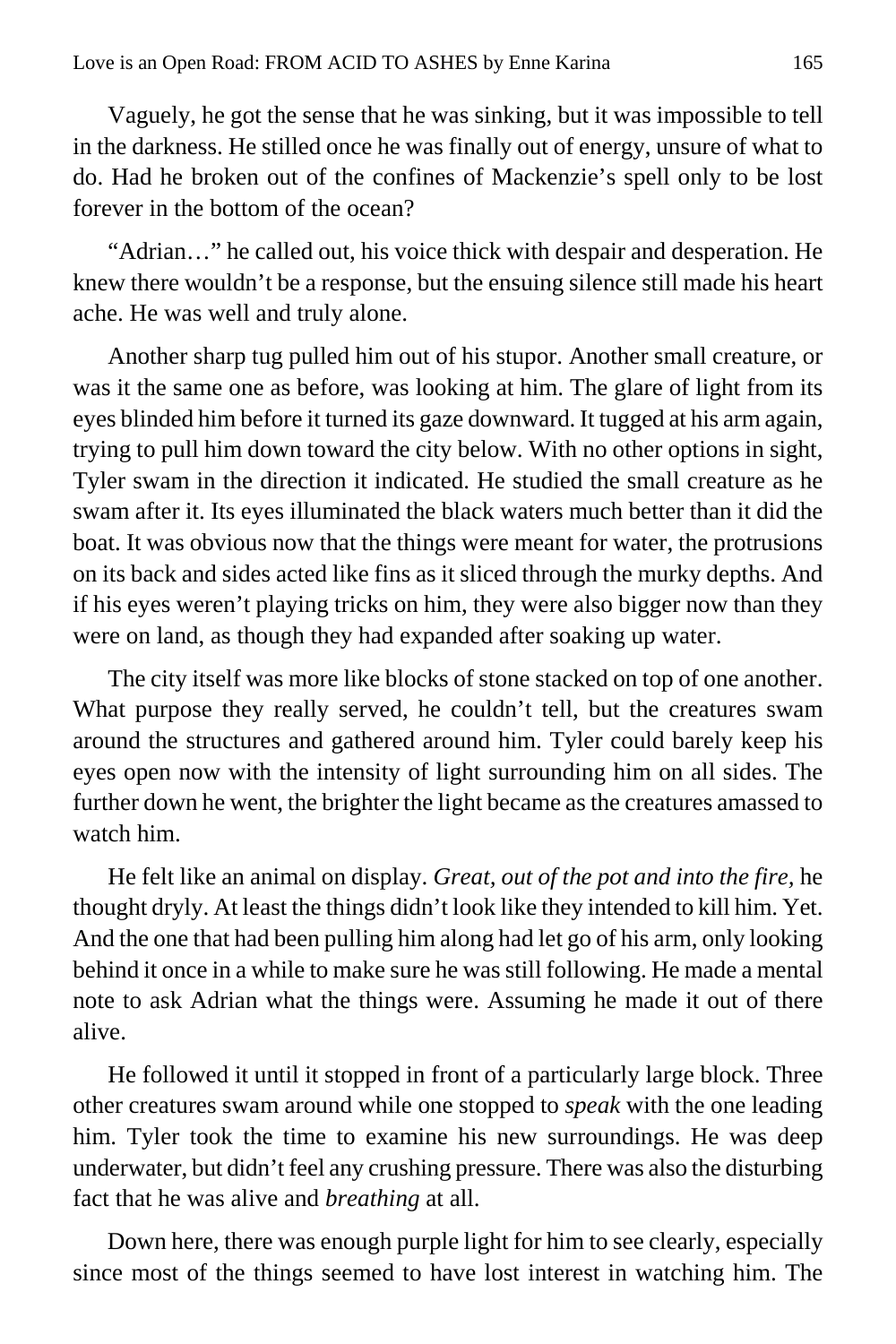Vaguely, he got the sense that he was sinking, but it was impossible to tell in the darkness. He stilled once he was finally out of energy, unsure of what to do. Had he broken out of the confines of Mackenzie's spell only to be lost forever in the bottom of the ocean?

"Adrian…" he called out, his voice thick with despair and desperation. He knew there wouldn't be a response, but the ensuing silence still made his heart ache. He was well and truly alone.

Another sharp tug pulled him out of his stupor. Another small creature, or was it the same one as before, was looking at him. The glare of light from its eyes blinded him before it turned its gaze downward. It tugged at his arm again, trying to pull him down toward the city below. With no other options in sight, Tyler swam in the direction it indicated. He studied the small creature as he swam after it. Its eyes illuminated the black waters much better than it did the boat. It was obvious now that the things were meant for water, the protrusions on its back and sides acted like fins as it sliced through the murky depths. And if his eyes weren't playing tricks on him, they were also bigger now than they were on land, as though they had expanded after soaking up water.

The city itself was more like blocks of stone stacked on top of one another. What purpose they really served, he couldn't tell, but the creatures swam around the structures and gathered around him. Tyler could barely keep his eyes open now with the intensity of light surrounding him on all sides. The further down he went, the brighter the light became as the creatures amassed to watch him.

He felt like an animal on display. *Great, out of the pot and into the fire,* he thought dryly. At least the things didn't look like they intended to kill him. Yet. And the one that had been pulling him along had let go of his arm, only looking behind it once in a while to make sure he was still following. He made a mental note to ask Adrian what the things were. Assuming he made it out of there alive.

He followed it until it stopped in front of a particularly large block. Three other creatures swam around while one stopped to *speak* with the one leading him. Tyler took the time to examine his new surroundings. He was deep underwater, but didn't feel any crushing pressure. There was also the disturbing fact that he was alive and *breathing* at all.

Down here, there was enough purple light for him to see clearly, especially since most of the things seemed to have lost interest in watching him. The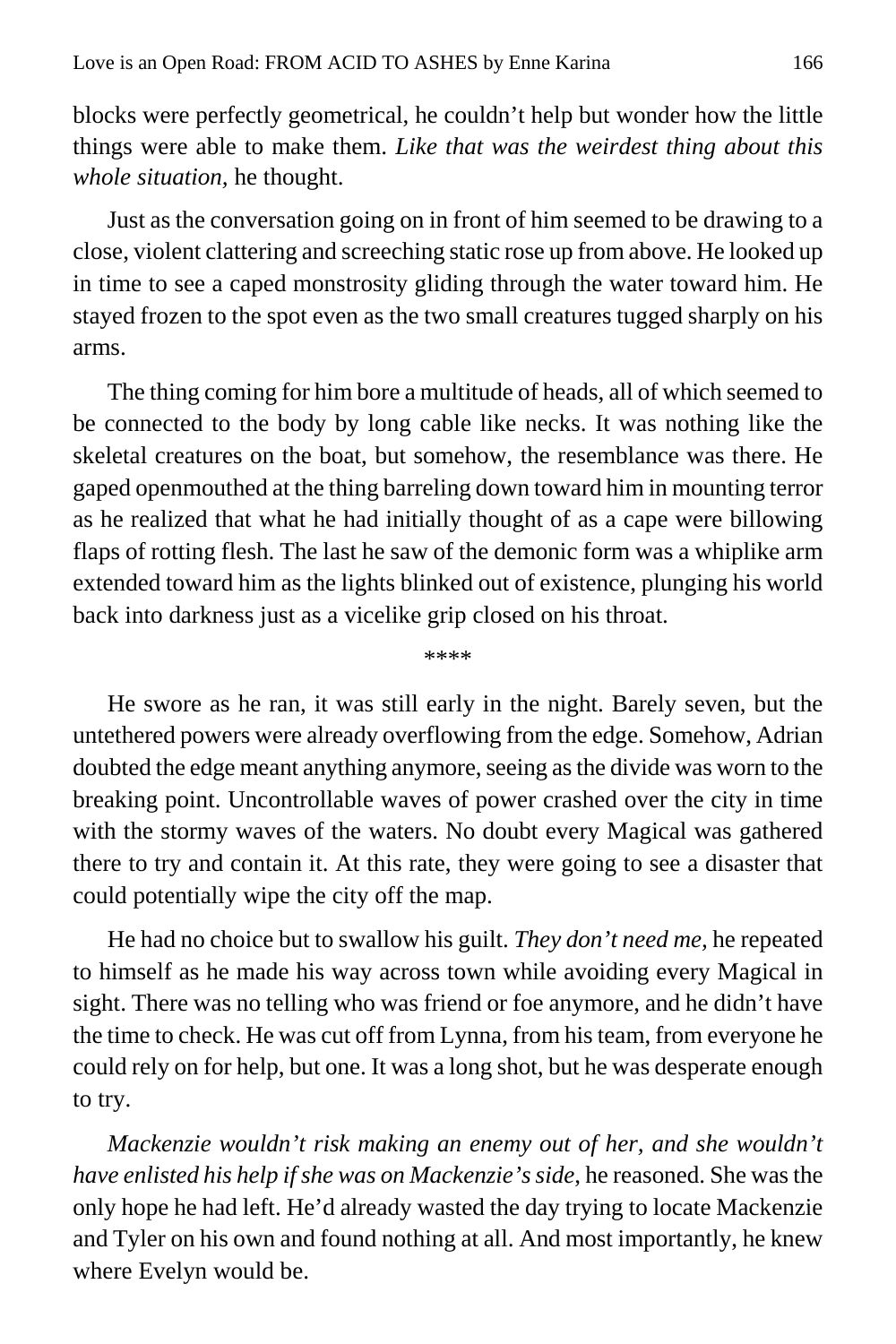blocks were perfectly geometrical, he couldn't help but wonder how the little things were able to make them. *Like that was the weirdest thing about this whole situation,* he thought.

Just as the conversation going on in front of him seemed to be drawing to a close, violent clattering and screeching static rose up from above. He looked up in time to see a caped monstrosity gliding through the water toward him. He stayed frozen to the spot even as the two small creatures tugged sharply on his arms.

The thing coming for him bore a multitude of heads, all of which seemed to be connected to the body by long cable like necks. It was nothing like the skeletal creatures on the boat, but somehow, the resemblance was there. He gaped openmouthed at the thing barreling down toward him in mounting terror as he realized that what he had initially thought of as a cape were billowing flaps of rotting flesh. The last he saw of the demonic form was a whiplike arm extended toward him as the lights blinked out of existence, plunging his world back into darkness just as a vicelike grip closed on his throat.

\*\*\*\*

He swore as he ran, it was still early in the night. Barely seven, but the untethered powers were already overflowing from the edge. Somehow, Adrian doubted the edge meant anything anymore, seeing as the divide was worn to the breaking point. Uncontrollable waves of power crashed over the city in time with the stormy waves of the waters. No doubt every Magical was gathered there to try and contain it. At this rate, they were going to see a disaster that could potentially wipe the city off the map.

He had no choice but to swallow his guilt. *They don't need me,* he repeated to himself as he made his way across town while avoiding every Magical in sight. There was no telling who was friend or foe anymore, and he didn't have the time to check. He was cut off from Lynna, from his team, from everyone he could rely on for help, but one. It was a long shot, but he was desperate enough to try.

*Mackenzie wouldn't risk making an enemy out of her, and she wouldn't have enlisted his help if she was on Mackenzie's side*, he reasoned. She was the only hope he had left. He'd already wasted the day trying to locate Mackenzie and Tyler on his own and found nothing at all. And most importantly, he knew where Evelyn would be.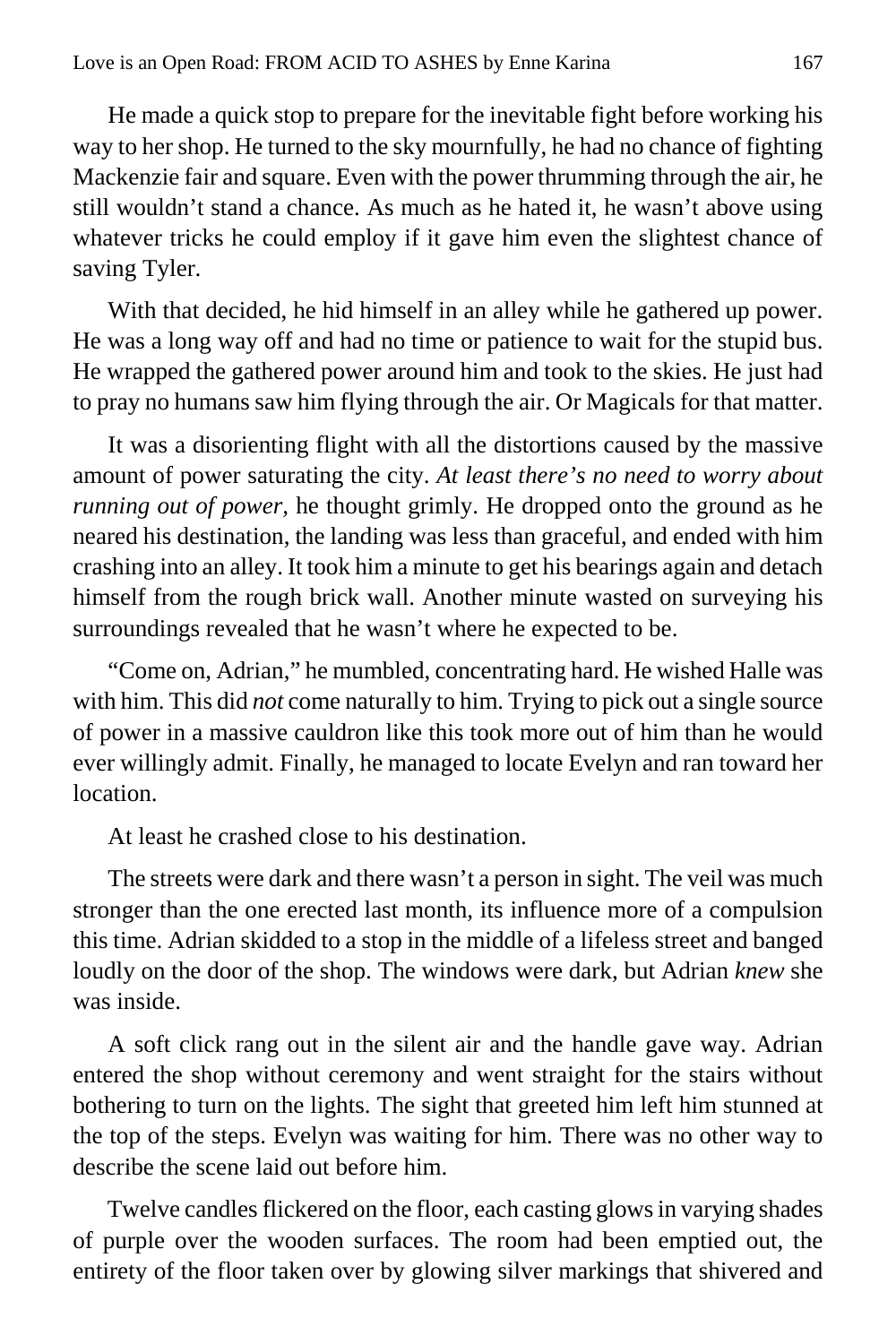He made a quick stop to prepare for the inevitable fight before working his way to her shop. He turned to the sky mournfully, he had no chance of fighting Mackenzie fair and square. Even with the power thrumming through the air, he still wouldn't stand a chance. As much as he hated it, he wasn't above using whatever tricks he could employ if it gave him even the slightest chance of saving Tyler.

With that decided, he hid himself in an alley while he gathered up power. He was a long way off and had no time or patience to wait for the stupid bus. He wrapped the gathered power around him and took to the skies. He just had to pray no humans saw him flying through the air. Or Magicals for that matter.

It was a disorienting flight with all the distortions caused by the massive amount of power saturating the city. *At least there's no need to worry about running out of power,* he thought grimly. He dropped onto the ground as he neared his destination, the landing was less than graceful, and ended with him crashing into an alley. It took him a minute to get his bearings again and detach himself from the rough brick wall. Another minute wasted on surveying his surroundings revealed that he wasn't where he expected to be.

"Come on, Adrian," he mumbled, concentrating hard. He wished Halle was with him. This did *not* come naturally to him. Trying to pick out a single source of power in a massive cauldron like this took more out of him than he would ever willingly admit. Finally, he managed to locate Evelyn and ran toward her location.

At least he crashed close to his destination.

The streets were dark and there wasn't a person in sight. The veil was much stronger than the one erected last month, its influence more of a compulsion this time. Adrian skidded to a stop in the middle of a lifeless street and banged loudly on the door of the shop. The windows were dark, but Adrian *knew* she was inside.

A soft click rang out in the silent air and the handle gave way. Adrian entered the shop without ceremony and went straight for the stairs without bothering to turn on the lights. The sight that greeted him left him stunned at the top of the steps. Evelyn was waiting for him. There was no other way to describe the scene laid out before him.

Twelve candles flickered on the floor, each casting glows in varying shades of purple over the wooden surfaces. The room had been emptied out, the entirety of the floor taken over by glowing silver markings that shivered and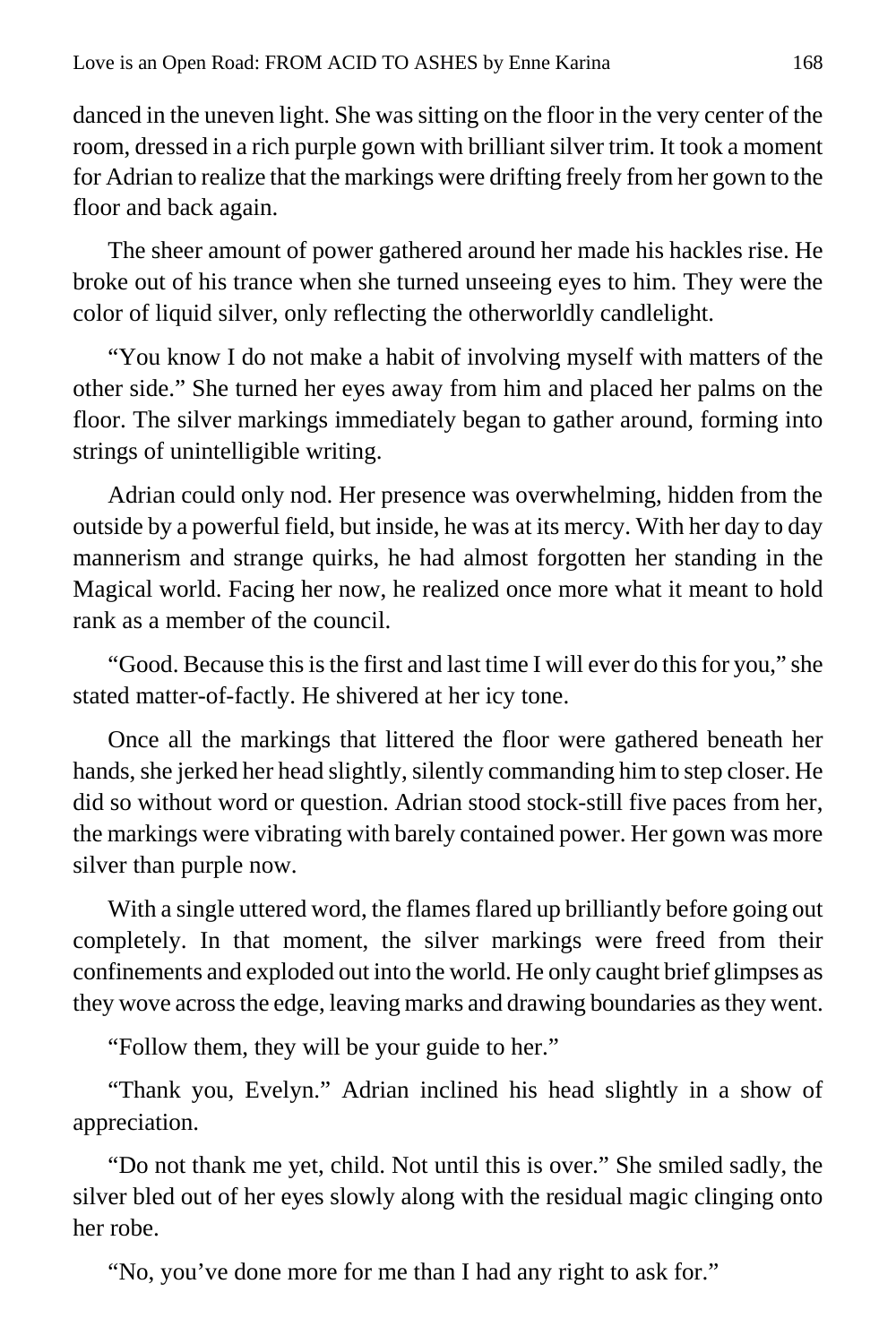danced in the uneven light. She was sitting on the floor in the very center of the room, dressed in a rich purple gown with brilliant silver trim. It took a moment for Adrian to realize that the markings were drifting freely from her gown to the floor and back again.

The sheer amount of power gathered around her made his hackles rise. He broke out of his trance when she turned unseeing eyes to him. They were the color of liquid silver, only reflecting the otherworldly candlelight.

"You know I do not make a habit of involving myself with matters of the other side." She turned her eyes away from him and placed her palms on the floor. The silver markings immediately began to gather around, forming into strings of unintelligible writing.

Adrian could only nod. Her presence was overwhelming, hidden from the outside by a powerful field, but inside, he was at its mercy. With her day to day mannerism and strange quirks, he had almost forgotten her standing in the Magical world. Facing her now, he realized once more what it meant to hold rank as a member of the council.

"Good. Because this is the first and last time I will ever do this for you," she stated matter-of-factly. He shivered at her icy tone.

Once all the markings that littered the floor were gathered beneath her hands, she jerked her head slightly, silently commanding him to step closer. He did so without word or question. Adrian stood stock-still five paces from her, the markings were vibrating with barely contained power. Her gown was more silver than purple now.

With a single uttered word, the flames flared up brilliantly before going out completely. In that moment, the silver markings were freed from their confinements and exploded out into the world. He only caught brief glimpses as they wove across the edge, leaving marks and drawing boundaries as they went.

"Follow them, they will be your guide to her."

"Thank you, Evelyn." Adrian inclined his head slightly in a show of appreciation.

"Do not thank me yet, child. Not until this is over." She smiled sadly, the silver bled out of her eyes slowly along with the residual magic clinging onto her robe.

"No, you've done more for me than I had any right to ask for."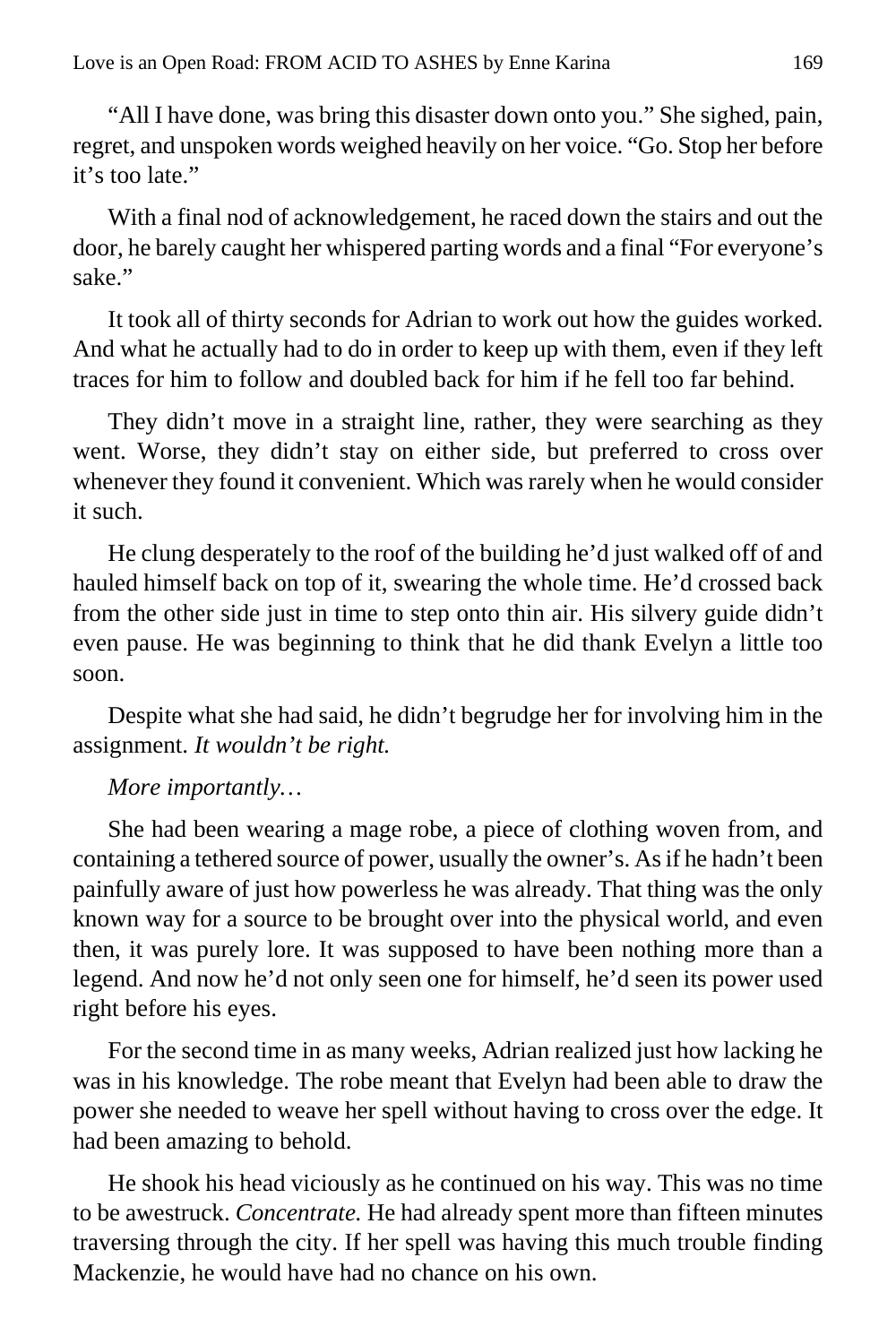"All I have done, was bring this disaster down onto you." She sighed, pain, regret, and unspoken words weighed heavily on her voice. "Go. Stop her before it's too late."

With a final nod of acknowledgement, he raced down the stairs and out the door, he barely caught her whispered parting words and a final "For everyone's sake."

It took all of thirty seconds for Adrian to work out how the guides worked. And what he actually had to do in order to keep up with them, even if they left traces for him to follow and doubled back for him if he fell too far behind.

They didn't move in a straight line, rather, they were searching as they went. Worse, they didn't stay on either side, but preferred to cross over whenever they found it convenient. Which was rarely when he would consider it such.

He clung desperately to the roof of the building he'd just walked off of and hauled himself back on top of it, swearing the whole time. He'd crossed back from the other side just in time to step onto thin air. His silvery guide didn't even pause. He was beginning to think that he did thank Evelyn a little too soon.

Despite what she had said, he didn't begrudge her for involving him in the assignment. *It wouldn't be right.*

## *More importantly…*

She had been wearing a mage robe, a piece of clothing woven from, and containing a tethered source of power, usually the owner's. As if he hadn't been painfully aware of just how powerless he was already. That thing was the only known way for a source to be brought over into the physical world, and even then, it was purely lore. It was supposed to have been nothing more than a legend. And now he'd not only seen one for himself, he'd seen its power used right before his eyes.

For the second time in as many weeks, Adrian realized just how lacking he was in his knowledge. The robe meant that Evelyn had been able to draw the power she needed to weave her spell without having to cross over the edge. It had been amazing to behold.

He shook his head viciously as he continued on his way. This was no time to be awestruck. *Concentrate.* He had already spent more than fifteen minutes traversing through the city. If her spell was having this much trouble finding Mackenzie, he would have had no chance on his own.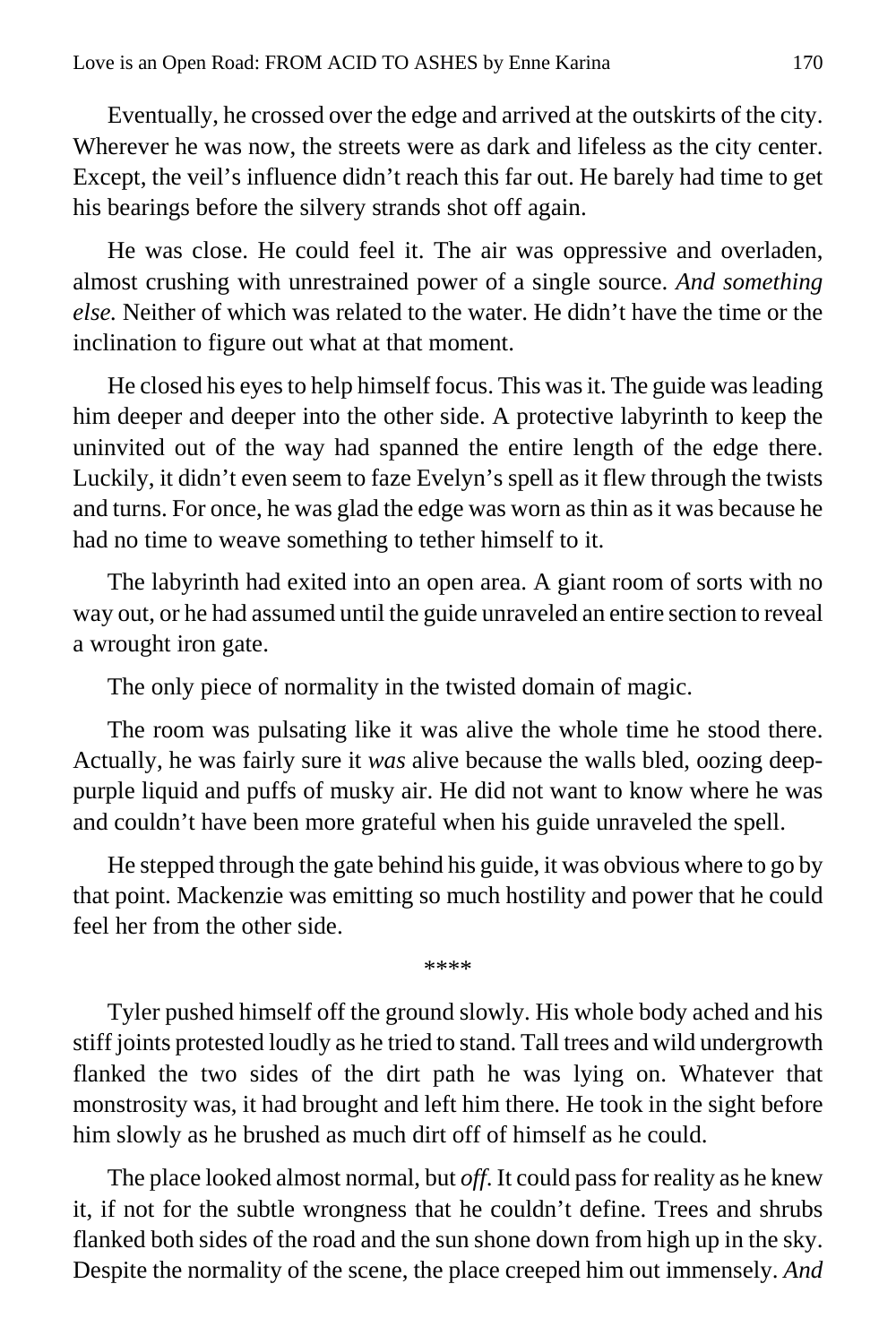Eventually, he crossed over the edge and arrived at the outskirts of the city. Wherever he was now, the streets were as dark and lifeless as the city center. Except, the veil's influence didn't reach this far out. He barely had time to get his bearings before the silvery strands shot off again.

He was close. He could feel it. The air was oppressive and overladen, almost crushing with unrestrained power of a single source. *And something else.* Neither of which was related to the water. He didn't have the time or the inclination to figure out what at that moment.

He closed his eyes to help himself focus. This was it. The guide was leading him deeper and deeper into the other side. A protective labyrinth to keep the uninvited out of the way had spanned the entire length of the edge there. Luckily, it didn't even seem to faze Evelyn's spell as it flew through the twists and turns. For once, he was glad the edge was worn as thin as it was because he had no time to weave something to tether himself to it.

The labyrinth had exited into an open area. A giant room of sorts with no way out, or he had assumed until the guide unraveled an entire section to reveal a wrought iron gate.

The only piece of normality in the twisted domain of magic.

The room was pulsating like it was alive the whole time he stood there. Actually, he was fairly sure it *was* alive because the walls bled, oozing deeppurple liquid and puffs of musky air. He did not want to know where he was and couldn't have been more grateful when his guide unraveled the spell.

He stepped through the gate behind his guide, it was obvious where to go by that point. Mackenzie was emitting so much hostility and power that he could feel her from the other side.

\*\*\*\*

Tyler pushed himself off the ground slowly. His whole body ached and his stiff joints protested loudly as he tried to stand. Tall trees and wild undergrowth flanked the two sides of the dirt path he was lying on. Whatever that monstrosity was, it had brought and left him there. He took in the sight before him slowly as he brushed as much dirt off of himself as he could.

The place looked almost normal, but *off*. It could pass for reality as he knew it, if not for the subtle wrongness that he couldn't define. Trees and shrubs flanked both sides of the road and the sun shone down from high up in the sky. Despite the normality of the scene, the place creeped him out immensely. *And*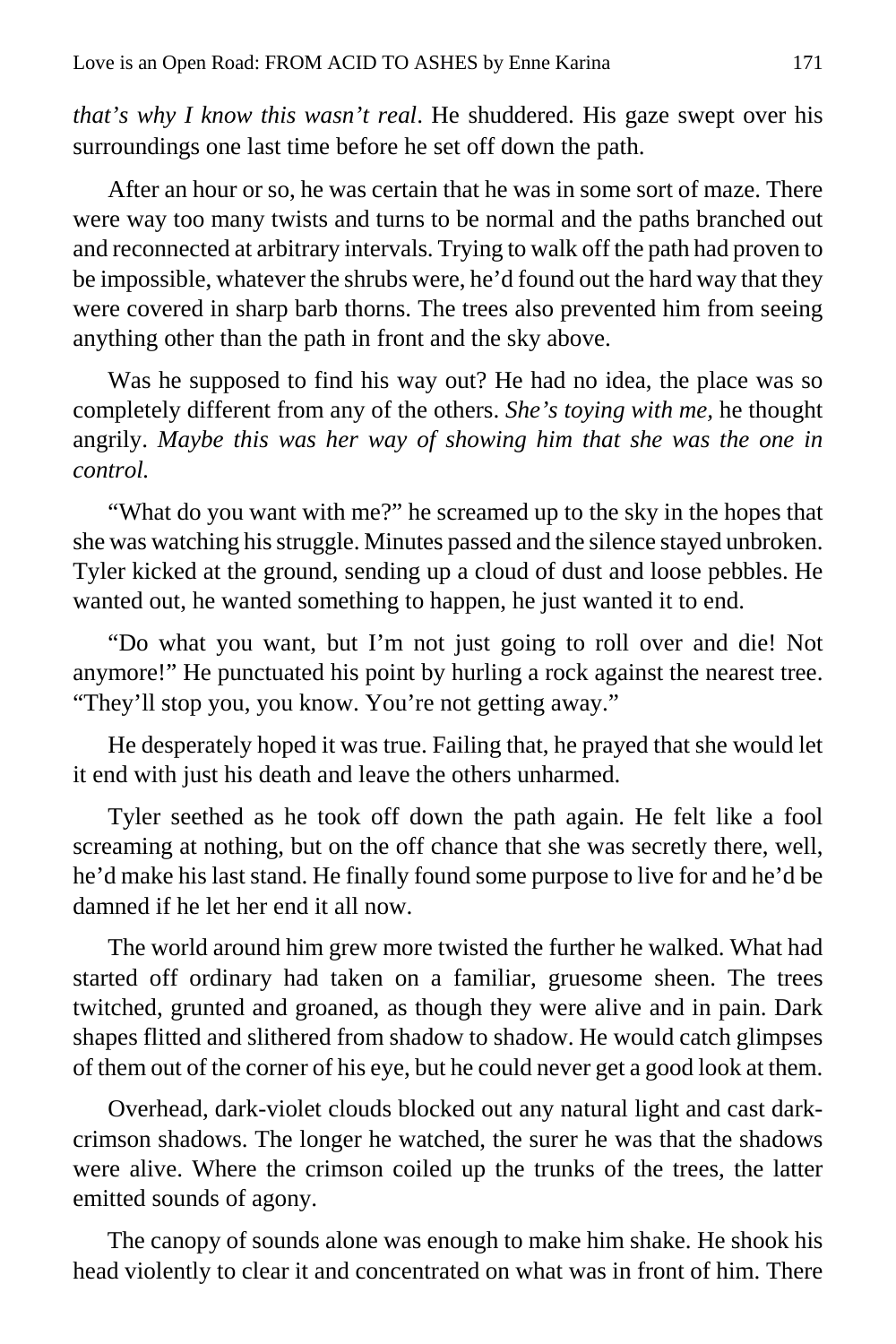*that's why I know this wasn't real*. He shuddered. His gaze swept over his surroundings one last time before he set off down the path.

After an hour or so, he was certain that he was in some sort of maze. There were way too many twists and turns to be normal and the paths branched out and reconnected at arbitrary intervals. Trying to walk off the path had proven to be impossible, whatever the shrubs were, he'd found out the hard way that they were covered in sharp barb thorns. The trees also prevented him from seeing anything other than the path in front and the sky above.

Was he supposed to find his way out? He had no idea, the place was so completely different from any of the others. *She's toying with me,* he thought angrily. *Maybe this was her way of showing him that she was the one in control.*

"What do you want with me?" he screamed up to the sky in the hopes that she was watching his struggle. Minutes passed and the silence stayed unbroken. Tyler kicked at the ground, sending up a cloud of dust and loose pebbles. He wanted out, he wanted something to happen, he just wanted it to end.

"Do what you want, but I'm not just going to roll over and die! Not anymore!" He punctuated his point by hurling a rock against the nearest tree. "They'll stop you, you know. You're not getting away."

He desperately hoped it was true. Failing that, he prayed that she would let it end with just his death and leave the others unharmed.

Tyler seethed as he took off down the path again. He felt like a fool screaming at nothing, but on the off chance that she was secretly there, well, he'd make his last stand. He finally found some purpose to live for and he'd be damned if he let her end it all now.

The world around him grew more twisted the further he walked. What had started off ordinary had taken on a familiar, gruesome sheen. The trees twitched, grunted and groaned, as though they were alive and in pain. Dark shapes flitted and slithered from shadow to shadow. He would catch glimpses of them out of the corner of his eye, but he could never get a good look at them.

Overhead, dark-violet clouds blocked out any natural light and cast darkcrimson shadows. The longer he watched, the surer he was that the shadows were alive. Where the crimson coiled up the trunks of the trees, the latter emitted sounds of agony.

The canopy of sounds alone was enough to make him shake. He shook his head violently to clear it and concentrated on what was in front of him. There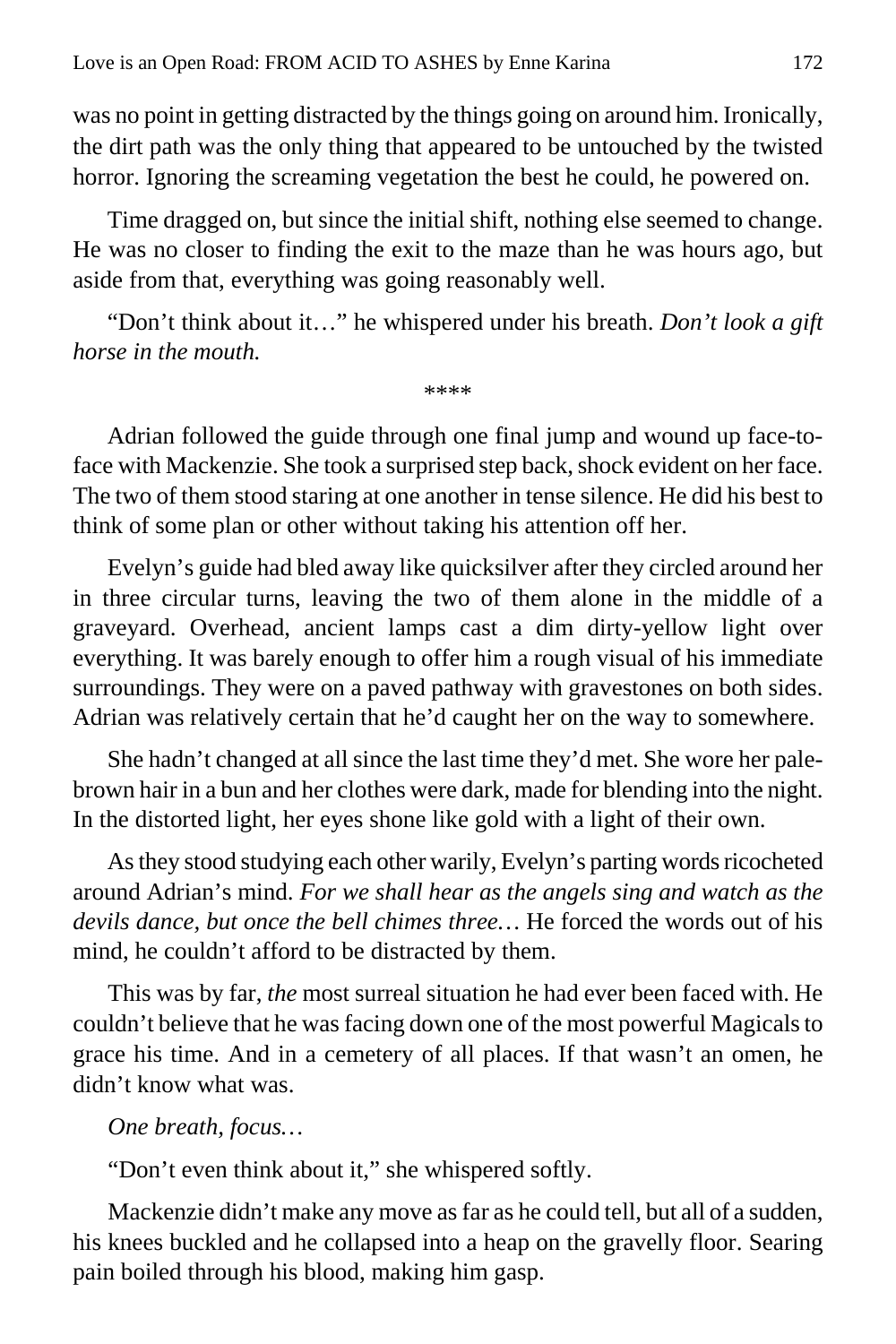was no point in getting distracted by the things going on around him. Ironically, the dirt path was the only thing that appeared to be untouched by the twisted horror. Ignoring the screaming vegetation the best he could, he powered on.

Time dragged on, but since the initial shift, nothing else seemed to change. He was no closer to finding the exit to the maze than he was hours ago, but aside from that, everything was going reasonably well.

"Don't think about it…" he whispered under his breath. *Don't look a gift horse in the mouth.*

\*\*\*\*

Adrian followed the guide through one final jump and wound up face-toface with Mackenzie. She took a surprised step back, shock evident on her face. The two of them stood staring at one another in tense silence. He did his best to think of some plan or other without taking his attention off her.

Evelyn's guide had bled away like quicksilver after they circled around her in three circular turns, leaving the two of them alone in the middle of a graveyard. Overhead, ancient lamps cast a dim dirty-yellow light over everything. It was barely enough to offer him a rough visual of his immediate surroundings. They were on a paved pathway with gravestones on both sides. Adrian was relatively certain that he'd caught her on the way to somewhere.

She hadn't changed at all since the last time they'd met. She wore her palebrown hair in a bun and her clothes were dark, made for blending into the night. In the distorted light, her eyes shone like gold with a light of their own.

As they stood studying each other warily, Evelyn's parting words ricocheted around Adrian's mind. *For we shall hear as the angels sing and watch as the devils dance, but once the bell chimes three…* He forced the words out of his mind, he couldn't afford to be distracted by them.

This was by far, *the* most surreal situation he had ever been faced with. He couldn't believe that he was facing down one of the most powerful Magicals to grace his time. And in a cemetery of all places. If that wasn't an omen, he didn't know what was.

*One breath, focus…*

"Don't even think about it," she whispered softly.

Mackenzie didn't make any move as far as he could tell, but all of a sudden, his knees buckled and he collapsed into a heap on the gravelly floor. Searing pain boiled through his blood, making him gasp.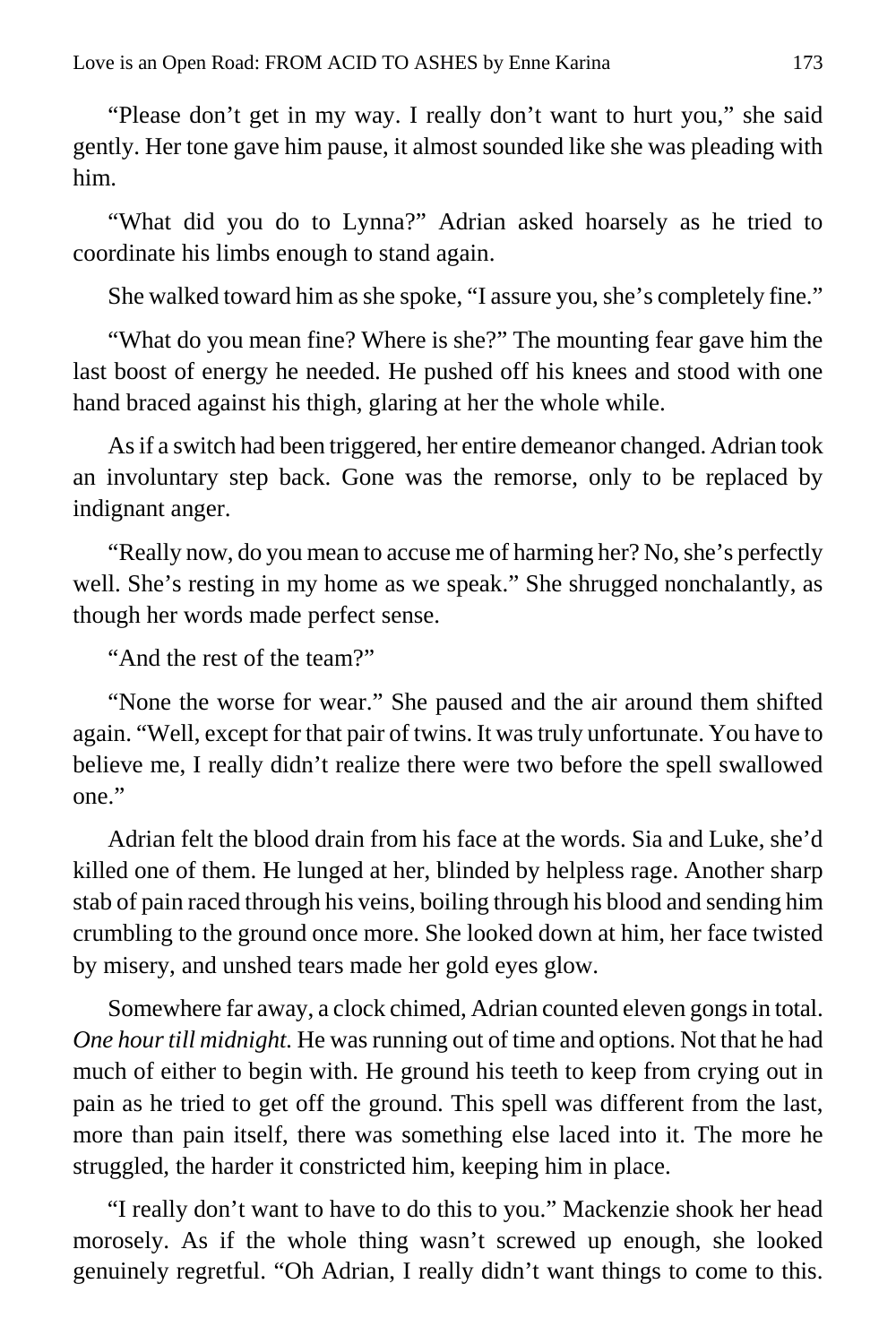"Please don't get in my way. I really don't want to hurt you," she said gently. Her tone gave him pause, it almost sounded like she was pleading with him.

"What did you do to Lynna?" Adrian asked hoarsely as he tried to coordinate his limbs enough to stand again.

She walked toward him as she spoke, "I assure you, she's completely fine."

"What do you mean fine? Where is she?" The mounting fear gave him the last boost of energy he needed. He pushed off his knees and stood with one hand braced against his thigh, glaring at her the whole while.

As if a switch had been triggered, her entire demeanor changed. Adrian took an involuntary step back. Gone was the remorse, only to be replaced by indignant anger.

"Really now, do you mean to accuse me of harming her? No, she's perfectly well. She's resting in my home as we speak." She shrugged nonchalantly, as though her words made perfect sense.

"And the rest of the team?"

"None the worse for wear." She paused and the air around them shifted again. "Well, except for that pair of twins. It was truly unfortunate. You have to believe me, I really didn't realize there were two before the spell swallowed one."

Adrian felt the blood drain from his face at the words. Sia and Luke, she'd killed one of them. He lunged at her, blinded by helpless rage. Another sharp stab of pain raced through his veins, boiling through his blood and sending him crumbling to the ground once more. She looked down at him, her face twisted by misery, and unshed tears made her gold eyes glow.

Somewhere far away, a clock chimed, Adrian counted eleven gongs in total. *One hour till midnight.* He was running out of time and options. Not that he had much of either to begin with. He ground his teeth to keep from crying out in pain as he tried to get off the ground. This spell was different from the last, more than pain itself, there was something else laced into it. The more he struggled, the harder it constricted him, keeping him in place.

"I really don't want to have to do this to you." Mackenzie shook her head morosely. As if the whole thing wasn't screwed up enough, she looked genuinely regretful. "Oh Adrian, I really didn't want things to come to this.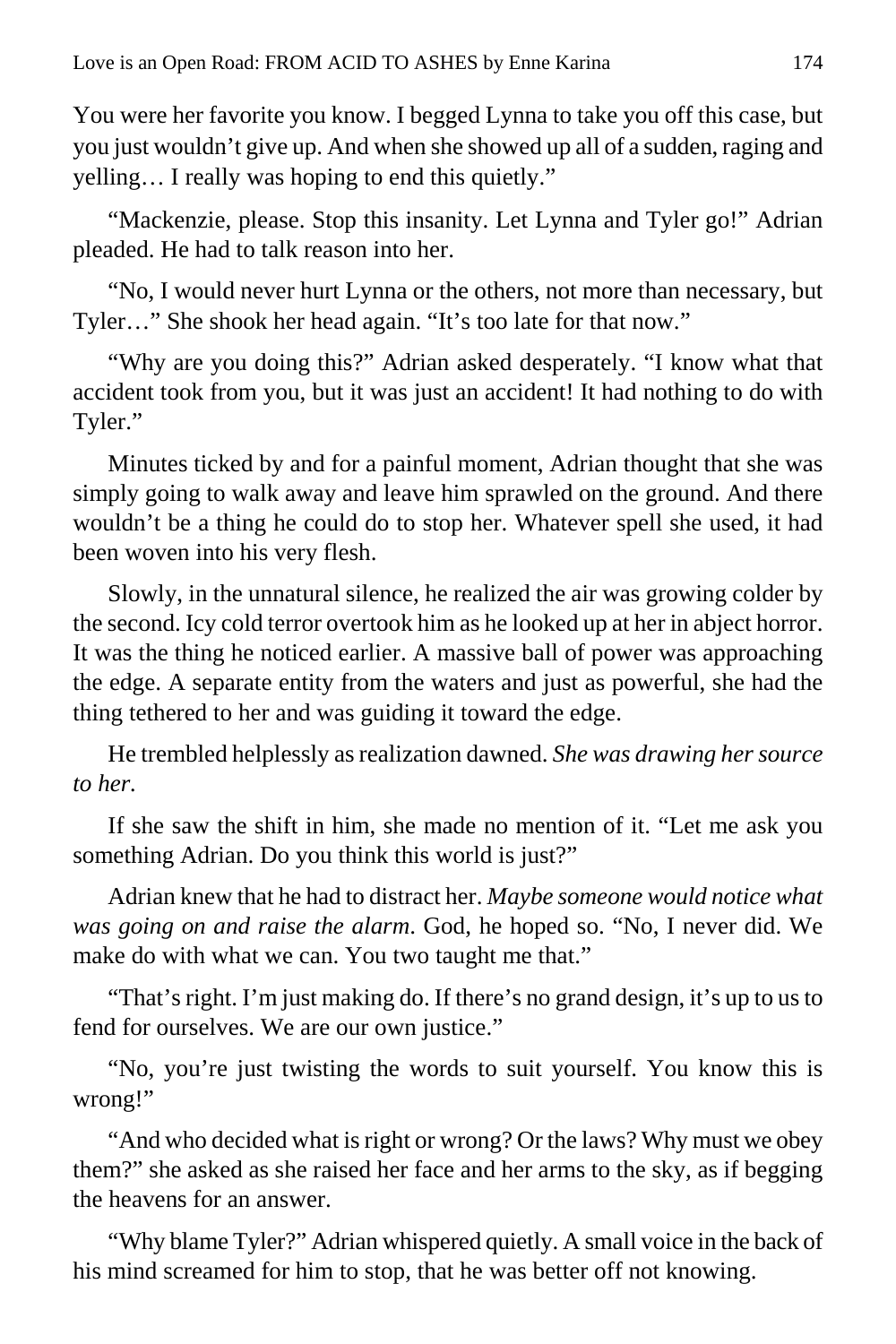You were her favorite you know. I begged Lynna to take you off this case, but you just wouldn't give up. And when she showed up all of a sudden, raging and yelling… I really was hoping to end this quietly."

"Mackenzie, please. Stop this insanity. Let Lynna and Tyler go!" Adrian pleaded. He had to talk reason into her.

"No, I would never hurt Lynna or the others, not more than necessary, but Tyler…" She shook her head again. "It's too late for that now."

"Why are you doing this?" Adrian asked desperately. "I know what that accident took from you, but it was just an accident! It had nothing to do with Tyler."

Minutes ticked by and for a painful moment, Adrian thought that she was simply going to walk away and leave him sprawled on the ground. And there wouldn't be a thing he could do to stop her. Whatever spell she used, it had been woven into his very flesh.

Slowly, in the unnatural silence, he realized the air was growing colder by the second. Icy cold terror overtook him as he looked up at her in abject horror. It was the thing he noticed earlier. A massive ball of power was approaching the edge. A separate entity from the waters and just as powerful, she had the thing tethered to her and was guiding it toward the edge.

He trembled helplessly as realization dawned. *She was drawing her source to her.*

If she saw the shift in him, she made no mention of it. "Let me ask you something Adrian. Do you think this world is just?"

Adrian knew that he had to distract her. *Maybe someone would notice what was going on and raise the alarm*. God, he hoped so. "No, I never did. We make do with what we can. You two taught me that."

"That's right. I'm just making do. If there's no grand design, it's up to us to fend for ourselves. We are our own justice."

"No, you're just twisting the words to suit yourself. You know this is wrong!"

"And who decided what is right or wrong? Or the laws? Why must we obey them?" she asked as she raised her face and her arms to the sky, as if begging the heavens for an answer.

"Why blame Tyler?" Adrian whispered quietly. A small voice in the back of his mind screamed for him to stop, that he was better off not knowing.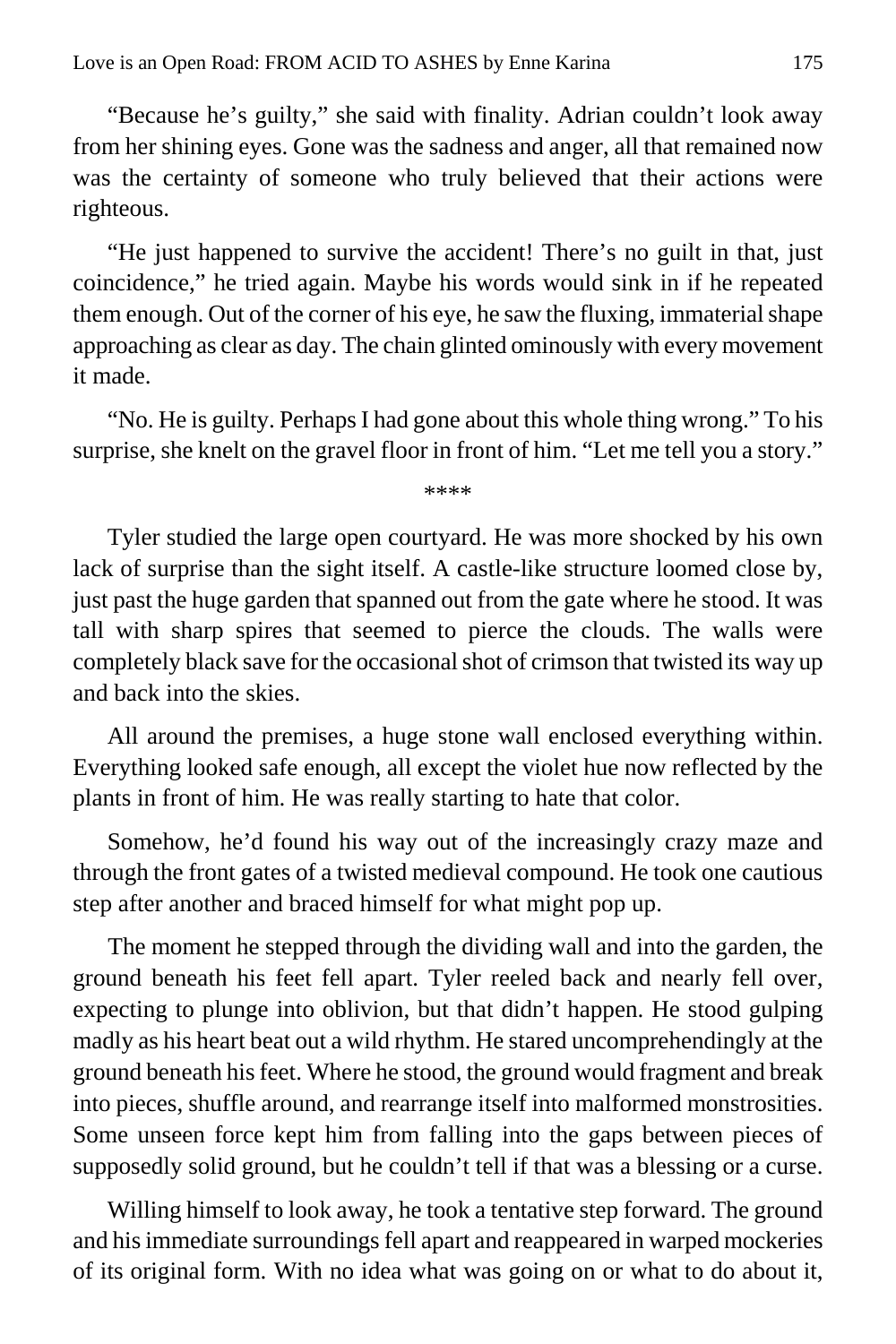"Because he's guilty," she said with finality. Adrian couldn't look away from her shining eyes. Gone was the sadness and anger, all that remained now was the certainty of someone who truly believed that their actions were righteous.

"He just happened to survive the accident! There's no guilt in that, just coincidence," he tried again. Maybe his words would sink in if he repeated them enough. Out of the corner of his eye, he saw the fluxing, immaterial shape approaching as clear as day. The chain glinted ominously with every movement it made.

"No. He is guilty. Perhaps I had gone about this whole thing wrong." To his surprise, she knelt on the gravel floor in front of him. "Let me tell you a story."

\*\*\*\*

Tyler studied the large open courtyard. He was more shocked by his own lack of surprise than the sight itself. A castle-like structure loomed close by, just past the huge garden that spanned out from the gate where he stood. It was tall with sharp spires that seemed to pierce the clouds. The walls were completely black save for the occasional shot of crimson that twisted its way up and back into the skies.

All around the premises, a huge stone wall enclosed everything within. Everything looked safe enough, all except the violet hue now reflected by the plants in front of him. He was really starting to hate that color.

Somehow, he'd found his way out of the increasingly crazy maze and through the front gates of a twisted medieval compound. He took one cautious step after another and braced himself for what might pop up.

The moment he stepped through the dividing wall and into the garden, the ground beneath his feet fell apart. Tyler reeled back and nearly fell over, expecting to plunge into oblivion, but that didn't happen. He stood gulping madly as his heart beat out a wild rhythm. He stared uncomprehendingly at the ground beneath his feet. Where he stood, the ground would fragment and break into pieces, shuffle around, and rearrange itself into malformed monstrosities. Some unseen force kept him from falling into the gaps between pieces of supposedly solid ground, but he couldn't tell if that was a blessing or a curse.

Willing himself to look away, he took a tentative step forward. The ground and his immediate surroundings fell apart and reappeared in warped mockeries of its original form. With no idea what was going on or what to do about it,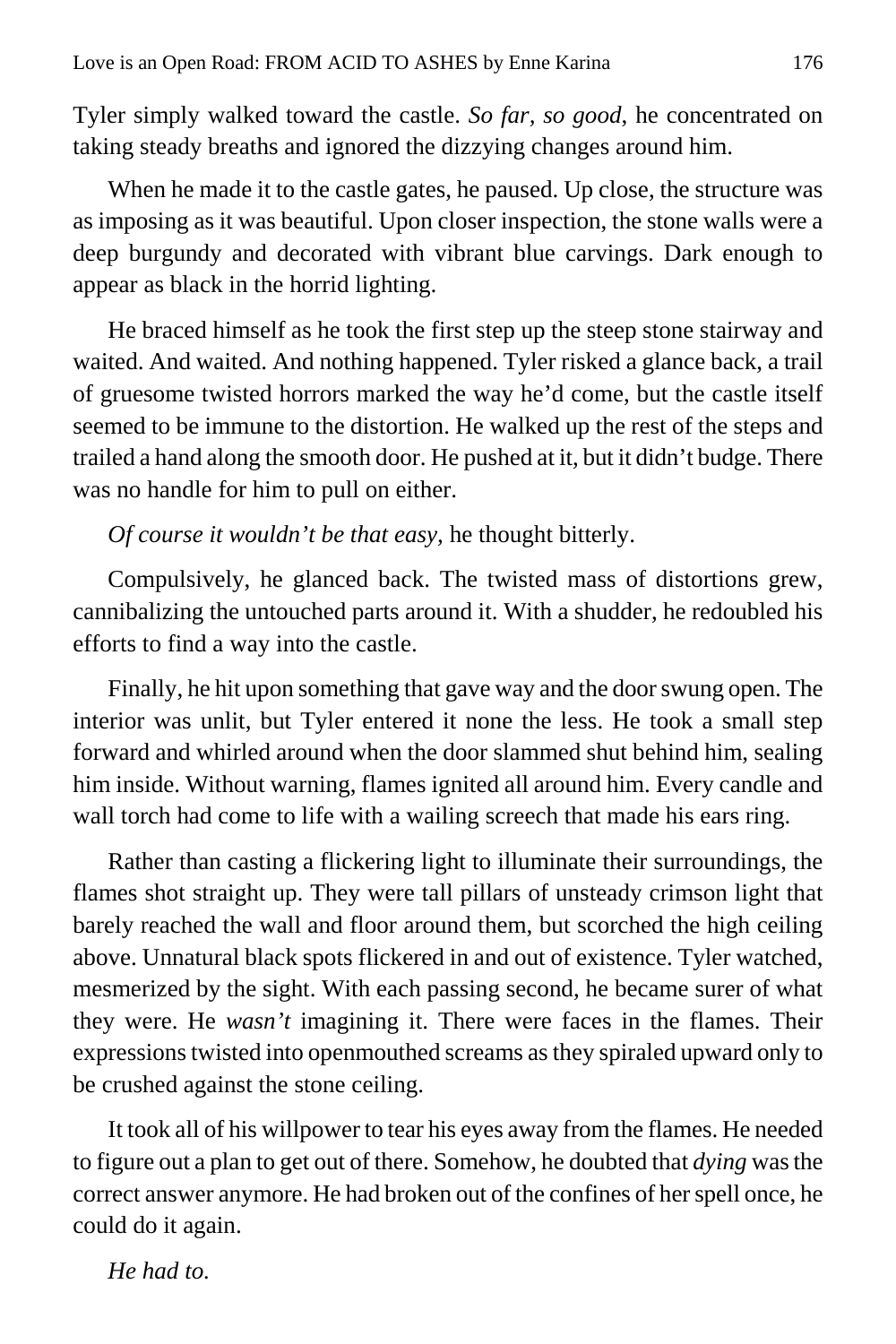Tyler simply walked toward the castle. *So far, so good*, he concentrated on taking steady breaths and ignored the dizzying changes around him.

When he made it to the castle gates, he paused. Up close, the structure was as imposing as it was beautiful. Upon closer inspection, the stone walls were a deep burgundy and decorated with vibrant blue carvings. Dark enough to appear as black in the horrid lighting.

He braced himself as he took the first step up the steep stone stairway and waited. And waited. And nothing happened. Tyler risked a glance back, a trail of gruesome twisted horrors marked the way he'd come, but the castle itself seemed to be immune to the distortion. He walked up the rest of the steps and trailed a hand along the smooth door. He pushed at it, but it didn't budge. There was no handle for him to pull on either.

*Of course it wouldn't be that easy,* he thought bitterly.

Compulsively, he glanced back. The twisted mass of distortions grew, cannibalizing the untouched parts around it. With a shudder, he redoubled his efforts to find a way into the castle.

Finally, he hit upon something that gave way and the door swung open. The interior was unlit, but Tyler entered it none the less. He took a small step forward and whirled around when the door slammed shut behind him, sealing him inside. Without warning, flames ignited all around him. Every candle and wall torch had come to life with a wailing screech that made his ears ring.

Rather than casting a flickering light to illuminate their surroundings, the flames shot straight up. They were tall pillars of unsteady crimson light that barely reached the wall and floor around them, but scorched the high ceiling above. Unnatural black spots flickered in and out of existence. Tyler watched, mesmerized by the sight. With each passing second, he became surer of what they were. He *wasn't* imagining it. There were faces in the flames. Their expressions twisted into openmouthed screams as they spiraled upward only to be crushed against the stone ceiling.

It took all of his willpower to tear his eyes away from the flames. He needed to figure out a plan to get out of there. Somehow, he doubted that *dying* was the correct answer anymore. He had broken out of the confines of her spell once, he could do it again.

*He had to.*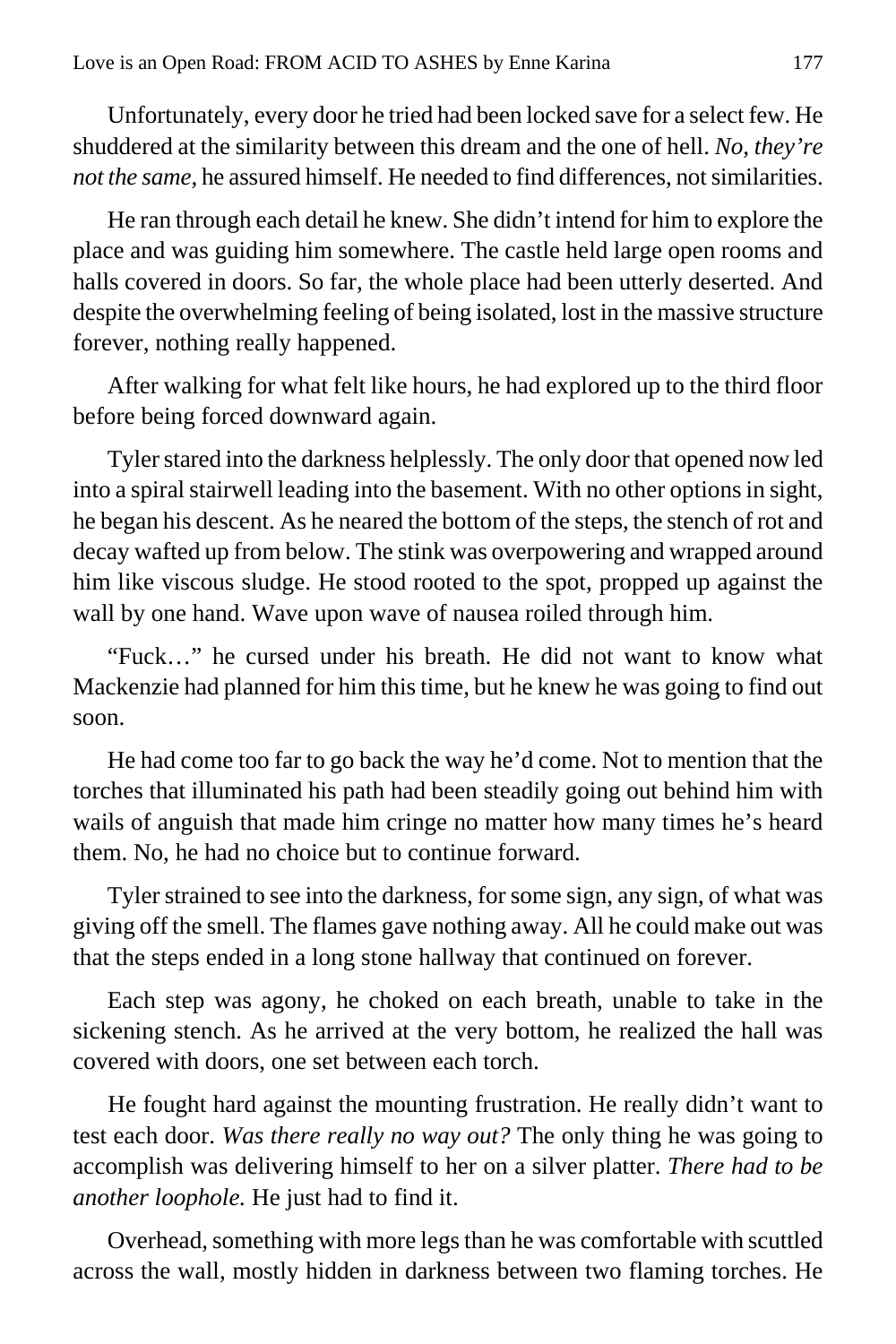Unfortunately, every door he tried had been locked save for a select few. He shuddered at the similarity between this dream and the one of hell. *No, they're not the same,* he assured himself. He needed to find differences, not similarities.

He ran through each detail he knew. She didn't intend for him to explore the place and was guiding him somewhere. The castle held large open rooms and halls covered in doors. So far, the whole place had been utterly deserted. And despite the overwhelming feeling of being isolated, lost in the massive structure forever, nothing really happened.

After walking for what felt like hours, he had explored up to the third floor before being forced downward again.

Tyler stared into the darkness helplessly. The only door that opened now led into a spiral stairwell leading into the basement. With no other options in sight, he began his descent. As he neared the bottom of the steps, the stench of rot and decay wafted up from below. The stink was overpowering and wrapped around him like viscous sludge. He stood rooted to the spot, propped up against the wall by one hand. Wave upon wave of nausea roiled through him.

"Fuck…" he cursed under his breath. He did not want to know what Mackenzie had planned for him this time, but he knew he was going to find out soon.

He had come too far to go back the way he'd come. Not to mention that the torches that illuminated his path had been steadily going out behind him with wails of anguish that made him cringe no matter how many times he's heard them. No, he had no choice but to continue forward.

Tyler strained to see into the darkness, for some sign, any sign, of what was giving off the smell. The flames gave nothing away. All he could make out was that the steps ended in a long stone hallway that continued on forever.

Each step was agony, he choked on each breath, unable to take in the sickening stench. As he arrived at the very bottom, he realized the hall was covered with doors, one set between each torch.

He fought hard against the mounting frustration. He really didn't want to test each door. *Was there really no way out?* The only thing he was going to accomplish was delivering himself to her on a silver platter. *There had to be another loophole.* He just had to find it.

Overhead, something with more legs than he was comfortable with scuttled across the wall, mostly hidden in darkness between two flaming torches. He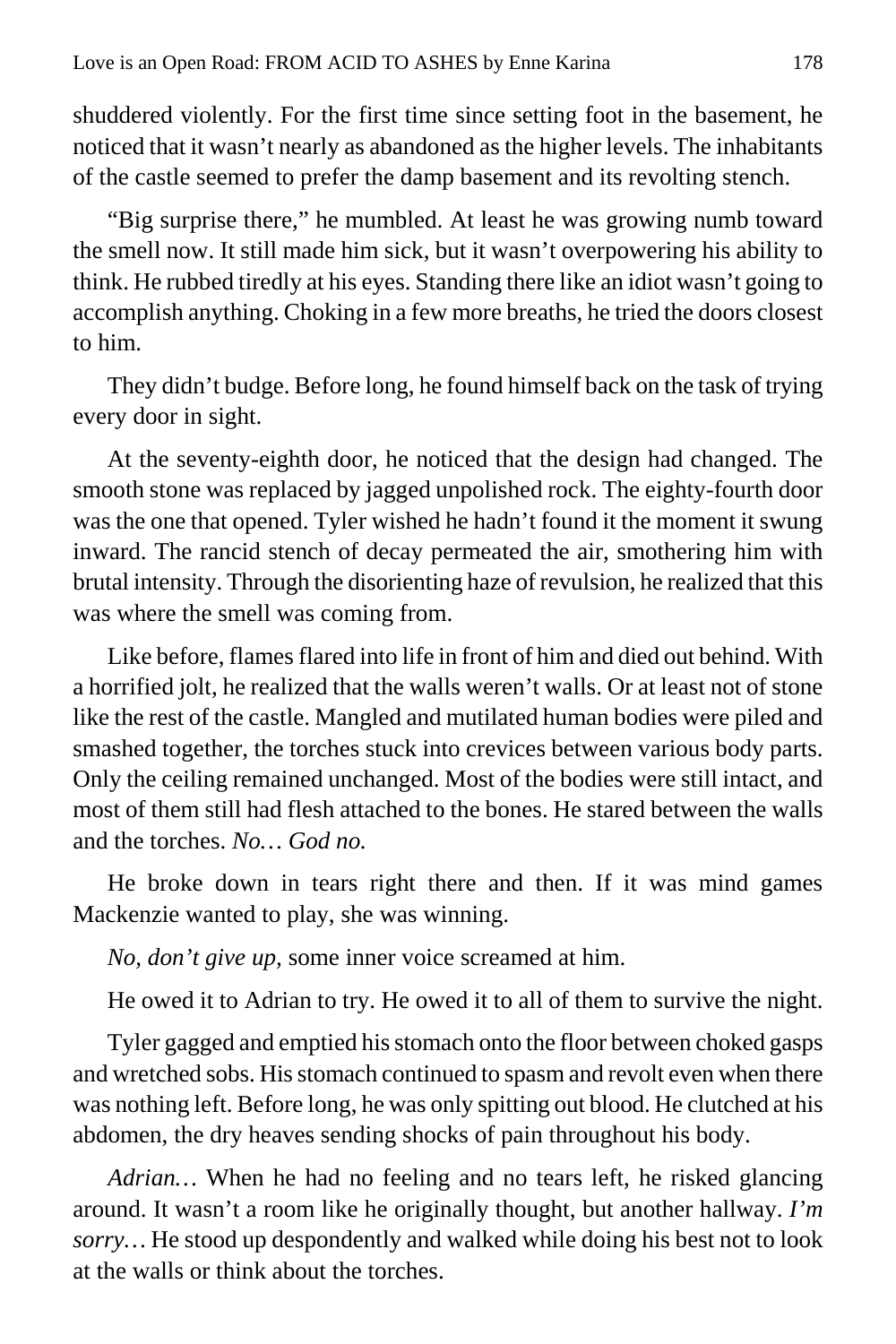shuddered violently. For the first time since setting foot in the basement, he noticed that it wasn't nearly as abandoned as the higher levels. The inhabitants of the castle seemed to prefer the damp basement and its revolting stench.

"Big surprise there," he mumbled. At least he was growing numb toward the smell now. It still made him sick, but it wasn't overpowering his ability to think. He rubbed tiredly at his eyes. Standing there like an idiot wasn't going to accomplish anything. Choking in a few more breaths, he tried the doors closest to him.

They didn't budge. Before long, he found himself back on the task of trying every door in sight.

At the seventy-eighth door, he noticed that the design had changed. The smooth stone was replaced by jagged unpolished rock. The eighty-fourth door was the one that opened. Tyler wished he hadn't found it the moment it swung inward. The rancid stench of decay permeated the air, smothering him with brutal intensity. Through the disorienting haze of revulsion, he realized that this was where the smell was coming from.

Like before, flames flared into life in front of him and died out behind. With a horrified jolt, he realized that the walls weren't walls. Or at least not of stone like the rest of the castle. Mangled and mutilated human bodies were piled and smashed together, the torches stuck into crevices between various body parts. Only the ceiling remained unchanged. Most of the bodies were still intact, and most of them still had flesh attached to the bones. He stared between the walls and the torches. *No… God no.*

He broke down in tears right there and then. If it was mind games Mackenzie wanted to play, she was winning.

*No, don't give up,* some inner voice screamed at him.

He owed it to Adrian to try. He owed it to all of them to survive the night.

Tyler gagged and emptied his stomach onto the floor between choked gasps and wretched sobs. His stomach continued to spasm and revolt even when there was nothing left. Before long, he was only spitting out blood. He clutched at his abdomen, the dry heaves sending shocks of pain throughout his body.

*Adrian…* When he had no feeling and no tears left, he risked glancing around. It wasn't a room like he originally thought, but another hallway. *I'm sorry…* He stood up despondently and walked while doing his best not to look at the walls or think about the torches.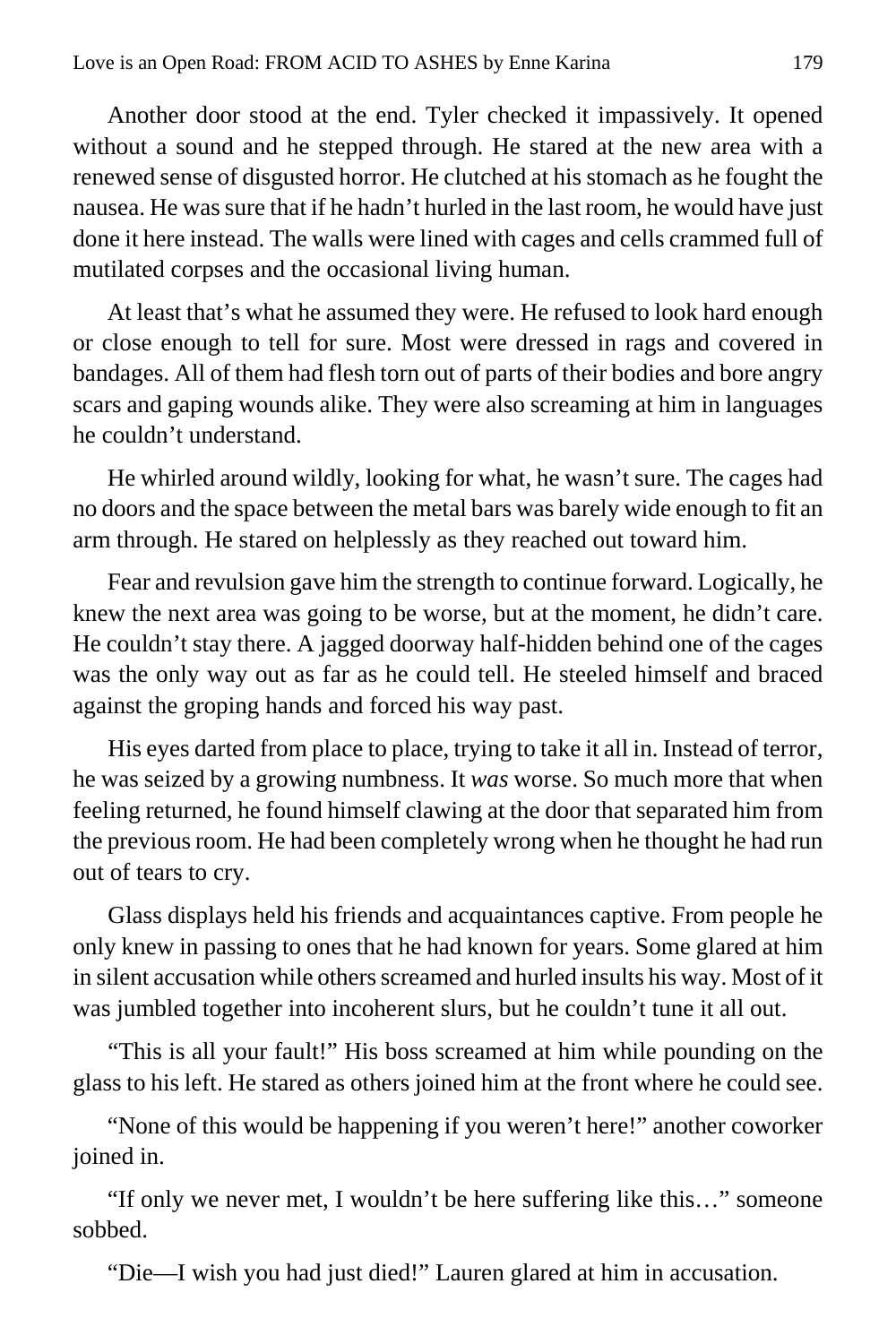Another door stood at the end. Tyler checked it impassively. It opened without a sound and he stepped through. He stared at the new area with a renewed sense of disgusted horror. He clutched at his stomach as he fought the nausea. He was sure that if he hadn't hurled in the last room, he would have just done it here instead. The walls were lined with cages and cells crammed full of mutilated corpses and the occasional living human.

At least that's what he assumed they were. He refused to look hard enough or close enough to tell for sure. Most were dressed in rags and covered in bandages. All of them had flesh torn out of parts of their bodies and bore angry scars and gaping wounds alike. They were also screaming at him in languages he couldn't understand.

He whirled around wildly, looking for what, he wasn't sure. The cages had no doors and the space between the metal bars was barely wide enough to fit an arm through. He stared on helplessly as they reached out toward him.

Fear and revulsion gave him the strength to continue forward. Logically, he knew the next area was going to be worse, but at the moment, he didn't care. He couldn't stay there. A jagged doorway half-hidden behind one of the cages was the only way out as far as he could tell. He steeled himself and braced against the groping hands and forced his way past.

His eyes darted from place to place, trying to take it all in. Instead of terror, he was seized by a growing numbness. It *was* worse. So much more that when feeling returned, he found himself clawing at the door that separated him from the previous room. He had been completely wrong when he thought he had run out of tears to cry.

Glass displays held his friends and acquaintances captive. From people he only knew in passing to ones that he had known for years. Some glared at him in silent accusation while others screamed and hurled insults his way. Most of it was jumbled together into incoherent slurs, but he couldn't tune it all out.

"This is all your fault!" His boss screamed at him while pounding on the glass to his left. He stared as others joined him at the front where he could see.

"None of this would be happening if you weren't here!" another coworker joined in.

"If only we never met, I wouldn't be here suffering like this…" someone sobbed.

"Die—I wish you had just died!" Lauren glared at him in accusation.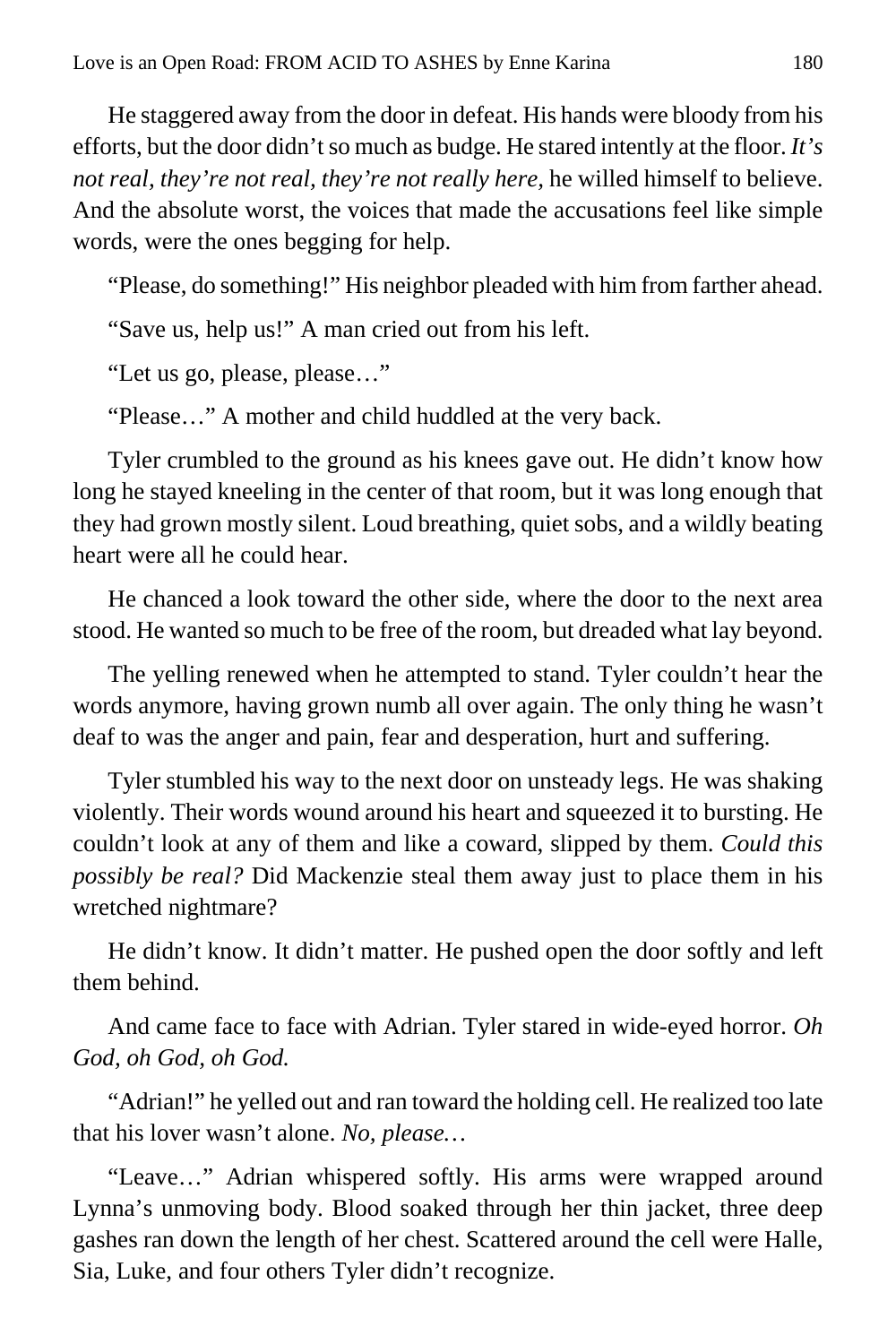He staggered away from the door in defeat. His hands were bloody from his efforts, but the door didn't so much as budge. He stared intently at the floor. *It's not real, they're not real, they're not really here,* he willed himself to believe. And the absolute worst, the voices that made the accusations feel like simple words, were the ones begging for help.

"Please, do something!" His neighbor pleaded with him from farther ahead.

"Save us, help us!" A man cried out from his left.

"Let us go, please, please…"

"Please…" A mother and child huddled at the very back.

Tyler crumbled to the ground as his knees gave out. He didn't know how long he stayed kneeling in the center of that room, but it was long enough that they had grown mostly silent. Loud breathing, quiet sobs, and a wildly beating heart were all he could hear.

He chanced a look toward the other side, where the door to the next area stood. He wanted so much to be free of the room, but dreaded what lay beyond.

The yelling renewed when he attempted to stand. Tyler couldn't hear the words anymore, having grown numb all over again. The only thing he wasn't deaf to was the anger and pain, fear and desperation, hurt and suffering.

Tyler stumbled his way to the next door on unsteady legs. He was shaking violently. Their words wound around his heart and squeezed it to bursting. He couldn't look at any of them and like a coward, slipped by them. *Could this possibly be real?* Did Mackenzie steal them away just to place them in his wretched nightmare?

He didn't know. It didn't matter. He pushed open the door softly and left them behind.

And came face to face with Adrian. Tyler stared in wide-eyed horror. *Oh God, oh God, oh God.*

"Adrian!" he yelled out and ran toward the holding cell. He realized too late that his lover wasn't alone. *No, please…*

"Leave…" Adrian whispered softly. His arms were wrapped around Lynna's unmoving body. Blood soaked through her thin jacket, three deep gashes ran down the length of her chest. Scattered around the cell were Halle, Sia, Luke, and four others Tyler didn't recognize.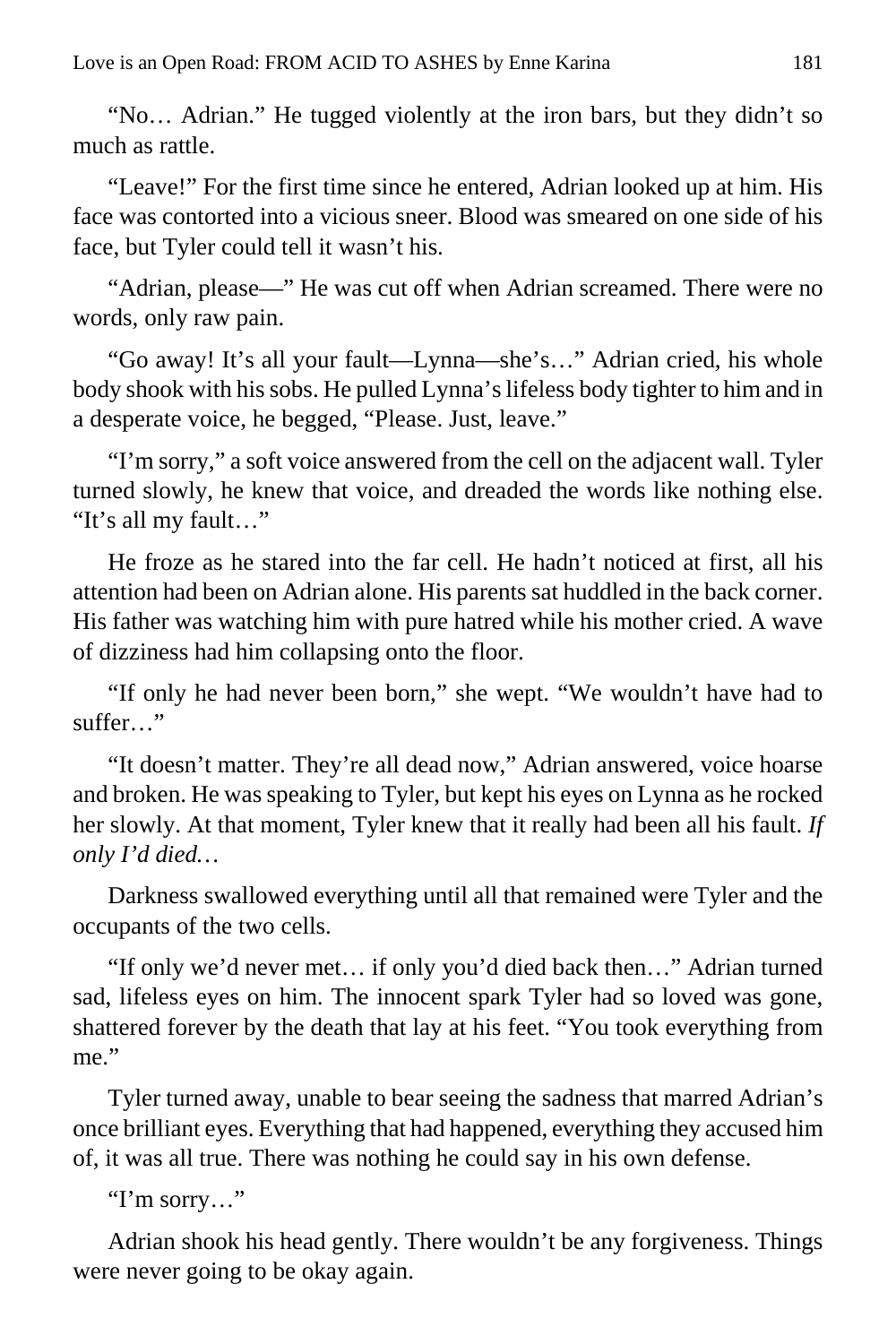"No… Adrian." He tugged violently at the iron bars, but they didn't so much as rattle.

"Leave!" For the first time since he entered, Adrian looked up at him. His face was contorted into a vicious sneer. Blood was smeared on one side of his face, but Tyler could tell it wasn't his.

"Adrian, please—" He was cut off when Adrian screamed. There were no words, only raw pain.

"Go away! It's all your fault—Lynna—she's…" Adrian cried, his whole body shook with his sobs. He pulled Lynna's lifeless body tighter to him and in a desperate voice, he begged, "Please. Just, leave."

"I'm sorry," a soft voice answered from the cell on the adjacent wall. Tyler turned slowly, he knew that voice, and dreaded the words like nothing else. "It's all my fault…"

He froze as he stared into the far cell. He hadn't noticed at first, all his attention had been on Adrian alone. His parents sat huddled in the back corner. His father was watching him with pure hatred while his mother cried. A wave of dizziness had him collapsing onto the floor.

"If only he had never been born," she wept. "We wouldn't have had to suffer..."

"It doesn't matter. They're all dead now," Adrian answered, voice hoarse and broken. He was speaking to Tyler, but kept his eyes on Lynna as he rocked her slowly. At that moment, Tyler knew that it really had been all his fault. *If only I'd died…*

Darkness swallowed everything until all that remained were Tyler and the occupants of the two cells.

"If only we'd never met… if only you'd died back then…" Adrian turned sad, lifeless eyes on him. The innocent spark Tyler had so loved was gone, shattered forever by the death that lay at his feet. "You took everything from me."

Tyler turned away, unable to bear seeing the sadness that marred Adrian's once brilliant eyes. Everything that had happened, everything they accused him of, it was all true. There was nothing he could say in his own defense.

"I'm sorry…"

Adrian shook his head gently. There wouldn't be any forgiveness. Things were never going to be okay again.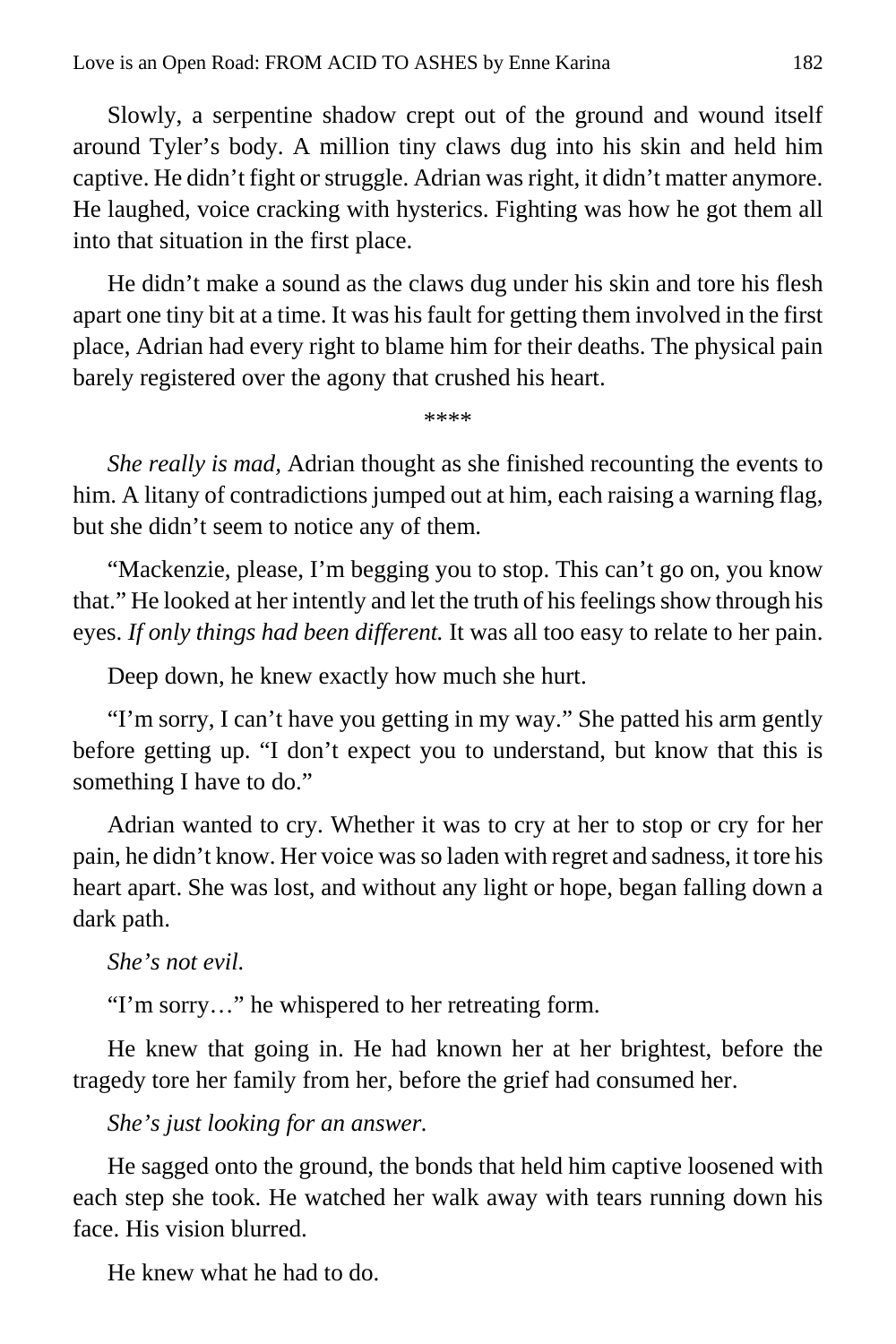Slowly, a serpentine shadow crept out of the ground and wound itself around Tyler's body. A million tiny claws dug into his skin and held him captive. He didn't fight or struggle. Adrian was right, it didn't matter anymore. He laughed, voice cracking with hysterics. Fighting was how he got them all into that situation in the first place.

He didn't make a sound as the claws dug under his skin and tore his flesh apart one tiny bit at a time. It was his fault for getting them involved in the first place, Adrian had every right to blame him for their deaths. The physical pain barely registered over the agony that crushed his heart.

*She really is mad,* Adrian thought as she finished recounting the events to him. A litany of contradictions jumped out at him, each raising a warning flag, but she didn't seem to notice any of them.

\*\*\*\*

"Mackenzie, please, I'm begging you to stop. This can't go on, you know that." He looked at her intently and let the truth of his feelings show through his eyes. *If only things had been different.* It was all too easy to relate to her pain.

Deep down, he knew exactly how much she hurt.

"I'm sorry, I can't have you getting in my way." She patted his arm gently before getting up. "I don't expect you to understand, but know that this is something I have to do."

Adrian wanted to cry. Whether it was to cry at her to stop or cry for her pain, he didn't know. Her voice was so laden with regret and sadness, it tore his heart apart. She was lost, and without any light or hope, began falling down a dark path.

#### *She's not evil.*

"I'm sorry…" he whispered to her retreating form.

He knew that going in. He had known her at her brightest, before the tragedy tore her family from her, before the grief had consumed her.

*She's just looking for an answer.*

He sagged onto the ground, the bonds that held him captive loosened with each step she took. He watched her walk away with tears running down his face. His vision blurred.

He knew what he had to do.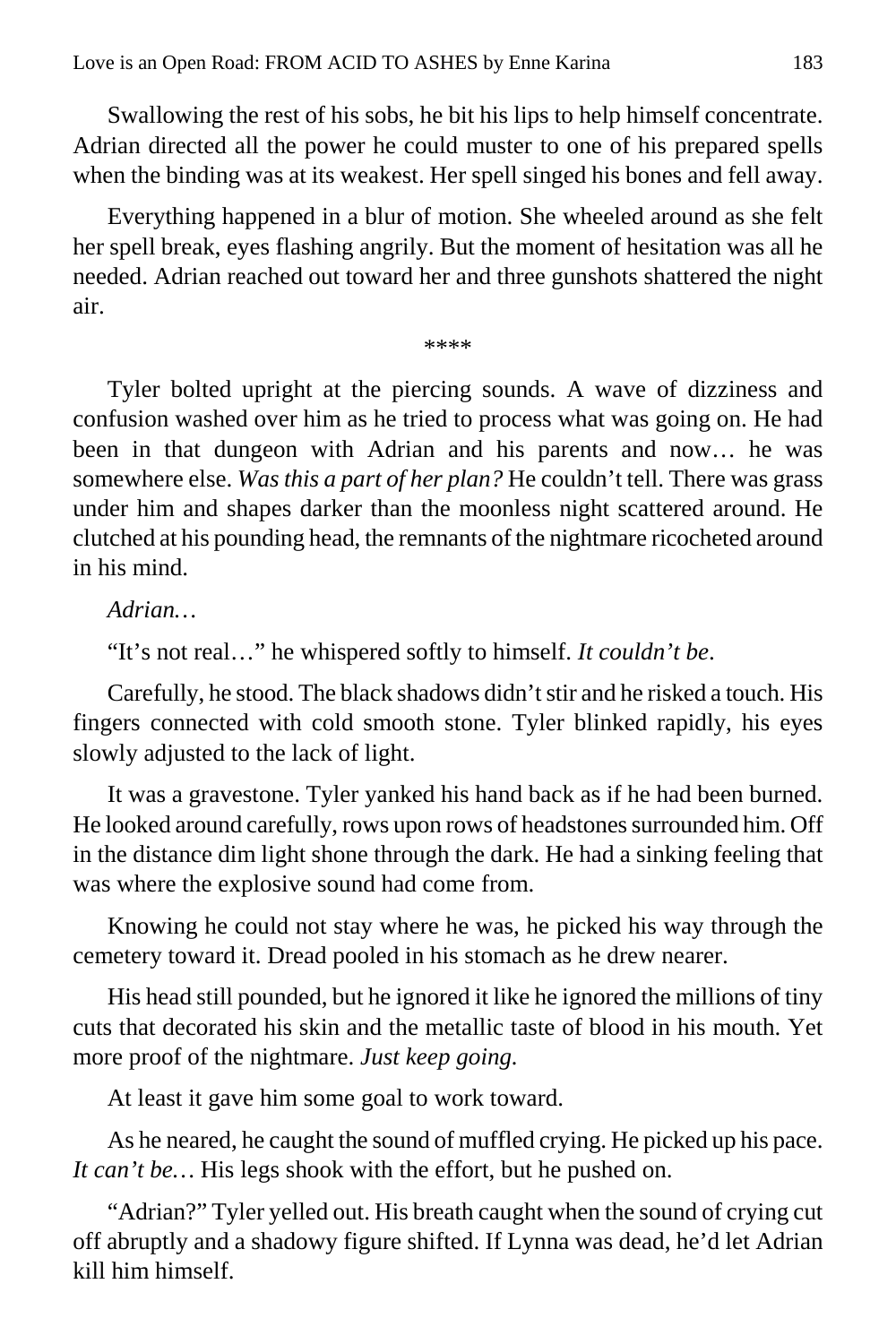Swallowing the rest of his sobs, he bit his lips to help himself concentrate. Adrian directed all the power he could muster to one of his prepared spells when the binding was at its weakest. Her spell singed his bones and fell away.

Everything happened in a blur of motion. She wheeled around as she felt her spell break, eyes flashing angrily. But the moment of hesitation was all he needed. Adrian reached out toward her and three gunshots shattered the night air.

\*\*\*\*

Tyler bolted upright at the piercing sounds. A wave of dizziness and confusion washed over him as he tried to process what was going on. He had been in that dungeon with Adrian and his parents and now… he was somewhere else. *Was this a part of her plan?* He couldn't tell. There was grass under him and shapes darker than the moonless night scattered around. He clutched at his pounding head, the remnants of the nightmare ricocheted around in his mind.

#### *Adrian…*

"It's not real…" he whispered softly to himself. *It couldn't be*.

Carefully, he stood. The black shadows didn't stir and he risked a touch. His fingers connected with cold smooth stone. Tyler blinked rapidly, his eyes slowly adjusted to the lack of light.

It was a gravestone. Tyler yanked his hand back as if he had been burned. He looked around carefully, rows upon rows of headstones surrounded him. Off in the distance dim light shone through the dark. He had a sinking feeling that was where the explosive sound had come from.

Knowing he could not stay where he was, he picked his way through the cemetery toward it. Dread pooled in his stomach as he drew nearer.

His head still pounded, but he ignored it like he ignored the millions of tiny cuts that decorated his skin and the metallic taste of blood in his mouth. Yet more proof of the nightmare. *Just keep going.*

At least it gave him some goal to work toward.

As he neared, he caught the sound of muffled crying. He picked up his pace. *It can't be…* His legs shook with the effort, but he pushed on.

"Adrian?" Tyler yelled out. His breath caught when the sound of crying cut off abruptly and a shadowy figure shifted. If Lynna was dead, he'd let Adrian kill him himself.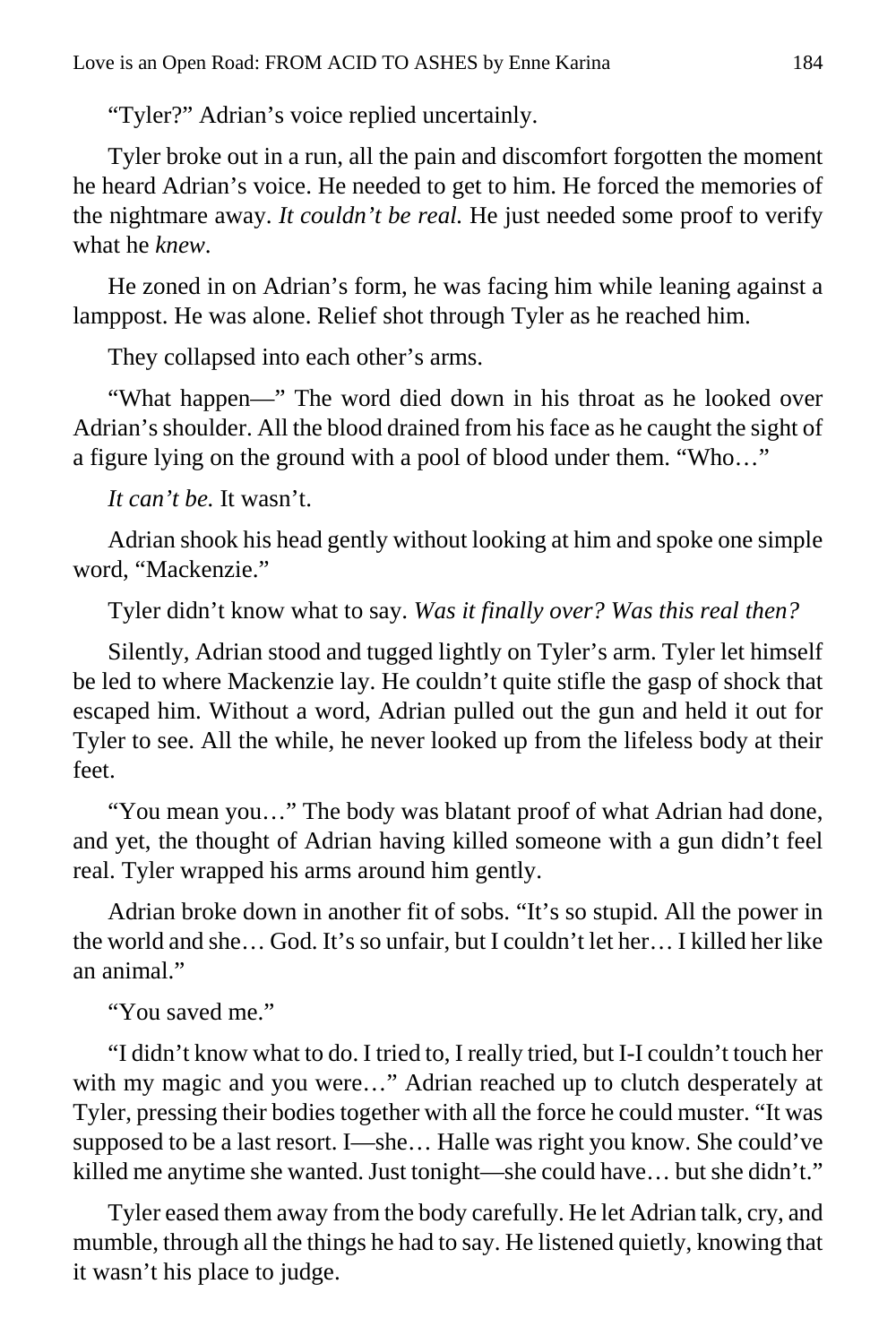"Tyler?" Adrian's voice replied uncertainly.

Tyler broke out in a run, all the pain and discomfort forgotten the moment he heard Adrian's voice. He needed to get to him. He forced the memories of the nightmare away. *It couldn't be real.* He just needed some proof to verify what he *knew*.

He zoned in on Adrian's form, he was facing him while leaning against a lamppost. He was alone. Relief shot through Tyler as he reached him.

They collapsed into each other's arms.

"What happen—" The word died down in his throat as he looked over Adrian's shoulder. All the blood drained from his face as he caught the sight of a figure lying on the ground with a pool of blood under them. "Who…"

*It can't be.* It wasn't.

Adrian shook his head gently without looking at him and spoke one simple word, "Mackenzie."

Tyler didn't know what to say. *Was it finally over? Was this real then?*

Silently, Adrian stood and tugged lightly on Tyler's arm. Tyler let himself be led to where Mackenzie lay. He couldn't quite stifle the gasp of shock that escaped him. Without a word, Adrian pulled out the gun and held it out for Tyler to see. All the while, he never looked up from the lifeless body at their feet.

"You mean you…" The body was blatant proof of what Adrian had done, and yet, the thought of Adrian having killed someone with a gun didn't feel real. Tyler wrapped his arms around him gently.

Adrian broke down in another fit of sobs. "It's so stupid. All the power in the world and she… God. It's so unfair, but I couldn't let her… I killed her like an animal."

"You saved me."

"I didn't know what to do. I tried to, I really tried, but I-I couldn't touch her with my magic and you were…" Adrian reached up to clutch desperately at Tyler, pressing their bodies together with all the force he could muster. "It was supposed to be a last resort. I—she… Halle was right you know. She could've killed me anytime she wanted. Just tonight—she could have… but she didn't."

Tyler eased them away from the body carefully. He let Adrian talk, cry, and mumble, through all the things he had to say. He listened quietly, knowing that it wasn't his place to judge.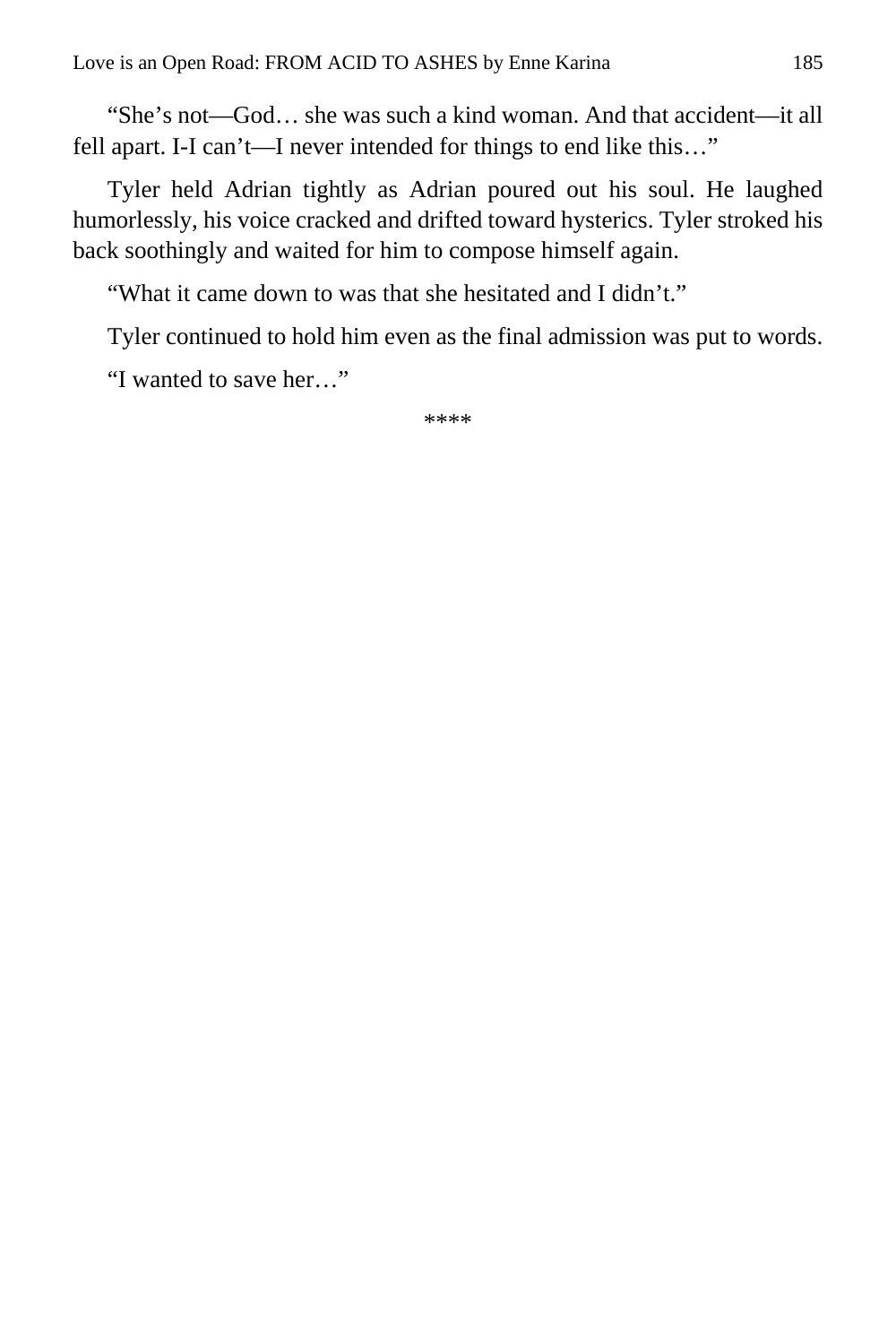"She's not—God… she was such a kind woman. And that accident—it all fell apart. I-I can't—I never intended for things to end like this…"

Tyler held Adrian tightly as Adrian poured out his soul. He laughed humorlessly, his voice cracked and drifted toward hysterics. Tyler stroked his back soothingly and waited for him to compose himself again.

"What it came down to was that she hesitated and I didn't."

Tyler continued to hold him even as the final admission was put to words.

"I wanted to save her…"

\*\*\*\*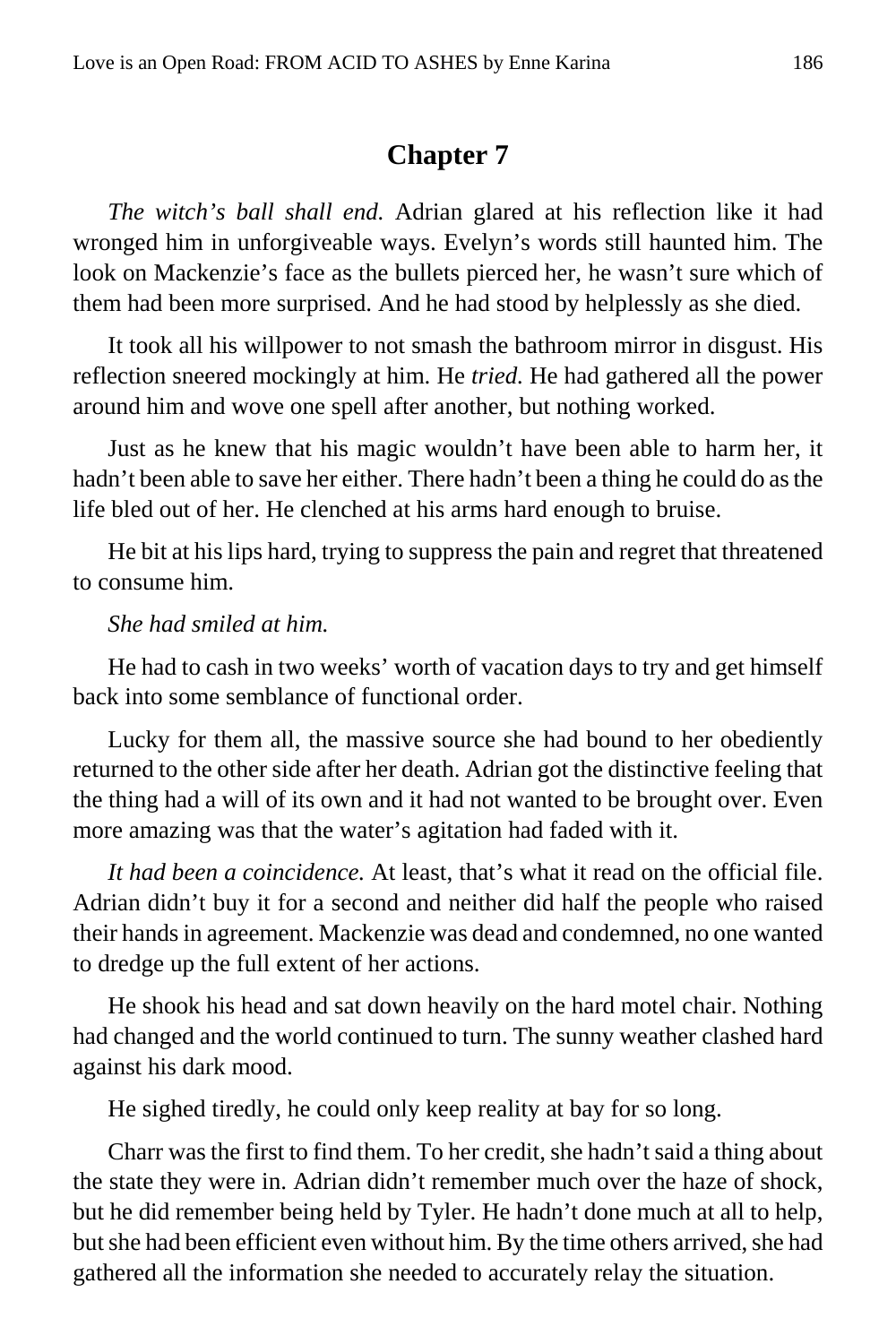### **Chapter 7**

*The witch's ball shall end.* Adrian glared at his reflection like it had wronged him in unforgiveable ways. Evelyn's words still haunted him. The look on Mackenzie's face as the bullets pierced her, he wasn't sure which of them had been more surprised. And he had stood by helplessly as she died.

It took all his willpower to not smash the bathroom mirror in disgust. His reflection sneered mockingly at him. He *tried.* He had gathered all the power around him and wove one spell after another, but nothing worked.

Just as he knew that his magic wouldn't have been able to harm her, it hadn't been able to save her either. There hadn't been a thing he could do as the life bled out of her. He clenched at his arms hard enough to bruise.

He bit at his lips hard, trying to suppress the pain and regret that threatened to consume him.

#### *She had smiled at him.*

He had to cash in two weeks' worth of vacation days to try and get himself back into some semblance of functional order.

Lucky for them all, the massive source she had bound to her obediently returned to the other side after her death. Adrian got the distinctive feeling that the thing had a will of its own and it had not wanted to be brought over. Even more amazing was that the water's agitation had faded with it.

*It had been a coincidence.* At least, that's what it read on the official file. Adrian didn't buy it for a second and neither did half the people who raised their hands in agreement. Mackenzie was dead and condemned, no one wanted to dredge up the full extent of her actions.

He shook his head and sat down heavily on the hard motel chair. Nothing had changed and the world continued to turn. The sunny weather clashed hard against his dark mood.

He sighed tiredly, he could only keep reality at bay for so long.

Charr was the first to find them. To her credit, she hadn't said a thing about the state they were in. Adrian didn't remember much over the haze of shock, but he did remember being held by Tyler. He hadn't done much at all to help, but she had been efficient even without him. By the time others arrived, she had gathered all the information she needed to accurately relay the situation.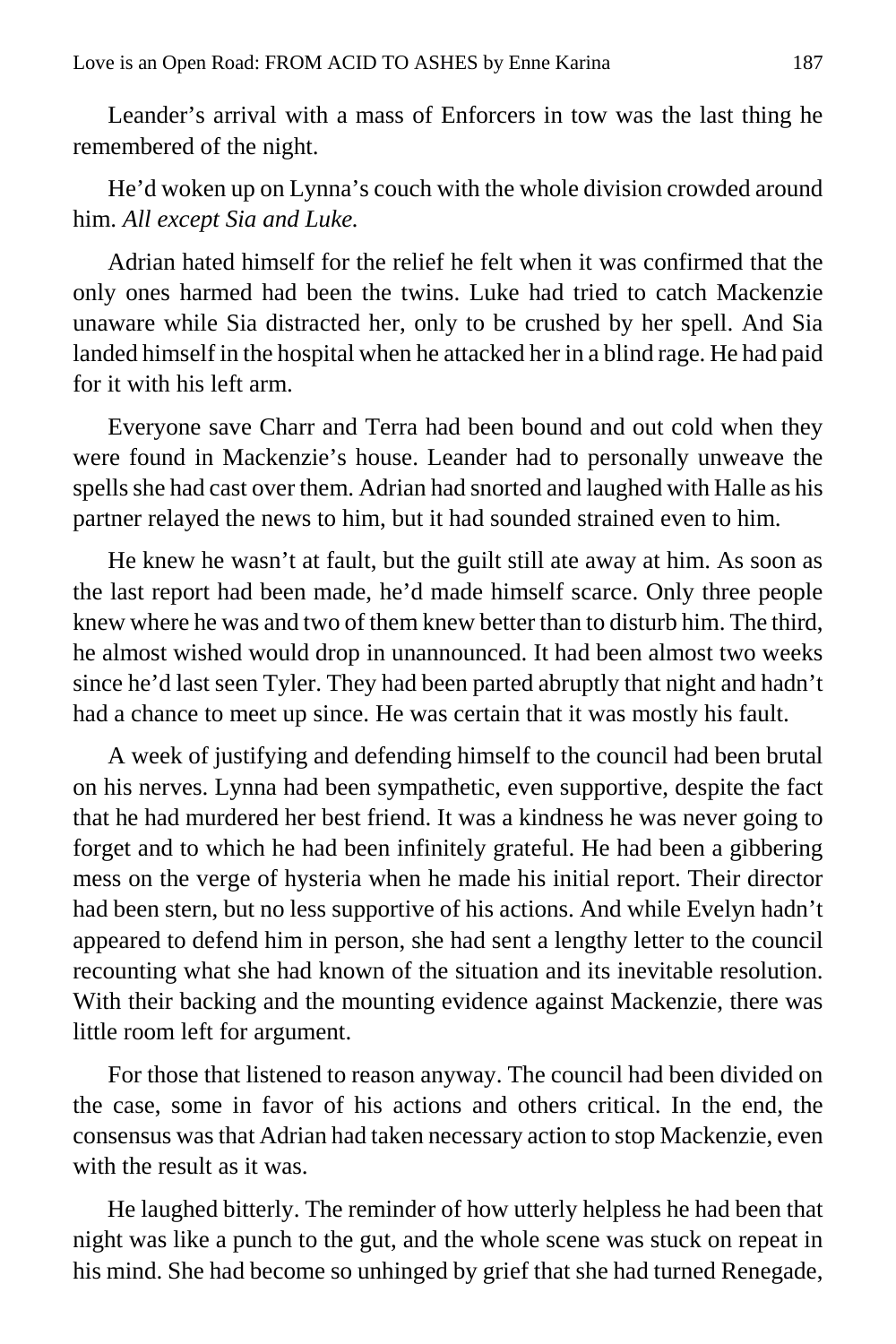Leander's arrival with a mass of Enforcers in tow was the last thing he remembered of the night.

He'd woken up on Lynna's couch with the whole division crowded around him. *All except Sia and Luke.*

Adrian hated himself for the relief he felt when it was confirmed that the only ones harmed had been the twins. Luke had tried to catch Mackenzie unaware while Sia distracted her, only to be crushed by her spell. And Sia landed himself in the hospital when he attacked her in a blind rage. He had paid for it with his left arm.

Everyone save Charr and Terra had been bound and out cold when they were found in Mackenzie's house. Leander had to personally unweave the spells she had cast over them. Adrian had snorted and laughed with Halle as his partner relayed the news to him, but it had sounded strained even to him.

He knew he wasn't at fault, but the guilt still ate away at him. As soon as the last report had been made, he'd made himself scarce. Only three people knew where he was and two of them knew better than to disturb him. The third, he almost wished would drop in unannounced. It had been almost two weeks since he'd last seen Tyler. They had been parted abruptly that night and hadn't had a chance to meet up since. He was certain that it was mostly his fault.

A week of justifying and defending himself to the council had been brutal on his nerves. Lynna had been sympathetic, even supportive, despite the fact that he had murdered her best friend. It was a kindness he was never going to forget and to which he had been infinitely grateful. He had been a gibbering mess on the verge of hysteria when he made his initial report. Their director had been stern, but no less supportive of his actions. And while Evelyn hadn't appeared to defend him in person, she had sent a lengthy letter to the council recounting what she had known of the situation and its inevitable resolution. With their backing and the mounting evidence against Mackenzie, there was little room left for argument.

For those that listened to reason anyway. The council had been divided on the case, some in favor of his actions and others critical. In the end, the consensus was that Adrian had taken necessary action to stop Mackenzie, even with the result as it was.

He laughed bitterly. The reminder of how utterly helpless he had been that night was like a punch to the gut, and the whole scene was stuck on repeat in his mind. She had become so unhinged by grief that she had turned Renegade,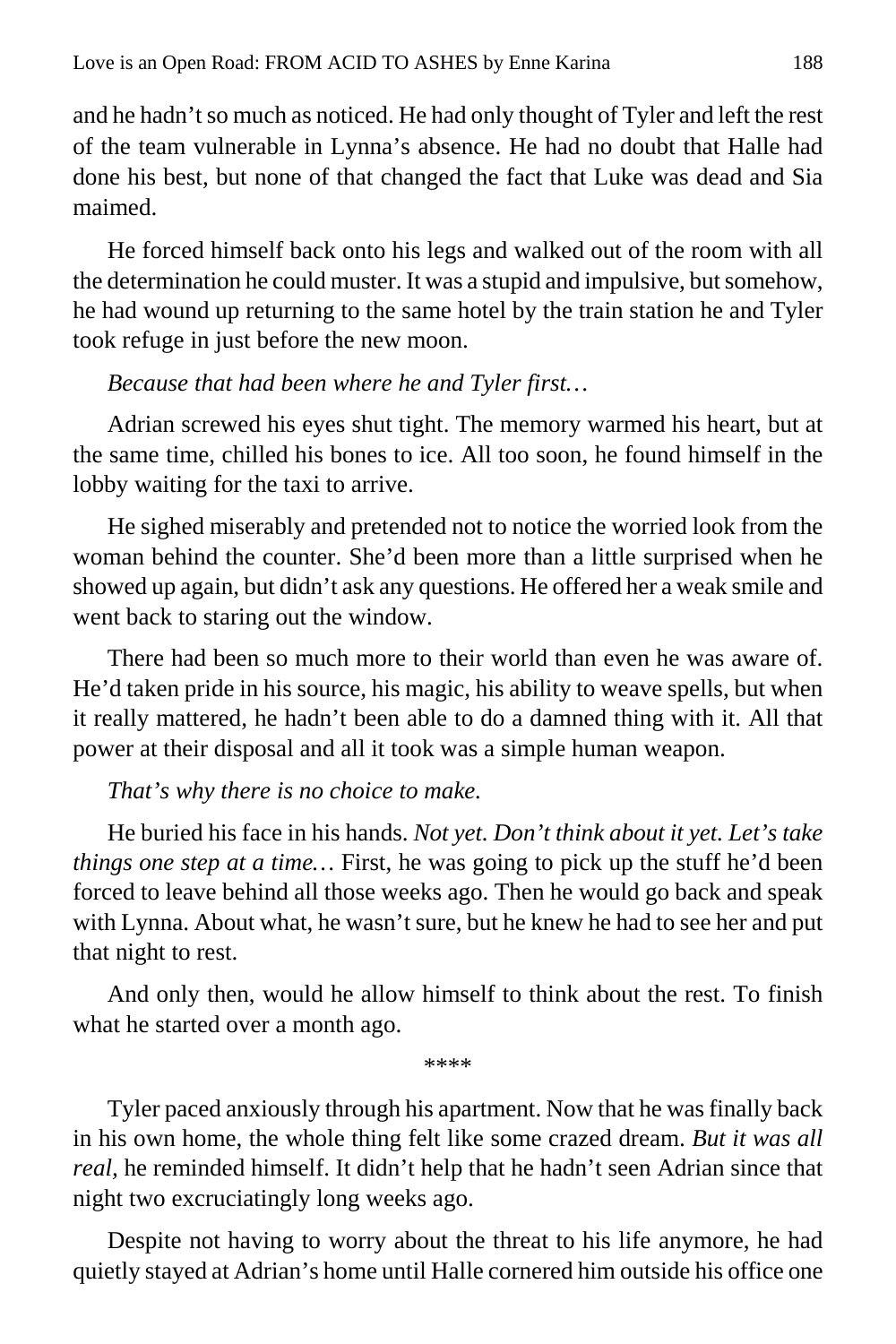and he hadn't so much as noticed. He had only thought of Tyler and left the rest of the team vulnerable in Lynna's absence. He had no doubt that Halle had done his best, but none of that changed the fact that Luke was dead and Sia maimed.

He forced himself back onto his legs and walked out of the room with all the determination he could muster. It was a stupid and impulsive, but somehow, he had wound up returning to the same hotel by the train station he and Tyler took refuge in just before the new moon.

#### *Because that had been where he and Tyler first…*

Adrian screwed his eyes shut tight. The memory warmed his heart, but at the same time, chilled his bones to ice. All too soon, he found himself in the lobby waiting for the taxi to arrive.

He sighed miserably and pretended not to notice the worried look from the woman behind the counter. She'd been more than a little surprised when he showed up again, but didn't ask any questions. He offered her a weak smile and went back to staring out the window.

There had been so much more to their world than even he was aware of. He'd taken pride in his source, his magic, his ability to weave spells, but when it really mattered, he hadn't been able to do a damned thing with it. All that power at their disposal and all it took was a simple human weapon.

#### *That's why there is no choice to make.*

He buried his face in his hands. *Not yet. Don't think about it yet. Let's take things one step at a time…* First, he was going to pick up the stuff he'd been forced to leave behind all those weeks ago. Then he would go back and speak with Lynna. About what, he wasn't sure, but he knew he had to see her and put that night to rest.

And only then, would he allow himself to think about the rest. To finish what he started over a month ago.

\*\*\*\*

Tyler paced anxiously through his apartment. Now that he was finally back in his own home, the whole thing felt like some crazed dream. *But it was all real,* he reminded himself. It didn't help that he hadn't seen Adrian since that night two excruciatingly long weeks ago.

Despite not having to worry about the threat to his life anymore, he had quietly stayed at Adrian's home until Halle cornered him outside his office one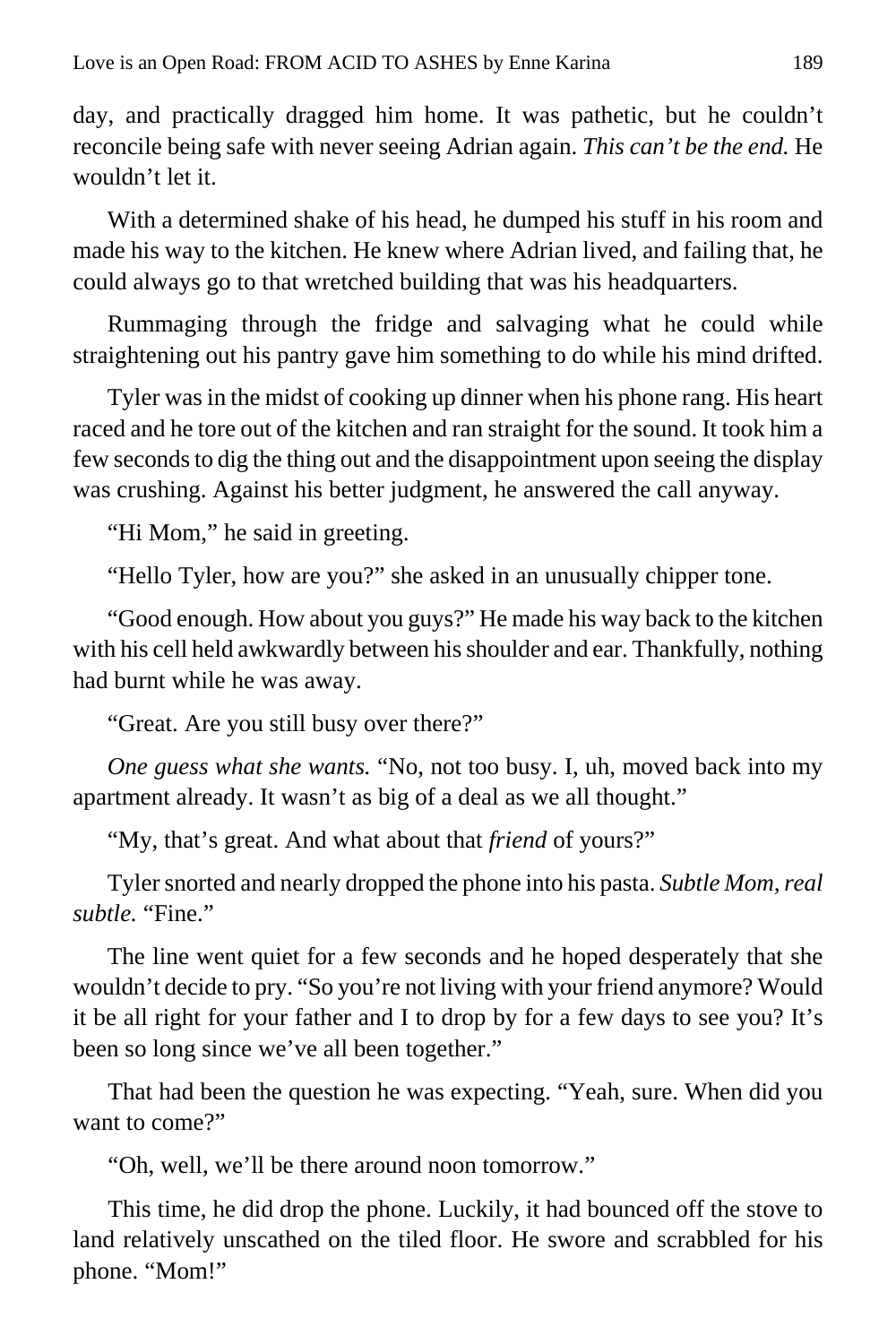day, and practically dragged him home. It was pathetic, but he couldn't reconcile being safe with never seeing Adrian again. *This can't be the end.* He wouldn't let it.

With a determined shake of his head, he dumped his stuff in his room and made his way to the kitchen. He knew where Adrian lived, and failing that, he could always go to that wretched building that was his headquarters.

Rummaging through the fridge and salvaging what he could while straightening out his pantry gave him something to do while his mind drifted.

Tyler was in the midst of cooking up dinner when his phone rang. His heart raced and he tore out of the kitchen and ran straight for the sound. It took him a few seconds to dig the thing out and the disappointment upon seeing the display was crushing. Against his better judgment, he answered the call anyway.

"Hi Mom," he said in greeting.

"Hello Tyler, how are you?" she asked in an unusually chipper tone.

"Good enough. How about you guys?" He made his way back to the kitchen with his cell held awkwardly between his shoulder and ear. Thankfully, nothing had burnt while he was away.

"Great. Are you still busy over there?"

*One guess what she wants.* "No, not too busy. I, uh, moved back into my apartment already. It wasn't as big of a deal as we all thought."

"My, that's great. And what about that *friend* of yours?"

Tyler snorted and nearly dropped the phone into his pasta. *Subtle Mom, real subtle.* "Fine."

The line went quiet for a few seconds and he hoped desperately that she wouldn't decide to pry. "So you're not living with your friend anymore? Would it be all right for your father and I to drop by for a few days to see you? It's been so long since we've all been together."

That had been the question he was expecting. "Yeah, sure. When did you want to come?"

"Oh, well, we'll be there around noon tomorrow."

This time, he did drop the phone. Luckily, it had bounced off the stove to land relatively unscathed on the tiled floor. He swore and scrabbled for his phone. "Mom!"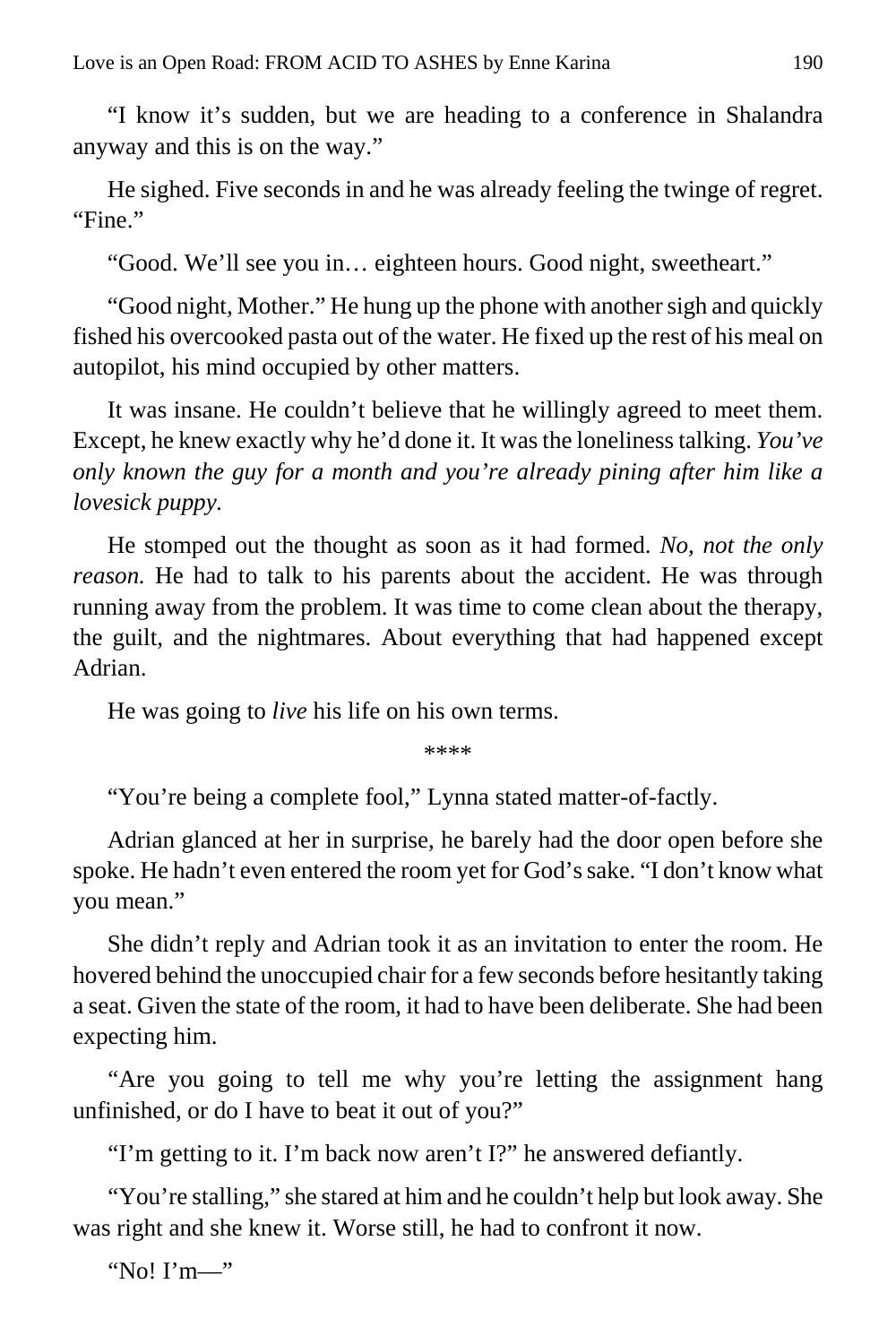"I know it's sudden, but we are heading to a conference in Shalandra anyway and this is on the way."

He sighed. Five seconds in and he was already feeling the twinge of regret. "Fine."

"Good. We'll see you in… eighteen hours. Good night, sweetheart."

"Good night, Mother." He hung up the phone with another sigh and quickly fished his overcooked pasta out of the water. He fixed up the rest of his meal on autopilot, his mind occupied by other matters.

It was insane. He couldn't believe that he willingly agreed to meet them. Except, he knew exactly why he'd done it. It was the loneliness talking. *You've only known the guy for a month and you're already pining after him like a lovesick puppy.*

He stomped out the thought as soon as it had formed. *No, not the only reason.* He had to talk to his parents about the accident. He was through running away from the problem. It was time to come clean about the therapy, the guilt, and the nightmares. About everything that had happened except Adrian.

He was going to *live* his life on his own terms.

\*\*\*\*

"You're being a complete fool," Lynna stated matter-of-factly.

Adrian glanced at her in surprise, he barely had the door open before she spoke. He hadn't even entered the room yet for God's sake. "I don't know what you mean."

She didn't reply and Adrian took it as an invitation to enter the room. He hovered behind the unoccupied chair for a few seconds before hesitantly taking a seat. Given the state of the room, it had to have been deliberate. She had been expecting him.

"Are you going to tell me why you're letting the assignment hang unfinished, or do I have to beat it out of you?"

"I'm getting to it. I'm back now aren't I?" he answered defiantly.

"You're stalling," she stared at him and he couldn't help but look away. She was right and she knew it. Worse still, he had to confront it now.

"No!  $\Gamma$ m—"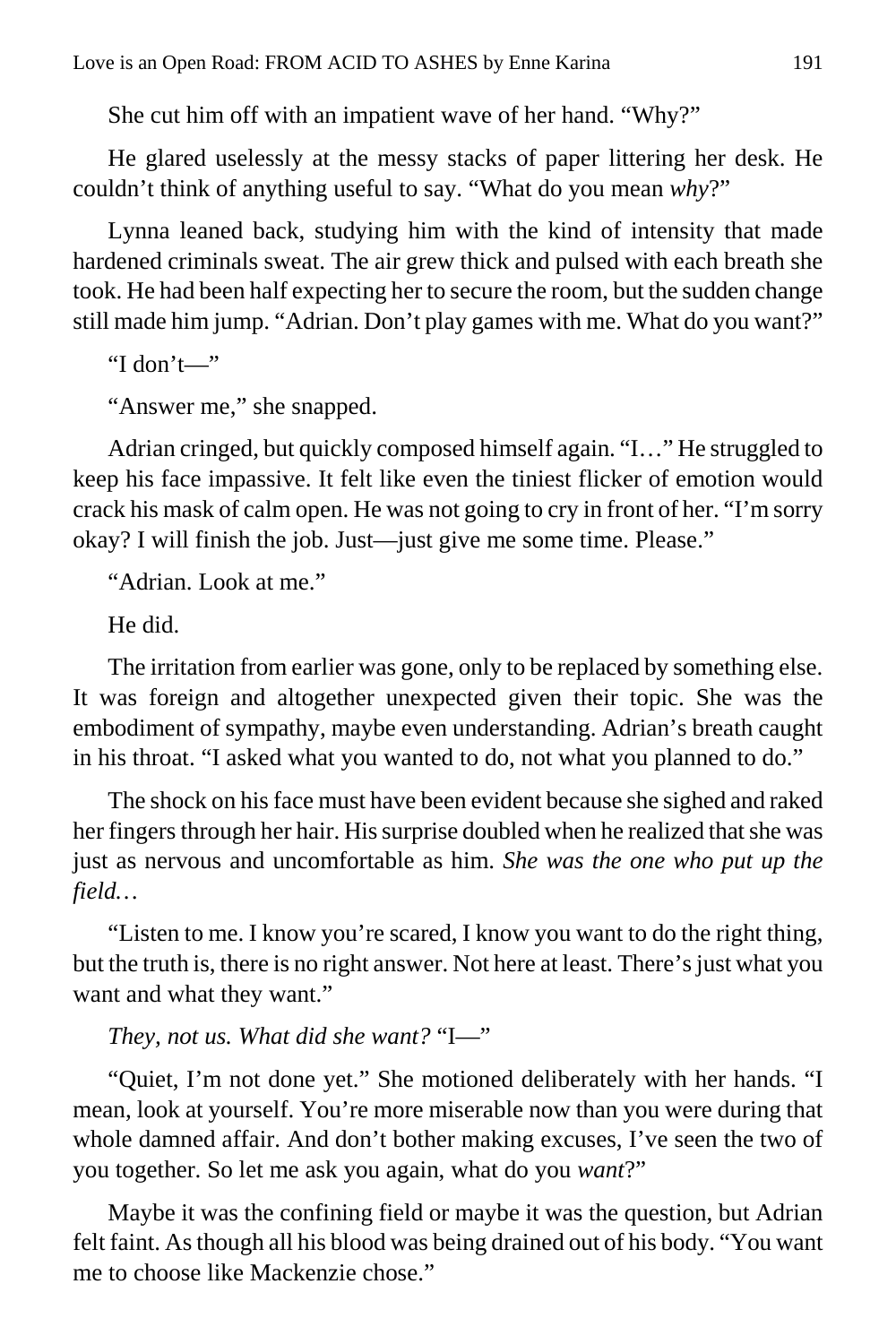She cut him off with an impatient wave of her hand. "Why?"

He glared uselessly at the messy stacks of paper littering her desk. He couldn't think of anything useful to say. "What do you mean *why*?"

Lynna leaned back, studying him with the kind of intensity that made hardened criminals sweat. The air grew thick and pulsed with each breath she took. He had been half expecting her to secure the room, but the sudden change still made him jump. "Adrian. Don't play games with me. What do you want?"

"I don't—"

"Answer me," she snapped.

Adrian cringed, but quickly composed himself again. "I…" He struggled to keep his face impassive. It felt like even the tiniest flicker of emotion would crack his mask of calm open. He was not going to cry in front of her. "I'm sorry okay? I will finish the job. Just—just give me some time. Please."

"Adrian. Look at me."

He did.

The irritation from earlier was gone, only to be replaced by something else. It was foreign and altogether unexpected given their topic. She was the embodiment of sympathy, maybe even understanding. Adrian's breath caught in his throat. "I asked what you wanted to do, not what you planned to do."

The shock on his face must have been evident because she sighed and raked her fingers through her hair. His surprise doubled when he realized that she was just as nervous and uncomfortable as him. *She was the one who put up the field…*

"Listen to me. I know you're scared, I know you want to do the right thing, but the truth is, there is no right answer. Not here at least. There's just what you want and what they want."

#### *They, not us. What did she want?* "I—"

"Quiet, I'm not done yet." She motioned deliberately with her hands. "I mean, look at yourself. You're more miserable now than you were during that whole damned affair. And don't bother making excuses, I've seen the two of you together. So let me ask you again, what do you *want*?"

Maybe it was the confining field or maybe it was the question, but Adrian felt faint. As though all his blood was being drained out of his body. "You want me to choose like Mackenzie chose."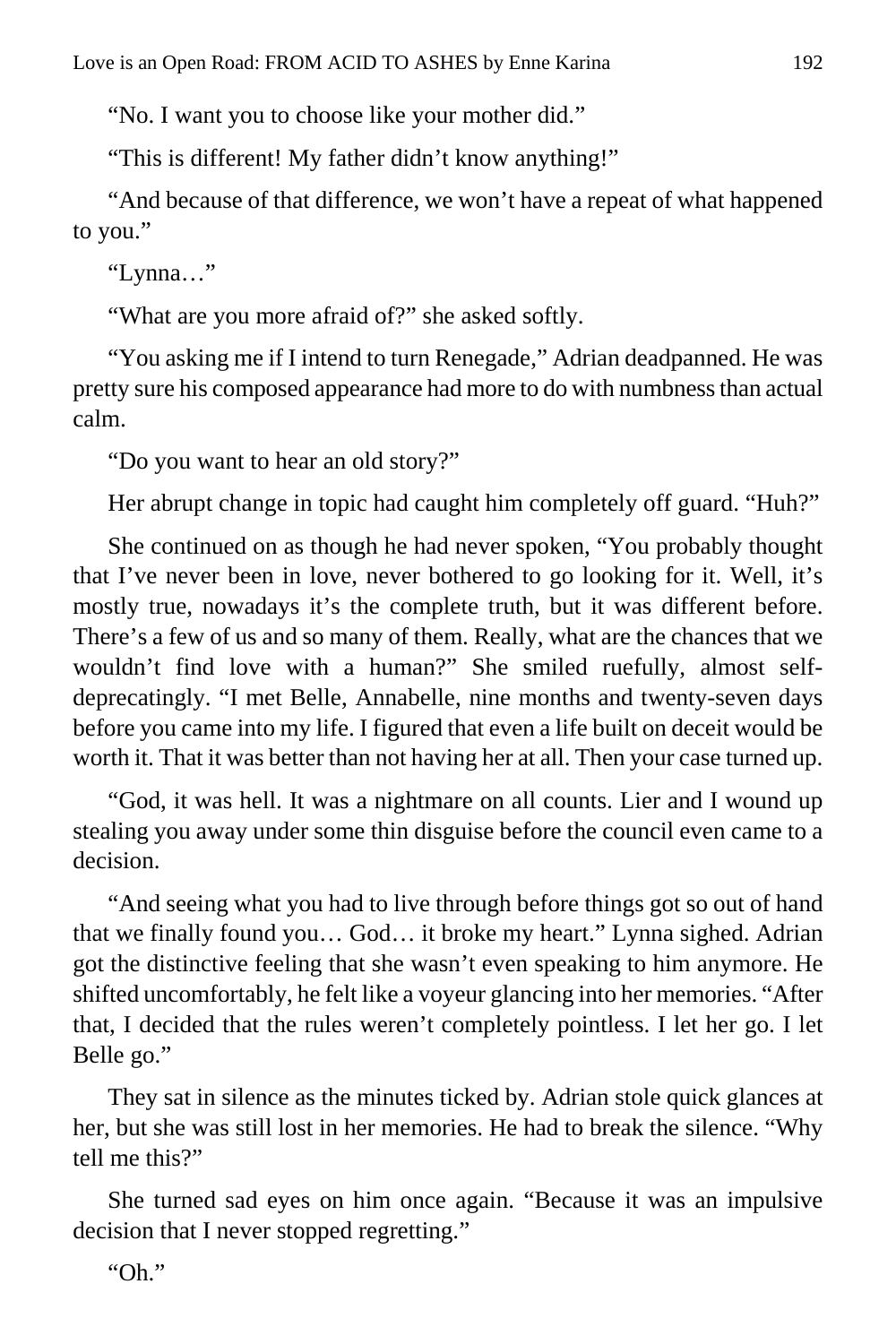"No. I want you to choose like your mother did."

"This is different! My father didn't know anything!"

"And because of that difference, we won't have a repeat of what happened to you."

"Lynna…"

"What are you more afraid of?" she asked softly.

"You asking me if I intend to turn Renegade," Adrian deadpanned. He was pretty sure his composed appearance had more to do with numbness than actual calm.

"Do you want to hear an old story?"

Her abrupt change in topic had caught him completely off guard. "Huh?"

She continued on as though he had never spoken, "You probably thought that I've never been in love, never bothered to go looking for it. Well, it's mostly true, nowadays it's the complete truth, but it was different before. There's a few of us and so many of them. Really, what are the chances that we wouldn't find love with a human?" She smiled ruefully, almost selfdeprecatingly. "I met Belle, Annabelle, nine months and twenty-seven days before you came into my life. I figured that even a life built on deceit would be worth it. That it was better than not having her at all. Then your case turned up.

"God, it was hell. It was a nightmare on all counts. Lier and I wound up stealing you away under some thin disguise before the council even came to a decision.

"And seeing what you had to live through before things got so out of hand that we finally found you… God… it broke my heart." Lynna sighed. Adrian got the distinctive feeling that she wasn't even speaking to him anymore. He shifted uncomfortably, he felt like a voyeur glancing into her memories. "After that, I decided that the rules weren't completely pointless. I let her go. I let Belle go."

They sat in silence as the minutes ticked by. Adrian stole quick glances at her, but she was still lost in her memories. He had to break the silence. "Why tell me this?"

She turned sad eyes on him once again. "Because it was an impulsive decision that I never stopped regretting."

"Oh."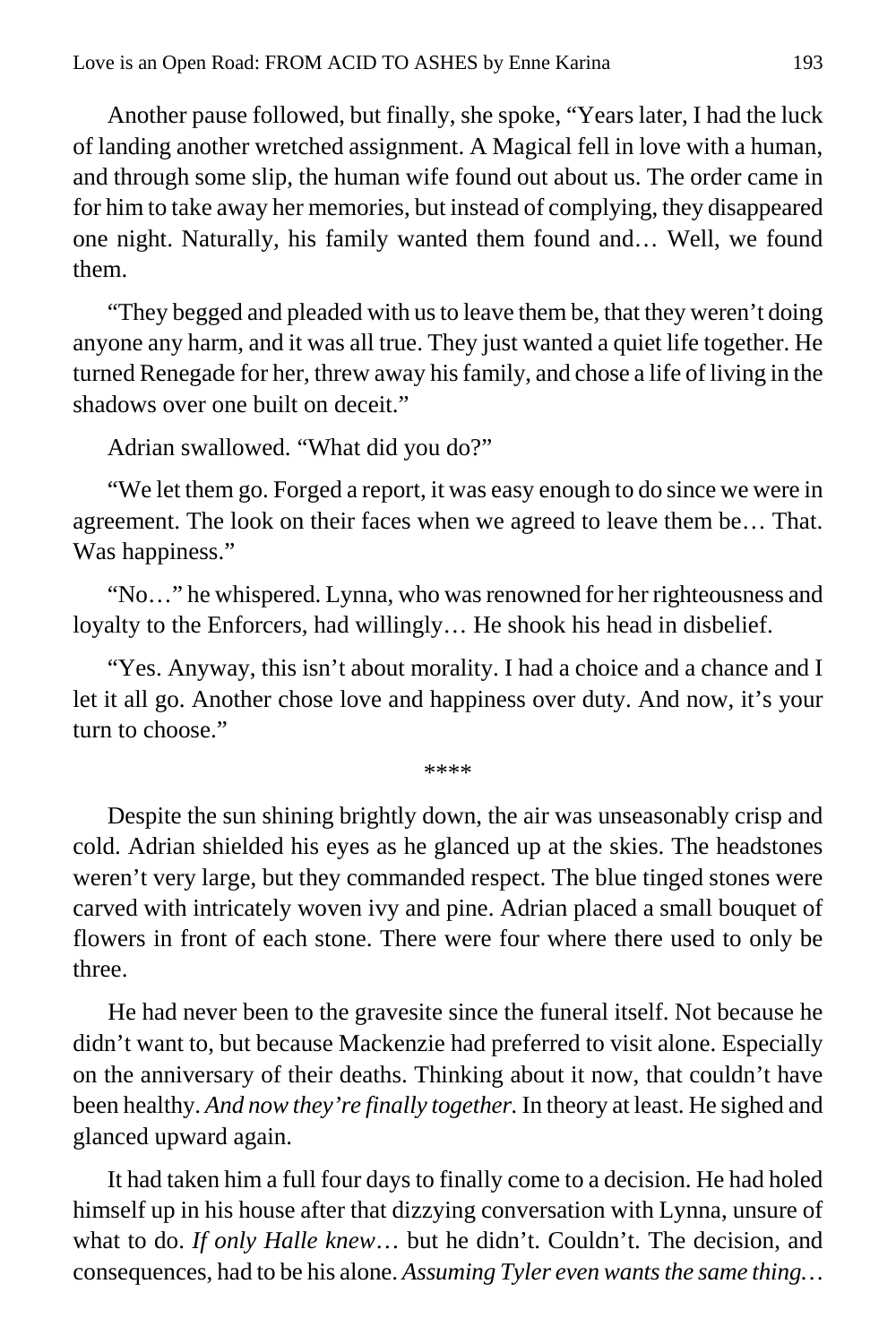Another pause followed, but finally, she spoke, "Years later, I had the luck of landing another wretched assignment. A Magical fell in love with a human, and through some slip, the human wife found out about us. The order came in for him to take away her memories, but instead of complying, they disappeared one night. Naturally, his family wanted them found and… Well, we found them.

"They begged and pleaded with us to leave them be, that they weren't doing anyone any harm, and it was all true. They just wanted a quiet life together. He turned Renegade for her, threw away his family, and chose a life of living in the shadows over one built on deceit."

Adrian swallowed. "What did you do?"

"We let them go. Forged a report, it was easy enough to do since we were in agreement. The look on their faces when we agreed to leave them be… That. Was happiness."

"No…" he whispered. Lynna, who was renowned for her righteousness and loyalty to the Enforcers, had willingly… He shook his head in disbelief.

"Yes. Anyway, this isn't about morality. I had a choice and a chance and I let it all go. Another chose love and happiness over duty. And now, it's your turn to choose."

\*\*\*\*

Despite the sun shining brightly down, the air was unseasonably crisp and cold. Adrian shielded his eyes as he glanced up at the skies. The headstones weren't very large, but they commanded respect. The blue tinged stones were carved with intricately woven ivy and pine. Adrian placed a small bouquet of flowers in front of each stone. There were four where there used to only be three.

He had never been to the gravesite since the funeral itself. Not because he didn't want to, but because Mackenzie had preferred to visit alone. Especially on the anniversary of their deaths. Thinking about it now, that couldn't have been healthy. *And now they're finally together.* In theory at least. He sighed and glanced upward again.

It had taken him a full four days to finally come to a decision. He had holed himself up in his house after that dizzying conversation with Lynna, unsure of what to do. *If only Halle knew*… but he didn't. Couldn't. The decision, and consequences, had to be his alone. *Assuming Tyler even wants the same thing…*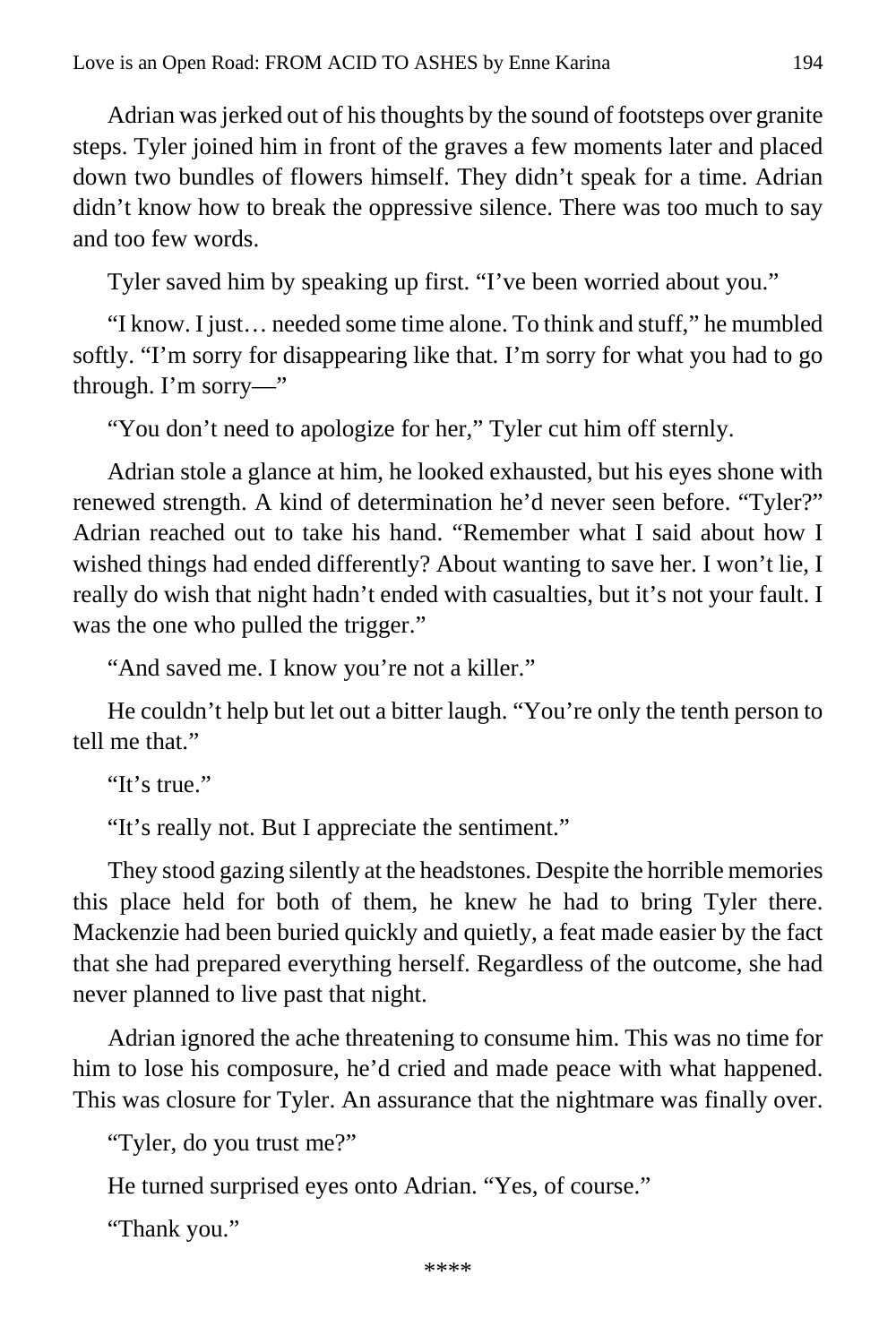Adrian was jerked out of his thoughts by the sound of footsteps over granite steps. Tyler joined him in front of the graves a few moments later and placed down two bundles of flowers himself. They didn't speak for a time. Adrian didn't know how to break the oppressive silence. There was too much to say and too few words.

Tyler saved him by speaking up first. "I've been worried about you."

"I know. I just… needed some time alone. To think and stuff," he mumbled softly. "I'm sorry for disappearing like that. I'm sorry for what you had to go through. I'm sorry—"

"You don't need to apologize for her," Tyler cut him off sternly.

Adrian stole a glance at him, he looked exhausted, but his eyes shone with renewed strength. A kind of determination he'd never seen before. "Tyler?" Adrian reached out to take his hand. "Remember what I said about how I wished things had ended differently? About wanting to save her. I won't lie, I really do wish that night hadn't ended with casualties, but it's not your fault. I was the one who pulled the trigger."

"And saved me. I know you're not a killer."

He couldn't help but let out a bitter laugh. "You're only the tenth person to tell me that."

"It's true."

"It's really not. But I appreciate the sentiment."

They stood gazing silently at the headstones. Despite the horrible memories this place held for both of them, he knew he had to bring Tyler there. Mackenzie had been buried quickly and quietly, a feat made easier by the fact that she had prepared everything herself. Regardless of the outcome, she had never planned to live past that night.

Adrian ignored the ache threatening to consume him. This was no time for him to lose his composure, he'd cried and made peace with what happened. This was closure for Tyler. An assurance that the nightmare was finally over.

"Tyler, do you trust me?"

He turned surprised eyes onto Adrian. "Yes, of course."

"Thank you."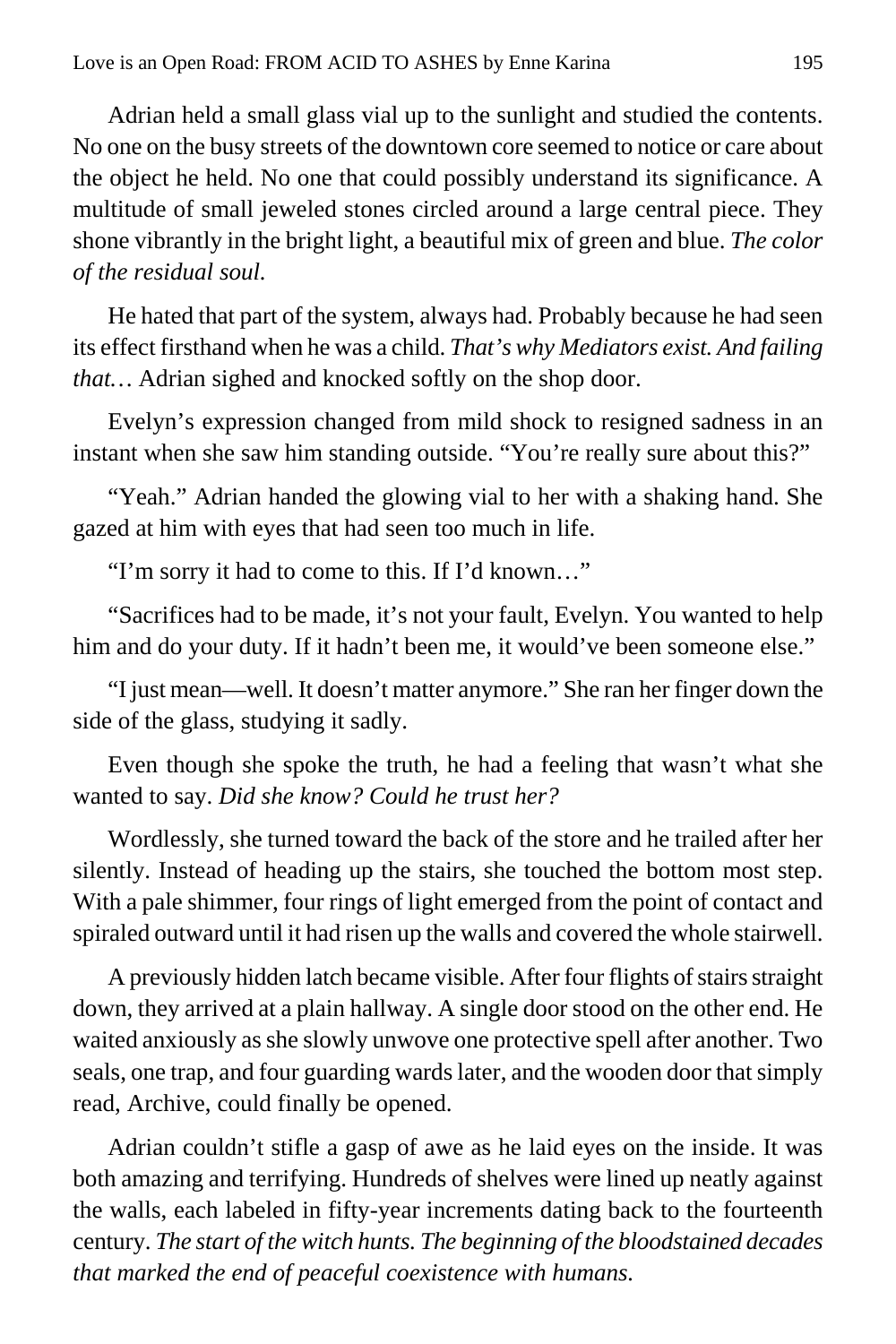Adrian held a small glass vial up to the sunlight and studied the contents. No one on the busy streets of the downtown core seemed to notice or care about the object he held. No one that could possibly understand its significance. A multitude of small jeweled stones circled around a large central piece. They shone vibrantly in the bright light, a beautiful mix of green and blue. *The color of the residual soul.*

He hated that part of the system, always had. Probably because he had seen its effect firsthand when he was a child. *That's why Mediators exist. And failing that…* Adrian sighed and knocked softly on the shop door.

Evelyn's expression changed from mild shock to resigned sadness in an instant when she saw him standing outside. "You're really sure about this?"

"Yeah." Adrian handed the glowing vial to her with a shaking hand. She gazed at him with eyes that had seen too much in life.

"I'm sorry it had to come to this. If I'd known…"

"Sacrifices had to be made, it's not your fault, Evelyn. You wanted to help him and do your duty. If it hadn't been me, it would've been someone else."

"I just mean—well. It doesn't matter anymore." She ran her finger down the side of the glass, studying it sadly.

Even though she spoke the truth, he had a feeling that wasn't what she wanted to say. *Did she know? Could he trust her?*

Wordlessly, she turned toward the back of the store and he trailed after her silently. Instead of heading up the stairs, she touched the bottom most step. With a pale shimmer, four rings of light emerged from the point of contact and spiraled outward until it had risen up the walls and covered the whole stairwell.

A previously hidden latch became visible. After four flights of stairs straight down, they arrived at a plain hallway. A single door stood on the other end. He waited anxiously as she slowly unwove one protective spell after another. Two seals, one trap, and four guarding wards later, and the wooden door that simply read, Archive, could finally be opened.

Adrian couldn't stifle a gasp of awe as he laid eyes on the inside. It was both amazing and terrifying. Hundreds of shelves were lined up neatly against the walls, each labeled in fifty-year increments dating back to the fourteenth century. *The start of the witch hunts. The beginning of the bloodstained decades that marked the end of peaceful coexistence with humans.*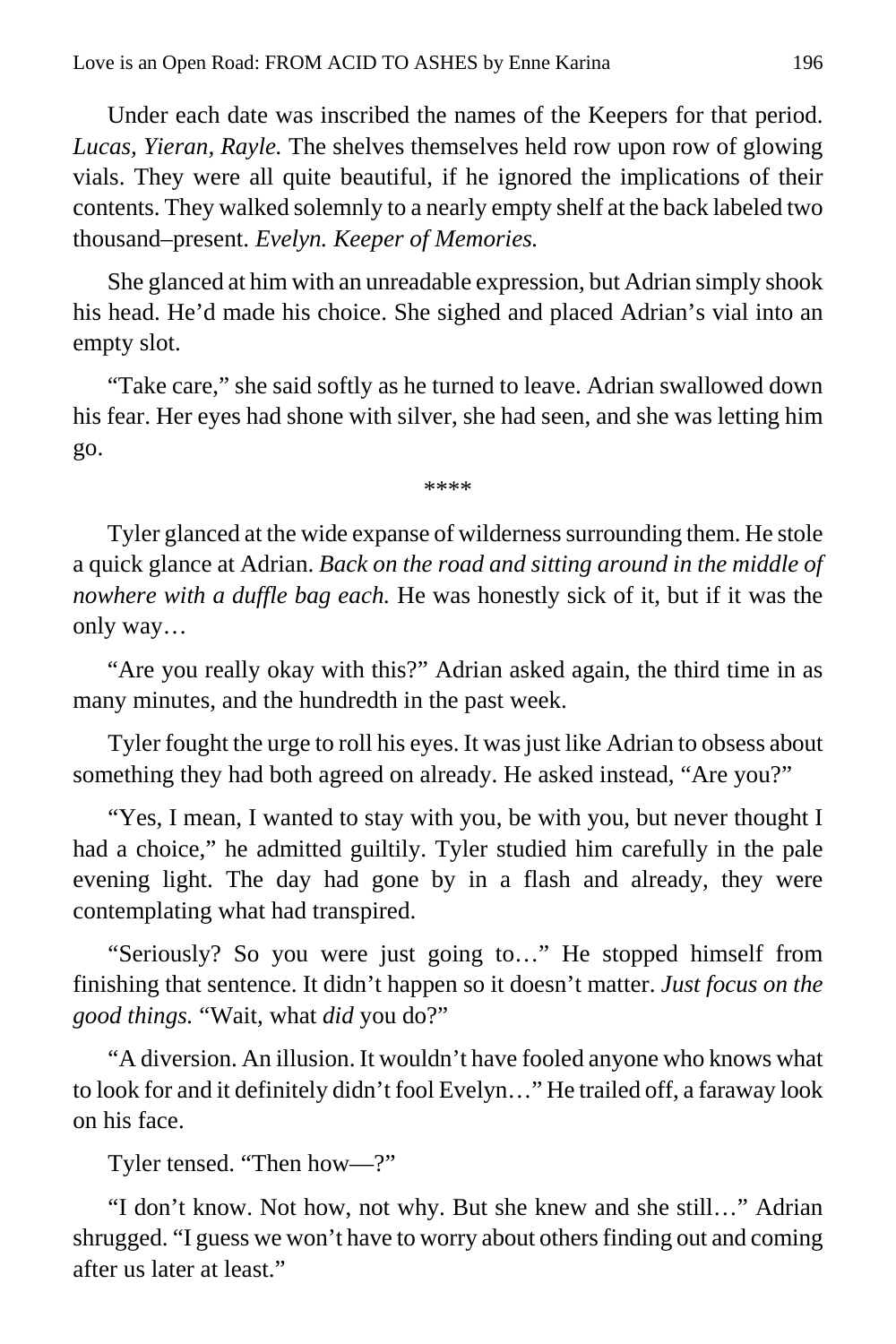Under each date was inscribed the names of the Keepers for that period. *Lucas, Yieran, Rayle.* The shelves themselves held row upon row of glowing vials. They were all quite beautiful, if he ignored the implications of their contents. They walked solemnly to a nearly empty shelf at the back labeled two thousand–present. *Evelyn. Keeper of Memories.*

She glanced at him with an unreadable expression, but Adrian simply shook his head. He'd made his choice. She sighed and placed Adrian's vial into an empty slot.

"Take care," she said softly as he turned to leave. Adrian swallowed down his fear. Her eyes had shone with silver, she had seen, and she was letting him go.

\*\*\*\*

Tyler glanced at the wide expanse of wilderness surrounding them. He stole a quick glance at Adrian. *Back on the road and sitting around in the middle of nowhere with a duffle bag each.* He was honestly sick of it, but if it was the only way…

"Are you really okay with this?" Adrian asked again, the third time in as many minutes, and the hundredth in the past week.

Tyler fought the urge to roll his eyes. It was just like Adrian to obsess about something they had both agreed on already. He asked instead, "Are you?"

"Yes, I mean, I wanted to stay with you, be with you, but never thought I had a choice," he admitted guiltily. Tyler studied him carefully in the pale evening light. The day had gone by in a flash and already, they were contemplating what had transpired.

"Seriously? So you were just going to…" He stopped himself from finishing that sentence. It didn't happen so it doesn't matter. *Just focus on the good things.* "Wait, what *did* you do?"

"A diversion. An illusion. It wouldn't have fooled anyone who knows what to look for and it definitely didn't fool Evelyn…" He trailed off, a faraway look on his face.

Tyler tensed. "Then how—?"

"I don't know. Not how, not why. But she knew and she still…" Adrian shrugged. "I guess we won't have to worry about others finding out and coming after us later at least."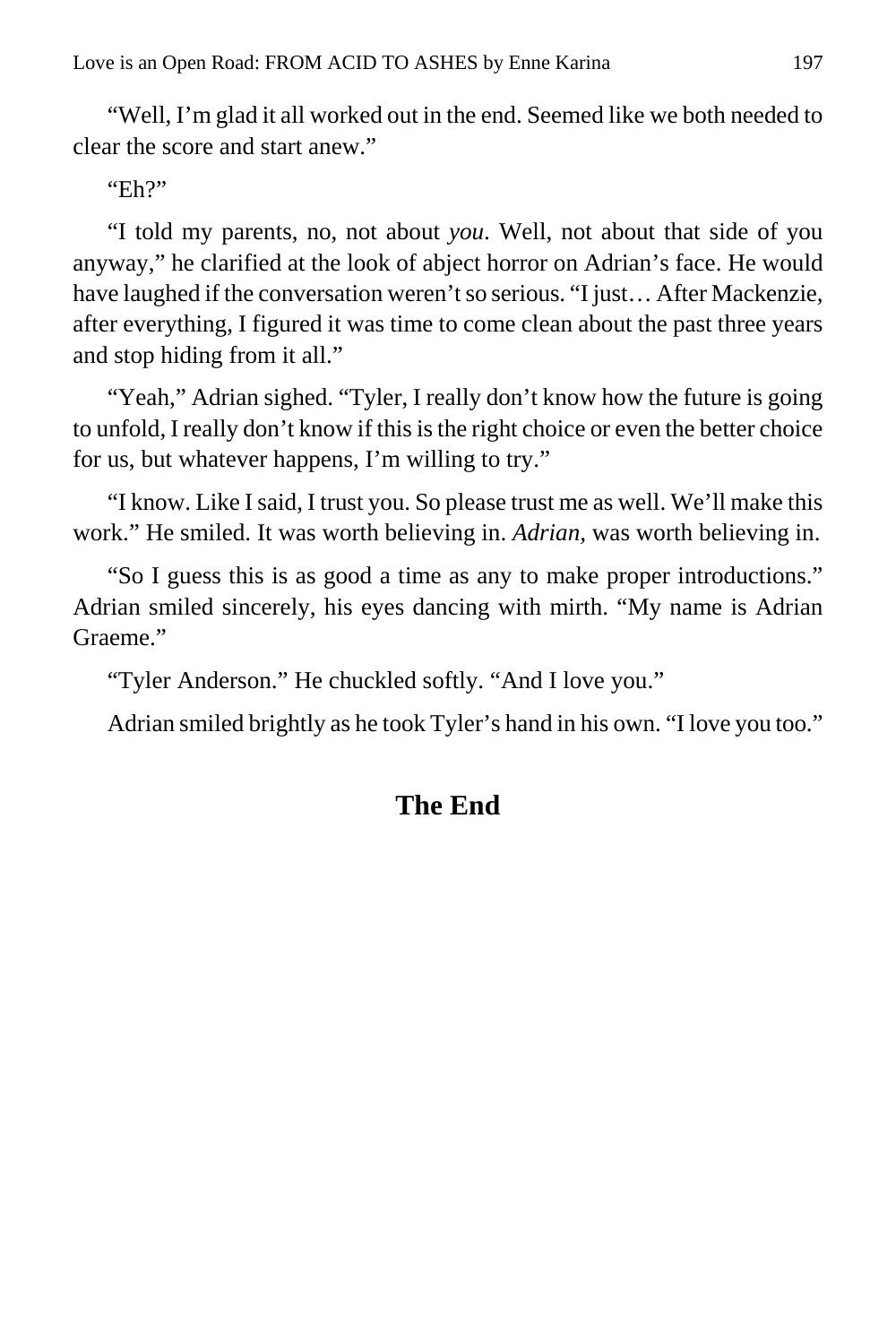"Well, I'm glad it all worked out in the end. Seemed like we both needed to clear the score and start anew."

"Eh?"

"I told my parents, no, not about *you*. Well, not about that side of you anyway," he clarified at the look of abject horror on Adrian's face. He would have laughed if the conversation weren't so serious. "I just… After Mackenzie, after everything, I figured it was time to come clean about the past three years and stop hiding from it all."

"Yeah," Adrian sighed. "Tyler, I really don't know how the future is going to unfold, I really don't know if this is the right choice or even the better choice for us, but whatever happens, I'm willing to try."

"I know. Like I said, I trust you. So please trust me as well. We'll make this work." He smiled. It was worth believing in. *Adrian,* was worth believing in.

"So I guess this is as good a time as any to make proper introductions." Adrian smiled sincerely, his eyes dancing with mirth. "My name is Adrian Graeme."

"Tyler Anderson." He chuckled softly. "And I love you."

Adrian smiled brightly as he took Tyler's hand in his own. "I love you too."

## **The End**